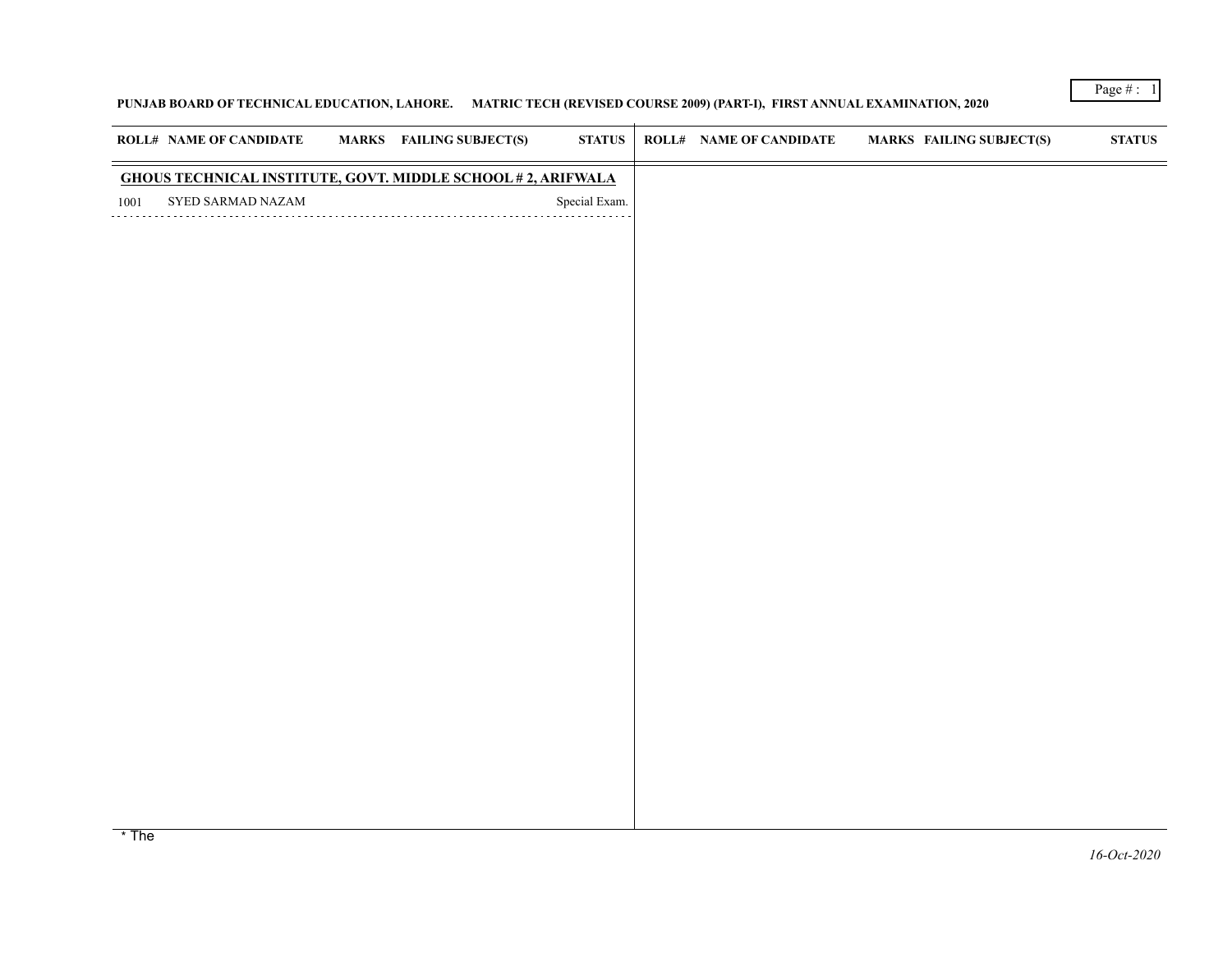## **PUNJAB BOARD OF TECHNICAL EDUCATION, LAHORE. MATRIC TECH (REVISED COURSE 2009) (PART-I), FIRST ANNUAL EXAMINATION, 2020**

|                   | <b>ROLL# NAME OF CANDIDATE</b>                                                                      | <b>MARKS</b> FAILING SUBJECT(S)                                                                                 | <b>STATUS</b> | <b>ROLL# NAME OF CANDIDATE</b> | <b>MARKS FAILING SUBJECT(S)</b>                                                                                | $\bold{STATUS}$ |
|-------------------|-----------------------------------------------------------------------------------------------------|-----------------------------------------------------------------------------------------------------------------|---------------|--------------------------------|----------------------------------------------------------------------------------------------------------------|-----------------|
|                   | <b>GHOUS TECHNICAL INSTITUTE, GOVT. MIDDLE SCHOOL #2, ARIFWALA</b>                                  |                                                                                                                 |               |                                |                                                                                                                |                 |
| 1001              | SYED SARMAD NAZAM                                                                                   |                                                                                                                 | Special Exam. |                                |                                                                                                                |                 |
|                   |                                                                                                     |                                                                                                                 |               |                                |                                                                                                                |                 |
|                   |                                                                                                     |                                                                                                                 |               |                                |                                                                                                                |                 |
|                   |                                                                                                     |                                                                                                                 |               |                                |                                                                                                                |                 |
|                   |                                                                                                     |                                                                                                                 |               |                                |                                                                                                                |                 |
|                   |                                                                                                     |                                                                                                                 |               |                                |                                                                                                                |                 |
|                   |                                                                                                     |                                                                                                                 |               |                                |                                                                                                                |                 |
|                   |                                                                                                     |                                                                                                                 |               |                                |                                                                                                                |                 |
|                   |                                                                                                     |                                                                                                                 |               |                                |                                                                                                                |                 |
|                   |                                                                                                     |                                                                                                                 |               |                                |                                                                                                                |                 |
|                   |                                                                                                     |                                                                                                                 |               |                                |                                                                                                                |                 |
|                   |                                                                                                     |                                                                                                                 |               |                                |                                                                                                                |                 |
|                   |                                                                                                     |                                                                                                                 |               |                                |                                                                                                                |                 |
|                   |                                                                                                     |                                                                                                                 |               |                                |                                                                                                                |                 |
|                   |                                                                                                     |                                                                                                                 |               |                                |                                                                                                                |                 |
|                   |                                                                                                     |                                                                                                                 |               |                                |                                                                                                                |                 |
|                   |                                                                                                     |                                                                                                                 |               |                                |                                                                                                                |                 |
|                   |                                                                                                     |                                                                                                                 |               |                                |                                                                                                                |                 |
|                   |                                                                                                     |                                                                                                                 |               |                                |                                                                                                                |                 |
|                   |                                                                                                     |                                                                                                                 |               |                                |                                                                                                                |                 |
|                   |                                                                                                     |                                                                                                                 |               |                                |                                                                                                                |                 |
|                   |                                                                                                     |                                                                                                                 |               |                                |                                                                                                                |                 |
| <b>The Common</b> | all the contract of the district of the contract of the contract of the contract of the contract of | the contract of the contract of the contract of the contract of the contract of the contract of the contract of |               |                                | a faith a coileadh an t-idir an t-iomraidh ann an coileadh ann an t-iomraidh anns an coileadh an cheantlan aib |                 |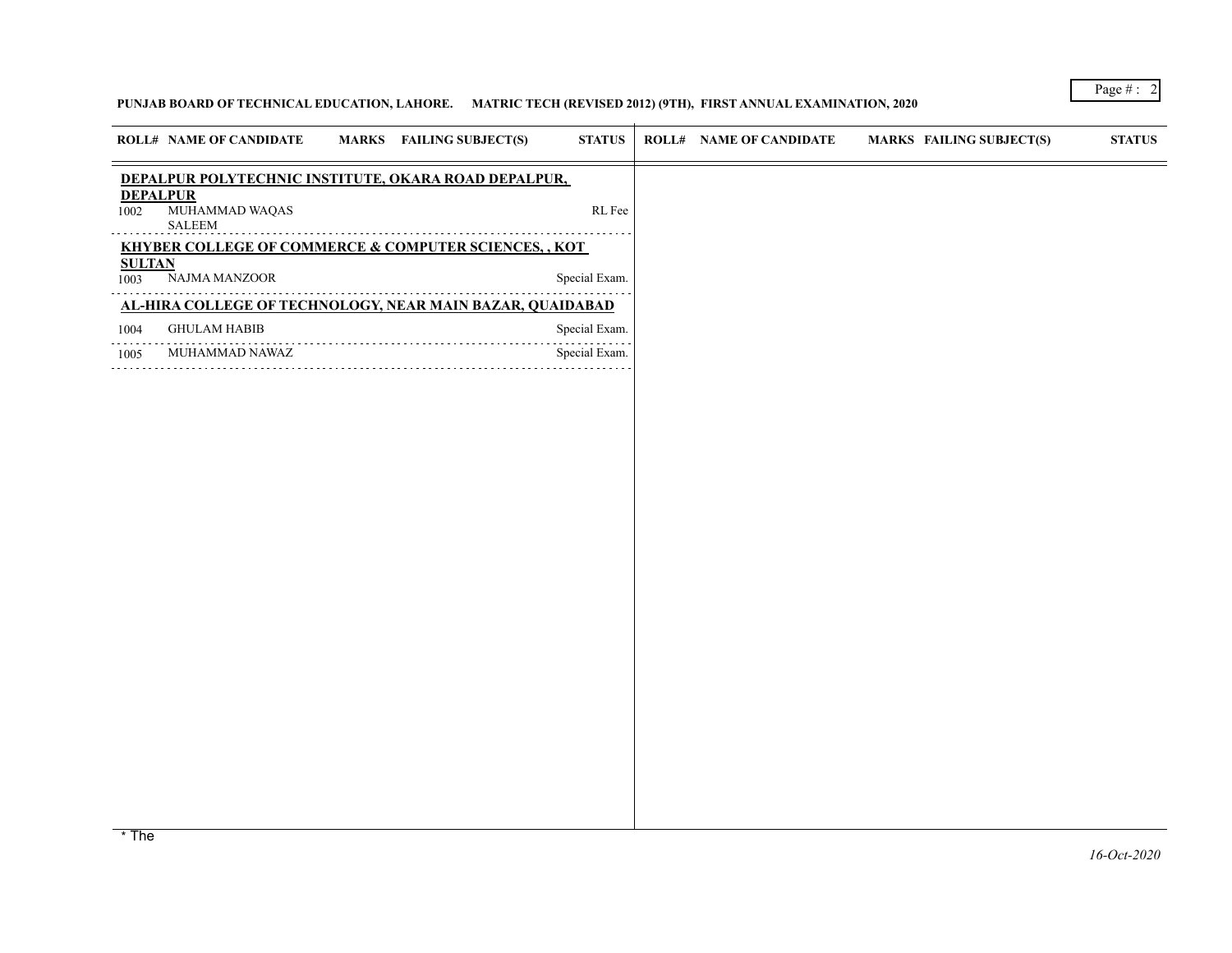# **PUNJAB BOARD OF TECHNICAL EDUCATION, LAHORE. MATRIC TECH (REVISED 2012) (9TH), FIRST ANNUAL EXAMINATION, 2020**

|                         | <b>ROLL# NAME OF CANDIDATE</b>                                   | MARKS FAILING SUBJECT(S) | <b>STATUS</b> | <b>ROLL# NAME OF CANDIDATE</b> | <b>MARKS FAILING SUBJECT(S)</b>                                                                                                                                   | <b>STATUS</b> |
|-------------------------|------------------------------------------------------------------|--------------------------|---------------|--------------------------------|-------------------------------------------------------------------------------------------------------------------------------------------------------------------|---------------|
|                         | DEPALPUR POLYTECHNIC INSTITUTE, OKARA ROAD DEPALPUR,             |                          |               |                                |                                                                                                                                                                   |               |
| <b>DEPALPUR</b><br>1002 | MUHAMMAD WAQAS<br><b>SALEEM</b>                                  |                          | RL Fee        |                                |                                                                                                                                                                   |               |
|                         | KHYBER COLLEGE OF COMMERCE & COMPUTER SCIENCES, , KOT            |                          |               |                                |                                                                                                                                                                   |               |
| <b>SULTAN</b><br>1003   | NAJMA MANZOOR                                                    |                          | Special Exam. |                                |                                                                                                                                                                   |               |
|                         | <u>AL-HIRA COLLEGE OF TECHNOLOGY, NEAR MAIN BAZAR, QUAIDABAD</u> |                          |               |                                |                                                                                                                                                                   |               |
| 1004                    | <b>GHULAM HABIB</b>                                              |                          | Special Exam. |                                |                                                                                                                                                                   |               |
| 1005                    | MUHAMMAD NAWAZ                                                   |                          | Special Exam. |                                |                                                                                                                                                                   |               |
|                         |                                                                  |                          |               |                                |                                                                                                                                                                   |               |
|                         |                                                                  |                          |               |                                |                                                                                                                                                                   |               |
|                         |                                                                  |                          |               |                                |                                                                                                                                                                   |               |
|                         |                                                                  |                          |               |                                |                                                                                                                                                                   |               |
|                         |                                                                  |                          |               |                                |                                                                                                                                                                   |               |
|                         |                                                                  |                          |               |                                |                                                                                                                                                                   |               |
|                         |                                                                  |                          |               |                                |                                                                                                                                                                   |               |
|                         |                                                                  |                          |               |                                |                                                                                                                                                                   |               |
|                         |                                                                  |                          |               |                                |                                                                                                                                                                   |               |
|                         |                                                                  |                          |               |                                |                                                                                                                                                                   |               |
|                         |                                                                  |                          |               |                                |                                                                                                                                                                   |               |
|                         |                                                                  |                          |               |                                |                                                                                                                                                                   |               |
|                         |                                                                  |                          |               |                                |                                                                                                                                                                   |               |
|                         |                                                                  |                          |               |                                |                                                                                                                                                                   |               |
|                         |                                                                  |                          |               |                                |                                                                                                                                                                   |               |
|                         |                                                                  |                          |               |                                |                                                                                                                                                                   |               |
|                         |                                                                  |                          |               |                                |                                                                                                                                                                   |               |
|                         |                                                                  |                          |               |                                |                                                                                                                                                                   |               |
|                         |                                                                  |                          |               |                                | * The marks awarded under the promotion criteria is the best prediction of the performance of the student and has been awarded based marks awarded under the pror |               |

*16-Oct-2020* \* The marks awarded under the promotion criteria is the best prediction of the performance of the student and has been awarded based marks awarded under the pror derived from the IBCC and approved by the Government due to covid-19 pandemic.

Page # : 2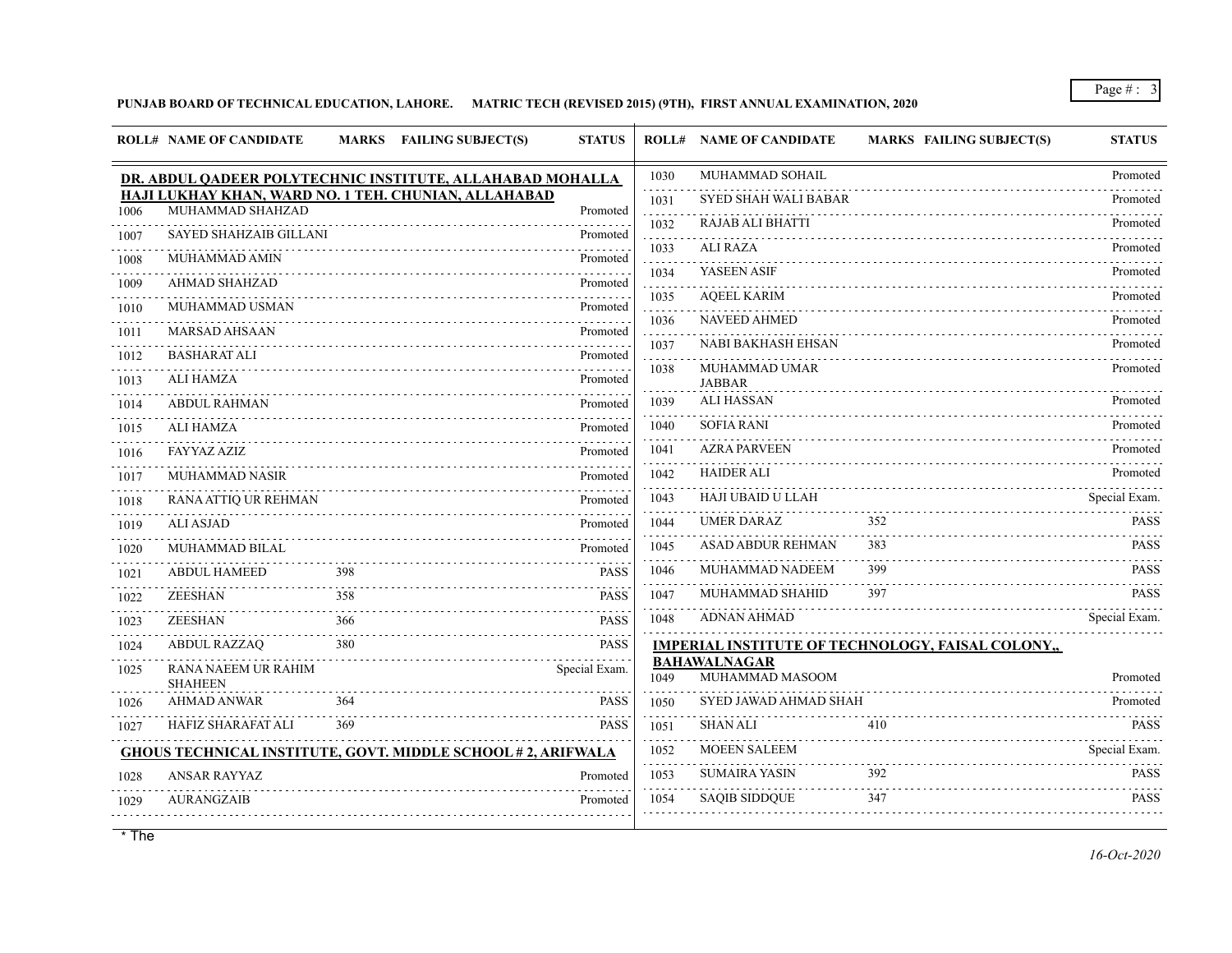## **PUNJAB BOARD OF TECHNICAL EDUCATION, LAHORE. MATRIC TECH (REVISED 2015) (9TH), FIRST ANNUAL EXAMINATION, 2020**

|                                     | <b>ROLL# NAME OF CANDIDATE</b>               | MARKS FAILING SUBJECT(S)                                           | <b>STATUS</b>    |           | <b>ROLL# NAME OF CANDIDATE</b>         | <b>MARKS FAILING SUBJECT(S)</b>                   | <b>STATUS</b> |
|-------------------------------------|----------------------------------------------|--------------------------------------------------------------------|------------------|-----------|----------------------------------------|---------------------------------------------------|---------------|
|                                     |                                              | DR. ABDUL QADEER POLYTECHNIC INSTITUTE, ALLAHABAD MOHALLA          |                  | 1030      | MUHAMMAD SOHAIL                        |                                                   | Promoted      |
| 1006                                | MUHAMMAD SHAHZAD                             | HAJI LUKHAY KHAN, WARD NO. 1 TEH. CHUNIAN, ALLAHABAD               | Promoted         | 1031      | <b>SYED SHAH WALI BABAR</b>            |                                                   | Promoted      |
|                                     | <b>SAYED SHAHZAIB GILLANI</b>                |                                                                    | .<br>Promoted    | 1032      | <b>RAJAB ALI BHATTI</b>                |                                                   | Promoted      |
| 1007                                | MUHAMMAD AMIN                                |                                                                    | Promoted         | 1033      | <b>ALI RAZA</b>                        |                                                   | Promoted      |
| 1008                                |                                              |                                                                    |                  | .<br>1034 | YASEEN ASIF                            |                                                   | Promoted      |
| 1009                                | <b>AHMAD SHAHZAD</b><br>MUHAMMAD USMAN       |                                                                    | Promoted         | .<br>1035 | <b>AQEEL KARIM</b>                     |                                                   | Promoted      |
| 1010                                |                                              |                                                                    | Promoted         | 1036      | <b>NAVEED AHMED</b>                    |                                                   | Promoted      |
| 1011                                | <b>MARSAD AHSAAN</b>                         |                                                                    | Promoted         | 1037      | <b>NABI BAKHASH EHSAN</b>              |                                                   | Promoted      |
| 1012                                | <b>BASHARAT ALI</b>                          |                                                                    | Promoted         | .<br>1038 | MUHAMMAD UMAR                          |                                                   | Promoted      |
| 1013                                | <b>ALI HAMZA</b>                             |                                                                    | Promoted         |           | <b>JABBAR</b><br><b>ALI HASSAN</b>     |                                                   |               |
| 1014                                | <b>ABDUL RAHMAN</b>                          |                                                                    | Promoted         | 1039      |                                        |                                                   | Promoted      |
| 1015                                | <b>ALI HAMZA</b>                             |                                                                    | Promoted         | 1040      | <b>SOFIA RANI</b>                      |                                                   | Promoted      |
| 1016                                | <b>FAYYAZ AZIZ</b>                           |                                                                    | Promoted         | 1041      | <b>AZRA PARVEEN</b>                    |                                                   | Promoted      |
| 1017                                | MUHAMMAD NASIR                               |                                                                    | Promoted         | 1042      | <b>HAIDER ALI</b>                      |                                                   | Promoted      |
| 1018                                | RANA ATTIQ UR REHMAN                         |                                                                    | Promoted         | 1043      | HAJI UBAID U LLAH                      |                                                   | Special Exam. |
| 1019                                | <b>ALI ASJAD</b>                             |                                                                    | Promoted         | 1044      | <b>UMER DARAZ</b>                      | 352                                               | <b>PASS</b>   |
| 1020<br>$\sim$ $\sim$ $\sim$ $\sim$ | MUHAMMAD BILAL                               |                                                                    | Promoted         | 1045      | <b>ASAD ABDUR REHMAN</b>               | 383                                               | <b>PASS</b>   |
| 1021                                | <b>ABDUL HAMEED</b>                          | 398                                                                | <b>PASS</b>      | 1046      | MUHAMMAD NADEEM                        | 399                                               | <b>PASS</b>   |
| 1022                                | <b>ZEESHAN</b>                               | 358                                                                | <b>PASS</b><br>. | 1047      | MUHAMMAD SHAHID                        | 397                                               | <b>PASS</b>   |
| 1023                                | ZEESHAN                                      | 366                                                                | <b>PASS</b>      | 1048      | <b>ADNAN AHMAD</b>                     |                                                   | Special Exam. |
| 1024                                | <b>ABDUL RAZZAQ</b>                          | 380                                                                | <b>PASS</b>      |           |                                        | IMPERIAL INSTITUTE OF TECHNOLOGY, FAISAL COLONY,, |               |
| 1025                                | <b>RANA NAEEM UR RAHIM</b><br><b>SHAHEEN</b> |                                                                    | Special Exam.    | 1049      | <b>BAHAWALNAGAR</b><br>MUHAMMAD MASOOM |                                                   | Promoted      |
| 1026                                | <b>AHMAD ANWAR</b>                           | 364                                                                | <b>PASS</b>      | 1050      | SYED JAWAD AHMAD SHAH                  |                                                   | Promoted<br>. |
| 1027                                | <b>HAFIZ SHARAFAT ALI</b>                    | 369                                                                | <b>PASS</b>      | 1051      | <b>SHAN ALI</b>                        | 410                                               | <b>PASS</b>   |
|                                     |                                              | <b>GHOUS TECHNICAL INSTITUTE, GOVT. MIDDLE SCHOOL #2, ARIFWALA</b> |                  | 1052      | <b>MOEEN SALEEM</b>                    |                                                   | Special Exam. |
| 1028                                | <b>ANSAR RAYYAZ</b>                          |                                                                    | Promoted         | 1053      | <b>SUMAIRA YASIN</b>                   | 392                                               | <b>PASS</b>   |
| 1029                                | <b>AURANGZAIB</b>                            |                                                                    | Promoted         | 1054      | <b>SAQIB SIDDOUE</b>                   | 347                                               | <b>PASS</b>   |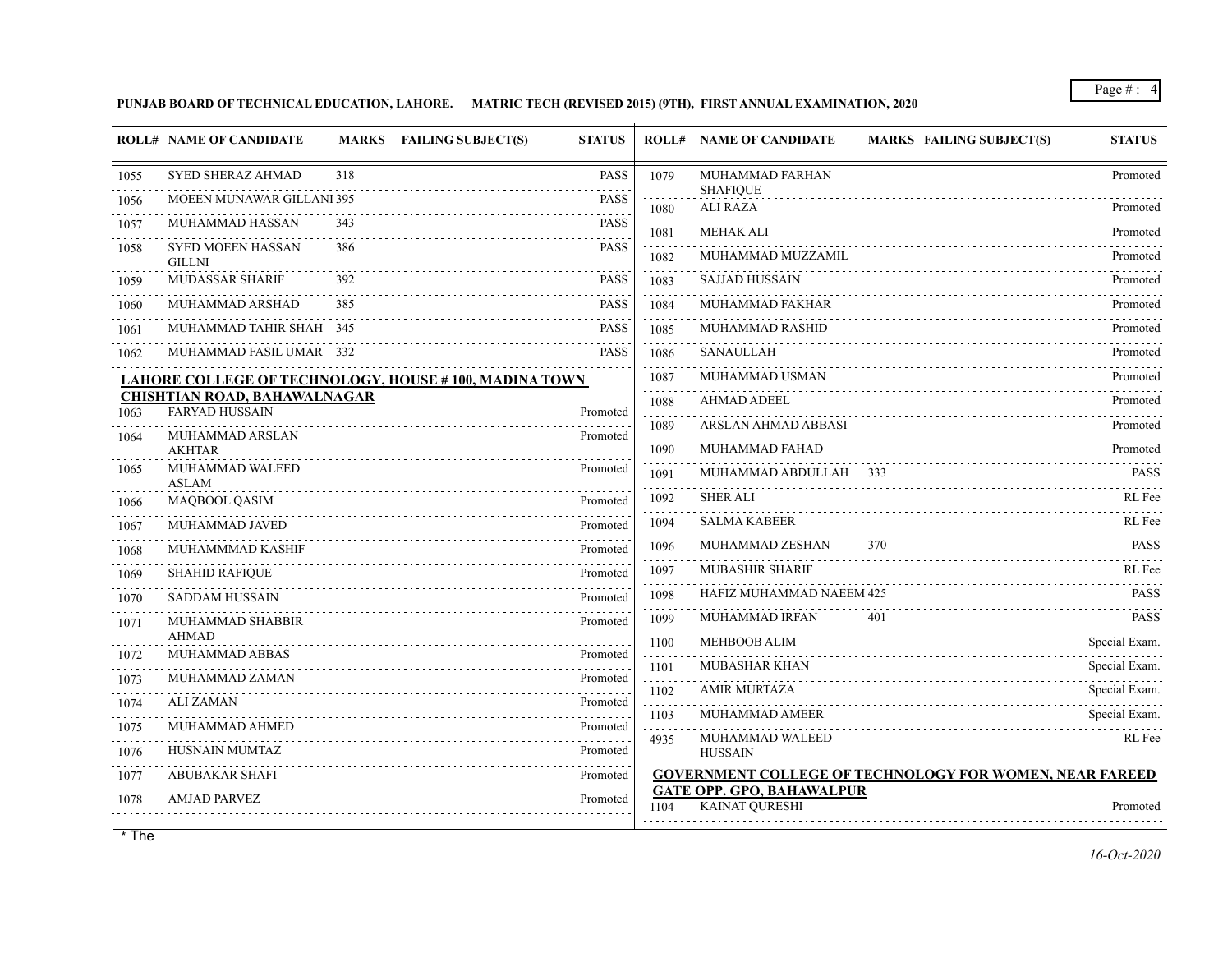**PUNJAB BOARD OF TECHNICAL EDUCATION, LAHORE. MATRIC TECH (REVISED 2015) (9TH), FIRST ANNUAL EXAMINATION, 2020**

|      | <b>ROLL# NAME OF CANDIDATE</b>                               | <b>MARKS</b> | <b>FAILING SUBJECT(S)</b><br><b>STATUS</b>                   |                     | <b>ROLL# NAME OF CANDIDATE</b><br><b>MARKS FAILING SUBJECT(S)</b> | <b>STATUS</b> |
|------|--------------------------------------------------------------|--------------|--------------------------------------------------------------|---------------------|-------------------------------------------------------------------|---------------|
| 1055 | <b>SYED SHERAZ AHMAD</b>                                     | 318          | <b>PASS</b>                                                  | 1079                | MUHAMMAD FARHAN                                                   | Promoted      |
| 1056 | MOEEN MUNAWAR GILLANI 395                                    |              | <b>PASS</b>                                                  | 1080                | <b>SHAFIQUE</b><br><b>ALI RAZA</b>                                | Promoted      |
| 1057 | MUHAMMAD HASSAN                                              | 343          | <b>PASS</b>                                                  | 1081                | <b>MEHAK ALI</b>                                                  | Promoted      |
| 1058 | <b>SYED MOEEN HASSAN</b><br><b>GILLNI</b>                    | 386          | <b>PASS</b>                                                  | 1082                | MUHAMMAD MUZZAMIL                                                 | Promoted      |
| 1059 | <b>MUDASSAR SHARIF</b>                                       | 392          | <b>PASS</b>                                                  | 1083                | <b>SAJJAD HUSSAIN</b>                                             | Promoted      |
| 1060 | MUHAMMAD ARSHAD                                              | 385          | <b>PASS</b>                                                  | 1084                | <b>MUHAMMAD FAKHAR</b>                                            | Promoted      |
| 1061 | MUHAMMAD TAHIR SHAH 345                                      |              | <b>PASS</b>                                                  | and a state<br>1085 | MUHAMMAD RASHID                                                   | Promoted      |
| 1062 | MUHAMMAD FASIL UMAR 332                                      |              | <b>PASS</b>                                                  | 1086                | <b>SANAULLAH</b>                                                  | Promoted      |
|      |                                                              |              | <b>LAHORE COLLEGE OF TECHNOLOGY, HOUSE #100, MADINA TOWN</b> | 1087                | MUHAMMAD USMAN                                                    | Promoted      |
| 1063 | <b>CHISHTIAN ROAD, BAHAWALNAGAR</b><br><b>FARYAD HUSSAIN</b> |              | Promoted                                                     | 1088                | <b>AHMAD ADEEL</b>                                                | Promoted      |
| 1064 | MUHAMMAD ARSLAN                                              |              | Promoted                                                     | 1089                | ARSLAN AHMAD ABBASI                                               | Promoted      |
|      | <b>AKHTAR</b>                                                |              |                                                              | 1090                | MUHAMMAD FAHAD                                                    | Promoted      |
| 1065 | MUHAMMAD WALEED<br><b>ASLAM</b>                              |              | Promoted                                                     | 1091<br>.           | MUHAMMAD ABDULLAH 333                                             | <b>PASS</b>   |
| 1066 | MAQBOOL QASIM                                                |              | Promoted                                                     | 1092                | <b>SHER ALI</b>                                                   | RL Fee        |
| 1067 | MUHAMMAD JAVED                                               |              | Promoted                                                     | 1094                | <b>SALMA KABEER</b>                                               | RL Fee        |
| 1068 | MUHAMMMAD KASHIF                                             |              | Promoted                                                     | 1096                | MUHAMMAD ZESHAN<br>370                                            | <b>PASS</b>   |
| 1069 | <b>SHAHID RAFIQUE</b>                                        |              | Promoted                                                     | 1097                | <b>MUBASHIR SHARIF</b>                                            | RL Fee        |
| 1070 | <b>SADDAM HUSSAIN</b>                                        |              | Promoted                                                     | 1098                | HAFIZ MUHAMMAD NAEEM 425                                          | <b>PASS</b>   |
| 1071 | MUHAMMAD SHABBIR                                             |              | Promoted                                                     | 1099                | MUHAMMAD IRFAN<br>401                                             | <b>PASS</b>   |
| 1072 | <b>AHMAD</b><br>MUHAMMAD ABBAS                               |              | Promoted                                                     | 1100                | <b>MEHBOOB ALIM</b>                                               | Special Exam. |
| 1073 | MUHAMMAD ZAMAN                                               |              | Promoted                                                     | 1101<br>.           | <b>MUBASHAR KHAN</b>                                              | Special Exam. |
| 1074 | <b>ALI ZAMAN</b>                                             |              | Promoted                                                     | 1102<br>.           | <b>AMIR MURTAZA</b>                                               | Special Exam. |
| 1075 | MUHAMMAD AHMED                                               |              | Promoted                                                     | 1103<br>.           | <b>MUHAMMAD AMEER</b>                                             | Special Exam. |
| 1076 | HUSNAIN MUMTAZ                                               |              | Promoted                                                     | 4935                | MUHAMMAD WALEED<br><b>HUSSAIN</b>                                 | RL Fee        |
| 1077 | <b>ABUBAKAR SHAFI</b>                                        |              | Promoted                                                     |                     | GOVERNMENT COLLEGE OF TECHNOLOGY FOR WOMEN, NEAR FAREED           |               |
| .    | <b>AMJAD PARVEZ</b>                                          |              | Promoted                                                     |                     | <b>GATE OPP. GPO, BAHAWALPUR</b><br><b>KAINAT OURESHI</b>         |               |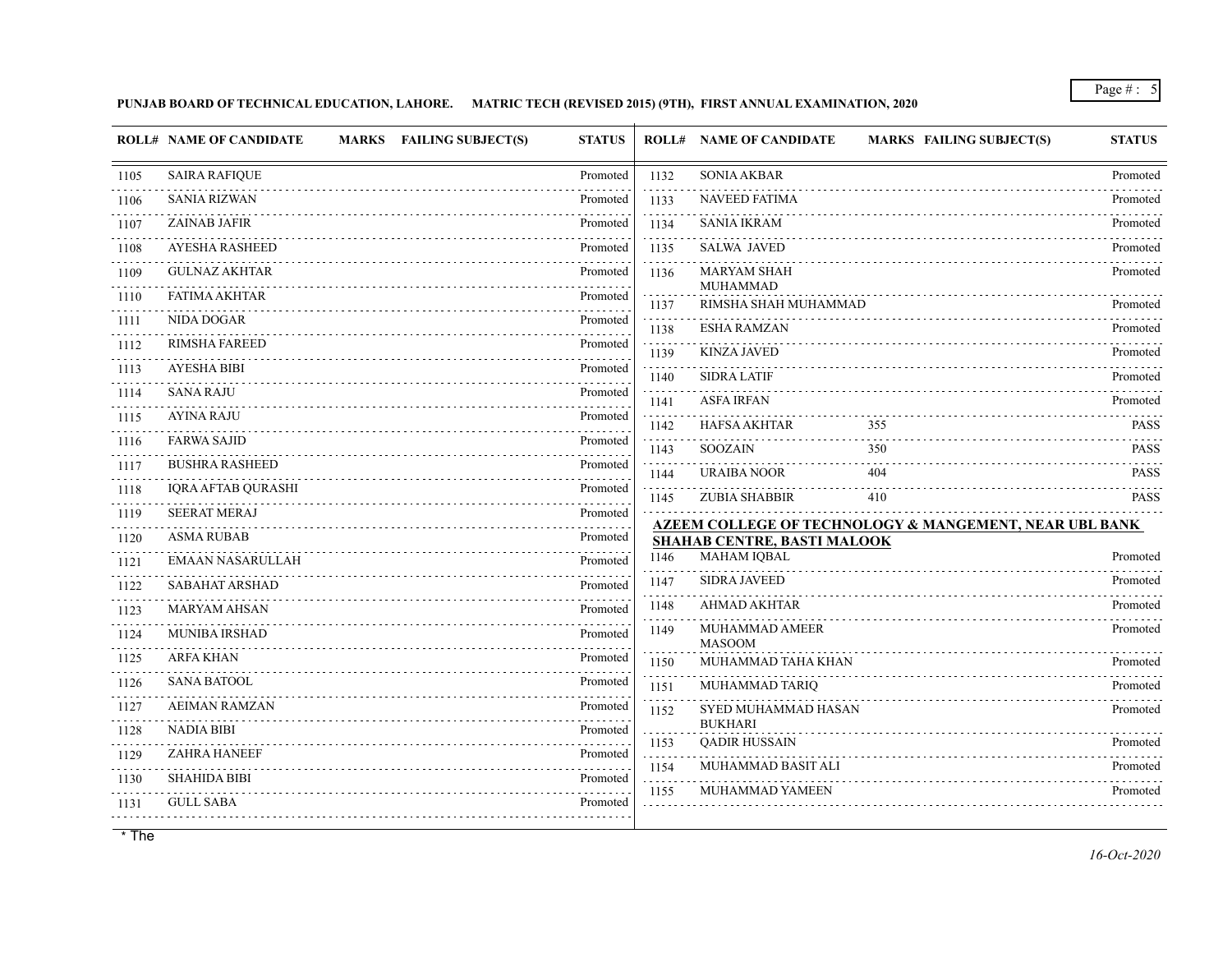**PUNJAB BOARD OF TECHNICAL EDUCATION, LAHORE. MATRIC TECH (REVISED 2015) (9TH), FIRST ANNUAL EXAMINATION, 2020**

|                     | <b>ROLL# NAME OF CANDIDATE</b><br>MARKS FAILING SUBJECT(S) | <b>STATUS</b>             |                      | <b>ROLL# NAME OF CANDIDATE</b>         | <b>MARKS FAILING SUBJECT(S)</b>                                   | <b>STATUS</b>              |
|---------------------|------------------------------------------------------------|---------------------------|----------------------|----------------------------------------|-------------------------------------------------------------------|----------------------------|
| 1105                | <b>SAIRA RAFIQUE</b>                                       | Promoted                  | 1132                 | <b>SONIA AKBAR</b>                     |                                                                   | Promoted                   |
| 1106                | <b>SANIA RIZWAN</b>                                        | Promoted                  | 1133                 | <b>NAVEED FATIMA</b>                   |                                                                   | Promoted                   |
| .<br>1107           | <b>ZAINAB JAFIR</b>                                        | Promoted                  | 1134                 | <b>SANIA IKRAM</b>                     |                                                                   | Promoted                   |
| 1108                | <b>AYESHA RASHEED</b>                                      | Promoted                  | 1135                 | <b>SALWA JAVED</b>                     |                                                                   | Promoted                   |
| .<br>1109           | <b>GULNAZ AKHTAR</b>                                       | Promoted                  | 1136                 | <b>MARYAM SHAH</b>                     |                                                                   | Promoted                   |
| .<br>1110           | <b>FATIMA AKHTAR</b>                                       | Promoted                  | 1137                 | MUHAMMAD<br>RIMSHA SHAH MUHAMMAD       |                                                                   | Promoted                   |
| 1111                | NIDA DOGAR                                                 | Promoted                  | 1138                 | <b>ESHA RAMZAN</b>                     |                                                                   | Promoted                   |
| 1112                | <b>RIMSHA FAREED</b>                                       | Promoted                  | 1139                 | <b>KINZA JAVED</b>                     |                                                                   | Promoted                   |
| 1113                | <b>AYESHA BIBI</b>                                         | Promoted                  | 1140                 | <b>SIDRA LATIF</b>                     |                                                                   | Promoted                   |
| .<br>1114           | <b>SANA RAJU</b>                                           | Promoted                  | 1141                 | <b>ASFA IRFAN</b>                      |                                                                   | Promoted                   |
| 1115                | <b>AYINA RAJU</b>                                          | Promoted                  | 1142                 | <b>HAFSA AKHTAR</b>                    | 355                                                               | PASS                       |
| د د د د د د<br>1116 | <b>FARWA SAJID</b>                                         | Promoted                  | $-1 - 1 - 1$<br>1143 | <b>SOOZAIN</b>                         | 350                                                               | <b>PASS</b>                |
| .<br>1117           | <b>BUSHRA RASHEED</b>                                      | Promoted                  | 1144                 | <b>URAIBA NOOR</b>                     | 404                                                               | <b>PASS</b>                |
| 1118                | <b>IQRA AFTAB QURASHI</b>                                  | Promoted                  | 1145                 | <b>ZUBIA SHABBIR</b>                   | 410                                                               | dia a dia a<br><b>PASS</b> |
| 1119                | <b>SEERAT MERAJ</b>                                        | Promoted                  |                      |                                        | <b>AZEEM COLLEGE OF TECHNOLOGY &amp; MANGEMENT, NEAR UBL BANK</b> |                            |
| 1120<br>.           | <b>ASMA RUBAB</b>                                          | Promoted                  |                      | <b>SHAHAB CENTRE, BASTI MALOOK</b>     |                                                                   |                            |
| 1121                | <b>EMAAN NASARULLAH</b>                                    | Promoted                  | 1146                 | <b>MAHAM IOBAL</b>                     |                                                                   | Promoted                   |
| 1122<br>.           | <b>SABAHAT ARSHAD</b>                                      | Promoted                  | 1147                 | <b>SIDRA JAVEED</b>                    |                                                                   | Promoted                   |
| 1123<br>.           | <b>MARYAM AHSAN</b>                                        | Promoted                  | 1148                 | <b>AHMAD AKHTAR</b>                    |                                                                   | Promoted                   |
| 1124<br>.           | MUNIBA IRSHAD                                              | Promoted                  | 1149                 | MUHAMMAD AMEER<br><b>MASOOM</b>        |                                                                   | Promoted                   |
| 1125                | <b>ARFA KHAN</b>                                           | Promoted                  | 1150                 | MUHAMMAD TAHA KHAN                     |                                                                   | Promoted                   |
| 1126                | <b>SANA BATOOL</b>                                         | Promoted                  | 1151                 | MUHAMMAD TARIQ                         |                                                                   | Promoted                   |
| 1127                | <b>AEIMAN RAMZAN</b>                                       | Promoted                  | 1152                 | <b>SYED MUHAMMAD HASAN</b>             |                                                                   | Promoted                   |
| 1128                | <b>NADIA BIBI</b>                                          | Promoted                  | .<br>1153            | <b>BUKHARI</b><br><b>QADIR HUSSAIN</b> |                                                                   | Promoted                   |
| 1129<br>.           | <b>ZAHRA HANEEF</b>                                        | Promoted<br>1.1.1.1.1.1.1 | 1154                 | MUHAMMAD BASIT ALI                     |                                                                   | Promoted                   |
| 1130                | <b>SHAHIDA BIBI</b>                                        | Promoted                  | 1155                 | <b>MUHAMMAD YAMEEN</b>                 |                                                                   | Promoted                   |
| 1131                | <b>GULL SABA</b>                                           | Promoted                  |                      |                                        |                                                                   |                            |
|                     |                                                            |                           |                      |                                        |                                                                   |                            |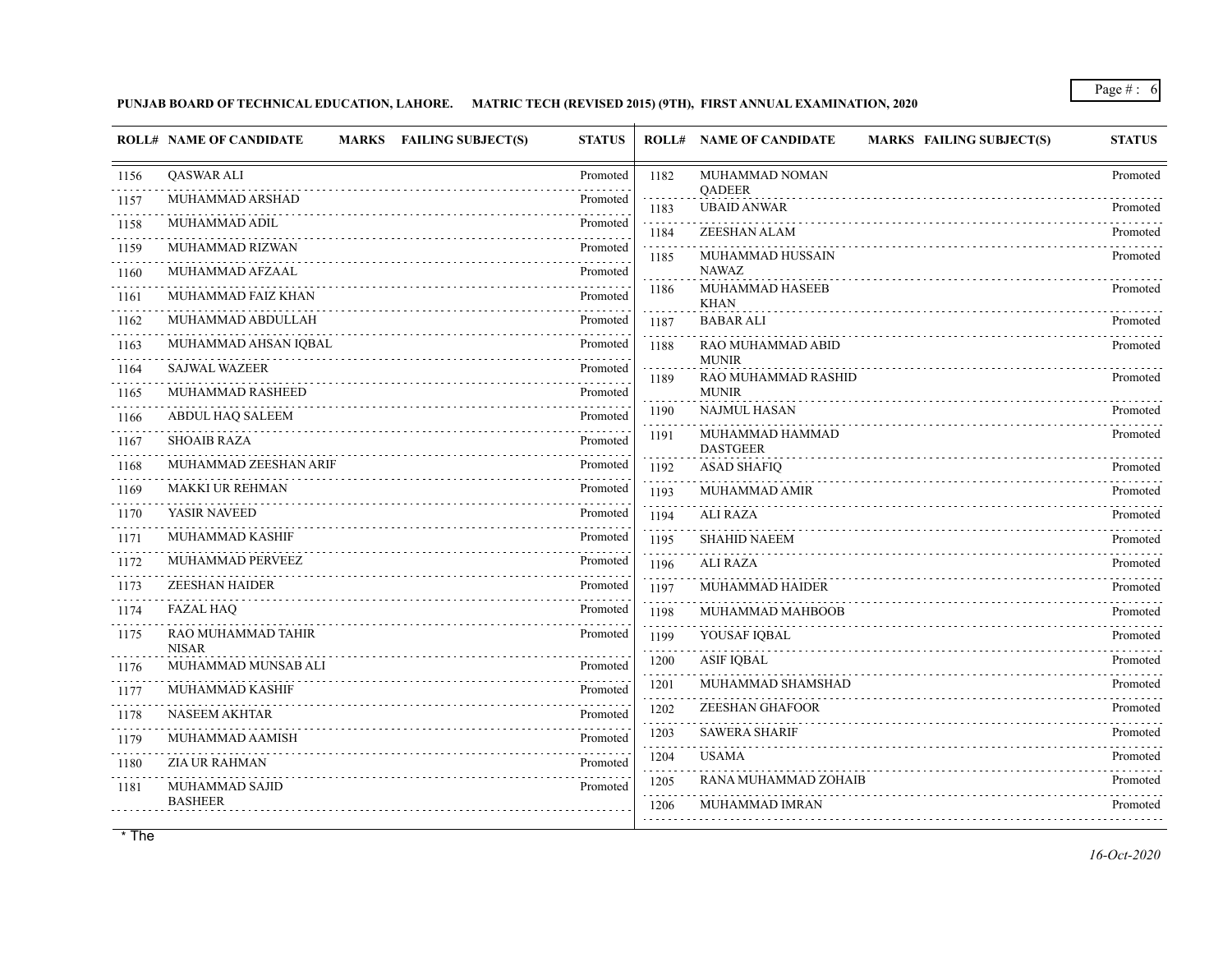## **PUNJAB BOARD OF TECHNICAL EDUCATION, LAHORE. MATRIC TECH (REVISED 2015) (9TH), FIRST ANNUAL EXAMINATION, 2020**

| <b>QASWAR ALI</b><br>MUHAMMAD NOMAN<br>Promoted<br>1182<br>1156<br><b>QADEER</b><br>MUHAMMAD ARSHAD<br>Promoted<br>1157<br><b>UBAID ANWAR</b><br>1183<br>MUHAMMAD ADIL<br>1158<br>Promoted<br>ZEESHAN ALAM<br>1184<br>MUHAMMAD RIZWAN<br>Promoted<br>1159<br>MUHAMMAD HUSSAIN<br>1185<br>.<br><b>NAWAZ</b><br>MUHAMMAD AFZAAL<br>Promoted<br>1160<br>MUHAMMAD HASEEB<br>1186<br>MUHAMMAD FAIZ KHAN<br>Promoted<br>1161<br><b>KHAN</b><br>MUHAMMAD ABDULLAH<br>Promoted<br><b>BABAR ALI</b><br>1162<br>1187<br>MUHAMMAD AHSAN IQBAL<br>Promoted<br>RAO MUHAMMAD ABID<br>1163<br>1188<br><b>MUNIR</b><br><b>SAJWAL WAZEER</b><br>Promoted<br>1164<br>RAO MUHAMMAD RASHID<br>1189<br>MUHAMMAD RASHEED<br><b>MUNIR</b><br>Promoted<br>1165<br><b>NAJMUL HASAN</b><br>1190<br>ABDUL HAQ SALEEM<br>Promoted<br>1166<br>MUHAMMAD HAMMAD<br>1191<br><b>SHOAIB RAZA</b><br>Promoted<br>1167<br><b>DASTGEER</b><br>MUHAMMAD ZEESHAN ARIF<br>Promoted<br>1168<br><b>ASAD SHAFIQ</b><br>1192<br>.<br><b>MAKKI UR REHMAN</b><br>Promoted<br>1169<br><b>MUHAMMAD AMIR</b><br>1193<br>YASIR NAVEED<br>Promoted<br>1170<br><b>ALI RAZA</b><br>1194<br><b>MUHAMMAD KASHIF</b><br>Promoted<br>1171<br>1195<br><b>SHAHID NAEEM</b><br>MUHAMMAD PERVEEZ<br>Promoted<br>1172<br>ALI RAZA<br>1196<br><b>ZEESHAN HAIDER</b><br>Promoted<br><b>MUHAMMAD HAIDER</b><br>1173<br>1197<br>.<br><b>FAZAL HAQ</b><br>Promoted<br>1174<br>MUHAMMAD MAHBOOB<br>1198<br>RAO MUHAMMAD TAHIR<br>Promoted<br>1175<br>YOUSAF IQBAL<br>1199<br><b>NISAR</b><br>.<br><b>ASIF IOBAL</b><br>1200<br>MUHAMMAD MUNSAB ALI<br>Promoted<br>1176<br>MUHAMMAD SHAMSHAD<br>1201<br>MUHAMMAD KASHIF<br>Promoted<br>1177<br><b>ZEESHAN GHAFOOR</b><br>1202<br><b>NASEEM AKHTAR</b><br>Promoted<br>1178<br><b>SAWERA SHARIF</b><br>1203<br>MUHAMMAD AAMISH<br>Promoted<br>1179<br>.<br><b>USAMA</b><br>1204<br><b>ZIA UR RAHMAN</b><br>Promoted<br>1180<br>RANA MUHAMMAD ZOHAIB<br>1205<br>1181 | <b>ROLL# NAME OF CANDIDATE</b><br>MARKS FAILING SUBJECT(S) | <b>STATUS</b> | <b>MARKS FAILING SUBJECT(S)</b><br><b>ROLL# NAME OF CANDIDATE</b> | <b>STATUS</b> |
|----------------------------------------------------------------------------------------------------------------------------------------------------------------------------------------------------------------------------------------------------------------------------------------------------------------------------------------------------------------------------------------------------------------------------------------------------------------------------------------------------------------------------------------------------------------------------------------------------------------------------------------------------------------------------------------------------------------------------------------------------------------------------------------------------------------------------------------------------------------------------------------------------------------------------------------------------------------------------------------------------------------------------------------------------------------------------------------------------------------------------------------------------------------------------------------------------------------------------------------------------------------------------------------------------------------------------------------------------------------------------------------------------------------------------------------------------------------------------------------------------------------------------------------------------------------------------------------------------------------------------------------------------------------------------------------------------------------------------------------------------------------------------------------------------------------------------------------------------------------------------------------------------------------------------------------------|------------------------------------------------------------|---------------|-------------------------------------------------------------------|---------------|
|                                                                                                                                                                                                                                                                                                                                                                                                                                                                                                                                                                                                                                                                                                                                                                                                                                                                                                                                                                                                                                                                                                                                                                                                                                                                                                                                                                                                                                                                                                                                                                                                                                                                                                                                                                                                                                                                                                                                              |                                                            |               |                                                                   | Promoted      |
|                                                                                                                                                                                                                                                                                                                                                                                                                                                                                                                                                                                                                                                                                                                                                                                                                                                                                                                                                                                                                                                                                                                                                                                                                                                                                                                                                                                                                                                                                                                                                                                                                                                                                                                                                                                                                                                                                                                                              |                                                            |               |                                                                   | Promoted      |
|                                                                                                                                                                                                                                                                                                                                                                                                                                                                                                                                                                                                                                                                                                                                                                                                                                                                                                                                                                                                                                                                                                                                                                                                                                                                                                                                                                                                                                                                                                                                                                                                                                                                                                                                                                                                                                                                                                                                              |                                                            |               |                                                                   | Promoted      |
|                                                                                                                                                                                                                                                                                                                                                                                                                                                                                                                                                                                                                                                                                                                                                                                                                                                                                                                                                                                                                                                                                                                                                                                                                                                                                                                                                                                                                                                                                                                                                                                                                                                                                                                                                                                                                                                                                                                                              |                                                            |               |                                                                   | Promoted      |
|                                                                                                                                                                                                                                                                                                                                                                                                                                                                                                                                                                                                                                                                                                                                                                                                                                                                                                                                                                                                                                                                                                                                                                                                                                                                                                                                                                                                                                                                                                                                                                                                                                                                                                                                                                                                                                                                                                                                              |                                                            |               |                                                                   |               |
|                                                                                                                                                                                                                                                                                                                                                                                                                                                                                                                                                                                                                                                                                                                                                                                                                                                                                                                                                                                                                                                                                                                                                                                                                                                                                                                                                                                                                                                                                                                                                                                                                                                                                                                                                                                                                                                                                                                                              |                                                            |               |                                                                   | Promoted      |
|                                                                                                                                                                                                                                                                                                                                                                                                                                                                                                                                                                                                                                                                                                                                                                                                                                                                                                                                                                                                                                                                                                                                                                                                                                                                                                                                                                                                                                                                                                                                                                                                                                                                                                                                                                                                                                                                                                                                              |                                                            |               |                                                                   | Promoted      |
|                                                                                                                                                                                                                                                                                                                                                                                                                                                                                                                                                                                                                                                                                                                                                                                                                                                                                                                                                                                                                                                                                                                                                                                                                                                                                                                                                                                                                                                                                                                                                                                                                                                                                                                                                                                                                                                                                                                                              |                                                            |               |                                                                   | Promoted      |
|                                                                                                                                                                                                                                                                                                                                                                                                                                                                                                                                                                                                                                                                                                                                                                                                                                                                                                                                                                                                                                                                                                                                                                                                                                                                                                                                                                                                                                                                                                                                                                                                                                                                                                                                                                                                                                                                                                                                              |                                                            |               |                                                                   | Promoted      |
|                                                                                                                                                                                                                                                                                                                                                                                                                                                                                                                                                                                                                                                                                                                                                                                                                                                                                                                                                                                                                                                                                                                                                                                                                                                                                                                                                                                                                                                                                                                                                                                                                                                                                                                                                                                                                                                                                                                                              |                                                            |               |                                                                   |               |
|                                                                                                                                                                                                                                                                                                                                                                                                                                                                                                                                                                                                                                                                                                                                                                                                                                                                                                                                                                                                                                                                                                                                                                                                                                                                                                                                                                                                                                                                                                                                                                                                                                                                                                                                                                                                                                                                                                                                              |                                                            |               |                                                                   | Promoted      |
|                                                                                                                                                                                                                                                                                                                                                                                                                                                                                                                                                                                                                                                                                                                                                                                                                                                                                                                                                                                                                                                                                                                                                                                                                                                                                                                                                                                                                                                                                                                                                                                                                                                                                                                                                                                                                                                                                                                                              |                                                            |               |                                                                   | Promoted      |
|                                                                                                                                                                                                                                                                                                                                                                                                                                                                                                                                                                                                                                                                                                                                                                                                                                                                                                                                                                                                                                                                                                                                                                                                                                                                                                                                                                                                                                                                                                                                                                                                                                                                                                                                                                                                                                                                                                                                              |                                                            |               |                                                                   | Promoted      |
|                                                                                                                                                                                                                                                                                                                                                                                                                                                                                                                                                                                                                                                                                                                                                                                                                                                                                                                                                                                                                                                                                                                                                                                                                                                                                                                                                                                                                                                                                                                                                                                                                                                                                                                                                                                                                                                                                                                                              |                                                            |               |                                                                   | Promoted      |
|                                                                                                                                                                                                                                                                                                                                                                                                                                                                                                                                                                                                                                                                                                                                                                                                                                                                                                                                                                                                                                                                                                                                                                                                                                                                                                                                                                                                                                                                                                                                                                                                                                                                                                                                                                                                                                                                                                                                              |                                                            |               |                                                                   | Promoted      |
|                                                                                                                                                                                                                                                                                                                                                                                                                                                                                                                                                                                                                                                                                                                                                                                                                                                                                                                                                                                                                                                                                                                                                                                                                                                                                                                                                                                                                                                                                                                                                                                                                                                                                                                                                                                                                                                                                                                                              |                                                            |               |                                                                   | Promoted      |
|                                                                                                                                                                                                                                                                                                                                                                                                                                                                                                                                                                                                                                                                                                                                                                                                                                                                                                                                                                                                                                                                                                                                                                                                                                                                                                                                                                                                                                                                                                                                                                                                                                                                                                                                                                                                                                                                                                                                              |                                                            |               |                                                                   | Promoted      |
|                                                                                                                                                                                                                                                                                                                                                                                                                                                                                                                                                                                                                                                                                                                                                                                                                                                                                                                                                                                                                                                                                                                                                                                                                                                                                                                                                                                                                                                                                                                                                                                                                                                                                                                                                                                                                                                                                                                                              |                                                            |               |                                                                   | Promoted      |
|                                                                                                                                                                                                                                                                                                                                                                                                                                                                                                                                                                                                                                                                                                                                                                                                                                                                                                                                                                                                                                                                                                                                                                                                                                                                                                                                                                                                                                                                                                                                                                                                                                                                                                                                                                                                                                                                                                                                              |                                                            |               |                                                                   | Promoted      |
|                                                                                                                                                                                                                                                                                                                                                                                                                                                                                                                                                                                                                                                                                                                                                                                                                                                                                                                                                                                                                                                                                                                                                                                                                                                                                                                                                                                                                                                                                                                                                                                                                                                                                                                                                                                                                                                                                                                                              |                                                            |               |                                                                   | Promoted      |
|                                                                                                                                                                                                                                                                                                                                                                                                                                                                                                                                                                                                                                                                                                                                                                                                                                                                                                                                                                                                                                                                                                                                                                                                                                                                                                                                                                                                                                                                                                                                                                                                                                                                                                                                                                                                                                                                                                                                              |                                                            |               |                                                                   | Promoted      |
|                                                                                                                                                                                                                                                                                                                                                                                                                                                                                                                                                                                                                                                                                                                                                                                                                                                                                                                                                                                                                                                                                                                                                                                                                                                                                                                                                                                                                                                                                                                                                                                                                                                                                                                                                                                                                                                                                                                                              |                                                            |               |                                                                   | Promoted      |
|                                                                                                                                                                                                                                                                                                                                                                                                                                                                                                                                                                                                                                                                                                                                                                                                                                                                                                                                                                                                                                                                                                                                                                                                                                                                                                                                                                                                                                                                                                                                                                                                                                                                                                                                                                                                                                                                                                                                              |                                                            |               |                                                                   | Promoted      |
|                                                                                                                                                                                                                                                                                                                                                                                                                                                                                                                                                                                                                                                                                                                                                                                                                                                                                                                                                                                                                                                                                                                                                                                                                                                                                                                                                                                                                                                                                                                                                                                                                                                                                                                                                                                                                                                                                                                                              |                                                            |               |                                                                   | Promoted      |
|                                                                                                                                                                                                                                                                                                                                                                                                                                                                                                                                                                                                                                                                                                                                                                                                                                                                                                                                                                                                                                                                                                                                                                                                                                                                                                                                                                                                                                                                                                                                                                                                                                                                                                                                                                                                                                                                                                                                              |                                                            |               |                                                                   | Promoted      |
|                                                                                                                                                                                                                                                                                                                                                                                                                                                                                                                                                                                                                                                                                                                                                                                                                                                                                                                                                                                                                                                                                                                                                                                                                                                                                                                                                                                                                                                                                                                                                                                                                                                                                                                                                                                                                                                                                                                                              | MUHAMMAD SAJID                                             | Promoted      |                                                                   | Promoted      |
| <b>BASHEER</b><br><b>MUHAMMAD IMRAN</b><br>1206                                                                                                                                                                                                                                                                                                                                                                                                                                                                                                                                                                                                                                                                                                                                                                                                                                                                                                                                                                                                                                                                                                                                                                                                                                                                                                                                                                                                                                                                                                                                                                                                                                                                                                                                                                                                                                                                                              |                                                            |               |                                                                   | Promoted      |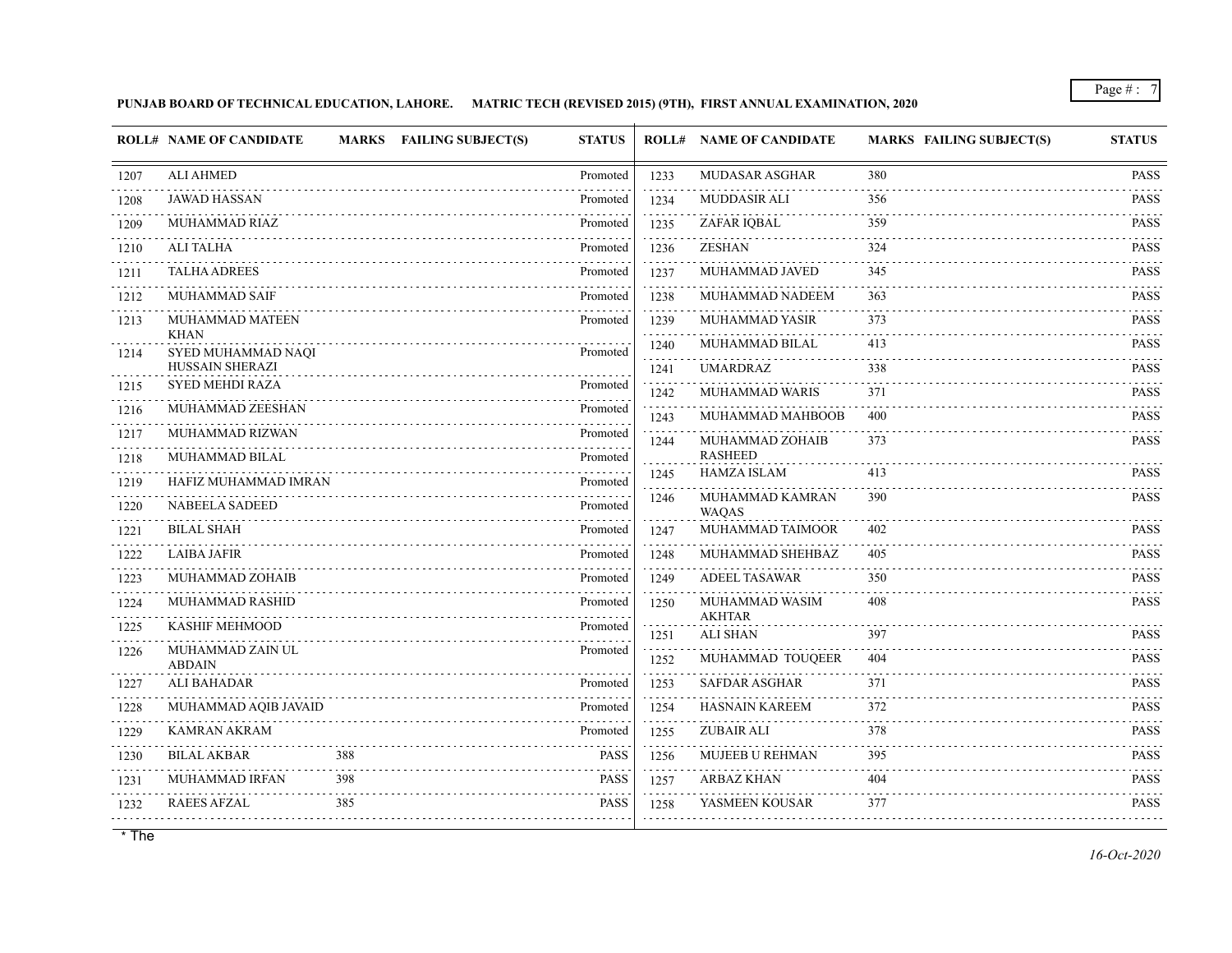**PUNJAB BOARD OF TECHNICAL EDUCATION, LAHORE. MATRIC TECH (REVISED 2015) (9TH), FIRST ANNUAL EXAMINATION, 2020**

|           | <b>ROLL# NAME OF CANDIDATE</b>    |     | <b>MARKS FAILING SUBJECT(S)</b> | <b>STATUS</b> |                | <b>ROLL# NAME OF CANDIDATE</b>       | MARKS FAILING SUBJECT(S) | <b>STATUS</b>                    |
|-----------|-----------------------------------|-----|---------------------------------|---------------|----------------|--------------------------------------|--------------------------|----------------------------------|
| 1207      | <b>ALI AHMED</b>                  |     |                                 | Promoted      | 1233           | <b>MUDASAR ASGHAR</b>                | 380                      | <b>PASS</b>                      |
| 1208      | <b>JAWAD HASSAN</b>               |     |                                 | Promoted      | 1234           | <b>MUDDASIR ALI</b>                  | 356                      | <b>Contractor</b><br><b>PASS</b> |
| 1209      | MUHAMMAD RIAZ                     |     |                                 | Promoted      | 1235           | ZAFAR IQBAL                          | 359                      | <b>PASS</b>                      |
| 1210      | ALI TALHA                         |     |                                 | Promoted      | 1236           | <b>ZESHAN</b>                        | 324                      | <b>PASS</b>                      |
| 1211      | <b>TALHA ADREES</b>               |     |                                 | Promoted      | 1237           | MUHAMMAD JAVED                       | 345                      | <b>PASS</b>                      |
| 1212      | <b>MUHAMMAD SAIF</b>              |     |                                 | Promoted      | 1238           | MUHAMMAD NADEEM                      | 363                      | <b>PASS</b>                      |
| 1213      | MUHAMMAD MATEEN                   |     |                                 | Promoted      | 1239<br>111111 | <b>MUHAMMAD YASIR</b>                | 373                      | <b>PASS</b>                      |
| 1214      | <b>KHAN</b><br>SYED MUHAMMAD NAQI |     |                                 | Promoted      | 1240<br>.      | MUHAMMAD BILAL                       | 413                      | <b>PASS</b><br>.                 |
|           | HUSSAIN SHERAZI                   |     |                                 |               | 1241           | <b>UMARDRAZ</b>                      | 338                      | <b>PASS</b>                      |
| 1215      | <b>SYED MEHDI RAZA</b>            |     |                                 | Promoted      | 1242           | MUHAMMAD WARIS                       | 371                      | <b>PASS</b>                      |
| 1216      | MUHAMMAD ZEESHAN                  |     |                                 | Promoted      | 1243           | MUHAMMAD MAHBOOB                     | 400                      | <b>PASS</b>                      |
| 1217<br>. | MUHAMMAD RIZWAN                   |     |                                 | Promoted      | 1244           | MUHAMMAD ZOHAIB                      | 373                      | <b>PASS</b>                      |
| 1218      | MUHAMMAD BILAL                    |     |                                 | Promoted      |                | <b>RASHEED</b><br><b>HAMZA ISLAM</b> | 413                      | <b>PASS</b>                      |
| 1219      | HAFIZ MUHAMMAD IMRAN              |     |                                 | Promoted      | 1245           |                                      |                          |                                  |
| 1220      | <b>NABEELA SADEED</b>             |     |                                 | Promoted      | 1246           | MUHAMMAD KAMRAN<br><b>WAQAS</b>      | 390                      | <b>PASS</b>                      |
| 1221      | <b>BILAL SHAH</b>                 |     |                                 | Promoted      | 1247           | MUHAMMAD TAIMOOR                     | 402                      | <b>PASS</b>                      |
| 1222      | <b>LAIBA JAFIR</b>                |     |                                 | Promoted      | 1248           | MUHAMMAD SHEHBAZ                     | 405                      | <b>PASS</b>                      |
| 1223      | MUHAMMAD ZOHAIB                   |     |                                 | Promoted      | 1249           | <b>ADEEL TASAWAR</b>                 | 350                      | <b>PASS</b>                      |
| .<br>1224 | MUHAMMAD RASHID                   |     |                                 | Promoted      | 1250           | MUHAMMAD WASIM                       | 408                      | <b>PASS</b>                      |
| 1225      | <b>KASHIF MEHMOOD</b>             |     |                                 | Promoted<br>. | 1251           | <b>AKHTAR</b><br><b>ALI SHAN</b>     | 397                      | <b>PASS</b>                      |
| 1226      | MUHAMMAD ZAIN UL<br><b>ABDAIN</b> |     |                                 | Promoted      | 1252           | MUHAMMAD TOUQEER                     | 404                      | <b>PASS</b>                      |
| 1227      | ALI BAHADAR                       |     |                                 | Promoted      | 1253           | <b>SAFDAR ASGHAR</b>                 | 371                      | <b>PASS</b>                      |
| 1228      | MUHAMMAD AQIB JAVAID              |     |                                 | Promoted      | 1254           | <b>HASNAIN KAREEM</b>                | 372                      | .<br><b>PASS</b>                 |
| .<br>1229 | <b>KAMRAN AKRAM</b>               |     |                                 | Promoted      | 1255           | <b>ZUBAIR ALI</b>                    | 378                      | <b>PASS</b>                      |
| 1230      | <b>BILAL AKBAR</b>                | 388 |                                 | <b>PASS</b>   | 1256           | MUJEEB U REHMAN                      | 395                      | <b>PASS</b>                      |
| 1231      | MUHAMMAD IRFAN                    | 398 |                                 | <b>PASS</b>   | 1257           | <b>ARBAZ KHAN</b>                    | 404                      | .<br><b>PASS</b>                 |
| 1232      | <b>RAEES AFZAL</b>                | 385 |                                 | <b>PASS</b>   | 1258           | YASMEEN KOUSAR                       | 377                      | .<br><b>PASS</b>                 |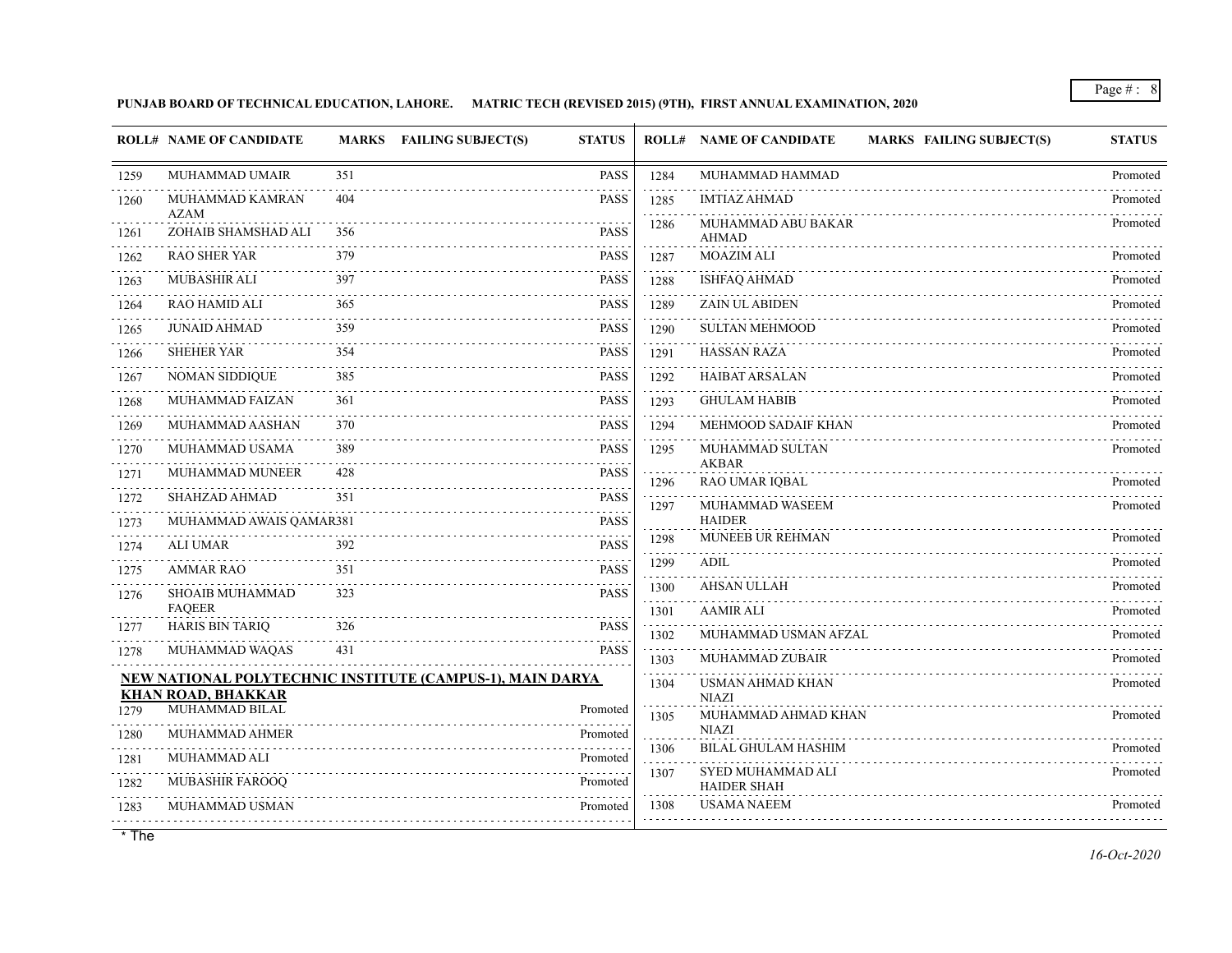**PUNJAB BOARD OF TECHNICAL EDUCATION, LAHORE. MATRIC TECH (REVISED 2015) (9TH), FIRST ANNUAL EXAMINATION, 2020**

|           | <b>ROLL# NAME OF CANDIDATE</b>   |     | MARKS FAILING SUBJECT(S)<br><b>STATUS</b>                 |                   | <b>ROLL# NAME OF CANDIDATE</b><br><b>MARKS FAILING SUBJECT(S)</b> | <b>STATUS</b> |
|-----------|----------------------------------|-----|-----------------------------------------------------------|-------------------|-------------------------------------------------------------------|---------------|
| 1259      | MUHAMMAD UMAIR                   | 351 | <b>PASS</b>                                               | 1284              | MUHAMMAD HAMMAD                                                   | Promoted      |
| 1260      | MUHAMMAD KAMRAN<br><b>AZAM</b>   | 404 | PASS                                                      | 1285              | <b>IMTIAZ AHMAD</b>                                               | Promoted      |
| 1261      | ZOHAIB SHAMSHAD ALI              | 356 | <b>PASS</b>                                               | 1286              | MUHAMMAD ABU BAKAR<br><b>AHMAD</b>                                | Promoted      |
| 1262      | <b>RAO SHER YAR</b>              | 379 | <b>PASS</b>                                               | 1287              | <b>MOAZIM ALI</b>                                                 | Promoted      |
| 1263      | MUBASHIR ALI                     | 397 | <b>PASS</b>                                               | 1288              | <b>ISHFAQ AHMAD</b>                                               | Promoted      |
| 1264      | <b>RAO HAMID ALI</b>             | 365 | <b>PASS</b>                                               | 1289              | <b>ZAIN UL ABIDEN</b>                                             | Promoted      |
| .<br>1265 | <b>JUNAID AHMAD</b>              | 359 | <b>PASS</b>                                               | 1290              | <b>SULTAN MEHMOOD</b>                                             | Promoted      |
| 1266      | <b>SHEHER YAR</b>                | 354 | <b>PASS</b>                                               | 1291              | <b>HASSAN RAZA</b>                                                | Promoted      |
| 1267      | <b>NOMAN SIDDIQUE</b>            | 385 | <b>PASS</b>                                               | 1292              | HAIBAT ARSALAN                                                    | Promoted      |
| 1268      | MUHAMMAD FAIZAN                  | 361 | <b>PASS</b>                                               | 1293              | <b>GHULAM HABIB</b>                                               | Promoted      |
| 1269      | MUHAMMAD AASHAN                  | 370 | <b>PASS</b>                                               | 1294              | MEHMOOD SADAIF KHAN                                               | Promoted      |
| 1270      | MUHAMMAD USAMA                   | 389 | <b>PASS</b>                                               | 1295              | MUHAMMAD SULTAN<br><b>AKBAR</b>                                   | Promoted      |
| 1271      | MUHAMMAD MUNEER                  | 428 | <b>PASS</b>                                               | 1296              | <b>RAO UMAR IQBAL</b>                                             | Promoted      |
| 1272      | SHAHZAD AHMAD                    | 351 | <b>PASS</b>                                               | 1297              | MUHAMMAD WASEEM                                                   | Promoted      |
| 1273      | MUHAMMAD AWAIS QAMAR381          |     | <b>PASS</b>                                               | 1298              | <b>HAIDER</b><br>MUNEEB UR REHMAN                                 | Promoted      |
| 1274      | <b>ALI UMAR</b>                  | 392 | <b>PASS</b>                                               | 1299              | <b>ADIL</b>                                                       | Promoted      |
| 1275      | <b>AMMAR RAO</b>                 | 351 | <b>PASS</b>                                               | 1300              | <b>AHSAN ULLAH</b>                                                | Promoted      |
| 1276      | SHOAIB MUHAMMAD<br><b>FAQEER</b> | 323 | <b>PASS</b>                                               | 1301              | <b>AAMIR ALI</b>                                                  | Promoted      |
| 1277      | <b>HARIS BIN TARIQ</b>           | 326 | <b>PASS</b>                                               | 1302              | MUHAMMAD USMAN AFZAL                                              | Promoted      |
| 1278      | MUHAMMAD WAQAS                   | 431 | <b>PASS</b>                                               | o o o o o<br>1303 | MUHAMMAD ZUBAIR                                                   | Promoted      |
|           | <b>KHAN ROAD, BHAKKAR</b>        |     | NEW NATIONAL POLYTECHNIC INSTITUTE (CAMPUS-1), MAIN DARYA | 1304              | USMAN AHMAD KHAN<br><b>NIAZI</b>                                  | Promoted      |
| 1279      | MUHAMMAD BILAL                   |     | Promoted                                                  | 1305              | MUHAMMAD AHMAD KHAN                                               | Promoted      |
| 1280      | MUHAMMAD AHMER                   |     | Promoted                                                  | 1306              | <b>NIAZI</b><br><b>BILAL GHULAM HASHIM</b>                        | Promoted      |
| 1281      | MUHAMMAD ALI                     |     | Promoted                                                  | 1307              | SYED MUHAMMAD ALI                                                 | Promoted      |
| 1282      | MUBASHIR FAROOQ                  |     | Promoted                                                  |                   | <b>HAIDER SHAH</b>                                                |               |
| 1283      | MUHAMMAD USMAN                   |     | Promoted                                                  | 1308              | <b>USAMA NAEEM</b>                                                | Promoted      |
|           |                                  |     |                                                           |                   |                                                                   |               |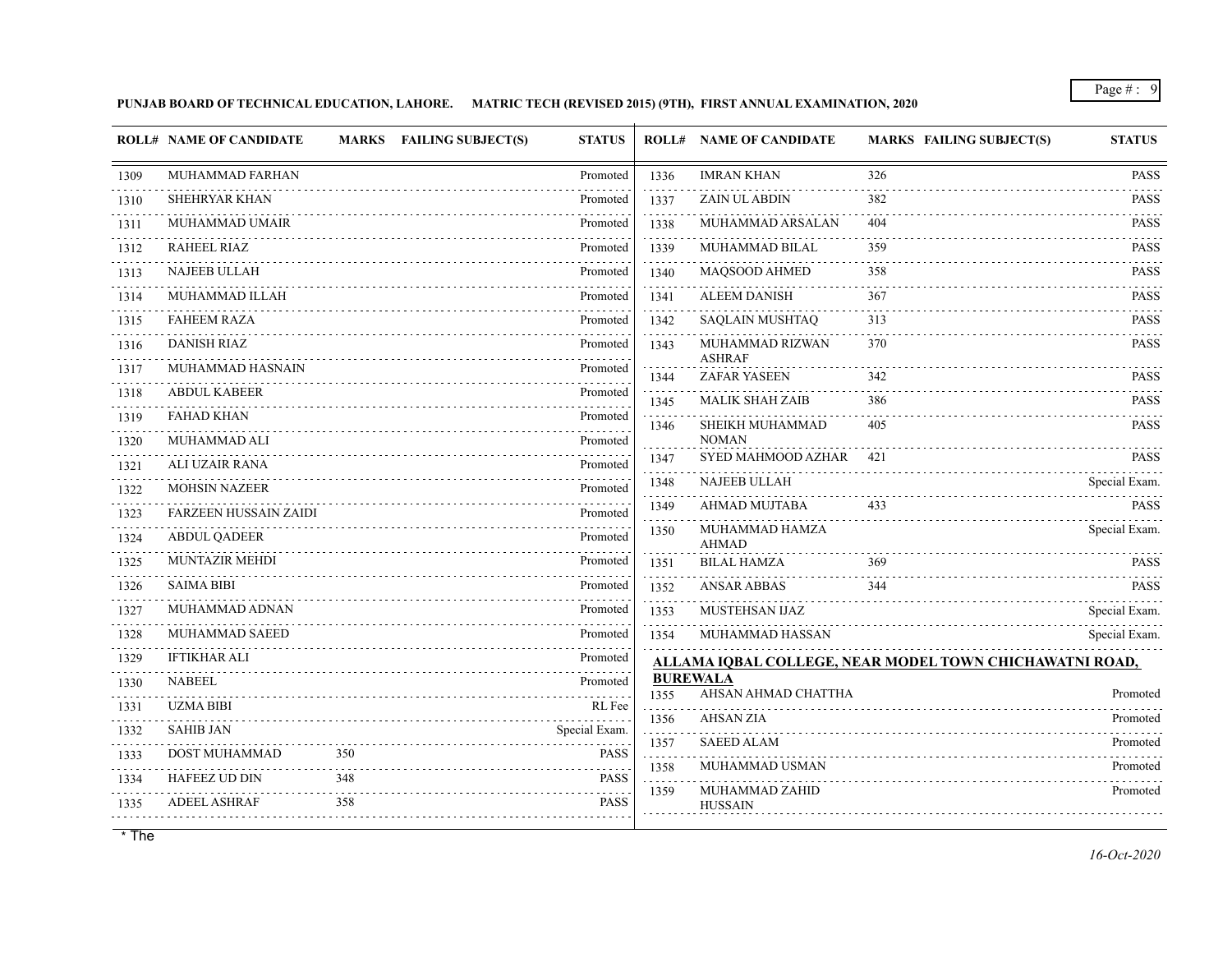## **PUNJAB BOARD OF TECHNICAL EDUCATION, LAHORE. MATRIC TECH (REVISED 2015) (9TH), FIRST ANNUAL EXAMINATION, 2020**

|           | <b>ROLL# NAME OF CANDIDATE</b> |     | <b>MARKS FAILING SUBJECT(S)</b> | <b>STATUS</b> |           | <b>ROLL# NAME OF CANDIDATE</b>         | <b>MARKS FAILING SUBJECT(S)</b>                                | <b>STATUS</b>        |
|-----------|--------------------------------|-----|---------------------------------|---------------|-----------|----------------------------------------|----------------------------------------------------------------|----------------------|
| 1309      | MUHAMMAD FARHAN                |     |                                 | Promoted      | 1336      | <b>IMRAN KHAN</b>                      | 326                                                            | <b>PASS</b>          |
| 1310      | <b>SHEHRYAR KHAN</b>           |     |                                 | Promoted      | 1337      | <b>ZAIN UL ABDIN</b>                   | 382                                                            | <b>PASS</b>          |
| 1311      | MUHAMMAD UMAIR                 |     |                                 | Promoted      | 1338      | MUHAMMAD ARSALAN                       | 404                                                            | <b>PASS</b>          |
| 1312      | <b>RAHEEL RIAZ</b>             |     |                                 | Promoted      | 1339      | MUHAMMAD BILAL                         | 359                                                            | <b>PASS</b>          |
| .<br>1313 | <b>NAJEEB ULLAH</b>            |     |                                 | Promoted      | 1340      | MAQSOOD AHMED                          | 358                                                            | <b>PASS</b>          |
| 1314      | MUHAMMAD ILLAH                 |     |                                 | Promoted      | 1341      | <b>ALEEM DANISH</b>                    | 367                                                            | PASS                 |
| 1315      | <b>FAHEEM RAZA</b>             |     |                                 | Promoted      | 1342      | SAQLAIN MUSHTAQ                        | 313                                                            | <b>PASS</b>          |
| 1316      | <b>DANISH RIAZ</b>             |     |                                 | Promoted      | 1343      | MUHAMMAD RIZWAN                        | 370                                                            | <b>PASS</b>          |
| 1317      | MUHAMMAD HASNAIN               |     |                                 | Promoted      | 1344      | <b>ASHRAF</b><br><b>ZAFAR YASEEN</b>   | 342                                                            | <b>PASS</b>          |
| 1318      | <b>ABDUL KABEER</b>            |     |                                 | Promoted      | 1345      | <b>MALIK SHAH ZAIB</b>                 | 386                                                            | <b>PASS</b>          |
| 1319      | <b>FAHAD KHAN</b>              |     |                                 | Promoted      | 1346      | SHEIKH MUHAMMAD                        | 405                                                            | <b>PASS</b>          |
| 1320      | MUHAMMAD ALI                   |     |                                 | Promoted      |           | <b>NOMAN</b>                           |                                                                |                      |
| 1321      | <b>ALI UZAIR RANA</b>          |     |                                 | Promoted      | 1347      | SYED MAHMOOD AZHAR                     | 421                                                            | <b>PASS</b>          |
| .<br>1322 | <b>MOHSIN NAZEER</b>           |     |                                 | Promoted      | 1348      | <b>NAJEEB ULLAH</b>                    |                                                                | Special Exam.<br>.   |
| .<br>1323 | <b>FARZEEN HUSSAIN ZAIDI</b>   |     |                                 | Promoted      | 1349      | <b>AHMAD MUJTABA</b>                   | 433                                                            | <b>PASS</b>          |
| 1324      | <b>ABDUL QADEER</b>            |     |                                 | Promoted      | 1350      | MUHAMMAD HAMZA<br><b>AHMAD</b>         |                                                                | Special Exam.        |
| 1325      | <b>MUNTAZIR MEHDI</b>          |     |                                 | Promoted      | 1351      | <b>BILAL HAMZA</b>                     | 369                                                            | <b>PASS</b>          |
| 1326      | <b>SAIMA BIBI</b>              |     |                                 | Promoted      | 1352      | <b>ANSAR ABBAS</b>                     | 344                                                            | <b>PASS</b>          |
| 1327      | MUHAMMAD ADNAN                 |     |                                 | Promoted      | 1353      | MUSTEHSAN IJAZ                         |                                                                | Special Exam.        |
| 1328      | MUHAMMAD SAEED                 |     |                                 | Promoted      | 1354      | MUHAMMAD HASSAN                        |                                                                | Special Exam.        |
| 1329      | <b>IFTIKHAR ALI</b>            |     |                                 | Promoted      |           |                                        | <u>ALLAMA IQBAL COLLEGE, NEAR MODEL TOWN CHICHAWATNI ROAD,</u> |                      |
| 1330      | <b>NABEEL</b>                  |     |                                 | Promoted      | 1355      | <b>BUREWALA</b><br>AHSAN AHMAD CHATTHA |                                                                | Promoted             |
| .<br>1331 | <b>UZMA BIBI</b>               |     |                                 | RL Fee        |           | <b>AHSAN ZIA</b>                       |                                                                |                      |
| 1332      | <b>SAHIB JAN</b>               |     |                                 | Special Exam. | 1356      | <b>SAEED ALAM</b>                      |                                                                | Promoted<br>Promoted |
| 1333      | DOST MUHAMMAD                  | 350 |                                 | <b>PASS</b>   | 1357<br>. | MUHAMMAD USMAN                         |                                                                |                      |
| .<br>1334 | <b>HAFEEZ UD DIN</b>           | 348 |                                 | <b>PASS</b>   | 1358<br>. |                                        |                                                                | Promoted<br>.        |
| 1335      | <b>ADEEL ASHRAF</b>            | 358 |                                 | <b>PASS</b>   | 1359      | MUHAMMAD ZAHID<br><b>HUSSAIN</b>       |                                                                | Promoted             |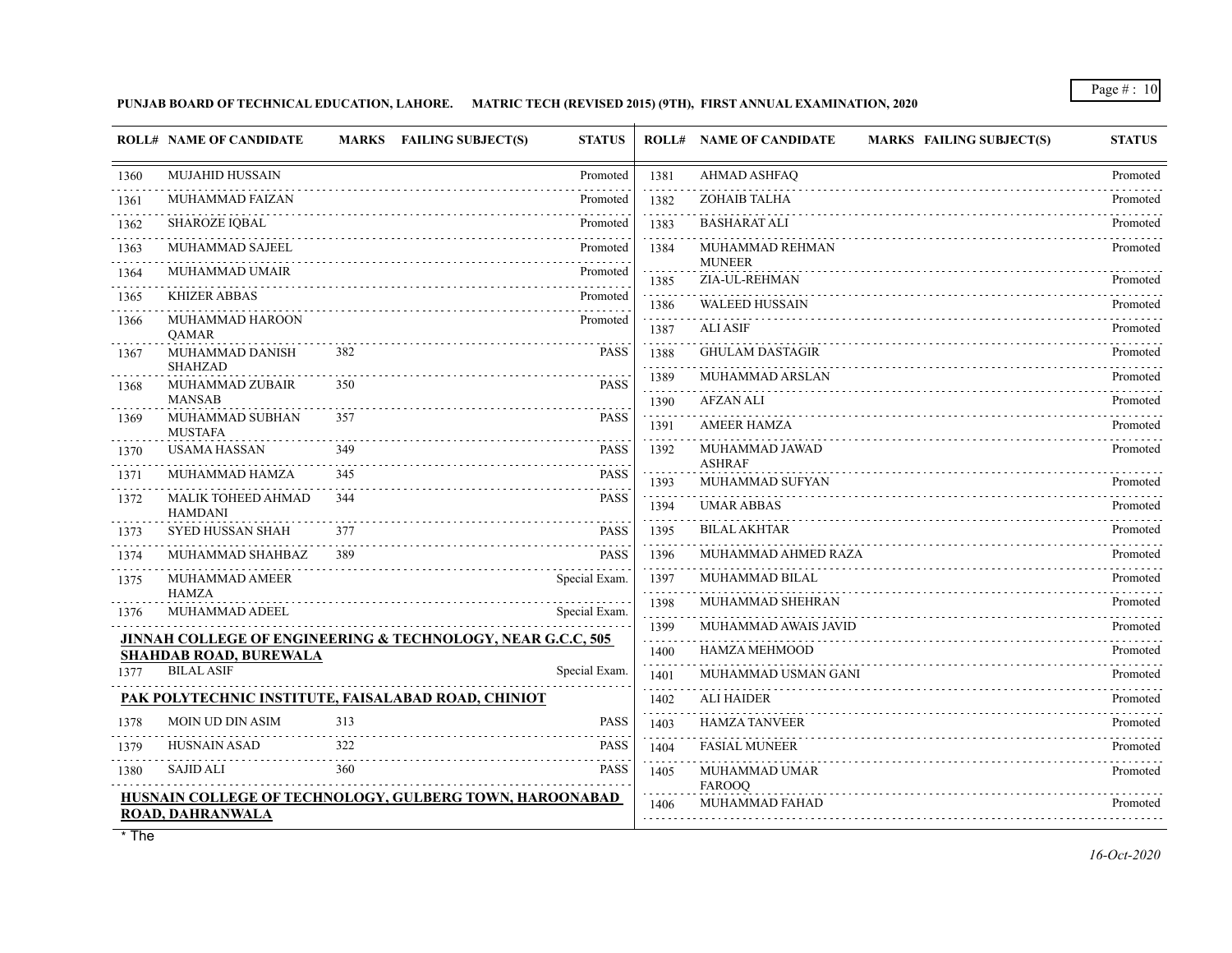## **PUNJAB BOARD OF TECHNICAL EDUCATION, LAHORE. MATRIC TECH (REVISED 2015) (9TH), FIRST ANNUAL EXAMINATION, 2020**

|           | <b>ROLL# NAME OF CANDIDATE</b>                      | <b>MARKS</b> | <b>FAILING SUBJECT(S)</b><br><b>STATUS</b>                  |           | <b>ROLL# NAME OF CANDIDATE</b><br><b>MARKS FAILING SUBJECT(S)</b> | <b>STATUS</b> |
|-----------|-----------------------------------------------------|--------------|-------------------------------------------------------------|-----------|-------------------------------------------------------------------|---------------|
| 1360      | <b>MUJAHID HUSSAIN</b>                              |              | Promoted                                                    | 1381      | AHMAD ASHFAQ                                                      | Promoted      |
| 1361      | <b>MUHAMMAD FAIZAN</b>                              |              | Promoted                                                    | 1382      | <b>ZOHAIB TALHA</b>                                               | Promoted      |
| .<br>1362 | <b>SHAROZE IQBAL</b>                                |              | Promoted                                                    | 1383      | <b>BASHARAT ALI</b>                                               | Promoted      |
| 1363      | MUHAMMAD SAJEEL                                     |              | Promoted                                                    | 1384      | MUHAMMAD REHMAN                                                   | Promoted      |
| 1364      | MUHAMMAD UMAIR                                      |              | Promoted                                                    | 1385      | <b>MUNEER</b><br>ZIA-UL-REHMAN                                    | Promoted      |
| 1365      | <b>KHIZER ABBAS</b>                                 |              | Promoted                                                    | 1386      | <b>WALEED HUSSAIN</b>                                             | Promoted      |
| 1366      | MUHAMMAD HAROON<br><b>OAMAR</b>                     |              | Promoted                                                    | .<br>1387 | <b>ALI ASIF</b>                                                   | Promoted      |
| 1367      | MUHAMMAD DANISH                                     | 382          | <b>PASS</b>                                                 | .<br>1388 | <b>GHULAM DASTAGIR</b>                                            | Promoted      |
| 1368      | <b>SHAHZAD</b><br>MUHAMMAD ZUBAIR                   | 350          | <b>PASS</b>                                                 | 1389      | MUHAMMAD ARSLAN                                                   | Promoted      |
|           | <b>MANSAB</b>                                       |              |                                                             | 1390      | <b>AFZAN ALI</b>                                                  | Promoted      |
| 1369      | MUHAMMAD SUBHAN<br><b>MUSTAFA</b>                   | 357          | <b>PASS</b>                                                 | 1391      | <b>AMEER HAMZA</b>                                                | Promoted      |
| 1370      | <b>USAMA HASSAN</b>                                 | 349          | <b>PASS</b>                                                 | 1392      | MUHAMMAD JAWAD<br><b>ASHRAF</b>                                   | Promoted      |
| 1371      | MUHAMMAD HAMZA                                      | 345          | <b>PASS</b>                                                 | 1393      | MUHAMMAD SUFYAN                                                   | Promoted      |
| 1372      | MALIK TOHEED AHMAD<br><b>HAMDANI</b>                | 344          | <b>PASS</b>                                                 | 1394      | <b>UMAR ABBAS</b>                                                 | Promoted      |
| 1373      | <b>SYED HUSSAN SHAH</b>                             | 377          | <b>PASS</b>                                                 | 1395      | <b>BILAL AKHTAR</b>                                               | Promoted      |
| .<br>1374 | MUHAMMAD SHAHBAZ                                    | 389          | <b>PASS</b>                                                 | 1396      | MUHAMMAD AHMED RAZA                                               | Promoted      |
| 1375      | MUHAMMAD AMEER                                      |              | Special Exam.                                               | 1397<br>. | MUHAMMAD BILAL                                                    | Promoted      |
| 1376      | <b>HAMZA</b><br>MUHAMMAD ADEEL                      |              | Special Exam.                                               | 1398      | MUHAMMAD SHEHRAN                                                  | Promoted      |
|           |                                                     |              | JINNAH COLLEGE OF ENGINEERING & TECHNOLOGY, NEAR G.C.C, 505 | 1399<br>. | MUHAMMAD AWAIS JAVID                                              | Promoted      |
|           | <b>SHAHDAB ROAD, BUREWALA</b>                       |              |                                                             | 1400      | <b>HAMZA MEHMOOD</b>                                              | Promoted      |
| 1377      | <b>BILAL ASIF</b>                                   |              | Special Exam.                                               | 1401      | MUHAMMAD USMAN GANI                                               | Promoted      |
|           | PAK POLYTECHNIC INSTITUTE, FAISALABAD ROAD, CHINIOT |              |                                                             | 1402      | <b>ALI HAIDER</b>                                                 | Promoted      |
| 1378      | <b>MOIN UD DIN ASIM</b>                             | 313          | <b>PASS</b>                                                 | 1403      | <b>HAMZA TANVEER</b>                                              | Promoted      |
| 1379      | <b>HUSNAIN ASAD</b>                                 | 322          | <b>PASS</b>                                                 | 1404      | <b>FASIAL MUNEER</b>                                              | Promoted      |
| 1380      | <b>SAJID ALI</b>                                    | 360          | <b>PASS</b>                                                 | 1405      | MUHAMMAD UMAR<br>FAROOQ                                           | Promoted      |
|           | ROAD, DAHRANWALA                                    |              | HUSNAIN COLLEGE OF TECHNOLOGY, GULBERG TOWN, HAROONABAD     | 1406      | <b>MUHAMMAD FAHAD</b>                                             | Promoted      |
|           |                                                     |              |                                                             |           |                                                                   |               |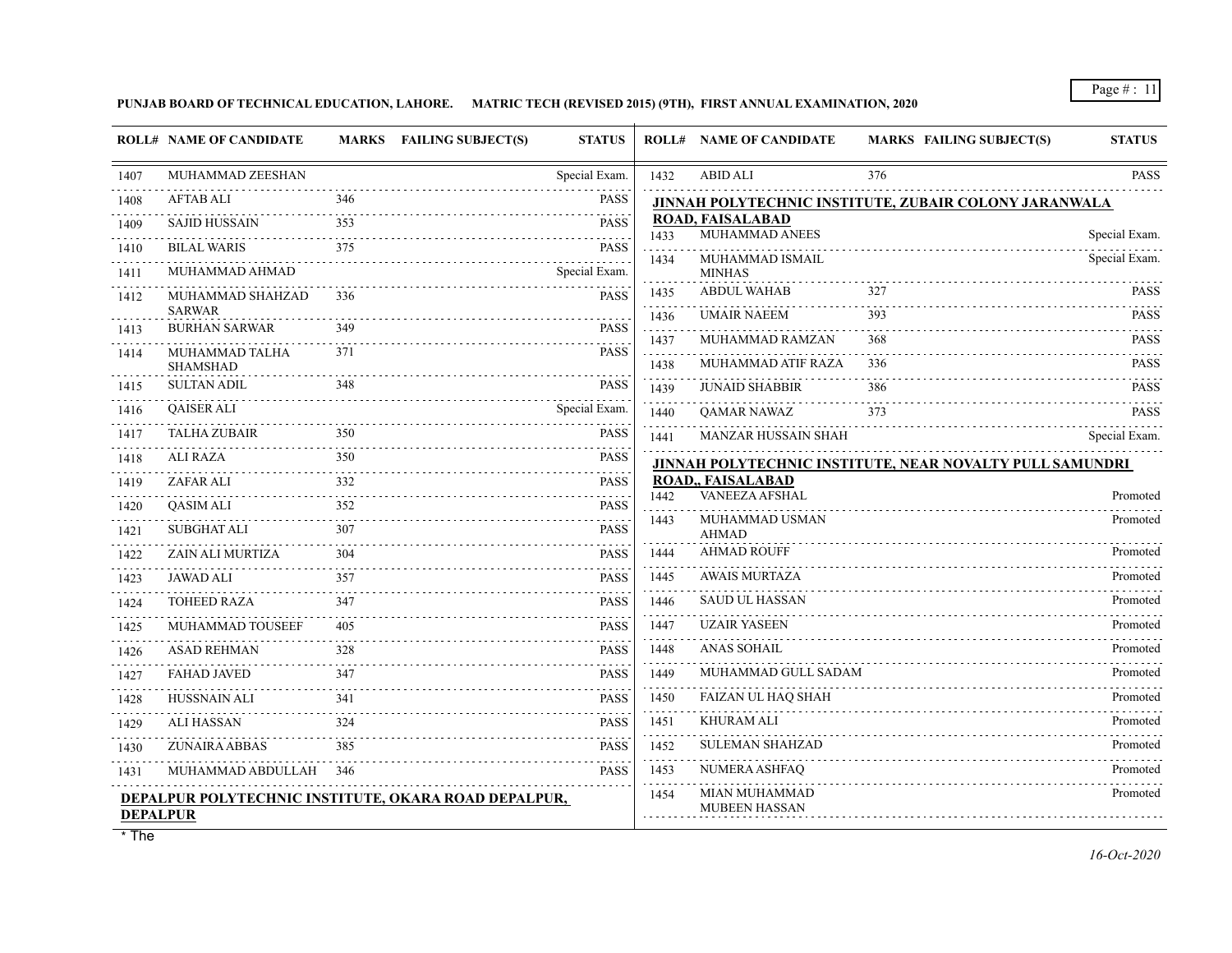**PUNJAB BOARD OF TECHNICAL EDUCATION, LAHORE. MATRIC TECH (REVISED 2015) (9TH), FIRST ANNUAL EXAMINATION, 2020**

|                 | <b>ROLL# NAME OF CANDIDATE</b>                       |     | <b>MARKS</b> FAILING SUBJECT(S) | <b>STATUS</b>      |              | <b>ROLL# NAME OF CANDIDATE</b>            | <b>MARKS FAILING SUBJECT(S)</b>                          | <b>STATUS</b>              |
|-----------------|------------------------------------------------------|-----|---------------------------------|--------------------|--------------|-------------------------------------------|----------------------------------------------------------|----------------------------|
| 1407            | MUHAMMAD ZEESHAN                                     |     |                                 | Special Exam.      | 1432         | <b>ABID ALI</b>                           | 376                                                      | <b>PASS</b>                |
| 1408            | <b>AFTAB ALI</b>                                     | 346 |                                 | <b>PASS</b>        |              |                                           | JINNAH POLYTECHNIC INSTITUTE, ZUBAIR COLONY JARANWALA    |                            |
| 1409            | <b>SAJID HUSSAIN</b>                                 | 353 |                                 | <b>PASS</b>        | 1433         | <b>ROAD, FAISALABAD</b><br>MUHAMMAD ANEES |                                                          | Special Exam.              |
| 1410            | <b>BILAL WARIS</b>                                   | 375 |                                 | <b>PASS</b>        |              | MUHAMMAD ISMAIL                           |                                                          | Special Exam.              |
| 1411            | MUHAMMAD AHMAD                                       |     |                                 | .<br>Special Exam. | 1434         | <b>MINHAS</b>                             |                                                          |                            |
| 1412            | MUHAMMAD SHAHZAD<br><b>SARWAR</b>                    | 336 |                                 | <b>PASS</b>        | 1435<br>1436 | <b>ABDUL WAHAB</b><br><b>UMAIR NAEEM</b>  | 327<br>393                                               | <b>PASS</b><br><b>PASS</b> |
| 1413            | <b>BURHAN SARWAR</b>                                 | 349 |                                 | <b>PASS</b>        | 1437         | MUHAMMAD RAMZAN                           | 368                                                      | <b>PASS</b>                |
| 1414            | MUHAMMAD TALHA<br><b>SHAMSHAD</b>                    | 371 |                                 | <b>PASS</b>        | 1438         | MUHAMMAD ATIF RAZA                        | 336                                                      | <b>PASS</b>                |
| 1415            | <b>SULTAN ADIL</b>                                   | 348 |                                 | <b>PASS</b>        | 1439         | <b>JUNAID SHABBIR</b>                     | 386                                                      | <b>PASS</b>                |
| 1416            | <b>QAISER ALI</b>                                    |     |                                 | Special Exam.      | 1440         | <b>QAMAR NAWAZ</b>                        | 373                                                      | <b>PASS</b>                |
| 1417            | TALHA ZUBAIR                                         | 350 |                                 | <b>PASS</b>        | 1441         | <b>MANZAR HUSSAIN SHAH</b>                |                                                          | Special Exam.              |
| 1418            | <b>ALI RAZA</b>                                      | 350 |                                 | <b>PASS</b>        |              |                                           | JINNAH POLYTECHNIC INSTITUTE, NEAR NOVALTY PULL SAMUNDRI |                            |
| 1419            | ZAFAR ALI                                            | 332 |                                 | <b>PASS</b>        |              | ROAD,, FAISALABAD<br>VANEEZA AFSHAL       |                                                          |                            |
| 1420            | <b>OASIM ALI</b>                                     | 352 |                                 | <b>PASS</b>        | 1442         |                                           |                                                          | Promoted<br>Promoted       |
| 1421            | <b>SUBGHAT ALI</b>                                   | 307 |                                 | <b>PASS</b>        | 1443         | MUHAMMAD USMAN<br><b>AHMAD</b>            |                                                          |                            |
| 1422            | ZAIN ALI MURTIZA                                     | 304 |                                 | <b>PASS</b>        | 1444         | <b>AHMAD ROUFF</b>                        |                                                          | Promoted                   |
| 1423            | <b>JAWAD ALI</b>                                     | 357 |                                 | PASS               | 1445         | <b>AWAIS MURTAZA</b>                      |                                                          | Promoted                   |
| 1424            | <b>TOHEED RAZA</b>                                   | 347 |                                 | <b>PASS</b>        | 1446         | <b>SAUD UL HASSAN</b>                     |                                                          | Promoted                   |
| 1425            | MUHAMMAD TOUSEEF                                     | 405 |                                 | <b>PASS</b>        | 1447         | <b>UZAIR YASEEN</b>                       |                                                          | Promoted                   |
| 1426            | <b>ASAD REHMAN</b>                                   | 328 |                                 | <b>PASS</b>        | 1448         | <b>ANAS SOHAIL</b>                        |                                                          | Promoted                   |
| 1427            | <b>FAHAD JAVED</b>                                   | 347 |                                 | <b>PASS</b>        | 1449         | MUHAMMAD GULL SADAM                       |                                                          | Promoted                   |
| 1428            | <b>HUSSNAIN ALI</b>                                  | 341 |                                 | <b>PASS</b>        | 1450         | <b>FAIZAN UL HAQ SHAH</b>                 |                                                          | Promoted                   |
| 1429            | <b>ALI HASSAN</b>                                    | 324 |                                 | <b>PASS</b>        | 1451         | <b>KHURAM ALI</b>                         |                                                          | Promoted                   |
| 1430            | ZUNAIRA ABBAS                                        | 385 |                                 | <b>PASS</b>        | 1452         | <b>SULEMAN SHAHZAD</b>                    |                                                          | Promoted                   |
| 1431            | MUHAMMAD ABDULLAH                                    | 346 |                                 | <b>PASS</b>        | 1453         | NUMERA ASHFAQ                             |                                                          | Promoted                   |
| <b>DEPALPUR</b> | DEPALPUR POLYTECHNIC INSTITUTE, OKARA ROAD DEPALPUR, |     |                                 |                    | 1454         | MIAN MUHAMMAD<br><b>MUBEEN HASSAN</b>     |                                                          | Promoted                   |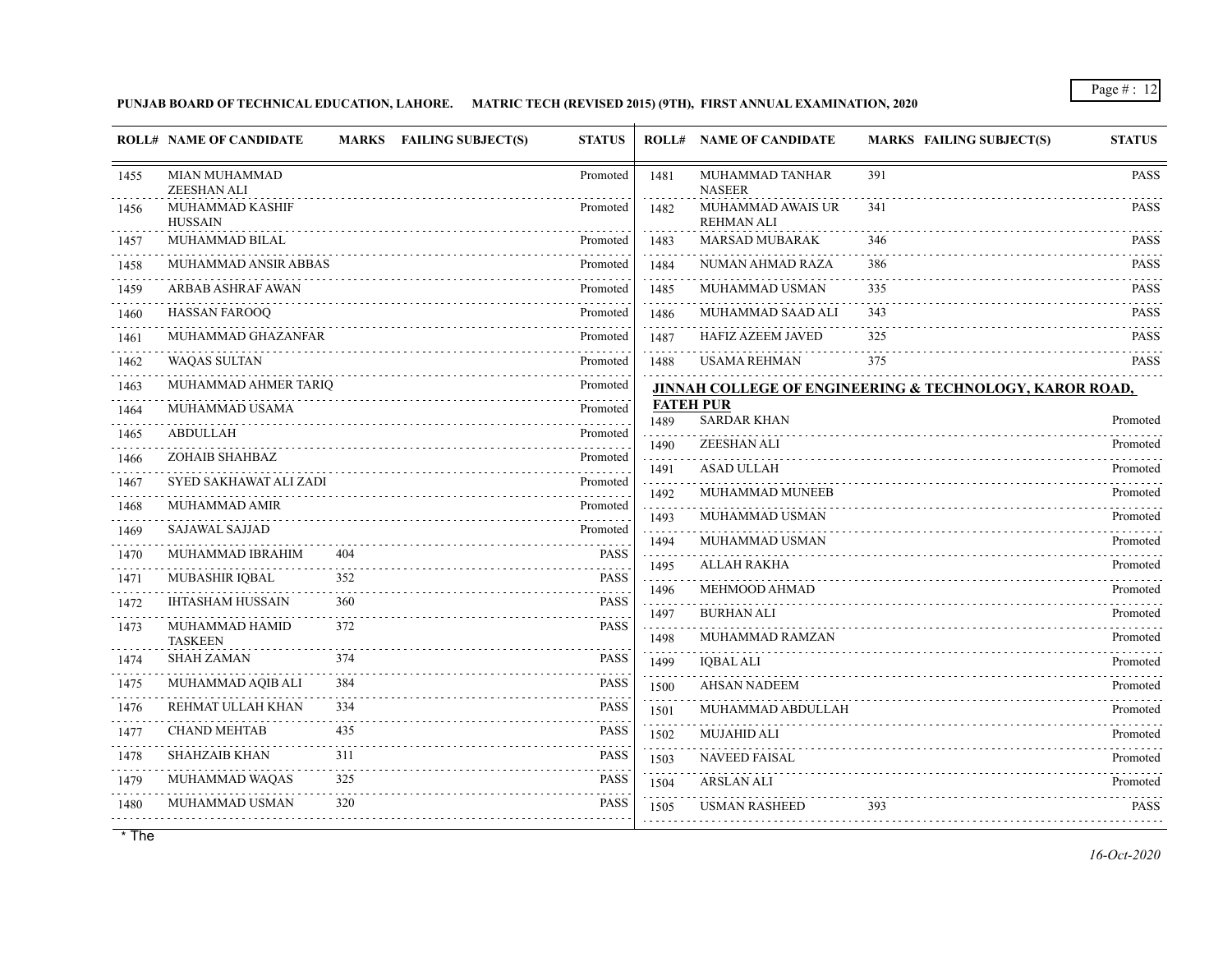## **PUNJAB BOARD OF TECHNICAL EDUCATION, LAHORE. MATRIC TECH (REVISED 2015) (9TH), FIRST ANNUAL EXAMINATION, 2020**

|           | <b>ROLL# NAME OF CANDIDATE</b>      |            | <b>MARKS</b> FAILING SUBJECT(S) | <b>STATUS</b> |           | <b>ROLL# NAME OF CANDIDATE</b>         | <b>MARKS FAILING SUBJECT(S)</b>                         | <b>STATUS</b>        |
|-----------|-------------------------------------|------------|---------------------------------|---------------|-----------|----------------------------------------|---------------------------------------------------------|----------------------|
| 1455      | <b>MIAN MUHAMMAD</b><br>ZEESHAN ALI |            |                                 | Promoted      | 1481      | MUHAMMAD TANHAR<br><b>NASEER</b>       | 391                                                     | <b>PASS</b>          |
| 1456      | MUHAMMAD KASHIF<br><b>HUSSAIN</b>   |            |                                 | Promoted      | 1482      | MUHAMMAD AWAIS UR<br><b>REHMAN ALI</b> | 341                                                     | <b>PASS</b>          |
| 1457      | MUHAMMAD BILAL                      |            |                                 | Promoted      | 1483      | <b>MARSAD MUBARAK</b>                  | 346                                                     | <b>PASS</b>          |
| 1458      | MUHAMMAD ANSIR ABBAS                |            |                                 | Promoted      | 1484      | NUMAN AHMAD RAZA                       | 386                                                     | <b>PASS</b>          |
| 1459      | ARBAB ASHRAF AWAN                   |            |                                 | Promoted      | 1485      | MUHAMMAD USMAN                         | 335                                                     | <b>PASS</b><br>.     |
| 1460      | <b>HASSAN FAROOQ</b>                |            |                                 | Promoted      | 1486      | MUHAMMAD SAAD ALI                      | 343                                                     | <b>PASS</b>          |
| 1461      | MUHAMMAD GHAZANFAR                  |            |                                 | Promoted      | 1487      | <b>HAFIZ AZEEM JAVED</b>               | 325                                                     | <b>PASS</b>          |
| 1462      | <b>WAQAS SULTAN</b>                 |            |                                 | Promoted      | 1488      | <b>USAMA REHMAN</b>                    | 375                                                     | <b>PASS</b>          |
| .<br>1463 | MUHAMMAD AHMER TARIQ                |            |                                 | Promoted      |           |                                        | JINNAH COLLEGE OF ENGINEERING & TECHNOLOGY, KAROR ROAD, |                      |
| 1464      | MUHAMMAD USAMA                      |            |                                 | Promoted      | 1489      | <b>FATEH PUR</b><br><b>SARDAR KHAN</b> |                                                         | Promoted             |
| 1465      | <b>ABDULLAH</b>                     |            |                                 | Promoted      | 1490      | ZEESHAN ALI                            |                                                         | Promoted             |
| 1466      | ZOHAIB SHAHBAZ                      |            |                                 | Promoted      | 1491      | <b>ASAD ULLAH</b>                      |                                                         | Promoted             |
| 1467      | SYED SAKHAWAT ALI ZADI              |            |                                 | Promoted      | 1492      | MUHAMMAD MUNEEB                        |                                                         | Promoted             |
| 1468      | MUHAMMAD AMIR                       |            |                                 | Promoted      |           | MUHAMMAD USMAN                         |                                                         |                      |
| 1469      | <b>SAJAWAL SAJJAD</b>               |            |                                 | Promoted      | 1493      | MUHAMMAD USMAN                         |                                                         | Promoted<br>Promoted |
| 1470      | MUHAMMAD IBRAHIM                    | 404        |                                 | <b>PASS</b>   | 1494<br>. | ALLAH RAKHA                            |                                                         |                      |
| 1471      | MUBASHIR IQBAL                      | 352        |                                 | <b>PASS</b>   | 1495      |                                        |                                                         | Promoted             |
| 1472      | <b>IHTASHAM HUSSAIN</b>             | 360        |                                 | <b>PASS</b>   | 1496<br>. | MEHMOOD AHMAD                          |                                                         | Promoted             |
| 1473      | MUHAMMAD HAMID                      | 372        |                                 | <b>PASS</b>   | 1497      | <b>BURHAN ALI</b>                      |                                                         | Promoted             |
| 1474      | <b>TASKEEN</b><br><b>SHAH ZAMAN</b> | 374        |                                 | <b>PASS</b>   | 1498      | MUHAMMAD RAMZAN                        |                                                         | Promoted             |
|           | MUHAMMAD AQIB ALI                   | 384        |                                 | <b>PASS</b>   | 1499      | <b>IQBAL ALI</b>                       |                                                         | Promoted             |
| 1475<br>. |                                     |            |                                 |               | 1500      | <b>AHSAN NADEEM</b>                    |                                                         | Promoted             |
| 1476      | REHMAT ULLAH KHAN                   | 334<br>435 |                                 | <b>PASS</b>   | 1501      | MUHAMMAD ABDULLAH                      |                                                         | Promoted             |
| 1477      | <b>CHAND MEHTAB</b>                 |            |                                 | PASS          | 1502      | <b>MUJAHID ALI</b>                     |                                                         | Promoted             |
| 1478      | <b>SHAHZAIB KHAN</b>                | 311        |                                 | <b>PASS</b>   | 1503      | <b>NAVEED FAISAL</b>                   |                                                         | Promoted             |
| 1479      | MUHAMMAD WAQAS                      | 325        |                                 | <b>PASS</b>   | 1504      | <b>ARSLAN ALI</b>                      |                                                         | Promoted             |
| 1480      | MUHAMMAD USMAN                      | 320        |                                 | <b>PASS</b>   | 1505      | <b>USMAN RASHEED</b>                   | 393                                                     | <b>PASS</b>          |
|           |                                     |            |                                 |               |           |                                        |                                                         |                      |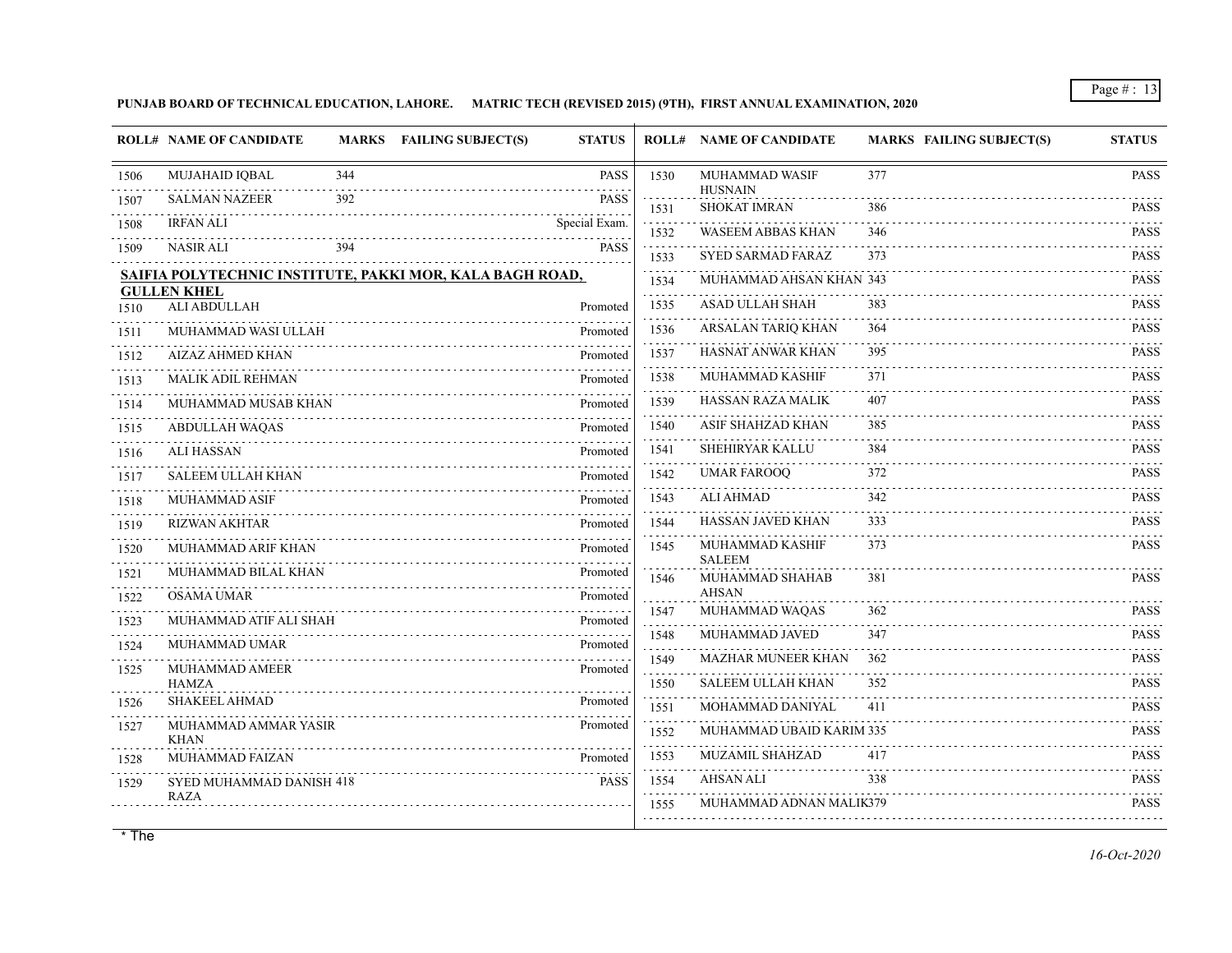## **PUNJAB BOARD OF TECHNICAL EDUCATION, LAHORE. MATRIC TECH (REVISED 2015) (9TH), FIRST ANNUAL EXAMINATION, 2020**

|      | <b>ROLL# NAME OF CANDIDATE</b>                           | <b>MARKS</b> | <b>FAILING SUBJECT(S)</b> | <b>STATUS</b> | ROLL# | <b>NAME OF CANDIDATE</b>              | <b>MARKS FAILING SUBJECT(S)</b> | <b>STATUS</b>                       |
|------|----------------------------------------------------------|--------------|---------------------------|---------------|-------|---------------------------------------|---------------------------------|-------------------------------------|
| 1506 | <b>MUJAHAID IQBAL</b>                                    | 344          |                           | <b>PASS</b>   | 1530  | MUHAMMAD WASIF                        | 377                             | <b>PASS</b>                         |
| 1507 | <b>SALMAN NAZEER</b>                                     | 392          |                           | <b>PASS</b>   | 1531  | <b>HUSNAIN</b><br><b>SHOKAT IMRAN</b> | 386                             | PASS                                |
| 1508 | <b>IRFAN ALI</b>                                         |              |                           | Special Exam. | 1532  | <b>WASEEM ABBAS KHAN</b>              | 346                             | <b>PASS</b>                         |
| 1509 | NASIR ALI                                                | 394          |                           | PASS          | 1533  | <b>SYED SARMAD FARAZ</b>              | 373                             | <b>PASS</b>                         |
|      | SAIFIA POLYTECHNIC INSTITUTE, PAKKI MOR, KALA BAGH ROAD, |              |                           |               | 1534  | MUHAMMAD AHSAN KHAN 343               |                                 | <b>PASS</b>                         |
| 1510 | <b>GULLEN KHEL</b><br>ALI ABDULLAH                       |              |                           | Promoted      | 1535  | ASAD ULLAH SHAH                       | 383                             | <b>PASS</b>                         |
| 1511 | MUHAMMAD WASI ULLAH                                      |              |                           | Promoted      | 1536  | .<br>ARSALAN TARIQ KHAN               | 364                             | $\omega$ is a single<br><b>PASS</b> |
| 1512 | <b>AIZAZ AHMED KHAN</b>                                  |              |                           | Promoted      | 1537  | HASNAT ANWAR KHAN                     | 395                             | PASS                                |
| 1513 | <b>MALIK ADIL REHMAN</b>                                 |              |                           | Promoted      | 1538  | <b>MUHAMMAD KASHIF</b>                | 371                             | <b>PASS</b>                         |
| 1514 | MUHAMMAD MUSAB KHAN                                      |              |                           | Promoted      | 1539  | <b>HASSAN RAZA MALIK</b>              | 407                             | <b>PASS</b>                         |
| 1515 | <b>ABDULLAH WAQAS</b>                                    |              |                           | Promoted      | 1540  | ASIF SHAHZAD KHAN                     | 385                             | <b>PASS</b>                         |
| 1516 | <b>ALI HASSAN</b>                                        |              |                           | Promoted      | 1541  | <b>SHEHIRYAR KALLU</b>                | 384                             | <b>PASS</b>                         |
| 1517 | <b>SALEEM ULLAH KHAN</b>                                 |              |                           | Promoted      | 1542  | <b>UMAR FAROOQ</b>                    | 372                             | PASS                                |
| 1518 | <b>MUHAMMAD ASIF</b>                                     |              |                           | Promoted      | 1543  | ALI AHMAD                             | 342                             | <b>PASS</b>                         |
| 1519 | <b>RIZWAN AKHTAR</b>                                     |              |                           | Promoted      | 1544  | HASSAN JAVED KHAN                     | 333                             | <b>PASS</b>                         |
| 1520 | MUHAMMAD ARIF KHAN                                       |              |                           | Promoted      | 1545  | MUHAMMAD KASHIF<br><b>SALEEM</b>      | 373                             | <b>PASS</b>                         |
| 1521 | MUHAMMAD BILAL KHAN                                      |              |                           | Promoted      | 1546  | MUHAMMAD SHAHAB                       | 381                             | <b>PASS</b>                         |
| 1522 | <b>OSAMA UMAR</b>                                        |              |                           | Promoted      | 1547  | <b>AHSAN</b><br>MUHAMMAD WAQAS        | 362                             | <b>PASS</b>                         |
| 1523 | MUHAMMAD ATIF ALI SHAH                                   |              |                           | Promoted      | 1548  | MUHAMMAD JAVED                        | 347                             | <b>PASS</b>                         |
| 1524 | <b>MUHAMMAD UMAR</b>                                     |              |                           | Promoted      | 1549  | <b>MAZHAR MUNEER KHAN</b>             | 362                             | <b>PASS</b>                         |
| 1525 | MUHAMMAD AMEER<br><b>HAMZA</b>                           |              |                           | Promoted      | 1550  | <b>SALEEM ULLAH KHAN</b>              | 352                             | <b>PASS</b>                         |
| 1526 | <b>SHAKEEL AHMAD</b>                                     |              |                           | Promoted      | 1551  | MOHAMMAD DANIYAL                      | 411                             | <b>PASS</b>                         |
| 1527 | MUHAMMAD AMMAR YASIR                                     |              |                           | Promoted      | 1552  | MUHAMMAD UBAID KARIM 335              |                                 | <b>PASS</b>                         |
| 1528 | <b>KHAN</b><br><b>MUHAMMAD FAIZAN</b>                    |              |                           | Promoted      | 1553  | MUZAMIL SHAHZAD                       | 417                             | <b>PASS</b>                         |
| 1529 | SYED MUHAMMAD DANISH 418                                 |              |                           | <b>PASS</b>   | 1554  | <b>AHSAN ALI</b>                      | 338                             | <b>PASS</b>                         |
|      | <b>RAZA</b>                                              |              |                           |               | 1555  | MUHAMMAD ADNAN MALIK379               |                                 | 111111<br><b>PASS</b>               |
|      |                                                          |              |                           |               |       |                                       |                                 |                                     |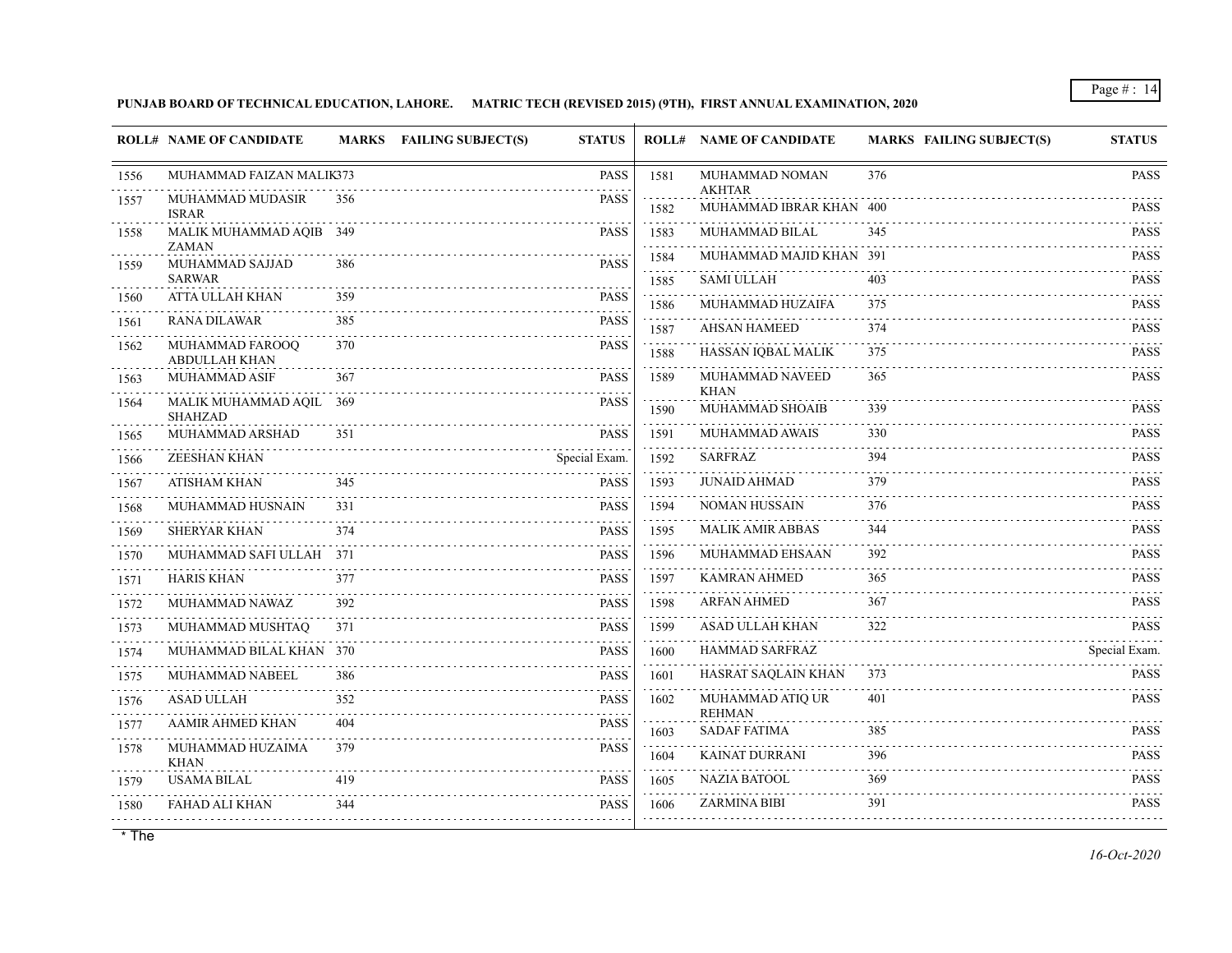**PUNJAB BOARD OF TECHNICAL EDUCATION, LAHORE. MATRIC TECH (REVISED 2015) (9TH), FIRST ANNUAL EXAMINATION, 2020**

|           | <b>ROLL# NAME OF CANDIDATE</b>          |     | MARKS FAILING SUBJECT(S) | <b>STATUS</b> |                                             | <b>ROLL# NAME OF CANDIDATE</b>    | <b>MARKS FAILING SUBJECT(S)</b> | <b>STATUS</b>                                |
|-----------|-----------------------------------------|-----|--------------------------|---------------|---------------------------------------------|-----------------------------------|---------------------------------|----------------------------------------------|
| 1556      | MUHAMMAD FAIZAN MALIK373                |     |                          | <b>PASS</b>   | 1581                                        | MUHAMMAD NOMAN<br><b>AKHTAR</b>   | 376                             | <b>PASS</b>                                  |
| 1557      | MUHAMMAD MUDASIR<br><b>ISRAR</b>        | 356 |                          | <b>PASS</b>   | 1582                                        | MUHAMMAD IBRAR KHAN 400           |                                 | $\omega$ is a set of $\omega$<br><b>PASS</b> |
| 1558      | MALIK MUHAMMAD AQIB 349<br><b>ZAMAN</b> |     |                          | <b>PASS</b>   | 1583                                        | MUHAMMAD BILAL                    | 345                             | <b>PASS</b>                                  |
| 1559      | MUHAMMAD SAJJAD                         | 386 |                          | PASS          | 1584                                        | MUHAMMAD MAJID KHAN 391           |                                 | <b>PASS</b><br>.                             |
|           | <b>SARWAR</b>                           |     |                          |               | 1585                                        | <b>SAMI ULLAH</b>                 | 403                             | <b>PASS</b>                                  |
| 1560      | ATTA ULLAH KHAN                         | 359 |                          | <b>PASS</b>   | 1586                                        | MUHAMMAD HUZAIFA                  | 375                             | <b>PASS</b>                                  |
| 1561      | <b>RANA DILAWAR</b>                     | 385 |                          | <b>PASS</b>   | 1587                                        | <b>AHSAN HAMEED</b>               | 374                             | <b>PASS</b>                                  |
| 1562      | MUHAMMAD FAROOQ<br>ABDULLAH KHAN        | 370 |                          | <b>PASS</b>   | $\omega = \omega \cdot \omega$<br>1588<br>. | HASSAN IQBAL MALIK                | 375                             | <b>PASS</b>                                  |
| 1563      | MUHAMMAD ASIF                           | 367 |                          | <b>PASS</b>   | 1589                                        | MUHAMMAD NAVEED<br><b>KHAN</b>    | 365                             | <b>PASS</b>                                  |
| 1564      | MALIK MUHAMMAD AQIL 369<br>SHAHZAD      |     |                          | PASS          | 1590                                        | MUHAMMAD SHOAIB                   | 339                             | <b>PASS</b>                                  |
| 1565      | MUHAMMAD ARSHAD                         | 351 |                          | <b>PASS</b>   | .<br>1591                                   | MUHAMMAD AWAIS                    | 330                             | <b>PASS</b>                                  |
| 1566      | ZEESHAN KHAN                            |     |                          | Special Exam. | .<br>1592                                   | <b>SARFRAZ</b>                    | 394                             | <b>PASS</b>                                  |
| 1567      | <b>ATISHAM KHAN</b>                     | 345 |                          | <b>PASS</b>   | 1593                                        | JUNAID AHMAD                      | 379                             | <b>PASS</b>                                  |
| 1568      | MUHAMMAD HUSNAIN                        | 331 |                          | <b>PASS</b>   | 1594                                        | <b>NOMAN HUSSAIN</b>              | 376                             | <b>PASS</b>                                  |
| 1569      | <b>SHERYAR KHAN</b>                     | 374 |                          | <b>PASS</b>   | 1595                                        | <b>MALIK AMIR ABBAS</b>           | 344                             | <b>PASS</b>                                  |
| .<br>1570 | MUHAMMAD SAFI ULLAH 371                 |     |                          | <b>PASS</b>   | 1596                                        | MUHAMMAD EHSAAN                   | 392                             | <b>PASS</b>                                  |
| 1571      | <b>HARIS KHAN</b>                       | 377 |                          | <b>PASS</b>   | 1597<br>.                                   | <b>KAMRAN AHMED</b>               | 365                             | <b>PASS</b>                                  |
| 1572      | MUHAMMAD NAWAZ                          | 392 |                          | <b>PASS</b>   | 1598<br>.                                   | <b>ARFAN AHMED</b>                | 367                             | <b>PASS</b>                                  |
| 1573      | MUHAMMAD MUSHTAQ                        | 371 |                          | <b>PASS</b>   | 1599<br>.                                   | ASAD ULLAH KHAN                   | 322                             | <b>PASS</b>                                  |
| 1574      | MUHAMMAD BILAL KHAN 370                 |     |                          | <b>PASS</b>   | 1600                                        | HAMMAD SARFRAZ                    |                                 | Special Exam.                                |
| 1575      | MUHAMMAD NABEEL                         | 386 |                          | <b>PASS</b>   | 1601                                        | HASRAT SAQLAIN KHAN               | 373                             | <b>PASS</b>                                  |
| 1576      | <b>ASAD ULLAH</b>                       | 352 |                          | <b>PASS</b>   | 1602                                        | MUHAMMAD ATIQ UR<br><b>REHMAN</b> | 401                             | <b>PASS</b>                                  |
| 1577      | AAMIR AHMED KHAN                        | 404 |                          | <b>PASS</b>   | 1603                                        | <b>SADAF FATIMA</b>               | 385                             | <b>PASS</b>                                  |
| 1578      | MUHAMMAD HUZAIMA<br><b>KHAN</b>         | 379 |                          | <b>PASS</b>   | 1604                                        | KAINAT DURRANI                    | 396                             | .<br><b>PASS</b><br>.                        |
| 1579      | <b>USAMA BILAL</b>                      | 419 |                          | <b>PASS</b>   | 1605                                        | <b>NAZIA BATOOL</b>               | 369                             | <b>PASS</b><br>.                             |
| 1580      | <b>FAHAD ALI KHAN</b>                   | 344 |                          | <b>PASS</b>   | 1606                                        | <b>ZARMINA BIBI</b>               | 391                             | <b>PASS</b>                                  |
|           |                                         |     |                          |               |                                             |                                   |                                 |                                              |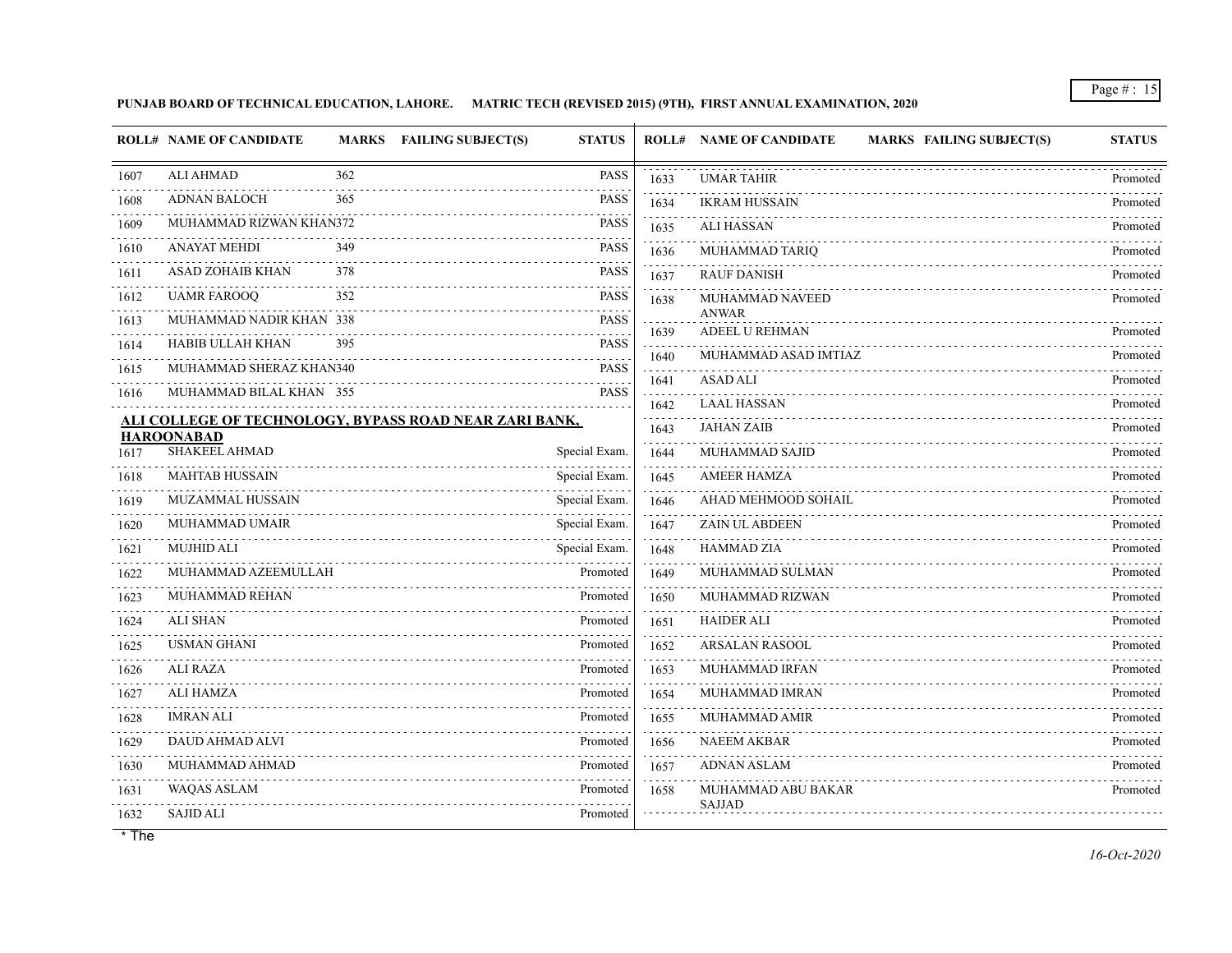**PUNJAB BOARD OF TECHNICAL EDUCATION, LAHORE. MATRIC TECH (REVISED 2015) (9TH), FIRST ANNUAL EXAMINATION, 2020**

|           | <b>ROLL# NAME OF CANDIDATE</b>                         |     | MARKS FAILING SUBJECT(S) | <b>STATUS</b> |                   | <b>ROLL# NAME OF CANDIDATE</b><br><b>MARKS FAILING SUBJECT(S)</b> | <b>STATUS</b> |
|-----------|--------------------------------------------------------|-----|--------------------------|---------------|-------------------|-------------------------------------------------------------------|---------------|
| 1607      | <b>ALI AHMAD</b>                                       | 362 |                          | <b>PASS</b>   | 1633              | <b>UMAR TAHIR</b>                                                 | Promoted      |
| 1608      | <b>ADNAN BALOCH</b>                                    | 365 |                          | <b>PASS</b>   | 1634              | <b>IKRAM HUSSAIN</b>                                              | Promoted      |
| 1609      | MUHAMMAD RIZWAN KHAN372                                |     |                          | <b>PASS</b>   | 1635              | <b>ALI HASSAN</b>                                                 | Promoted      |
| 1610      | <b>ANAYAT MEHDI</b>                                    | 349 |                          | <b>PASS</b>   | 1636              | MUHAMMAD TARIQ                                                    | Promoted      |
| .<br>1611 | ASAD ZOHAIB KHAN                                       | 378 |                          | <b>PASS</b>   | 1637              | <b>RAUF DANISH</b>                                                | Promoted      |
| 1612      | <b>UAMR FAROOQ</b>                                     | 352 |                          | <b>PASS</b>   | 1638              | MUHAMMAD NAVEED                                                   | Promoted      |
| 1613      | MUHAMMAD NADIR KHAN 338                                |     |                          | <b>PASS</b>   | 1639              | <b>ANWAR</b><br>ADEEL U REHMAN                                    | Promoted      |
| 1614      | HABIB ULLAH KHAN                                       | 395 |                          | <b>PASS</b>   |                   | MUHAMMAD ASAD IMTIAZ                                              | Promoted      |
| 1615      | MUHAMMAD SHERAZ KHAN340                                |     |                          | <b>PASS</b>   | 1640              | <b>ASAD ALI</b>                                                   |               |
| 1616      | MUHAMMAD BILAL KHAN 355                                |     |                          | <b>PASS</b>   | 1641<br>2.2.2.2.2 |                                                                   | Promoted      |
|           | ALI COLLEGE OF TECHNOLOGY, BYPASS ROAD NEAR ZARI BANK, |     |                          |               | 1642              | <b>LAAL HASSAN</b><br><b>JAHAN ZAIB</b>                           | Promoted      |
|           | <b>HAROONABAD</b><br>SHAKEEL AHMAD                     |     |                          |               | 1643              |                                                                   | Promoted      |
| 1617      |                                                        |     |                          | Special Exam. | 1644              | MUHAMMAD SAJID                                                    | Promoted      |
| 1618      | <b>MAHTAB HUSSAIN</b>                                  |     |                          | Special Exam. | 1645              | <b>AMEER HAMZA</b>                                                | Promoted      |
| 1619      | <b>MUZAMMAL HUSSAIN</b>                                |     |                          | Special Exam. | 1646              | AHAD MEHMOOD SOHAIL                                               | Promoted      |
| 1620      | MUHAMMAD UMAIR                                         |     |                          | Special Exam. | 1647              | <b>ZAIN UL ABDEEN</b>                                             | Promoted      |
| 1621      | <b>MUJHID ALI</b>                                      |     |                          | Special Exam. | 1648              | <b>HAMMAD ZIA</b>                                                 | Promoted      |
| 1622      | MUHAMMAD AZEEMULLAH                                    |     |                          | Promoted      | 1649              | MUHAMMAD SULMAN                                                   | Promoted      |
| 1623      | MUHAMMAD REHAN                                         |     |                          | Promoted      | 1650              | MUHAMMAD RIZWAN                                                   | Promoted      |
| 1624      | <b>ALI SHAN</b>                                        |     |                          | Promoted      | 1651              | <b>HAIDER ALI</b>                                                 | Promoted      |
| 1625      | <b>USMAN GHANI</b>                                     |     |                          | Promoted      | 1652              | <b>ARSALAN RASOOL</b>                                             | Promoted      |
| 1626      | <b>ALI RAZA</b>                                        |     |                          | Promoted      | 1653              | MUHAMMAD IRFAN                                                    | Promoted      |
| 1627      | <b>ALI HAMZA</b>                                       |     |                          | Promoted      | 1654              | MUHAMMAD IMRAN                                                    | Promoted      |
| 1628      | <b>IMRAN ALI</b>                                       |     |                          | Promoted      | 1655              | MUHAMMAD AMIR                                                     | Promoted      |
| 1629      | <b>DAUD AHMAD ALVI</b>                                 |     |                          | Promoted      | 1656              | <b>NAEEM AKBAR</b>                                                | Promoted      |
| 1630      | MUHAMMAD AHMAD                                         |     |                          | Promoted      | 1657              | <b>ADNAN ASLAM</b>                                                | Promoted      |
| 1631      | <b>WAQAS ASLAM</b>                                     |     |                          | Promoted      | 1658              | MUHAMMAD ABU BAKAR                                                | Promoted      |
| 1632      | <b>SAJID ALI</b>                                       |     |                          | Promoted      |                   | <b>SAJJAD</b>                                                     |               |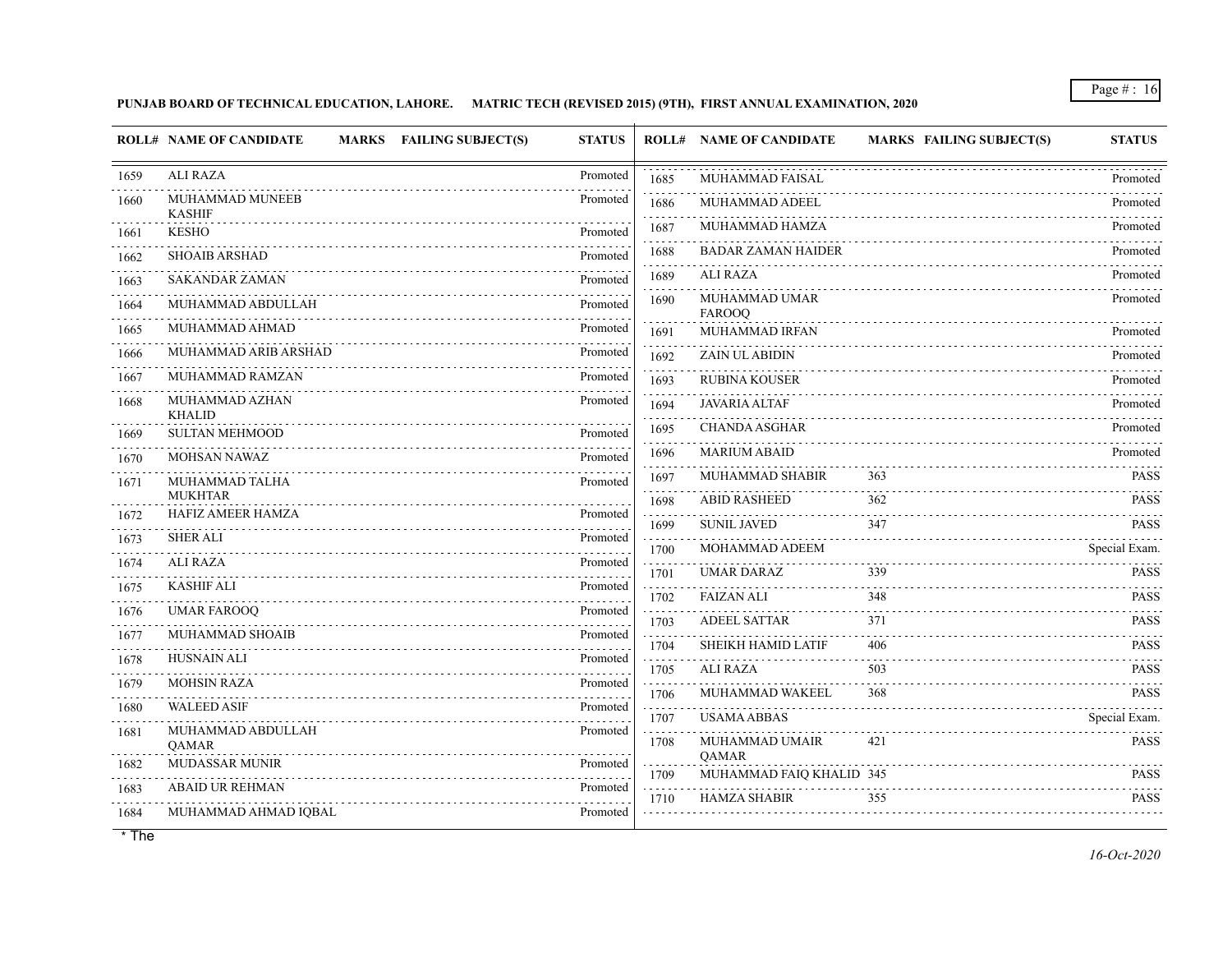## **PUNJAB BOARD OF TECHNICAL EDUCATION, LAHORE. MATRIC TECH (REVISED 2015) (9TH), FIRST ANNUAL EXAMINATION, 2020**

|           | <b>ROLL# NAME OF CANDIDATE</b><br>MARKS FAILING SUBJECT(S) | <b>STATUS</b>             |                                                                                                                                         | <b>ROLL# NAME OF CANDIDATE</b> | <b>MARKS FAILING SUBJECT(S)</b> | <b>STATUS</b>                                       |
|-----------|------------------------------------------------------------|---------------------------|-----------------------------------------------------------------------------------------------------------------------------------------|--------------------------------|---------------------------------|-----------------------------------------------------|
| 1659      | <b>ALI RAZA</b>                                            | Promoted                  | 1685                                                                                                                                    | <b>MUHAMMAD FAISAL</b>         |                                 | Promoted                                            |
| 1660      | MUHAMMAD MUNEEB<br><b>KASHIF</b>                           | Promoted                  | 1686                                                                                                                                    | MUHAMMAD ADEEL                 |                                 | Promoted                                            |
| 1661      | <b>KESHO</b>                                               | Promoted                  | 1687                                                                                                                                    | MUHAMMAD HAMZA                 |                                 | Promoted                                            |
| 1662      | <b>SHOAIB ARSHAD</b>                                       | Promoted                  | 1688                                                                                                                                    | <b>BADAR ZAMAN HAIDER</b>      |                                 | Promoted                                            |
| 1663      | <b>SAKANDAR ZAMAN</b>                                      | Promoted                  | 1689                                                                                                                                    | ALI RAZA                       |                                 | Promoted                                            |
| 1664<br>. | MUHAMMAD ABDULLAH                                          | Promoted                  | 1690                                                                                                                                    | MUHAMMAD UMAR<br><b>FAROOQ</b> |                                 | Promoted                                            |
| 1665      | MUHAMMAD AHMAD                                             | Promoted                  | 1691                                                                                                                                    | MUHAMMAD IRFAN                 |                                 | Promoted                                            |
| 1666      | MUHAMMAD ARIB ARSHAD                                       | Promoted                  | 1692                                                                                                                                    | ZAIN UL ABIDIN                 |                                 | Promoted                                            |
| 1667      | MUHAMMAD RAMZAN                                            | Promoted                  | 1693                                                                                                                                    | <b>RUBINA KOUSER</b>           |                                 | Promoted                                            |
| 1668      | MUHAMMAD AZHAN<br><b>KHALID</b>                            | Promoted                  | 1694                                                                                                                                    | <b>JAVARIA ALTAF</b>           |                                 | Promoted                                            |
| 1669      | <b>SULTAN MEHMOOD</b>                                      | Promoted                  | 1695                                                                                                                                    | <b>CHANDA ASGHAR</b>           |                                 | Promoted                                            |
| 1670      | <b>MOHSAN NAWAZ</b>                                        | Promoted                  | 1696                                                                                                                                    | <b>MARIUM ABAID</b>            |                                 | Promoted                                            |
| 1671      | MUHAMMAD TALHA                                             | Promoted                  | 1697                                                                                                                                    | MUHAMMAD SHABIR                | 363                             | <b>PASS</b>                                         |
| 1672      | <b>MUKHTAR</b><br>HAFIZ AMEER HAMZA                        | Promoted                  | 1698                                                                                                                                    | <b>ABID RASHEED</b>            | 362                             | <b>PASS</b>                                         |
| 1673      | <b>SHER ALI</b>                                            | Promoted                  | 1699                                                                                                                                    | <b>SUNIL JAVED</b>             | 347                             | <b>PASS</b>                                         |
| 1674      | ALI RAZA                                                   | Promoted                  | 1700                                                                                                                                    | MOHAMMAD ADEEM                 |                                 | Special Exam.                                       |
| 1675      | <b>KASHIF ALI</b>                                          | Promoted                  | 1701                                                                                                                                    | <b>UMAR DARAZ</b>              | 339                             | <b>PASS</b>                                         |
| .<br>1676 | <b>UMAR FAROOQ</b>                                         | Promoted                  | 1702<br>$\mathcal{L}^{\mathcal{A}}\mathcal{L}^{\mathcal{A}}\mathcal{L}^{\mathcal{A}}\mathcal{L}^{\mathcal{A}}\mathcal{L}^{\mathcal{A}}$ | <b>FAIZAN ALI</b>              | 348                             | <b>PASS</b>                                         |
| 1677      | MUHAMMAD SHOAIB                                            | 1.1.1.1.1.1.1<br>Promoted | 1703                                                                                                                                    | <b>ADEEL SATTAR</b>            | 371                             | <b>PASS</b>                                         |
| 1678      | <b>HUSNAIN ALI</b>                                         | Promoted                  | 1704                                                                                                                                    | SHEIKH HAMID LATIF             | 406                             | <b>PASS</b>                                         |
| 1679      | <b>MOHSIN RAZA</b>                                         | Promoted                  | 1705                                                                                                                                    | ALI RAZA                       | 503                             | <b>PASS</b>                                         |
| .<br>1680 | <b>WALEED ASIF</b>                                         | Promoted                  | 1706                                                                                                                                    | MUHAMMAD WAKEEL                | 368                             | <b>PASS</b>                                         |
| 1681      | MUHAMMAD ABDULLAH                                          | Promoted                  | 1707                                                                                                                                    | <b>USAMA ABBAS</b>             |                                 | Special Exam.                                       |
|           | QAMAR                                                      |                           | 1708                                                                                                                                    | MUHAMMAD UMAIR<br>QAMAR        | 421                             | <b>PASS</b>                                         |
| 1682      | <b>MUDASSAR MUNIR</b>                                      | Promoted                  | 1709                                                                                                                                    | MUHAMMAD FAIQ KHALID 345       |                                 | <b>PASS</b>                                         |
| 1683      | <b>ABAID UR REHMAN</b>                                     | Promoted                  | 1710                                                                                                                                    | <b>HAMZA SHABIR</b>            | 355                             | $\omega$ is a second set of $\omega$<br><b>PASS</b> |
| 1684      | MUHAMMAD AHMAD IQBAL                                       | Promoted                  |                                                                                                                                         |                                |                                 |                                                     |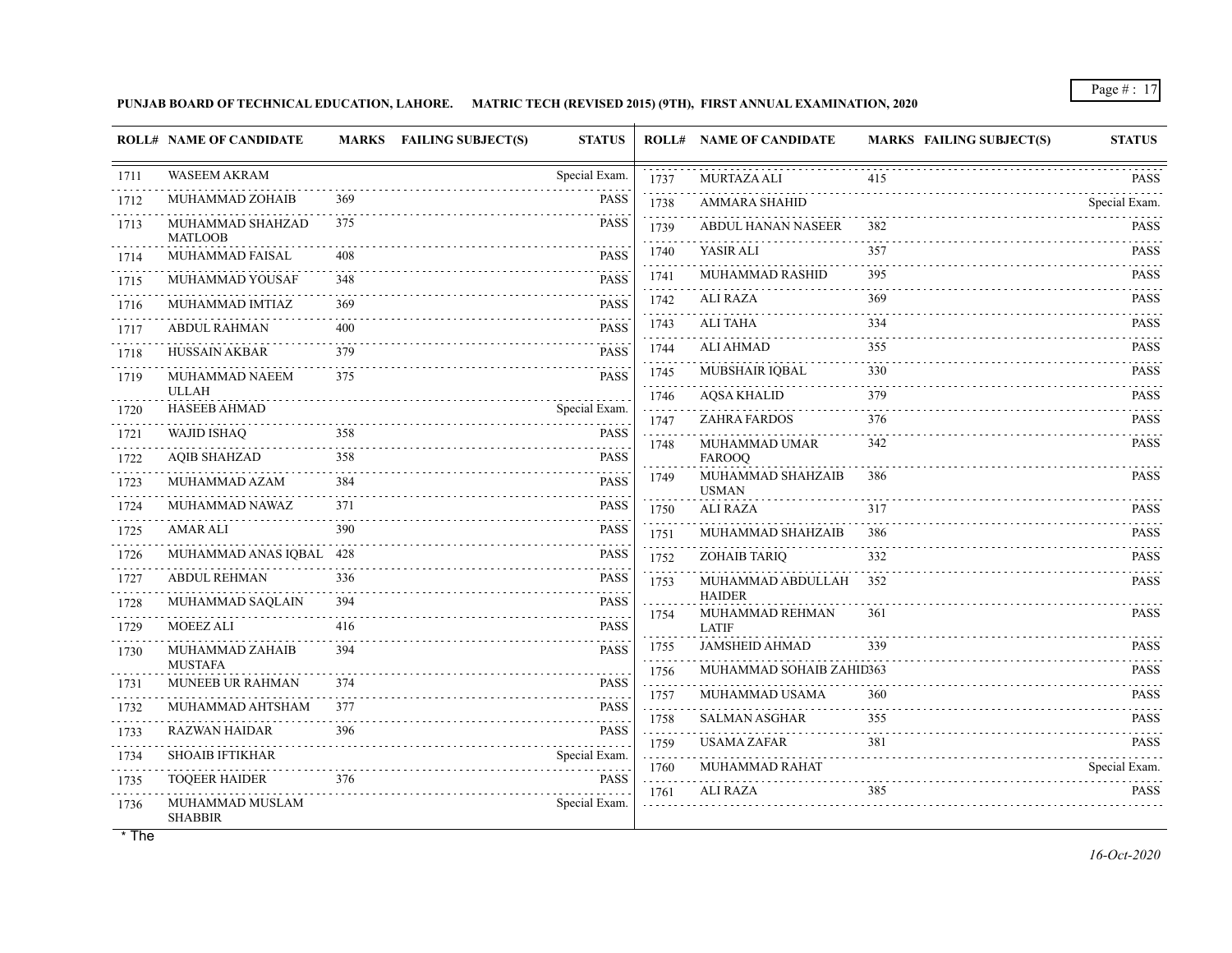**PUNJAB BOARD OF TECHNICAL EDUCATION, LAHORE. MATRIC TECH (REVISED 2015) (9TH), FIRST ANNUAL EXAMINATION, 2020**

|                   | <b>ROLL# NAME OF CANDIDATE</b>     |     | <b>MARKS</b> FAILING SUBJECT(S) | <b>STATUS</b>    |                   | <b>ROLL# NAME OF CANDIDATE</b>     | <b>MARKS FAILING SUBJECT(S)</b> | <b>STATUS</b>      |
|-------------------|------------------------------------|-----|---------------------------------|------------------|-------------------|------------------------------------|---------------------------------|--------------------|
| 1711              | <b>WASEEM AKRAM</b>                |     |                                 | Special Exam.    | 1737              | <b>MURTAZA ALI</b>                 | 415                             | <b>PASS</b>        |
| 1712              | MUHAMMAD ZOHAIB                    | 369 |                                 | PASS             | 1738              | <b>AMMARA SHAHID</b>               |                                 | .<br>Special Exam. |
| 1713              | MUHAMMAD SHAHZAD<br><b>MATLOOB</b> | 375 |                                 | <b>PASS</b>      | 1739              | ABDUL HANAN NASEER                 | 382                             | <b>PASS</b>        |
| 1714              | MUHAMMAD FAISAL                    | 408 |                                 | <b>PASS</b>      | 1740              | YASIR ALI                          | 357                             | <b>PASS</b>        |
| 1715              | MUHAMMAD YOUSAF                    | 348 |                                 | <b>PASS</b>      | 1741              | MUHAMMAD RASHID                    | 395                             | <b>PASS</b>        |
| 1716              | MUHAMMAD IMTIAZ                    | 369 |                                 | <b>PASS</b>      | 1742              | ALI RAZA                           | 369                             | <b>PASS</b>        |
| 1717              | <b>ABDUL RAHMAN</b>                | 400 |                                 | <b>PASS</b>      | 1743              | ALI TAHA                           | 334                             | <b>PASS</b><br>.   |
| .<br>1718         | HUSSAIN AKBAR                      | 379 |                                 | <b>PASS</b>      | 1744              | ALI AHMAD                          | 355                             | <b>PASS</b>        |
| 1719              | MUHAMMAD NAEEM                     | 375 |                                 | <b>PASS</b>      | 1745              | MUBSHAIR IQBAL                     | 330                             | <b>PASS</b>        |
|                   | <b>ULLAH</b>                       |     |                                 |                  | 1746              | <b>AQSA KHALID</b>                 | 379                             | <b>PASS</b>        |
| 1720              | <b>HASEEB AHMAD</b>                |     |                                 | Special Exam.    | 1747              | <b>ZAHRA FARDOS</b>                | 376                             | <b>PASS</b>        |
| 1721<br>.         | <b>WAJID ISHAQ</b>                 | 358 |                                 | <b>PASS</b>      | .<br>1748         | MUHAMMAD UMAR                      | 342                             | .<br><b>PASS</b>   |
| 1722              | <b>AQIB SHAHZAD</b>                | 358 |                                 | <b>PASS</b>      | 1749              | <b>FAROOO</b><br>MUHAMMAD SHAHZAIB | 386                             | <b>PASS</b>        |
| 1723              | MUHAMMAD AZAM                      | 384 |                                 | <b>PASS</b>      |                   | <b>USMAN</b>                       |                                 |                    |
| 1724<br>.         | MUHAMMAD NAWAZ                     | 371 |                                 | <b>PASS</b>      | 1750              | <b>ALI RAZA</b>                    | 317                             | <b>PASS</b>        |
| 1725              | <b>AMAR ALI</b>                    | 390 |                                 | <b>PASS</b>      | 1751              | MUHAMMAD SHAHZAIB                  | 386                             | <b>PASS</b><br>.   |
| 1726<br>.         | MUHAMMAD ANAS IQBAL                | 428 |                                 | <b>PASS</b>      | 1752              | <b>ZOHAIB TARIQ</b>                | 332                             | <b>PASS</b>        |
| 1727<br>المتمامين | <b>ABDUL REHMAN</b>                | 336 |                                 | <b>PASS</b>      | 1753              | MUHAMMAD ABDULLAH                  | 352                             | <b>PASS</b>        |
| 1728              | MUHAMMAD SAQLAIN                   | 394 |                                 | <b>PASS</b>      | 1754              | <b>HAIDER</b><br>MUHAMMAD REHMAN   | 361                             | <b>PASS</b>        |
| .<br>1729         | <b>MOEEZ ALI</b>                   | 416 |                                 | <b>PASS</b>      |                   | <b>LATIF</b>                       |                                 |                    |
| 1730              | MUHAMMAD ZAHAIB                    | 394 |                                 | <b>PASS</b>      | 1755              | JAMSHEID AHMAD                     | 339                             | <b>PASS</b>        |
| 1731              | <b>MUSTAFA</b><br>MUNEEB UR RAHMAN | 374 |                                 | <b>PASS</b>      | 1756<br>.         | MUHAMMAD SOHAIB ZAHID363           |                                 | <b>PASS</b>        |
|                   |                                    | 377 |                                 | .<br><b>PASS</b> | 1757<br>1.1.1.1.1 | MUHAMMAD USAMA                     | 360                             | <b>PASS</b>        |
| 1732              | MUHAMMAD AHTSHAM                   |     | .                               |                  | 1758              | <b>SALMAN ASGHAR</b>               | 355                             | <b>PASS</b>        |
| 1733              | <b>RAZWAN HAIDAR</b>               | 396 |                                 | <b>PASS</b>      | .<br>1759         | <b>USAMA ZAFAR</b>                 | 381                             | <b>PASS</b>        |
| 1734<br>.         | <b>SHOAIB IFTIKHAR</b>             |     |                                 | Special Exam.    | 111111<br>1760    | MUHAMMAD RAHAT                     |                                 | Special Exam.      |
| 1735              | <b>TOQEER HAIDER</b>               | 376 |                                 | <b>PASS</b>      | .<br>1761         | ALI RAZA                           | 385                             | <b>PASS</b>        |
| 1736              | MUHAMMAD MUSLAM<br><b>SHABBIR</b>  |     |                                 | Special Exam.    |                   |                                    |                                 |                    |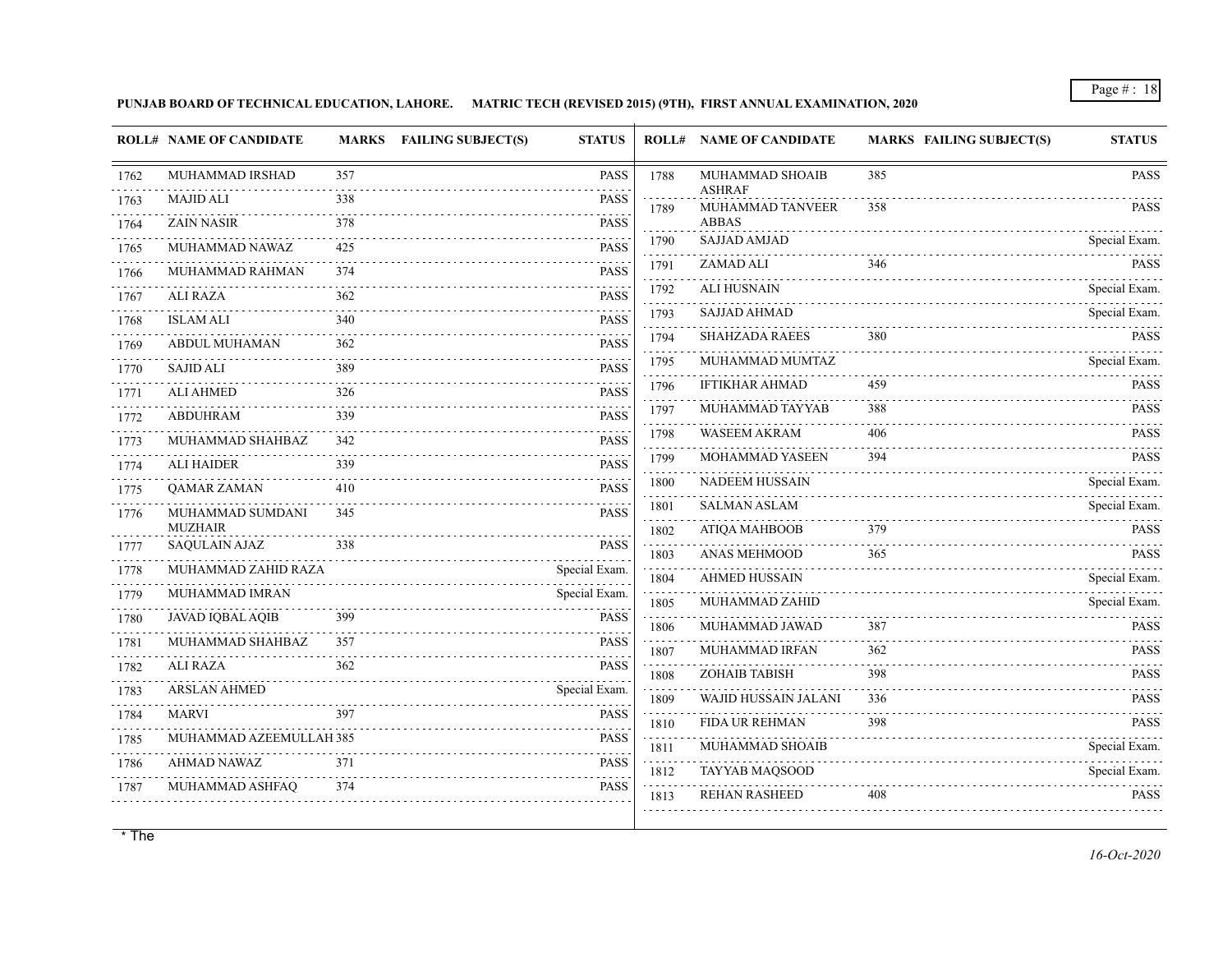**PUNJAB BOARD OF TECHNICAL EDUCATION, LAHORE. MATRIC TECH (REVISED 2015) (9TH), FIRST ANNUAL EXAMINATION, 2020**

|           | <b>ROLL# NAME OF CANDIDATE</b> |     | MARKS FAILING SUBJECT(S)<br><b>STATUS</b> |                                     | <b>ROLL# NAME OF CANDIDATE</b>    | <b>MARKS FAILING SUBJECT(S)</b> | <b>STATUS</b>      |
|-----------|--------------------------------|-----|-------------------------------------------|-------------------------------------|-----------------------------------|---------------------------------|--------------------|
| 1762      | MUHAMMAD IRSHAD                | 357 | <b>PASS</b>                               | 1788                                | MUHAMMAD SHOAIB                   | 385                             | <b>PASS</b>        |
| 1763      | <b>MAJID ALI</b>               | 338 | <b>PASS</b>                               | 1789                                | <b>ASHRAF</b><br>MUHAMMAD TANVEER | 358                             | <b>PASS</b>        |
| 1764      | <b>ZAIN NASIR</b>              | 378 | <b>PASS</b>                               |                                     | <b>ABBAS</b>                      |                                 |                    |
| 1765      | MUHAMMAD NAWAZ                 | 425 | <b>PASS</b>                               | 1790                                | <b>SAJJAD AMJAD</b>               |                                 | Special Exam.      |
| 1766      | MUHAMMAD RAHMAN                | 374 | <b>PASS</b>                               | 1791                                | ZAMAD ALI                         | 346                             | <b>PASS</b><br>.   |
| 1767      | <b>ALI RAZA</b>                | 362 | <b>PASS</b>                               | 1792<br>$\sim$ $\sim$ $\sim$ $\sim$ | <b>ALI HUSNAIN</b>                |                                 | Special Exam.      |
| 1768      | <b>ISLAM ALI</b>               | 340 | <b>PASS</b>                               | 1793                                | <b>SAJJAD AHMAD</b>               |                                 | Special Exam.      |
| .<br>1769 | <b>ABDUL MUHAMAN</b>           | 362 | <b>PASS</b>                               | 1794                                | <b>SHAHZADA RAEES</b>             | 380                             | <b>PASS</b><br>.   |
| 1770      | <b>SAJID ALI</b>               | 389 | <b>PASS</b>                               | 1795                                | MUHAMMAD MUMTAZ                   |                                 | Special Exam.      |
| 1771      | <b>ALI AHMED</b>               | 326 | <b>PASS</b>                               | 1796                                | <b>IFTIKHAR AHMAD</b>             | 459                             | <b>PASS</b>        |
| 1772      | <b>ABDUHRAM</b>                | 339 | <b>PASS</b>                               | 1797<br>.                           | MUHAMMAD TAYYAB                   | 388                             | <b>PASS</b>        |
| 1773      | MUHAMMAD SHAHBAZ               | 342 | <b>PASS</b>                               | 1798                                | WASEEM AKRAM                      | 406                             | <b>PASS</b>        |
| 1774      | <b>ALI HAIDER</b>              | 339 | <b>PASS</b>                               | 1799                                | MOHAMMAD YASEEN                   | 394                             | <b>PASS</b>        |
| 1775      | <b>OAMAR ZAMAN</b>             | 410 | <b>PASS</b>                               | 1800                                | <b>NADEEM HUSSAIN</b>             |                                 | Special Exam.      |
| 1776      | MUHAMMAD SUMDANI               | 345 | <b>PASS</b>                               | 1801                                | <b>SALMAN ASLAM</b>               |                                 | Special Exam.      |
|           | <b>MUZHAIR</b>                 |     |                                           | 1802                                | ATIQA MAHBOOB                     | 379                             | <b>PASS</b>        |
| 1777      | <b>SAQULAIN AJAZ</b>           | 338 | <b>PASS</b>                               | 1803                                | ANAS MEHMOOD                      | 365                             | <b>PASS</b>        |
| 1778<br>. | MUHAMMAD ZAHID RAZA            |     | Special Exam.                             | .<br>1804                           | <b>AHMED HUSSAIN</b>              |                                 | Special Exam.      |
| 1779      | MUHAMMAD IMRAN                 |     | Special Exam.                             | 1805                                | MUHAMMAD ZAHID                    |                                 | Special Exam.      |
| 1780      | JAVAD IQBAL AQIB               | 399 | <b>PASS</b>                               | 1806                                | MUHAMMAD JAWAD                    | 387                             | <b>PASS</b>        |
| 1781<br>. | MUHAMMAD SHAHBAZ               | 357 | <b>PASS</b>                               | 1807                                | MUHAMMAD IRFAN                    | 362                             | <b>PASS</b>        |
| 1782      | <b>ALI RAZA</b>                | 362 | <b>PASS</b>                               | 1808                                | ZOHAIB TABISH                     | 398                             | <b>PASS</b>        |
| 1783      | <b>ARSLAN AHMED</b>            |     | Special Exam.                             | 1809                                | WAJID HUSSAIN JALANI              | 336                             | <b>PASS</b>        |
| 1784      | <b>MARVI</b>                   | 397 | <b>PASS</b>                               | $\omega$ is a set<br>1810           | FIDA UR REHMAN                    | 398                             | <b>PASS</b>        |
| 1785      | MUHAMMAD AZEEMULLAH 385        |     | <b>PASS</b>                               | 1811                                | MUHAMMAD SHOAIB                   |                                 | Special Exam.      |
| 1786      | <b>AHMAD NAWAZ</b>             | 371 | <b>PASS</b>                               | 1812                                | TAYYAB MAQSOOD                    |                                 | .<br>Special Exam. |
| 1787      | MUHAMMAD ASHFAQ                | 374 | <b>PASS</b>                               | .<br>1813                           | <b>REHAN RASHEED</b>              | 408                             | <b>PASS</b>        |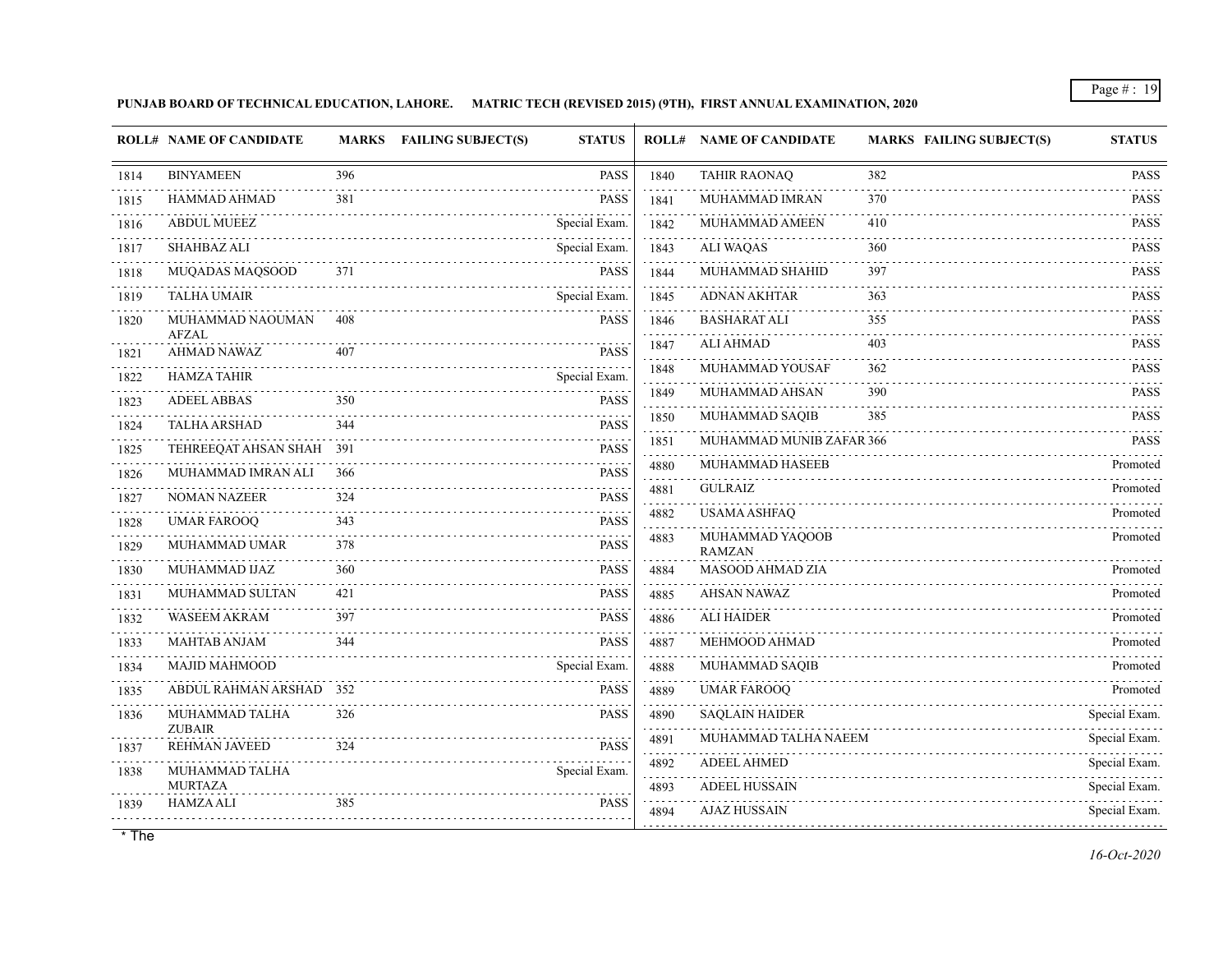**PUNJAB BOARD OF TECHNICAL EDUCATION, LAHORE. MATRIC TECH (REVISED 2015) (9TH), FIRST ANNUAL EXAMINATION, 2020**

|           | <b>ROLL# NAME OF CANDIDATE</b>     |     | MARKS FAILING SUBJECT(S) | <b>STATUS</b> |                   | <b>ROLL# NAME OF CANDIDATE</b>   | <b>MARKS FAILING SUBJECT(S)</b> | <b>STATUS</b>              |
|-----------|------------------------------------|-----|--------------------------|---------------|-------------------|----------------------------------|---------------------------------|----------------------------|
| 1814      | <b>BINYAMEEN</b>                   | 396 |                          | <b>PASS</b>   | 1840              | <b>TAHIR RAONAQ</b>              | 382                             | <b>PASS</b>                |
| 1815      | HAMMAD AHMAD                       | 381 |                          | <b>PASS</b>   | 1841              | MUHAMMAD IMRAN                   | 370                             | and a state<br><b>PASS</b> |
| 1816      | <b>ABDUL MUEEZ</b>                 |     |                          | Special Exam. | 1842              | MUHAMMAD AMEEN                   | 410                             | <b>PASS</b>                |
| 1817      | SHAHBAZ ALI                        |     |                          | Special Exam. | 1843              | <b>ALI WAQAS</b>                 | 360                             | <b>PASS</b>                |
| 1818      | MUQADAS MAQSOOD                    | 371 |                          | <b>PASS</b>   | 1844              | MUHAMMAD SHAHID                  | 397                             | <b>PASS</b>                |
| 1819      | <b>TALHA UMAIR</b>                 |     |                          | Special Exam. | 1845              | <b>ADNAN AKHTAR</b>              | 363                             | <b>PASS</b>                |
| 1820      | MUHAMMAD NAOUMAN                   | 408 |                          | <b>PASS</b>   | 1846<br>.         | <b>BASHARAT ALI</b>              | 355                             | <b>PASS</b>                |
| 1821      | <b>AFZAL</b><br><b>AHMAD NAWAZ</b> | 407 |                          | <b>PASS</b>   | 1847              | <b>ALI AHMAD</b>                 | 403                             | <b>PASS</b><br>111111      |
| .<br>1822 | <b>HAMZA TAHIR</b>                 |     |                          | Special Exam. | 1848              | MUHAMMAD YOUSAF                  | 362                             | <b>PASS</b>                |
| 1823      | <b>ADEEL ABBAS</b>                 | 350 |                          | <b>PASS</b>   | 1849              | MUHAMMAD AHSAN                   | 390                             | <b>PASS</b>                |
| 1824      | <b>TALHA ARSHAD</b>                | 344 |                          | <b>PASS</b>   | 1850              | MUHAMMAD SAQIB                   | 385                             | <b>PASS</b>                |
| 1825      | TEHREEQAT AHSAN SHAH 391           |     |                          | <b>PASS</b>   | 1851              | MUHAMMAD MUNIB ZAFAR 366         |                                 | <b>PASS</b>                |
| 1826      | MUHAMMAD IMRAN ALI                 | 366 |                          | <b>PASS</b>   | 4880              | MUHAMMAD HASEEB                  |                                 | Promoted                   |
| 1827      | <b>NOMAN NAZEER</b>                | 324 |                          | <b>PASS</b>   | 4881              | <b>GULRAIZ</b>                   |                                 | Promoted                   |
| 1828      | <b>UMAR FAROOQ</b>                 | 343 |                          | PASS          | 4882              | <b>USAMA ASHFAO</b>              |                                 | Promoted                   |
| 1829      | MUHAMMAD UMAR                      | 378 |                          | <b>PASS</b>   | 4883              | MUHAMMAD YAQOOB<br><b>RAMZAN</b> |                                 | Promoted                   |
| 1830      | MUHAMMAD IJAZ                      | 360 |                          | <b>PASS</b>   | 4884              | MASOOD AHMAD ZIA                 |                                 | Promoted                   |
| 1831      | MUHAMMAD SULTAN                    | 421 |                          | <b>PASS</b>   | 4885              | <b>AHSAN NAWAZ</b>               |                                 | Promoted                   |
| 1832      | <b>WASEEM AKRAM</b>                | 397 |                          | <b>PASS</b>   | .<br>4886         | <b>ALI HAIDER</b>                |                                 | Promoted                   |
| 1833      | <b>MAHTAB ANJAM</b>                | 344 |                          | <b>PASS</b>   | 2.2.2.2.2<br>4887 | MEHMOOD AHMAD                    |                                 | Promoted                   |
| 1834      | <b>MAJID MAHMOOD</b>               |     |                          | Special Exam. | 4888              | MUHAMMAD SAQIB                   |                                 | Promoted                   |
| 1835      | ABDUL RAHMAN ARSHAD 352            |     |                          | <b>PASS</b>   | 4889              | <b>UMAR FAROOQ</b>               |                                 | Promoted                   |
| 1836      | MUHAMMAD TALHA                     | 326 |                          | <b>PASS</b>   | 4890              | <b>SAQLAIN HAIDER</b>            |                                 | Special Exam.              |
| 1837      | <b>ZUBAIR</b><br>REHMAN JAVEED     | 324 |                          | <b>PASS</b>   | 4891              | MUHAMMAD TALHA NAEEM             |                                 | Special Exam.              |
| 1838      | MUHAMMAD TALHA                     |     |                          | Special Exam. | 4892              | <b>ADEEL AHMED</b>               |                                 | Special Exam.              |
|           | <b>MURTAZA</b>                     |     |                          |               | 4893              | <b>ADEEL HUSSAIN</b>             |                                 | Special Exam.              |
| 1839      | HAMZA ALI                          | 385 |                          | <b>PASS</b>   | 4894              | <b>AJAZ HUSSAIN</b>              |                                 | Special Exam.<br>.         |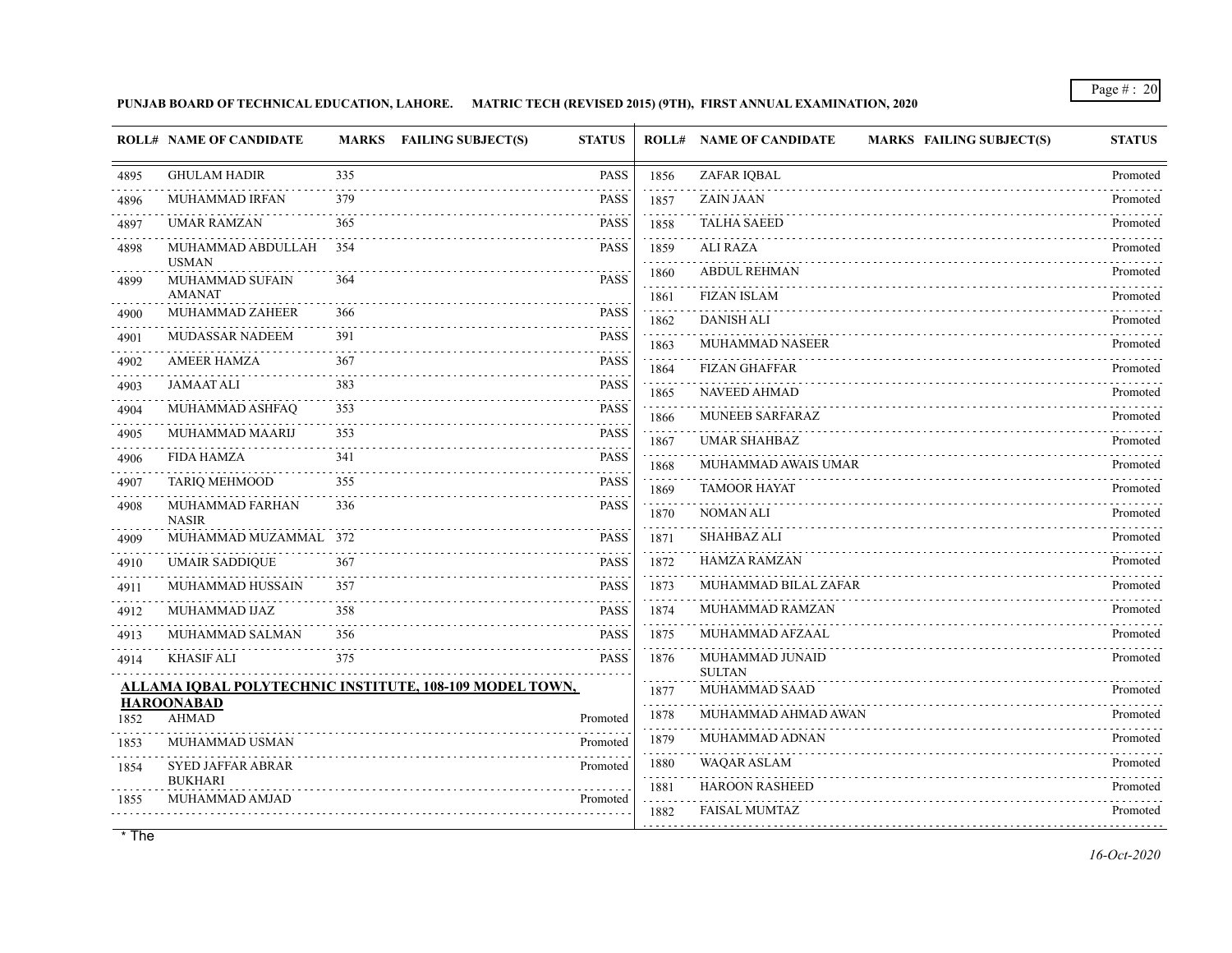**PUNJAB BOARD OF TECHNICAL EDUCATION, LAHORE. MATRIC TECH (REVISED 2015) (9TH), FIRST ANNUAL EXAMINATION, 2020**

|      | <b>ROLL# NAME OF CANDIDATE</b>                          |     | MARKS FAILING SUBJECT(S) | <b>STATUS</b> |           | <b>ROLL# NAME OF CANDIDATE</b><br><b>MARKS FAILING SUBJECT(S)</b> | <b>STATUS</b> |
|------|---------------------------------------------------------|-----|--------------------------|---------------|-----------|-------------------------------------------------------------------|---------------|
| 4895 | <b>GHULAM HADIR</b>                                     | 335 |                          | <b>PASS</b>   | 1856      | ZAFAR IQBAL                                                       | Promoted      |
| 4896 | MUHAMMAD IRFAN                                          | 379 |                          | <b>PASS</b>   | 1857      | <b>ZAIN JAAN</b>                                                  | Promoted      |
| 4897 | <b>UMAR RAMZAN</b>                                      | 365 |                          | <b>PASS</b>   | 1858      | <b>TALHA SAEED</b>                                                | Promoted      |
| 4898 | MUHAMMAD ABDULLAH<br><b>USMAN</b>                       | 354 |                          | <b>PASS</b>   | 1859<br>. | <b>ALI RAZA</b>                                                   | Promoted      |
| 4899 | MUHAMMAD SUFAIN                                         | 364 |                          | <b>PASS</b>   | 1860      | <b>ABDUL REHMAN</b>                                               | Promoted      |
|      | <b>AMANAT</b><br>MUHAMMAD ZAHEER                        | 366 |                          | <b>PASS</b>   | 1861      | <b>FIZAN ISLAM</b>                                                | Promoted      |
| 4900 |                                                         |     |                          |               | 1862      | <b>DANISH ALI</b>                                                 | Promoted      |
| 4901 | <b>MUDASSAR NADEEM</b>                                  | 391 |                          | <b>PASS</b>   | 1863      | <b>MUHAMMAD NASEER</b>                                            | Promoted      |
| 4902 | <b>AMEER HAMZA</b>                                      | 367 |                          | <b>PASS</b>   | 1864      | <b>FIZAN GHAFFAR</b>                                              | Promoted      |
| 4903 | <b>JAMAAT ALI</b>                                       | 383 |                          | <b>PASS</b>   | 1865      | <b>NAVEED AHMAD</b>                                               | Promoted      |
| 4904 | MUHAMMAD ASHFAQ                                         | 353 |                          | <b>PASS</b>   | 1866      | <b>MUNEEB SARFARAZ</b>                                            | Promoted      |
| 4905 | MUHAMMAD MAARIJ                                         | 353 |                          | <b>PASS</b>   | 1867      | <b>UMAR SHAHBAZ</b>                                               | Promoted      |
| 4906 | <b>FIDA HAMZA</b>                                       | 341 |                          | <b>PASS</b>   | 1868      | MUHAMMAD AWAIS UMAR                                               | Promoted      |
| 4907 | <b>TARIQ MEHMOOD</b>                                    | 355 |                          | <b>PASS</b>   | .<br>1869 | <b>TAMOOR HAYAT</b>                                               | Promoted      |
| 4908 | MUHAMMAD FARHAN<br><b>NASIR</b>                         | 336 |                          | <b>PASS</b>   | 1870      | <b>NOMAN ALI</b>                                                  | Promoted      |
| 4909 | MUHAMMAD MUZAMMAL 372                                   |     |                          | <b>PASS</b>   | 1871      | <b>SHAHBAZ ALI</b>                                                | Promoted      |
| 4910 | <b>UMAIR SADDIQUE</b>                                   | 367 |                          | <b>PASS</b>   | 1872      | <b>HAMZA RAMZAN</b>                                               | Promoted      |
| 4911 | MUHAMMAD HUSSAIN                                        | 357 |                          | <b>PASS</b>   | 1873      | MUHAMMAD BILAL ZAFAR                                              | Promoted      |
| 4912 | MUHAMMAD IJAZ                                           | 358 |                          | <b>PASS</b>   | 1874      | MUHAMMAD RAMZAN                                                   | Promoted      |
| 4913 | MUHAMMAD SALMAN                                         | 356 |                          | <b>PASS</b>   | 1875      | MUHAMMAD AFZAAL                                                   | Promoted      |
| 4914 | <b>KHASIF ALI</b>                                       | 375 |                          | <b>PASS</b>   | 1876      | MUHAMMAD JUNAID<br><b>SULTAN</b>                                  | Promoted      |
|      | ALLAMA IQBAL POLYTECHNIC INSTITUTE, 108-109 MODEL TOWN, |     |                          |               | 1877      | MUHAMMAD SAAD                                                     | Promoted      |
| 1852 | <b>HAROONABAD</b><br><b>AHMAD</b>                       |     |                          | Promoted      | 1878      | MUHAMMAD AHMAD AWAN                                               | Promoted      |
| 1853 | MUHAMMAD USMAN                                          |     |                          | Promoted      | 1879      | MUHAMMAD ADNAN                                                    | Promoted      |
| 1854 | <b>SYED JAFFAR ABRAR</b>                                |     |                          | Promoted      | 1880      | <b>WAQAR ASLAM</b>                                                | .<br>Promoted |
|      | <b>BUKHARI</b>                                          |     |                          |               | 1881      | <b>HAROON RASHEED</b>                                             | Promoted      |
| 1855 | MUHAMMAD AMJAD                                          |     |                          | Promoted      | 1882      | FAISAL MUMTAZ                                                     | Promoted      |
|      |                                                         |     |                          |               |           |                                                                   |               |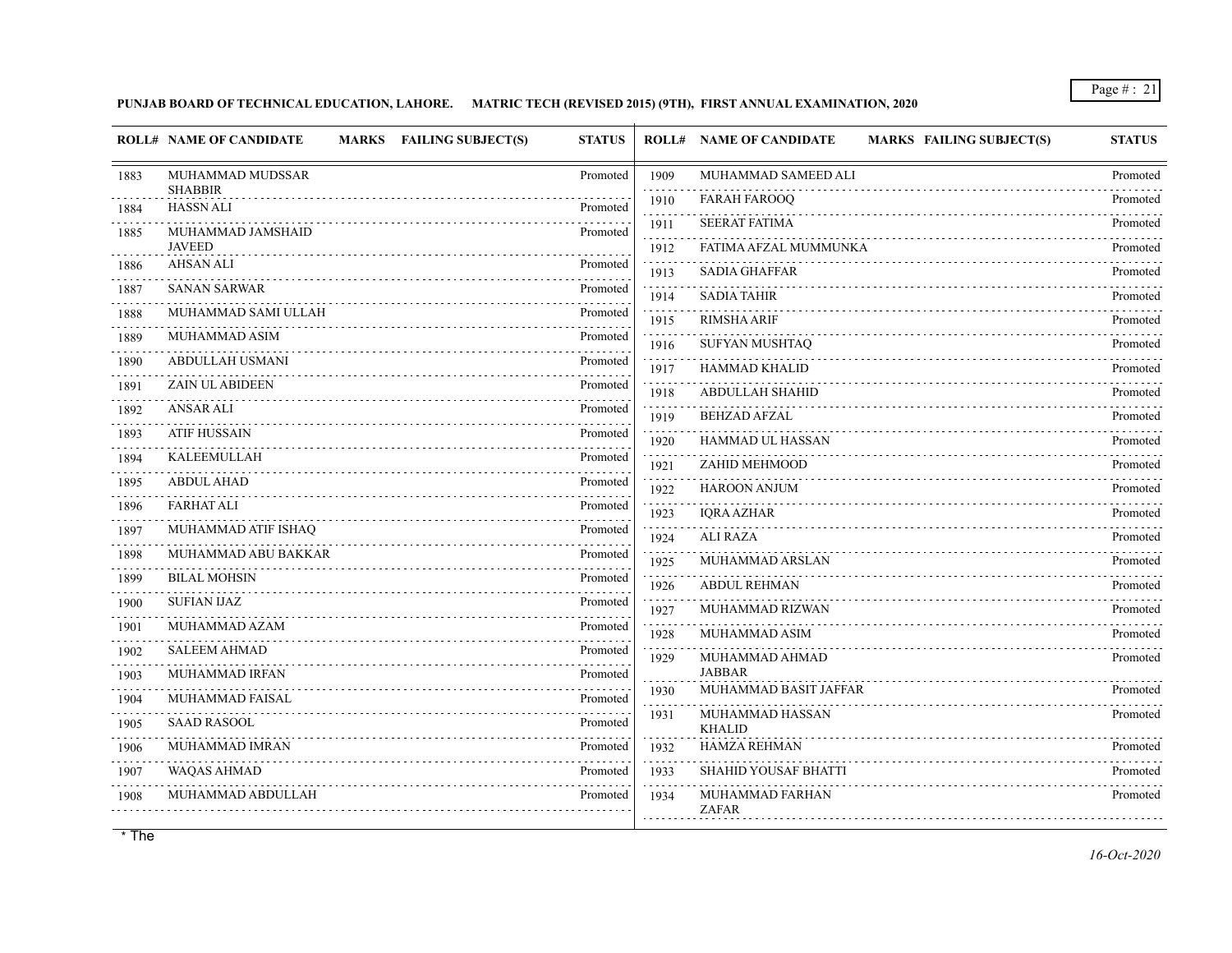## **PUNJAB BOARD OF TECHNICAL EDUCATION, LAHORE. MATRIC TECH (REVISED 2015) (9TH), FIRST ANNUAL EXAMINATION, 2020**

|           | <b>ROLL# NAME OF CANDIDATE</b>     | MARKS FAILING SUBJECT(S) | <b>STATUS</b> |           | <b>MARKS FAILING SUBJECT(S)</b><br><b>ROLL# NAME OF CANDIDATE</b> | <b>STATUS</b> |
|-----------|------------------------------------|--------------------------|---------------|-----------|-------------------------------------------------------------------|---------------|
| 1883      | MUHAMMAD MUDSSAR                   |                          | Promoted      | 1909      | MUHAMMAD SAMEED ALI                                               | Promoted      |
| 1884      | <b>SHABBIR</b><br><b>HASSN ALI</b> |                          | Promoted      | 1910      | <b>FARAH FAROOQ</b>                                               | Promoted      |
| 1885      | MUHAMMAD JAMSHAID                  |                          | Promoted      | 1911      | <b>SEERAT FATIMA</b>                                              | Promoted      |
|           | <b>JAVEED</b>                      |                          |               | 1912      | FATIMA AFZAL MUMMUNKA                                             | Promoted      |
| 1886      | <b>AHSAN ALI</b>                   |                          | Promoted      | 1913      | <b>SADIA GHAFFAR</b>                                              | Promoted      |
| 1887      | <b>SANAN SARWAR</b>                |                          | Promoted      | 1914      | <b>SADIA TAHIR</b>                                                | Promoted      |
| 1888      | MUHAMMAD SAMI ULLAH                |                          | Promoted      | .<br>1915 | <b>RIMSHA ARIF</b>                                                | Promoted      |
| 1889      | MUHAMMAD ASIM                      |                          | Promoted      | 1916      | SUFYAN MUSHTAQ                                                    | Promoted      |
| 1890      | ABDULLAH USMANI                    |                          | Promoted      | 1917      | HAMMAD KHALID                                                     | Promoted      |
| 1891<br>. | <b>ZAIN UL ABIDEEN</b>             |                          | Promoted      | 1918      | <b>ABDULLAH SHAHID</b>                                            | Promoted      |
| 1892      | <b>ANSAR ALI</b>                   |                          | Promoted      | 1919      | <b>BEHZAD AFZAL</b>                                               | Promoted      |
| 1893<br>. | ATIF HUSSAIN                       |                          | Promoted      | 1920      | <b>HAMMAD UL HASSAN</b>                                           | Promoted      |
| 1894      | <b>KALEEMULLAH</b>                 |                          | Promoted      | 1921      | ZAHID MEHMOOD                                                     | Promoted      |
| 1895      | ABDUL AHAD                         |                          | Promoted      | .<br>1922 | <b>HAROON ANJUM</b>                                               | Promoted      |
| 1896      | <b>FARHAT ALI</b>                  |                          | Promoted      | 1923      | <b>IQRA AZHAR</b>                                                 | Promoted      |
| 1897      | MUHAMMAD ATIF ISHAQ                |                          | Promoted      | 1924      | <b>ALI RAZA</b>                                                   | Promoted      |
| .<br>1898 | MUHAMMAD ABU BAKKAR                |                          | Promoted      | 1925      | MUHAMMAD ARSLAN                                                   | Promoted      |
| .<br>1899 | <b>BILAL MOHSIN</b>                |                          | Promoted      | 1926      | <b>ABDUL REHMAN</b>                                               | Promoted      |
| 1900      | <b>SUFIAN IJAZ</b>                 |                          | Promoted      | 1927      | MUHAMMAD RIZWAN                                                   | Promoted      |
| 1901      | MUHAMMAD AZAM                      |                          | Promoted      | .<br>1928 | MUHAMMAD ASIM                                                     | Promoted      |
| 1902      | <b>SALEEM AHMAD</b>                |                          | Promoted      | .<br>1929 | MUHAMMAD AHMAD                                                    | Promoted      |
| 1903      | <b>MUHAMMAD IRFAN</b>              |                          | Promoted      |           | <b>JABBAR</b>                                                     |               |
| 1904      | MUHAMMAD FAISAL                    |                          | Promoted      | 1930      | MUHAMMAD BASIT JAFFAR                                             | Promoted<br>. |
| .<br>1905 | <b>SAAD RASOOL</b>                 |                          | Promoted      | 1931      | MUHAMMAD HASSAN<br><b>KHALID</b>                                  | Promoted      |
| 1906      | MUHAMMAD IMRAN                     |                          | Promoted      | 1932      | <b>HAMZA REHMAN</b>                                               | Promoted      |
| 1907      | <b>WAQAS AHMAD</b>                 |                          | Promoted      | 1933      | <b>SHAHID YOUSAF BHATTI</b>                                       | Promoted      |
| 1908      | MUHAMMAD ABDULLAH                  |                          | Promoted      | 1934      | MUHAMMAD FARHAN<br><b>ZAFAR</b>                                   | Promoted      |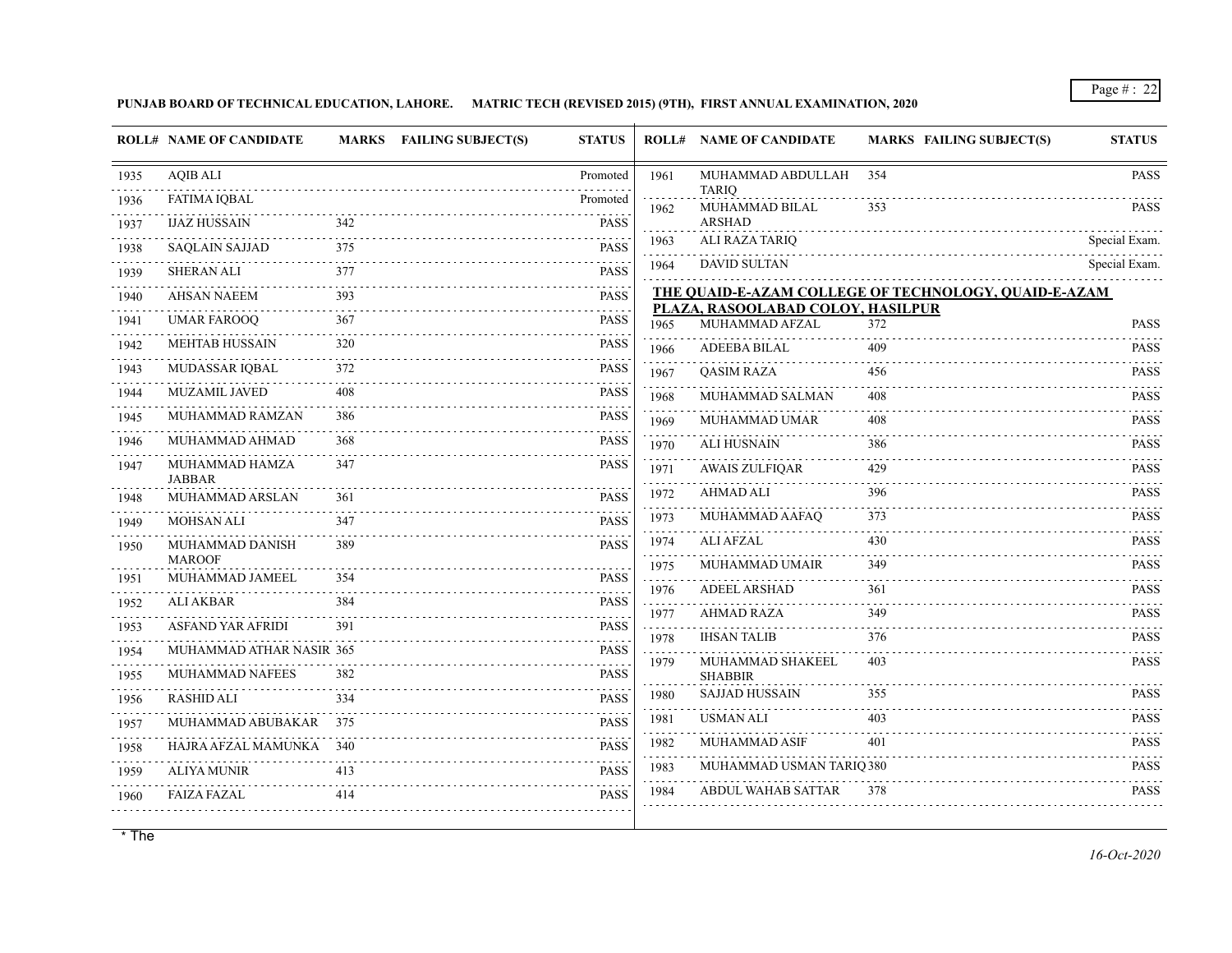## **PUNJAB BOARD OF TECHNICAL EDUCATION, LAHORE. MATRIC TECH (REVISED 2015) (9TH), FIRST ANNUAL EXAMINATION, 2020**

|      | <b>ROLL# NAME OF CANDIDATE</b>   |     | MARKS FAILING SUBJECT(S)<br><b>STATUS</b> |           | <b>ROLL# NAME OF CANDIDATE</b>                      | MARKS FAILING SUBJECT(S)                             | <b>STATUS</b>            |
|------|----------------------------------|-----|-------------------------------------------|-----------|-----------------------------------------------------|------------------------------------------------------|--------------------------|
| 1935 | <b>AQIB ALI</b>                  |     | Promoted                                  | 1961      | MUHAMMAD ABDULLAH                                   | 354                                                  | <b>PASS</b>              |
| 1936 | <b>FATIMA IQBAL</b>              |     | Promoted                                  | 1962      | <b>TARIQ</b><br>MUHAMMAD BILAL                      | 353                                                  | <b>PASS</b>              |
| 1937 | <b>IJAZ HUSSAIN</b>              | 342 | <b>PASS</b>                               |           | <b>ARSHAD</b>                                       |                                                      | <u>.</u> .               |
| 1938 | <b>SAQLAIN SAJJAD</b>            | 375 | <b>PASS</b>                               | 1963      | ALI RAZA TARIQ                                      |                                                      | Special Exam.            |
| 1939 | <b>SHERAN ALI</b>                | 377 | <b>PASS</b>                               | 1964      | <b>DAVID SULTAN</b>                                 |                                                      | Special Exam.            |
| 1940 | <b>AHSAN NAEEM</b>               | 393 | <b>PASS</b>                               |           |                                                     | THE QUAID-E-AZAM COLLEGE OF TECHNOLOGY, QUAID-E-AZAM |                          |
| 1941 | <b>UMAR FAROOQ</b>               | 367 | $-2 - 2 - 1$<br><b>PASS</b>               | 1965      | PLAZA, RASOOLABAD COLOY, HASILPUR<br>MUHAMMAD AFZAL | 372                                                  | <b>PASS</b>              |
| 1942 | <b>MEHTAB HUSSAIN</b>            | 320 | <b>PASS</b>                               | 1966      | ADEEBA BILAL                                        | 409                                                  | <b>PASS</b>              |
| 1943 | MUDASSAR IQBAL                   | 372 | <b>PASS</b>                               | 1967      | <b>QASIM RAZA</b>                                   | 456                                                  | <b>PASS</b>              |
| 1944 | MUZAMIL JAVED                    | 408 | <b>PASS</b>                               | 1968      | MUHAMMAD SALMAN                                     | 408                                                  | <b>PASS</b>              |
| 1945 | MUHAMMAD RAMZAN                  | 386 | <b>PASS</b>                               | 1969      | MUHAMMAD UMAR                                       | 408                                                  | .<br><b>PASS</b>         |
| 1946 | MUHAMMAD AHMAD                   | 368 | <b>PASS</b>                               | 1970      | <b>ALI HUSNAIN</b>                                  | 386                                                  | <b>PASS</b>              |
| 1947 | MUHAMMAD HAMZA                   | 347 | <b>PASS</b>                               | 1971      | <b>AWAIS ZULFIQAR</b>                               | 429                                                  | <b>PASS</b>              |
| 1948 | <b>JABBAR</b><br>MUHAMMAD ARSLAN | 361 | <b>PASS</b>                               | 1972      | <b>AHMAD ALI</b>                                    | 396                                                  | <b>PASS</b>              |
| 1949 | MOHSAN ALI                       | 347 | <b>PASS</b>                               | 1973      | MUHAMMAD AAFAQ                                      | 373                                                  | <b>PASS</b>              |
| 1950 | MUHAMMAD DANISH                  | 389 | <b>PASS</b>                               | 1974      | <b>ALI AFZAL</b>                                    | 430                                                  | <b>PASS</b>              |
|      | <b>MAROOF</b>                    |     |                                           | .<br>1975 | <b>MUHAMMAD UMAIR</b>                               | 349                                                  | <b>PASS</b>              |
| 1951 | MUHAMMAD JAMEEL                  | 354 | <b>PASS</b>                               | .<br>1976 | <b>ADEEL ARSHAD</b>                                 | 361                                                  | 1.1.1.1.1<br><b>PASS</b> |
| 1952 | <b>ALI AKBAR</b>                 | 384 | <b>PASS</b>                               | 1977      | <b>AHMAD RAZA</b>                                   | 349                                                  | <b>PASS</b>              |
| 1953 | <b>ASFAND YAR AFRIDI</b>         | 391 | <b>PASS</b>                               | .<br>1978 | <b>IHSAN TALIB</b>                                  | 376                                                  | <b>PASS</b>              |
| 1954 | MUHAMMAD ATHAR NASIR 365         |     | <b>PASS</b><br>o o o o o                  | 1979      | MUHAMMAD SHAKEEL                                    | 403                                                  | <b>PASS</b>              |
| 1955 | <b>MUHAMMAD NAFEES</b>           | 382 | <b>PASS</b>                               |           | <b>SHABBIR</b>                                      |                                                      |                          |
| 1956 | <b>RASHID ALI</b>                | 334 | <b>PASS</b>                               | 1980      | <b>SAJJAD HUSSAIN</b>                               | 355                                                  | <b>PASS</b>              |
| 1957 | MUHAMMAD ABUBAKAR 375            |     | <b>PASS</b>                               | 1981      | <b>USMAN ALI</b>                                    | 403                                                  | <b>PASS</b>              |
| 1958 | HAJRA AFZAL MAMUNKA 340          |     | <b>PASS</b>                               | 1982      | MUHAMMAD ASIF                                       | 401                                                  | <b>PASS</b>              |
| 1959 | <b>ALIYA MUNIR</b>               | 413 | <b>PASS</b>                               | 1983      | MUHAMMAD USMAN TARIQ 380                            |                                                      | <b>PASS</b><br>1.1.1.1.1 |
| 1960 | <b>FAIZA FAZAL</b>               | 414 | <b>PASS</b>                               | 1984      | <b>ABDUL WAHAB SATTAR</b>                           | 378                                                  | <b>PASS</b>              |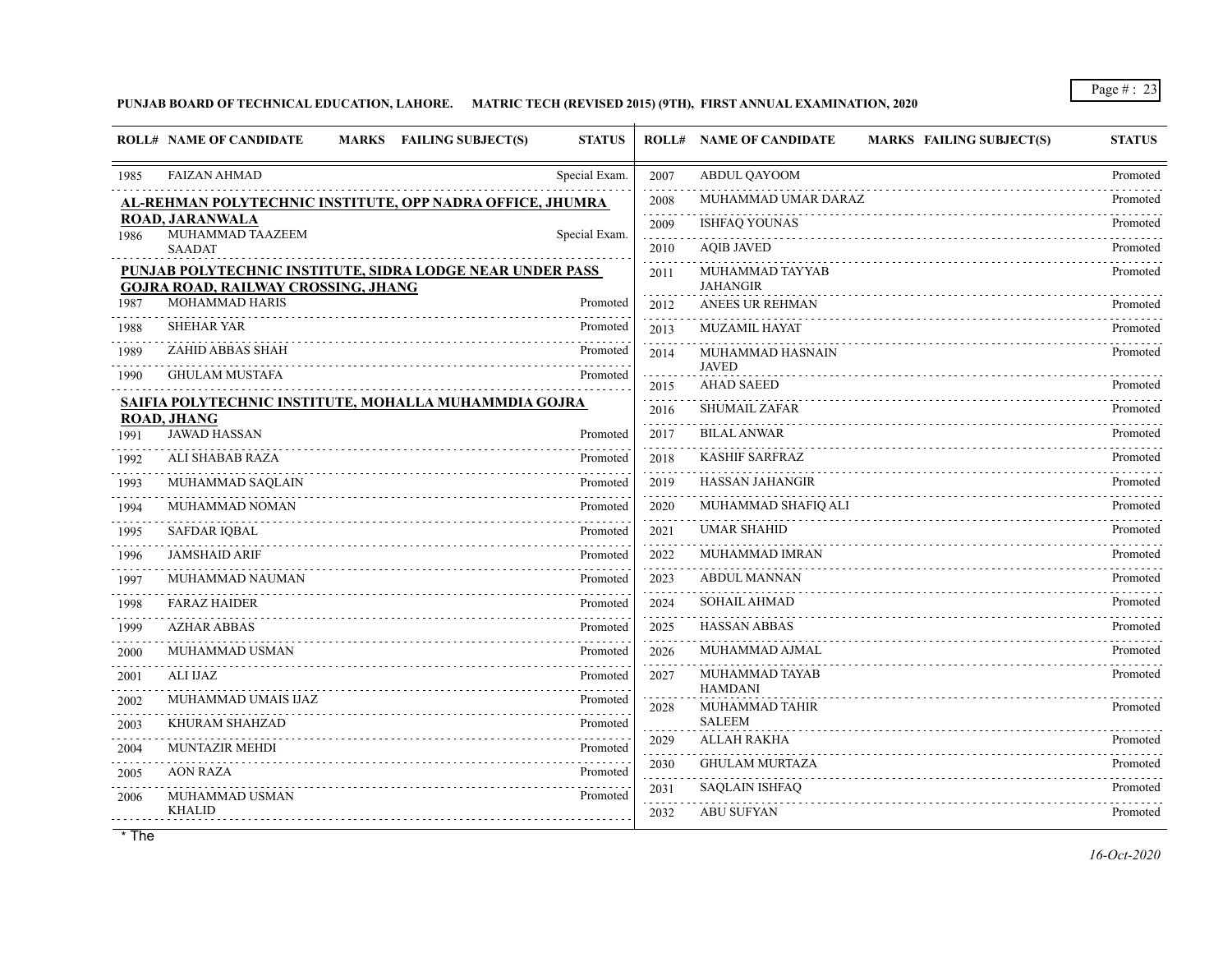#### **PUNJAB BOARD OF TECHNICAL EDUCATION, LAHORE. MATRIC TECH (REVISED 2015) (9TH), FIRST ANNUAL EXAMINATION, 2020**

|      | <b>ROLL# NAME OF CANDIDATE</b><br><b>MARKS</b>               | <b>FAILING SUBJECT(S)</b><br><b>STATUS</b>                |           | <b>ROLL# NAME OF CANDIDATE</b><br><b>MARKS FAILING SUBJECT(S)</b> | <b>STATUS</b> |
|------|--------------------------------------------------------------|-----------------------------------------------------------|-----------|-------------------------------------------------------------------|---------------|
| 1985 | <b>FAIZAN AHMAD</b>                                          | Special Exam.                                             | 2007      | ABDUL QAYOOM                                                      | Promoted<br>. |
|      |                                                              | AL-REHMAN POLYTECHNIC INSTITUTE, OPP NADRA OFFICE, JHUMRA | 2008      | MUHAMMAD UMAR DARAZ                                               | Promoted      |
| 1986 | <b>ROAD, JARANWALA</b><br>MUHAMMAD TAAZEEM                   | Special Exam.                                             | 2009      | <b>ISHFAQ YOUNAS</b>                                              | Promoted      |
|      | <b>SAADAT</b>                                                |                                                           | 2010      | <b>AOIB JAVED</b>                                                 | Promoted      |
|      |                                                              | PUNJAB POLYTECHNIC INSTITUTE, SIDRA LODGE NEAR UNDER PASS | 2011      | MUHAMMAD TAYYAB                                                   | Promoted      |
| 1987 | <b>GOJRA ROAD, RAILWAY CROSSING, JHANG</b><br>MOHAMMAD HARIS | Promoted                                                  | 2012      | <b>JAHANGIR</b><br><b>ANEES UR REHMAN</b>                         | Promoted      |
| 1988 | <b>SHEHAR YAR</b>                                            | Promoted                                                  | 2013      | <b>MUZAMIL HAYAT</b>                                              | Promoted      |
| 1989 | ZAHID ABBAS SHAH                                             | Promoted                                                  | 2014      | MUHAMMAD HASNAIN                                                  | Promoted      |
| 1990 | <b>GHULAM MUSTAFA</b>                                        | Promoted                                                  | .         | <b>JAVED</b>                                                      |               |
|      |                                                              | SAIFIA POLYTECHNIC INSTITUTE, MOHALLA MUHAMMDIA GOJRA     | 2015      | <b>AHAD SAEED</b>                                                 | Promoted      |
|      | <b>ROAD, JHANG</b>                                           |                                                           | 2016      | SHUMAIL ZAFAR                                                     | Promoted      |
| 1991 | <b>JAWAD HASSAN</b>                                          | Promoted                                                  | 2017      | <b>BILAL ANWAR</b>                                                | Promoted      |
| 1992 | ALI SHABAB RAZA                                              | Promoted                                                  | 2018      | <b>KASHIF SARFRAZ</b>                                             | Promoted      |
| 1993 | MUHAMMAD SAQLAIN                                             | Promoted                                                  | 2019      | <b>HASSAN JAHANGIR</b>                                            | Promoted      |
| 1994 | MUHAMMAD NOMAN                                               | Promoted                                                  | 2020      | MUHAMMAD SHAFIO ALI                                               | Promoted      |
| 1995 | <b>SAFDAR IQBAL</b>                                          | Promoted                                                  | 2021<br>. | <b>UMAR SHAHID</b>                                                | Promoted      |
| 1996 | <b>JAMSHAID ARIF</b>                                         | Promoted                                                  | 2022      | MUHAMMAD IMRAN                                                    | Promoted      |
| 1997 | MUHAMMAD NAUMAN                                              | Promoted                                                  | 2023      | <b>ABDUL MANNAN</b>                                               | Promoted      |
| 1998 | <b>FARAZ HAIDER</b>                                          | Promoted                                                  | 2024      | <b>SOHAIL AHMAD</b>                                               | Promoted      |
| 1999 | <b>AZHAR ABBAS</b>                                           | Promoted                                                  | 2025<br>. | <b>HASSAN ABBAS</b>                                               | Promoted      |
| 2000 | MUHAMMAD USMAN                                               | Promoted                                                  | 2026      | MUHAMMAD AJMAL                                                    | Promoted      |
| 2001 | <b>ALI IJAZ</b>                                              | Promoted                                                  | 2027      | MUHAMMAD TAYAB                                                    | Promoted      |
| 2002 | MUHAMMAD UMAIS IJAZ                                          | Promoted<br>.                                             | 2028      | HAMDANI<br><b>MUHAMMAD TAHIR</b>                                  | Promoted      |
| 2003 | KHURAM SHAHZAD                                               | Promoted                                                  |           | <b>SALEEM</b>                                                     |               |
| 2004 | <b>MUNTAZIR MEHDI</b>                                        | Promoted                                                  | 2029<br>. | <b>ALLAH RAKHA</b>                                                | Promoted      |
| 2005 | <b>AON RAZA</b>                                              | Promoted                                                  | 2030      | <b>GHULAM MURTAZA</b>                                             | Promoted      |
| 2006 | MUHAMMAD USMAN                                               | Promoted                                                  | 2031      | <b>SAQLAIN ISHFAQ</b>                                             | Promoted      |
|      | <b>KHALID</b>                                                |                                                           | 2032      | <b>ABU SUFYAN</b>                                                 | Promoted      |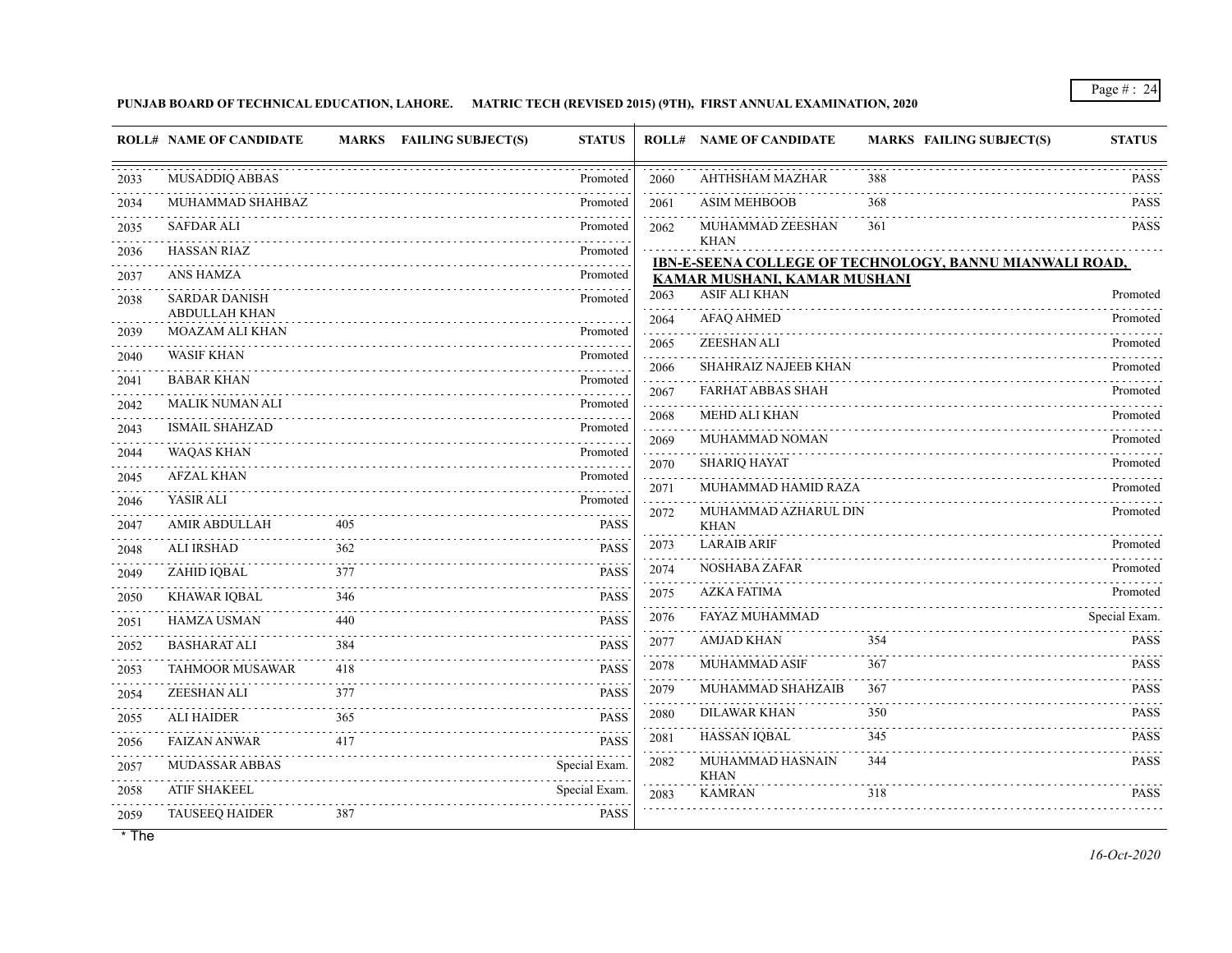## **PUNJAB BOARD OF TECHNICAL EDUCATION, LAHORE. MATRIC TECH (REVISED 2015) (9TH), FIRST ANNUAL EXAMINATION, 2020**

|           | <b>ROLL# NAME OF CANDIDATE</b>                 | <b>MARKS</b> | <b>FAILING SUBJECT(S)</b> | <b>STATUS</b>    |                    | <b>ROLL# NAME OF CANDIDATE</b>      | <b>MARKS FAILING SUBJECT(S)</b>                         | <b>STATUS</b>                                                     |
|-----------|------------------------------------------------|--------------|---------------------------|------------------|--------------------|-------------------------------------|---------------------------------------------------------|-------------------------------------------------------------------|
| 2033      | MUSADDIQ ABBAS                                 |              |                           | Promoted         | 2060               | AHTHSHAM MAZHAR                     | 388                                                     | PASS                                                              |
| 2034      | MUHAMMAD SHAHBAZ                               |              |                           | Promoted         | 2061               | <b>ASIM MEHBOOB</b>                 | 368                                                     | PASS                                                              |
| 2035      | <b>SAFDAR ALI</b>                              |              |                           | Promoted         | 2062               | MUHAMMAD ZEESHAN                    | 361                                                     | <b>PASS</b>                                                       |
| .<br>2036 | <b>HASSAN RIAZ</b>                             |              |                           | Promoted         |                    | <b>KHAN</b>                         | IBN-E-SEENA COLLEGE OF TECHNOLOGY, BANNU MIANWALI ROAD, |                                                                   |
| 2037      | <b>ANS HAMZA</b>                               |              |                           | Promoted         |                    | KAMAR MUSHANI, KAMAR MUSHANI        |                                                         |                                                                   |
| 2038      | <b>SARDAR DANISH</b>                           |              |                           | Promoted         | 2063               | <b>ASIF ALI KHAN</b>                |                                                         | Promoted                                                          |
| 2039      | <b>ABDULLAH KHAN</b><br><b>MOAZAM ALI KHAN</b> |              |                           | Promoted         | 2064               | <b>AFAQ AHMED</b>                   |                                                         | Promoted                                                          |
| 2040      | <b>WASIF KHAN</b>                              |              |                           | Promoted         | 2065               | ZEESHAN ALI                         |                                                         | Promoted                                                          |
| 2041      | <b>BABAR KHAN</b>                              |              |                           | Promoted         | 2066               | <b>SHAHRAIZ NAJEEB KHAN</b>         |                                                         | Promoted                                                          |
| 2042      | <b>MALIK NUMAN ALI</b>                         |              |                           | Promoted         | 2067               | <b>FARHAT ABBAS SHAH</b>            |                                                         | Promoted                                                          |
| 2043      | <b>ISMAIL SHAHZAD</b>                          |              |                           | Promoted         | 2068               | <b>MEHD ALI KHAN</b>                |                                                         | Promoted                                                          |
| 2044      | <b>WAQAS KHAN</b>                              |              |                           | Promoted         | 2069               | MUHAMMAD NOMAN                      |                                                         | Promoted                                                          |
| 2045      | <b>AFZAL KHAN</b>                              |              |                           | Promoted         | 2070<br>والمتابعات | <b>SHARIQ HAYAT</b>                 |                                                         | Promoted                                                          |
| 2046      | YASIR ALI                                      |              |                           | Promoted         | 2071               | MUHAMMAD HAMID RAZA                 |                                                         | Promoted                                                          |
| 2047      | <b>AMIR ABDULLAH</b>                           | 405          |                           | <b>PASS</b>      | 2072               | MUHAMMAD AZHARUL DIN<br><b>KHAN</b> |                                                         | Promoted                                                          |
| 2048      | <b>ALI IRSHAD</b>                              | 362          |                           | <b>PASS</b>      | 2073               | <b>LARAIB ARIF</b>                  |                                                         | Promoted                                                          |
| 2049      | ZAHID IQBAL                                    | 377          |                           | .<br><b>PASS</b> | 2074               | NOSHABA ZAFAR                       |                                                         | Promoted<br>.                                                     |
| 2050      | <b>KHAWAR IQBAL</b>                            | 346          |                           | <b>PASS</b>      | 2075               | <b>AZKA FATIMA</b>                  |                                                         | Promoted                                                          |
| 2051      | <b>HAMZA USMAN</b>                             | 440          |                           | <b>PASS</b>      | 2076               | FAYAZ MUHAMMAD                      |                                                         | Special Exam.                                                     |
| 2052      | <b>BASHARAT ALI</b>                            | 384          |                           | <b>PASS</b>      | 2077               | <b>AMJAD KHAN</b>                   | 354                                                     | <b>PASS</b>                                                       |
| 2053      | <b>TAHMOOR MUSAWAR</b>                         | 418          |                           | <b>PASS</b>      | 2078               | <b>MUHAMMAD ASIF</b>                | 367                                                     | <b>PASS</b>                                                       |
| 2054      | ZEESHAN ALI                                    | 377          |                           | <b>PASS</b>      | 2079               | MUHAMMAD SHAHZAIB                   | 367                                                     | <b>PASS</b>                                                       |
| 2055      | <b>ALI HAIDER</b>                              | 365          |                           | <b>PASS</b>      | 2080               | <b>DILAWAR KHAN</b>                 | 350                                                     | <b>PASS</b>                                                       |
| .<br>2056 | <b>FAIZAN ANWAR</b>                            | 417          |                           | <b>PASS</b>      | 2081               | HASSAN IQBAL                        | 345                                                     | <b>PASS</b><br>$\mathbb{Z}^2$ . $\mathbb{Z}^2$ , $\mathbb{Z}^2$ , |
| 2057      | MUDASSAR ABBAS                                 |              |                           | Special Exam.    | 2082               | MUHAMMAD HASNAIN<br><b>KHAN</b>     | 344                                                     | <b>PASS</b>                                                       |
| 2058      | <b>ATIF SHAKEEL</b>                            |              |                           | Special Exam.    | 2083               | <b>KAMRAN</b>                       | 318                                                     | <b>PASS</b>                                                       |
| 2059      | <b>TAUSEEQ HAIDER</b>                          | 387          |                           | <b>PASS</b>      |                    |                                     |                                                         |                                                                   |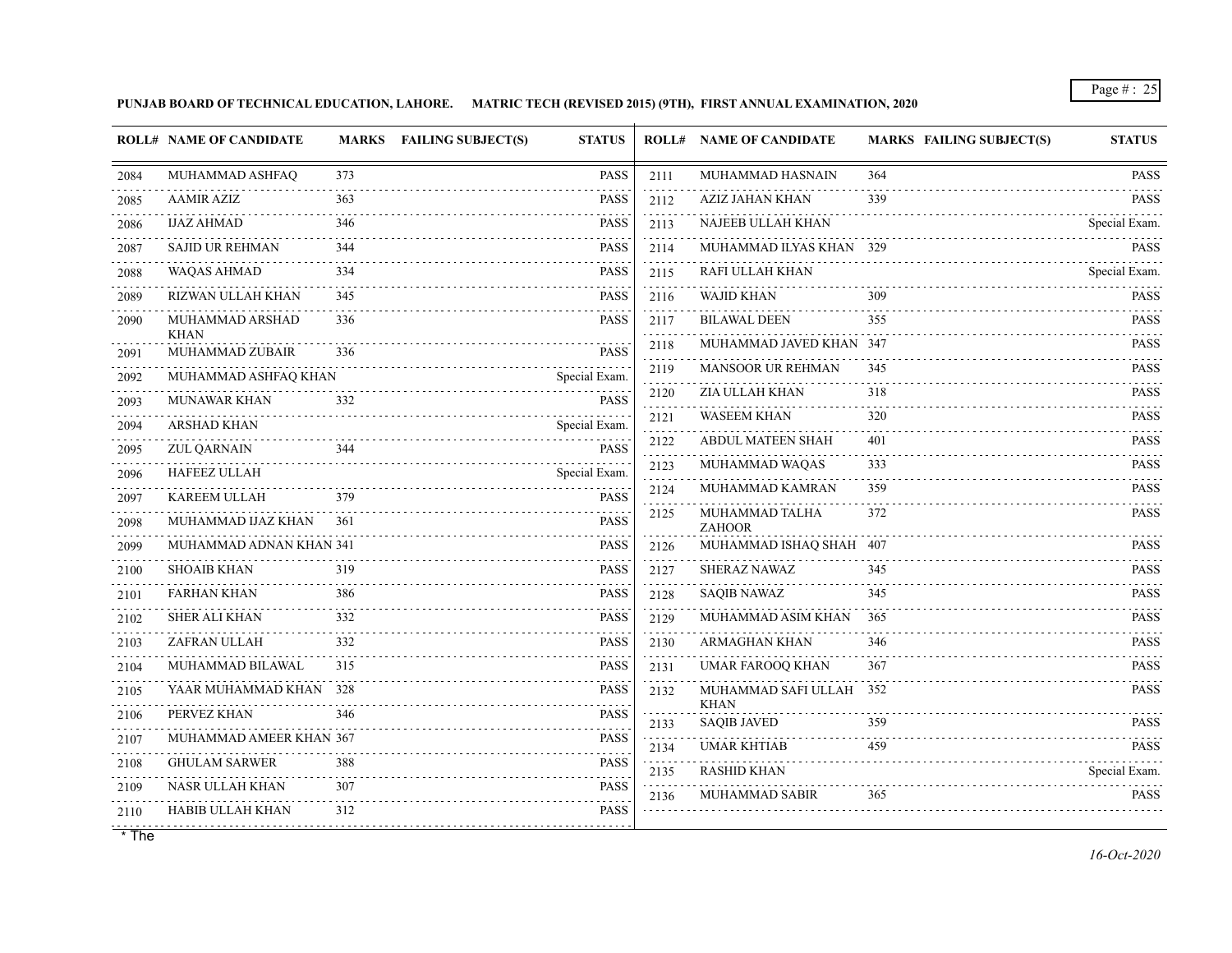**PUNJAB BOARD OF TECHNICAL EDUCATION, LAHORE. MATRIC TECH (REVISED 2015) (9TH), FIRST ANNUAL EXAMINATION, 2020**

| 373<br><b>PASS</b><br>MUHAMMAD ASHFAQ<br>MUHAMMAD HASNAIN<br>364<br><b>PASS</b><br>2111<br>2084<br><b>PASS</b><br><b>AZIZ JAHAN KHAN</b><br>339<br><b>PASS</b><br><b>AAMIR AZIZ</b><br>363<br>2112<br>2085<br><b>NAJEEB ULLAH KHAN</b><br><b>IJAZ AHMAD</b><br>346<br><b>PASS</b><br>2113<br>Special Exam.<br>2086<br><b>PASS</b><br>MUHAMMAD ILYAS KHAN 329<br><b>SAJID UR REHMAN</b><br>344<br><b>PASS</b><br>2114<br>2087<br><u>.</u><br><b>WAQAS AHMAD</b><br>334<br><b>PASS</b><br>RAFI ULLAH KHAN<br>2115<br>Special Exam.<br>2088<br><b>WAJID KHAN</b><br>RIZWAN ULLAH KHAN<br><b>PASS</b><br>309<br>345<br>2089<br>2116<br>MUHAMMAD ARSHAD<br>336<br><b>PASS</b><br><b>BILAWAL DEEN</b><br>2117<br>355<br>2090<br><b>KHAN</b><br>$- - - - -$<br>MUHAMMAD JAVED KHAN 347<br><b>PASS</b><br>2118<br>MUHAMMAD ZUBAIR<br><b>PASS</b><br>336<br>2091<br>MANSOOR UR REHMAN<br>2119<br><b>PASS</b><br>345<br>MUHAMMAD ASHFAQ KHAN<br>Special Exam.<br>2092<br><b>ZIA ULLAH KHAN</b><br>318<br>2120<br><b>PASS</b><br><b>MUNAWAR KHAN</b><br>332<br><b>PASS</b><br>2093<br><b>WASEEM KHAN</b><br><b>PASS</b><br>2121<br>320<br><b>ARSHAD KHAN</b><br>Special Exam.<br>2094<br>2.2.2.2.2.1<br><b>PASS</b><br>2122<br><b>ABDUL MATEEN SHAH</b><br>401<br><b>ZUL QARNAIN</b><br>344<br><b>PASS</b><br>2095<br>.<br>. |
|-------------------------------------------------------------------------------------------------------------------------------------------------------------------------------------------------------------------------------------------------------------------------------------------------------------------------------------------------------------------------------------------------------------------------------------------------------------------------------------------------------------------------------------------------------------------------------------------------------------------------------------------------------------------------------------------------------------------------------------------------------------------------------------------------------------------------------------------------------------------------------------------------------------------------------------------------------------------------------------------------------------------------------------------------------------------------------------------------------------------------------------------------------------------------------------------------------------------------------------------------------------------------------------------------------------------|
|                                                                                                                                                                                                                                                                                                                                                                                                                                                                                                                                                                                                                                                                                                                                                                                                                                                                                                                                                                                                                                                                                                                                                                                                                                                                                                                   |
|                                                                                                                                                                                                                                                                                                                                                                                                                                                                                                                                                                                                                                                                                                                                                                                                                                                                                                                                                                                                                                                                                                                                                                                                                                                                                                                   |
|                                                                                                                                                                                                                                                                                                                                                                                                                                                                                                                                                                                                                                                                                                                                                                                                                                                                                                                                                                                                                                                                                                                                                                                                                                                                                                                   |
|                                                                                                                                                                                                                                                                                                                                                                                                                                                                                                                                                                                                                                                                                                                                                                                                                                                                                                                                                                                                                                                                                                                                                                                                                                                                                                                   |
|                                                                                                                                                                                                                                                                                                                                                                                                                                                                                                                                                                                                                                                                                                                                                                                                                                                                                                                                                                                                                                                                                                                                                                                                                                                                                                                   |
|                                                                                                                                                                                                                                                                                                                                                                                                                                                                                                                                                                                                                                                                                                                                                                                                                                                                                                                                                                                                                                                                                                                                                                                                                                                                                                                   |
|                                                                                                                                                                                                                                                                                                                                                                                                                                                                                                                                                                                                                                                                                                                                                                                                                                                                                                                                                                                                                                                                                                                                                                                                                                                                                                                   |
|                                                                                                                                                                                                                                                                                                                                                                                                                                                                                                                                                                                                                                                                                                                                                                                                                                                                                                                                                                                                                                                                                                                                                                                                                                                                                                                   |
|                                                                                                                                                                                                                                                                                                                                                                                                                                                                                                                                                                                                                                                                                                                                                                                                                                                                                                                                                                                                                                                                                                                                                                                                                                                                                                                   |
|                                                                                                                                                                                                                                                                                                                                                                                                                                                                                                                                                                                                                                                                                                                                                                                                                                                                                                                                                                                                                                                                                                                                                                                                                                                                                                                   |
|                                                                                                                                                                                                                                                                                                                                                                                                                                                                                                                                                                                                                                                                                                                                                                                                                                                                                                                                                                                                                                                                                                                                                                                                                                                                                                                   |
|                                                                                                                                                                                                                                                                                                                                                                                                                                                                                                                                                                                                                                                                                                                                                                                                                                                                                                                                                                                                                                                                                                                                                                                                                                                                                                                   |
| MUHAMMAD WAQAS<br>333<br><b>PASS</b><br>2123<br><b>HAFEEZ ULLAH</b><br>Special Exam.<br>2096                                                                                                                                                                                                                                                                                                                                                                                                                                                                                                                                                                                                                                                                                                                                                                                                                                                                                                                                                                                                                                                                                                                                                                                                                      |
| MUHAMMAD KAMRAN<br><b>PASS</b><br>2124<br>359<br><b>PASS</b><br><b>KAREEM ULLAH</b><br>379<br>2097                                                                                                                                                                                                                                                                                                                                                                                                                                                                                                                                                                                                                                                                                                                                                                                                                                                                                                                                                                                                                                                                                                                                                                                                                |
| MUHAMMAD TALHA<br>372<br><b>PASS</b><br>2125<br>MUHAMMAD IJAZ KHAN<br><b>PASS</b><br>361<br>2098<br><b>ZAHOOR</b>                                                                                                                                                                                                                                                                                                                                                                                                                                                                                                                                                                                                                                                                                                                                                                                                                                                                                                                                                                                                                                                                                                                                                                                                 |
| <b>PASS</b><br>MUHAMMAD ADNAN KHAN 341<br>MUHAMMAD ISHAQ SHAH 407<br><b>PASS</b><br>2126<br>2099                                                                                                                                                                                                                                                                                                                                                                                                                                                                                                                                                                                                                                                                                                                                                                                                                                                                                                                                                                                                                                                                                                                                                                                                                  |
| <b>SHOAIB KHAN</b><br>SHERAZ NAWAZ<br><b>PASS</b><br>319<br>2127<br><b>PASS</b><br>345<br>2100                                                                                                                                                                                                                                                                                                                                                                                                                                                                                                                                                                                                                                                                                                                                                                                                                                                                                                                                                                                                                                                                                                                                                                                                                    |
| <b>PASS</b><br><b>FARHAN KHAN</b><br><b>SAQIB NAWAZ</b><br><b>PASS</b><br>386<br>345<br>2128<br>2101                                                                                                                                                                                                                                                                                                                                                                                                                                                                                                                                                                                                                                                                                                                                                                                                                                                                                                                                                                                                                                                                                                                                                                                                              |
| <b>SHER ALI KHAN</b><br>332<br><b>PASS</b><br>MUHAMMAD ASIM KHAN<br>2129<br>365<br><b>PASS</b><br>2102                                                                                                                                                                                                                                                                                                                                                                                                                                                                                                                                                                                                                                                                                                                                                                                                                                                                                                                                                                                                                                                                                                                                                                                                            |
| ZAFRAN ULLAH<br><b>PASS</b><br><b>ARMAGHAN KHAN</b><br><b>PASS</b><br>332<br>2130<br>346<br>2103                                                                                                                                                                                                                                                                                                                                                                                                                                                                                                                                                                                                                                                                                                                                                                                                                                                                                                                                                                                                                                                                                                                                                                                                                  |
| MUHAMMAD BILAWAL<br><b>PASS</b><br><b>UMAR FAROOQ KHAN</b><br><b>PASS</b><br>315<br>2131<br>367<br>2104                                                                                                                                                                                                                                                                                                                                                                                                                                                                                                                                                                                                                                                                                                                                                                                                                                                                                                                                                                                                                                                                                                                                                                                                           |
| YAAR MUHAMMAD KHAN 328<br>MUHAMMAD SAFI ULLAH 352<br><b>PASS</b><br>2132<br>2105                                                                                                                                                                                                                                                                                                                                                                                                                                                                                                                                                                                                                                                                                                                                                                                                                                                                                                                                                                                                                                                                                                                                                                                                                                  |
| <b>KHAN</b><br>PERVEZ KHAN<br><b>PASS</b><br>346<br>2106<br><b>SAQIB JAVED</b><br>359<br><b>PASS</b><br>2133                                                                                                                                                                                                                                                                                                                                                                                                                                                                                                                                                                                                                                                                                                                                                                                                                                                                                                                                                                                                                                                                                                                                                                                                      |
| .<br><b>PASS</b><br>MUHAMMAD AMEER KHAN 367<br>2107<br><b>UMAR KHTIAB</b><br>459<br><b>PASS</b><br>2134                                                                                                                                                                                                                                                                                                                                                                                                                                                                                                                                                                                                                                                                                                                                                                                                                                                                                                                                                                                                                                                                                                                                                                                                           |
| <b>PASS</b><br><b>GHULAM SARWER</b><br>388<br>2108<br><b>RASHID KHAN</b><br>Special Exam.<br>2135                                                                                                                                                                                                                                                                                                                                                                                                                                                                                                                                                                                                                                                                                                                                                                                                                                                                                                                                                                                                                                                                                                                                                                                                                 |
| NASR ULLAH KHAN<br><b>PASS</b><br>307<br>2109<br><b>MUHAMMAD SABIR</b><br><b>PASS</b><br>365<br>2136                                                                                                                                                                                                                                                                                                                                                                                                                                                                                                                                                                                                                                                                                                                                                                                                                                                                                                                                                                                                                                                                                                                                                                                                              |
| <b>PASS</b><br>HABIB ULLAH KHAN<br>312<br>2110<br>.                                                                                                                                                                                                                                                                                                                                                                                                                                                                                                                                                                                                                                                                                                                                                                                                                                                                                                                                                                                                                                                                                                                                                                                                                                                               |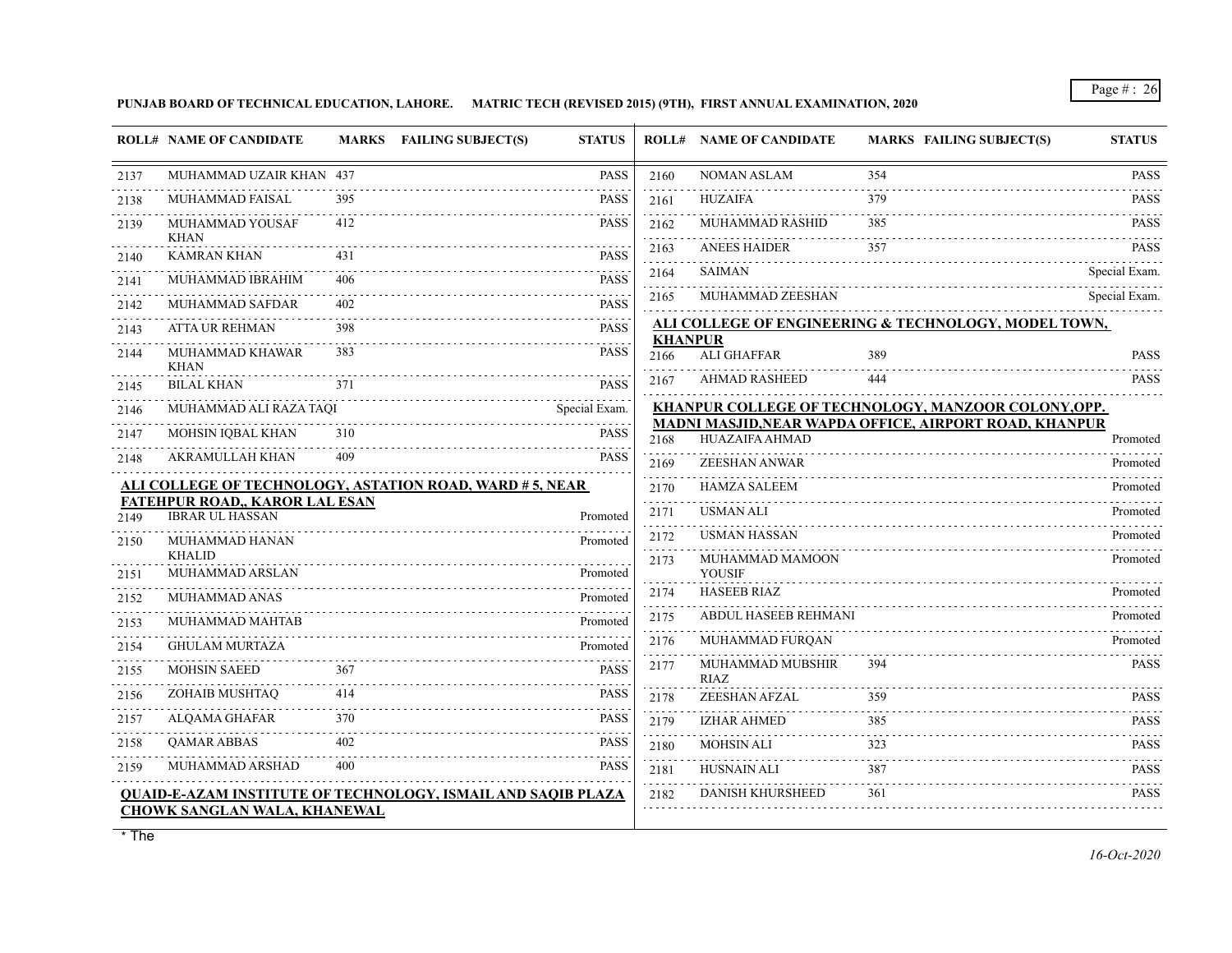**PUNJAB BOARD OF TECHNICAL EDUCATION, LAHORE. MATRIC TECH (REVISED 2015) (9TH), FIRST ANNUAL EXAMINATION, 2020**

|           | <b>ROLL# NAME OF CANDIDATE</b>        | MARKS FAILING SUBJECT(S)                                            | <b>STATUS</b>                                            |                        | <b>ROLL# NAME OF CANDIDATE</b>  | <b>MARKS FAILING SUBJECT(S)</b>                               | <b>STATUS</b>              |
|-----------|---------------------------------------|---------------------------------------------------------------------|----------------------------------------------------------|------------------------|---------------------------------|---------------------------------------------------------------|----------------------------|
| 2137      | MUHAMMAD UZAIR KHAN 437               |                                                                     | <b>PASS</b>                                              | 2160                   | <b>NOMAN ASLAM</b>              | 354                                                           | <b>PASS</b>                |
| 2138      | MUHAMMAD FAISAL                       | 395                                                                 | <b>PASS</b>                                              | 2161                   | <b>HUZAIFA</b>                  | 379                                                           | $- - - - -$<br><b>PASS</b> |
| 2139      | MUHAMMAD YOUSAF                       | 412                                                                 | <b>PASS</b>                                              | 2162                   | MUHAMMAD RASHID                 | 385                                                           | <b>PASS</b>                |
| 2140      | KHAN<br><b>KAMRAN KHAN</b>            | 431                                                                 | <b>PASS</b>                                              | .<br>2163<br>.         | <b>ANEES HAIDER</b>             | 357                                                           | <b>PASS</b>                |
| 2141      | MUHAMMAD IBRAHIM                      | 406                                                                 | <b>PASS</b>                                              | 2164<br>.              | <b>SAIMAN</b>                   |                                                               | Special Exam.              |
| 2142      | MUHAMMAD SAFDAR                       | 402                                                                 | <b>PASS</b>                                              | 2165                   | MUHAMMAD ZEESHAN                |                                                               | Special Exam.              |
| 2143      | <b>ATTA UR REHMAN</b>                 | 398                                                                 | <b>PASS</b>                                              |                        |                                 | ALI COLLEGE OF ENGINEERING & TECHNOLOGY, MODEL TOWN,          |                            |
| 2144      | MUHAMMAD KHAWAR<br>KHAN               | 383                                                                 | $\mathbb{Z}^2$ is a set of $\mathbb{Z}^2$<br><b>PASS</b> | <b>KHANPUR</b><br>2166 | ALI GHAFFAR                     | 389                                                           | <b>PASS</b>                |
| 2145      | <b>BILAL KHAN</b>                     | 371                                                                 | <b>PASS</b>                                              | 2167                   | <b>AHMAD RASHEED</b>            | 444                                                           | <b>PASS</b>                |
| 2146      | MUHAMMAD ALI RAZA TAQI                |                                                                     | Special Exam.                                            |                        |                                 | KHANPUR COLLEGE OF TECHNOLOGY, MANZOOR COLONY, OPP.           |                            |
| 2147      | MOHSIN IQBAL KHAN                     | 310                                                                 | <b>PASS</b>                                              | 2168                   | <b>HUAZAIFA AHMAD</b>           | <b>MADNI MASJID, NEAR WAPDA OFFICE, AIRPORT ROAD, KHANPUR</b> | Promoted                   |
| 2148      | <b>AKRAMULLAH KHAN</b>                | 409                                                                 | <b>PASS</b>                                              | 2169                   | <b>ZEESHAN ANWAR</b>            |                                                               | Promoted                   |
|           |                                       | ALI COLLEGE OF TECHNOLOGY, ASTATION ROAD, WARD # 5, NEAR            |                                                          | 2170                   | <b>HAMZA SALEEM</b>             |                                                               | Promoted                   |
|           | <b>FATEHPUR ROAD,, KAROR LAL ESAN</b> |                                                                     |                                                          | .<br>2171              | <b>USMAN ALI</b>                |                                                               | Promoted                   |
| 2149      | <b>IBRAR UL HASSAN</b>                |                                                                     | Promoted                                                 | 2172                   | <b>USMAN HASSAN</b>             |                                                               | Promoted                   |
| 2150      | MUHAMMAD HANAN<br><b>KHALID</b>       |                                                                     | Promoted                                                 | 2173                   | MUHAMMAD MAMOON                 |                                                               | Promoted                   |
| 2151      | MUHAMMAD ARSLAN                       |                                                                     | Promoted                                                 |                        | <b>YOUSIF</b>                   |                                                               |                            |
| 2152      | MUHAMMAD ANAS                         |                                                                     | Promoted                                                 | 2174                   | <b>HASEEB RIAZ</b>              |                                                               | Promoted                   |
| 2153      | MUHAMMAD MAHTAB                       |                                                                     | Promoted                                                 | 2175                   | <b>ABDUL HASEEB REHMANI</b>     |                                                               | Promoted                   |
| .<br>2154 | <b>GHULAM MURTAZA</b>                 |                                                                     | Promoted                                                 | 2176                   | MUHAMMAD FURQAN                 |                                                               | Promoted                   |
| 2155      | <b>MOHSIN SAEED</b>                   | 367                                                                 | <b>PASS</b>                                              | 2177                   | MUHAMMAD MUBSHIR<br><b>RIAZ</b> | 394                                                           | <b>PASS</b>                |
| 2156      | ZOHAIB MUSHTAQ                        | 414                                                                 | <b>PASS</b>                                              | 2178                   | ZEESHAN AFZAL                   | 359                                                           | <b>PASS</b>                |
| .<br>2157 | ALQAMA GHAFAR                         | 370                                                                 | <b>PASS</b>                                              | 2179                   | <b>IZHAR AHMED</b>              | 385                                                           | .<br><b>PASS</b>           |
| 2158      | QAMAR ABBAS                           | 402                                                                 | <b>PASS</b>                                              | .<br>2180              | <b>MOHSIN ALI</b>               | 323                                                           | <b>PASS</b>                |
| 2159      | MUHAMMAD ARSHAD                       | 400                                                                 | <b>PASS</b>                                              | 2181                   | <b>HUSNAIN ALI</b>              | 387                                                           | <b>PASS</b>                |
|           | <b>CHOWK SANGLAN WALA, KHANEWAL</b>   | <b>QUAID-E-AZAM INSTITUTE OF TECHNOLOGY, ISMAIL AND SAQIB PLAZA</b> |                                                          | 2182                   | <b>DANISH KHURSHEED</b>         | 361                                                           | <b>PASS</b>                |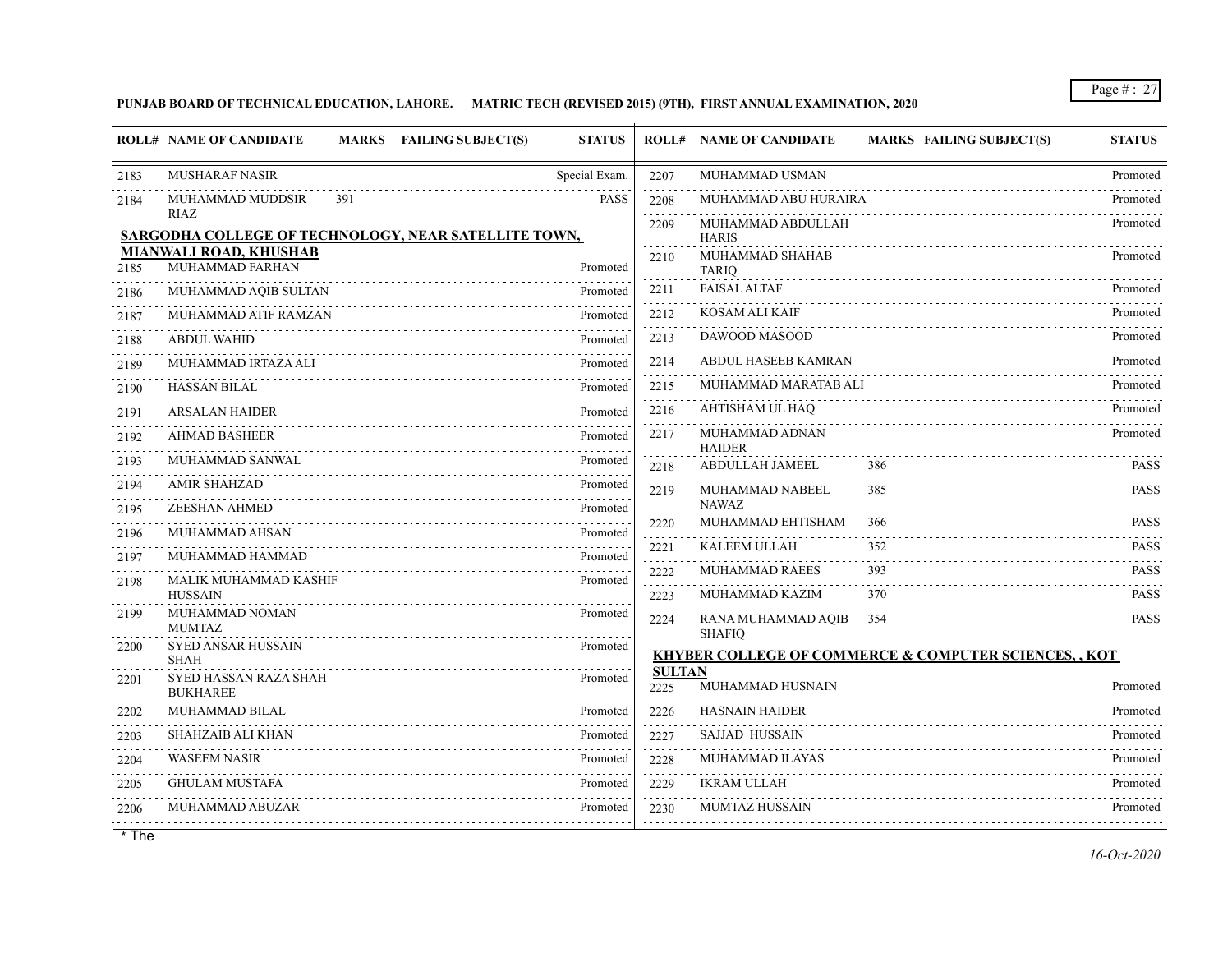## **PUNJAB BOARD OF TECHNICAL EDUCATION, LAHORE. MATRIC TECH (REVISED 2015) (9TH), FIRST ANNUAL EXAMINATION, 2020**

|      | <b>ROLL# NAME OF CANDIDATE</b>                                      | MARKS FAILING SUBJECT(S)<br><b>STATUS</b> |                       | <b>ROLL# NAME OF CANDIDATE</b><br><b>MARKS FAILING SUBJECT(S)</b> | <b>STATUS</b> |
|------|---------------------------------------------------------------------|-------------------------------------------|-----------------------|-------------------------------------------------------------------|---------------|
| 2183 | <b>MUSHARAF NASIR</b>                                               | Special Exam.                             | 2207                  | MUHAMMAD USMAN                                                    | Promoted      |
| 2184 | MUHAMMAD MUDDSIR<br>391                                             | <b>PASS</b>                               | 2208                  | MUHAMMAD ABU HURAIRA                                              | Promoted      |
|      | <b>RIAZ</b><br>SARGODHA COLLEGE OF TECHNOLOGY, NEAR SATELLITE TOWN, |                                           | 2209                  | MUHAMMAD ABDULLAH<br><b>HARIS</b>                                 | Promoted      |
| 2185 | <b>MIANWALI ROAD, KHUSHAB</b><br>MUHAMMAD FARHAN                    | Promoted                                  | 2210                  | MUHAMMAD SHAHAB<br><b>TARIO</b>                                   | Promoted      |
| 2186 | MUHAMMAD AQIB SULTAN                                                | Promoted                                  | 2211<br>.             | <b>FAISAL ALTAF</b>                                               | Promoted      |
| 2187 | MUHAMMAD ATIF RAMZAN                                                | Promoted                                  | 2212                  | KOSAM ALI KAIF                                                    | Promoted      |
| 2188 | <b>ABDUL WAHID</b>                                                  | Promoted                                  | 2213<br>.             | DAWOOD MASOOD                                                     | Promoted      |
| 2189 | MUHAMMAD IRTAZA ALI                                                 | Promoted                                  | 2214                  | ABDUL HASEEB KAMRAN                                               | Promoted      |
| 2190 | <b>HASSAN BILAL</b>                                                 | Promoted                                  | 2215<br>.             | MUHAMMAD MARATAB ALI                                              | Promoted      |
| 2191 | <b>ARSALAN HAIDER</b>                                               | Promoted                                  | 2216                  | AHTISHAM UL HAQ                                                   | Promoted      |
| 2192 | <b>AHMAD BASHEER</b>                                                | Promoted                                  | 2217                  | MUHAMMAD ADNAN<br><b>HAIDER</b>                                   | Promoted      |
| 2193 | MUHAMMAD SANWAL                                                     | Promoted                                  | .<br>2218             | <b>ABDULLAH JAMEEL</b><br>386                                     | <b>PASS</b>   |
| 2194 | <b>AMIR SHAHZAD</b>                                                 | Promoted                                  | 2219                  | MUHAMMAD NABEEL<br>385                                            | <b>PASS</b>   |
| 2195 | <b>ZEESHAN AHMED</b>                                                | Promoted                                  | 2220                  | <b>NAWAZ</b><br>MUHAMMAD EHTISHAM<br>366                          | <b>PASS</b>   |
| 2196 | MUHAMMAD AHSAN                                                      | Promoted                                  | .<br>2221             | KALEEM ULLAH<br>352                                               | <b>PASS</b>   |
| 2197 | MUHAMMAD HAMMAD                                                     | Promoted                                  | .<br>2222             | MUHAMMAD RAEES<br>393                                             | <b>PASS</b>   |
| 2198 | MALIK MUHAMMAD KASHIF<br><b>HUSSAIN</b>                             | Promoted                                  | 2223                  | MUHAMMAD KAZIM<br>370                                             | <b>PASS</b>   |
| 2199 | MUHAMMAD NOMAN<br><b>MUMTAZ</b>                                     | Promoted                                  | 2224                  | RANA MUHAMMAD AQIB<br>354<br><b>SHAFIO</b>                        | <b>PASS</b>   |
| 2200 | <b>SYED ANSAR HUSSAIN</b><br><b>SHAH</b>                            | Promoted                                  |                       | <b>KHYBER COLLEGE OF COMMERCE &amp; COMPUTER SCIENCES,, KOT</b>   |               |
| 2201 | SYED HASSAN RAZA SHAH<br><b>BUKHAREE</b>                            | Promoted                                  | <b>SULTAN</b><br>2225 | MUHAMMAD HUSNAIN                                                  | Promoted      |
| 2202 | MUHAMMAD BILAL                                                      | Promoted                                  | 2226<br>.             | <b>HASNAIN HAIDER</b>                                             | Promoted      |
| 2203 | SHAHZAIB ALI KHAN                                                   | Promoted                                  | 2227<br>.             | <b>SAJJAD HUSSAIN</b>                                             | Promoted      |
| 2204 | <b>WASEEM NASIR</b>                                                 | Promoted                                  | 2228<br>.             | MUHAMMAD ILAYAS                                                   | Promoted      |
| 2205 | <b>GHULAM MUSTAFA</b>                                               | Promoted                                  | 2229                  | <b>IKRAM ULLAH</b>                                                | Promoted      |
| 2206 | MUHAMMAD ABUZAR                                                     | Promoted                                  | 2230                  | <b>MUMTAZ HUSSAIN</b>                                             | Promoted      |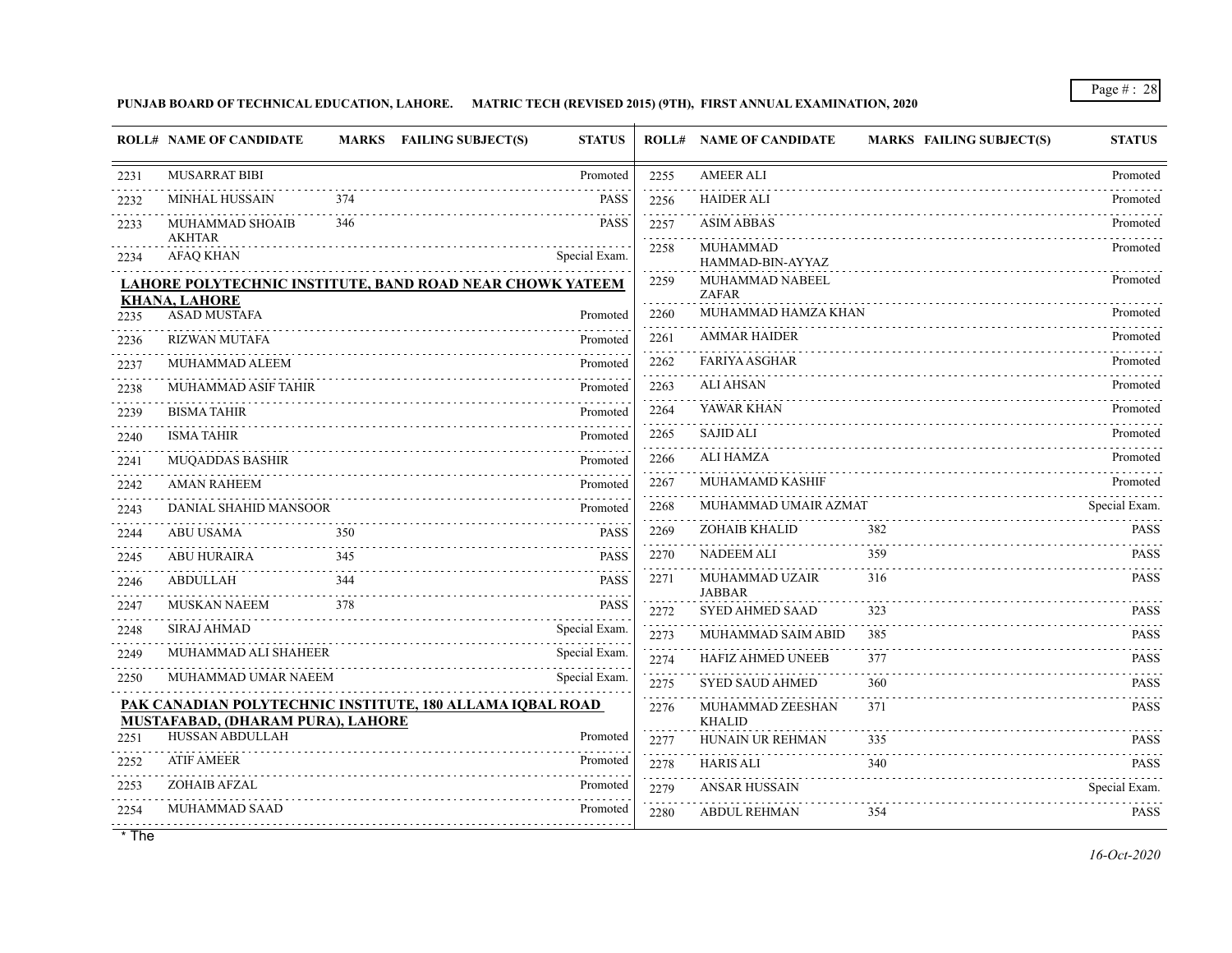**PUNJAB BOARD OF TECHNICAL EDUCATION, LAHORE. MATRIC TECH (REVISED 2015) (9TH), FIRST ANNUAL EXAMINATION, 2020**

|      | <b>ROLL# NAME OF CANDIDATE</b>              |     | MARKS FAILING SUBJECT(S)<br><b>STATUS</b>                 |           | <b>ROLL# NAME OF CANDIDATE</b>      | <b>MARKS FAILING SUBJECT(S)</b> | <b>STATUS</b> |
|------|---------------------------------------------|-----|-----------------------------------------------------------|-----------|-------------------------------------|---------------------------------|---------------|
| 2231 | <b>MUSARRAT BIBI</b>                        |     | Promoted                                                  | 2255      | <b>AMEER ALI</b>                    |                                 | Promoted      |
| 2232 | <b>MINHAL HUSSAIN</b>                       | 374 | <b>PASS</b>                                               | 2256      | <b>HAIDER ALI</b>                   |                                 | Promoted      |
| 2233 | MUHAMMAD SHOAIB                             | 346 | <b>PASS</b>                                               | 2257<br>. | <b>ASIM ABBAS</b>                   |                                 | Promoted      |
| 2234 | <b>AKHTAR</b><br><b>AFAQ KHAN</b>           |     | Special Exam.                                             | 2258      | <b>MUHAMMAD</b><br>HAMMAD-BIN-AYYAZ |                                 | Promoted      |
|      |                                             |     | LAHORE POLYTECHNIC INSTITUTE, BAND ROAD NEAR CHOWK YATEEM | 2259      | MUHAMMAD NABEEL                     |                                 | Promoted      |
| 2235 | <b>KHANA, LAHORE</b><br><b>ASAD MUSTAFA</b> |     | Promoted                                                  | 2260      | <b>ZAFAR</b><br>MUHAMMAD HAMZA KHAN |                                 | Promoted      |
| 2236 | <b>RIZWAN MUTAFA</b>                        |     | Promoted                                                  | 2261      | <b>AMMAR HAIDER</b>                 |                                 | Promoted      |
| 2237 | MUHAMMAD ALEEM                              |     | Promoted                                                  | .<br>2262 | <b>FARIYA ASGHAR</b>                |                                 | Promoted      |
| 2238 | MUHAMMAD ASIF TAHIR                         |     | Promoted                                                  | .<br>2263 | <b>ALI AHSAN</b>                    |                                 | Promoted      |
| 2239 | <b>BISMA TAHIR</b>                          |     | Promoted                                                  | 2264      | YAWAR KHAN                          |                                 | Promoted      |
| 2240 | <b>ISMA TAHIR</b>                           |     | Promoted                                                  | .<br>2265 | <b>SAJID ALI</b>                    |                                 | Promoted      |
| 2241 | <b>MUQADDAS BASHIR</b>                      |     | Promoted                                                  | 2266      | <b>ALI HAMZA</b>                    |                                 | Promoted      |
| 2242 | <b>AMAN RAHEEM</b>                          |     | Promoted                                                  | 2267      | MUHAMAMD KASHIF                     |                                 | Promoted      |
| 2243 | DANIAL SHAHID MANSOOR                       |     | Promoted                                                  | 2268      | MUHAMMAD UMAIR AZMAT                |                                 | Special Exam. |
| 2244 | <b>ABU USAMA</b>                            | 350 | <b>PASS</b>                                               | 2269<br>. | ZOHAIB KHALID                       | 382                             | <b>PASS</b>   |
| 2245 | <b>ABU HURAIRA</b>                          | 345 | <b>PASS</b>                                               | 2270      | <b>NADEEM ALI</b>                   | 359                             | <b>PASS</b>   |
| 2246 | <b>ABDULLAH</b>                             | 344 | <b>PASS</b>                                               | 2271      | MUHAMMAD UZAIR<br><b>JABBAR</b>     | 316                             | <b>PASS</b>   |
| 2247 | <b>MUSKAN NAEEM</b>                         | 378 | <b>PASS</b><br>.                                          | 2272      | <b>SYED AHMED SAAD</b>              | 323                             | <b>PASS</b>   |
| 2248 | <b>SIRAJ AHMAD</b>                          |     | Special Exam.                                             | 2273      | MUHAMMAD SAIM ABID                  | 385                             | <b>PASS</b>   |
| 2249 | MUHAMMAD ALI SHAHEER                        |     | Special Exam.                                             | 2274      | <b>HAFIZ AHMED UNEEB</b>            | 377                             | <b>PASS</b>   |
| 2250 | MUHAMMAD UMAR NAEEM                         |     | Special Exam.                                             | 2275      | <b>SYED SAUD AHMED</b>              | 360                             | <b>PASS</b>   |
|      | MUSTAFABAD, (DHARAM PURA), LAHORE           |     | PAK CANADIAN POLYTECHNIC INSTITUTE, 180 ALLAMA IQBAL ROAD | 2276      | MUHAMMAD ZEESHAN                    | 371                             | <b>PASS</b>   |
| 2251 | <b>HUSSAN ABDULLAH</b>                      |     | Promoted                                                  | .<br>2277 | <b>KHALID</b><br>HUNAIN UR REHMAN   | 335                             | <b>PASS</b>   |
| 2252 | <b>ATIF AMEER</b>                           |     | Promoted                                                  | 2278      | <b>HARIS ALI</b>                    | 340                             | <b>PASS</b>   |
| 2253 | ZOHAIB AFZAL                                |     | Promoted                                                  | 2279      | <b>ANSAR HUSSAIN</b>                |                                 | Special Exam. |
| 2254 | MUHAMMAD SAAD                               |     | Promoted                                                  | 2280      | <b>ABDUL REHMAN</b>                 | 354                             | <b>PASS</b>   |
|      |                                             | .   |                                                           |           |                                     |                                 |               |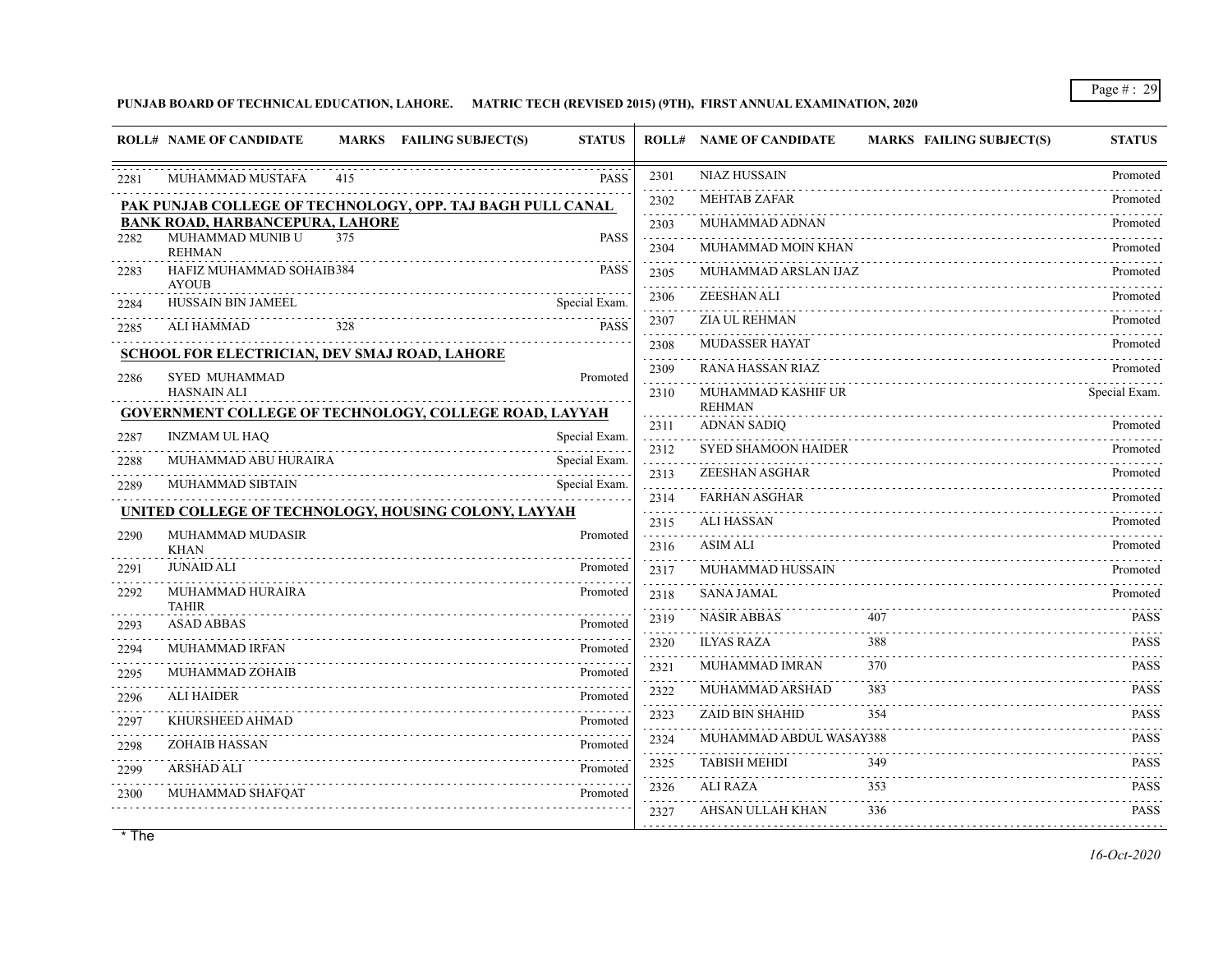**PUNJAB BOARD OF TECHNICAL EDUCATION, LAHORE. MATRIC TECH (REVISED 2015) (9TH), FIRST ANNUAL EXAMINATION, 2020**

|      | <b>ROLL# NAME OF CANDIDATE</b><br>MARKS FAILING SUBJECT(S)    | <b>STATUS</b>                  |                      | <b>ROLL# NAME OF CANDIDATE</b>      | <b>MARKS FAILING SUBJECT(S)</b> | <b>STATUS</b>              |
|------|---------------------------------------------------------------|--------------------------------|----------------------|-------------------------------------|---------------------------------|----------------------------|
| 2281 | MUHAMMAD MUSTAFA<br>415                                       | <b>PASS</b>                    | 2301                 | <b>NIAZ HUSSAIN</b>                 |                                 | Promoted                   |
|      | PAK PUNJAB COLLEGE OF TECHNOLOGY, OPP. TAJ BAGH PULL CANAL    |                                | 2302                 | <b>MEHTAB ZAFAR</b>                 |                                 | Promoted                   |
|      | <b>BANK ROAD, HARBANCEPURA, LAHORE</b>                        |                                | 2303                 | MUHAMMAD ADNAN                      |                                 | Promoted                   |
| 2282 | MUHAMMAD MUNIB U<br>375<br><b>REHMAN</b>                      | <b>PASS</b>                    | .<br>2304            | MUHAMMAD MOIN KHAN                  |                                 | Promoted                   |
| 2283 | HAFIZ MUHAMMAD SOHAIB384<br><b>AYOUB</b>                      | PASS                           | .<br>2305            | MUHAMMAD ARSLAN IJAZ                |                                 | Promoted                   |
| 2284 | HUSSAIN BIN JAMEEL                                            | Special Exam.                  | 2306                 | ZEESHAN ALI                         |                                 | Promoted                   |
| 2285 | <b>ALI HAMMAD</b><br>328                                      | <b>PASS</b>                    | 2307                 | ZIA UL REHMAN                       |                                 | Promoted                   |
|      | <b>SCHOOL FOR ELECTRICIAN, DEV SMAJ ROAD, LAHORE</b>          |                                | 2308<br>.            | <b>MUDASSER HAYAT</b>               |                                 | Promoted                   |
| 2286 | <b>SYED MUHAMMAD</b>                                          | Promoted                       | 2309<br>$-1 - 1 - 1$ | <b>RANA HASSAN RIAZ</b>             |                                 | Promoted                   |
|      | <b>HASNAIN ALI</b>                                            |                                | 2310                 | MUHAMMAD KASHIF UR<br><b>REHMAN</b> |                                 | Special Exam.              |
|      | <b>GOVERNMENT COLLEGE OF TECHNOLOGY, COLLEGE ROAD, LAYYAH</b> |                                | 2311                 | <b>ADNAN SADIO</b>                  |                                 | Promoted                   |
| 2287 | <b>INZMAM UL HAQ</b><br>MUHAMMAD ABU HURAIRA                  | Special Exam.<br>Special Exam. | 2312                 | <b>SYED SHAMOON HAIDER</b>          |                                 | Promoted                   |
| 2288 |                                                               |                                | .<br>2313            | ZEESHAN ASGHAR                      |                                 | Promoted                   |
| 2289 | MUHAMMAD SIBTAIN                                              | Special Exam.                  | 2314                 | <b>FARHAN ASGHAR</b>                |                                 | Promoted                   |
|      | UNITED COLLEGE OF TECHNOLOGY, HOUSING COLONY, LAYYAH          |                                | 2315                 | <b>ALI HASSAN</b>                   |                                 | Promoted                   |
| 2290 | MUHAMMAD MUDASIR<br><b>KHAN</b>                               | Promoted                       | 2316                 | <b>ASIM ALI</b>                     |                                 | Promoted                   |
| 2291 | <b>JUNAID ALI</b>                                             | Promoted                       | 2317                 | MUHAMMAD HUSSAIN                    |                                 | Promoted                   |
| 2292 | MUHAMMAD HURAIRA<br><b>TAHIR</b>                              | Promoted                       | 2318<br>.            | <b>SANA JAMAL</b>                   |                                 | Promoted                   |
| 2293 | <b>ASAD ABBAS</b>                                             | Promoted                       | 2319                 | <b>NASIR ABBAS</b>                  | 407                             | <b>PASS</b>                |
| 2294 | MUHAMMAD IRFAN                                                | Promoted                       | 2320<br>a a a a a    | <b>ILYAS RAZA</b>                   | 388                             | <b>PASS</b>                |
| 2295 | MUHAMMAD ZOHAIB                                               | Promoted                       | 2321                 | MUHAMMAD IMRAN                      | 370                             | <b>PASS</b><br>.           |
| 2296 | <b>ALI HAIDER</b>                                             | Promoted                       | 2322                 | MUHAMMAD ARSHAD                     | 383                             | <b>PASS</b>                |
| 2297 | KHURSHEED AHMAD                                               | Promoted                       | 2323                 | <b>ZAID BIN SHAHID</b>              | 354                             | <b>PASS</b>                |
| 2298 | <b>ZOHAIB HASSAN</b>                                          | Promoted                       | 2324<br>and a state  | MUHAMMAD ABDUL WASAY388             |                                 | <b>PASS</b>                |
| 2299 | <b>ARSHAD ALI</b>                                             | Promoted                       | 2325                 | <b>TABISH MEHDI</b>                 | 349                             | <b>PASS</b><br>dia a dia a |
| 2300 | MUHAMMAD SHAFOAT                                              | Promoted                       | 2326                 | <b>ALI RAZA</b>                     | 353                             | <b>PASS</b>                |
|      |                                                               |                                | 2327                 | AHSAN ULLAH KHAN                    | 336                             | <b>PASS</b>                |
|      |                                                               |                                |                      |                                     |                                 |                            |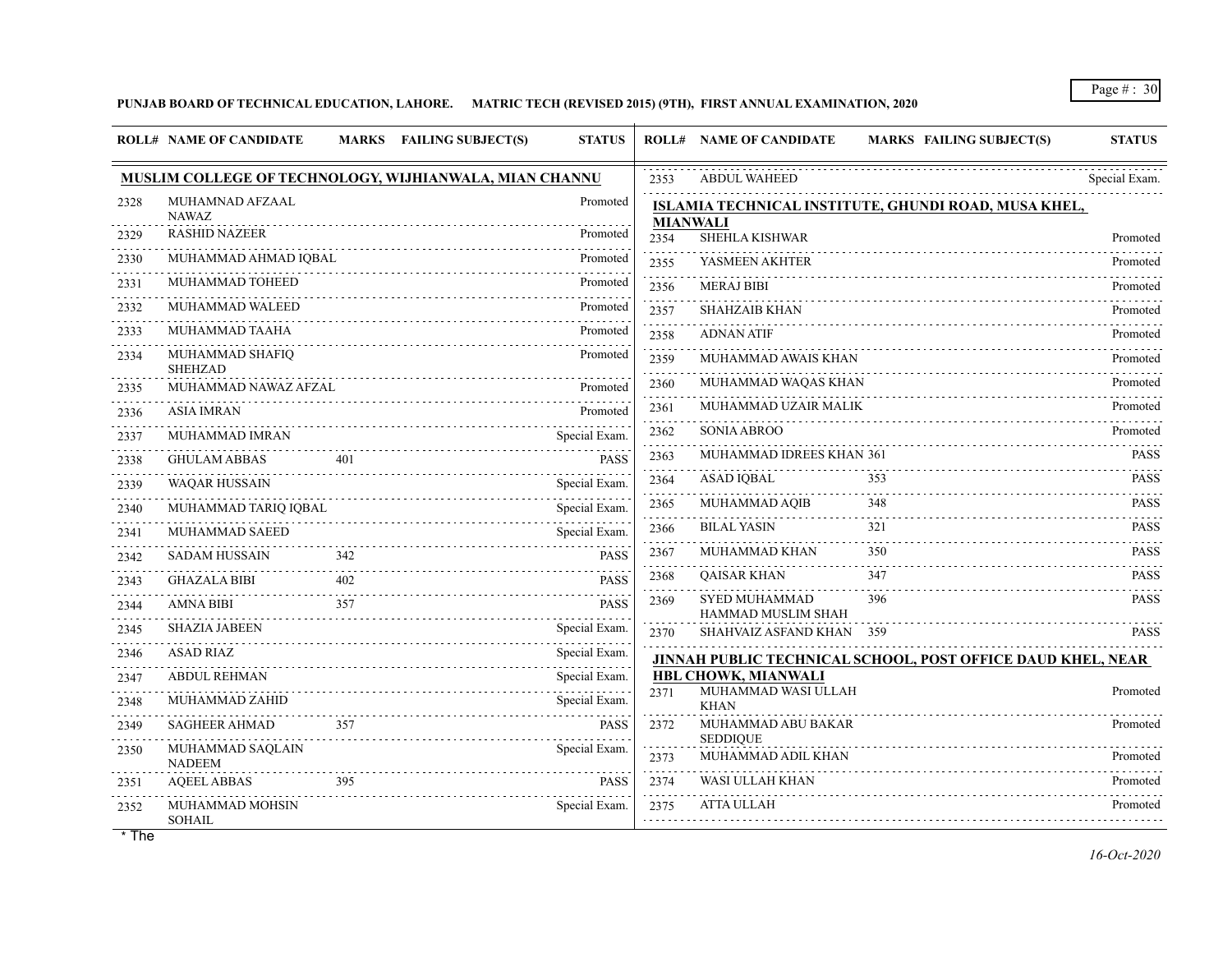## **PUNJAB BOARD OF TECHNICAL EDUCATION, LAHORE. MATRIC TECH (REVISED 2015) (9TH), FIRST ANNUAL EXAMINATION, 2020**

|      | <b>ROLL# NAME OF CANDIDATE</b>                         |     | MARKS FAILING SUBJECT(S) | <b>STATUS</b>               |           | <b>ROLL# NAME OF CANDIDATE</b>             | <b>MARKS FAILING SUBJECT(S)</b>                             | <b>STATUS</b> |
|------|--------------------------------------------------------|-----|--------------------------|-----------------------------|-----------|--------------------------------------------|-------------------------------------------------------------|---------------|
|      | MUSLIM COLLEGE OF TECHNOLOGY, WIJHIANWALA, MIAN CHANNU |     |                          |                             | 2353      | <b>ABDUL WAHEED</b>                        |                                                             | Special Exam. |
| 2328 | MUHAMNAD AFZAAL<br><b>NAWAZ</b>                        |     |                          | Promoted                    |           | <b>MIANWALI</b>                            | ISLAMIA TECHNICAL INSTITUTE, GHUNDI ROAD, MUSA KHEL,        |               |
| 2329 | <b>RASHID NAZEER</b>                                   |     |                          | dia dia dia dia<br>Promoted | 2354      | SHEHLA KISHWAR                             |                                                             | Promoted      |
| 2330 | MUHAMMAD AHMAD IQBAL                                   |     |                          | Promoted                    | 2355      | YASMEEN AKHTER                             |                                                             | Promoted      |
| 2331 | MUHAMMAD TOHEED                                        |     |                          | Promoted                    | .<br>2356 | <b>MERAJ BIBI</b>                          |                                                             | Promoted      |
| 2332 | MUHAMMAD WALEED                                        |     |                          | Promoted                    | .<br>2357 | <b>SHAHZAIB KHAN</b>                       |                                                             | Promoted      |
| 2333 | MUHAMMAD TAAHA                                         |     |                          | Promoted                    | 2358      | <b>ADNAN ATIF</b>                          |                                                             | Promoted      |
| 2334 | MUHAMMAD SHAFIQ<br><b>SHEHZAD</b>                      |     |                          | Promoted                    | 2359<br>. | MUHAMMAD AWAIS KHAN                        |                                                             | Promoted      |
| 2335 | MUHAMMAD NAWAZ AFZAL                                   |     |                          | Promoted                    | 2360      | MUHAMMAD WAQAS KHAN                        |                                                             | Promoted      |
| 2336 | <b>ASIA IMRAN</b>                                      |     |                          | Promoted                    | 2361      | MUHAMMAD UZAIR MALIK                       |                                                             | Promoted      |
| 2337 | MUHAMMAD IMRAN                                         |     |                          | Special Exam.               | 2362<br>. | <b>SONIA ABROO</b>                         |                                                             | Promoted      |
| 2338 | <b>GHULAM ABBAS</b>                                    | 401 |                          | <b>PASS</b>                 | 2363      | MUHAMMAD IDREES KHAN 361                   |                                                             | <b>PASS</b>   |
| 2339 | <b>WAQAR HUSSAIN</b>                                   |     |                          | Special Exam.               | 2364      | <b>ASAD IQBAL</b>                          | 353                                                         | <b>PASS</b>   |
| 2340 | MUHAMMAD TARIQ IQBAL                                   |     |                          | Special Exam.               | 2365      | MUHAMMAD AQIB                              | 348                                                         | <b>PASS</b>   |
| 2341 | MUHAMMAD SAEED                                         |     |                          | Special Exam.               | 2366      | <b>BILAL YASIN</b>                         | 321                                                         | <b>PASS</b>   |
| 2342 | <b>SADAM HUSSAIN</b>                                   | 342 |                          | <b>PASS</b>                 | 2367      | MUHAMMAD KHAN                              | 350                                                         | <b>PASS</b>   |
| 2343 | <b>GHAZALA BIBI</b>                                    | 402 |                          | <b>PASS</b>                 | 2368      | <b>QAISAR KHAN</b>                         | 347                                                         | <b>PASS</b>   |
| 2344 | <b>AMNA BIBI</b>                                       | 357 |                          | <b>PASS</b>                 | 2369      | <b>SYED MUHAMMAD</b><br>HAMMAD MUSLIM SHAH | 396                                                         | <b>PASS</b>   |
| 2345 | <b>SHAZIA JABEEN</b>                                   |     |                          | Special Exam.               | 2370      | SHAHVAIZ ASFAND KHAN 359                   |                                                             | <b>PASS</b>   |
| 2346 | <b>ASAD RIAZ</b>                                       |     |                          | Special Exam.               |           |                                            | JINNAH PUBLIC TECHNICAL SCHOOL, POST OFFICE DAUD KHEL, NEAR |               |
| 2347 | <b>ABDUL REHMAN</b>                                    |     |                          | Special Exam.               |           | HBL CHOWK, MIANWALI<br>MUHAMMAD WASI ULLAH |                                                             |               |
| 2348 | MUHAMMAD ZAHID                                         |     |                          | Special Exam.               | 2371      | <b>KHAN</b>                                |                                                             | Promoted      |
| 2349 | <b>SAGHEER AHMAD</b>                                   | 357 |                          | <b>PASS</b>                 | 2372      | MUHAMMAD ABU BAKAR                         |                                                             | Promoted      |
| 2350 | MUHAMMAD SAQLAIN<br><b>NADEEM</b>                      |     |                          | Special Exam.               | 2373<br>. | <b>SEDDIQUE</b><br>MUHAMMAD ADIL KHAN      |                                                             | Promoted      |
| 2351 | <b>AQEEL ABBAS</b>                                     | 395 |                          | <b>PASS</b>                 | 2374      | WASI ULLAH KHAN                            |                                                             | Promoted      |
| 2352 | MUHAMMAD MOHSIN<br><b>SOHAIL</b>                       |     |                          | Special Exam.               | 2375      | ATTA ULLAH                                 |                                                             | Promoted      |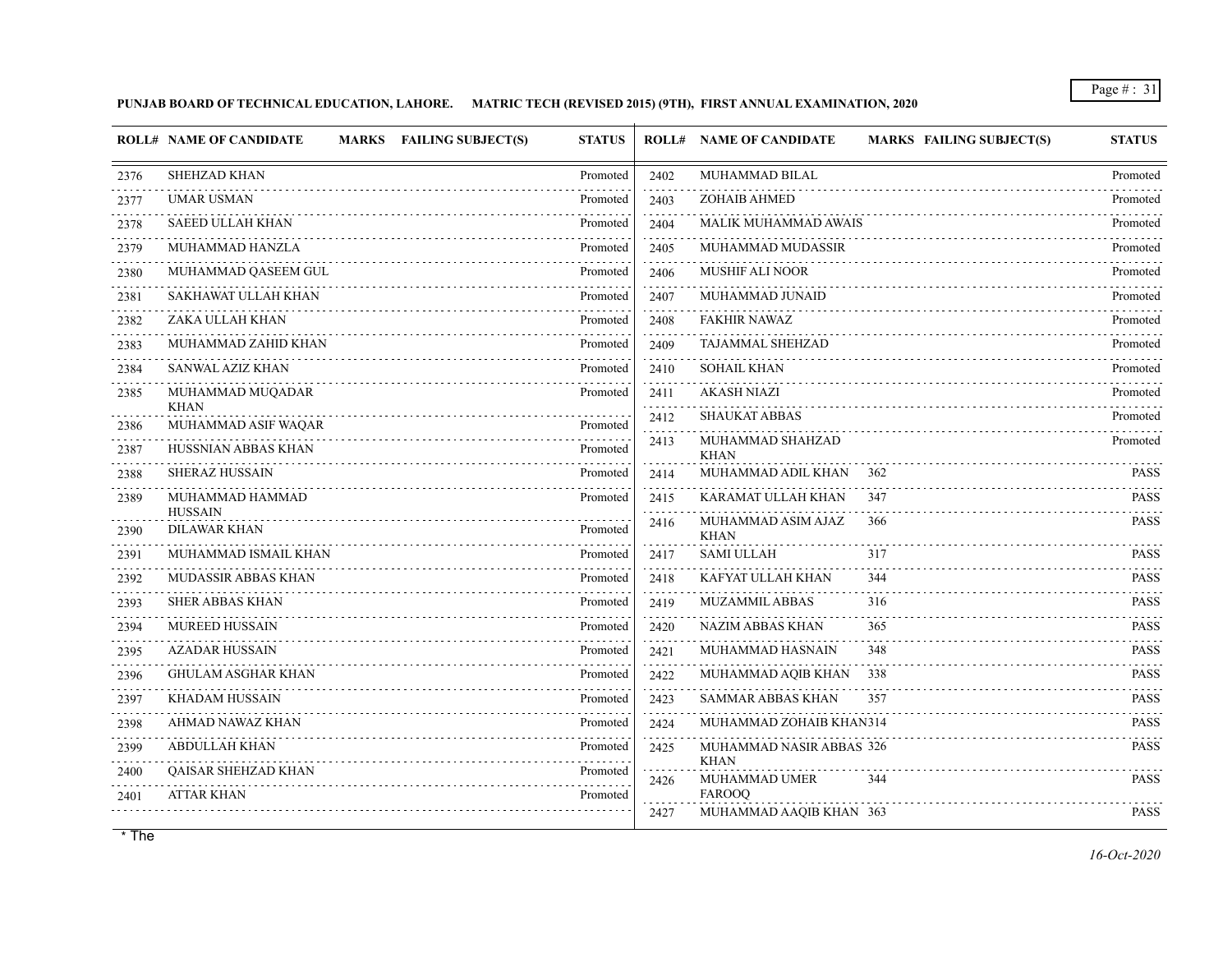## **PUNJAB BOARD OF TECHNICAL EDUCATION, LAHORE. MATRIC TECH (REVISED 2015) (9TH), FIRST ANNUAL EXAMINATION, 2020**

|                           | <b>ROLL# NAME OF CANDIDATE</b><br><b>MARKS</b> FAILING SUBJECT(S) | <b>STATUS</b> |      | <b>ROLL# NAME OF CANDIDATE</b><br><b>MARKS FAILING SUBJECT(S)</b> | <b>STATUS</b>    |
|---------------------------|-------------------------------------------------------------------|---------------|------|-------------------------------------------------------------------|------------------|
| 2376                      | SHEHZAD KHAN                                                      | Promoted      | 2402 | MUHAMMAD BILAL                                                    | Promoted         |
| 2377                      | <b>UMAR USMAN</b>                                                 | Promoted      | 2403 | ZOHAIB AHMED                                                      | Promoted         |
| 2378                      | <b>SAEED ULLAH KHAN</b>                                           | Promoted      | 2404 | <b>MALIK MUHAMMAD AWAIS</b>                                       | Promoted         |
| 2379                      | MUHAMMAD HANZLA                                                   | Promoted      | 2405 | MUHAMMAD MUDASSIR                                                 | Promoted         |
| .<br>2380                 | MUHAMMAD QASEEM GUL                                               | Promoted      | 2406 | MUSHIF ALI NOOR                                                   | Promoted         |
| المالم المالية ال<br>2381 | SAKHAWAT ULLAH KHAN                                               | Promoted      | 2407 | MUHAMMAD JUNAID                                                   | Promoted         |
| 2382                      | ZAKA ULLAH KHAN                                                   | Promoted      | 2408 | <b>FAKHIR NAWAZ</b>                                               | Promoted         |
| .<br>2383                 | MUHAMMAD ZAHID KHAN                                               | Promoted      | 2409 | TAJAMMAL SHEHZAD                                                  | Promoted         |
| .<br>2384                 | SANWAL AZIZ KHAN                                                  | Promoted      | 2410 | SOHAIL KHAN                                                       | Promoted         |
| 2385                      | MUHAMMAD MUQADAR                                                  | Promoted      | 2411 | <b>AKASH NIAZI</b>                                                | Promoted         |
| 2386                      | <b>KHAN</b><br>MUHAMMAD ASIF WAQAR                                | Promoted      | 2412 | <b>SHAUKAT ABBAS</b>                                              | Promoted         |
| 2387                      | HUSSNIAN ABBAS KHAN                                               | Promoted      | 2413 | MUHAMMAD SHAHZAD<br>KHAN                                          | Promoted         |
| 2388                      | <b>SHERAZ HUSSAIN</b>                                             | Promoted      | 2414 | MUHAMMAD ADIL KHAN<br>362                                         | <b>PASS</b>      |
| 2389                      | MUHAMMAD HAMMAD                                                   | Promoted      | 2415 | KARAMAT ULLAH KHAN<br>347                                         | <b>PASS</b>      |
| 2390                      | <b>HUSSAIN</b><br><b>DILAWAR KHAN</b>                             | Promoted      | 2416 | MUHAMMAD ASIM AJAZ<br>366                                         | <b>PASS</b>      |
| 2391                      | MUHAMMAD ISMAIL KHAN                                              | Promoted      | 2417 | <b>KHAN</b><br><b>SAMI ULLAH</b><br>317                           | <b>PASS</b>      |
| .<br>2392                 | MUDASSIR ABBAS KHAN                                               | Promoted      | 2418 | KAFYAT ULLAH KHAN<br>344                                          | .<br><b>PASS</b> |
| 2393                      | .<br><b>SHER ABBAS KHAN</b>                                       | Promoted      | 2419 | <b>MUZAMMIL ABBAS</b><br>316                                      | <b>PASS</b>      |
| .<br>2394                 | <b>MUREED HUSSAIN</b>                                             | Promoted      | 2420 | NAZIM ABBAS KHAN<br>365                                           | <b>PASS</b>      |
| .<br>2395                 | <b>AZADAR HUSSAIN</b>                                             | Promoted      | 2421 | MUHAMMAD HASNAIN<br>348                                           | <b>PASS</b>      |
| 2396                      | <b>GHULAM ASGHAR KHAN</b>                                         | Promoted      | 2422 | MUHAMMAD AQIB KHAN<br>338                                         | <b>PASS</b>      |
| 2397                      | <b>KHADAM HUSSAIN</b>                                             | Promoted      | 2423 | SAMMAR ABBAS KHAN<br>357                                          | <b>PASS</b>      |
| .<br>2398                 | AHMAD NAWAZ KHAN                                                  | Promoted      | 2424 | MUHAMMAD ZOHAIB KHAN314                                           | <b>PASS</b>      |
| .<br>2399                 | <b>ABDULLAH KHAN</b>                                              | Promoted      | 2425 | MUHAMMAD NASIR ABBAS 326                                          | <b>PASS</b>      |
| 2400                      | QAISAR SHEHZAD KHAN                                               | Promoted      |      | <b>KHAN</b>                                                       |                  |
| 2401                      | <b>ATTAR KHAN</b>                                                 | Promoted      | 2426 | MUHAMMAD UMER<br>344<br><b>FAROOQ</b>                             | <b>PASS</b>      |
|                           |                                                                   |               | 2427 | MUHAMMAD AAQIB KHAN 363                                           | <b>PASS</b>      |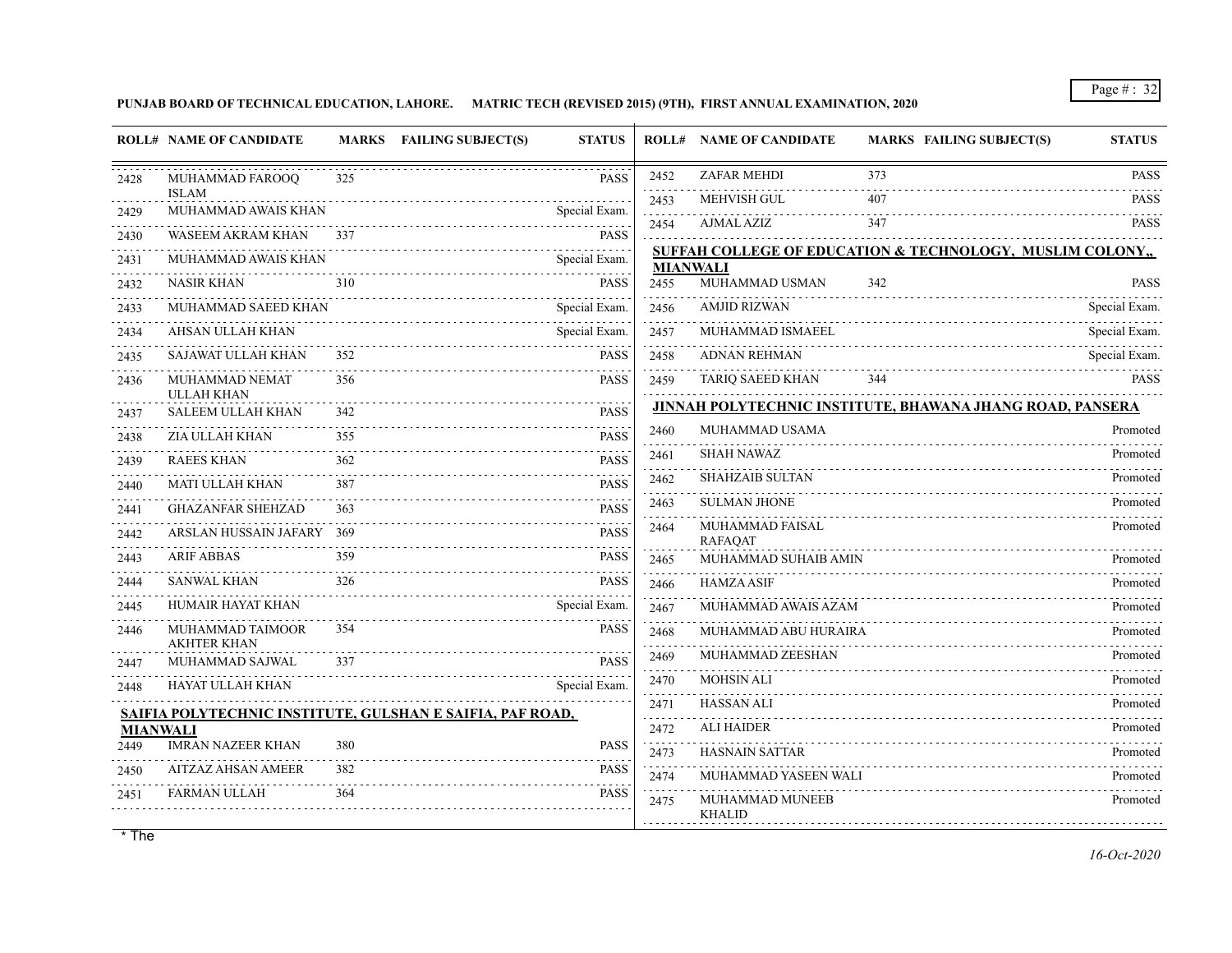**PUNJAB BOARD OF TECHNICAL EDUCATION, LAHORE. MATRIC TECH (REVISED 2015) (9TH), FIRST ANNUAL EXAMINATION, 2020**

|                 | <b>ROLL# NAME OF CANDIDATE</b>         |     | MARKS FAILING SUBJECT(S)<br><b>STATUS</b>                 |                         | <b>ROLL# NAME OF CANDIDATE</b>    | <b>MARKS FAILING SUBJECT(S)</b>                           | <b>STATUS</b>    |
|-----------------|----------------------------------------|-----|-----------------------------------------------------------|-------------------------|-----------------------------------|-----------------------------------------------------------|------------------|
| 2428            | MUHAMMAD FAROOQ                        | 325 | <b>PASS</b>                                               | 2452<br>.               | <b>ZAFAR MEHDI</b>                | 373                                                       | <b>PASS</b><br>. |
| 2429            | <b>ISLAM</b><br>MUHAMMAD AWAIS KHAN    |     | Special Exam.                                             | 2453                    | <b>MEHVISH GUL</b>                | 407                                                       | <b>PASS</b>      |
| 2430            | WASEEM AKRAM KHAN                      | 337 | <b>PASS</b>                                               | 2454                    | AJMAL AZIZ                        | 347                                                       | <b>PASS</b>      |
| 2431            | MUHAMMAD AWAIS KHAN                    |     | Special Exam.                                             |                         |                                   | SUFFAH COLLEGE OF EDUCATION & TECHNOLOGY, MUSLIM COLONY,  |                  |
| 2432            | <b>NASIR KHAN</b>                      | 310 | <b>PASS</b>                                               | <b>MIANWALI</b><br>2455 | MUHAMMAD USMAN                    | 342                                                       | <b>PASS</b>      |
| .<br>2433       | MUHAMMAD SAEED KHAN                    |     | Special Exam.                                             | 2456                    | <b>AMJID RIZWAN</b>               |                                                           | Special Exam.    |
| 2434            | AHSAN ULLAH KHAN                       |     | Special Exam.                                             | 2457                    | MUHAMMAD ISMAEEL                  |                                                           | Special Exam.    |
| 2435            | SAJAWAT ULLAH KHAN                     | 352 | <b>PASS</b>                                               | 2458                    | <b>ADNAN REHMAN</b>               |                                                           | Special Exam.    |
| 2436            | MUHAMMAD NEMAT<br><b>ULLAH KHAN</b>    | 356 | <b>PASS</b>                                               | 2459                    | <b>TARIO SAEED KHAN</b>           | 344                                                       | <b>PASS</b>      |
| 2437            | <b>SALEEM ULLAH KHAN</b>               | 342 | <b>PASS</b>                                               |                         |                                   | JINNAH POLYTECHNIC INSTITUTE, BHAWANA JHANG ROAD, PANSERA |                  |
| 2438            | ZIA ULLAH KHAN                         | 355 | <b>PASS</b>                                               | 2460                    | MUHAMMAD USAMA                    |                                                           | Promoted         |
| 2439            | <b>RAEES KHAN</b>                      | 362 | <b>PASS</b>                                               | 2461                    | <b>SHAH NAWAZ</b>                 |                                                           | Promoted         |
| 2440            | <b>MATI ULLAH KHAN</b>                 | 387 | <b>PASS</b>                                               | 2462                    | <b>SHAHZAIB SULTAN</b>            |                                                           | Promoted         |
| 2441            | <b>GHAZANFAR SHEHZAD</b>               | 363 | <b>PASS</b>                                               | 2463<br>.               | <b>SULMAN JHONE</b>               |                                                           | Promoted         |
| .<br>2442       | ARSLAN HUSSAIN JAFARY 369              |     | .<br><b>PASS</b>                                          | 2464                    | MUHAMMAD FAISAL<br><b>RAFAQAT</b> |                                                           | Promoted         |
| 2443            | ARIF ABBAS                             | 359 | $\omega$ is a set of<br><b>PASS</b>                       | 2465                    | MUHAMMAD SUHAIB AMIN              |                                                           | Promoted         |
| 2444            | <b>SANWAL KHAN</b>                     | 326 | <b>PASS</b>                                               | .<br>2466               | <b>HAMZA ASIF</b>                 |                                                           | Promoted         |
| 2445            | HUMAIR HAYAT KHAN                      |     | Special Exam.                                             | .<br>2467               | MUHAMMAD AWAIS AZAM               |                                                           | Promoted         |
| 2446            | MUHAMMAD TAIMOOR<br><b>AKHTER KHAN</b> | 354 | <b>PASS</b>                                               | 2468<br>.               | MUHAMMAD ABU HURAIRA              |                                                           | Promoted         |
| 2447            | MUHAMMAD SAJWAL                        | 337 | <b>PASS</b>                                               | 2469<br>.               | MUHAMMAD ZEESHAN                  |                                                           | Promoted         |
| 2448            | HAYAT ULLAH KHAN                       |     | Special Exam.                                             | 2470                    | <b>MOHSIN ALI</b>                 |                                                           | Promoted         |
|                 |                                        |     | SAIFIA POLYTECHNIC INSTITUTE, GULSHAN E SAIFIA, PAF ROAD, | 2471                    | <b>HASSAN ALI</b>                 |                                                           | Promoted         |
| <b>MIANWALI</b> |                                        |     |                                                           | 2472<br>.               | <b>ALI HAIDER</b>                 |                                                           | Promoted         |
| 2449            | <b>IMRAN NAZEER KHAN</b>               | 380 | <b>PASS</b>                                               | 2473<br>.               | <b>HASNAIN SATTAR</b>             |                                                           | Promoted         |
| 2450            | <b>AITZAZ AHSAN AMEER</b>              | 382 | <b>PASS</b>                                               | 2474<br>.               | MUHAMMAD YASEEN WALI              |                                                           | Promoted         |
| 2451            | <b>FARMAN ULLAH</b>                    | 364 | <b>PASS</b>                                               | 2475                    | MUHAMMAD MUNEEB<br><b>KHALID</b>  |                                                           | Promoted         |
|                 |                                        |     |                                                           |                         |                                   |                                                           |                  |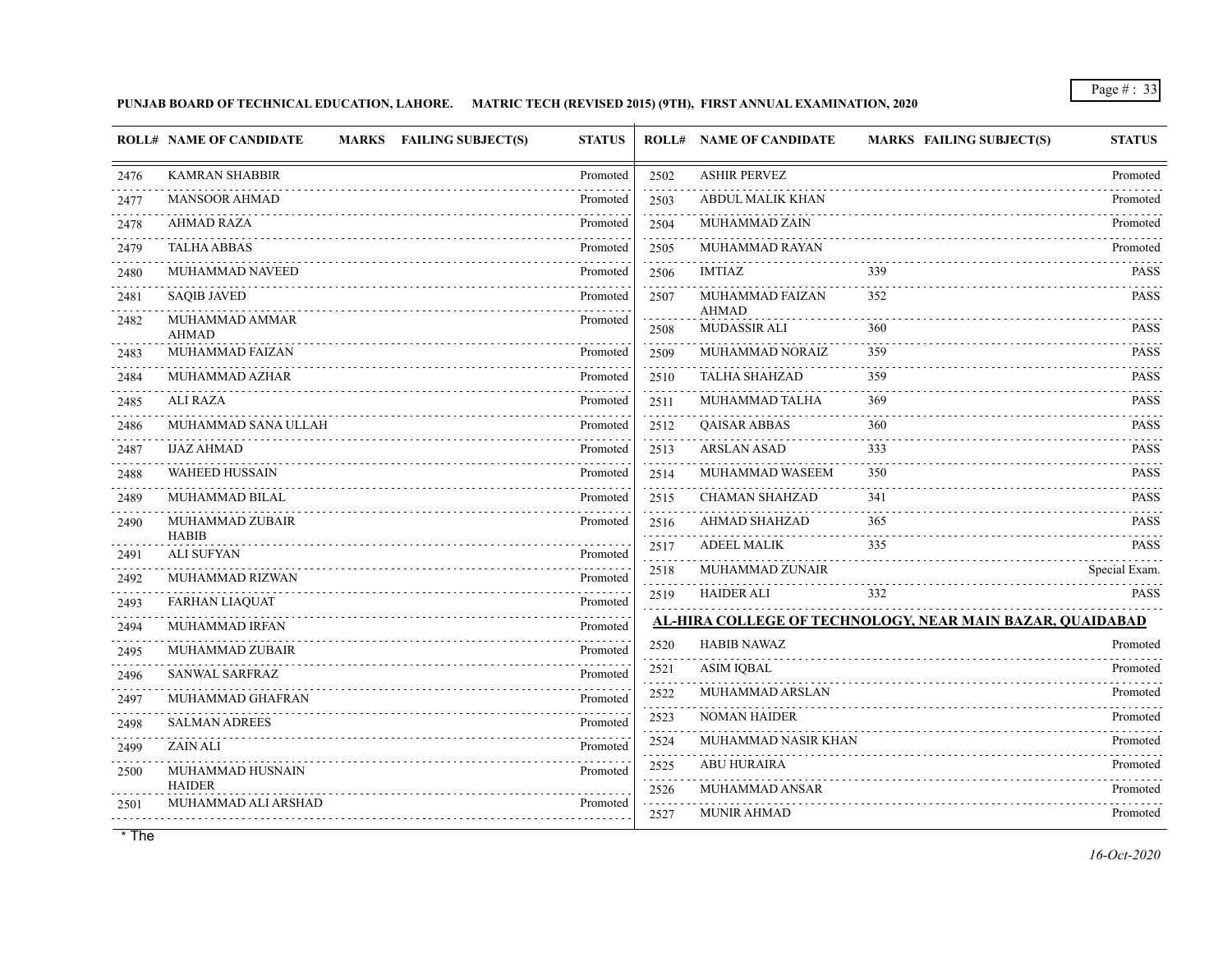## **PUNJAB BOARD OF TECHNICAL EDUCATION, LAHORE. MATRIC TECH (REVISED 2015) (9TH), FIRST ANNUAL EXAMINATION, 2020**

|           | MARKS FAILING SUBJECT(S)<br><b>ROLL# NAME OF CANDIDATE</b> | <b>STATUS</b>                             |                                                   | <b>ROLL# NAME OF CANDIDATE</b>  | <b>MARKS FAILING SUBJECT(S)</b>                           | <b>STATUS</b>    |
|-----------|------------------------------------------------------------|-------------------------------------------|---------------------------------------------------|---------------------------------|-----------------------------------------------------------|------------------|
| 2476      | <b>KAMRAN SHABBIR</b>                                      | Promoted                                  | 2502                                              | <b>ASHIR PERVEZ</b>             |                                                           | Promoted         |
| 2477      | <b>MANSOOR AHMAD</b>                                       | Promoted                                  | 2503                                              | ABDUL MALIK KHAN                |                                                           | Promoted         |
| 2478      | <b>AHMAD RAZA</b>                                          | Promoted                                  | 2504                                              | <b>MUHAMMAD ZAIN</b>            |                                                           | Promoted         |
| 2479      | <b>TALHA ABBAS</b>                                         | Promoted                                  | .<br>2505                                         | <b>MUHAMMAD RAYAN</b>           |                                                           | Promoted         |
| 2480      | MUHAMMAD NAVEED                                            | Promoted                                  | 2506                                              | IMTIAZ                          | 339                                                       | <b>PASS</b>      |
| 2481      | <b>SAQIB JAVED</b>                                         | Promoted                                  | 2507                                              | MUHAMMAD FAIZAN<br><b>AHMAD</b> | 352                                                       | <b>PASS</b>      |
| 2482      | MUHAMMAD AMMAR<br><b>AHMAD</b>                             | Promoted                                  | 2508                                              | <b>MUDASSIR ALI</b>             | 360                                                       | <b>PASS</b>      |
| 2483      | <b>MUHAMMAD FAIZAN</b>                                     | Promoted                                  | .<br>2509                                         | MUHAMMAD NORAIZ                 | 359                                                       | <b>PASS</b>      |
| 2484      | MUHAMMAD AZHAR                                             | .<br>Promoted                             | للمستحدث<br>2510                                  | <b>TALHA SHAHZAD</b>            | 359                                                       | <b>PASS</b>      |
| 2485      | <b>ALI RAZA</b>                                            | Promoted                                  | $\sim$ $\sim$ $\sim$ $\sim$ $\sim$ $\sim$<br>2511 | MUHAMMAD TALHA                  | 369                                                       | <b>PASS</b>      |
| 2486      | MUHAMMAD SANA ULLAH                                        | Promoted                                  | $\omega$ is a graph<br>2512                       | <b>QAISAR ABBAS</b>             | 360                                                       | .<br><b>PASS</b> |
| 2487      | <b>IJAZ AHMAD</b>                                          | Promoted                                  | .<br>2513                                         | <b>ARSLAN ASAD</b>              | 333                                                       | <b>PASS</b>      |
| 2488      | <b>WAHEED HUSSAIN</b>                                      | Promoted                                  | 2514                                              | MUHAMMAD WASEEM                 | 350                                                       | <b>PASS</b>      |
| 2489      | MUHAMMAD BILAL<br>.                                        | Promoted                                  | 2515                                              | <b>CHAMAN SHAHZAD</b>           | 341                                                       | <b>PASS</b>      |
| 2490      | MUHAMMAD ZUBAIR<br><b>HABIB</b>                            | Promoted                                  | 2516<br>.                                         | AHMAD SHAHZAD                   | 365                                                       | <b>PASS</b><br>. |
| 2491      | <b>ALI SUFYAN</b>                                          | Promoted                                  | 2517<br>.                                         | <b>ADEEL MALIK</b>              | 335                                                       | <b>PASS</b>      |
| 2492      | MUHAMMAD RIZWAN                                            | Promoted                                  | 2518                                              | MUHAMMAD ZUNAIR                 |                                                           | Special Exam.    |
| .<br>2493 | <b>FARHAN LIAQUAT</b>                                      | <b><i><u>AAAAAAAA</u></i></b><br>Promoted | 2519                                              | <b>HAIDER ALI</b>               | 332                                                       | <b>PASS</b>      |
| 2494      | MUHAMMAD IRFAN                                             | .<br>Promoted                             |                                                   |                                 | AL-HIRA COLLEGE OF TECHNOLOGY, NEAR MAIN BAZAR, QUAIDABAD |                  |
| 2495      | <b>MUHAMMAD ZUBAIR</b>                                     | Promoted                                  | 2520                                              | <b>HABIB NAWAZ</b>              |                                                           | Promoted         |
| 2496      | <b>SANWAL SARFRAZ</b>                                      | Promoted                                  | 2521<br>.                                         | <b>ASIM IQBAL</b>               |                                                           | Promoted         |
| 2497      | MUHAMMAD GHAFRAN                                           | Promoted                                  | 2522<br>.                                         | MUHAMMAD ARSLAN                 |                                                           | Promoted         |
| 2498      | <b>SALMAN ADREES</b>                                       | Promoted                                  | 2523<br>.                                         | <b>NOMAN HAIDER</b>             |                                                           | Promoted         |
| 2499      | <b>ZAIN ALI</b>                                            | Promoted                                  | 2524<br>.                                         | MUHAMMAD NASIR KHAN             |                                                           | Promoted<br>.    |
| 2500      | MUHAMMAD HUSNAIN                                           | Promoted                                  | 2525<br>.                                         | <b>ABU HURAIRA</b>              |                                                           | Promoted         |
| 2501      | <b>HAIDER</b><br>MUHAMMAD ALI ARSHAD                       | Promoted                                  | 2526                                              | MUHAMMAD ANSAR                  |                                                           | Promoted         |
|           |                                                            |                                           | 2527                                              | <b>MUNIR AHMAD</b>              |                                                           | Promoted         |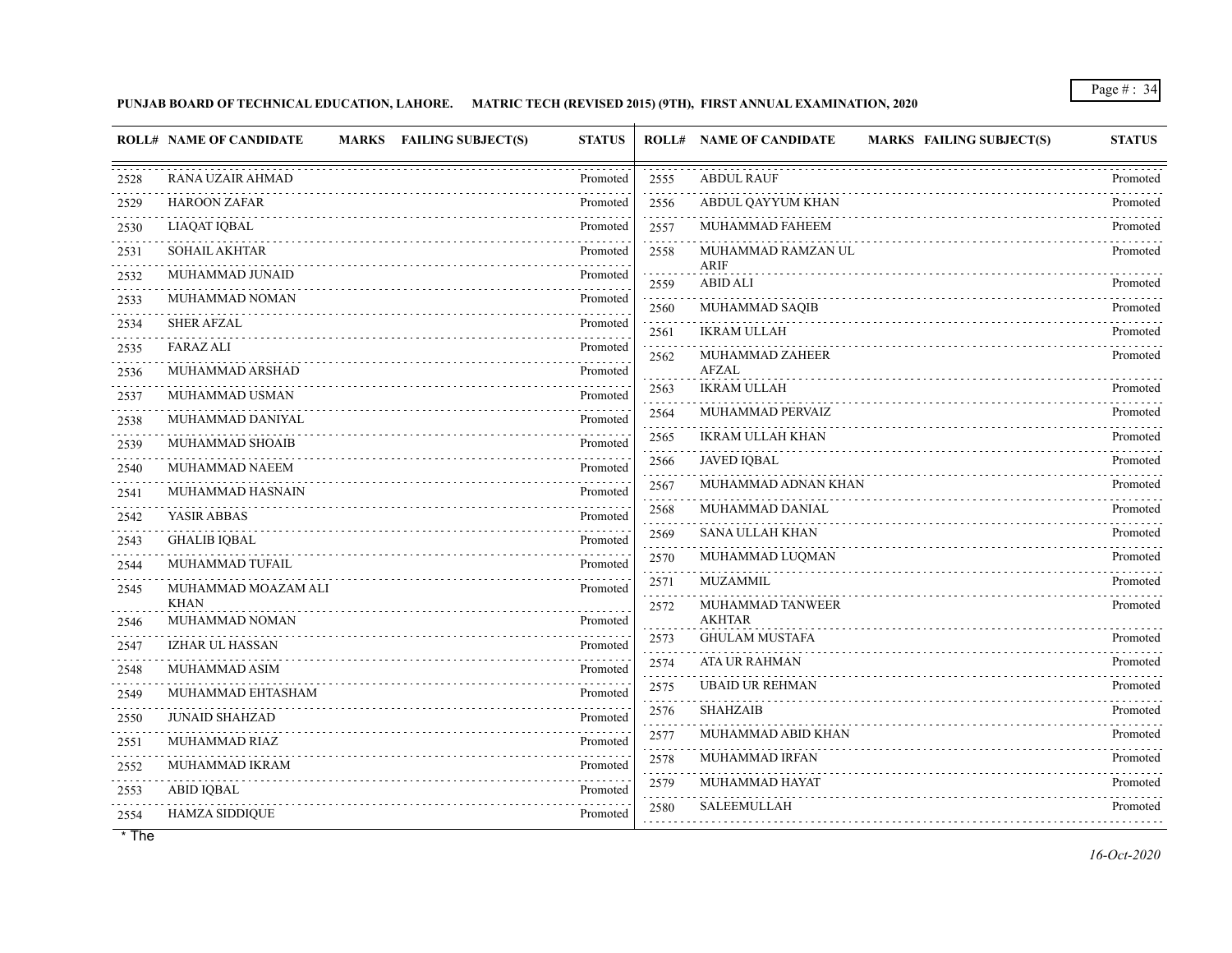## **PUNJAB BOARD OF TECHNICAL EDUCATION, LAHORE. MATRIC TECH (REVISED 2015) (9TH), FIRST ANNUAL EXAMINATION, 2020**

|           | <b>ROLL# NAME OF CANDIDATE</b><br>MARKS FAILING SUBJECT(S) | <b>STATUS</b>        |                              | <b>ROLL# NAME OF CANDIDATE</b><br><b>MARKS FAILING SUBJECT(S)</b> | <b>STATUS</b> |
|-----------|------------------------------------------------------------|----------------------|------------------------------|-------------------------------------------------------------------|---------------|
| 2528      | RANA UZAIR AHMAD                                           | Promoted             | 2555                         | <b>ABDUL RAUF</b>                                                 | Promoted      |
| 2529      | <b>HAROON ZAFAR</b>                                        | Promoted             | 2556                         | ABDUL QAYYUM KHAN                                                 | Promoted      |
| 2530      | LIAQAT IQBAL                                               | Promoted             | 2557                         | MUHAMMAD FAHEEM                                                   | Promoted      |
| 2531      | <b>SOHAIL AKHTAR</b>                                       | Promoted             | 2558                         | MUHAMMAD RAMZAN UL                                                | Promoted      |
| 2532      | MUHAMMAD JUNAID                                            | Promoted             | 2559                         | <b>ARIF</b><br><b>ABID ALI</b>                                    | Promoted      |
| 2533      | MUHAMMAD NOMAN                                             | Promoted             | 2560                         | MUHAMMAD SAQIB                                                    | Promoted      |
| 2534      | <b>SHER AFZAL</b>                                          | Promoted<br><u>.</u> | 2561                         | <b>IKRAM ULLAH</b>                                                | Promoted      |
| 2535      | FARAZ ALI                                                  | Promoted<br>.        | 2562                         | MUHAMMAD ZAHEER                                                   | Promoted      |
| 2536      | MUHAMMAD ARSHAD                                            | Promoted             |                              | <b>AFZAL</b>                                                      |               |
| 2537<br>. | MUHAMMAD USMAN                                             | Promoted             | 2563                         | <b>IKRAM ULLAH</b>                                                | Promoted      |
| 2538      | MUHAMMAD DANIYAL                                           | Promoted             | 2564<br>.                    | MUHAMMAD PERVAIZ                                                  | Promoted      |
| 2539      | MUHAMMAD SHOAIB                                            | Promoted             | 2565                         | <b>IKRAM ULLAH KHAN</b>                                           | Promoted      |
| 2540      | MUHAMMAD NAEEM                                             | Promoted             | 2566                         | <b>JAVED IQBAL</b>                                                | Promoted      |
| 2541      | MUHAMMAD HASNAIN                                           | Promoted             | 2567                         | MUHAMMAD ADNAN KHAN                                               | Promoted      |
| 2542<br>. | YASIR ABBAS                                                | Promoted             | 2568                         | MUHAMMAD DANIAL                                                   | Promoted      |
| 2543      | <b>GHALIB IQBAL</b>                                        | Promoted             | 2569                         | <b>SANA ULLAH KHAN</b>                                            | Promoted      |
| 2544      | MUHAMMAD TUFAIL                                            | Promoted             | 2570                         | MUHAMMAD LUQMAN                                                   | Promoted      |
| 2545      | MUHAMMAD MOAZAM ALI<br><b>KHAN</b>                         | Promoted             | 2571                         | <b>MUZAMMIL</b>                                                   | Promoted      |
| 2546      | MUHAMMAD NOMAN                                             | Promoted             | 2572                         | MUHAMMAD TANWEER<br><b>AKHTAR</b>                                 | Promoted      |
| 2547      | IZHAR UL HASSAN                                            | Promoted             | 2573                         | <b>GHULAM MUSTAFA</b>                                             | Promoted      |
| 2548      | MUHAMMAD ASIM                                              | Promoted             | 2574                         | ATA UR RAHMAN                                                     | Promoted      |
| 2549      | MUHAMMAD EHTASHAM                                          | Promoted             | 2575<br>$\sim$ $\sim$ $\sim$ | <b>UBAID UR REHMAN</b>                                            | Promoted      |
| 2550      | <b>JUNAID SHAHZAD</b>                                      | Promoted             | 2576                         | <b>SHAHZAIB</b>                                                   | Promoted      |
| 2551      | MUHAMMAD RIAZ                                              | Promoted             | 2577<br>.                    | MUHAMMAD ABID KHAN                                                | Promoted      |
| 2552      | MUHAMMAD IKRAM                                             | Promoted             | 2578                         | MUHAMMAD IRFAN                                                    | Promoted<br>. |
| 2553      | <b>ABID IQBAL</b>                                          | Promoted             | 2579                         | MUHAMMAD HAYAT                                                    | Promoted      |
| 2554      | <b>HAMZA SIDDIQUE</b>                                      | Promoted             | 2580                         | <b>SALEEMULLAH</b>                                                | Promoted      |
|           |                                                            |                      |                              |                                                                   |               |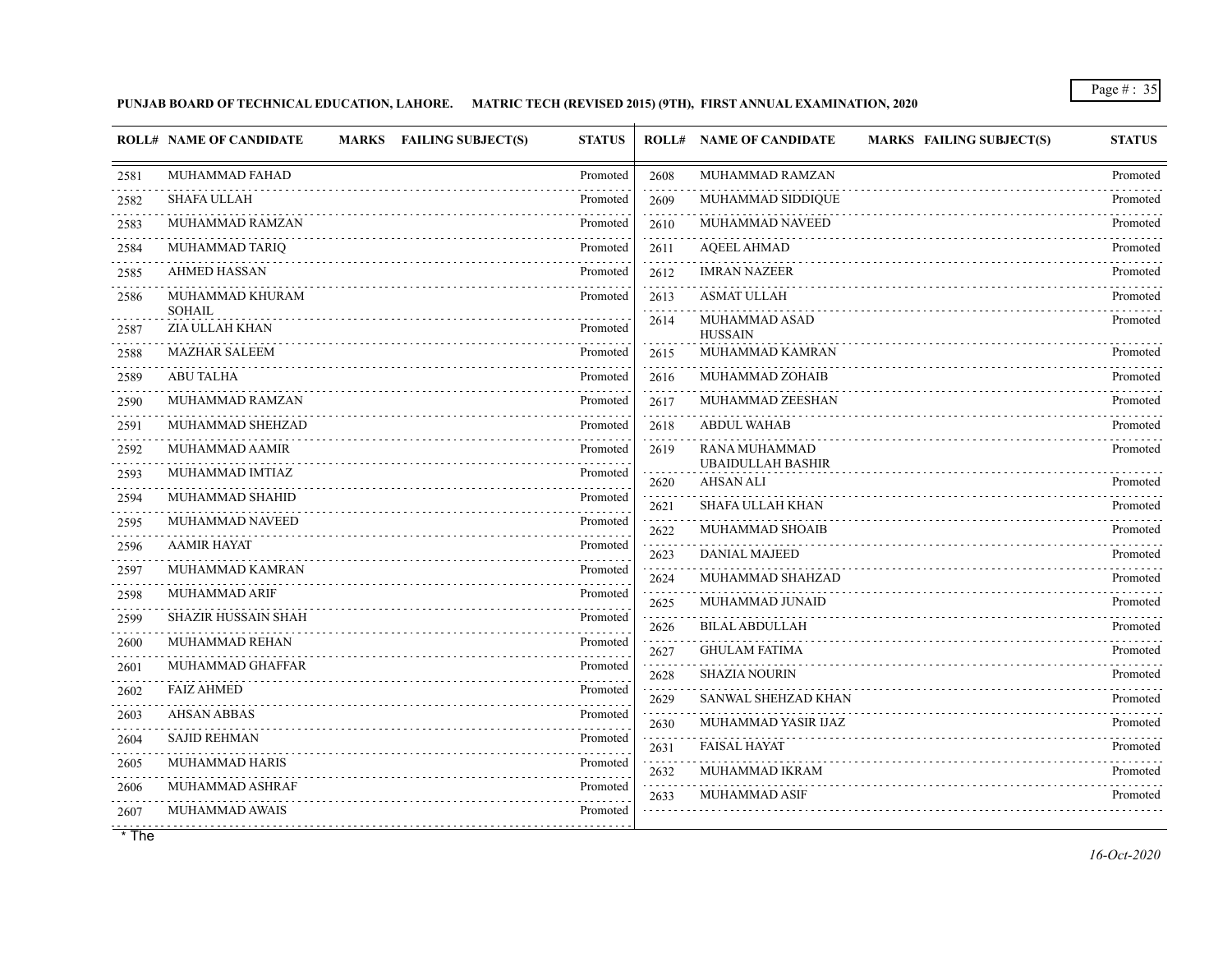## **PUNJAB BOARD OF TECHNICAL EDUCATION, LAHORE. MATRIC TECH (REVISED 2015) (9TH), FIRST ANNUAL EXAMINATION, 2020**

|      | <b>ROLL# NAME OF CANDIDATE</b> | <b>MARKS</b> FAILING SUBJECT(S) | <b>STATUS</b> |      | <b>ROLL# NAME OF CANDIDATE</b>            | <b>MARKS FAILING SUBJECT(S)</b> | <b>STATUS</b>               |
|------|--------------------------------|---------------------------------|---------------|------|-------------------------------------------|---------------------------------|-----------------------------|
| 2581 | MUHAMMAD FAHAD                 |                                 | Promoted      | 2608 | MUHAMMAD RAMZAN                           |                                 | Promoted                    |
| 2582 | <b>SHAFA ULLAH</b>             |                                 | Promoted      | 2609 | MUHAMMAD SIDDIQUE                         |                                 | Promoted                    |
| 2583 | MUHAMMAD RAMZAN                |                                 | Promoted      | 2610 | MUHAMMAD NAVEED                           |                                 | Promoted                    |
| 2584 | MUHAMMAD TARIQ                 |                                 | Promoted      | 2611 | <b>AQEEL AHMAD</b>                        |                                 | Promoted                    |
| 2585 | <b>AHMED HASSAN</b>            |                                 | Promoted      | 2612 | <b>IMRAN NAZEER</b>                       |                                 | .<br>Promoted               |
| 2586 | MUHAMMAD KHURAM<br>SOHAIL      |                                 | Promoted      | 2613 | <b>ASMAT ULLAH</b>                        |                                 | Promoted                    |
| 2587 | ZIA ULLAH KHAN                 |                                 | Promoted      | 2614 | MUHAMMAD ASAD<br><b>HUSSAIN</b>           |                                 | Promoted                    |
| 2588 | <b>MAZHAR SALEEM</b>           |                                 | Promoted      | 2615 | MUHAMMAD KAMRAN                           |                                 | Promoted                    |
| 2589 | <b>ABU TALHA</b>               |                                 | Promoted      | 2616 | MUHAMMAD ZOHAIB                           |                                 | Promoted                    |
| 2590 | MUHAMMAD RAMZAN                |                                 | Promoted      | 2617 | MUHAMMAD ZEESHAN                          |                                 | Promoted                    |
| 2591 | MUHAMMAD SHEHZAD               |                                 | Promoted      | 2618 | <b>ABDUL WAHAB</b>                        |                                 | Promoted                    |
| 2592 | MUHAMMAD AAMIR                 |                                 | Promoted      | 2619 | RANA MUHAMMAD<br><b>UBAIDULLAH BASHIR</b> |                                 | Promoted                    |
| 2593 | MUHAMMAD IMTIAZ                |                                 | Promoted      | 2620 | <b>AHSAN ALI</b>                          |                                 | Promoted                    |
| 2594 | MUHAMMAD SHAHID                |                                 | Promoted      | 2621 | <b>SHAFA ULLAH KHAN</b>                   |                                 | Promoted                    |
| 2595 | MUHAMMAD NAVEED                |                                 | Promoted      | 2622 | MUHAMMAD SHOAIB                           |                                 | Promoted                    |
| 2596 | <b>AAMIR HAYAT</b>             |                                 | Promoted      | 2623 | DANIAL MAJEED                             |                                 | .<br>Promoted               |
| 2597 | MUHAMMAD KAMRAN                |                                 | Promoted      | 2624 | MUHAMMAD SHAHZAD                          |                                 | Promoted                    |
| 2598 | MUHAMMAD ARIF                  |                                 | Promoted      | 2625 | MUHAMMAD JUNAID                           |                                 | Promoted                    |
| 2599 | <b>SHAZIR HUSSAIN SHAH</b>     |                                 | Promoted      | 2626 | <b>BILAL ABDULLAH</b>                     |                                 | Promoted                    |
| 2600 | MUHAMMAD REHAN                 |                                 | Promoted<br>. | 2627 | <b>GHULAM FATIMA</b>                      |                                 | Promoted                    |
| 2601 | MUHAMMAD GHAFFAR               |                                 | Promoted      | 2628 | <b>SHAZIA NOURIN</b>                      |                                 | Promoted                    |
| 2602 | <b>FAIZ AHMED</b>              |                                 | Promoted      | 2629 | SANWAL SHEHZAD KHAN                       |                                 | Promoted                    |
| 2603 | <b>AHSAN ABBAS</b>             |                                 | Promoted      | 2630 | MUHAMMAD YASIR IJAZ                       |                                 | 1.1.1.1.1.1.1.1<br>Promoted |
| 2604 | <b>SAJID REHMAN</b>            |                                 | Promoted      | 2631 | <b>FAISAL HAYAT</b>                       |                                 | Promoted                    |
| 2605 | <b>MUHAMMAD HARIS</b>          |                                 | Promoted      | 2632 | MUHAMMAD IKRAM                            |                                 | Promoted                    |
| 2606 | MUHAMMAD ASHRAF                |                                 | Promoted      | 2633 | <b>MUHAMMAD ASIF</b>                      |                                 | Promoted                    |
| 2607 | MUHAMMAD AWAIS                 |                                 | Promoted      |      |                                           |                                 |                             |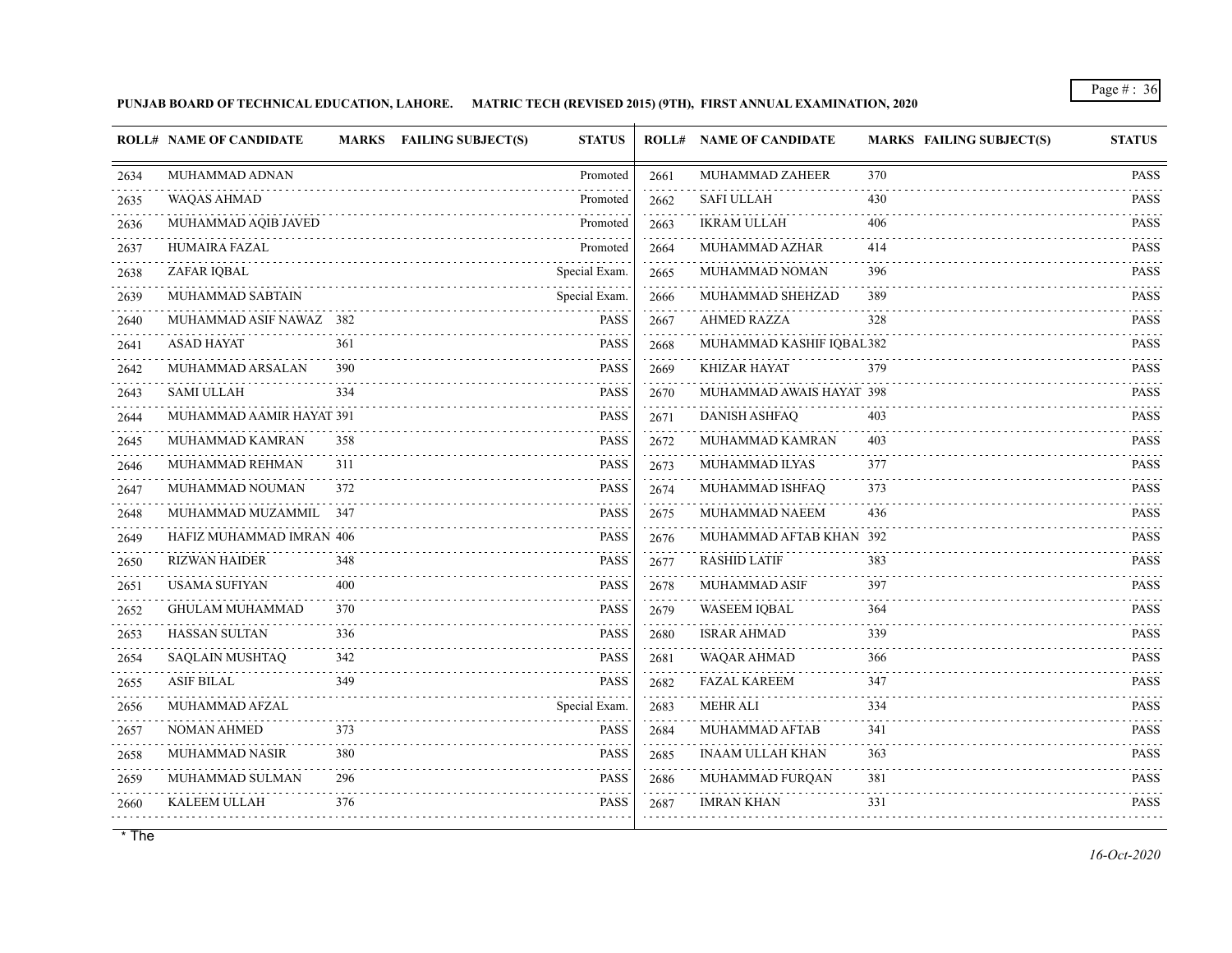## **PUNJAB BOARD OF TECHNICAL EDUCATION, LAHORE. MATRIC TECH (REVISED 2015) (9TH), FIRST ANNUAL EXAMINATION, 2020**

|      | <b>ROLL# NAME OF CANDIDATE</b> |     | MARKS FAILING SUBJECT(S) | <b>STATUS</b> |      | <b>ROLL# NAME OF CANDIDATE</b> | <b>MARKS FAILING SUBJECT(S)</b> | <b>STATUS</b>                             |
|------|--------------------------------|-----|--------------------------|---------------|------|--------------------------------|---------------------------------|-------------------------------------------|
| 2634 | MUHAMMAD ADNAN                 |     |                          | Promoted      | 2661 | MUHAMMAD ZAHEER                | 370                             | <b>PASS</b>                               |
| 2635 | <b>WAQAS AHMAD</b>             |     |                          | Promoted      | 2662 | <b>SAFI ULLAH</b>              | 430                             | .<br><b>PASS</b>                          |
| 2636 | MUHAMMAD AQIB JAVED            |     |                          | Promoted      | 2663 | <b>IKRAM ULLAH</b>             | 406                             | <b>PASS</b>                               |
| 2637 | HUMAIRA FAZAL                  |     |                          | Promoted      | 2664 | MUHAMMAD AZHAR                 | 414                             | <b>PASS</b>                               |
| 2638 | ZAFAR IQBAL                    |     |                          | Special Exam. | 2665 | MUHAMMAD NOMAN                 | 396                             | <b>PASS</b>                               |
| 2639 | MUHAMMAD SABTAIN               |     |                          | Special Exam. | 2666 | MUHAMMAD SHEHZAD               | 389                             | <b>PASS</b>                               |
| 2640 | MUHAMMAD ASIF NAWAZ 382        |     |                          | <b>PASS</b>   | 2667 | <b>AHMED RAZZA</b>             | 328                             | <b>PASS</b>                               |
| 2641 | <b>ASAD HAYAT</b>              | 361 |                          | <b>PASS</b>   | 2668 | MUHAMMAD KASHIF IQBAL382       |                                 | <b>PASS</b><br>i i i i i i                |
| 2642 | MUHAMMAD ARSALAN               | 390 |                          | <b>PASS</b>   | 2669 | <b>KHIZAR HAYAT</b>            | 379                             | <b>PASS</b>                               |
| 2643 | <b>SAMI ULLAH</b>              | 334 |                          | <b>PASS</b>   | 2670 | MUHAMMAD AWAIS HAYAT 398       |                                 | <b>PASS</b>                               |
| 2644 | MUHAMMAD AAMIR HAYAT 391       |     |                          | <b>PASS</b>   | 2671 | <b>DANISH ASHFAQ</b>           | 403                             | <b>PASS</b>                               |
| 2645 | MUHAMMAD KAMRAN                | 358 |                          | PASS          | 2672 | MUHAMMAD KAMRAN                | 403                             | <b>PASS</b>                               |
| 2646 | MUHAMMAD REHMAN                | 311 |                          | PASS          | 2673 | MUHAMMAD ILYAS                 | 377                             | <b>PASS</b>                               |
| 2647 | MUHAMMAD NOUMAN                | 372 |                          | <b>PASS</b>   | 2674 | MUHAMMAD ISHFAQ                | 373                             | <b>PASS</b>                               |
| 2648 | MUHAMMAD MUZAMMIL 347          |     |                          | <b>PASS</b>   | 2675 | MUHAMMAD NAEEM                 | 436                             | <b>PASS</b><br>$\alpha$ is a second order |
| 2649 | HAFIZ MUHAMMAD IMRAN 406       |     |                          | <b>PASS</b>   | 2676 | MUHAMMAD AFTAB KHAN 392        |                                 | <b>PASS</b>                               |
| 2650 | <b>RIZWAN HAIDER</b>           | 348 |                          | <b>PASS</b>   | 2677 | <b>RASHID LATIF</b>            | 383                             | <b>PASS</b>                               |
| 2651 | <b>USAMA SUFIYAN</b>           | 400 |                          | <b>PASS</b>   | 2678 | <b>MUHAMMAD ASIF</b>           | 397                             | <b>PASS</b>                               |
| 2652 | GHULAM MUHAMMAD                | 370 |                          | <b>PASS</b>   | 2679 | WASEEM IQBAL                   | 364                             | <b>PASS</b>                               |
| 2653 | <b>HASSAN SULTAN</b>           | 336 |                          | PASS          | 2680 | <b>ISRAR AHMAD</b>             | 339                             | <b>PASS</b>                               |
| 2654 | <b>SAQLAIN MUSHTAQ</b>         | 342 |                          | <b>PASS</b>   | 2681 | WAQAR AHMAD                    | 366                             | <b>PASS</b>                               |
| 2655 | ASIF BILAL                     | 349 |                          | PASS          | 2682 | <b>FAZAL KAREEM</b>            | 347                             | <b>PASS</b>                               |
| 2656 | MUHAMMAD AFZAL                 |     |                          | Special Exam. | 2683 | <b>MEHR ALI</b>                | 334                             | <b>PASS</b>                               |
| 2657 | <b>NOMAN AHMED</b>             | 373 |                          | <b>PASS</b>   | 2684 | MUHAMMAD AFTAB                 | 341                             | <b>PASS</b>                               |
| 2658 | MUHAMMAD NASIR                 | 380 |                          | <b>PASS</b>   | 2685 | INAAM ULLAH KHAN               | 363                             | <b>PASS</b>                               |
| 2659 | MUHAMMAD SULMAN                | 296 |                          | <b>PASS</b>   | 2686 | MUHAMMAD FURQAN                | 381                             | <b>PASS</b><br>.                          |
| 2660 | <b>KALEEM ULLAH</b>            | 376 |                          | <b>PASS</b>   | 2687 | <b>IMRAN KHAN</b>              | 331                             | <b>PASS</b>                               |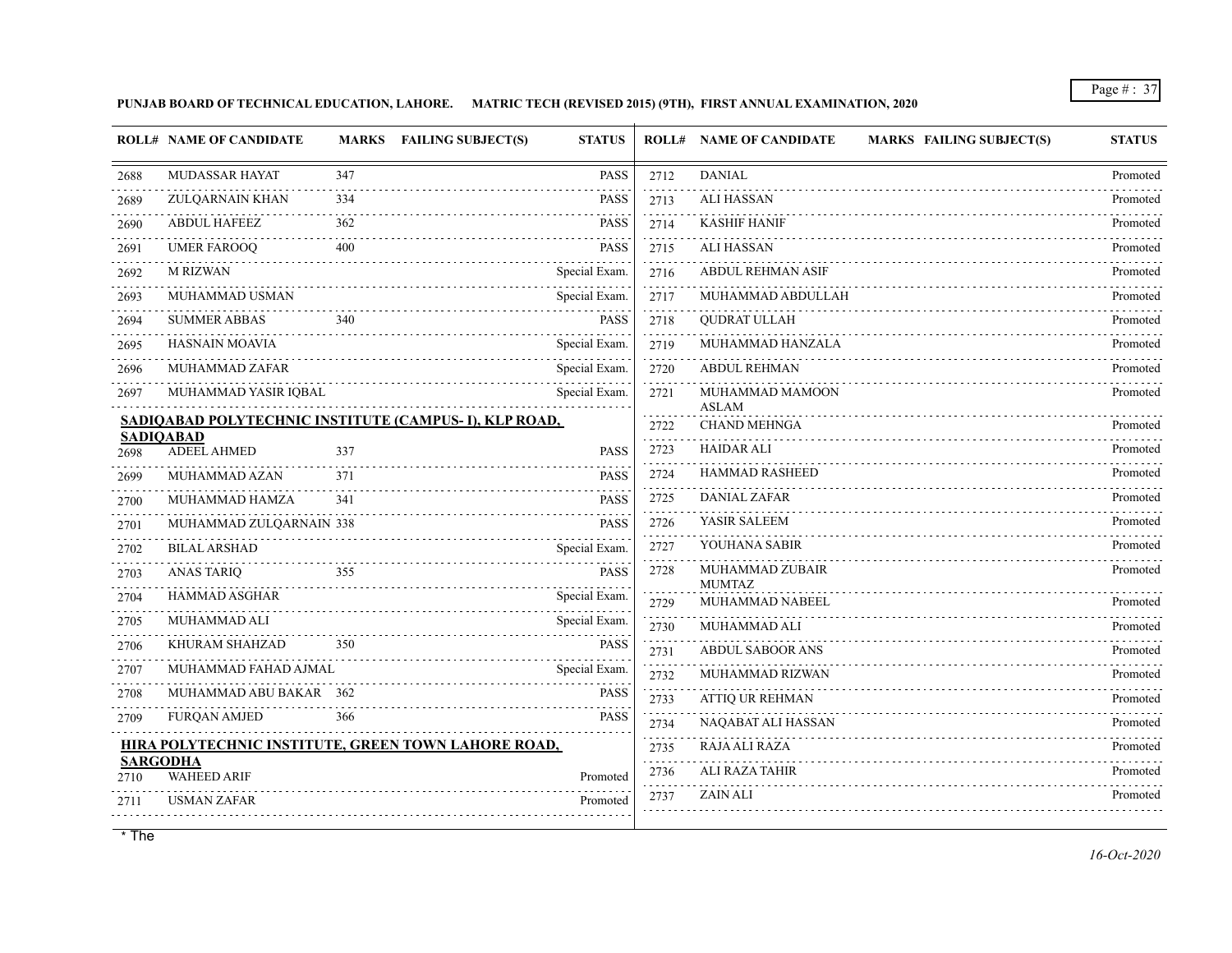**PUNJAB BOARD OF TECHNICAL EDUCATION, LAHORE. MATRIC TECH (REVISED 2015) (9TH), FIRST ANNUAL EXAMINATION, 2020**

|                         | <b>ROLL# NAME OF CANDIDATE</b>                         |     | MARKS FAILING SUBJECT(S) | <b>STATUS</b> |                     | <b>ROLL# NAME OF CANDIDATE</b><br><b>MARKS FAILING SUBJECT(S)</b> | <b>STATUS</b> |
|-------------------------|--------------------------------------------------------|-----|--------------------------|---------------|---------------------|-------------------------------------------------------------------|---------------|
| 2688                    | MUDASSAR HAYAT                                         | 347 |                          | <b>PASS</b>   | 2712                | <b>DANIAL</b>                                                     | Promoted      |
| 2689                    | <b>ZULQARNAIN KHAN</b>                                 | 334 |                          | <b>PASS</b>   | 2713                | <b>ALI HASSAN</b>                                                 | Promoted      |
| 2690                    | <b>ABDUL HAFEEZ</b>                                    | 362 |                          | <b>PASS</b>   | 2714                | <b>KASHIF HANIF</b>                                               | Promoted      |
| 2691                    | <b>UMER FAROOQ</b>                                     | 400 |                          | <b>PASS</b>   | 2715                | <b>ALI HASSAN</b>                                                 | Promoted      |
| 2692                    | <b>M RIZWAN</b>                                        |     |                          | Special Exam. | and a state<br>2716 | <b>ABDUL REHMAN ASIF</b>                                          | .<br>Promoted |
| 2693                    | MUHAMMAD USMAN                                         |     |                          | Special Exam. | 2717                | MUHAMMAD ABDULLAH                                                 | Promoted      |
| 2694                    | <b>SUMMER ABBAS</b>                                    | 340 |                          | <b>PASS</b>   | 2718                | <b>QUDRAT ULLAH</b>                                               | Promoted      |
| 2695                    | <b>HASNAIN MOAVIA</b>                                  |     |                          | Special Exam. | 2719                | MUHAMMAD HANZALA                                                  | Promoted      |
| 2696                    | MUHAMMAD ZAFAR                                         |     |                          | Special Exam. | 2720                | <b>ABDUL REHMAN</b>                                               | Promoted      |
| 2697                    | MUHAMMAD YASIR IQBAL                                   |     |                          | Special Exam. | 2721                | MUHAMMAD MAMOON<br><b>ASLAM</b>                                   | Promoted      |
|                         | SADIQABAD POLYTECHNIC INSTITUTE (CAMPUS- I), KLP ROAD, |     |                          |               | 2722                | <b>CHAND MEHNGA</b>                                               | Promoted      |
| 2698                    | <b>SADIQABAD</b><br><b>ADEEL AHMED</b>                 | 337 |                          | <b>PASS</b>   | 2723                | <b>HAIDAR ALI</b>                                                 | Promoted      |
| 2699                    | MUHAMMAD AZAN                                          | 371 |                          | <b>PASS</b>   | 2724                | HAMMAD RASHEED                                                    | Promoted      |
| 2700                    | MUHAMMAD HAMZA                                         | 341 |                          | <b>PASS</b>   | 2725                | DANIAL ZAFAR                                                      | Promoted      |
| 2701                    | MUHAMMAD ZULQARNAIN 338                                |     |                          | <b>PASS</b>   | 2726                | YASIR SALEEM                                                      | Promoted      |
| .<br>2702               | <b>BILAL ARSHAD</b>                                    |     |                          | Special Exam. | 2727                | YOUHANA SABIR                                                     | Promoted      |
| 2703                    | <b>ANAS TARIQ</b>                                      | 355 |                          | PASS          | 2728                | MUHAMMAD ZUBAIR<br><b>MUMTAZ</b>                                  | Promoted      |
| 2704                    | <b>HAMMAD ASGHAR</b>                                   |     |                          | Special Exam. | 2729                | .<br>MUHAMMAD NABEEL                                              | Promoted      |
| 2705<br>.               | MUHAMMAD ALI                                           |     |                          | Special Exam. | 2730                | MUHAMMAD ALI                                                      | Promoted      |
| 2706                    | KHURAM SHAHZAD                                         | 350 |                          | <b>PASS</b>   | 2731                | <b>ABDUL SABOOR ANS</b>                                           | Promoted      |
| 2707                    | MUHAMMAD FAHAD AJMAL                                   |     |                          | Special Exam. | 2732                | MUHAMMAD RIZWAN                                                   | Promoted      |
| 2708                    | MUHAMMAD ABU BAKAR 362                                 |     |                          | <b>PASS</b>   | 2733                | ATTIQ UR REHMAN                                                   | Promoted      |
| 2709                    | <b>FURQAN AMJED</b>                                    | 366 |                          | <b>PASS</b>   | 2734                | NAQABAT ALI HASSAN                                                | Promoted      |
|                         | HIRA POLYTECHNIC INSTITUTE, GREEN TOWN LAHORE ROAD,    |     |                          |               | 2735                | RAJA ALI RAZA                                                     | Promoted      |
| <b>SARGODHA</b><br>2710 | <b>WAHEED ARIF</b>                                     |     |                          | Promoted      | 2736                | <b>ALI RAZA TAHIR</b>                                             | Promoted      |
| 2711                    | <b>USMAN ZAFAR</b>                                     |     |                          | Promoted      | 2737                | <b>ZAIN ALI</b>                                                   | Promoted      |
|                         |                                                        |     |                          |               |                     |                                                                   |               |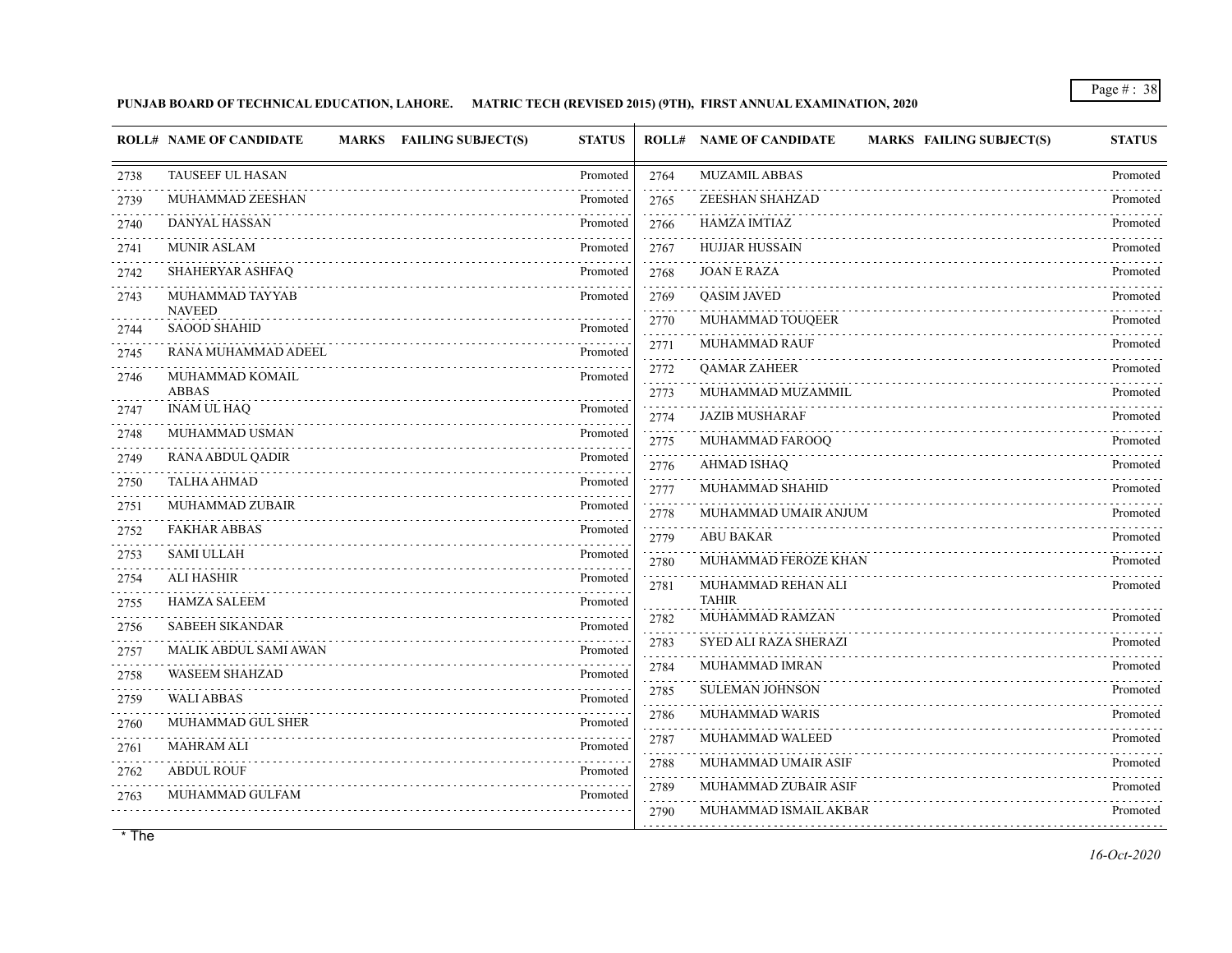# **PUNJAB BOARD OF TECHNICAL EDUCATION, LAHORE. MATRIC TECH (REVISED 2015) (9TH), FIRST ANNUAL EXAMINATION, 2020**

|      | <b>ROLL# NAME OF CANDIDATE</b><br><b>MARKS FAILING SUBJECT(S)</b> | <b>STATUS</b> |                | <b>ROLL# NAME OF CANDIDATE</b><br><b>MARKS FAILING SUBJECT(S)</b> | <b>STATUS</b> |
|------|-------------------------------------------------------------------|---------------|----------------|-------------------------------------------------------------------|---------------|
| 2738 | TAUSEEF UL HASAN                                                  | Promoted      | 2764           | <b>MUZAMIL ABBAS</b>                                              | Promoted      |
| 2739 | MUHAMMAD ZEESHAN                                                  | Promoted      | 2765           | ZEESHAN SHAHZAD                                                   | Promoted      |
| 2740 | <b>DANYAL HASSAN</b>                                              | Promoted      | 2766           | <b>HAMZA IMTIAZ</b>                                               | Promoted      |
| 2741 | <b>MUNIR ASLAM</b>                                                | Promoted      | 2767           | <b>HUJJAR HUSSAIN</b>                                             | Promoted      |
| 2742 | SHAHERYAR ASHFAQ                                                  | Promoted      | 2768           | <b>JOAN E RAZA</b>                                                | Promoted      |
| 2743 | MUHAMMAD TAYYAB<br><b>NAVEED</b>                                  | Promoted      | 2769           | <b>OASIM JAVED</b>                                                | Promoted      |
| 2744 | <b>SAOOD SHAHID</b>                                               | Promoted      | 2770           | MUHAMMAD TOUQEER                                                  | Promoted      |
| 2745 | RANA MUHAMMAD ADEEL                                               | Promoted      | 2771           | <b>MUHAMMAD RAUF</b>                                              | Promoted      |
| 2746 | MUHAMMAD KOMAIL                                                   | Promoted      | 2772           | <b>QAMAR ZAHEER</b>                                               | Promoted      |
|      | <b>ABBAS</b>                                                      |               | 2773           | MUHAMMAD MUZAMMIL                                                 | Promoted      |
| 2747 | <b>INAM UL HAO</b>                                                | Promoted      | 2774           | <b>JAZIB MUSHARAF</b>                                             | Promoted      |
| 2748 | MUHAMMAD USMAN                                                    | Promoted      | 2775           | MUHAMMAD FAROOQ                                                   | Promoted      |
| 2749 | RANA ABDUL QADIR                                                  | Promoted      | 2776           | <b>AHMAD ISHAO</b>                                                | Promoted      |
| 2750 | <b>TALHA AHMAD</b>                                                | Promoted      | 2777           | MUHAMMAD SHAHID                                                   | Promoted      |
| 2751 | MUHAMMAD ZUBAIR                                                   | Promoted      | 2778           | MUHAMMAD UMAIR ANJUM                                              | Promoted      |
| 2752 | <b>FAKHAR ABBAS</b>                                               | Promoted      | 2779           | <b>ABU BAKAR</b>                                                  | Promoted      |
| 2753 | SAMI ULLAH                                                        | Promoted      | 2780           | MUHAMMAD FEROZE KHAN                                              | Promoted      |
| 2754 | <b>ALI HASHIR</b>                                                 | Promoted      | 2781           | MUHAMMAD REHAN ALI                                                | Promoted      |
| 2755 | <b>HAMZA SALEEM</b>                                               | Promoted      |                | <b>TAHIR</b>                                                      |               |
| 2756 | <b>SABEEH SIKANDAR</b>                                            | Promoted      | 2782           | MUHAMMAD RAMZAN                                                   | Promoted      |
| 2757 | MALIK ABDUL SAMI AWAN                                             | Promoted      | 2783           | SYED ALI RAZA SHERAZI                                             | Promoted      |
| 2758 | WASEEM SHAHZAD                                                    | Promoted      | 2784<br>$   -$ | MUHAMMAD IMRAN                                                    | Promoted      |
| 2759 | <b>WALI ABBAS</b>                                                 | Promoted      | 2785           | <b>SULEMAN JOHNSON</b>                                            | Promoted      |
| 2760 | MUHAMMAD GUL SHER                                                 | Promoted      | 2786           | MUHAMMAD WARIS                                                    | Promoted      |
| 2761 | <b>MAHRAM ALI</b>                                                 | Promoted      | 2787           | MUHAMMAD WALEED                                                   | Promoted      |
| 2762 | <b>ABDUL ROUF</b>                                                 | Promoted      | 2788           | MUHAMMAD UMAIR ASIF                                               | Promoted      |
| 2763 | MUHAMMAD GULFAM                                                   | Promoted      | 2789           | MUHAMMAD ZUBAIR ASIF                                              | Promoted      |
|      |                                                                   |               | 2790           | MUHAMMAD ISMAIL AKBAR                                             | Promoted      |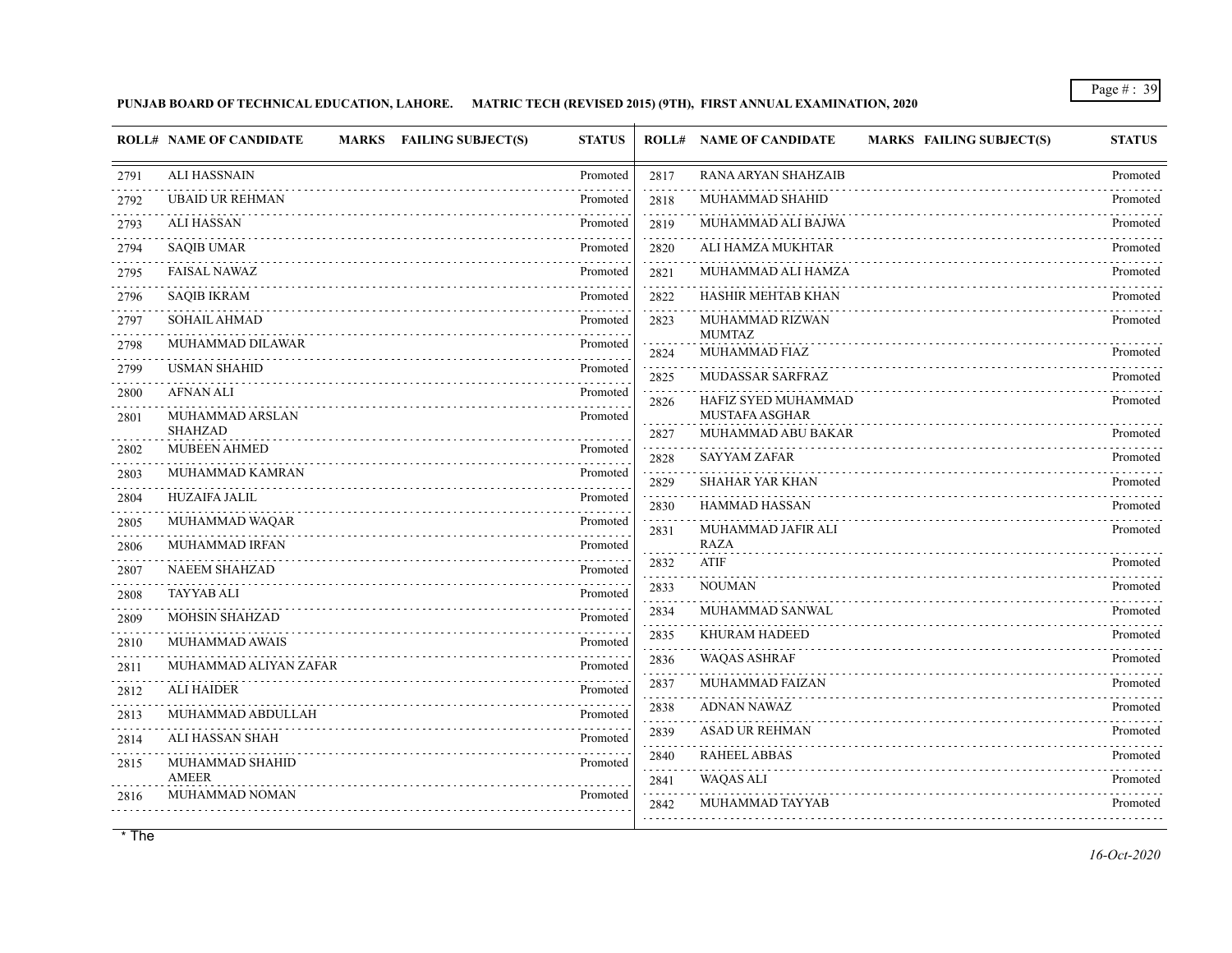# **PUNJAB BOARD OF TECHNICAL EDUCATION, LAHORE. MATRIC TECH (REVISED 2015) (9TH), FIRST ANNUAL EXAMINATION, 2020**

|      | <b>ROLL# NAME OF CANDIDATE</b><br>MARKS FAILING SUBJECT(S) | <b>STATUS</b> |                 | <b>ROLL# NAME OF CANDIDATE</b><br><b>MARKS FAILING SUBJECT(S)</b> | <b>STATUS</b>        |
|------|------------------------------------------------------------|---------------|-----------------|-------------------------------------------------------------------|----------------------|
| 2791 | <b>ALI HASSNAIN</b>                                        | Promoted      | 2817            | RANA ARYAN SHAHZAIB                                               | Promoted             |
| 2792 | <b>UBAID UR REHMAN</b>                                     | Promoted      | 2818            | MUHAMMAD SHAHID                                                   | Promoted             |
| 2793 | <b>ALI HASSAN</b>                                          | Promoted      | 2819            | MUHAMMAD ALI BAJWA                                                | Promoted             |
| 2794 | <b>SAQIB UMAR</b>                                          | Promoted      | 2820            | ALI HAMZA MUKHTAR                                                 | Promoted             |
| 2795 | <b>FAISAL NAWAZ</b>                                        | Promoted      | 2821            | MUHAMMAD ALI HAMZA                                                | Promoted             |
| 2796 | <b>SAQIB IKRAM</b>                                         | Promoted      | 2822            | HASHIR MEHTAB KHAN                                                | Promoted             |
| 2797 | SOHAIL AHMAD                                               | Promoted      | 2823            | MUHAMMAD RIZWAN<br><b>MUMTAZ</b>                                  | Promoted             |
| 2798 | MUHAMMAD DILAWAR                                           | Promoted      | 2824            | MUHAMMAD FIAZ                                                     | Promoted             |
| 2799 | <b>USMAN SHAHID</b>                                        | Promoted      | 2825            | MUDASSAR SARFRAZ                                                  | Promoted             |
| 2800 | <b>AFNAN ALI</b>                                           | Promoted      | 2826            | HAFIZ SYED MUHAMMAD                                               | Promoted             |
| 2801 | MUHAMMAD ARSLAN<br><b>SHAHZAD</b>                          | Promoted      |                 | <b>MUSTAFA ASGHAR</b><br>MUHAMMAD ABU BAKAR                       |                      |
| 2802 | <b>MUBEEN AHMED</b>                                        | Promoted      | 2827            | <b>SAYYAM ZAFAR</b>                                               | Promoted<br>Promoted |
| 2803 | MUHAMMAD KAMRAN                                            | Promoted      | 2828<br>2829    | SHAHAR YAR KHAN                                                   | Promoted             |
| 2804 | <b>HUZAIFA JALIL</b>                                       | Promoted      | 2830            | <b>HAMMAD HASSAN</b>                                              | Promoted             |
| 2805 | MUHAMMAD WAQAR                                             | Promoted      | 2831            | MUHAMMAD JAFIR ALI                                                | Promoted             |
| 2806 | MUHAMMAD IRFAN                                             | Promoted      |                 | <b>RAZA</b>                                                       |                      |
| 2807 | <b>NAEEM SHAHZAD</b>                                       | Promoted      | 2832            | <b>ATIF</b>                                                       | Promoted             |
| 2808 | <b>TAYYAB ALI</b>                                          | Promoted      | 2833            | <b>NOUMAN</b>                                                     | Promoted             |
| 2809 | <b>MOHSIN SHAHZAD</b>                                      | Promoted      | 2834<br>i i sta | MUHAMMAD SANWAL                                                   | Promoted             |
| 2810 | MUHAMMAD AWAIS                                             | Promoted      | 2835            | <b>KHURAM HADEED</b>                                              | Promoted             |
| 2811 | MUHAMMAD ALIYAN ZAFAR                                      | Promoted      | 2836<br>.       | <b>WAQAS ASHRAF</b>                                               | Promoted             |
| 2812 | <b>ALI HAIDER</b>                                          | Promoted      | 2837            | MUHAMMAD FAIZAN                                                   | Promoted<br>.        |
| 2813 | MUHAMMAD ABDULLAH                                          | Promoted      | 2838            | <b>ADNAN NAWAZ</b>                                                | Promoted             |
| 2814 | ALI HASSAN SHAH                                            | Promoted      | 2839            | <b>ASAD UR REHMAN</b>                                             | Promoted             |
| 2815 | MUHAMMAD SHAHID                                            | Promoted      | 2840            | <b>RAHEEL ABBAS</b>                                               | Promoted             |
| 2816 | <b>AMEER</b><br>MUHAMMAD NOMAN                             | Promoted      | 2841            | <b>WAQAS ALI</b>                                                  | Promoted             |
|      |                                                            |               | 2842            | MUHAMMAD TAYYAB                                                   | Promoted             |
|      |                                                            |               |                 |                                                                   |                      |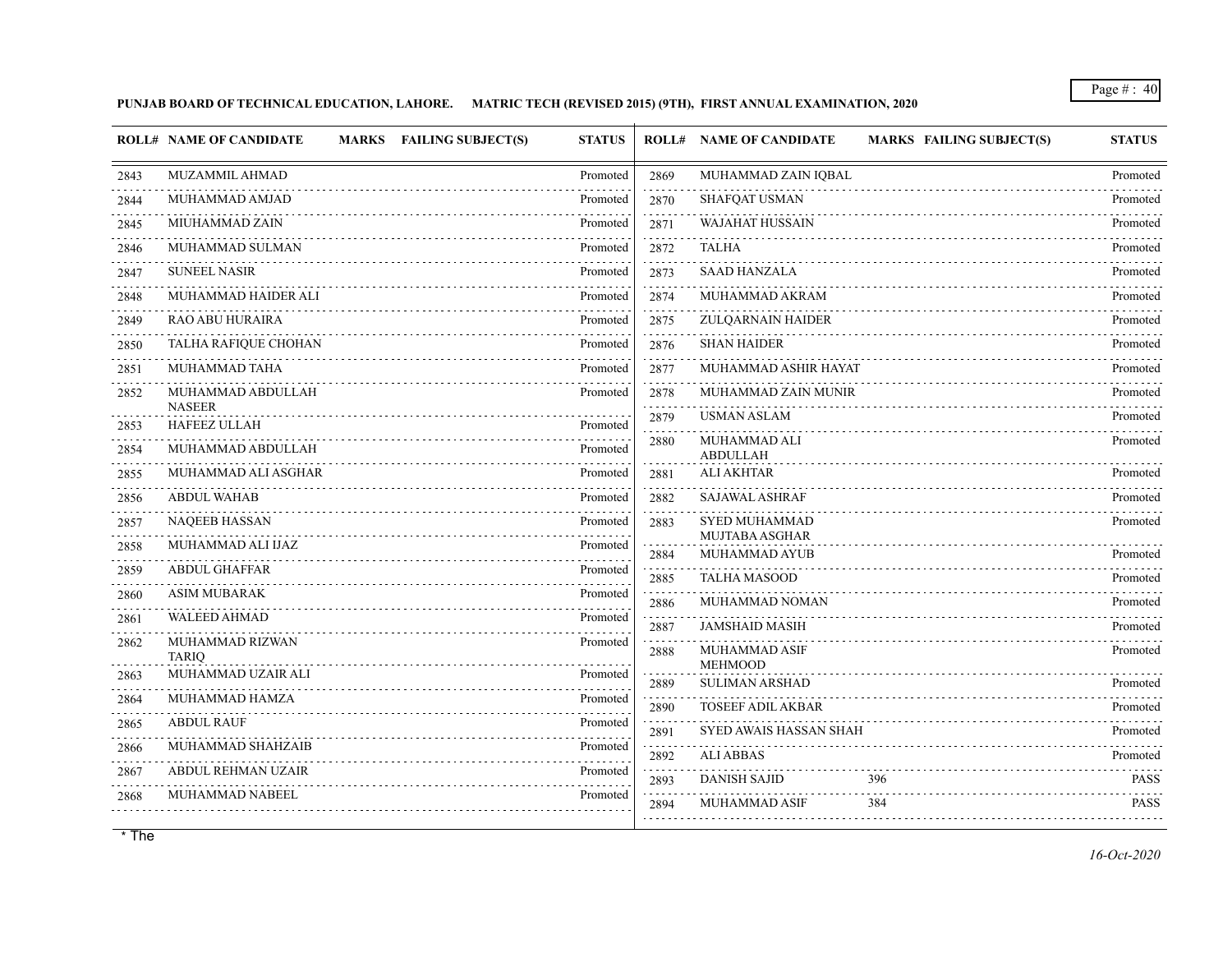# **PUNJAB BOARD OF TECHNICAL EDUCATION, LAHORE. MATRIC TECH (REVISED 2015) (9TH), FIRST ANNUAL EXAMINATION, 2020**

|                                     | <b>ROLL# NAME OF CANDIDATE</b>       | MARKS FAILING SUBJECT(S) | <b>STATUS</b> |      | <b>ROLL# NAME OF CANDIDATE</b>          | <b>MARKS FAILING SUBJECT(S)</b> | <b>STATUS</b> |
|-------------------------------------|--------------------------------------|--------------------------|---------------|------|-----------------------------------------|---------------------------------|---------------|
| 2843                                | MUZAMMIL AHMAD                       |                          | Promoted      | 2869 | MUHAMMAD ZAIN IQBAL                     |                                 | Promoted      |
| 2844                                | MUHAMMAD AMJAD                       |                          | Promoted      | 2870 | <b>SHAFQAT USMAN</b>                    |                                 | Promoted      |
| 2845                                | MIUHAMMAD ZAIN                       |                          | Promoted      | 2871 | <b>WAJAHAT HUSSAIN</b>                  |                                 | Promoted      |
| 2846                                | MUHAMMAD SULMAN                      |                          | Promoted      | 2872 | <b>TALHA</b>                            |                                 | Promoted      |
| $- - - - -$<br>2847                 | <b>SUNEEL NASIR</b>                  |                          | Promoted      | 2873 | <b>SAAD HANZALA</b>                     |                                 | Promoted      |
| 2848                                | MUHAMMAD HAIDER ALI                  |                          | Promoted      | 2874 | MUHAMMAD AKRAM                          |                                 | Promoted      |
| 2849                                | <b>RAO ABU HURAIRA</b>               |                          | Promoted      | 2875 | ZULQARNAIN HAIDER                       |                                 | Promoted      |
| 2850                                | TALHA RAFIQUE CHOHAN                 |                          | Promoted      | 2876 | <b>SHAN HAIDER</b>                      |                                 | Promoted      |
| 2851                                | MUHAMMAD TAHA                        |                          | Promoted      | 2877 | MUHAMMAD ASHIR HAYAT                    |                                 | Promoted      |
| 2852                                | MUHAMMAD ABDULLAH                    |                          | Promoted      | 2878 | MUHAMMAD ZAIN MUNIR                     |                                 | Promoted      |
| 2853                                | <b>NASEER</b><br><b>HAFEEZ ULLAH</b> |                          | Promoted      | 2879 | <b>USMAN ASLAM</b>                      |                                 | Promoted      |
| 2854                                | MUHAMMAD ABDULLAH                    |                          | Promoted      | 2880 | MUHAMMAD ALI<br><b>ABDULLAH</b>         |                                 | Promoted      |
| 2855                                | MUHAMMAD ALI ASGHAR                  |                          | Promoted      | 2881 | <b>ALI AKHTAR</b>                       |                                 | Promoted      |
| 2856                                | <b>ABDUL WAHAB</b>                   |                          | Promoted      | 2882 | <b>SAJAWAL ASHRAF</b>                   |                                 | Promoted      |
| 2857                                | <b>NAQEEB HASSAN</b>                 |                          | Promoted      | 2883 | <b>SYED MUHAMMAD</b>                    |                                 | Promoted      |
| 2858<br>$\sim$ $\sim$ $\sim$ $\sim$ | MUHAMMAD ALI IJAZ                    |                          | Promoted      | 2884 | MUJTABA ASGHAR<br>MUHAMMAD AYUB         |                                 | Promoted      |
| 2859                                | <b>ABDUL GHAFFAR</b>                 |                          | Promoted      | 2885 | <b>TALHA MASOOD</b>                     |                                 | Promoted      |
| 2860                                | <b>ASIM MUBARAK</b>                  |                          | Promoted      | 2886 | MUHAMMAD NOMAN                          |                                 | Promoted      |
| 2861                                | <b>WALEED AHMAD</b>                  |                          | Promoted      | 2887 | <b>JAMSHAID MASIH</b>                   |                                 | Promoted      |
| 2862                                | MUHAMMAD RIZWAN<br><b>TARIO</b>      |                          | Promoted      | 2888 | MUHAMMAD ASIF                           |                                 | Promoted      |
| 2863                                | MUHAMMAD UZAIR ALI                   |                          | Promoted      | 2889 | <b>MEHMOOD</b><br><b>SULIMAN ARSHAD</b> |                                 | Promoted      |
| 2864                                | MUHAMMAD HAMZA                       |                          | Promoted      | 2890 | <b>TOSEEF ADIL AKBAR</b>                |                                 | Promoted      |
| 2865                                | <b>ABDUL RAUF</b>                    |                          | Promoted      | 2891 | <b>SYED AWAIS HASSAN SHAH</b>           |                                 | Promoted      |
| 2866                                | MUHAMMAD SHAHZAIB                    |                          | Promoted      | 2892 | <b>ALI ABBAS</b>                        |                                 | Promoted      |
| 2867                                | <b>ABDUL REHMAN UZAIR</b>            |                          | Promoted      | 2893 | <b>DANISH SAJID</b><br>396              |                                 | <b>PASS</b>   |
| 2868                                | MUHAMMAD NABEEL                      |                          | Promoted      | 2894 | <b>MUHAMMAD ASIF</b><br>384             |                                 | <b>PASS</b>   |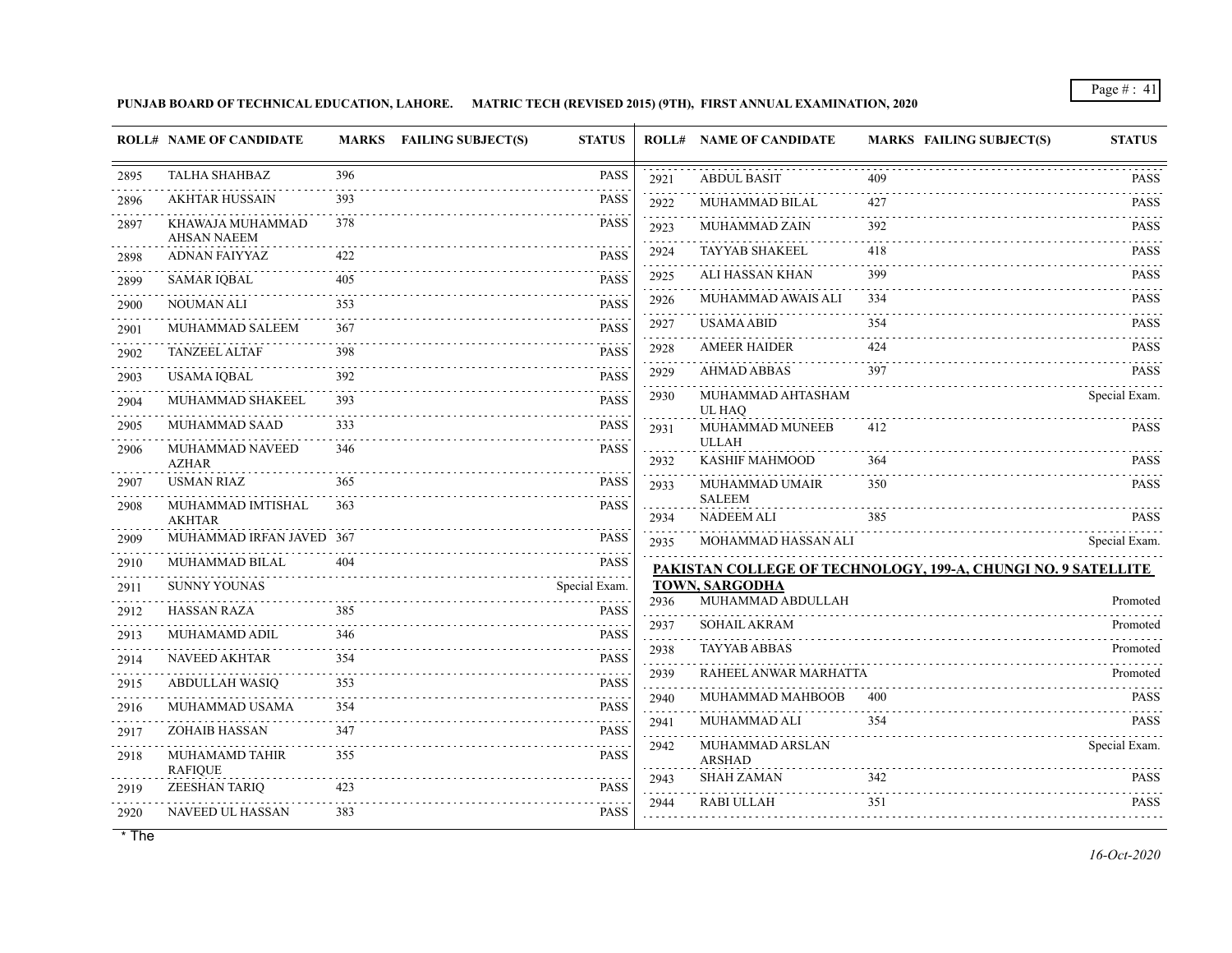**PUNJAB BOARD OF TECHNICAL EDUCATION, LAHORE. MATRIC TECH (REVISED 2015) (9TH), FIRST ANNUAL EXAMINATION, 2020**

|                   | <b>ROLL# NAME OF CANDIDATE</b>            |     | MARKS FAILING SUBJECT(S)<br><b>STATUS</b> |                                                                                                                                                                                                                                                                                                                                            | <b>ROLL# NAME OF CANDIDATE</b>     | MARKS FAILING SUBJECT(S)                                      | <b>STATUS</b>      |
|-------------------|-------------------------------------------|-----|-------------------------------------------|--------------------------------------------------------------------------------------------------------------------------------------------------------------------------------------------------------------------------------------------------------------------------------------------------------------------------------------------|------------------------------------|---------------------------------------------------------------|--------------------|
| 2895              | <b>TALHA SHAHBAZ</b>                      | 396 | <b>PASS</b>                               | 2921                                                                                                                                                                                                                                                                                                                                       | <b>ABDUL BASIT</b>                 | 409                                                           | <b>PASS</b>        |
| 2896              | <b>AKHTAR HUSSAIN</b>                     | 393 | PASS                                      | 2922                                                                                                                                                                                                                                                                                                                                       | MUHAMMAD BILAL                     | 427                                                           | <b>PASS</b>        |
| 2897              | KHAWAJA MUHAMMAD<br><b>AHSAN NAEEM</b>    | 378 | <b>PASS</b>                               | 2923                                                                                                                                                                                                                                                                                                                                       | MUHAMMAD ZAIN                      | 392                                                           | <b>PASS</b>        |
| 2898              | ADNAN FAIYYAZ                             | 422 | <b>PASS</b>                               | 2924                                                                                                                                                                                                                                                                                                                                       | <b>TAYYAB SHAKEEL</b>              | 418                                                           | <b>PASS</b><br>.   |
| 2899              | <b>SAMAR IQBAL</b>                        | 405 | <b>PASS</b>                               | 2925                                                                                                                                                                                                                                                                                                                                       | ALI HASSAN KHAN                    | 399                                                           | PASS               |
| 2900              | <b>NOUMAN ALI</b>                         | 353 | <b>PASS</b>                               | 2926                                                                                                                                                                                                                                                                                                                                       | MUHAMMAD AWAIS ALI                 | 334                                                           | <b>PASS</b>        |
| .<br>2901         | MUHAMMAD SALEEM                           | 367 | <b>PASS</b>                               | 2927<br>.                                                                                                                                                                                                                                                                                                                                  | <b>USAMA ABID</b>                  | 354                                                           | <b>PASS</b>        |
| 2902              | <b>TANZEEL ALTAF</b>                      | 398 | <b>PASS</b>                               | 2928<br>.                                                                                                                                                                                                                                                                                                                                  | <b>AMEER HAIDER</b>                | 424                                                           | <b>PASS</b><br>.   |
| 2903              | USAMA IQBAL                               | 392 | <b>PASS</b>                               | 2929                                                                                                                                                                                                                                                                                                                                       | <b>AHMAD ABBAS</b>                 | 397                                                           | PASS               |
| - - - - -<br>2904 | MUHAMMAD SHAKEEL                          | 393 | <b>PASS</b>                               | 2930                                                                                                                                                                                                                                                                                                                                       | MUHAMMAD AHTASHAM<br>UL HAO        |                                                               | Special Exam.      |
| 2905              | <b>MUHAMMAD SAAD</b>                      | 333 | PASS                                      | 2931                                                                                                                                                                                                                                                                                                                                       | MUHAMMAD MUNEEB                    | 412                                                           | <b>PASS</b>        |
| 2906              | MUHAMMAD NAVEED<br><b>AZHAR</b>           | 346 | <b>PASS</b>                               | 2932                                                                                                                                                                                                                                                                                                                                       | <b>ULLAH</b><br>KASHIF MAHMOOD     | 364                                                           | <b>PASS</b>        |
| 2907              | <b>USMAN RIAZ</b>                         | 365 | <b>PASS</b>                               | 2933                                                                                                                                                                                                                                                                                                                                       | MUHAMMAD UMAIR                     | 350                                                           | <b>PASS</b>        |
| 2908              | MUHAMMAD IMTISHAL                         | 363 | <b>PASS</b>                               |                                                                                                                                                                                                                                                                                                                                            | <b>SALEEM</b>                      |                                                               |                    |
|                   | <b>AKHTAR</b><br>MUHAMMAD IRFAN JAVED 367 |     | PASS                                      | 2934                                                                                                                                                                                                                                                                                                                                       | <b>NADEEM ALI</b>                  | 385                                                           | <b>PASS</b>        |
| 2909              | MUHAMMAD BILAL                            | 404 |                                           | 2935                                                                                                                                                                                                                                                                                                                                       | MOHAMMAD HASSAN ALI                |                                                               | Special Exam.      |
| 2910              | <b>SUNNY YOUNAS</b>                       |     | <b>PASS</b>                               |                                                                                                                                                                                                                                                                                                                                            | TOWN, SARGODHA                     | PAKISTAN COLLEGE OF TECHNOLOGY, 199-A, CHUNGI NO. 9 SATELLITE |                    |
| 2911<br>.         | <b>HASSAN RAZA</b>                        | 385 | Special Exam.<br><b>PASS</b>              | 2936                                                                                                                                                                                                                                                                                                                                       | MUHAMMAD ABDULLAH                  |                                                               | Promoted           |
| 2912              | MUHAMAMD ADIL                             | 346 | <b>PASS</b>                               | .<br>2937                                                                                                                                                                                                                                                                                                                                  | SOHAIL AKRAM                       |                                                               | Promoted           |
| 2913<br>2914      | <b>NAVEED AKHTAR</b>                      | 354 | <b>PASS</b>                               | .<br>2938                                                                                                                                                                                                                                                                                                                                  | .<br><b>TAYYAB ABBAS</b>           |                                                               | Promoted           |
| .                 | ABDULLAH WASIQ                            | 353 | <b>PASS</b>                               | .<br>2939                                                                                                                                                                                                                                                                                                                                  | RAHEEL ANWAR MARHATTA              |                                                               | Promoted           |
| 2915              | MUHAMMAD USAMA                            | 354 | .<br>PASS                                 | 2940                                                                                                                                                                                                                                                                                                                                       | MUHAMMAD MAHBOOB                   | 400                                                           | PASS               |
| 2916<br>2917      | <b>ZOHAIB HASSAN</b>                      | 347 | <b>PASS</b>                               | 2941                                                                                                                                                                                                                                                                                                                                       | MUHAMMAD ALI                       | 354                                                           | .<br><b>PASS</b>   |
| 2918              | MUHAMAMD TAHIR                            | 355 | PASS                                      | .<br>2942                                                                                                                                                                                                                                                                                                                                  | MUHAMMAD ARSLAN                    |                                                               | .<br>Special Exam. |
|                   | <b>RAFIQUE</b>                            |     |                                           | $\frac{1}{2} \left( \begin{array}{ccc} 1 & 0 & 0 & 0 & 0 \\ 0 & 0 & 0 & 0 & 0 \\ 0 & 0 & 0 & 0 & 0 \\ 0 & 0 & 0 & 0 & 0 \\ 0 & 0 & 0 & 0 & 0 \\ 0 & 0 & 0 & 0 & 0 \\ 0 & 0 & 0 & 0 & 0 \\ 0 & 0 & 0 & 0 & 0 \\ 0 & 0 & 0 & 0 & 0 \\ 0 & 0 & 0 & 0 & 0 \\ 0 & 0 & 0 & 0 & 0 \\ 0 & 0 & 0 & 0 & 0 \\ 0 & 0 & 0 & 0 & 0 \\ 0 & 0 & 0$<br>2943 | <b>ARSHAD</b><br><b>SHAH ZAMAN</b> | 342                                                           | <b>PASS</b>        |
| 2919              | ZEESHAN TARIQ                             | 423 | <b>PASS</b>                               | 2944                                                                                                                                                                                                                                                                                                                                       | RABI ULLAH                         | 351                                                           | .<br><b>PASS</b>   |
| 2920              | NAVEED UL HASSAN                          | 383 | <b>PASS</b>                               |                                                                                                                                                                                                                                                                                                                                            |                                    |                                                               |                    |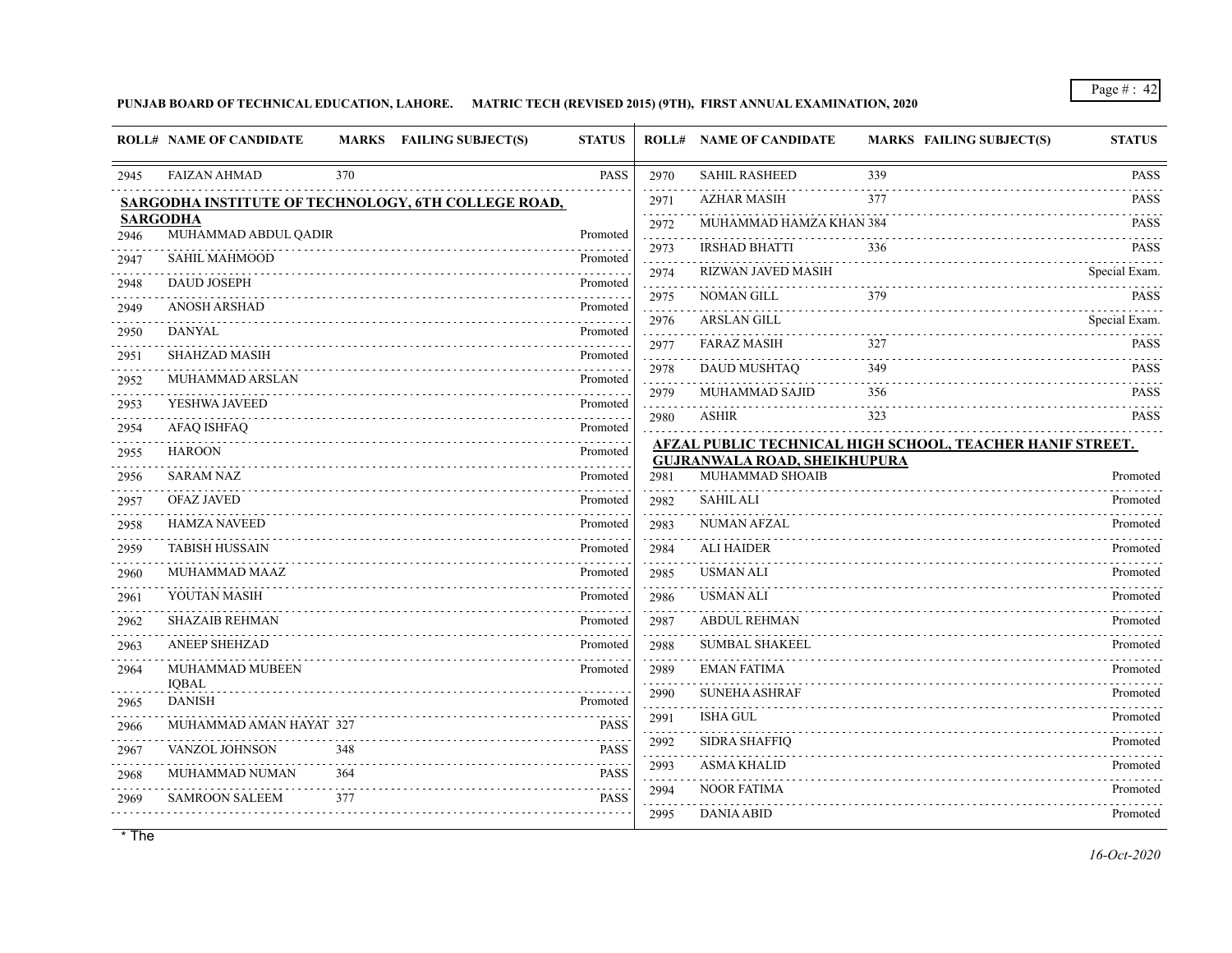**PUNJAB BOARD OF TECHNICAL EDUCATION, LAHORE. MATRIC TECH (REVISED 2015) (9TH), FIRST ANNUAL EXAMINATION, 2020**

|      | <b>ROLL# NAME OF CANDIDATE</b>          |     | MARKS FAILING SUBJECT(S)                            | <b>STATUS</b> |                             | <b>ROLL# NAME OF CANDIDATE</b>      | <b>MARKS FAILING SUBJECT(S)</b>                           | <b>STATUS</b>              |
|------|-----------------------------------------|-----|-----------------------------------------------------|---------------|-----------------------------|-------------------------------------|-----------------------------------------------------------|----------------------------|
| 2945 | <b>FAIZAN AHMAD</b>                     | 370 |                                                     | PASS          | 2970                        | <b>SAHIL RASHEED</b>                | 339                                                       | <b>PASS</b>                |
|      |                                         |     | SARGODHA INSTITUTE OF TECHNOLOGY, 6TH COLLEGE ROAD, |               | 2971                        | <b>AZHAR MASIH</b>                  | 377                                                       | <b>PASS</b>                |
|      | <b>SARGODHA</b><br>MUHAMMAD ABDUL QADIR |     |                                                     |               | 2972                        | MUHAMMAD HAMZA KHAN 384             |                                                           | <b>PASS</b>                |
| 2946 | <b>SAHIL MAHMOOD</b>                    |     |                                                     | Promoted      | 2973                        | <b>IRSHAD BHATTI</b>                | 336                                                       | <b>PASS</b>                |
| 2947 |                                         |     |                                                     | Promoted      | <b>State Street</b><br>2974 | .<br><b>RIZWAN JAVED MASIH</b>      |                                                           | Special Exam.              |
| 2948 | <b>DAUD JOSEPH</b>                      |     |                                                     | Promoted      | 2975                        | <b>NOMAN GILL</b>                   | 379                                                       | <b>PASS</b>                |
| 2949 | <b>ANOSH ARSHAD</b>                     |     |                                                     | Promoted      | د د د د د<br>2976           | <b>ARSLAN GILL</b>                  |                                                           | Special Exam.              |
| 2950 | <b>DANYAL</b>                           |     |                                                     | Promoted      | 2977                        | <b>FARAZ MASIH</b>                  | 327                                                       | <b>PASS</b>                |
| 2951 | <b>SHAHZAD MASIH</b>                    |     |                                                     | Promoted      | د د د د د<br>2978           | <b>DAUD MUSHTAQ</b>                 | 349                                                       | dia a dia a<br><b>PASS</b> |
| 2952 | MUHAMMAD ARSLAN                         |     |                                                     | Promoted      | 2979                        | MUHAMMAD SAJID                      | 356                                                       | <b>PASS</b>                |
| 2953 | YESHWA JAVEED                           |     |                                                     | Promoted      | 2980                        | <b>ASHIR</b>                        | 323                                                       | <b>PASS</b>                |
| 2954 | <b>AFAQ ISHFAQ</b>                      |     |                                                     | Promoted      |                             |                                     | AFZAL PUBLIC TECHNICAL HIGH SCHOOL, TEACHER HANIF STREET. |                            |
| 2955 | <b>HAROON</b>                           |     |                                                     | Promoted      |                             | <b>GUJRANWALA ROAD, SHEIKHUPURA</b> |                                                           |                            |
| 2956 | <b>SARAM NAZ</b>                        |     |                                                     | Promoted      | 2981                        | MUHAMMAD SHOAIB                     |                                                           | Promoted                   |
| 2957 | <b>OFAZ JAVED</b>                       |     |                                                     | Promoted      | 2982                        | <b>SAHIL ALI</b>                    |                                                           | Promoted                   |
| 2958 | <b>HAMZA NAVEED</b>                     |     |                                                     | Promoted      | 2983                        | <b>NUMAN AFZAL</b>                  |                                                           | Promoted                   |
| 2959 | <b>TABISH HUSSAIN</b>                   |     |                                                     | Promoted      | 2984                        | <b>ALI HAIDER</b>                   |                                                           | Promoted                   |
| 2960 | MUHAMMAD MAAZ                           |     |                                                     | Promoted      | 2985                        | <b>USMAN ALI</b>                    |                                                           | Promoted                   |
| 2961 | YOUTAN MASIH                            |     |                                                     | Promoted      | 2986                        | <b>USMAN ALI</b>                    |                                                           | Promoted                   |
| 2962 | <b>SHAZAIB REHMAN</b>                   |     |                                                     | Promoted      | 2987                        | <b>ABDUL REHMAN</b>                 |                                                           | Promoted                   |
| 2963 | <b>ANEEP SHEHZAD</b>                    |     |                                                     | Promoted      | <b>Contractor</b><br>2988   | <b>SUMBAL SHAKEEL</b>               |                                                           | Promoted                   |
| 2964 | MUHAMMAD MUBEEN<br><b>IOBAL</b>         |     |                                                     | Promoted      | 2989                        | <b>EMAN FATIMA</b>                  |                                                           | Promoted                   |
| 2965 | <b>DANISH</b>                           |     |                                                     | Promoted      | 2990                        | <b>SUNEHA ASHRAF</b>                |                                                           | Promoted                   |
| 2966 | MUHAMMAD AMAN HAYAT 327                 |     |                                                     | <b>PASS</b>   | 2991                        | <b>ISHA GUL</b>                     |                                                           | Promoted                   |
| 2967 | VANZOL JOHNSON                          | 348 |                                                     | <b>PASS</b>   | 2992                        | <b>SIDRA SHAFFIQ</b>                |                                                           | Promoted                   |
| 2968 | MUHAMMAD NUMAN                          | 364 |                                                     | <b>PASS</b>   | 2993                        | <b>ASMA KHALID</b>                  |                                                           | Promoted                   |
| 2969 | <b>SAMROON SALEEM</b>                   | 377 |                                                     | <b>PASS</b>   | 2994                        | <b>NOOR FATIMA</b>                  |                                                           | Promoted                   |
|      |                                         |     |                                                     |               | 2995                        | <b>DANIA ABID</b>                   |                                                           | Promoted                   |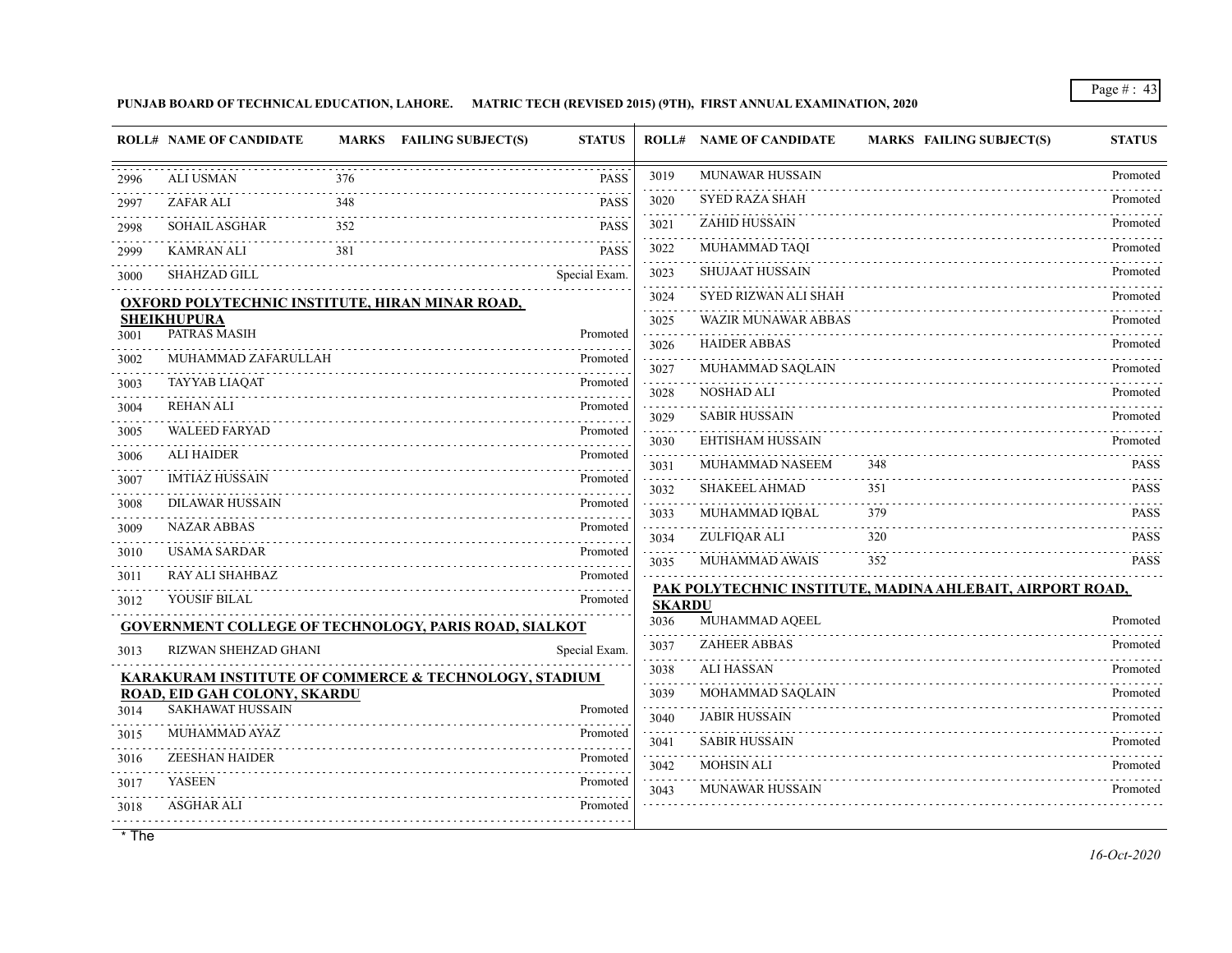**PUNJAB BOARD OF TECHNICAL EDUCATION, LAHORE. MATRIC TECH (REVISED 2015) (9TH), FIRST ANNUAL EXAMINATION, 2020**

|      | <b>ROLL# NAME OF CANDIDATE</b>                               |     | MARKS FAILING SUBJECT(S) | <b>STATUS</b> | ROLL#                 | <b>NAME OF CANDIDATE</b>                 | <b>MARKS FAILING SUBJECT(S)</b>                           | <b>STATUS</b> |
|------|--------------------------------------------------------------|-----|--------------------------|---------------|-----------------------|------------------------------------------|-----------------------------------------------------------|---------------|
| 2996 | <b>ALI USMAN</b>                                             | 376 |                          | <b>PASS</b>   | 3019                  | <b>MUNAWAR HUSSAIN</b>                   |                                                           | Promoted      |
| 2997 | <b>ZAFAR ALI</b>                                             | 348 |                          | <b>PASS</b>   | 3020                  | <b>SYED RAZA SHAH</b>                    |                                                           | Promoted      |
| 2998 | SOHAIL ASGHAR                                                | 352 |                          | <b>PASS</b>   | 3021                  | <b>ZAHID HUSSAIN</b>                     |                                                           | Promoted      |
| 2999 | KAMRAN ALI                                                   | 381 |                          | <b>PASS</b>   | 3022                  | MUHAMMAD TAQI                            |                                                           | Promoted      |
| 3000 | <b>SHAHZAD GILL</b>                                          |     |                          | Special Exam. | 3023                  | <b>SHUJAAT HUSSAIN</b>                   |                                                           | Promoted      |
|      | <b>OXFORD POLYTECHNIC INSTITUTE, HIRAN MINAR ROAD,</b>       |     |                          |               | 3024                  | SYED RIZWAN ALI SHAH                     |                                                           | Promoted      |
|      | <b>SHEIKHUPURA</b><br>PATRAS MASIH                           |     |                          | Promoted      | 3025<br>and a state   | <b>WAZIR MUNAWAR ABBAS</b>               |                                                           | Promoted      |
| 3001 | MUHAMMAD ZAFARULLAH                                          |     |                          | Promoted      | 3026                  | <b>HAIDER ABBAS</b>                      |                                                           | Promoted      |
| 3002 |                                                              |     |                          | .             | 3027                  | MUHAMMAD SAQLAIN                         |                                                           | Promoted      |
| 3003 | <b>TAYYAB LIAQAT</b><br><b>REHAN ALI</b>                     |     |                          | Promoted      | 3028                  | <b>NOSHAD ALI</b>                        |                                                           | Promoted      |
| 3004 | <b>WALEED FARYAD</b>                                         |     |                          | Promoted      | 3029                  | <b>SABIR HUSSAIN</b>                     |                                                           | Promoted      |
| 3005 |                                                              |     |                          | Promoted      | 3030                  | EHTISHAM HUSSAIN                         |                                                           | Promoted      |
| 3006 | <b>ALI HAIDER</b>                                            |     |                          | Promoted      | 3031                  | MUHAMMAD NASEEM                          | 348                                                       | PASS          |
| 3007 | <b>IMTIAZ HUSSAIN</b>                                        |     |                          | Promoted      | 3032                  | <b>SHAKEEL AHMAD</b>                     | 351                                                       | <b>PASS</b>   |
| 3008 | <b>DILAWAR HUSSAIN</b>                                       |     |                          | Promoted      | 3033                  | MUHAMMAD IQBAL                           | 379                                                       | <b>PASS</b>   |
| 3009 | <b>NAZAR ABBAS</b>                                           |     |                          | Promoted      | 3034                  | ZULFIQAR ALI                             | 320                                                       | <b>PASS</b>   |
| 3010 | <b>USAMA SARDAR</b>                                          |     |                          | Promoted      | 3035                  | MUHAMMAD AWAIS                           | 352                                                       | <b>PASS</b>   |
| 3011 | <b>RAY ALI SHAHBAZ</b>                                       |     |                          | Promoted      |                       |                                          | PAK POLYTECHNIC INSTITUTE, MADINA AHLEBAIT, AIRPORT ROAD, |               |
| 3012 | <b>YOUSIF BILAL</b>                                          |     |                          | Promoted      | <b>SKARDU</b><br>3036 | MUHAMMAD AQEEL                           |                                                           | Promoted      |
|      | <b>GOVERNMENT COLLEGE OF TECHNOLOGY, PARIS ROAD, SIALKOT</b> |     |                          |               | 3037                  | <b>ZAHEER ABBAS</b>                      |                                                           | Promoted      |
| 3013 | RIZWAN SHEHZAD GHANI                                         |     |                          | Special Exam. |                       | <b>ALI HASSAN</b>                        |                                                           | Promoted      |
|      | KARAKURAM INSTITUTE OF COMMERCE & TECHNOLOGY, STADIUM        |     |                          |               | 3038                  |                                          |                                                           |               |
| 3014 | ROAD, EID GAH COLONY, SKARDU<br><b>SAKHAWAT HUSSAIN</b>      |     |                          | Promoted      | 3039                  | MOHAMMAD SAQLAIN<br><b>JABIR HUSSAIN</b> |                                                           | Promoted      |
| 3015 | MUHAMMAD AYAZ                                                |     |                          | Promoted      | 3040                  |                                          |                                                           | Promoted      |
| 3016 | <b>ZEESHAN HAIDER</b>                                        |     |                          | Promoted      | 3041                  | <b>SABIR HUSSAIN</b>                     |                                                           | Promoted      |
| 3017 | <b>YASEEN</b>                                                |     |                          | Promoted      | 3042                  | <b>MOHSIN ALI</b>                        |                                                           | Promoted      |
| 3018 | <b>ASGHAR ALI</b>                                            |     |                          | Promoted      | 3043                  | <b>MUNAWAR HUSSAIN</b>                   |                                                           | Promoted      |
|      |                                                              |     |                          |               |                       |                                          |                                                           |               |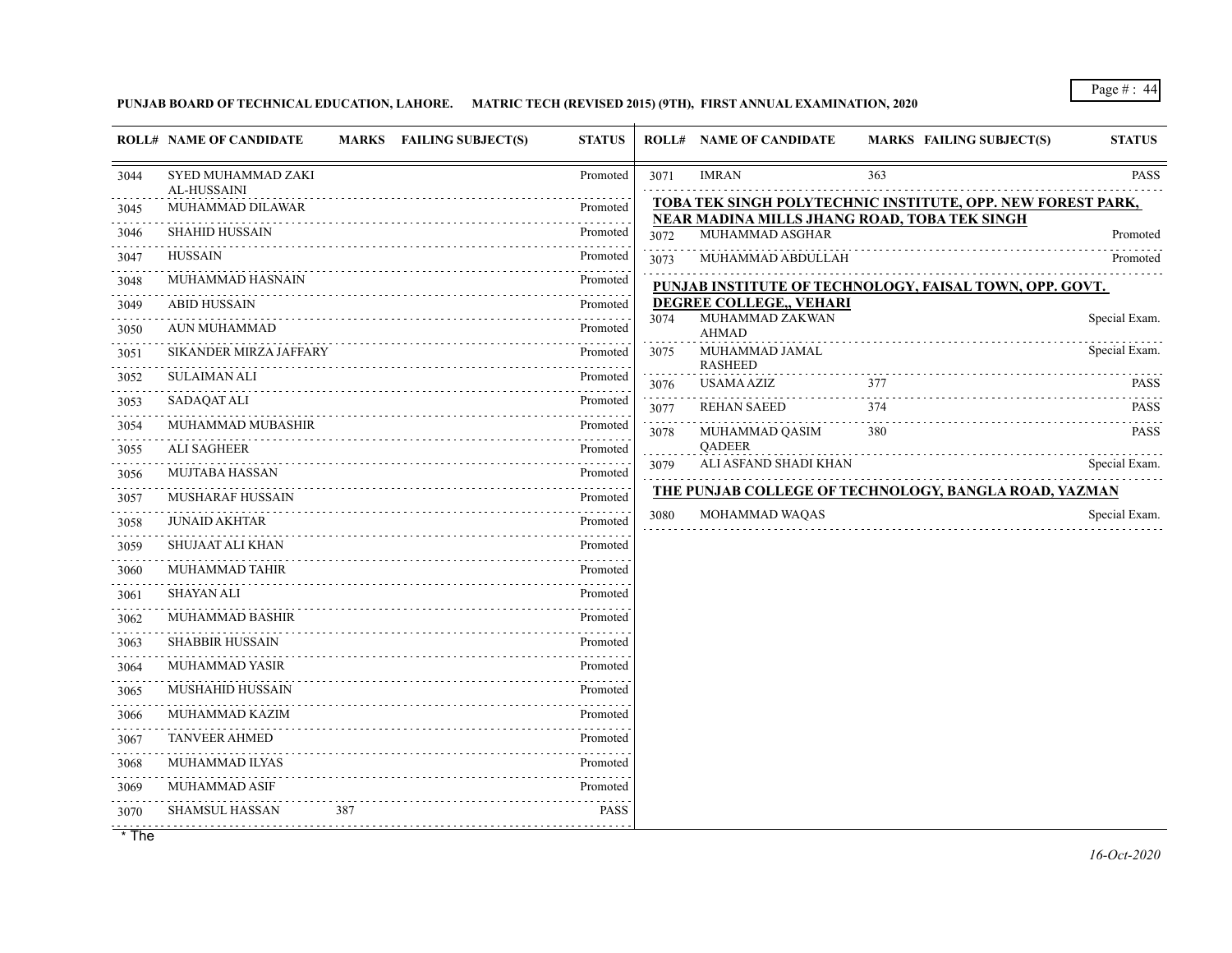## **PUNJAB BOARD OF TECHNICAL EDUCATION, LAHORE. MATRIC TECH (REVISED 2015) (9TH), FIRST ANNUAL EXAMINATION, 2020**

|                                                                                                                                                                                      | <b>ROLL# NAME OF CANDIDATE</b><br>MARKS FAILING SUBJECT(S) | <b>STATUS</b> |                                                                                                                                                              | <b>ROLL# NAME OF CANDIDATE</b>   | <b>MARKS FAILING SUBJECT(S)</b>                              | <b>STATUS</b>    |
|--------------------------------------------------------------------------------------------------------------------------------------------------------------------------------------|------------------------------------------------------------|---------------|--------------------------------------------------------------------------------------------------------------------------------------------------------------|----------------------------------|--------------------------------------------------------------|------------------|
| 3044                                                                                                                                                                                 | SYED MUHAMMAD ZAKI<br>AL-HUSSAINI                          | Promoted      | 3071                                                                                                                                                         | <b>IMRAN</b>                     | 363                                                          | <b>PASS</b><br>. |
| 3045                                                                                                                                                                                 | <b>MUHAMMAD DILAWAR</b>                                    | Promoted      |                                                                                                                                                              |                                  | TOBA TEK SINGH POLYTECHNIC INSTITUTE, OPP. NEW FOREST PARK,  |                  |
| 3046                                                                                                                                                                                 | <b>SHAHID HUSSAIN</b>                                      | .<br>Promoted | 3072                                                                                                                                                         | MUHAMMAD ASGHAR                  | NEAR MADINA MILLS JHANG ROAD, TOBA TEK SINGH                 | Promoted         |
| 3047                                                                                                                                                                                 | <b>HUSSAIN</b>                                             | Promoted      | 3073                                                                                                                                                         | MUHAMMAD ABDULLAH                |                                                              | Promoted         |
| 3048                                                                                                                                                                                 | MUHAMMAD HASNAIN                                           | Promoted      |                                                                                                                                                              |                                  | PUNJAB INSTITUTE OF TECHNOLOGY, FAISAL TOWN, OPP. GOVT.      |                  |
| 3049                                                                                                                                                                                 | <b>ABID HUSSAIN</b>                                        | Promoted      |                                                                                                                                                              | DEGREE COLLEGE,, VEHARI          |                                                              |                  |
| .<br>3050                                                                                                                                                                            | AUN MUHAMMAD                                               | Promoted      | 3074                                                                                                                                                         | MUHAMMAD ZAKWAN<br><b>AHMAD</b>  |                                                              | Special Exam.    |
| .<br>3051                                                                                                                                                                            | SIKANDER MIRZA JAFFARY                                     | Promoted      | 3075                                                                                                                                                         | MUHAMMAD JAMAL<br><b>RASHEED</b> |                                                              | Special Exam.    |
| 3052                                                                                                                                                                                 | <b>SULAIMAN ALI</b>                                        | Promoted      | 3076                                                                                                                                                         | <b>USAMA AZIZ</b>                | 377                                                          | <b>PASS</b>      |
| 3053                                                                                                                                                                                 | <b>SADAQAT ALI</b>                                         | Promoted      | 3077                                                                                                                                                         | <b>REHAN SAEED</b>               | 374                                                          | <b>PASS</b>      |
| 3054                                                                                                                                                                                 | MUHAMMAD MUBASHIR                                          | Promoted      | $\frac{1}{2} \left( \frac{1}{2} \right) \left( \frac{1}{2} \right) \left( \frac{1}{2} \right) \left( \frac{1}{2} \right) \left( \frac{1}{2} \right)$<br>3078 | MUHAMMAD QASIM                   | 380                                                          | <b>PASS</b>      |
| 3055                                                                                                                                                                                 | <b>ALI SAGHEER</b>                                         | Promoted      | $\sim$ $\sim$ $\sim$ $\sim$                                                                                                                                  | <b>QADEER</b>                    |                                                              |                  |
| 3056                                                                                                                                                                                 | <b>MUJTABA HASSAN</b>                                      | Promoted      | 3079                                                                                                                                                         | ALI ASFAND SHADI KHAN            |                                                              | Special Exam.    |
| .<br>3057                                                                                                                                                                            | <b>MUSHARAF HUSSAIN</b>                                    | Promoted      |                                                                                                                                                              |                                  | <b>THE PUNJAB COLLEGE OF TECHNOLOGY, BANGLA ROAD, YAZMAN</b> |                  |
| .<br>3058                                                                                                                                                                            | <b>JUNAID AKHTAR</b>                                       | Promoted      | 3080                                                                                                                                                         | MOHAMMAD WAQAS                   |                                                              | Special Exam.    |
| .<br>3059                                                                                                                                                                            | SHUJAAT ALI KHAN                                           | Promoted      |                                                                                                                                                              |                                  |                                                              |                  |
| المالم المالية ال<br>3060                                                                                                                                                            | MUHAMMAD TAHIR                                             | Promoted      |                                                                                                                                                              |                                  |                                                              |                  |
| 3061                                                                                                                                                                                 | <b>SHAYAN ALI</b>                                          | Promoted      |                                                                                                                                                              |                                  |                                                              |                  |
| .<br>3062                                                                                                                                                                            | <b>MUHAMMAD BASHIR</b>                                     | Promoted      |                                                                                                                                                              |                                  |                                                              |                  |
| $\mathcal{L}^{\mathcal{A}}\left( \mathcal{L}^{\mathcal{A}}\left( \mathcal{L}^{\mathcal{A}}\right) \right) =\mathcal{L}^{\mathcal{A}}\left( \mathcal{L}^{\mathcal{A}}\right)$<br>3063 | SHABBIR HUSSAIN                                            | Promoted      |                                                                                                                                                              |                                  |                                                              |                  |
| 3064                                                                                                                                                                                 | <b>MUHAMMAD YASIR</b>                                      | Promoted      |                                                                                                                                                              |                                  |                                                              |                  |
| 3065                                                                                                                                                                                 | MUSHAHID HUSSAIN                                           | Promoted      |                                                                                                                                                              |                                  |                                                              |                  |
| 3066                                                                                                                                                                                 | MUHAMMAD KAZIM                                             | Promoted      |                                                                                                                                                              |                                  |                                                              |                  |
| 3067                                                                                                                                                                                 | <b>TANVEER AHMED</b>                                       | Promoted      |                                                                                                                                                              |                                  |                                                              |                  |
| .<br>3068                                                                                                                                                                            | MUHAMMAD ILYAS                                             | Promoted      |                                                                                                                                                              |                                  |                                                              |                  |
| 3069                                                                                                                                                                                 | MUHAMMAD ASIF                                              | Promoted      |                                                                                                                                                              |                                  |                                                              |                  |
| 3070                                                                                                                                                                                 | 387<br>SHAMSUL HASSAN                                      | <b>PASS</b>   |                                                                                                                                                              |                                  |                                                              |                  |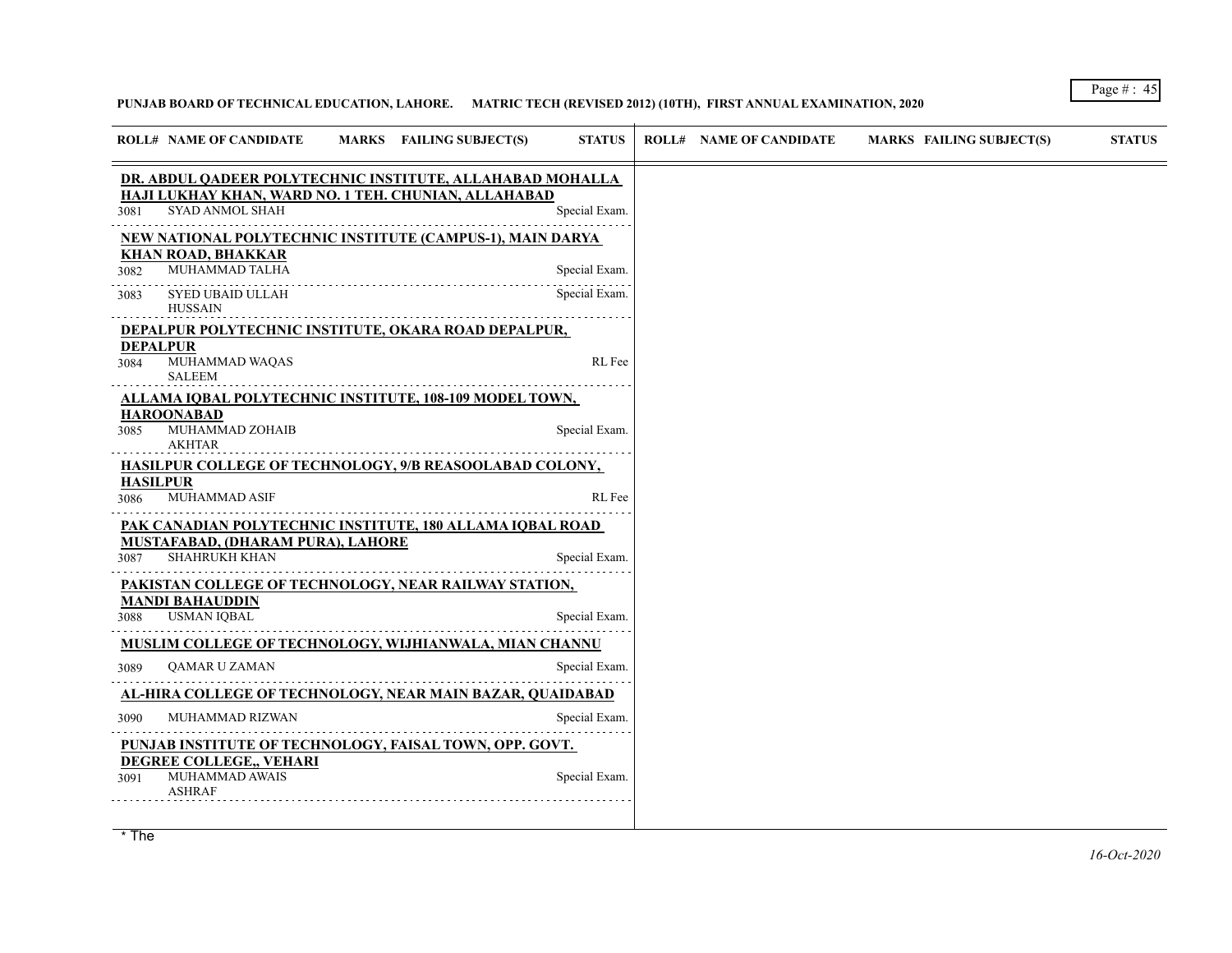#### **PUNJAB BOARD OF TECHNICAL EDUCATION, LAHORE. MATRIC TECH (REVISED 2012) (10TH), FIRST ANNUAL EXAMINATION, 2020**

|                 | <b>ROLL# NAME OF CANDIDATE</b>                                                                                    | MARKS FAILING SUBJECT(S) | <b>STATUS</b> |  | <b>ROLL# NAME OF CANDIDATE</b> | MARKS FAILING SUBJECT(S) |
|-----------------|-------------------------------------------------------------------------------------------------------------------|--------------------------|---------------|--|--------------------------------|--------------------------|
|                 | DR. ABDUL QADEER POLYTECHNIC INSTITUTE, ALLAHABAD MOHALLA<br>HAJI LUKHAY KHAN, WARD NO. 1 TEH. CHUNIAN, ALLAHABAD |                          |               |  |                                |                          |
| 3081            | SYAD ANMOL SHAH                                                                                                   |                          | Special Exam. |  |                                |                          |
|                 | NEW NATIONAL POLYTECHNIC INSTITUTE (CAMPUS-1), MAIN DARYA<br><b>KHAN ROAD, BHAKKAR</b>                            |                          |               |  |                                |                          |
| 3082            | MUHAMMAD TALHA                                                                                                    |                          | Special Exam. |  |                                |                          |
| 3083            | SYED UBAID ULLAH<br>HUSSAIN                                                                                       |                          | Special Exam. |  |                                |                          |
| <b>DEPALPUR</b> | DEPALPUR POLYTECHNIC INSTITUTE, OKARA ROAD DEPALPUR,                                                              |                          |               |  |                                |                          |
| 3084            | MUHAMMAD WAQAS<br><b>SALEEM</b>                                                                                   |                          | RL Fee        |  |                                |                          |
|                 | ALLAMA IQBAL POLYTECHNIC INSTITUTE, 108-109 MODEL TOWN,<br>HAROONABAD                                             |                          |               |  |                                |                          |
| 3085            | MUHAMMAD ZOHAIB<br><b>AKHTAR</b>                                                                                  |                          | Special Exam  |  |                                |                          |
| <b>HASILPUR</b> | HASILPUR COLLEGE OF TECHNOLOGY, 9/B REASOOLABAD COLONY,                                                           |                          |               |  |                                |                          |
| 3086            | <b>MUHAMMAD ASIF</b>                                                                                              |                          | RL Fee        |  |                                |                          |
|                 | PAK CANADIAN POLYTECHNIC INSTITUTE, 180 ALLAMA IQBAL ROAD                                                         |                          |               |  |                                |                          |
| 3087            | MUSTAFABAD, (DHARAM PURA), LAHORE<br>SHAHRUKH KHAN                                                                |                          | Special Exam. |  |                                |                          |
|                 | PAKISTAN COLLEGE OF TECHNOLOGY, NEAR RAILWAY STATION,                                                             |                          |               |  |                                |                          |
| 3088            | MANDI BAHAUDDIN<br><b>USMAN IOBAL</b>                                                                             |                          | Special Exam. |  |                                |                          |
|                 | MUSLIM COLLEGE OF TECHNOLOGY, WIJHIANWALA, MIAN CHANNU                                                            |                          |               |  |                                |                          |
| 3089            | QAMAR U ZAMAN                                                                                                     |                          | Special Exam. |  |                                |                          |
|                 | AL-HIRA COLLEGE OF TECHNOLOGY, NEAR MAIN BAZAR, QUAIDABAD                                                         |                          |               |  |                                |                          |
| 3090            | MUHAMMAD RIZWAN                                                                                                   |                          | Special Exam. |  |                                |                          |
|                 | PUNJAB INSTITUTE OF TECHNOLOGY, FAISAL TOWN, OPP. GOVT.<br>DEGREE COLLEGE,, VEHARI                                |                          |               |  |                                |                          |
| 3091            | MUHAMMAD AWAIS<br>ASHRAF                                                                                          |                          | Special Exam  |  |                                |                          |
|                 |                                                                                                                   |                          |               |  |                                |                          |

*16-Oct-2020* \* The marks awarded under the promotion criteria is the best prediction of the performance of the student and has been awarded based marks awarded under the pror derived from the IBCC and approved by the Government due to covid-19 pandemic.

## Page # : 45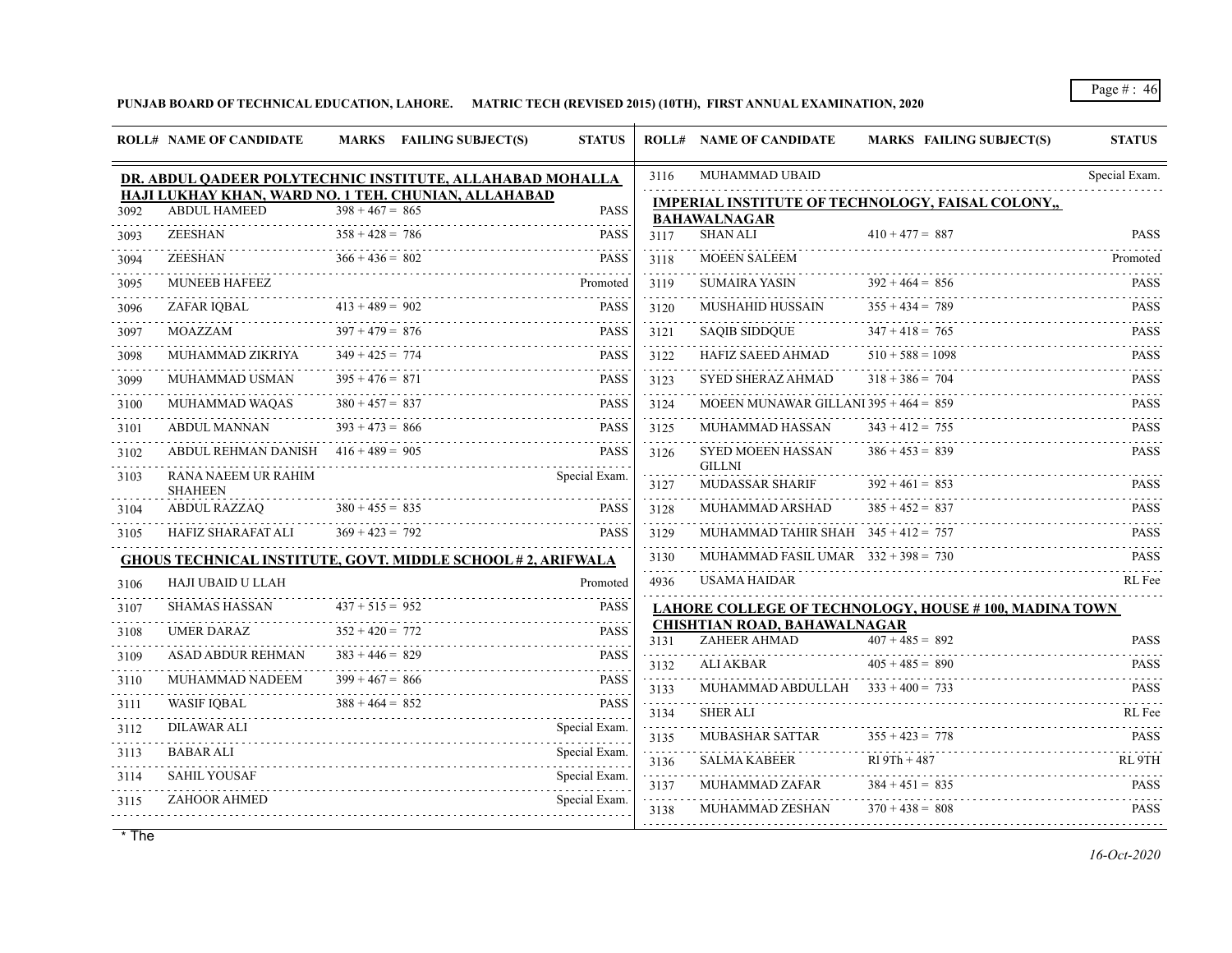**PUNJAB BOARD OF TECHNICAL EDUCATION, LAHORE. MATRIC TECH (REVISED 2015) (10TH), FIRST ANNUAL EXAMINATION, 2020**

|           | <b>ROLL# NAME OF CANDIDATE</b>        | MARKS FAILING SUBJECT(S)                                                  | <b>STATUS</b>      |              | <b>ROLL# NAME OF CANDIDATE</b>          | <b>MARKS FAILING SUBJECT(S)</b>                       | <b>STATUS</b>              |
|-----------|---------------------------------------|---------------------------------------------------------------------------|--------------------|--------------|-----------------------------------------|-------------------------------------------------------|----------------------------|
|           |                                       | DR. ABDUL QADEER POLYTECHNIC INSTITUTE, ALLAHABAD MOHALLA                 |                    | 3116         | MUHAMMAD UBAID                          |                                                       | Special Exam.              |
| 3092      | <b>ABDUL HAMEED</b>                   | HAJI LUKHAY KHAN, WARD NO. 1 TEH. CHUNIAN, ALLAHABAD<br>$398 + 467 = 865$ | <b>PASS</b>        |              |                                         | IMPERIAL INSTITUTE OF TECHNOLOGY, FAISAL COLONY,,     |                            |
| 3093      | ZEESHAN                               | $358 + 428 = 786$                                                         | <b>PASS</b>        | 3117         | <b>BAHAWALNAGAR</b><br><b>SHAN ALI</b>  | $410 + 477 = 887$                                     | <b>PASS</b>                |
| 3094      | <b>ZEESHAN</b>                        | $366 + 436 = 802$                                                         | <b>PASS</b>        | 3118         | <b>MOEEN SALEEM</b>                     |                                                       | Promoted                   |
| 3095      | <b>MUNEEB HAFEEZ</b>                  |                                                                           | Promoted           | .<br>3119    | <b>SUMAIRA YASIN</b>                    | $392 + 464 = 856$                                     | <b>PASS</b>                |
| 3096      | ZAFAR IQBAL                           | $413 + 489 = 902$                                                         | <b>PASS</b>        | 3120         | <b>MUSHAHID HUSSAIN</b>                 | $355 + 434 = 789$                                     | <b>PASS</b>                |
| 3097      | MOAZZAM                               | $397 + 479 = 876$                                                         | <b>PASS</b>        | 3121         | <b>SAQIB SIDDQUE</b>                    | $347 + 418 = 765$                                     | <b>PASS</b>                |
| 3098      | <b>MUHAMMAD ZIKRIYA</b>               | $349 + 425 = 774$                                                         | <b>PASS</b>        | 3122         | HAFIZ SAEED AHMAD                       | $510 + 588 = 1098$                                    | .<br><b>PASS</b>           |
| 3099      | MUHAMMAD USMAN                        | $395 + 476 = 871$                                                         | <b>PASS</b>        | 3123         | SYED SHERAZ AHMAD                       | $318 + 386 = 704$                                     | 1.1.1.1.1<br><b>PASS</b>   |
| 3100      | MUHAMMAD WAQAS                        | $380 + 457 = 837$                                                         | <b>PASS</b>        | 3124         | MOEEN MUNAWAR GILLANI 395 + $464 = 859$ |                                                       | <b>PASS</b>                |
| 3101      | <b>ABDUL MANNAN</b>                   | $393 + 473 = 866$                                                         | <b>PASS</b>        | 3125         | MUHAMMAD HASSAN                         | $343 + 412 = 755$                                     | <b>PASS</b>                |
| .<br>3102 | ABDUL REHMAN DANISH $416 + 489 = 905$ |                                                                           | <b>PASS</b>        | 3126         | <b>SYED MOEEN HASSAN</b>                | $386 + 453 = 839$                                     | <b>PASS</b>                |
| 3103      | RANA NAEEM UR RAHIM                   |                                                                           | Special Exam.      | 3127         | <b>GILLNI</b><br><b>MUDASSAR SHARIF</b> | $392 + 461 = 853$                                     | <b>PASS</b>                |
| 3104      | <b>SHAHEEN</b><br><b>ABDUL RAZZAQ</b> | $380 + 455 = 835$                                                         | <b>PASS</b>        | 3128         | MUHAMMAD ARSHAD                         | $385 + 452 = 837$                                     | <b>PASS</b>                |
| 3105      | <b>HAFIZ SHARAFAT ALI</b>             | $369 + 423 = 792$                                                         | <b>PASS</b>        | 3129         | MUHAMMAD TAHIR SHAH $345 + 412 = 757$   |                                                       | <b>PASS</b>                |
|           |                                       | <b>GHOUS TECHNICAL INSTITUTE, GOVT. MIDDLE SCHOOL #2, ARIFWALA</b>        |                    | .<br>3130    | MUHAMMAD FASIL UMAR $332 + 398 = 730$   |                                                       | <b>PASS</b>                |
| 3106      | HAJI UBAID U LLAH                     |                                                                           | Promoted           | .<br>4936    | <b>USAMA HAIDAR</b>                     |                                                       | RL Fee                     |
| 3107      | <b>SHAMAS HASSAN</b>                  | $437 + 515 = 952$                                                         | <b>PASS</b>        |              |                                         | LAHORE COLLEGE OF TECHNOLOGY, HOUSE #100, MADINA TOWN |                            |
| 3108      | UMER DARAZ                            | $352 + 420 = 772$                                                         | <b>PASS</b>        |              | CHISHTIAN ROAD, BAHAWALNAGAR            | $407 + 485 = 892$                                     |                            |
| 3109      | <b>ASAD ABDUR REHMAN</b>              | $383 + 446 = 829$                                                         | <b>PASS</b>        | 3131         | ZAHEER AHMAD<br>ALI AKBAR               | $405 + 485 = 890$                                     | <b>PASS</b><br><b>PASS</b> |
| .<br>3110 | MUHAMMAD NADEEM                       | $399 + 467 = 866$                                                         | <b>PASS</b>        | 3132         | MUHAMMAD ABDULLAH $333 + 400 = 733$     |                                                       | <b>PASS</b>                |
| 3111      | <b>WASIF IQBAL</b>                    | $388 + 464 = 852$                                                         | <b>PASS</b>        | 3133<br>.    | <b>SHER ALI</b>                         |                                                       | .<br>RL Fee                |
| .<br>3112 | DILAWAR ALI                           |                                                                           | Special Exam.      | 3134<br>.    | <b>MUBASHAR SATTAR</b>                  | $355 + 423 = 778$                                     | <b>PASS</b>                |
| 3113      | <b>BABAR ALI</b>                      |                                                                           | Special Exam.      | 3135<br>.    | <b>SALMA KABEER</b>                     | $R19Th + 487$                                         | RL 9TH                     |
| 3114      | <b>SAHIL YOUSAF</b>                   |                                                                           | Special Exam.      | 3136<br>.    | MUHAMMAD ZAFAR                          | $384 + 451 = 835$                                     | <b>PASS</b>                |
| 3115      | <b>ZAHOOR AHMED</b>                   |                                                                           | .<br>Special Exam. | 3137<br>3138 | MUHAMMAD ZESHAN                         | $370 + 438 = 808$                                     | .<br><b>PASS</b>           |
|           |                                       |                                                                           |                    |              |                                         |                                                       |                            |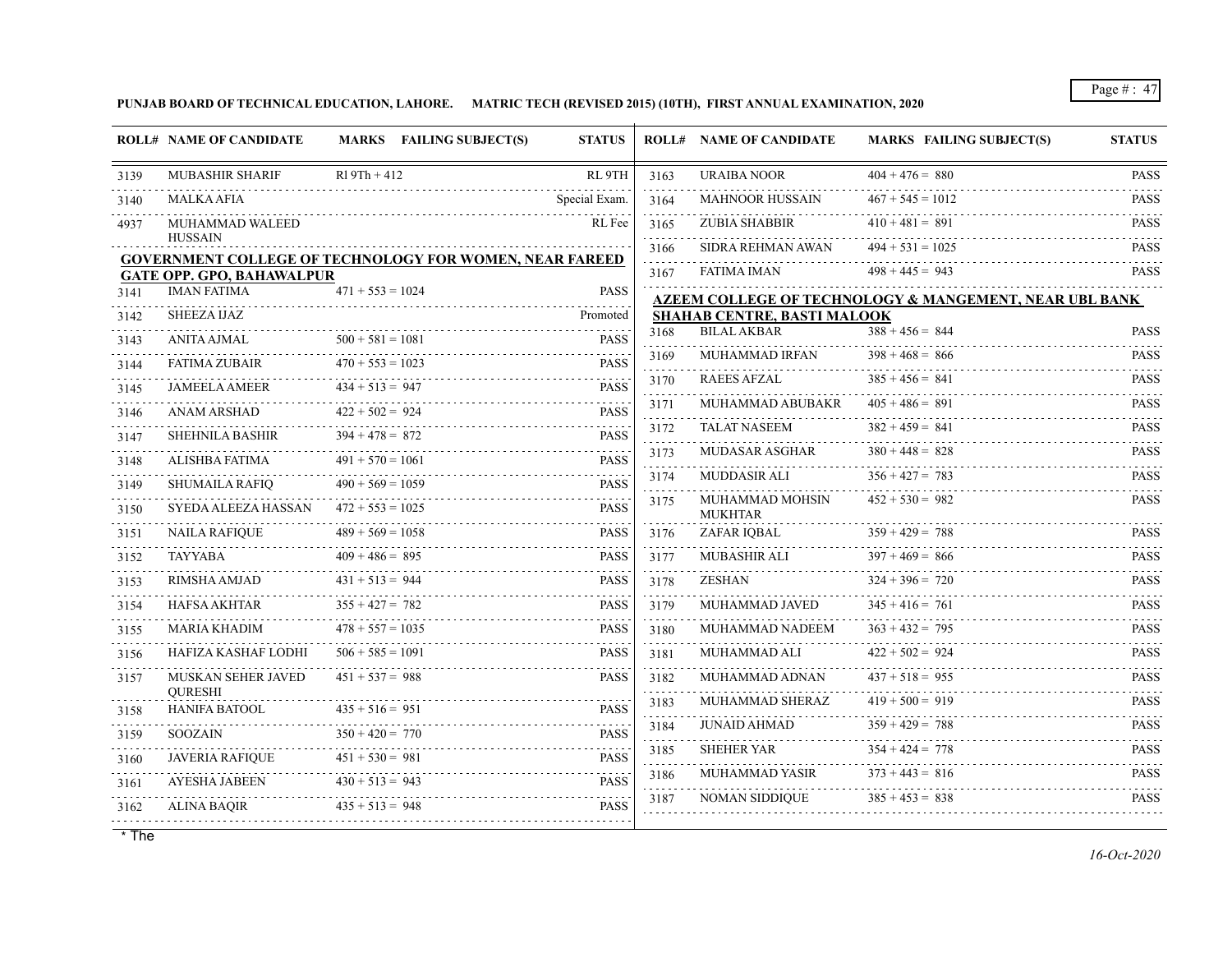#### **PUNJAB BOARD OF TECHNICAL EDUCATION, LAHORE. MATRIC TECH (REVISED 2015) (10TH), FIRST ANNUAL EXAMINATION, 2020**

|                                     | <b>ROLL# NAME OF CANDIDATE</b>                                                   |                    | MARKS FAILING SUBJECT(S)                                                                                      | <b>STATUS</b>               |                  | <b>ROLL# NAME OF CANDIDATE</b>     | <b>MARKS FAILING SUBJECT(S)</b>                        | <b>STATUS</b>              |
|-------------------------------------|----------------------------------------------------------------------------------|--------------------|---------------------------------------------------------------------------------------------------------------|-----------------------------|------------------|------------------------------------|--------------------------------------------------------|----------------------------|
| 3139                                | <b>MUBASHIR SHARIF</b>                                                           | $R19Th + 412$      |                                                                                                               | RL 9TH                      | 3163             | <b>URAIBA NOOR</b>                 | $404 + 476 = 880$                                      | <b>PASS</b>                |
| 3140                                | <b>MALKA AFIA</b>                                                                |                    | 1000 - 1000 - 1000 - 1000 - 1000 - 1000 - 1000 - 1000 - 1000 - 1000 - 1000 - 1000 - 1000 - 1000 - 1000 - 1000 | Special Exam.               | .<br>3164        | <b>MAHNOOR HUSSAIN</b>             | $467 + 545 = 1012$                                     | <b>PASS</b>                |
| 4937                                | MUHAMMAD WALEED                                                                  |                    |                                                                                                               | RL Fee                      | 3165             | ZUBIA SHABBIR                      | $410 + 481 = 891$                                      | dia a dia a<br><b>PASS</b> |
|                                     | <b>HUSSAIN</b><br><b>GOVERNMENT COLLEGE OF TECHNOLOGY FOR WOMEN, NEAR FAREED</b> |                    |                                                                                                               |                             | 3166<br>.        | SIDRA REHMAN AWAN                  | $494 + 531 = 1025$                                     | <b>PASS</b>                |
|                                     | <b>GATE OPP. GPO, BAHAWALPUR</b>                                                 |                    |                                                                                                               |                             | 3167             | <b>FATIMA IMAN</b>                 | $498 + 445 = 943$                                      | 1.11111111<br><b>PASS</b>  |
| 3141                                | <b>IMAN FATIMA</b>                                                               | $471 + 553 = 1024$ |                                                                                                               | <b>PASS</b>                 |                  |                                    | AZEEM COLLEGE OF TECHNOLOGY & MANGEMENT, NEAR UBL BANK |                            |
| 3142                                | <b>SHEEZA IJAZ</b>                                                               |                    |                                                                                                               | Promoted                    |                  | <b>SHAHAB CENTRE, BASTI MALOOK</b> |                                                        |                            |
| 3143                                | <b>ANITA AJMAL</b>                                                               | $500 + 581 = 1081$ |                                                                                                               | <b>PASS</b>                 | 3168<br>.        | <b>BILAL AKBAR</b>                 | $388 + 456 = 844$                                      | <b>PASS</b>                |
| 3144                                | FATIMA ZUBAIR                                                                    | $470 + 553 = 1023$ |                                                                                                               | <b>PASS</b>                 | 3169<br>.        | <b>MUHAMMAD IRFAN</b>              | $398 + 468 = 866$                                      | <b>PASS</b>                |
| 3145                                | <b>JAMEELA AMEER</b>                                                             | $434 + 513 = 947$  |                                                                                                               | <b>PASS</b>                 | 3170<br>.        | <b>RAEES AFZAL</b>                 | $385 + 456 = 841$                                      | <b>PASS</b><br>.           |
| 3146                                | ANAM ARSHAD                                                                      | $422 + 502 = 924$  |                                                                                                               | 2.2.2.2.2.2.<br><b>PASS</b> | 3171             | MUHAMMAD ABUBAKR                   | $405 + 486 = 891$                                      | <b>PASS</b>                |
| 3147                                | <b>SHEHNILA BASHIR</b>                                                           | $394 + 478 = 872$  |                                                                                                               | <b>PASS</b>                 | 3172             | <b>TALAT NASEEM</b>                | $382 + 459 = 841$                                      | <b>PASS</b><br>.           |
| 3148                                | ALISHBA FATIMA                                                                   | $491 + 570 = 1061$ |                                                                                                               | <b>PASS</b>                 | 3173             | MUDASAR ASGHAR                     | $380 + 448 = 828$                                      | <b>PASS</b>                |
| 3149                                | <b>SHUMAILA RAFIO</b>                                                            | $490 + 569 = 1059$ |                                                                                                               | <b>PASS</b>                 | 3174             | <b>MUDDASIR ALI</b>                | $356 + 427 = 783$                                      | <b>PASS</b>                |
| 3150                                | SYEDA ALEEZA HASSAN                                                              | $472 + 553 = 1025$ |                                                                                                               | .<br><b>PASS</b>            | 3175             | MUHAMMAD MOHSIN<br><b>MUKHTAR</b>  | $452 + 530 = 982$                                      | <b>PASS</b>                |
| 3151                                | <b>NAILA RAFIQUE</b>                                                             | $489 + 569 = 1058$ |                                                                                                               | <b>PASS</b>                 | 3176             | ZAFAR IOBAL                        | $359 + 429 = 788$                                      | <b>PASS</b>                |
| 3152                                | <b>TAYYABA</b>                                                                   | $409 + 486 = 895$  |                                                                                                               | <b>PASS</b>                 | 3177             | <b>MUBASHIR ALI</b>                | $397 + 469 = 866$                                      | <b>PASS</b>                |
| $\sim$ $\sim$ $\sim$ $\sim$<br>3153 | RIMSHA AMJAD                                                                     | $431 + 513 = 944$  |                                                                                                               | <b>PASS</b>                 | 3178             | ZESHAN                             | $324 + 396 = 720$                                      | <b>PASS</b>                |
| 3154                                | <b>HAFSA AKHTAR</b>                                                              | $355 + 427 = 782$  |                                                                                                               | <b>PASS</b>                 | .<br>3179        | MUHAMMAD JAVED                     | $345 + 416 = 761$                                      | <b>PASS</b>                |
| د د د د د<br>3155                   | MARIA KHADIM                                                                     | $478 + 557 = 1035$ |                                                                                                               | <b>PASS</b>                 | <u>.</u><br>3180 | MUHAMMAD NADEEM                    | $363 + 432 = 795$                                      | <b>PASS</b>                |
| 3156                                | <b>HAFIZA KASHAF LODHI</b>                                                       | $506 + 585 = 1091$ |                                                                                                               | <b>PASS</b>                 | 3181             | MUHAMMAD ALI                       | $422 + 502 = 924$                                      | <b>PASS</b>                |
| 3157                                | MUSKAN SEHER JAVED<br><b>OURESHI</b>                                             | $451 + 537 = 988$  |                                                                                                               | <b>PASS</b>                 | 3182<br>.        | MUHAMMAD ADNAN                     | $437 + 518 = 955$                                      | <b>PASS</b>                |
| 3158                                | <b>HANIFA BATOOL</b>                                                             | $435 + 516 = 951$  |                                                                                                               | <b>PASS</b>                 | 3183             | MUHAMMAD SHERAZ                    | $419 + 500 = 919$                                      | <b>PASS</b><br>a a a a a a |
| 3159                                | <b>SOOZAIN</b>                                                                   | $350 + 420 = 770$  |                                                                                                               | <b>PASS</b>                 | 3184             | <b>JUNAID AHMAD</b>                | $359 + 429 = 788$                                      | <b>PASS</b>                |
| 3160                                | <b>JAVERIA RAFIQUE</b>                                                           | $451 + 530 = 981$  |                                                                                                               | <b>PASS</b>                 | 3185             | <b>SHEHER YAR</b>                  | $354 + 424 = 778$                                      | <b>PASS</b>                |
| 3161                                | <b>AYESHA JABEEN</b>                                                             | $430 + 513 = 943$  |                                                                                                               | .<br><b>PASS</b>            | 3186             | MUHAMMAD YASIR                     | $373 + 443 = 816$                                      | <b>PASS</b><br>1.1.1.1.1   |
| 3162                                | ALINA BAOIR                                                                      | $435 + 513 = 948$  |                                                                                                               | <b>PASS</b>                 | 3187             | <b>NOMAN SIDDIQUE</b>              | $385 + 453 = 838$                                      | <b>PASS</b>                |
|                                     |                                                                                  |                    |                                                                                                               |                             |                  |                                    |                                                        |                            |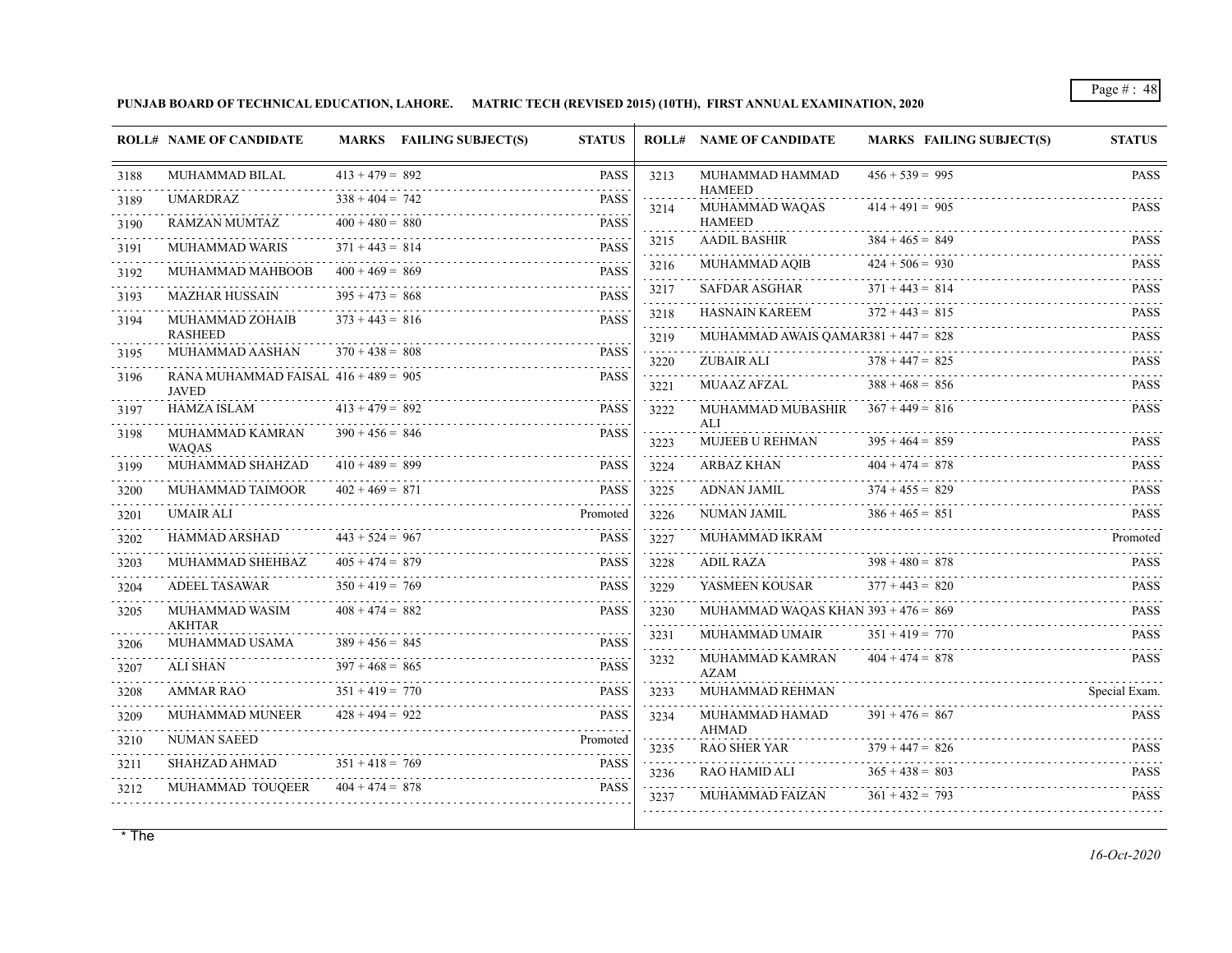**PUNJAB BOARD OF TECHNICAL EDUCATION, LAHORE. MATRIC TECH (REVISED 2015) (10TH), FIRST ANNUAL EXAMINATION, 2020**

|                   | <b>ROLL# NAME OF CANDIDATE</b>                         |                   | MARKS FAILING SUBJECT(S) | <b>STATUS</b>    |                | <b>ROLL# NAME OF CANDIDATE</b>             | <b>MARKS FAILING SUBJECT(S)</b> | <b>STATUS</b>         |
|-------------------|--------------------------------------------------------|-------------------|--------------------------|------------------|----------------|--------------------------------------------|---------------------------------|-----------------------|
| 3188              | MUHAMMAD BILAL                                         | $413 + 479 = 892$ |                          | <b>PASS</b>      | 3213           | MUHAMMAD HAMMAD<br><b>HAMEED</b>           | $456 + 539 = 995$               | <b>PASS</b>           |
| 3189<br>.         | <b>UMARDRAZ</b>                                        | $338 + 404 = 742$ |                          | <b>PASS</b>      | 3214           | MUHAMMAD WAQAS                             | $414 + 491 = 905$               | <b>PASS</b>           |
| 3190              | RAMZAN MUMTAZ                                          | $400 + 480 = 880$ |                          | <b>PASS</b>      |                | <b>HAMEED</b>                              | .                               |                       |
| 3191              | <b>MUHAMMAD WARIS</b>                                  | $371 + 443 = 814$ |                          | <b>PASS</b>      | 3215           | <b>AADIL BASHIR</b>                        | $384 + 465 = 849$               | <b>PASS</b>           |
| 3192              | MUHAMMAD MAHBOOB                                       | $400 + 469 = 869$ |                          | <b>PASS</b>      | 3216           | MUHAMMAD AQIB                              | $424 + 506 = 930$               | <b>PASS</b>           |
| .<br>3193         | <b>MAZHAR HUSSAIN</b>                                  | $395 + 473 = 868$ |                          | <b>PASS</b>      | 3217<br>.      | SAFDAR ASGHAR                              | $371 + 443 = 814$               | <b>PASS</b>           |
| 3194              | MUHAMMAD ZOHAIB                                        | $373 + 443 = 816$ |                          | .<br><b>PASS</b> | 3218           | <b>HASNAIN KAREEM</b>                      | $372 + 443 = 815$               | <b>PASS</b>           |
|                   | <b>RASHEED</b>                                         |                   |                          |                  | 3219           | MUHAMMAD AWAIS $OAMAR381 + 447 = 828$      |                                 | <b>PASS</b>           |
| 3195              | MUHAMMAD AASHAN                                        | $370 + 438 = 808$ |                          | <b>PASS</b>      | 3220           | ZUBAIR ALI                                 | $378 + 447 = 825$               | <b>PASS</b>           |
| 3196              | RANA MUHAMMAD FAISAL $416 + 489 = 905$<br><b>JAVED</b> |                   |                          | <b>PASS</b>      | .<br>3221      | MUAAZ AFZAL                                | $388 + 468 = 856$               | <b>PASS</b>           |
| 3197              | HAMZA ISLAM                                            | $413 + 479 = 892$ |                          | <b>PASS</b>      | 3222           | MUHAMMAD MUBASHIR $367 + 449 = 816$<br>ALI |                                 | <b>PASS</b>           |
| 3198              | MUHAMMAD KAMRAN<br><b>WAOAS</b>                        | $390 + 456 = 846$ |                          | <b>PASS</b>      | 3223           | <b>MUJEEB U REHMAN</b>                     | $395 + 464 = 859$               | <b>PASS</b>           |
| 3199              | MUHAMMAD SHAHZAD                                       | $410 + 489 = 899$ |                          | <b>PASS</b>      | 3224           | ARBAZ KHAN                                 | $404 + 474 = 878$               | <b>PASS</b>           |
| 3200<br>.         | MUHAMMAD TAIMOOR                                       | $402 + 469 = 871$ |                          | <b>PASS</b>      | .<br>3225<br>. | ADNAN JAMIL                                | $374 + 455 = 829$               | <b>PASS</b>           |
| 3201              | <b>UMAIR ALI</b>                                       |                   |                          | Promoted         | 3226           | NUMAN JAMIL                                | $386 + 465 = 851$               | <b>PASS</b>           |
| 3202              | <b>HAMMAD ARSHAD</b>                                   | $443 + 524 = 967$ |                          | <b>PASS</b>      | 3227           | MUHAMMAD IKRAM                             |                                 | Promoted              |
| 3203              | MUHAMMAD SHEHBAZ                                       | $405 + 474 = 879$ |                          | <b>PASS</b>      | 3228           | ADIL RAZA                                  | $398 + 480 = 878$               | <b>PASS</b>           |
| 3204              | ADEEL TASAWAR                                          | $350 + 419 = 769$ |                          | <b>PASS</b>      | 3229           | YASMEEN KOUSAR                             | $377 + 443 = 820$               | <b>PASS</b>           |
| 3205              | MUHAMMAD WASIM<br><b>AKHTAR</b>                        | $408 + 474 = 882$ |                          | <b>PASS</b>      | 3230           | MUHAMMAD WAQAS KHAN $393 + 476 = 869$      |                                 | <b>PASS</b>           |
| 3206              | MUHAMMAD USAMA                                         | $389 + 456 = 845$ |                          | <b>PASS</b>      | 3231           | MUHAMMAD UMAIR                             | $351 + 419 = 770$               | <b>PASS</b>           |
| 3207              | <b>ALI SHAN</b>                                        | $397 + 468 = 865$ |                          | <b>PASS</b>      | 3232           | MUHAMMAD KAMRAN<br><b>AZAM</b>             | $404 + 474 = 878$               | PASS                  |
| 3208              | AMMAR RAO                                              | $351 + 419 = 770$ |                          | <b>PASS</b>      | 3233           | MUHAMMAD REHMAN                            |                                 | Special Exam.         |
| د د د د د<br>3209 | MUHAMMAD MUNEER                                        | $428 + 494 = 922$ |                          | <b>PASS</b>      | 3234           | MUHAMMAD HAMAD<br>AHMAD                    | $391 + 476 = 867$               | <b>PASS</b>           |
| 3210              | NUMAN SAEED                                            |                   |                          | Promoted         | 3235           | RAO SHER YAR                               | $379 + 447 = 826$               | <b>PASS</b>           |
| 3211              | SHAHZAD AHMAD                                          | $351 + 418 = 769$ |                          | <b>PASS</b>      | 3236           | RAO HAMID ALI                              | $365 + 438 = 803$               | 111111<br><b>PASS</b> |
| 3212              | MUHAMMAD TOUQEER                                       | $404 + 474 = 878$ |                          | <b>PASS</b>      | 3237           | MUHAMMAD FAIZAN                            | $361 + 432 = 793$               | <b>PASS</b>           |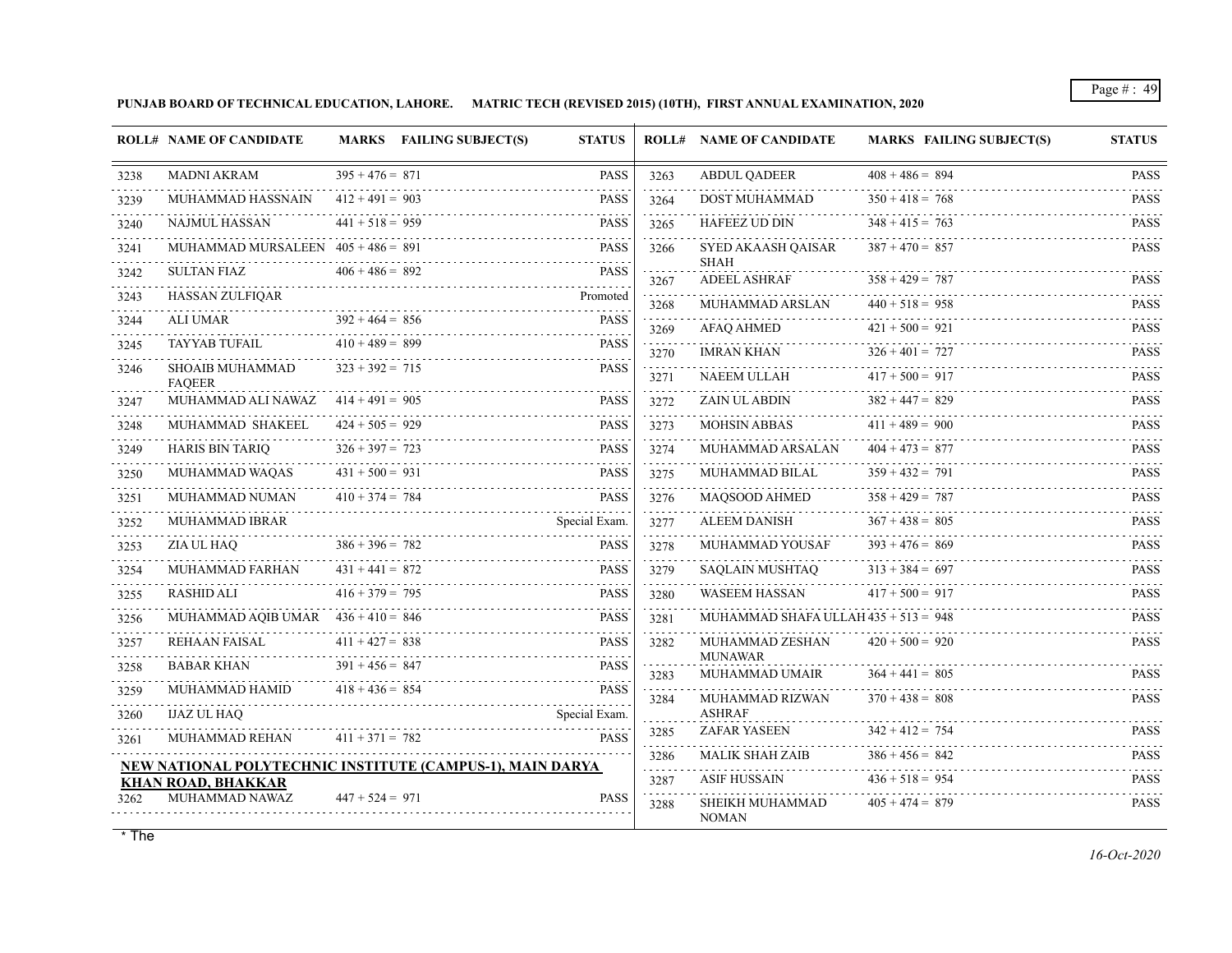**PUNJAB BOARD OF TECHNICAL EDUCATION, LAHORE. MATRIC TECH (REVISED 2015) (10TH), FIRST ANNUAL EXAMINATION, 2020**

|           | <b>ROLL# NAME OF CANDIDATE</b>                            |                   | MARKS FAILING SUBJECT(S) | <b>STATUS</b>    |              | <b>ROLL# NAME OF CANDIDATE</b>                  | <b>MARKS FAILING SUBJECT(S)</b> | <b>STATUS</b>              |
|-----------|-----------------------------------------------------------|-------------------|--------------------------|------------------|--------------|-------------------------------------------------|---------------------------------|----------------------------|
| 3238      | <b>MADNI AKRAM</b>                                        | $395 + 476 = 871$ |                          | <b>PASS</b>      | 3263         | <b>ABDUL QADEER</b>                             | $408 + 486 = 894$               | <b>PASS</b>                |
| 3239      | MUHAMMAD HASSNAIN                                         | $412 + 491 = 903$ |                          | <b>PASS</b>      | 3264         | DOST MUHAMMAD                                   | $350 + 418 = 768$               | <b>PASS</b>                |
| 3240      | <b>NAJMUL HASSAN</b>                                      | $441 + 518 = 959$ |                          | <b>PASS</b>      | 3265         | HAFEEZ UD DIN                                   | $348 + 415 = 763$               | <b>PASS</b>                |
| 3241      | MUHAMMAD MURSALEEN $405 + 486 = 891$                      |                   |                          | <b>PASS</b>      | 3266         | SYED AKAASH QAISAR                              | $387 + 470 = 857$               | <b>PASS</b>                |
| 3242      | <b>SULTAN FIAZ</b>                                        | $406 + 486 = 892$ |                          | <b>PASS</b>      | 3267         | <b>SHAH</b><br><b>ADEEL ASHRAF</b>              | $358 + 429 = 787$               | <b>PASS</b>                |
| 3243      | HASSAN ZULFIQAR                                           |                   |                          | Promoted         | 3268         | MUHAMMAD ARSLAN                                 | $440 + 518 = 958$               | <b>PASS</b>                |
| .<br>3244 | ALI UMAR                                                  | $392 + 464 = 856$ |                          | <b>PASS</b>      | 3269         | AFAQ AHMED                                      | $421 + 500 = 921$               | <b>PASS</b>                |
| 3245      | TAYYAB TUFAIL                                             | $410 + 489 = 899$ |                          | <b>PASS</b>      | 3270         | <b>IMRAN KHAN</b>                               | $326 + 401 = 727$               | <b>PASS</b>                |
| 3246      | SHOAIB MUHAMMAD<br><b>FAOEER</b>                          | $323 + 392 = 715$ |                          | <b>PASS</b>      | .<br>3271    | NAEEM ULLAH                                     | $417 + 500 = 917$               | <b>PASS</b>                |
| 3247      | MUHAMMAD ALI NAWAZ $414 + 491 = 905$                      |                   |                          | <b>PASS</b>      | .<br>3272    | <b>ZAIN UL ABDIN</b>                            | $382 + 447 = 829$               | <b>PASS</b>                |
| 3248      | MUHAMMAD SHAKEEL                                          | $424 + 505 = 929$ |                          | <b>PASS</b>      | 3273         | <b>MOHSIN ABBAS</b>                             | $411 + 489 = 900$               | <b>PASS</b>                |
| 3249      | <b>HARIS BIN TARIQ</b>                                    | $326 + 397 = 723$ |                          | <b>PASS</b>      | 3274         | MUHAMMAD ARSALAN                                | $404 + 473 = 877$               | <b>PASS</b>                |
| 3250      | MUHAMMAD WAQAS                                            | $431 + 500 = 931$ |                          | <b>PASS</b>      | 3275         | MUHAMMAD BILAL                                  | $359 + 432 = 791$               | <b>PASS</b>                |
| 3251      | MUHAMMAD NUMAN                                            | $410 + 374 = 784$ |                          | <b>PASS</b>      | 3276         | MAQSOOD AHMED                                   | $358 + 429 = 787$               | <b>PASS</b>                |
| 3252      | MUHAMMAD IBRAR                                            |                   |                          | Special Exam.    | 3277         | ALEEM DANISH                                    | $367 + 438 = 805$               | <b>PASS</b>                |
| 3253      | ZIA UL HAO                                                | $386 + 396 = 782$ |                          | <b>PASS</b>      | 3278         | MUHAMMAD YOUSAF                                 | $393 + 476 = 869$               | <b>PASS</b>                |
| 3254<br>. | <b>MUHAMMAD FARHAN</b>                                    | $431 + 441 = 872$ |                          | <b>PASS</b>      | 3279<br>.    | SAOLAIN MUSHTAO                                 | $313 + 384 = 697$               | <b>PASS</b>                |
| 3255      | RASHID ALI                                                | $416 + 379 = 795$ |                          | <b>PASS</b>      | 3280         | WASEEM HASSAN                                   | $417 + 500 = 917$               | <b>PASS</b><br>.           |
| 3256      | MUHAMMAD AQIB UMAR $436 + 410 = 846$                      |                   |                          | <b>PASS</b>      | 3281         | MUHAMMAD SHAFA ULLAH $435 + 513 = 948$          |                                 | <b>PASS</b>                |
| 3257      | REHAAN FAISAL                                             | $411 + 427 = 838$ |                          | <b>PASS</b>      | 3282         | MUHAMMAD ZESHAN<br><b>MUNAWAR</b>               | $420 + 500 = 920$               | <b>PASS</b>                |
| 3258      | <b>BABAR KHAN</b>                                         | $391 + 456 = 847$ |                          | <b>PASS</b><br>. | 3283         | <b>MUHAMMAD UMAIR</b>                           | $364 + 441 = 805$               | <b>PASS</b>                |
| 3259      | MUHAMMAD HAMID                                            | $418 + 436 = 854$ |                          | <b>PASS</b>      | 3284         | MUHAMMAD RIZWAN                                 | $370 + 438 = 808$               | <b>PASS</b>                |
| 3260      | <b>IJAZ UL HAO</b>                                        |                   |                          | Special Exam.    |              | <b>ASHRAF</b><br><b>ZAFAR YASEEN</b>            | $342 + 412 = 754$               |                            |
| 3261      | <b>MUHAMMAD REHAN</b>                                     | $411 + 371 = 782$ |                          | <b>PASS</b>      | 3285         | <b>MALIK SHAH ZAIB</b>                          | $386 + 456 = 842$               | <b>PASS</b><br><b>PASS</b> |
|           | NEW NATIONAL POLYTECHNIC INSTITUTE (CAMPUS-1), MAIN DARYA |                   |                          |                  | 3286<br>.    |                                                 | $436 + 518 = 954$               | 1.1.1.1.1                  |
| 3262      | <b>KHAN ROAD, BHAKKAR</b><br>MUHAMMAD NAWAZ               | $447 + 524 = 971$ |                          | <b>PASS</b>      | 3287<br>3288 | ASIF HUSSAIN<br>SHEIKH MUHAMMAD<br><b>NOMAN</b> | $405 + 474 = 879$               | <b>PASS</b><br><b>PASS</b> |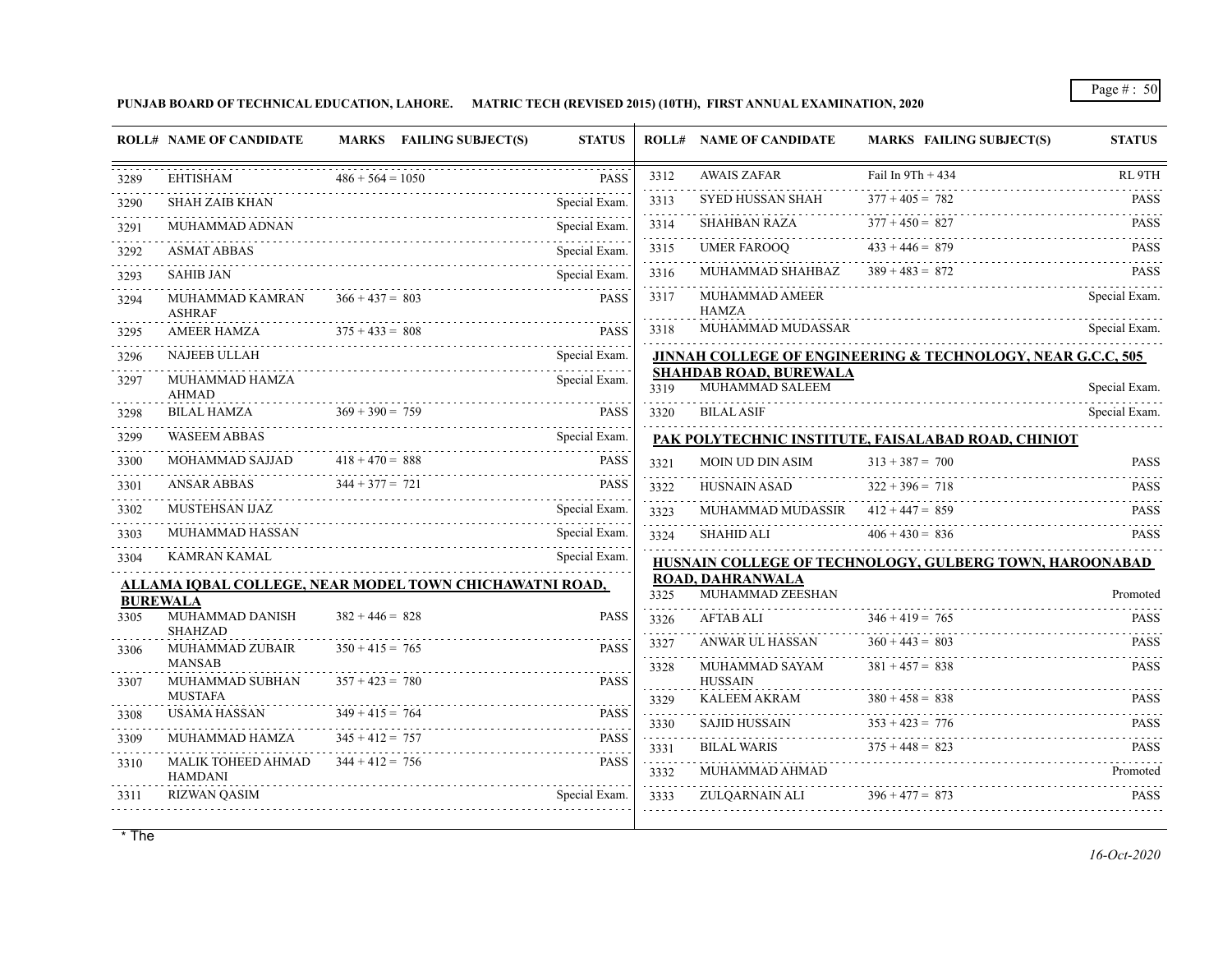**PUNJAB BOARD OF TECHNICAL EDUCATION, LAHORE. MATRIC TECH (REVISED 2015) (10TH), FIRST ANNUAL EXAMINATION, 2020**

|                         | <b>ROLL# NAME OF CANDIDATE</b>        | MARKS FAILING SUBJECT(S)                                | <b>STATUS</b> |                   | <b>ROLL# NAME OF CANDIDATE</b>                   | <b>MARKS FAILING SUBJECT(S)</b>                             | <b>STATUS</b>       |
|-------------------------|---------------------------------------|---------------------------------------------------------|---------------|-------------------|--------------------------------------------------|-------------------------------------------------------------|---------------------|
| 3289                    | EHTISHAM                              | $486 + 564 = 1050$                                      | <b>PASS</b>   | 3312<br>.         | <b>AWAIS ZAFAR</b>                               | Fail In $9Th + 434$                                         | RL 9TH              |
| 3290                    | <b>SHAH ZAIB KHAN</b>                 |                                                         | Special Exam. | 3313<br>.         | SYED HUSSAN SHAH                                 | $377 + 405 = 782$                                           | <b>PASS</b>         |
| 3291                    | MUHAMMAD ADNAN                        |                                                         | Special Exam. | 3314              | <b>SHAHBAN RAZA</b>                              | $377 + 450 = 827$                                           | <b>PASS</b>         |
| and a state<br>3292     | <b>ASMAT ABBAS</b>                    |                                                         | Special Exam. | .<br>3315<br>.    | <b>UMER FAROOO</b>                               | $433 + 446 = 879$                                           | <b>PASS</b>         |
| 3293                    | <b>SAHIB JAN</b>                      |                                                         | Special Exam. | 3316              | MUHAMMAD SHAHBAZ                                 | $389 + 483 = 872$                                           | <b>PASS</b>         |
| 3294                    | MUHAMMAD KAMRAN<br><b>ASHRAF</b>      | $366 + 437 = 803$                                       | <b>PASS</b>   | 3317              | MUHAMMAD AMEER<br>HAMZA                          |                                                             | Special Exam.<br>.  |
| 3295                    | <b>AMEER HAMZA</b>                    | $375 + 433 = 808$                                       | <b>PASS</b>   | 3318              | MUHAMMAD MUDASSAR                                |                                                             | Special Exam.       |
| 3296                    | NAJEEB ULLAH                          |                                                         | Special Exam. |                   |                                                  | JINNAH COLLEGE OF ENGINEERING & TECHNOLOGY, NEAR G.C.C, 505 |                     |
| 3297                    | MUHAMMAD HAMZA<br><b>AHMAD</b>        |                                                         | Special Exam. | 3319              | <b>SHAHDAB ROAD, BUREWALA</b><br>MUHAMMAD SALEEM |                                                             | Special Exam.       |
| 3298                    | BILAL HAMZA                           | $369 + 390 = 759$                                       | <b>PASS</b>   | 3320              | <b>BILAL ASIF</b>                                |                                                             | Special Exam.       |
| 3299                    | WASEEM ABBAS                          |                                                         | Special Exam. |                   |                                                  | PAK POLYTECHNIC INSTITUTE, FAISALABAD ROAD, CHINIOT         |                     |
| 3300                    | MOHAMMAD SAJJAD                       | $418 + 470 = 888$                                       | <b>PASS</b>   | 3321              | <b>MOIN UD DIN ASIM</b>                          | $313 + 387 = 700$                                           | <b>PASS</b>         |
| 3301                    | ANSAR ABBAS                           | $344 + 377 = 721$                                       | <b>PASS</b>   | .<br>3322         | HUSNAIN ASAD                                     | $322 + 396 = 718$                                           | <b>PASS</b>         |
| 3302                    | MUSTEHSAN IJAZ                        |                                                         | Special Exam. | .<br>3323         | MUHAMMAD MUDASSIR                                | $412 + 447 = 859$                                           | <b>PASS</b>         |
| 3303                    | MUHAMMAD HASSAN                       |                                                         | Special Exam. | .<br>3324         | SHAHID ALI                                       | $406 + 430 = 836$                                           | <b>PASS</b>         |
| 3304                    | KAMRAN KAMAL                          |                                                         | Special Exam. |                   |                                                  | HUSNAIN COLLEGE OF TECHNOLOGY, GULBERG TOWN, HAROONABAD     |                     |
|                         |                                       | ALLAMA IQBAL COLLEGE, NEAR MODEL TOWN CHICHAWATNI ROAD, |               | 3325              | ROAD, DAHRANWALA<br>MUHAMMAD ZEESHAN             |                                                             | Promoted            |
| <b>BUREWALA</b><br>3305 | MUHAMMAD DANISH<br><b>SHAHZAD</b>     | $382 + 446 = 828$                                       | <b>PASS</b>   | .<br>3326         | <b>AFTAB ALI</b>                                 | $346 + 419 = 765$                                           | <b>PASS</b>         |
| 3306                    | MUHAMMAD ZUBAIR<br><b>MANSAB</b>      | $350 + 415 = 765$                                       | <b>PASS</b>   | 3327<br>.<br>3328 | ANWAR UL HASSAN<br>MUHAMMAD SAYAM                | $360 + 443 = 803$<br>$381 + 457 = 838$                      | <b>PASS</b><br>PASS |
| 3307                    | MUHAMMAD SUBHAN                       | $357 + 423 = 780$                                       | <b>PASS</b>   |                   | <b>HUSSAIN</b>                                   |                                                             |                     |
| 3308                    | <b>MUSTAFA</b><br><b>USAMA HASSAN</b> | $349 + 415 = 764$                                       | <b>PASS</b>   | 3329<br>.         | KALEEM AKRAM                                     | $380 + 458 = 838$                                           | <b>PASS</b>         |
| 3309                    | MUHAMMAD HAMZA                        | $345 + 412 = 757$                                       | <b>PASS</b>   | 3330<br>.         | <b>SAJID HUSSAIN</b>                             | $353 + 423 = 776$                                           | <b>PASS</b>         |
|                         | MALIK TOHEED AHMAD                    | $344 + 412 = 756$                                       | <b>PASS</b>   | 3331<br>.         | <b>BILAL WARIS</b>                               | $375 + 448 = 823$                                           | <b>PASS</b>         |
| 3310                    | <b>HAMDANI</b>                        |                                                         |               | 3332<br>.         | MUHAMMAD AHMAD                                   |                                                             | Promoted            |
| 3311                    | <b>RIZWAN OASIM</b>                   |                                                         | Special Exam. | 3333              | ZULOARNAIN ALI                                   | $396 + 477 = 873$                                           | <b>PASS</b>         |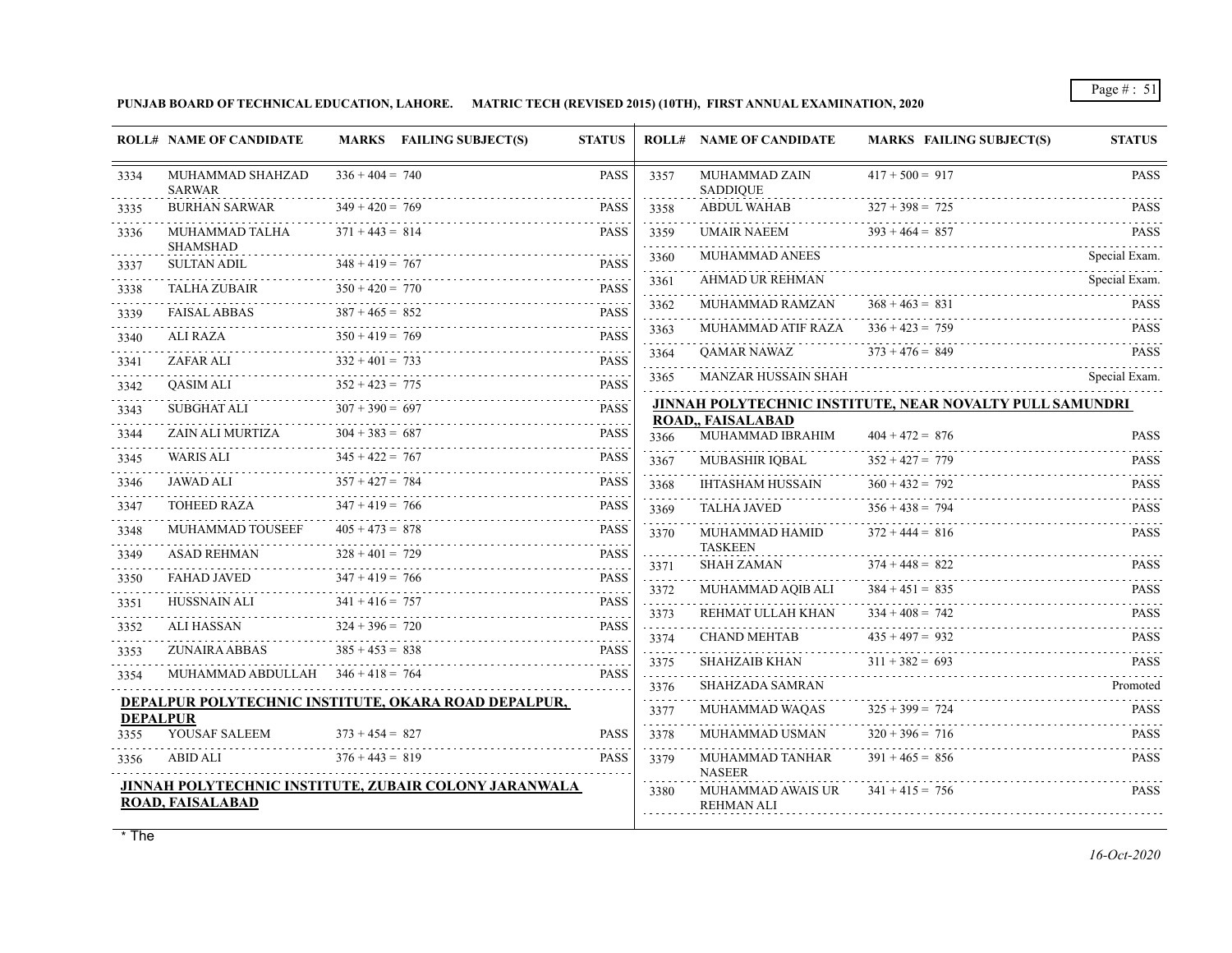**PUNJAB BOARD OF TECHNICAL EDUCATION, LAHORE. MATRIC TECH (REVISED 2015) (10TH), FIRST ANNUAL EXAMINATION, 2020**

|           | <b>ROLL# NAME OF CANDIDATE</b>      | MARKS FAILING SUBJECT(S)                              | <b>STATUS</b>                       |           | <b>ROLL# NAME OF CANDIDATE</b>         | <b>MARKS FAILING SUBJECT(S)</b>                          | <b>STATUS</b>            |
|-----------|-------------------------------------|-------------------------------------------------------|-------------------------------------|-----------|----------------------------------------|----------------------------------------------------------|--------------------------|
| 3334      | MUHAMMAD SHAHZAD<br><b>SARWAR</b>   | $336 + 404 = 740$                                     | PASS                                | 3357      | MUHAMMAD ZAIN<br><b>SADDIQUE</b>       | $417 + 500 = 917$                                        | <b>PASS</b>              |
| 3335      | <b>BURHAN SARWAR</b>                | $349 + 420 = 769$                                     | <b>PASS</b>                         | 3358      | <b>ABDUL WAHAB</b>                     | $327 + 398 = 725$                                        | <b>PASS</b>              |
| 3336      | MUHAMMAD TALHA<br><b>SHAMSHAD</b>   | $371 + 443 = 814$                                     | <b>PASS</b>                         | 3359      | UMAIR NAEEM                            | $393 + 464 = 857$                                        | <b>PASS</b><br>.         |
| 3337      | <b>SULTAN ADIL</b>                  | $348 + 419 = 767$                                     | <b>PASS</b>                         | 3360      | <b>MUHAMMAD ANEES</b>                  |                                                          | Special Exam.            |
| 3338      | <b>TALHA ZUBAIR</b>                 | $350 + 420 = 770$                                     | <b>PASS</b>                         | 3361      | AHMAD UR REHMAN                        |                                                          | Special Exam.            |
| 3339      | <b>FAISAL ABBAS</b>                 | .<br>$387 + 465 = 852$                                | i i i i i i<br><b>PASS</b>          | 3362      | MUHAMMAD RAMZAN                        | $368 + 463 = 831$                                        | <b>PASS</b>              |
| 3340      | ALI RAZA                            | $350 + 419 = 769$                                     | <b>PASS</b>                         | 3363<br>. | MUHAMMAD ATIF RAZA                     | $336 + 423 = 759$                                        | <b>PASS</b>              |
| 3341      | ZAFAR ALI                           | $332 + 401 = 733$                                     | <b>PASS</b>                         | 3364      | <b>OAMAR NAWAZ</b>                     | $373 + 476 = 849$                                        | <b>PASS</b>              |
| .<br>3342 | <b>OASIM ALI</b>                    | $352 + 423 = 775$                                     | .<br><b>PASS</b>                    | 3365      | MANZAR HUSSAIN SHAH                    |                                                          | Special Exam.            |
| 3343      | <b>SUBGHAT ALI</b>                  | $307 + 390 = 697$                                     | $\omega$ is a single<br><b>PASS</b> |           |                                        | JINNAH POLYTECHNIC INSTITUTE, NEAR NOVALTY PULL SAMUNDRI |                          |
| 3344      | ZAIN ALI MURTIZA                    | $304 + 383 = 687$                                     | <b>PASS</b>                         | 3366      | ROAD,, FAISALABAD<br>MUHAMMAD IBRAHIM  | $404 + 472 = 876$                                        | <b>PASS</b>              |
| 3345      | <b>WARIS ALI</b>                    | $345 + 422 = 767$                                     | <b>PASS</b>                         | 3367      | MUBASHIR IQBAL                         | $352 + 427 = 779$                                        | <b>PASS</b>              |
| 3346      | JAWAD ALI                           | $357 + 427 = 784$                                     | .<br><b>PASS</b>                    | 3368      | <b>IHTASHAM HUSSAIN</b>                | $360 + 432 = 792$                                        | <b>PASS</b>              |
| 3347      | <b>TOHEED RAZA</b>                  | $347 + 419 = 766$                                     | <b>PASS</b>                         | 3369      | TALHA JAVED                            | $356 + 438 = 794$                                        | 1.1.1.1.1<br><b>PASS</b> |
| 3348      | MUHAMMAD TOUSEEF                    | $405 + 473 = 878$                                     | <b>PASS</b>                         | 3370      | MUHAMMAD HAMID                         | .<br>$372 + 444 = 816$                                   | .<br><b>PASS</b>         |
| 3349      | ASAD REHMAN                         | $328 + 401 = 729$                                     | <b>PASS</b><br>.                    | 3371      | <b>TASKEEN</b><br><b>SHAH ZAMAN</b>    | $374 + 448 = 822$                                        | <b>PASS</b>              |
| 3350      | <b>FAHAD JAVED</b>                  | $347 + 419 = 766$                                     | <b>PASS</b><br>.                    | 3372      | MUHAMMAD AQIB ALI                      | $384 + 451 = 835$                                        | <b>PASS</b>              |
| 3351      | HUSSNAIN ALI                        | $341 + 416 = 757$                                     | <b>PASS</b>                         | .<br>3373 | REHMAT ULLAH KHAN                      | $334 + 408 = 742$                                        | .<br><b>PASS</b>         |
| 3352      | <b>ALI HASSAN</b>                   | $324 + 396 = 720$                                     | <b>PASS</b><br>.                    | 3374      | <b>CHAND MEHTAB</b>                    | $435 + 497 = 932$                                        | <b>PASS</b>              |
| 3353      | ZUNAIRA ABBAS                       | $385 + 453 = 838$                                     | <b>PASS</b>                         | 3375      | <b>SHAHZAIB KHAN</b>                   | $311 + 382 = 693$                                        | <b>PASS</b>              |
| 3354      | MUHAMMAD ABDULLAH $346 + 418 = 764$ |                                                       | <b>PASS</b>                         | .<br>3376 | <b>SHAHZADA SAMRAN</b>                 |                                                          | Promoted                 |
|           |                                     | DEPALPUR POLYTECHNIC INSTITUTE, OKARA ROAD DEPALPUR,  |                                     | .<br>3377 | MUHAMMAD WAQAS                         | $325 + 399 = 724$                                        | <b>PASS</b>              |
| 3355      | <b>DEPALPUR</b><br>YOUSAF SALEEM    | $373 + 454 = 827$                                     | PASS                                | .         | MUHAMMAD USMAN                         | $320 + 396 = 716$                                        | <b>PASS</b>              |
|           |                                     |                                                       | <b>PASS</b>                         | 3378      |                                        |                                                          | .                        |
| 3356      | ABID ALI                            | $376 + 443 = 819$                                     |                                     | 3379      | MUHAMMAD TANHAR<br><b>NASEER</b>       | $391 + 465 = 856$                                        | <b>PASS</b><br>.         |
|           | ROAD, FAISALABAD                    | JINNAH POLYTECHNIC INSTITUTE, ZUBAIR COLONY JARANWALA |                                     | 3380      | MUHAMMAD AWAIS UR<br><b>REHMAN ALI</b> | $341 + 415 = 756$                                        | <b>PASS</b>              |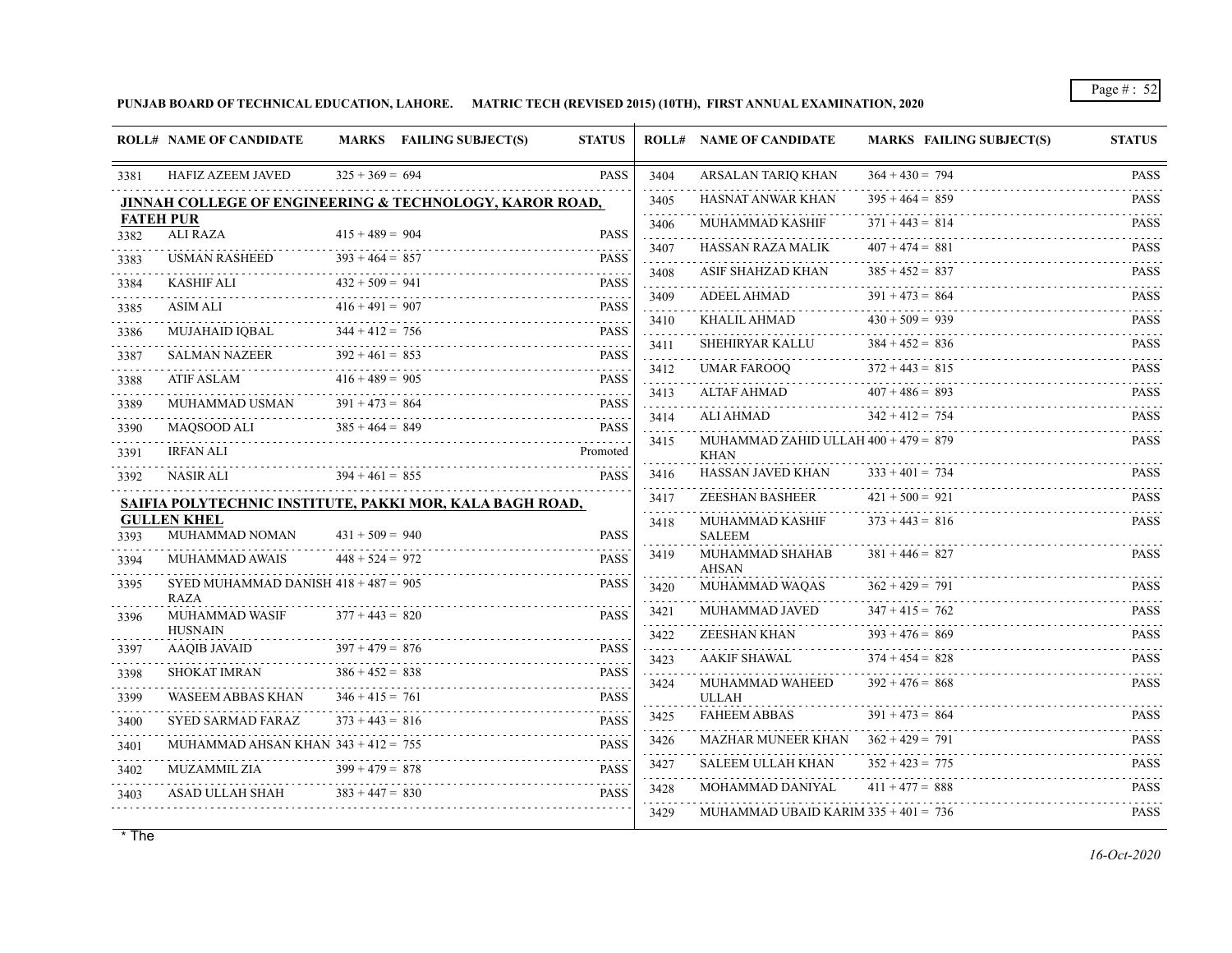**PUNJAB BOARD OF TECHNICAL EDUCATION, LAHORE. MATRIC TECH (REVISED 2015) (10TH), FIRST ANNUAL EXAMINATION, 2020**

|                  | <b>ROLL# NAME OF CANDIDATE</b>         |                   | MARKS FAILING SUBJECT(S)                                           | <b>STATUS</b> |                          | <b>ROLL# NAME OF CANDIDATE</b>                        | <b>MARKS FAILING SUBJECT(S)</b> | <b>STATUS</b>         |
|------------------|----------------------------------------|-------------------|--------------------------------------------------------------------|---------------|--------------------------|-------------------------------------------------------|---------------------------------|-----------------------|
| 3381             | <b>HAFIZ AZEEM JAVED</b>               | $325 + 369 = 694$ |                                                                    | <b>PASS</b>   | 3404                     | <b>ARSALAN TARIQ KHAN</b>                             | $364 + 430 = 794$               | <b>PASS</b>           |
|                  |                                        |                   | <b>JINNAH COLLEGE OF ENGINEERING &amp; TECHNOLOGY, KAROR ROAD,</b> |               | 3405                     | HASNAT ANWAR KHAN                                     | $395 + 464 = 859$               | .<br><b>PASS</b>      |
| <b>FATEH PUR</b> |                                        |                   |                                                                    |               | 3406                     | MUHAMMAD KASHIF                                       | $371 + 443 = 814$               | <b>PASS</b>           |
| 3382             | <b>ALI RAZA</b>                        | $415 + 489 = 904$ |                                                                    | <b>PASS</b>   | 3407                     | <b>HASSAN RAZA MALIK</b>                              | $407 + 474 = 881$               | <b>PASS</b>           |
| 3383             | <b>USMAN RASHEED</b>                   | $393 + 464 = 857$ |                                                                    | <b>PASS</b>   | and a strategies<br>3408 | ASIF SHAHZAD KHAN                                     | $385 + 452 = 837$               | <b>PASS</b>           |
| 3384             | KASHIF ALI                             | $432 + 509 = 941$ |                                                                    | <b>PASS</b>   | 111111<br>3409           | ADEEL AHMAD                                           | $391 + 473 = 864$               | .<br><b>PASS</b>      |
| 3385             | ASIM ALI                               | $416 + 491 = 907$ |                                                                    | <b>PASS</b>   | .<br>3410                | KHALIL AHMAD                                          | $430 + 509 = 939$               | <b>PASS</b>           |
| 3386<br>.        | <b>MUJAHAID IOBAL</b>                  | $344 + 412 = 756$ |                                                                    | <b>PASS</b>   | 3411                     | <b>SHEHIRYAR KALLU</b>                                | $384 + 452 = 836$               | <b>PASS</b>           |
| 3387             | <b>SALMAN NAZEER</b>                   | $392 + 461 = 853$ |                                                                    | <b>PASS</b>   | 1.1.1.1.                 |                                                       | $372 + 443 = 815$               | .                     |
| 3388             | <b>ATIF ASLAM</b>                      | $416 + 489 = 905$ |                                                                    | <b>PASS</b>   | 3412                     | <b>UMAR FAROOQ</b>                                    |                                 | <b>PASS</b>           |
| 3389             | MUHAMMAD USMAN                         | $391 + 473 = 864$ |                                                                    | <b>PASS</b>   | 3413<br>$- - - - -$      | ALTAF AHMAD                                           | $407 + 486 = 893$               | <b>PASS</b>           |
| 3390             | MAOSOOD ALI                            | $385 + 464 = 849$ |                                                                    | <b>PASS</b>   | 3414                     | ALI AHMAD                                             | $342 + 412 = 754$               | <b>PASS</b>           |
| 3391             | <b>IRFAN ALI</b>                       |                   |                                                                    | Promoted      | 3415                     | MUHAMMAD ZAHID ULLAH $400 + 479 = 879$<br><b>KHAN</b> |                                 | <b>PASS</b>           |
| 3392             | <b>NASIR ALI</b>                       | $394 + 461 = 855$ |                                                                    | <b>PASS</b>   | 3416                     | HASSAN JAVED KHAN                                     | $333 + 401 = 734$               | <b>PASS</b>           |
|                  |                                        |                   | SAIFIA POLYTECHNIC INSTITUTE, PAKKI MOR, KALA BAGH ROAD,           |               | 2.2.2.2.2.2.2<br>3417    | ZEESHAN BASHEER                                       | $421 + 500 = 921$               | <b>PASS</b>           |
|                  | <b>GULLEN KHEL</b>                     |                   |                                                                    |               | .<br>3418                | MUHAMMAD KASHIF                                       | $373 + 443 = 816$               | <b>PASS</b>           |
| 3393             | MUHAMMAD NOMAN                         | $431 + 509 = 940$ |                                                                    | <b>PASS</b>   |                          | <b>SALEEM</b>                                         |                                 |                       |
| 3394             | MUHAMMAD AWAIS                         | $448 + 524 = 972$ |                                                                    | <b>PASS</b>   | 3419                     | MUHAMMAD SHAHAB<br><b>AHSAN</b>                       | $381 + 446 = 827$               | <b>PASS</b>           |
| 3395             | SYED MUHAMMAD DANISH $418 + 487 = 905$ |                   |                                                                    | <b>PASS</b>   | 3420                     | MUHAMMAD WAQAS                                        | $362 + 429 = 791$               | <b>PASS</b>           |
| 3396             | <b>RAZA</b><br><b>MUHAMMAD WASIF</b>   | $377 + 443 = 820$ |                                                                    | <b>PASS</b>   | 3421                     | MUHAMMAD JAVED                                        | $347 + 415 = 762$               | $\sim$<br><b>PASS</b> |
|                  | <b>HUSNAIN</b>                         |                   |                                                                    |               | 3422                     | <b>ZEESHAN KHAN</b>                                   | $393 + 476 = 869$               | <b>PASS</b>           |
| 3397             | <b>AAQIB JAVAID</b>                    | $397 + 479 = 876$ |                                                                    | <b>PASS</b>   | 2.2.2.2.2<br>3423        | <b>AAKIF SHAWAL</b>                                   | $374 + 454 = 828$               | .<br><b>PASS</b>      |
| 3398             | <b>SHOKAT IMRAN</b>                    | $386 + 452 = 838$ |                                                                    | <b>PASS</b>   | 3424                     | MUHAMMAD WAHEED                                       | $392 + 476 = 868$               | <b>PASS</b>           |
| 3399             | <b>WASEEM ABBAS KHAN</b>               | $346 + 415 = 761$ |                                                                    | <b>PASS</b>   |                          | <b>ULLAH</b>                                          |                                 |                       |
| 3400             | <b>SYED SARMAD FARAZ</b>               | $373 + 443 = 816$ |                                                                    | <b>PASS</b>   | 3425                     | <b>FAHEEM ABBAS</b>                                   | $391 + 473 = 864$               | <b>PASS</b>           |
| 3401             | MUHAMMAD AHSAN KHAN $343 + 412 = 755$  |                   |                                                                    | <b>PASS</b>   | 3426<br>$-2 - 1 - 1$     | MAZHAR MUNEER KHAN                                    | $362 + 429 = 791$               | <b>PASS</b><br>111111 |
| 3402             | <b>MUZAMMIL ZIA</b>                    | $399 + 479 = 878$ |                                                                    | <b>PASS</b>   | 3427                     | <b>SALEEM ULLAH KHAN</b>                              | $352 + 423 = 775$               | <b>PASS</b>           |
| 3403             | <b>ASAD ULLAH SHAH</b>                 | $383 + 447 = 830$ |                                                                    | <b>PASS</b>   | <u>.</u><br>3428         | MOHAMMAD DANIYAL                                      | $411 + 477 = 888$               | <b>PASS</b>           |
|                  |                                        |                   |                                                                    |               | 3429                     | MUHAMMAD UBAID KARIM $335 + 401 = 736$                |                                 | <b>PASS</b>           |
|                  |                                        |                   |                                                                    |               |                          |                                                       |                                 |                       |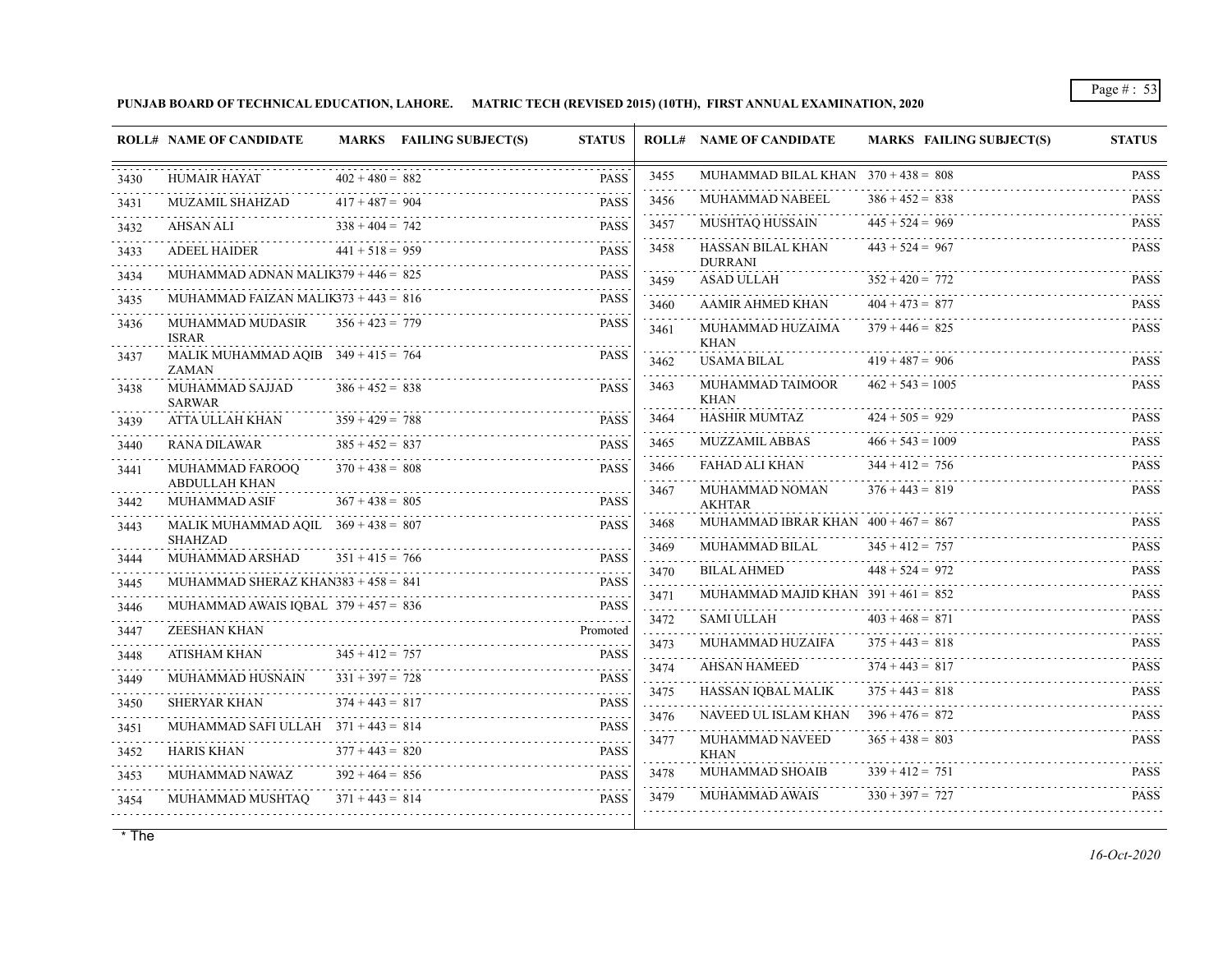**PUNJAB BOARD OF TECHNICAL EDUCATION, LAHORE. MATRIC TECH (REVISED 2015) (10TH), FIRST ANNUAL EXAMINATION, 2020**

|              | <b>ROLL# NAME OF CANDIDATE</b>                        |                                        | <b>MARKS</b> FAILING SUBJECT(S)         | <b>STATUS</b>              |                     | <b>ROLL# NAME OF CANDIDATE</b>         | <b>MARKS FAILING SUBJECT(S)</b> | <b>STATUS</b>              |
|--------------|-------------------------------------------------------|----------------------------------------|-----------------------------------------|----------------------------|---------------------|----------------------------------------|---------------------------------|----------------------------|
| 3430         | <b>HUMAIR HAYAT</b>                                   | $402 + 480 = 882$                      |                                         | <b>PASS</b>                | 3455                | MUHAMMAD BILAL KHAN $370 + 438 = 808$  |                                 | <b>PASS</b><br>.           |
| 3431         | <b>MUZAMIL SHAHZAD</b>                                | $417 + 487 = 904$                      |                                         | <b>PASS</b>                | 3456                | MUHAMMAD NABEEL                        | $386 + 452 = 838$               | <b>PASS</b><br>.           |
| 3432         | AHSAN ALI                                             | $338 + 404 = 742$                      |                                         | <b>PASS</b>                | 3457                | MUSHTAQ HUSSAIN                        | $445 + 524 = 969$               | <b>PASS</b>                |
| 3433         | ADEEL HAIDER                                          | $441 + 518 = 959$                      |                                         | <b>PASS</b>                | 3458                | HASSAN BILAL KHAN<br><b>DURRANI</b>    | $443 + 524 = 967$               | <b>PASS</b>                |
| 3434         | MUHAMMAD ADNAN MALIK379 + $446 = 825$                 |                                        |                                         | <b>PASS</b>                | 3459                | ASAD ULLAH                             | $352 + 420 = 772$               | <b>PASS</b>                |
| 3435         | MUHAMMAD FAIZAN MALIK373 + $443 = 816$                |                                        |                                         | <b>PASS</b>                | 3460                | AAMIR AHMED KHAN                       | $404 + 473 = 877$               | <b>PASS</b>                |
| 3436         | MUHAMMAD MUDASIR<br><b>ISRAR</b>                      | $356 + 423 = 779$                      |                                         | <b>PASS</b>                | and a state<br>3461 | MUHAMMAD HUZAIMA<br><b>KHAN</b>        | $379 + 446 = 825$               | <b>PASS</b>                |
| 3437         | MALIK MUHAMMAD AQIB $349 + 415 = 764$<br><b>ZAMAN</b> |                                        |                                         | <b>PASS</b>                | 3462                | USAMA BILAL                            | $419 + 487 = 906$               | <b>PASS</b>                |
| 3438         | MUHAMMAD SAJJAD<br><b>SARWAR</b>                      | $386 + 452 = 838$                      |                                         | <b>PASS</b>                | 3463                | MUHAMMAD TAIMOOR<br><b>KHAN</b>        | $462 + 543 = 1005$              | <b>PASS</b>                |
| 3439         | ATTA ULLAH KHAN                                       | $359 + 429 = 788$                      |                                         | <b>PASS</b>                | 3464                | <b>HASHIR MUMTAZ</b>                   | $424 + 505 = 929$               | <b>PASS</b>                |
| 3440         | <b>RANA DILAWAR</b>                                   | $385 + 452 = 837$                      |                                         | <b>PASS</b>                | 3465                | MUZZAMIL ABBAS                         | $466 + 543 = 1009$              | <b>PASS</b><br>a a a a a a |
| 3441         | MUHAMMAD FAROOQ                                       | $370 + 438 = 808$                      |                                         | <b>PASS</b>                | 3466                | FAHAD ALI KHAN                         | $344 + 412 = 756$               | <b>PASS</b>                |
| 3442         | ABDULLAH KHAN<br>MUHAMMAD ASIF                        | $367 + 438 = 805$                      |                                         | <b>PASS</b>                | 3467                | MUHAMMAD NOMAN<br><b>AKHTAR</b>        | $376 + 443 = 819$               | <b>PASS</b>                |
| 3443         | MALIK MUHAMMAD AQIL $369 + 438 = 807$                 |                                        |                                         | <b>PASS</b>                | 3468                | MUHAMMAD IBRAR KHAN $400 + 467 = 867$  |                                 | <b>PASS</b>                |
| 3444         | <b>SHAHZAD</b><br>MUHAMMAD ARSHAD                     | $351 + 415 = 766$                      |                                         | <b>PASS</b>                | 3469                | MUHAMMAD BILAL                         | $345 + 412 = 757$               | <b>PASS</b>                |
|              | MUHAMMAD SHERAZ KHAN383 + $458 = 841$                 |                                        |                                         | <b>PASS</b>                | 3470<br>1.1.1.1.1   | <b>BILAL AHMED</b>                     | $448 + 524 = 972$               | <b>PASS</b>                |
| 3445         | MUHAMMAD AWAIS IQBAL $379 + 457 = 836$                |                                        |                                         | <b>PASS</b>                | 3471                | MUHAMMAD MAJID KHAN $391 + 461 = 852$  |                                 | <b>PASS</b>                |
| 3446<br>3447 | ZEESHAN KHAN                                          |                                        | IAMMAD AWAIS IQBAL 379 + 457 = 836 PASS | Promoted                   | 3472                | SAMI ULLAH                             | $403 + 468 = 871$               | <b>PASS</b>                |
|              | ATISHAM KHAN                                          | $345 + 412 = 757$                      |                                         | <b>PASS</b>                | .<br>3473           | MUHAMMAD HUZAIFA                       | $375 + 443 = 818$               | <b>PASS</b>                |
| 3448         | MUHAMMAD HUSNAIN                                      | $331 + 397 = 728$                      |                                         | <b>PASS</b>                | .<br>3474           | AHSAN HAMEED                           | $374 + 443 = 817$               | <b>PASS</b>                |
| 3449<br>.    |                                                       | $374 + 443 = 817$                      |                                         |                            | 3475                | HASSAN IQBAL MALIK                     | $375 + 443 = 818$               | <b>PASS</b>                |
| 3450         | <b>SHERYAR KHAN</b>                                   |                                        |                                         | <b>PASS</b>                | 111111<br>3476      | NAVEED UL ISLAM KHAN $396 + 476 = 872$ |                                 | <b>PASS</b>                |
| 3451         | MUHAMMAD SAFI ULLAH $371 + 443 = 814$                 |                                        |                                         | <b>PASS</b>                | .<br>3477           | MUHAMMAD NAVEED                        | $365 + 438 = 803$               | <b>PASS</b>                |
| 3452         | <b>HARIS KHAN</b>                                     | $377 + 443 = 820$                      |                                         | <b>PASS</b>                | 3478                | <b>KHAN</b><br>MUHAMMAD SHOAIB         | $339 + 412 = 751$               | <b>PASS</b>                |
| 3453         | MUHAMMAD NAWAZ<br>MUHAMMAD MUSHTAO                    | $392 + 464 = 856$<br>$371 + 443 = 814$ |                                         | <b>PASS</b><br><b>PASS</b> | 3479                | MUHAMMAD AWAIS                         | $330 + 397 = 727$               | <b>PASS</b>                |
| 3454         |                                                       |                                        |                                         |                            |                     |                                        |                                 |                            |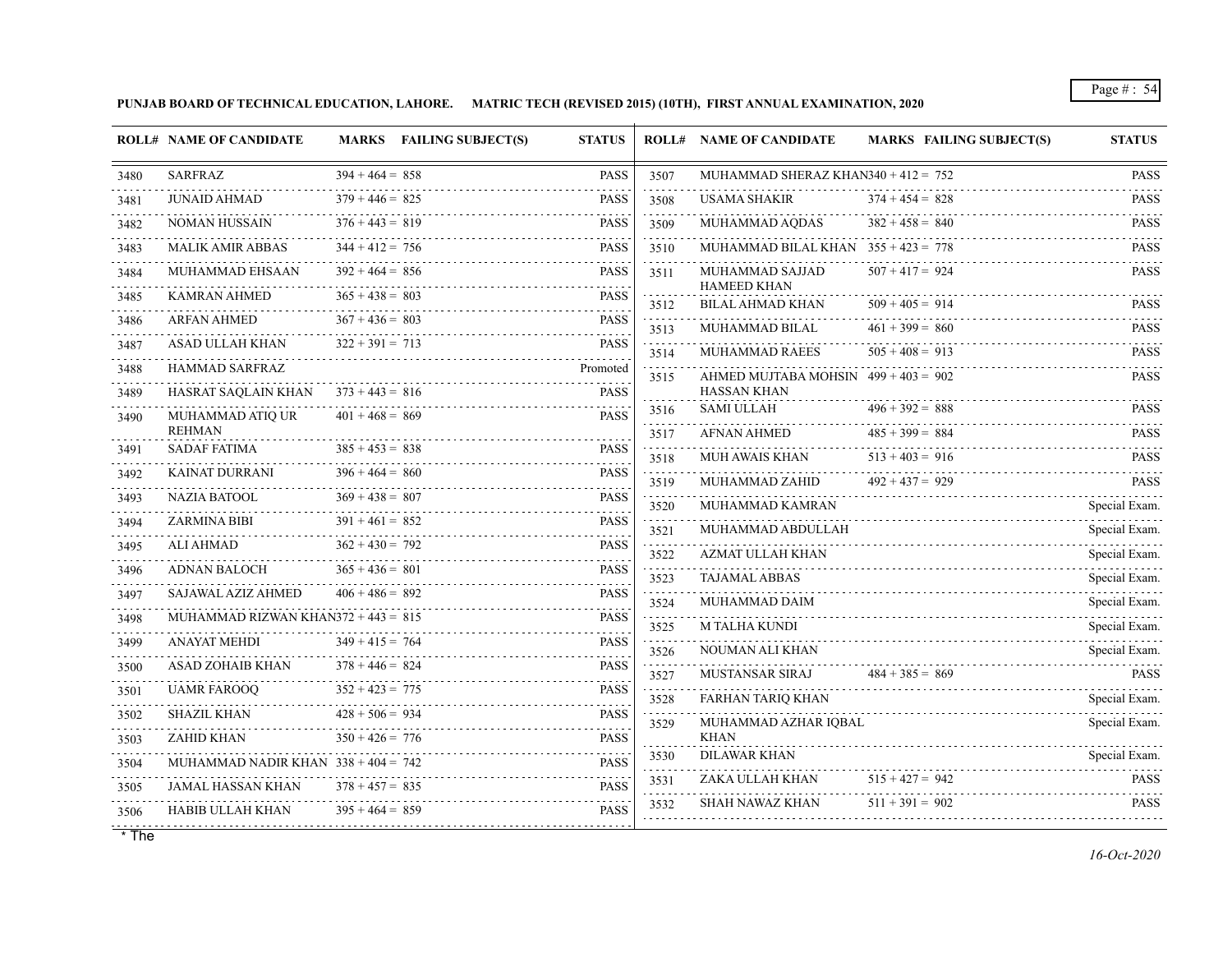**PUNJAB BOARD OF TECHNICAL EDUCATION, LAHORE. MATRIC TECH (REVISED 2015) (10TH), FIRST ANNUAL EXAMINATION, 2020**

|                   | <b>ROLL# NAME OF CANDIDATE</b>        |                   | MARKS FAILING SUBJECT(S) | <b>STATUS</b>    |                     | <b>ROLL# NAME OF CANDIDATE</b>                | <b>MARKS FAILING SUBJECT(S)</b>        | <b>STATUS</b>              |
|-------------------|---------------------------------------|-------------------|--------------------------|------------------|---------------------|-----------------------------------------------|----------------------------------------|----------------------------|
| 3480              | <b>SARFRAZ</b>                        | $394 + 464 = 858$ |                          | <b>PASS</b>      | 3507                | MUHAMMAD SHERAZ KHAN340 + 412 = $752$         |                                        | <b>PASS</b>                |
| 3481              | JUNAID AHMAD                          | $379 + 446 = 825$ |                          | <b>PASS</b>      | and a state<br>3508 | USAMA SHAKIR                                  | $374 + 454 = 828$                      | <b>PASS</b>                |
| 3482              | <b>NOMAN HUSSAIN</b>                  | $376 + 443 = 819$ |                          | <b>PASS</b>      | 3509                | MUHAMMAD AQDAS                                | $382 + 458 = 840$                      | 111111<br><b>PASS</b>      |
| 3483              | <b>MALIK AMIR ABBAS</b>               | $344 + 412 = 756$ |                          | <b>PASS</b>      | 3510                | MUHAMMAD BILAL KHAN $355 + 423 = 778$         |                                        | <b>PASS</b>                |
| 3484              | MUHAMMAD EHSAAN                       | $392 + 464 = 856$ |                          | <b>PASS</b>      | 3511                | MUHAMMAD SAJJAD                               | $507 + 417 = 924$                      | <b>PASS</b>                |
| 3485              | <b>KAMRAN AHMED</b>                   | $365 + 438 = 803$ |                          | <b>PASS</b>      | 3512                | <b>HAMEED KHAN</b><br><b>BILAL AHMAD KHAN</b> | $509 + 405 = 914$                      | <b>PASS</b>                |
| 3486              | <b>ARFAN AHMED</b>                    | $367 + 436 = 803$ |                          | <b>PASS</b>      | 3513                | MUHAMMAD BILAL                                | $461 + 399 = 860$                      | <b>PASS</b>                |
| 3487<br>.         | ASAD ULLAH KHAN                       | $322 + 391 = 713$ |                          | <b>PASS</b>      | المتمامين<br>3514   | MUHAMMAD RAEES                                | $505 + 408 = 913$                      | .<br><b>PASS</b>           |
| 3488              | <b>HAMMAD SARFRAZ</b>                 |                   |                          | Promoted         | 3515                | AHMED MUJTABA MOHSIN $499 + 403 = 902$        |                                        | <b>PASS</b>                |
| 3489              | HASRAT SAQLAIN KHAN $373 + 443 = 816$ |                   |                          | <b>PASS</b>      |                     | <b>HASSAN KHAN</b>                            |                                        |                            |
| 3490              | MUHAMMAD ATIQ UR<br><b>REHMAN</b>     | $401 + 468 = 869$ |                          | <b>PASS</b>      | 3516                | <b>SAMI ULLAH</b>                             | $496 + 392 = 888$<br>$485 + 399 = 884$ | <b>PASS</b>                |
| 3491              | <b>SADAF FATIMA</b>                   | $385 + 453 = 838$ |                          | <b>PASS</b>      | 3517                | <b>AFNAN AHMED</b><br><b>MUH AWAIS KHAN</b>   | $513 + 403 = 916$                      | <b>PASS</b><br><b>PASS</b> |
| 3492              | KAINAT DURRANI                        | $396 + 464 = 860$ |                          | <b>PASS</b>      | 3518<br>.<br>3519   | MUHAMMAD ZAHID                                | $492 + 437 = 929$                      | <b>PASS</b>                |
| 3493              | <b>NAZIA BATOOL</b>                   | $369 + 438 = 807$ |                          | <b>PASS</b>      | 3520                | MUHAMMAD KAMRAN                               |                                        | .<br>Special Exam.         |
| 3494              | ZARMINA BIBI                          | $391 + 461 = 852$ |                          | <b>PASS</b>      | 3521                | MUHAMMAD ABDULLAH                             |                                        | <u>.</u><br>Special Exam.  |
| 3495              | <b>ALI AHMAD</b>                      | $362 + 430 = 792$ |                          | <b>PASS</b>      | 3522                | AZMAT ULLAH KHAN                              |                                        | .<br>Special Exam.         |
| 3496              | ADNAN BALOCH                          | $365 + 436 = 801$ |                          | <b>PASS</b>      | 3523                | <b>TAJAMAL ABBAS</b>                          |                                        | .<br>Special Exam.         |
| 3497              | SAJAWAL AZIZ AHMED                    | $406 + 486 = 892$ |                          | <b>PASS</b>      | 3524                | MUHAMMAD DAIM                                 |                                        | .<br>Special Exam.         |
| 3498              | MUHAMMAD RIZWAN KHAN372 + 443 = $815$ |                   |                          | <b>PASS</b>      | 3525                | <b>M TALHA KUNDI</b>                          |                                        | Special Exam.              |
| 3499              | ANAYAT MEHDI                          | $349 + 415 = 764$ |                          | <b>PASS</b>      | 3526                | NOUMAN ALI KHAN                               |                                        | Special Exam.              |
| د د د د د<br>3500 | ASAD ZOHAIB KHAN                      | $378 + 446 = 824$ |                          | <b>PASS</b><br>. | 3527                | <b>MUSTANSAR SIRAJ</b>                        | $484 + 385 = 869$                      | <b>PASS</b>                |
| 3501              | <b>UAMR FAROOO</b>                    | $352 + 423 = 775$ |                          | <b>PASS</b>      | .<br>3528           | <b>FARHAN TARIQ KHAN</b>                      |                                        | Special Exam.              |
| 3502              | <b>SHAZIL KHAN</b>                    | $428 + 506 = 934$ |                          | <b>PASS</b><br>. | د د د د د<br>3529   | MUHAMMAD AZHAR IQBAL                          |                                        | <u>.</u><br>Special Exam.  |
| 3503              | ZAHID KHAN                            | $350 + 426 = 776$ |                          | <b>PASS</b>      |                     | <b>KHAN</b>                                   |                                        |                            |
| 3504              | MUHAMMAD NADIR KHAN $338 + 404 = 742$ |                   |                          | <b>PASS</b>      | 3530                | <b>DILAWAR KHAN</b>                           |                                        | Special Exam.              |
| 3505<br>.         | JAMAL HASSAN KHAN                     | $378 + 457 = 835$ |                          | <b>PASS</b>      | 3531                | ZAKA ULLAH KHAN                               | $515 + 427 = 942$                      | <b>PASS</b>                |
| 3506              | HABIB ULLAH KHAN                      | $395 + 464 = 859$ |                          | <b>PASS</b>      | 3532                | <b>SHAH NAWAZ KHAN</b>                        | $511 + 391 = 902$                      | <b>PASS</b>                |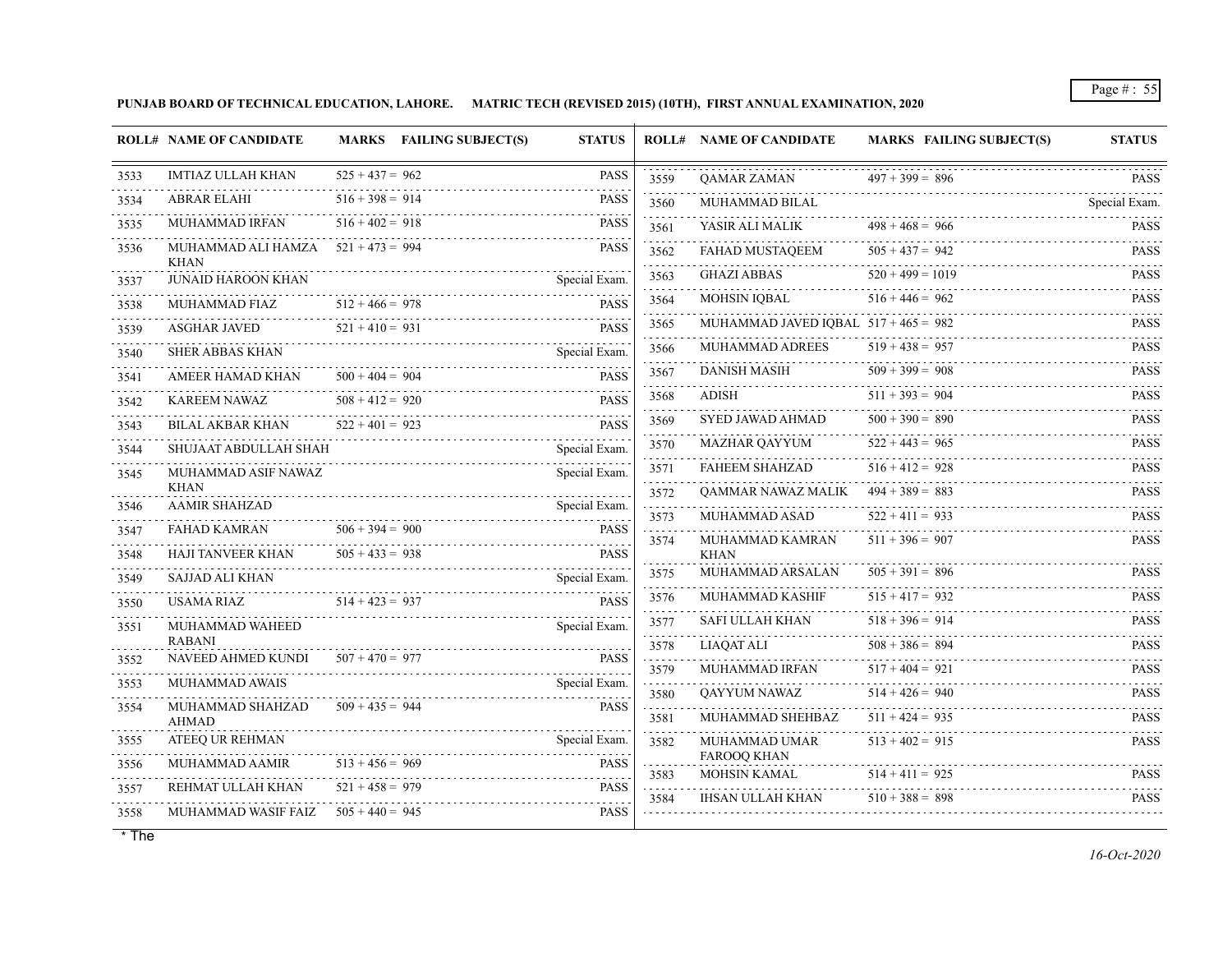**PUNJAB BOARD OF TECHNICAL EDUCATION, LAHORE. MATRIC TECH (REVISED 2015) (10TH), FIRST ANNUAL EXAMINATION, 2020**

|                              | <b>ROLL# NAME OF CANDIDATE</b>                      |                   | MARKS FAILING SUBJECT(S)             | <b>STATUS</b> |           | <b>ROLL# NAME OF CANDIDATE</b>         | <b>MARKS FAILING SUBJECT(S)</b> | <b>STATUS</b>              |
|------------------------------|-----------------------------------------------------|-------------------|--------------------------------------|---------------|-----------|----------------------------------------|---------------------------------|----------------------------|
| 3533                         | <b>IMTIAZ ULLAH KHAN</b>                            | $525 + 437 = 962$ |                                      | <b>PASS</b>   | 3559      | QAMAR ZAMAN                            | $497 + 399 = 896$               | <b>PASS</b>                |
| 3534                         | <b>ABRAR ELAHI</b>                                  | $516 + 398 = 914$ |                                      | <b>PASS</b>   | 3560      | MUHAMMAD BILAL                         |                                 | .<br>Special Exam.         |
| 3535                         | MUHAMMAD IRFAN                                      | $516 + 402 = 918$ |                                      | <b>PASS</b>   | .<br>3561 | YASIR ALI MALIK                        | $498 + 468 = 966$               | <b>PASS</b>                |
| 3536                         | MUHAMMAD ALI HAMZA $521 + 473 = 994$<br><b>KHAN</b> |                   |                                      | <b>PASS</b>   | 3562<br>. | FAHAD MUSTAQEEM<br>.                   | $505 + 437 = 942$               | <b>PASS</b><br>.           |
| 3537                         | <b>JUNAID HAROON KHAN</b>                           |                   |                                      | Special Exam. | 3563      | <b>GHAZI ABBAS</b>                     | $520 + 499 = 1019$              | <b>PASS</b>                |
| 3538                         | MUHAMMAD FIAZ                                       | $512 + 466 = 978$ |                                      | <b>PASS</b>   | 3564      | MOHSIN IQBAL                           | $516 + 446 = 962$               | <b>PASS</b>                |
| 3539                         | <b>ASGHAR JAVED</b>                                 | $521 + 410 = 931$ |                                      | <b>PASS</b>   | 3565      | MUHAMMAD JAVED IQBAL $517 + 465 = 982$ |                                 | <b>PASS</b>                |
| 3540                         | <b>SHER ABBAS KHAN</b>                              |                   |                                      | Special Exam. | 3566      | MUHAMMAD ADREES                        | $519 + 438 = 957$               | <b>PASS</b>                |
| $\sim$ $\sim$ $\sim$<br>3541 | AMEER HAMAD KHAN                                    | $500 + 404 = 904$ |                                      | <b>PASS</b>   | 3567      | <b>DANISH MASIH</b>                    | $509 + 399 = 908$               | <b>PASS</b>                |
| 3542                         | KAREEM NAWAZ<br>KAREEM NAWAZ $508 + 412 = 920$ PASS | $508 + 412 = 920$ |                                      | <b>PASS</b>   | 3568      | ADISH                                  | $511 + 393 = 904$               | <b>PASS</b>                |
| 3543                         | BILAL AKBAR KHAN                                    | $522 + 401 = 923$ |                                      | <b>PASS</b>   | 3569      | SYED JAWAD AHMAD                       | $500 + 390 = 890$               | <b>PASS</b>                |
| 3544                         | SHUJAAT ABDULLAH SHAH                               |                   |                                      | Special Exam. | 3570      | MAZHAR QAYYUM                          | $522 + 443 = 965$               | <b>PASS</b><br>.           |
| 3545                         | MUHAMMAD ASIF NAWAZ                                 |                   |                                      | Special Exam. | 3571      | <b>FAHEEM SHAHZAD</b>                  | $516 + 412 = 928$               | <b>PASS</b><br>dia a dia a |
|                              | <b>KHAN</b><br><b>AAMIR SHAHZAD</b>                 |                   |                                      | Special Exam. | 3572      | QAMMAR NAWAZ MALIK                     | $494 + 389 = 883$               | <b>PASS</b>                |
| 3546                         |                                                     | $506 + 394 = 900$ |                                      | <b>PASS</b>   | 3573      | MUHAMMAD ASAD                          | $522 + 411 = 933$               | <b>PASS</b>                |
| 3547                         | FAHAD KAMRAN<br>HAJI TANVEER KHAN                   | $505 + 433 = 938$ |                                      | <b>PASS</b>   | 3574      | MUHAMMAD KAMRAN                        | $511 + 396 = 907$               | <b>PASS</b>                |
| 3548                         | SAJJAD ALI KHAN                                     |                   | KHAN $505 + 433 = 938$               | Special Exam. | 3575      | <b>KHAN</b><br>MUHAMMAD ARSALAN        | $505 + 391 = 896$               | <b>PASS</b>                |
| 3549                         | USAMA RIAZ<br>$514 + 423 = 937$                     |                   |                                      | <b>PASS</b>   | 3576      | MUHAMMAD KASHIF                        | $515 + 417 = 932$               | <b>PASS</b>                |
| 3550                         | MUHAMMAD WAHEED                                     |                   | MA RIAZ $514 + 423 = 937$ PASS       | Special Exam. | 3577      | SAFI ULLAH KHAN                        | $518 + 396 = 914$               | <b>PASS</b>                |
| 3551                         | <b>RABANI</b>                                       |                   |                                      |               | 3578      | <b>LIAQAT ALI</b>                      | $508 + 386 = 894$               | <b>PASS</b>                |
| 3552                         | NAVEED AHMED KUNDI $507 + 470 = 977$                |                   | EED AHMED KUNDI 507 + 470 = 977 PASS | <b>PASS</b>   | 3579      | MUHAMMAD IRFAN                         | $517 + 404 = 921$               | <b>PASS</b>                |
| 3553                         | MUHAMMAD AWAIS                                      |                   |                                      | Special Exam. | 3580      | QAYYUM NAWAZ                           | $514 + 426 = 940$               | <b>PASS</b>                |
| 3554                         | MUHAMMAD SHAHZAD<br><b>AHMAD</b>                    | $509 + 435 = 944$ |                                      | <b>PASS</b>   | 3581      | MUHAMMAD SHEHBAZ                       | $511 + 424 = 935$               | .<br><b>PASS</b>           |
| 3555                         | ATEEQ UR REHMAN                                     |                   |                                      | Special Exam. | 3582      | MUHAMMAD UMAR                          | $513 + 402 = 915$               | <b>PASS</b>                |
| 3556                         | MUHAMMAD AAMIR                                      | $513 + 456 = 969$ |                                      | <b>PASS</b>   | 3583      | FAROOQ KHAN<br>MOHSIN KAMAL            | $514 + 411 = 925$               | <b>PASS</b>                |
| 3557                         | REHMAT ULLAH KHAN                                   | $521 + 458 = 979$ |                                      | <b>PASS</b>   | 3584      | IHSAN ULLAH KHAN                       | $510 + 388 = 898$               | <b>PASS</b>                |
| 3558                         | MUHAMMAD WASIF FAIZ $505 + 440 = 945$               |                   |                                      | PASS          |           |                                        |                                 |                            |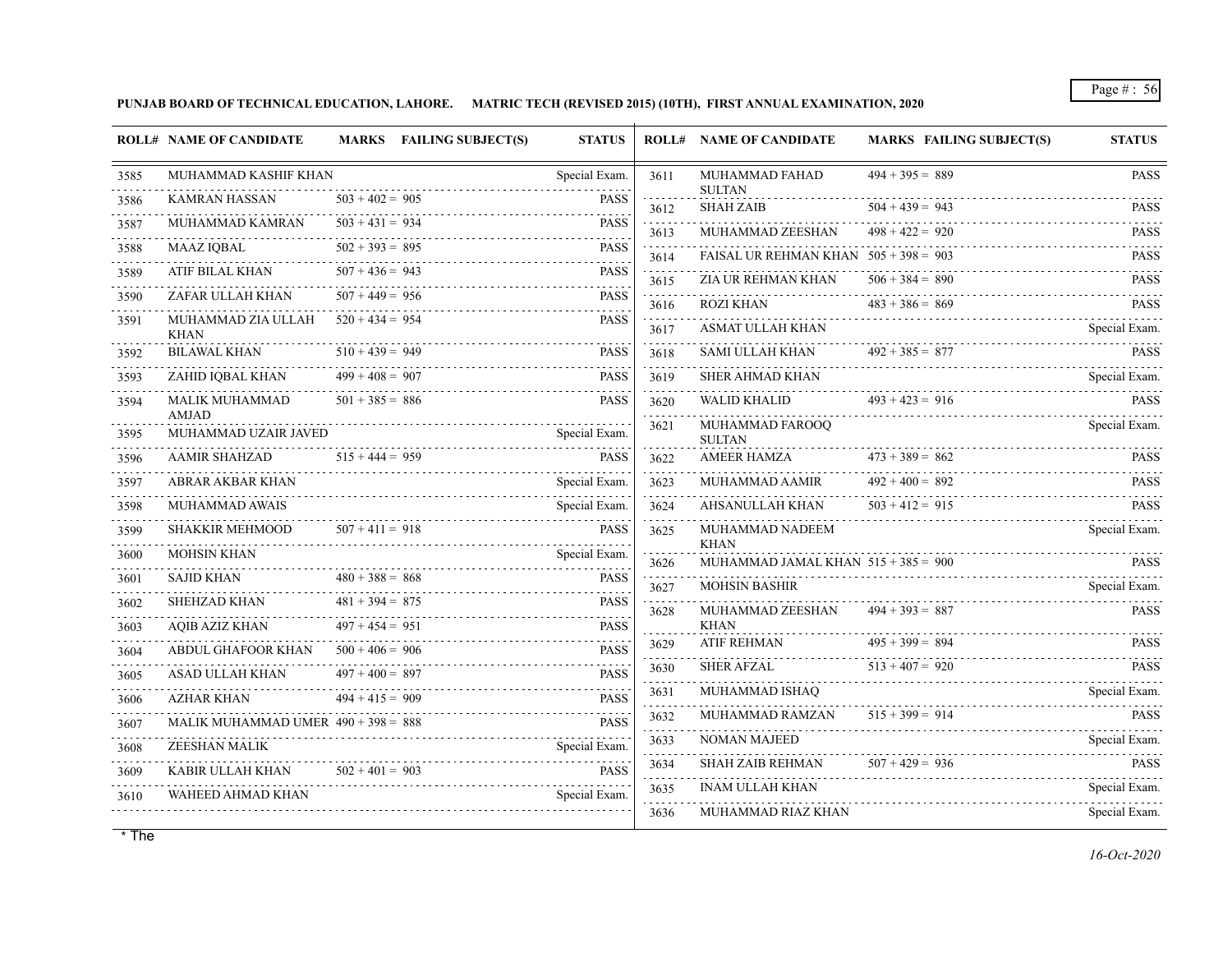**PUNJAB BOARD OF TECHNICAL EDUCATION, LAHORE. MATRIC TECH (REVISED 2015) (10TH), FIRST ANNUAL EXAMINATION, 2020**

|                   | <b>ROLL# NAME OF CANDIDATE</b>                                                    |                   | MARKS FAILING SUBJECT(S)                                                                                                                                                                                                          | <b>STATUS</b> |                     | <b>ROLL# NAME OF CANDIDATE</b>          | <b>MARKS FAILING SUBJECT(S)</b>            | <b>STATUS</b> |
|-------------------|-----------------------------------------------------------------------------------|-------------------|-----------------------------------------------------------------------------------------------------------------------------------------------------------------------------------------------------------------------------------|---------------|---------------------|-----------------------------------------|--------------------------------------------|---------------|
| 3585<br>المتمامين | MUHAMMAD KASHIF KHAN                                                              |                   |                                                                                                                                                                                                                                   | Special Exam. | 3611                | <b>MUHAMMAD FAHAD</b><br><b>SULTAN</b>  | $494 + 395 = 889$                          | <b>PASS</b>   |
| 3586              | KAMRAN HASSAN                                                                     | $503 + 402 = 905$ |                                                                                                                                                                                                                                   | <b>PASS</b>   | 3612                | <b>SHAH ZAIB</b>                        | $504 + 439 = 943$                          | <b>PASS</b>   |
| 3587              | MUHAMMAD KAMRAN                                                                   | $503 + 431 = 934$ |                                                                                                                                                                                                                                   | <b>PASS</b>   | 3613                | MUHAMMAD ZEESHAN                        | $498 + 422 = 920$                          | <b>PASS</b>   |
| 3588              | MAAZ IQBAL                                                                        | $502 + 393 = 895$ |                                                                                                                                                                                                                                   | <b>PASS</b>   | 3614                | FAISAL UR REHMAN KHAN $505 + 398 = 903$ |                                            | <b>PASS</b>   |
| 3589              | ATIF BILAL KHAN                                                                   | $507 + 436 = 943$ |                                                                                                                                                                                                                                   | <b>PASS</b>   | 3615                | ZIA UR REHMAN KHAN                      | $506 + 384 = 890$                          | <b>PASS</b>   |
| 3590              | ZAFAR ULLAH KHAN                                                                  | $507 + 449 = 956$ |                                                                                                                                                                                                                                   | <b>PASS</b>   | 3616                | ROZI KHAN                               | $483 + 386 = 869$                          | <b>PASS</b>   |
| 3591              | MUHAMMAD ZIA ULLAH $520 + 434 = 954$<br><b>KHAN</b>                               |                   |                                                                                                                                                                                                                                   | <b>PASS</b>   | 3617                |                                         | ASMAT ULLAH KHAN Special Exam.             |               |
| 3592              | BILAWAL KHAN                                                                      | $510 + 439 = 949$ |                                                                                                                                                                                                                                   | <b>PASS</b>   | a a a a a a<br>3618 | SAMI ULLAH KHAN $492 + 385 = 877$       |                                            | <b>PASS</b>   |
| 3593              | ZAHID IQBAL KHAN                                                                  | $499 + 408 = 907$ |                                                                                                                                                                                                                                   | <b>PASS</b>   | 3619                | SHER AHMAD KHAN                         |                                            | Special Exam. |
| 3594              | MALIK MUHAMMAD<br><b>AMJAD</b>                                                    | $501 + 385 = 886$ |                                                                                                                                                                                                                                   | <b>PASS</b>   | 3620<br>.           |                                         | WALID KHALID $493 + 423 = 916$ PASS        |               |
| 3595              | MUHAMMAD UZAIR JAVED                                                              |                   | IAMMAD UZAIR JAVED<br>Alternative and the special Exament Special Exament Special Examents of the Special Examents of the Special Examents of the Special Examents of the Special Examents of the Special Examents of the Special |               | 3621                | MUHAMMAD FAROOQ<br><b>SULTAN</b>        |                                            | Special Exam. |
| 3596              | AAMIR SHAHZAD                                                                     | $515 + 444 = 959$ | VIIR SHAHZAD 515 + 444 = 959 PASS                                                                                                                                                                                                 |               | 3622                | AMEER HAMZA $473 + 389 = 862$           |                                            | <b>PASS</b>   |
| .<br>3597         | ABRAR AKBAR KHAN                                                                  |                   |                                                                                                                                                                                                                                   | Special Exam. | .<br>3623           | MUHAMMAD AAMIR                          | $492 + 400 = 892$                          | <b>PASS</b>   |
| 3598              | <b>MUHAMMAD AWAIS</b>                                                             |                   |                                                                                                                                                                                                                                   | Special Exam. | s sistema<br>3624   | <b>AHSANULLAH KHAN</b>                  | $503 + 412 = 915$                          | <b>PASS</b>   |
| 3599              | SHAKKIR MEHMOOD                                                                   | $507 + 411 = 918$ |                                                                                                                                                                                                                                   | <b>PASS</b>   | .<br>3625           | MUHAMMAD NADEEM<br><b>KHAN</b>          |                                            | Special Exam. |
| 3600              | <b>MOHSIN KHAN</b>                                                                |                   |                                                                                                                                                                                                                                   | Special Exam. | .<br>3626           | MUHAMMAD JAMAL KHAN $515 + 385 = 900$   |                                            |               |
| 3601              | <b>SAJID KHAN</b>                                                                 | $480 + 388 = 868$ |                                                                                                                                                                                                                                   | <b>PASS</b>   | <u>.</u><br>3627    | <b>MOHSIN BASHIR</b>                    | MUHAMMAD JAMAL KHAN $515 + 385 = 900$ PASS |               |
| 3602              | <b>SHEHZAD KHAN</b>                                                               | $481 + 394 = 875$ |                                                                                                                                                                                                                                   | <b>PASS</b>   | 3628                | MUHAMMAD ZEESHAN                        | $494 + 393 = 887$                          | <b>PASS</b>   |
| 3603              | AQIB AZIZ KHAN                                                                    | $497 + 454 = 951$ | N $497 + 454 = 951$ PASS                                                                                                                                                                                                          | <b>PASS</b>   |                     | <b>KHAN</b>                             |                                            |               |
| 3604              | ABDUL GHAFOOR KHAN $500 + 406 = 906$                                              |                   |                                                                                                                                                                                                                                   | <b>PASS</b>   | 3629<br>.           | <b>ATIF REHMAN</b>                      | $495 + 399 = 894$                          | <b>PASS</b>   |
| 3605<br>.         | ASAD ULLAH KHAN                                                                   | $497 + 400 = 897$ |                                                                                                                                                                                                                                   | <b>PASS</b>   | 3630                | <b>SHER AFZAL</b>                       | $513 + 407 = 920$                          | <b>PASS</b>   |
| 3606              | $494 + 415 = 909$<br>AZHAR KHAN                                                   |                   |                                                                                                                                                                                                                                   | <b>PASS</b>   | 3631                |                                         | MUHAMMAD ISHAQ                             | Special Exam. |
| 3607              | MALIK MUHAMMAD UMER $490 + 398 = 888$<br>MALIK MUHAMMAD UMER 490 + 398 = 888 PASS |                   |                                                                                                                                                                                                                                   | <b>PASS</b>   | 3632<br>د د د د د   | MUHAMMAD RAMZAN                         | $515 + 399 = 914$                          | <b>PASS</b>   |
| 3608              | ZEESHAN MALIK Special Exam.                                                       |                   |                                                                                                                                                                                                                                   | Special Exam. | 3633                | NOMAN MAJEED                            |                                            | Special Exam. |
| 3609              | KABIR ULLAH KHAN $502 + 401 = 903$                                                |                   |                                                                                                                                                                                                                                   | <b>PASS</b>   | 3634<br>.           | SHAH ZAIB REHMAN $507 + 429 = 936$      | SHAH ZAIB REHMAN 507 + 429 = 936 PASS      |               |
| 3610              | WAHEED AHMAD KHAN                                                                 |                   |                                                                                                                                                                                                                                   | Special Exam. | 3635                | <b>INAM ULLAH KHAN</b>                  |                                            | Special Exam. |
|                   |                                                                                   |                   |                                                                                                                                                                                                                                   |               | 3636                | MUHAMMAD RIAZ KHAN                      |                                            | Special Exam. |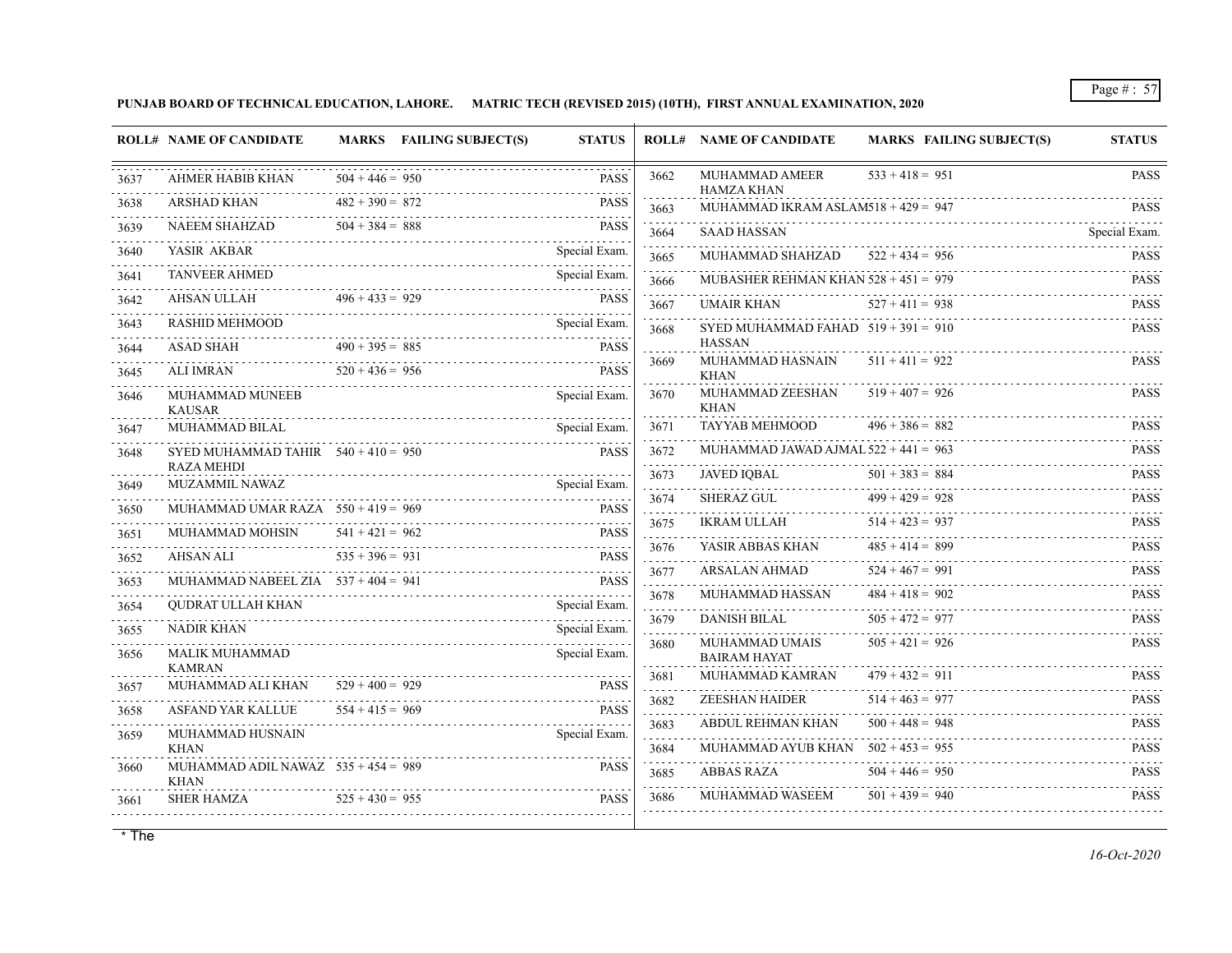**PUNJAB BOARD OF TECHNICAL EDUCATION, LAHORE. MATRIC TECH (REVISED 2015) (10TH), FIRST ANNUAL EXAMINATION, 2020**

|              | <b>ROLL# NAME OF CANDIDATE</b>                             |                   | MARKS FAILING SUBJECT(S)      | <b>STATUS</b> |                | <b>ROLL# NAME OF CANDIDATE</b>               | <b>MARKS FAILING SUBJECT(S)</b>                           | <b>STATUS</b> |
|--------------|------------------------------------------------------------|-------------------|-------------------------------|---------------|----------------|----------------------------------------------|-----------------------------------------------------------|---------------|
| 3637         | <b>AHMER HABIB KHAN</b>                                    | $504 + 446 = 950$ |                               | <b>PASS</b>   | 3662           | MUHAMMAD AMEER<br><b>HAMZA KHAN</b>          | $533 + 418 = 951$                                         | <b>PASS</b>   |
| 3638         | ARSHAD KHAN                                                | $482 + 390 = 872$ |                               | <b>PASS</b>   | 3663           | MUHAMMAD IKRAM ASLAM518 + $429 = 947$        |                                                           | <b>PASS</b>   |
| 3639         | NAEEM SHAHZAD $504 + 384 = 888$                            |                   |                               | <b>PASS</b>   | 3664           | SAAD HASSAN                                  |                                                           | Special Exam. |
| 3640         | YASIR AKBAR                                                |                   |                               | Special Exam. | .<br>3665      | MUHAMMAD SHAHZAD $522 + 434 = 956$           |                                                           | <b>PASS</b>   |
| 3641         | <b>TANVEER AHMED</b>                                       |                   |                               | Special Exam. | 3666           | MUBASHER REHMAN KHAN $528 + 451 = 979$       |                                                           | <b>PASS</b>   |
| 3642         | AHSAN ULLAH                                                | $496 + 433 = 929$ | AN ULLAH 496 + 433 = 929 PASS | <b>PASS</b>   | 3667           | UMAIR KHAN                                   | $527 + 411 = 938$                                         | <b>PASS</b>   |
| 3643<br>.    | RASHID MEHMOOD Special Exam.                               |                   |                               |               | 3668           | SYED MUHAMMAD FAHAD $519 + 391 = 910$        |                                                           | <b>PASS</b>   |
| 3644         | ASAD SHAH                                                  |                   | $490 + 395 = 885$             | <b>PASS</b>   | .              | <b>HASSAN</b>                                |                                                           |               |
| 3645         | $520 + 436 = 956$<br>ALI IMRAN                             |                   | IMRAN $520 + 436 = 956$ PAS   | <b>PASS</b>   | 3669           | MUHAMMAD HASNAIN<br><b>KHAN</b>              | $511 + 411 = 922$                                         | <b>PASS</b>   |
| 3646         | MUHAMMAD MUNEEB<br><b>KAUSAR</b>                           |                   |                               | Special Exam. | 3670           | MUHAMMAD ZEESHAN<br><b>KHAN</b>              | $519 + 407 = 926$                                         | <b>PASS</b>   |
| 3647         | <b>MUHAMMAD BILAL</b>                                      |                   | AMMAD BILAL Special Exam.     | Special Exam. | 3671           | <b>TAYYAB MEHMOOD</b>                        | $496 + 386 = 882$                                         | <b>PASS</b>   |
| 3648         | SYED MUHAMMAD TAHIR $540 + 410 = 950$<br><b>RAZA MEHDI</b> |                   |                               | <b>PASS</b>   | .<br>3672<br>. | MUHAMMAD JAWAD AJMAL $522 + 441 = 963$       |                                                           | <b>PASS</b>   |
| 3649         | MUZAMMIL NAWAZ                                             |                   |                               | Special Exam. | 3673<br>111111 | <b>JAVED IQBAL</b>                           | $501 + 383 = 884$<br>$JAVED IQBAL$ $501 + 383 = 884$ PASS |               |
| 3650         | MUHAMMAD UMAR RAZA $550 + 419 = 969$                       |                   |                               | <b>PASS</b>   | 3674<br>.      | SHERAZ GUL                                   | $499 + 429 = 928$                                         | <b>PASS</b>   |
| 3651         | MUHAMMAD MOHSIN                                            | $541 + 421 = 962$ |                               | <b>PASS</b>   | 3675<br>.      | IKRAM ULLAH                                  | $514 + 423 = 937$                                         | <b>PASS</b>   |
| 3652         | $535 + 396 = 931$<br>AHSAN ALI                             |                   |                               | <b>PASS</b>   | 3676           | YASIR ABBAS KHAN                             | $485 + 414 = 899$                                         | <b>PASS</b>   |
| 3653         | MUHAMMAD NABEEL ZIA $537 + 404 = 941$                      |                   | SAN ALI 535 + 396 = 931 PASS  | <b>PASS</b>   | 3677<br>.      | ARSALAN AHMAD                                | $524 + 467 = 991$                                         | <b>PASS</b>   |
| 3654         | QUDRAT ULLAH KHAN                                          |                   |                               | Special Exam. | 3678           | MUHAMMAD HASSAN                              | $484 + 418 = 902$                                         | <b>PASS</b>   |
|              | <b>NADIR KHAN</b>                                          |                   |                               | Special Exam. | 3679           | DANISH BILAL                                 | $505 + 472 = 977$                                         | <b>PASS</b>   |
| 3655<br>3656 | MALIK MUHAMMAD                                             |                   |                               | Special Exam. | 3680           | <b>MUHAMMAD UMAIS</b><br><b>BAIRAM HAYAT</b> | $505 + 421 = 926$                                         | <b>PASS</b>   |
|              | <b>KAMRAN</b><br>MUHAMMAD ALI KHAN                         | $529 + 400 = 929$ |                               | <b>PASS</b>   | 3681           | MUHAMMAD KAMRAN                              | $479 + 432 = 911$                                         | <b>PASS</b>   |
| 3657         | <b>ASFAND YAR KALLUE</b>                                   | $554 + 415 = 969$ |                               | <b>PASS</b>   | 3682           | ZEESHAN HAIDER                               | $514 + 463 = 977$                                         | <b>PASS</b>   |
| 3658         |                                                            |                   | $554 + 415 = 969$ PASS        |               | .<br>3683      | ABDUL REHMAN KHAN                            | $500 + 448 = 948$                                         | <b>PASS</b>   |
| 3659         | MUHAMMAD HUSNAIN<br><b>KHAN</b>                            |                   |                               | Special Exam. | 3684           | MUHAMMAD AYUB KHAN $502 + 453 = 955$         |                                                           | <b>PASS</b>   |
| 3660         | MUHAMMAD ADIL NAWAZ $535 + 454 = 989$<br><b>KHAN</b>       |                   |                               | <b>PASS</b>   | 3685           | <b>ABBAS RAZA</b>                            | $504 + 446 = 950$                                         | <b>PASS</b>   |
| 3661         | <b>SHER HAMZA</b>                                          |                   | HAMZA $525 + 430 = 955$ PASS  | <b>PASS</b>   | 3686           | MUHAMMAD WASEEM                              | $501 + 439 = 940$                                         | <b>PASS</b>   |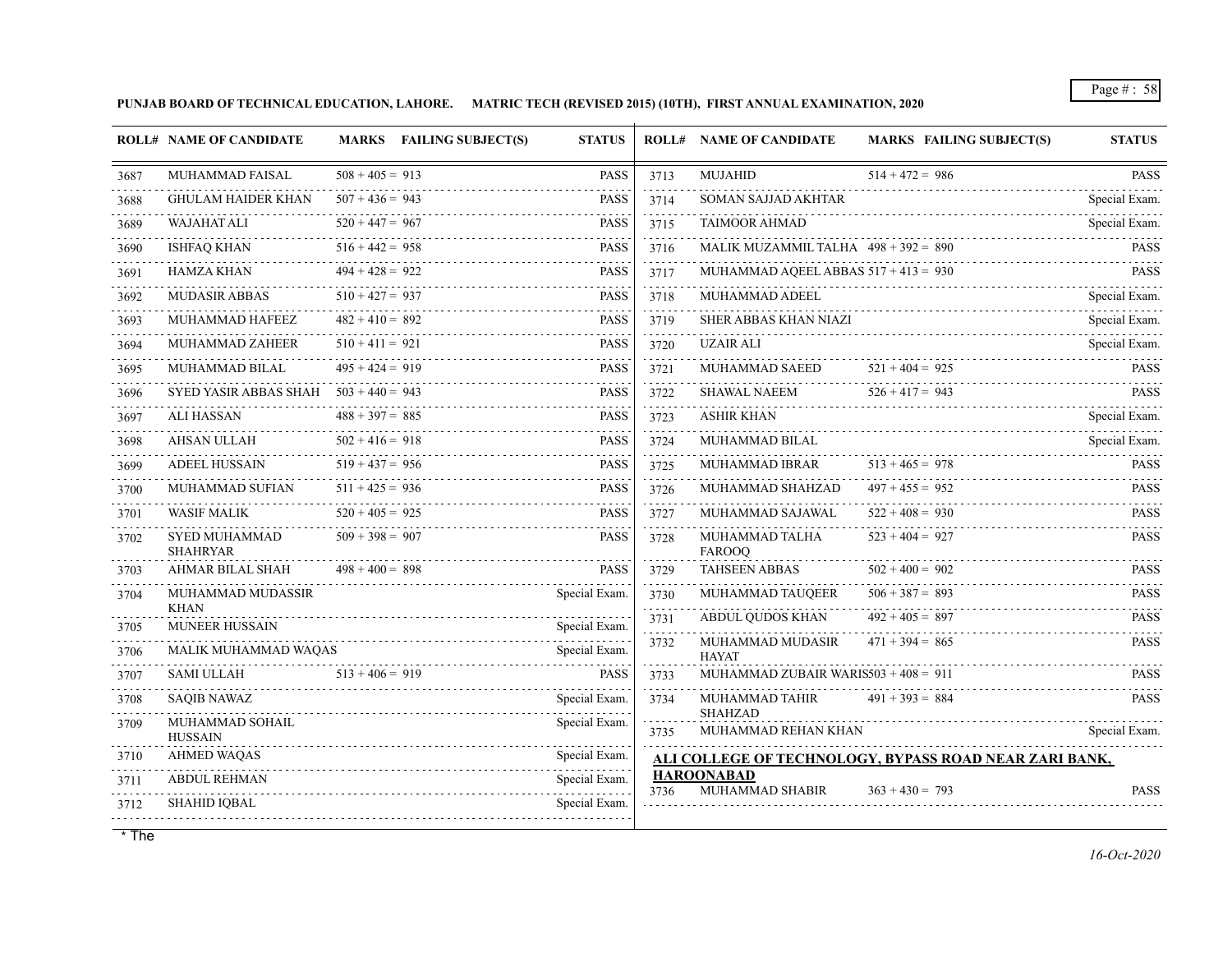**PUNJAB BOARD OF TECHNICAL EDUCATION, LAHORE. MATRIC TECH (REVISED 2015) (10TH), FIRST ANNUAL EXAMINATION, 2020**

| $508 + 405 = 913$<br><b>PASS</b><br><b>MUJAHID</b><br>$514 + 472 = 986$<br>MUHAMMAD FAISAL<br>3713<br>$507 + 436 = 943$<br><b>PASS</b><br>3714<br><b>GHULAM HAIDER KHAN</b><br>SOMAN SAJJAD AKHTAR<br>$520 + 447 = 967$<br><b>TAIMOOR AHMAD</b><br><b>WAJAHAT ALI</b><br><b>PASS</b><br>3715<br>$516 + 442 = 958$<br>MALIK MUZAMMIL TALHA $498 + 392 = 890$<br><b>ISHFAQ KHAN</b><br><b>PASS</b><br>3716<br>$494 + 428 = 922$<br>MUHAMMAD AQEEL ABBAS $517 + 413 = 930$<br>HAMZA KHAN<br><b>PASS</b><br>3717<br>$510 + 427 = 937$<br><b>MUDASIR ABBAS</b><br>MUHAMMAD ADEEL<br><b>PASS</b><br>3718<br>$482 + 410 = 892$<br>MUHAMMAD HAFEEZ<br><b>PASS</b><br><b>SHER ABBAS KHAN NIAZI</b><br>3719<br>$510 + 411 = 921$<br><b>UZAIR ALI</b><br>MUHAMMAD ZAHEER<br><b>PASS</b><br>3720<br>$495 + 424 = 919$<br>$521 + 404 = 925$<br>MUHAMMAD BILAL<br><b>PASS</b><br>MUHAMMAD SAEED<br>3721<br>$526 + 417 = 943$<br>SYED YASIR ABBAS SHAH $503 + 440 = 943$<br><b>SHAWAL NAEEM</b><br><b>PASS</b><br>3722<br>$488 + 397 = 885$<br><b>ALI HASSAN</b><br><b>PASS</b><br><b>ASHIR KHAN</b><br>3723<br>111111<br>$502 + 416 = 918$<br>AHSAN ULLAH<br><b>PASS</b><br>3724<br>MUHAMMAD BILAL<br>.<br>$519 + 437 = 956$<br>$513 + 465 = 978$<br><b>ADEEL HUSSAIN</b><br>MUHAMMAD IBRAR<br><b>PASS</b><br>3725<br>$511 + 425 = 936$<br>$497 + 455 = 952$<br><b>MUHAMMAD SUFIAN</b><br><b>PASS</b><br>MUHAMMAD SHAHZAD<br>3726<br>$520 + 405 = 925$<br><b>WASIF MALIK</b><br>$522 + 408 = 930$<br><b>PASS</b><br>MUHAMMAD SAJAWAL<br>3727<br>$523 + 404 = 927$<br>$509 + 398 = 907$<br><b>PASS</b><br><b>SYED MUHAMMAD</b><br>MUHAMMAD TALHA<br>3728<br><b>SHAHRYAR</b><br><b>FAROOQ</b><br>$498 + 400 = 898$<br><b>TAHSEEN ABBAS</b><br>$502 + 400 = 902$<br>AHMAR BILAL SHAH<br><b>PASS</b><br>3729<br>MUHAMMAD TAUQEER<br>$506 + 387 = 893$<br>Special Exam.<br>MUHAMMAD MUDASSIR<br>3730<br><b>KHAN</b><br>.<br>$492 + 405 = 897$<br>ABDUL QUDOS KHAN<br>3731<br><b>MUNEER HUSSAIN</b><br>Special Exam.<br>$471 + 394 = 865$<br>MUHAMMAD MUDASIR<br>3732<br>MALIK MUHAMMAD WAQAS<br>Special Exam.<br><b>HAYAT</b><br><b>SAMI ULLAH</b><br>$513 + 406 = 919$<br>MUHAMMAD ZUBAIR WARIS $503 + 408 = 911$<br><b>PASS</b><br>3733<br><b>SAQIB NAWAZ</b><br>Special Exam.<br>MUHAMMAD TAHIR<br>$491 + 393 = 884$<br>3734<br><b>SHAHZAD</b><br>Special Exam.<br>MUHAMMAD SOHAIL<br>MUHAMMAD REHAN KHAN<br>3735<br><b>HUSSAIN</b><br>Special Exam.<br>AHMED WAQAS<br>ALI COLLEGE OF TECHNOLOGY, BYPASS ROAD NEAR ZARI BANK,<br><b>HAROONABAD</b><br>Special Exam.<br><b>ABDUL REHMAN</b><br>MUHAMMAD SHABIR<br>$363 + 430 = 793$<br>3736<br>Special Exam.<br>SHAHID IQBAL |      | <b>ROLL# NAME OF CANDIDATE</b> | <b>MARKS</b> FAILING SUBJECT(S) | <b>STATUS</b> | <b>ROLL# NAME OF CANDIDATE</b> | <b>MARKS FAILING SUBJECT(S)</b> | <b>STATUS</b>      |
|-------------------------------------------------------------------------------------------------------------------------------------------------------------------------------------------------------------------------------------------------------------------------------------------------------------------------------------------------------------------------------------------------------------------------------------------------------------------------------------------------------------------------------------------------------------------------------------------------------------------------------------------------------------------------------------------------------------------------------------------------------------------------------------------------------------------------------------------------------------------------------------------------------------------------------------------------------------------------------------------------------------------------------------------------------------------------------------------------------------------------------------------------------------------------------------------------------------------------------------------------------------------------------------------------------------------------------------------------------------------------------------------------------------------------------------------------------------------------------------------------------------------------------------------------------------------------------------------------------------------------------------------------------------------------------------------------------------------------------------------------------------------------------------------------------------------------------------------------------------------------------------------------------------------------------------------------------------------------------------------------------------------------------------------------------------------------------------------------------------------------------------------------------------------------------------------------------------------------------------------------------------------------------------------------------------------------------------------------------------------------------------------------------------------------------------------------------------------------------------------------------------------------------------------------------------------------------------------------------------------------------------------------------------|------|--------------------------------|---------------------------------|---------------|--------------------------------|---------------------------------|--------------------|
|                                                                                                                                                                                                                                                                                                                                                                                                                                                                                                                                                                                                                                                                                                                                                                                                                                                                                                                                                                                                                                                                                                                                                                                                                                                                                                                                                                                                                                                                                                                                                                                                                                                                                                                                                                                                                                                                                                                                                                                                                                                                                                                                                                                                                                                                                                                                                                                                                                                                                                                                                                                                                                                             | 3687 |                                |                                 |               |                                |                                 | <b>PASS</b>        |
|                                                                                                                                                                                                                                                                                                                                                                                                                                                                                                                                                                                                                                                                                                                                                                                                                                                                                                                                                                                                                                                                                                                                                                                                                                                                                                                                                                                                                                                                                                                                                                                                                                                                                                                                                                                                                                                                                                                                                                                                                                                                                                                                                                                                                                                                                                                                                                                                                                                                                                                                                                                                                                                             | 3688 |                                |                                 |               |                                |                                 | .<br>Special Exam. |
|                                                                                                                                                                                                                                                                                                                                                                                                                                                                                                                                                                                                                                                                                                                                                                                                                                                                                                                                                                                                                                                                                                                                                                                                                                                                                                                                                                                                                                                                                                                                                                                                                                                                                                                                                                                                                                                                                                                                                                                                                                                                                                                                                                                                                                                                                                                                                                                                                                                                                                                                                                                                                                                             | 3689 |                                |                                 |               |                                |                                 | Special Exam.      |
|                                                                                                                                                                                                                                                                                                                                                                                                                                                                                                                                                                                                                                                                                                                                                                                                                                                                                                                                                                                                                                                                                                                                                                                                                                                                                                                                                                                                                                                                                                                                                                                                                                                                                                                                                                                                                                                                                                                                                                                                                                                                                                                                                                                                                                                                                                                                                                                                                                                                                                                                                                                                                                                             | 3690 |                                |                                 |               |                                |                                 | <b>PASS</b>        |
|                                                                                                                                                                                                                                                                                                                                                                                                                                                                                                                                                                                                                                                                                                                                                                                                                                                                                                                                                                                                                                                                                                                                                                                                                                                                                                                                                                                                                                                                                                                                                                                                                                                                                                                                                                                                                                                                                                                                                                                                                                                                                                                                                                                                                                                                                                                                                                                                                                                                                                                                                                                                                                                             | 3691 |                                |                                 |               |                                |                                 | <b>PASS</b>        |
|                                                                                                                                                                                                                                                                                                                                                                                                                                                                                                                                                                                                                                                                                                                                                                                                                                                                                                                                                                                                                                                                                                                                                                                                                                                                                                                                                                                                                                                                                                                                                                                                                                                                                                                                                                                                                                                                                                                                                                                                                                                                                                                                                                                                                                                                                                                                                                                                                                                                                                                                                                                                                                                             | 3692 |                                |                                 |               |                                |                                 | Special Exam.      |
|                                                                                                                                                                                                                                                                                                                                                                                                                                                                                                                                                                                                                                                                                                                                                                                                                                                                                                                                                                                                                                                                                                                                                                                                                                                                                                                                                                                                                                                                                                                                                                                                                                                                                                                                                                                                                                                                                                                                                                                                                                                                                                                                                                                                                                                                                                                                                                                                                                                                                                                                                                                                                                                             | 3693 |                                |                                 |               |                                |                                 | Special Exam.      |
|                                                                                                                                                                                                                                                                                                                                                                                                                                                                                                                                                                                                                                                                                                                                                                                                                                                                                                                                                                                                                                                                                                                                                                                                                                                                                                                                                                                                                                                                                                                                                                                                                                                                                                                                                                                                                                                                                                                                                                                                                                                                                                                                                                                                                                                                                                                                                                                                                                                                                                                                                                                                                                                             | 3694 |                                |                                 |               |                                |                                 | Special Exam.      |
|                                                                                                                                                                                                                                                                                                                                                                                                                                                                                                                                                                                                                                                                                                                                                                                                                                                                                                                                                                                                                                                                                                                                                                                                                                                                                                                                                                                                                                                                                                                                                                                                                                                                                                                                                                                                                                                                                                                                                                                                                                                                                                                                                                                                                                                                                                                                                                                                                                                                                                                                                                                                                                                             | 3695 |                                |                                 |               |                                |                                 | <b>PASS</b>        |
|                                                                                                                                                                                                                                                                                                                                                                                                                                                                                                                                                                                                                                                                                                                                                                                                                                                                                                                                                                                                                                                                                                                                                                                                                                                                                                                                                                                                                                                                                                                                                                                                                                                                                                                                                                                                                                                                                                                                                                                                                                                                                                                                                                                                                                                                                                                                                                                                                                                                                                                                                                                                                                                             | 3696 |                                |                                 |               |                                |                                 | <b>PASS</b>        |
|                                                                                                                                                                                                                                                                                                                                                                                                                                                                                                                                                                                                                                                                                                                                                                                                                                                                                                                                                                                                                                                                                                                                                                                                                                                                                                                                                                                                                                                                                                                                                                                                                                                                                                                                                                                                                                                                                                                                                                                                                                                                                                                                                                                                                                                                                                                                                                                                                                                                                                                                                                                                                                                             | 3697 |                                |                                 |               |                                |                                 | Special Exam.      |
|                                                                                                                                                                                                                                                                                                                                                                                                                                                                                                                                                                                                                                                                                                                                                                                                                                                                                                                                                                                                                                                                                                                                                                                                                                                                                                                                                                                                                                                                                                                                                                                                                                                                                                                                                                                                                                                                                                                                                                                                                                                                                                                                                                                                                                                                                                                                                                                                                                                                                                                                                                                                                                                             | 3698 |                                |                                 |               |                                |                                 | Special Exam.      |
|                                                                                                                                                                                                                                                                                                                                                                                                                                                                                                                                                                                                                                                                                                                                                                                                                                                                                                                                                                                                                                                                                                                                                                                                                                                                                                                                                                                                                                                                                                                                                                                                                                                                                                                                                                                                                                                                                                                                                                                                                                                                                                                                                                                                                                                                                                                                                                                                                                                                                                                                                                                                                                                             | 3699 |                                |                                 |               |                                |                                 | <b>PASS</b>        |
|                                                                                                                                                                                                                                                                                                                                                                                                                                                                                                                                                                                                                                                                                                                                                                                                                                                                                                                                                                                                                                                                                                                                                                                                                                                                                                                                                                                                                                                                                                                                                                                                                                                                                                                                                                                                                                                                                                                                                                                                                                                                                                                                                                                                                                                                                                                                                                                                                                                                                                                                                                                                                                                             | 3700 |                                |                                 |               |                                |                                 | <b>PASS</b>        |
|                                                                                                                                                                                                                                                                                                                                                                                                                                                                                                                                                                                                                                                                                                                                                                                                                                                                                                                                                                                                                                                                                                                                                                                                                                                                                                                                                                                                                                                                                                                                                                                                                                                                                                                                                                                                                                                                                                                                                                                                                                                                                                                                                                                                                                                                                                                                                                                                                                                                                                                                                                                                                                                             | 3701 |                                |                                 |               |                                |                                 | <b>PASS</b>        |
|                                                                                                                                                                                                                                                                                                                                                                                                                                                                                                                                                                                                                                                                                                                                                                                                                                                                                                                                                                                                                                                                                                                                                                                                                                                                                                                                                                                                                                                                                                                                                                                                                                                                                                                                                                                                                                                                                                                                                                                                                                                                                                                                                                                                                                                                                                                                                                                                                                                                                                                                                                                                                                                             | 3702 |                                |                                 |               |                                |                                 | <b>PASS</b>        |
|                                                                                                                                                                                                                                                                                                                                                                                                                                                                                                                                                                                                                                                                                                                                                                                                                                                                                                                                                                                                                                                                                                                                                                                                                                                                                                                                                                                                                                                                                                                                                                                                                                                                                                                                                                                                                                                                                                                                                                                                                                                                                                                                                                                                                                                                                                                                                                                                                                                                                                                                                                                                                                                             | 3703 |                                |                                 |               |                                |                                 | <b>PASS</b>        |
|                                                                                                                                                                                                                                                                                                                                                                                                                                                                                                                                                                                                                                                                                                                                                                                                                                                                                                                                                                                                                                                                                                                                                                                                                                                                                                                                                                                                                                                                                                                                                                                                                                                                                                                                                                                                                                                                                                                                                                                                                                                                                                                                                                                                                                                                                                                                                                                                                                                                                                                                                                                                                                                             | 3704 |                                |                                 |               |                                |                                 | <b>PASS</b>        |
|                                                                                                                                                                                                                                                                                                                                                                                                                                                                                                                                                                                                                                                                                                                                                                                                                                                                                                                                                                                                                                                                                                                                                                                                                                                                                                                                                                                                                                                                                                                                                                                                                                                                                                                                                                                                                                                                                                                                                                                                                                                                                                                                                                                                                                                                                                                                                                                                                                                                                                                                                                                                                                                             | 3705 |                                |                                 |               |                                |                                 | <b>PASS</b>        |
|                                                                                                                                                                                                                                                                                                                                                                                                                                                                                                                                                                                                                                                                                                                                                                                                                                                                                                                                                                                                                                                                                                                                                                                                                                                                                                                                                                                                                                                                                                                                                                                                                                                                                                                                                                                                                                                                                                                                                                                                                                                                                                                                                                                                                                                                                                                                                                                                                                                                                                                                                                                                                                                             | 3706 |                                |                                 |               |                                |                                 | <b>PASS</b>        |
|                                                                                                                                                                                                                                                                                                                                                                                                                                                                                                                                                                                                                                                                                                                                                                                                                                                                                                                                                                                                                                                                                                                                                                                                                                                                                                                                                                                                                                                                                                                                                                                                                                                                                                                                                                                                                                                                                                                                                                                                                                                                                                                                                                                                                                                                                                                                                                                                                                                                                                                                                                                                                                                             | 3707 |                                |                                 |               |                                |                                 | <b>PASS</b>        |
|                                                                                                                                                                                                                                                                                                                                                                                                                                                                                                                                                                                                                                                                                                                                                                                                                                                                                                                                                                                                                                                                                                                                                                                                                                                                                                                                                                                                                                                                                                                                                                                                                                                                                                                                                                                                                                                                                                                                                                                                                                                                                                                                                                                                                                                                                                                                                                                                                                                                                                                                                                                                                                                             | 3708 |                                |                                 |               |                                |                                 | <b>PASS</b>        |
|                                                                                                                                                                                                                                                                                                                                                                                                                                                                                                                                                                                                                                                                                                                                                                                                                                                                                                                                                                                                                                                                                                                                                                                                                                                                                                                                                                                                                                                                                                                                                                                                                                                                                                                                                                                                                                                                                                                                                                                                                                                                                                                                                                                                                                                                                                                                                                                                                                                                                                                                                                                                                                                             | 3709 |                                |                                 |               |                                |                                 | Special Exam.      |
|                                                                                                                                                                                                                                                                                                                                                                                                                                                                                                                                                                                                                                                                                                                                                                                                                                                                                                                                                                                                                                                                                                                                                                                                                                                                                                                                                                                                                                                                                                                                                                                                                                                                                                                                                                                                                                                                                                                                                                                                                                                                                                                                                                                                                                                                                                                                                                                                                                                                                                                                                                                                                                                             | 3710 |                                |                                 |               |                                |                                 |                    |
|                                                                                                                                                                                                                                                                                                                                                                                                                                                                                                                                                                                                                                                                                                                                                                                                                                                                                                                                                                                                                                                                                                                                                                                                                                                                                                                                                                                                                                                                                                                                                                                                                                                                                                                                                                                                                                                                                                                                                                                                                                                                                                                                                                                                                                                                                                                                                                                                                                                                                                                                                                                                                                                             | 3711 |                                |                                 |               |                                |                                 | <b>PASS</b>        |
|                                                                                                                                                                                                                                                                                                                                                                                                                                                                                                                                                                                                                                                                                                                                                                                                                                                                                                                                                                                                                                                                                                                                                                                                                                                                                                                                                                                                                                                                                                                                                                                                                                                                                                                                                                                                                                                                                                                                                                                                                                                                                                                                                                                                                                                                                                                                                                                                                                                                                                                                                                                                                                                             | 3712 |                                |                                 |               |                                |                                 |                    |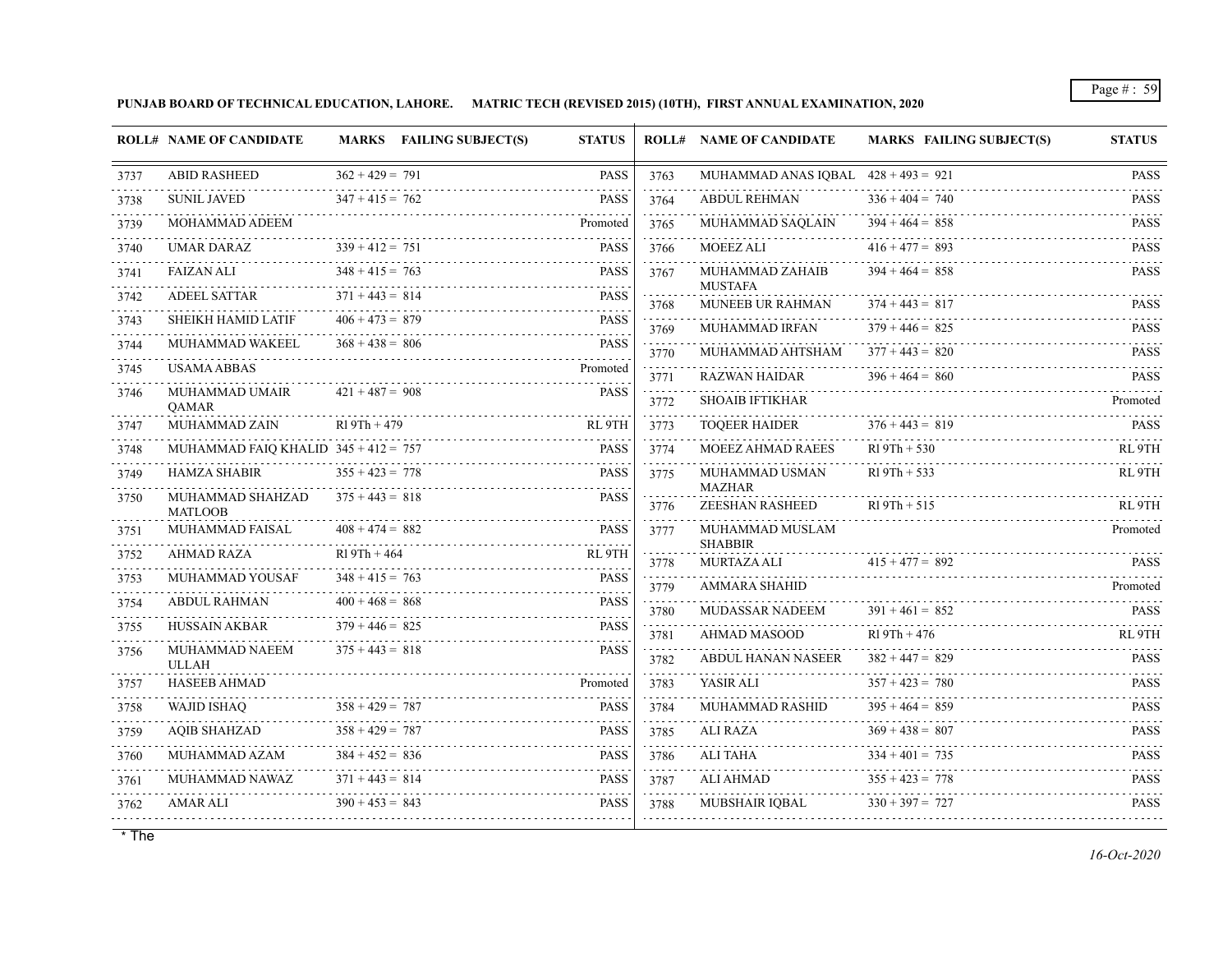**PUNJAB BOARD OF TECHNICAL EDUCATION, LAHORE. MATRIC TECH (REVISED 2015) (10TH), FIRST ANNUAL EXAMINATION, 2020**

|           | <b>ROLL# NAME OF CANDIDATE</b>         |                        | MARKS FAILING SUBJECT(S) | <b>STATUS</b>                      |                | <b>ROLL# NAME OF CANDIDATE</b>            | <b>MARKS FAILING SUBJECT(S)</b>     | <b>STATUS</b>                                                                     |
|-----------|----------------------------------------|------------------------|--------------------------|------------------------------------|----------------|-------------------------------------------|-------------------------------------|-----------------------------------------------------------------------------------|
| 3737      | <b>ABID RASHEED</b>                    | $362 + 429 = 791$      |                          | <b>PASS</b>                        | 3763<br>.      | MUHAMMAD ANAS IOBAL $428 + 493 = 921$     |                                     | <b>PASS</b>                                                                       |
| 3738      | <b>SUNIL JAVED</b>                     | $347 + 415 = 762$      |                          | <b>PASS</b>                        | 3764<br>111111 | <b>ABDUL REHMAN</b>                       | $336 + 404 = 740$<br>de de de decem | <b>PASS</b>                                                                       |
| 3739      | MOHAMMAD ADEEM                         |                        |                          | Promoted                           | 3765           | MUHAMMAD SAQLAIN                          | $394 + 464 = 858$                   | <b>PASS</b>                                                                       |
| 3740      | UMAR DARAZ                             | $339 + 412 = 751$      |                          | <b>PASS</b>                        | .<br>3766<br>. | <b>MOEEZ ALI</b>                          | $416 + 477 = 893$                   | <b>PASS</b><br>.                                                                  |
| 3741      | <b>FAIZAN ALI</b>                      | $348 + 415 = 763$<br>. |                          | <b>PASS</b>                        | 3767           | MUHAMMAD ZAHAIB                           | $394 + 464 = 858$                   | <b>PASS</b>                                                                       |
| 3742      | <b>ADEEL SATTAR</b>                    | $371 + 443 = 814$      |                          | <b>PASS</b>                        | 3768           | <b>MUSTAFA</b><br>MUNEEB UR RAHMAN        | $374 + 443 = 817$                   | .<br><b>PASS</b>                                                                  |
| 3743      | SHEIKH HAMID LATIF                     | $406 + 473 = 879$      |                          | <b>PASS</b><br>.                   | .<br>3769      | MUHAMMAD IRFAN                            | $379 + 446 = 825$                   | .<br><b>PASS</b>                                                                  |
| 3744      | MUHAMMAD WAKEEL                        | $368 + 438 = 806$      |                          | <b>PASS</b>                        | .<br>3770      | MUHAMMAD AHTSHAM                          | $377 + 443 = 820$                   | <b>PASS</b>                                                                       |
| 3745      | USAMA ABBAS                            |                        |                          | Promoted                           | 3771           | <b>RAZWAN HAIDAR</b>                      | $396 + 464 = 860$                   | <b>PASS</b>                                                                       |
| 3746      | MUHAMMAD UMAIR<br>QAMAR                | $421 + 487 = 908$      |                          | <b>PASS</b>                        | .<br>3772      | <b>SHOAIB IFTIKHAR</b>                    |                                     | Promoted                                                                          |
| 3747      | MUHAMMAD ZAIN                          | $R19Th + 479$          |                          | RL <sub>9TH</sub>                  | .<br>3773      | <b>TOQEER HAIDER</b>                      | $376 + 443 = 819$                   | <b>PASS</b>                                                                       |
| 3748      | MUHAMMAD FAIO KHALID $345 + 412 = 757$ |                        |                          | <b>PASS</b>                        | .<br>3774      | <b>MOEEZ AHMAD RAEES</b>                  | $R19Th + 530$                       | RL <sub>9</sub> TH                                                                |
| 3749      | <b>HAMZA SHABIR</b>                    | $355 + 423 = 778$      |                          | <b>PASS</b>                        | .<br>3775      | MUHAMMAD USMAN                            | $R19Th + 533$                       | RL <sub>9TH</sub>                                                                 |
| 3750      | MUHAMMAD SHAHZAD                       | $375 + 443 = 818$      |                          | PASS                               | 3776           | <b>MAZHAR</b><br><b>ZEESHAN RASHEED</b>   | $R19Th + 515$                       | RL 9TH                                                                            |
| 3751      | <b>MATLOOB</b><br>MUHAMMAD FAISAL      | $408 + 474 = 882$      |                          | <b>PASS</b>                        | 3777           | MUHAMMAD MUSLAM                           |                                     | Promoted                                                                          |
| 3752      | <b>AHMAD RAZA</b>                      | $R19Th + 464$          |                          | a a a a a al<br>RL <sub>9</sub> TH |                | <b>SHABBIR</b>                            |                                     |                                                                                   |
| 3753      | <b>MUHAMMAD YOUSAF</b>                 | .<br>$348 + 415 = 763$ |                          | <b>PASS</b>                        | 3778<br>.      | <b>MURTAZA ALI</b>                        | $415 + 477 = 892$                   | <b>PASS</b>                                                                       |
| 3754      | <b>ABDUL RAHMAN</b>                    | $400 + 468 = 868$      |                          | <b>PASS</b>                        | 3779<br>.      | <b>AMMARA SHAHID</b>                      |                                     | Promoted<br>.                                                                     |
| 3755      | <b>HUSSAIN AKBAR</b>                   | $379 + 446 = 825$      |                          | <b>PASS</b>                        | 3780<br>.      | MUDASSAR NADEEM                           | $391 + 461 = 852$<br>$R19Th + 476$  | <b>PASS</b><br>RL <sub>9</sub> TH                                                 |
| 3756      | MUHAMMAD NAEEM<br><b>ULLAH</b>         | $375 + 443 = 818$      |                          | <b>PASS</b>                        | 3781<br>3782   | AHMAD MASOOD<br><b>ABDUL HANAN NASEER</b> | $382 + 447 = 829$                   | <b>PASS</b>                                                                       |
| 3757      | <b>HASEEB AHMAD</b>                    |                        |                          | Promoted                           | .<br>3783      | YASIR ALI                                 | $357 + 423 = 780$                   | <b>PASS</b>                                                                       |
| .<br>3758 | WAJID ISHAQ                            | $358 + 429 = 787$      |                          | <b>PASS</b>                        | .<br>3784      | MUHAMMAD RASHID                           | $395 + 464 = 859$                   | <b>PASS</b>                                                                       |
| 3759      | <b>AOIB SHAHZAD</b>                    | $358 + 429 = 787$      |                          | <b>PASS</b>                        | .<br>3785      | <b>ALI RAZA</b>                           | $369 + 438 = 807$                   | .<br><b>PASS</b>                                                                  |
| 3760      | MUHAMMAD AZAM                          | $384 + 452 = 836$      |                          | <b>PASS</b>                        | .<br>3786      | ALI TAHA                                  | $334 + 401 = 735$                   | $\mathbb{Z} \times \mathbb{Z} \times \mathbb{Z} \times \mathbb{Z}$<br><b>PASS</b> |
| 3761      | MUHAMMAD NAWAZ                         | $371 + 443 = 814$      |                          | <b>PASS</b>                        | .<br>3787      | ALI AHMAD                                 | $355 + 423 = 778$                   | .<br><b>PASS</b>                                                                  |
| 3762      | <b>AMAR ALI</b>                        | $390 + 453 = 843$      |                          | لتتبت<br><b>PASS</b>               | .<br>3788      | <b>MUBSHAIR IOBAL</b>                     | $330 + 397 = 727$                   | <b>PASS</b>                                                                       |
|           |                                        |                        |                          |                                    |                |                                           |                                     |                                                                                   |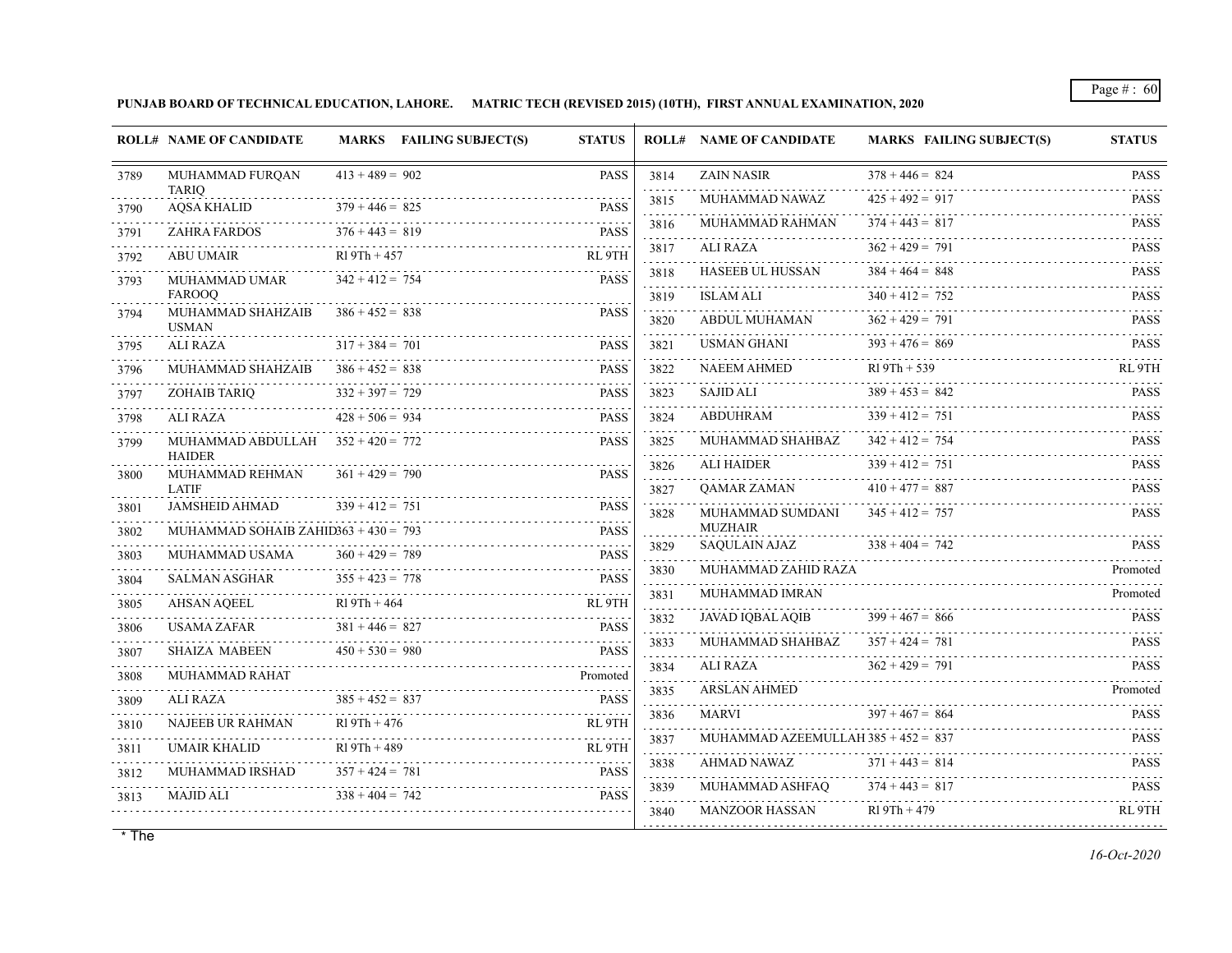**PUNJAB BOARD OF TECHNICAL EDUCATION, LAHORE. MATRIC TECH (REVISED 2015) (10TH), FIRST ANNUAL EXAMINATION, 2020**

|           | <b>ROLL# NAME OF CANDIDATE</b>          |                   | MARKS FAILING SUBJECT(S) | <b>STATUS</b>              |                | <b>ROLL# NAME OF CANDIDATE</b>        | <b>MARKS FAILING SUBJECT(S)</b> | <b>STATUS</b> |
|-----------|-----------------------------------------|-------------------|--------------------------|----------------------------|----------------|---------------------------------------|---------------------------------|---------------|
| 3789      | MUHAMMAD FURQAN<br><b>TARIQ</b>         | $413 + 489 = 902$ |                          | <b>PASS</b>                | 3814<br>.      | <b>ZAIN NASIR</b>                     | $378 + 446 = 824$               | <b>PASS</b>   |
| 3790      | <b>AOSA KHALID</b>                      | $379 + 446 = 825$ |                          | <b>PASS</b>                | 3815           | MUHAMMAD NAWAZ                        | $425 + 492 = 917$               | <b>PASS</b>   |
| 3791      | <b>ZAHRA FARDOS</b>                     | $376 + 443 = 819$ |                          | <b>PASS</b>                | 3816<br>.      | MUHAMMAD RAHMAN                       | $374 + 443 = 817$               | <b>PASS</b>   |
| 3792      | <b>ABU UMAIR</b>                        | $R19Th + 457$     |                          | RL 9TH                     | 3817<br>.      | ALI RAZA                              | $362 + 429 = 791$               | <b>PASS</b>   |
| 3793      | MUHAMMAD UMAR                           | $342 + 412 = 754$ |                          | <b>PASS</b>                | 3818<br>.      | <b>HASEEB UL HUSSAN</b>               | $384 + 464 = 848$               | <b>PASS</b>   |
|           | <b>FAROOO</b>                           |                   |                          | $- - - - - -$              | 3819           | <b>ISLAM ALI</b>                      | $340 + 412 = 752$               | <b>PASS</b>   |
| 3794      | MUHAMMAD SHAHZAIB<br><b>USMAN</b>       | $386 + 452 = 838$ |                          | <b>PASS</b>                | .<br>3820<br>. | ABDUL MUHAMAN                         | $362 + 429 = 791$               | <b>PASS</b>   |
| 3795      | ALI RAZA                                | $317 + 384 = 701$ |                          | .<br><b>PASS</b>           | 3821<br>.      | USMAN GHANI                           | $393 + 476 = 869$               | <b>PASS</b>   |
| 3796      | MUHAMMAD SHAHZAIB                       | $386 + 452 = 838$ |                          | .<br><b>PASS</b>           | 3822           | NAEEM AHMED                           | R1 9Th + 539                    | RL 9TH        |
| 3797      | ZOHAIB TARIQ                            | $332 + 397 = 729$ |                          | <b>PASS</b>                | .<br>3823<br>. | <b>SAJID ALI</b>                      | $389 + 453 = 842$               | <b>PASS</b>   |
| 3798      | .<br>ALI RAZA                           | $428 + 506 = 934$ |                          | <b>PASS</b>                | 3824           | ABDUHRAM                              | $339 + 412 = 751$               | <b>PASS</b>   |
| 3799      | MUHAMMAD ABDULLAH $352 + 420 = 772$     |                   |                          | <b>PASS</b>                | .<br>3825<br>. | MUHAMMAD SHAHBAZ                      | $342 + 412 = 754$               | <b>PASS</b>   |
| 3800      | <b>HAIDER</b><br>MUHAMMAD REHMAN        | $361 + 429 = 790$ |                          | <b>PASS</b>                | 3826<br>.      | ALI HAIDER                            | $339 + 412 = 751$               | <b>PASS</b>   |
|           | <b>LATIF</b>                            |                   |                          |                            | 3827           | <b>OAMAR ZAMAN</b>                    | $410 + 477 = 887$               | <b>PASS</b>   |
| 3801      | JAMSHEID AHMAD                          | $339 + 412 = 751$ |                          | <b>PASS</b><br>.           | 3828           | MUHAMMAD SUMDANI                      | $345 + 412 = 757$               | <b>PASS</b>   |
| 3802      | MUHAMMAD SOHAIB ZAHID $363 + 430 = 793$ |                   |                          | <b>PASS</b>                | 3829           | <b>MUZHAIR</b><br>SAQULAIN AJAZ       | $338 + 404 = 742$               | <b>PASS</b>   |
| 3803      | MUHAMMAD USAMA                          | $360 + 429 = 789$ |                          | <b>PASS</b><br>2.2.2.2.2.2 | .<br>3830      | MUHAMMAD ZAHID RAZA                   |                                 | Promoted      |
| 3804<br>. | SALMAN ASGHAR                           | $355 + 423 = 778$ |                          | <b>PASS</b>                | .              | MUHAMMAD IMRAN                        |                                 | Promoted      |
| 3805      | AHSAN AQEEL                             | $R19Th + 464$     |                          | RL 9TH                     | 3831<br>.      |                                       |                                 |               |
| 3806      | USAMA ZAFAR                             | $381 + 446 = 827$ |                          | <b>PASS</b>                | 3832<br>.      | <b>JAVAD IOBAL AOIB</b>               | $399 + 467 = 866$               | <b>PASS</b>   |
| 3807      | <b>SHAIZA MABEEN</b>                    | $450 + 530 = 980$ |                          | <b>PASS</b>                | 3833<br>.      | MUHAMMAD SHAHBAZ                      | $357 + 424 = 781$               | <b>PASS</b>   |
| 3808      | <b>MUHAMMAD RAHAT</b>                   |                   |                          | Promoted                   | 3834<br>.      | ALI RAZA                              | $362 + 429 = 791$               | <b>PASS</b>   |
| 3809      | ALI RAZA                                | $385 + 452 = 837$ |                          | <b>PASS</b>                | 3835<br>.      | <b>ARSLAN AHMED</b>                   |                                 | Promoted      |
| 3810      | <b>NAJEEB UR RAHMAN</b>                 | $R19Th + 476$     |                          | RL <sub>9</sub> TH         | 3836<br>.      | <b>MARVI</b>                          | $397 + 467 = 864$               | <b>PASS</b>   |
| 3811      | .<br>UMAIR KHALID                       | $R19Th + 489$     |                          | RL <sub>9TH</sub>          | 3837<br>.      | MUHAMMAD AZEEMULLAH $385 + 452 = 837$ |                                 | <b>PASS</b>   |
| 3812      | MUHAMMAD IRSHAD                         | $357 + 424 = 781$ |                          | <b>PASS</b>                | 3838<br>.      | AHMAD NAWAZ                           | $371 + 443 = 814$               | <b>PASS</b>   |
| 3813      | <b>MAJID ALI</b>                        | $338 + 404 = 742$ |                          | .<br><b>PASS</b>           | 3839<br>.      | MUHAMMAD ASHFAO                       | $374 + 443 = 817$               | <b>PASS</b>   |
|           |                                         |                   |                          |                            | 3840           | MANZOOR HASSAN                        | $R19Th + 479$                   | RL 9TH        |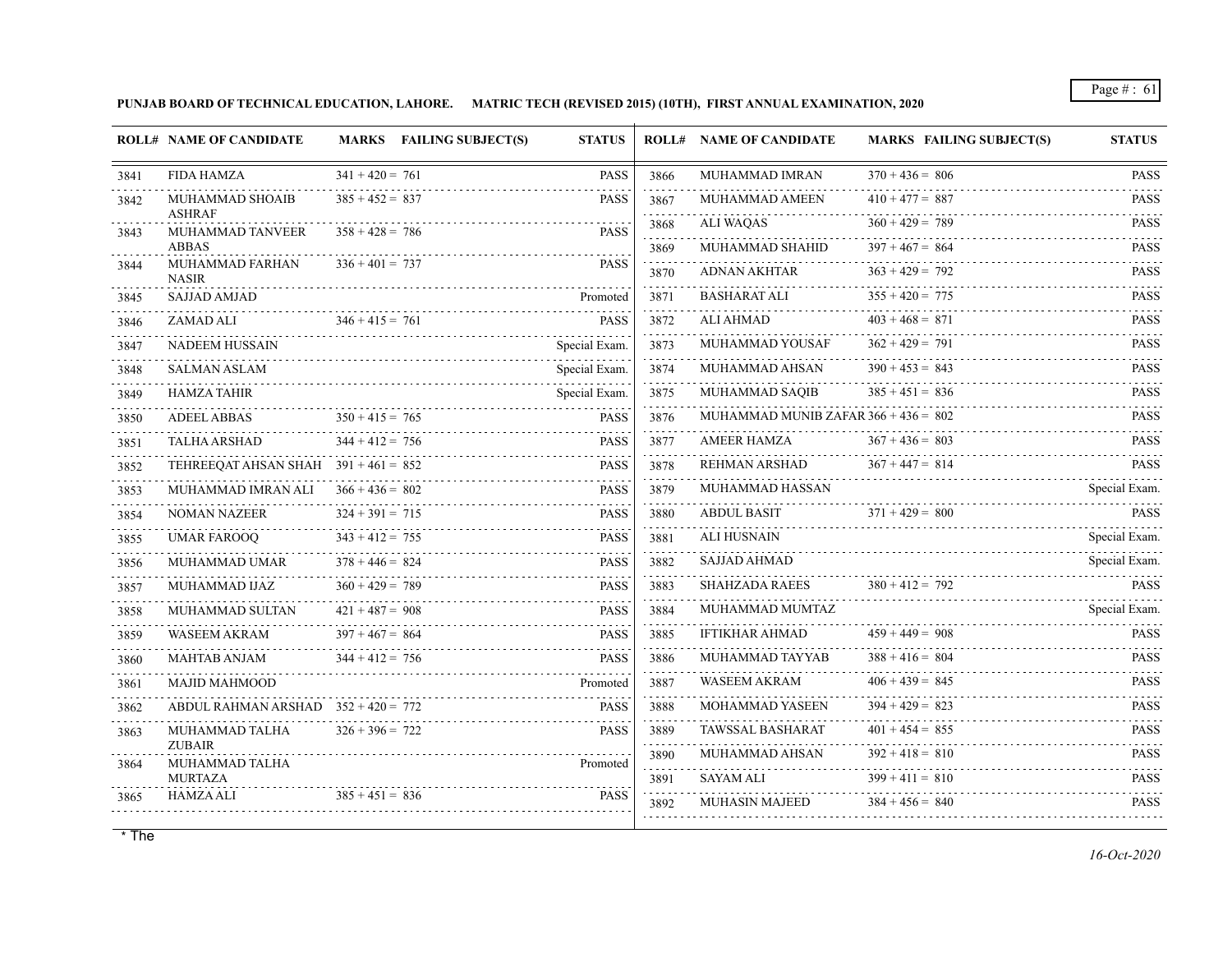**PUNJAB BOARD OF TECHNICAL EDUCATION, LAHORE. MATRIC TECH (REVISED 2015) (10TH), FIRST ANNUAL EXAMINATION, 2020**

|      | <b>ROLL# NAME OF CANDIDATE</b>         | MARKS FAILING SUBJECT(S) | <b>STATUS</b> |                     | <b>ROLL# NAME OF CANDIDATE</b>         | <b>MARKS FAILING SUBJECT(S)</b> | <b>STATUS</b>               |
|------|----------------------------------------|--------------------------|---------------|---------------------|----------------------------------------|---------------------------------|-----------------------------|
| 3841 | <b>FIDA HAMZA</b>                      | $341 + 420 = 761$        | <b>PASS</b>   | 3866                | MUHAMMAD IMRAN                         | $370 + 436 = 806$               | <b>PASS</b>                 |
| 3842 | MUHAMMAD SHOAIB                        | $385 + 452 = 837$        | <b>PASS</b>   | 3867<br>.           | MUHAMMAD AMEEN                         | $410 + 477 = 887$               | <b>PASS</b>                 |
| 3843 | <b>ASHRAF</b><br>MUHAMMAD TANVEER      | $358 + 428 = 786$        | <b>PASS</b>   | 3868<br>.           | <b>ALI WAQAS</b>                       | $360 + 429 = 789$               | <b>PASS</b>                 |
|      | <b>ABBAS</b>                           |                          |               | 3869                | MUHAMMAD SHAHID                        | $397 + 467 = 864$               | <b>PASS</b>                 |
| 3844 | MUHAMMAD FARHAN<br><b>NASIR</b>        | $336 + 401 = 737$        | <b>PASS</b>   | 3870                | <b>ADNAN AKHTAR</b>                    | $363 + 429 = 792$               | <b>PASS</b>                 |
| 3845 | <b>SAJJAD AMJAD</b>                    |                          | Promoted      | 3871<br>.           | <b>BASHARAT ALI</b>                    | $355 + 420 = 775$               | <b>PASS</b>                 |
| 3846 | ZAMAD ALI                              | $346 + 415 = 761$        | <b>PASS</b>   | 3872<br>.           | <b>ALI AHMAD</b>                       | $403 + 468 = 871$               | <b>PASS</b>                 |
| 3847 | NADEEM HUSSAIN                         |                          | Special Exam. | 3873                | MUHAMMAD YOUSAF                        | $362 + 429 = 791$               | <b>PASS</b>                 |
| 3848 | <b>SALMAN ASLAM</b>                    |                          | Special Exam. | 3874                | MUHAMMAD AHSAN                         | $390 + 453 = 843$               | <b>PASS</b>                 |
| 3849 | <b>HAMZA TAHIR</b>                     |                          | Special Exam. | 3875                | MUHAMMAD SAQIB                         | $385 + 451 = 836$               | <b>PASS</b><br>.            |
| 3850 | <b>ADEEL ABBAS</b>                     | $350 + 415 = 765$        | <b>PASS</b>   | 3876                | MUHAMMAD MUNIB ZAFAR $366 + 436 = 802$ |                                 | <b>PASS</b>                 |
| 3851 | <b>TALHA ARSHAD</b>                    | $344 + 412 = 756$        | <b>PASS</b>   | 3877                | AMEER HAMZA                            | $367 + 436 = 803$               | <b>PASS</b>                 |
| 3852 | TEHREEQAT AHSAN SHAH $391 + 461 = 852$ |                          | <b>PASS</b>   | 3878<br>.           | REHMAN ARSHAD                          | $367 + 447 = 814$               | <b>PASS</b>                 |
| 3853 | MUHAMMAD IMRAN ALI                     | $366 + 436 = 802$        | <b>PASS</b>   | 3879<br>dia a a a a | MUHAMMAD HASSAN                        |                                 | Special Exam.               |
| 3854 | <b>NOMAN NAZEER</b>                    | $324 + 391 = 715$        | <b>PASS</b>   | 3880<br>111111      | <b>ABDUL BASIT</b>                     | $371 + 429 = 800$               | <b>PASS</b><br>.            |
| 3855 | <b>UMAR FAROOQ</b>                     | $343 + 412 = 755$        | <b>PASS</b>   | 3881                | ALI HUSNAIN                            |                                 | Special Exam.               |
| 3856 | MUHAMMAD UMAR                          | $378 + 446 = 824$        | <b>PASS</b>   | 3882                | <b>SAJJAD AHMAD</b>                    |                                 | Special Exam.               |
| 3857 | MUHAMMAD IJAZ                          | $360 + 429 = 789$        | <b>PASS</b>   | 3883                | <b>SHAHZADA RAEES</b>                  | $380 + 412 = 792$               | <b>PASS</b>                 |
| 3858 | MUHAMMAD SULTAN                        | $421 + 487 = 908$        | <b>PASS</b>   | 3884                | MUHAMMAD MUMTAZ                        |                                 | Special Exam.               |
| 3859 | <b>WASEEM AKRAM</b>                    | $397 + 467 = 864$        | <b>PASS</b>   | 3885                | <b>IFTIKHAR AHMAD</b>                  | $459 + 449 = 908$               | <b>PASS</b>                 |
| 3860 | <b>MAHTAB ANJAM</b>                    | $344 + 412 = 756$        | <b>PASS</b>   | 3886                | MUHAMMAD TAYYAB                        | $388 + 416 = 804$               | <b>PASS</b>                 |
| 3861 | <b>MAJID MAHMOOD</b>                   |                          | Promoted      | 3887<br>1.1.1.1.1   | <b>WASEEM AKRAM</b>                    | $406 + 439 = 845$               | <b>PASS</b>                 |
| 3862 | ABDUL RAHMAN ARSHAD $352 + 420 = 772$  |                          | <b>PASS</b>   | 3888                | <b>MOHAMMAD YASEEN</b>                 | $394 + 429 = 823$               | <b>PASS</b><br>dia a a a a  |
| 3863 | MUHAMMAD TALHA                         | $326 + 396 = 722$        | <b>PASS</b>   | 3889                | TAWSSAL BASHARAT                       | $401 + 454 = 855$               | PASS<br>.                   |
| 3864 | <b>ZUBAIR</b><br>MUHAMMAD TALHA        |                          | Promoted      | 3890<br>.           | MUHAMMAD AHSAN                         | $392 + 418 = 810$               | <b>PASS</b><br>.            |
|      | <b>MURTAZA</b>                         |                          |               | 3891                | SAYAM ALI                              | $399 + 411 = 810$               | <b>PASS</b><br>$\mathbf{1}$ |
| 3865 | <b>HAMZA ALI</b>                       | $385 + 451 = 836$        | <b>PASS</b>   | 3892                | <b>MUHASIN MAJEED</b>                  | $384 + 456 = 840$               | <b>PASS</b>                 |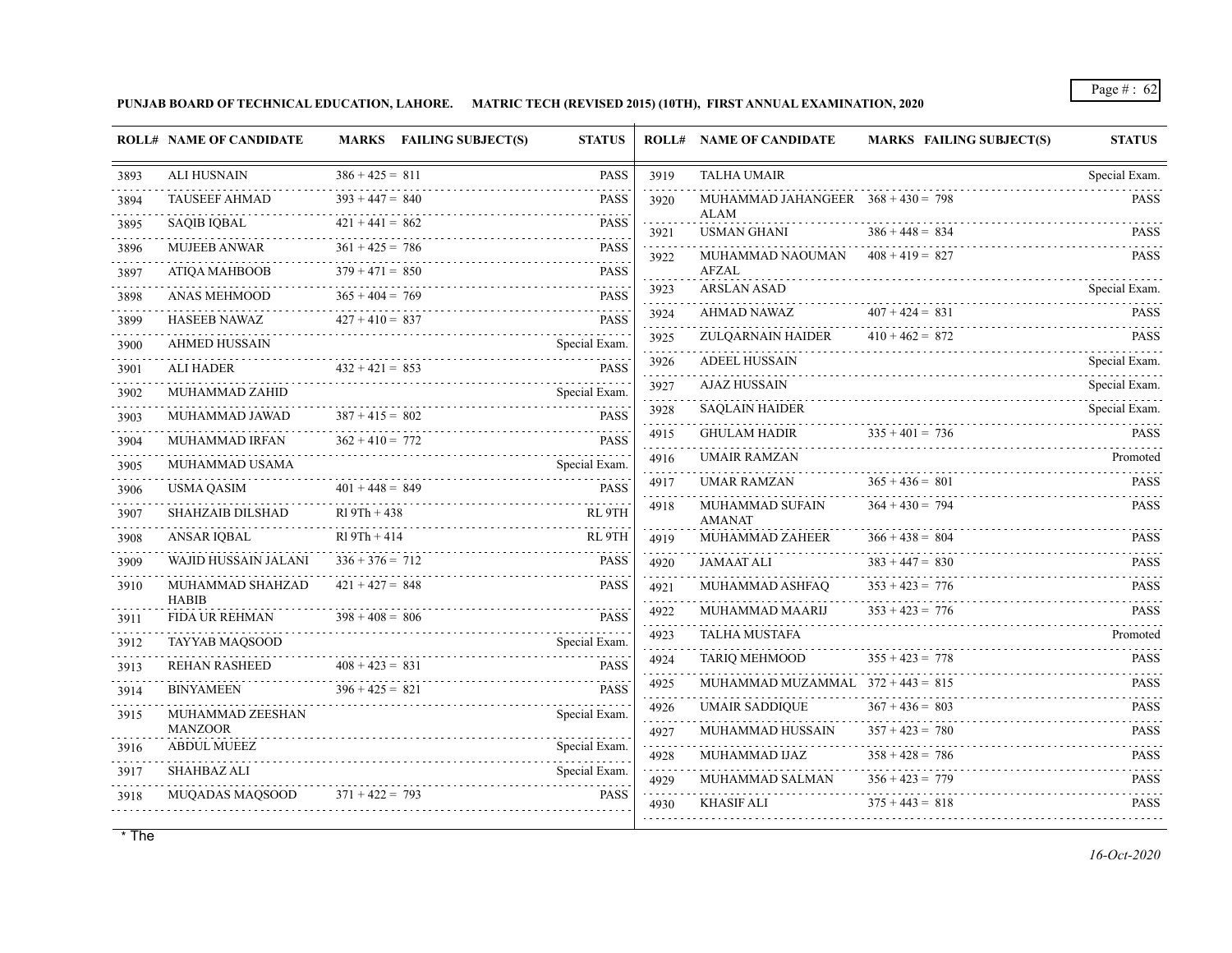**PUNJAB BOARD OF TECHNICAL EDUCATION, LAHORE. MATRIC TECH (REVISED 2015) (10TH), FIRST ANNUAL EXAMINATION, 2020**

|                    | <b>ROLL# NAME OF CANDIDATE</b>       | MARKS FAILING SUBJECT(S) | <b>STATUS</b>    |                    | <b>ROLL# NAME OF CANDIDATE</b>               | <b>MARKS FAILING SUBJECT(S)</b>        | <b>STATUS</b>                  |
|--------------------|--------------------------------------|--------------------------|------------------|--------------------|----------------------------------------------|----------------------------------------|--------------------------------|
| 3893               | <b>ALI HUSNAIN</b>                   | $386 + 425 = 811$        | <b>PASS</b>      | 3919               | <b>TALHA UMAIR</b>                           |                                        | Special Exam.                  |
| 3894               | <b>TAUSEEF AHMAD</b>                 | .<br>$393 + 447 = 840$   | <b>PASS</b>      | 3920               | MUHAMMAD JAHANGEER $368 + 430 = 798$         |                                        | <b>PASS</b>                    |
| 3895               | <b>SAQIB IQBAL</b>                   | $421 + 441 = 862$        | <b>PASS</b><br>. | 3921               | <b>ALAM</b><br><b>USMAN GHANI</b>            | $386 + 448 = 834$                      | <b>PASS</b>                    |
| 3896               | <b>MUJEEB ANWAR</b>                  | $361 + 425 = 786$        | <b>PASS</b><br>. | .<br>3922          | MUHAMMAD NAOUMAN                             | $408 + 419 = 827$                      | <b>PASS</b>                    |
| 3897               | ATIQA MAHBOOB                        | $379 + 471 = 850$        | <b>PASS</b>      | .                  | <b>AFZAL</b>                                 |                                        |                                |
| 3898               | <b>ANAS MEHMOOD</b>                  | $365 + 404 = 769$        | <b>PASS</b>      | 3923<br>.          | <b>ARSLAN ASAD</b>                           |                                        | Special Exam.                  |
| 3899               | <b>HASEEB NAWAZ</b>                  | $427 + 410 = 837$        | <b>PASS</b>      | 3924               | AHMAD NAWAZ                                  | $407 + 424 = 831$<br>$410 + 462 = 872$ | <b>PASS</b>                    |
| 3900<br>2.2.2.2.2. | AHMED HUSSAIN                        |                          | Special Exam.    | 3925               | ZULQARNAIN HAIDER                            |                                        | <b>PASS</b>                    |
| 3901               | <b>ALI HADER</b>                     | $432 + 421 = 853$        | <b>PASS</b>      | 3926               | <b>ADEEL HUSSAIN</b>                         |                                        | Special Exam.                  |
| 3902               | MUHAMMAD ZAHID                       |                          | Special Exam.    | 3927               | <b>AJAZ HUSSAIN</b>                          |                                        | Special Exam.<br>Special Exam. |
| 3903               | MUHAMMAD JAWAD                       | $387 + 415 = 802$        | <b>PASS</b>      | 3928               | <b>SAQLAIN HAIDER</b><br><b>GHULAM HADIR</b> | $335 + 401 = 736$                      |                                |
| 3904               | MUHAMMAD IRFAN                       | $362 + 410 = 772$        | <b>PASS</b><br>. | 4915<br>.          | <b>UMAIR RAMZAN</b>                          |                                        | <b>PASS</b>                    |
| 3905               | MUHAMMAD USAMA                       |                          | Special Exam.    | 4916               |                                              |                                        | Promoted                       |
| 3906               | <b>USMA QASIM</b>                    | $401 + 448 = 849$        | <b>PASS</b><br>. | 4917               | UMAR RAMZAN<br><b>MUHAMMAD SUFAIN</b>        | $365 + 436 = 801$<br>$364 + 430 = 794$ | <b>PASS</b><br><b>PASS</b>     |
| 3907               | <b>SHAHZAIB DILSHAD</b>              | $R19Th + 438$            | RL 9TH           | 4918               | <b>AMANAT</b>                                |                                        |                                |
| 3908               | ANSAR IQBAL                          | $R19Th + 414$            | RL 9TH           | 4919               | MUHAMMAD ZAHEER                              | $366 + 438 = 804$                      | <b>PASS</b>                    |
| 3909               | WAJID HUSSAIN JALANI                 | $336 + 376 = 712$        | <b>PASS</b>      | 4920               | <b>JAMAAT ALI</b>                            | $383 + 447 = 830$                      | <b>PASS</b>                    |
| 3910               | MUHAMMAD SHAHZAD<br><b>HABIB</b>     | $421 + 427 = 848$        | <b>PASS</b>      | 4921               | MUHAMMAD ASHFAQ                              | $353 + 423 = 776$                      | <b>PASS</b>                    |
| 3911               | FIDA UR REHMAN                       | $398 + 408 = 806$        | <b>PASS</b>      | 4922               | MUHAMMAD MAARIJ                              | $353 + 423 = 776$                      | <b>PASS</b>                    |
| 3912               | TAYYAB MAQSOOD                       |                          | Special Exam.    | 4923               | <b>TALHA MUSTAFA</b>                         |                                        | Promoted                       |
| 3913               | <b>REHAN RASHEED</b>                 | $408 + 423 = 831$        | <b>PASS</b>      | 4924               | <b>TARIQ MEHMOOD</b>                         | $355 + 423 = 778$                      | <b>PASS</b>                    |
| 3914               | <b>BINYAMEEN</b>                     | $396 + 425 = 821$        | .<br>PASS        | 4925<br>.          | MUHAMMAD MUZAMMAL $372 + 443 = 815$          |                                        | <b>PASS</b>                    |
| 3915               | MUHAMMAD ZEESHAN                     |                          | Special Exam.    | 4926<br>is sis sis | <b>UMAIR SADDIQUE</b>                        | $367 + 436 = 803$                      | <b>PASS</b>                    |
| 3916               | <b>MANZOOR</b><br><b>ABDUL MUEEZ</b> |                          | Special Exam.    | 4927               | MUHAMMAD HUSSAIN                             | $357 + 423 = 780$                      | <b>PASS</b>                    |
| 3917               | <b>SHAHBAZ ALI</b>                   |                          | Special Exam.    | 4928               | MUHAMMAD IJAZ                                | $358 + 428 = 786$                      | <b>PASS</b>                    |
| 3918               | MUQADAS MAQSOOD                      | $371 + 422 = 793$        | <b>PASS</b>      | 4929               | MUHAMMAD SALMAN                              | $356 + 423 = 779$                      | <b>PASS</b><br>$\mathbf{1}$    |
|                    |                                      |                          |                  | 4930               | <b>KHASIF ALI</b>                            | $375 + 443 = 818$                      | <b>PASS</b>                    |
|                    |                                      |                          |                  |                    |                                              |                                        |                                |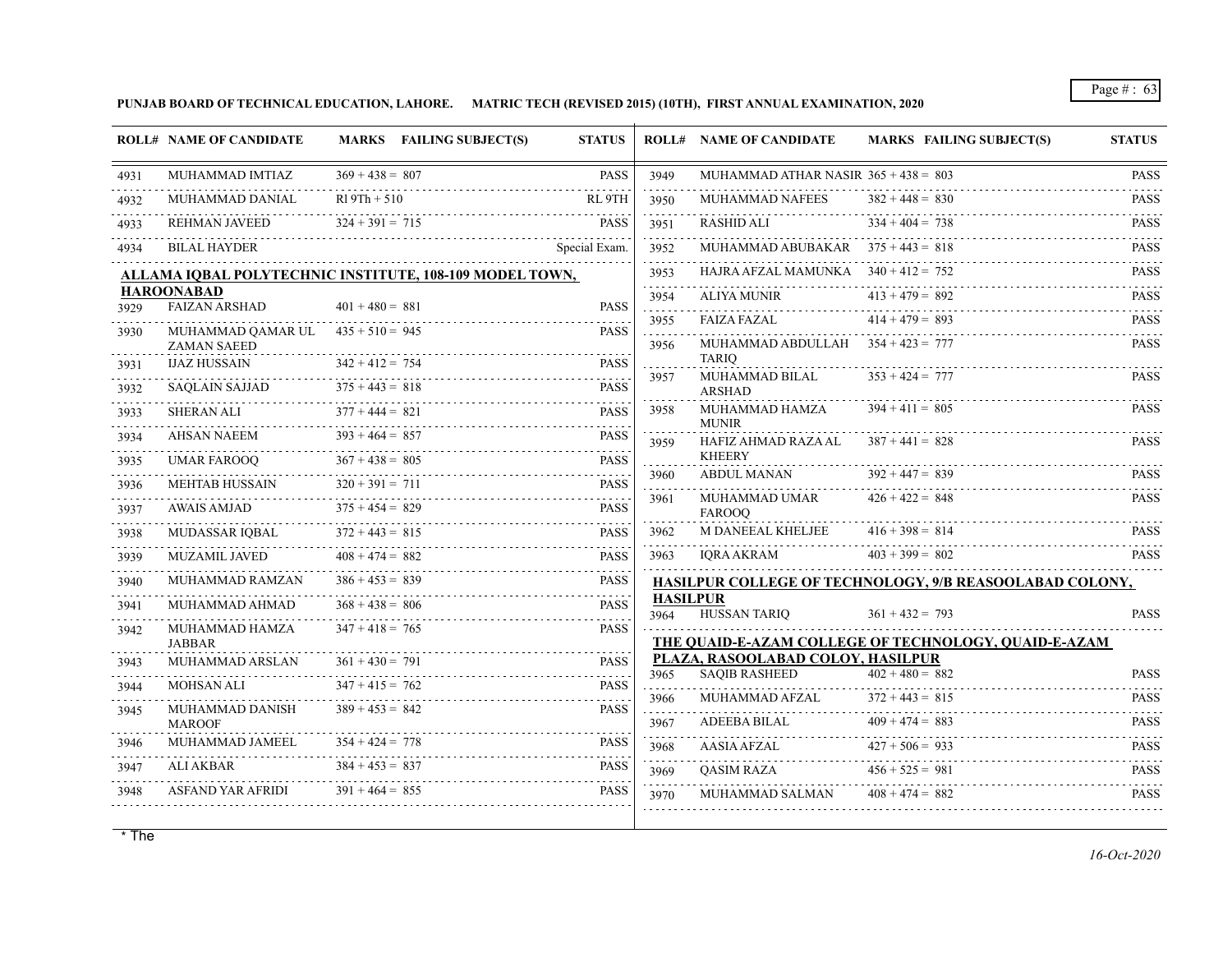**PUNJAB BOARD OF TECHNICAL EDUCATION, LAHORE. MATRIC TECH (REVISED 2015) (10TH), FIRST ANNUAL EXAMINATION, 2020**

|           | <b>ROLL# NAME OF CANDIDATE</b>                            | <b>MARKS</b> FAILING SUBJECT(S)                         | <b>STATUS</b>              |                         | <b>ROLL# NAME OF CANDIDATE</b>         | <b>MARKS FAILING SUBJECT(S)</b>                         | <b>STATUS</b>              |
|-----------|-----------------------------------------------------------|---------------------------------------------------------|----------------------------|-------------------------|----------------------------------------|---------------------------------------------------------|----------------------------|
| 4931      | MUHAMMAD IMTIAZ                                           | $369 + 438 = 807$                                       | <b>PASS</b>                | 3949                    | MUHAMMAD ATHAR NASIR $365 + 438 = 803$ |                                                         | <b>PASS</b>                |
| 4932      | MUHAMMAD DANIAL                                           | $R19Th + 510$                                           | RL 9TH                     | 3950                    | <b>MUHAMMAD NAFEES</b>                 | $382 + 448 = 830$                                       | <b>PASS</b>                |
| .<br>4933 | REHMAN JAVEED                                             | $324 + 391 = 715$                                       | <b>PASS</b>                | .<br>3951               | RASHID ALI                             | $334 + 404 = 738$                                       | <b>PASS</b>                |
| 4934      | <b>BILAL HAYDER</b>                                       |                                                         | Special Exam.              | .<br>3952               | MUHAMMAD ABUBAKAR $375 + 443 = 818$    |                                                         | <b>PASS</b>                |
|           |                                                           | ALLAMA IQBAL POLYTECHNIC INSTITUTE, 108-109 MODEL TOWN, |                            | 3953                    | HAJRA AFZAL MAMUNKA $340 + 412 = 752$  |                                                         | <b>PASS</b>                |
|           | <b>HAROONABAD</b><br><b>FAIZAN ARSHAD</b>                 | $401 + 480 = 881$                                       | <b>PASS</b>                | 3954                    | <b>ALIYA MUNIR</b>                     | $413 + 479 = 892$                                       | a a a a a a<br><b>PASS</b> |
| 3929      |                                                           |                                                         |                            | .<br>3955               | <b>FAIZA FAZAL</b>                     | $414 + 479 = 893$                                       | <b>PASS</b>                |
| 3930      | MUHAMMAD QAMAR UL $435 + 510 = 945$<br><b>ZAMAN SAEED</b> |                                                         | <b>PASS</b>                | 3956                    | MUHAMMAD ABDULLAH $354 + 423 = 777$    |                                                         | <b>PASS</b>                |
| 3931      | <b>IJAZ HUSSAIN</b>                                       | $342 + 412 = 754$                                       | <b>PASS</b>                | .                       | <b>TARIO</b>                           |                                                         |                            |
| 3932      | <b>SAOLAIN SAJJAD</b>                                     | $375 + 443 = 818$                                       | 1.1.1.1.1<br><b>PASS</b>   | 3957                    | MUHAMMAD BILAL<br><b>ARSHAD</b>        | $353 + 424 = 777$                                       | <b>PASS</b>                |
| 3933      | SHERAN ALI                                                | $377 + 444 = 821$                                       | dia a dia .<br><b>PASS</b> | 3958                    | MUHAMMAD HAMZA<br><b>MUNIR</b>         | $394 + 411 = 805$                                       | <b>PASS</b>                |
| 3934<br>. | AHSAN NAEEM                                               | $393 + 464 = 857$                                       | <b>PASS</b><br>.           | 3959                    | HAFIZ AHMAD RAZA AL                    | $387 + 441 = 828$                                       | <b>PASS</b>                |
| 3935      | <b>UMAR FAROOO</b>                                        | $367 + 438 = 805$                                       | <b>PASS</b>                |                         | <b>KHEERY</b>                          |                                                         |                            |
| 3936      | <b>MEHTAB HUSSAIN</b>                                     | $320 + 391 = 711$                                       | <b>PASS</b>                | 3960                    | ABDUL MANAN                            | $392 + 447 = 839$                                       | <b>PASS</b>                |
| 3937      | <b>AWAIS AMJAD</b>                                        | $375 + 454 = 829$                                       | .<br><b>PASS</b>           | 3961                    | MUHAMMAD UMAR<br><b>FAROOO</b>         | $426 + 422 = 848$                                       | <b>PASS</b>                |
| 3938      | MUDASSAR IOBAL                                            | $372 + 443 = 815$                                       | .<br><b>PASS</b>           | 3962                    | M DANEEAL KHELJEE                      | $416 + 398 = 814$                                       | <b>PASS</b>                |
| 3939      | <b>MUZAMIL JAVED</b>                                      | $408 + 474 = 882$                                       | <b>PASS</b>                | 3963                    | <b>IORA AKRAM</b>                      | $403 + 399 = 802$                                       | <b>PASS</b>                |
| 3940      | MUHAMMAD RAMZAN                                           | $386 + 453 = 839$                                       | <b>PASS</b>                |                         |                                        | HASILPUR COLLEGE OF TECHNOLOGY, 9/B REASOOLABAD COLONY, |                            |
| .<br>3941 | MUHAMMAD AHMAD                                            | $368 + 438 = 806$                                       | <b>PASS</b>                | <b>HASILPUR</b><br>3964 | <b>HUSSAN TARIO</b>                    | $361 + 432 = 793$                                       | <b>PASS</b>                |
| 3942      | MUHAMMAD HAMZA                                            | $347 + 418 = 765$                                       | <b>PASS</b>                |                         |                                        | THE QUAID-E-AZAM COLLEGE OF TECHNOLOGY, QUAID-E-AZAM    |                            |
| 3943      | <b>JABBAR</b><br>MUHAMMAD ARSLAN                          | $361 + 430 = 791$                                       | <b>PASS</b>                |                         | PLAZA, RASOOLABAD COLOY, HASILPUR      |                                                         |                            |
| 3944      | <b>MOHSAN ALI</b>                                         | $347 + 415 = 762$                                       | <b>PASS</b>                | 3965                    | <b>SAQIB RASHEED</b>                   | $402 + 480 = 882$                                       | <b>PASS</b><br>.           |
|           | MUHAMMAD DANISH                                           | $389 + 453 = 842$                                       | <b>PASS</b>                | 3966                    | MUHAMMAD AFZAL                         | $372 + 443 = 815$                                       | <b>PASS</b>                |
| 3945      | <b>MAROOF</b>                                             |                                                         |                            | .<br>3967               | <b>ADEEBA BILAL</b>                    | $409 + 474 = 883$                                       | <b>PASS</b>                |
| 3946      | MUHAMMAD JAMEEL                                           | $354 + 424 = 778$                                       | <b>PASS</b>                | .<br>3968               | AASIA AFZAL                            | $427 + 506 = 933$                                       | .<br><b>PASS</b>           |
| 3947      | <b>ALI AKBAR</b>                                          | $384 + 453 = 837$                                       | <b>PASS</b>                | 3969                    | OASIM RAZA                             | $456 + 525 = 981$                                       | <b>PASS</b>                |
| .<br>3948 | ASFAND YAR AFRIDI                                         | $391 + 464 = 855$                                       | <b>PASS</b>                | 3970                    | MUHAMMAD SALMAN                        | $408 + 474 = 882$                                       | <b>PASS</b>                |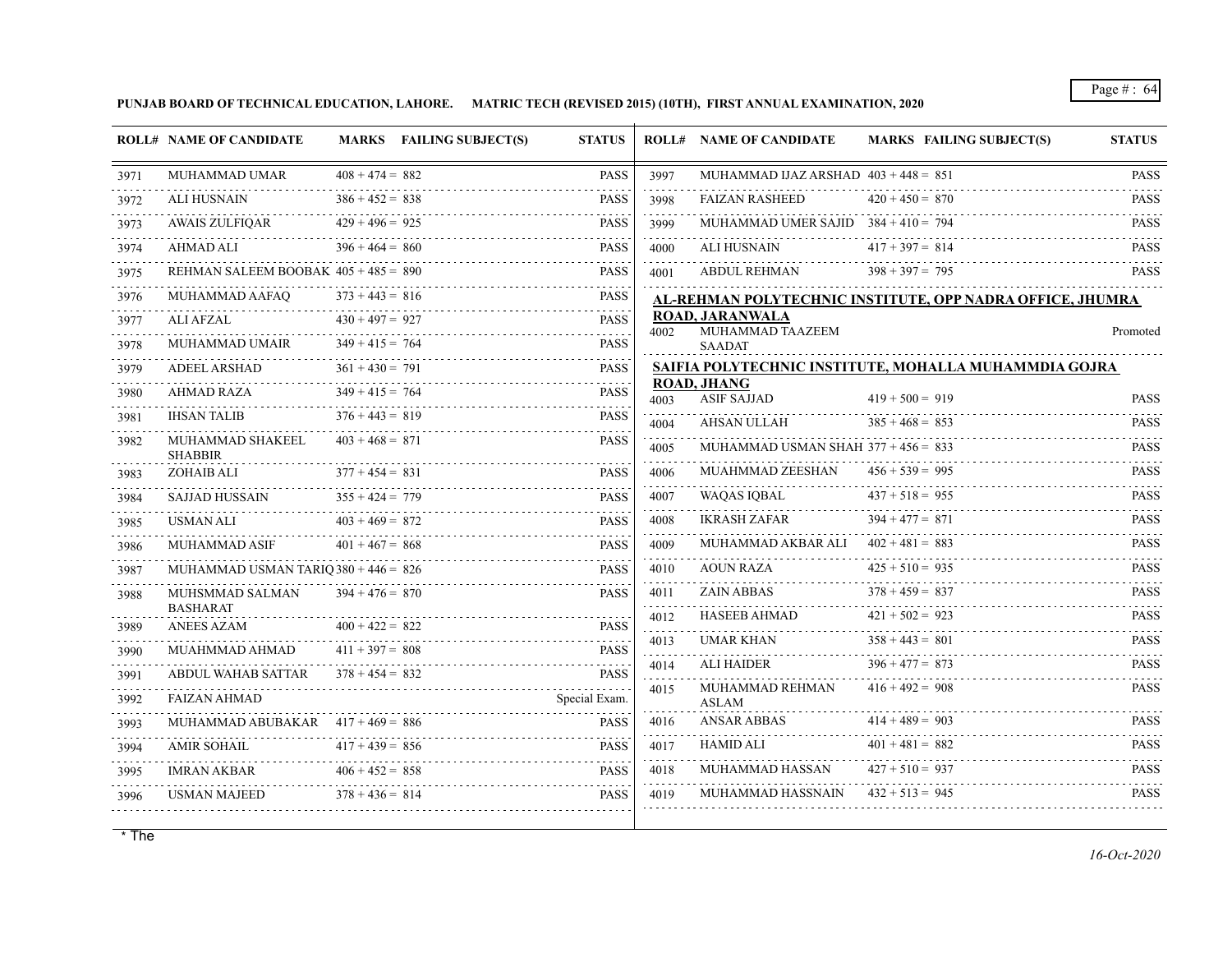**PUNJAB BOARD OF TECHNICAL EDUCATION, LAHORE. MATRIC TECH (REVISED 2015) (10TH), FIRST ANNUAL EXAMINATION, 2020**

|           | <b>ROLL# NAME OF CANDIDATE</b>         |                        | <b>MARKS</b> FAILING SUBJECT(S) | <b>STATUS</b>                                       |                         | <b>ROLL# NAME OF CANDIDATE</b>             | <b>MARKS FAILING SUBJECT(S)</b>                           | <b>STATUS</b>              |
|-----------|----------------------------------------|------------------------|---------------------------------|-----------------------------------------------------|-------------------------|--------------------------------------------|-----------------------------------------------------------|----------------------------|
| 3971      | <b>MUHAMMAD UMAR</b>                   | $408 + 474 = 882$      |                                 | <b>PASS</b>                                         | 3997                    | MUHAMMAD IJAZ ARSHAD $403 + 448 = 851$     |                                                           | <b>PASS</b>                |
| 3972      | <b>ALI HUSNAIN</b>                     | .<br>$386 + 452 = 838$ |                                 | <b>PASS</b>                                         | 3998                    | <b>FAIZAN RASHEED</b>                      | $420 + 450 = 870$                                         | <b>PASS</b>                |
| 3973      | <b>AWAIS ZULFIOAR</b>                  | $429 + 496 = 925$      |                                 | <b>PASS</b>                                         | 3999                    | MUHAMMAD UMER SAJID $384 + 410 = 794$      |                                                           | <b>PASS</b>                |
| 3974      | AHMAD ALI                              | $396 + 464 = 860$      |                                 | <b>PASS</b>                                         | .<br>4000               | <b>ALI HUSNAIN</b>                         | $417 + 397 = 814$                                         | <b>PASS</b>                |
| .<br>3975 | REHMAN SALEEM BOOBAK $405 + 485 = 890$ |                        |                                 | <b>PASS</b>                                         | 4001                    | ABDUL REHMAN                               | $398 + 397 = 795$                                         | <b>PASS</b>                |
| 3976      | <b>MUHAMMAD AAFAO</b>                  | $373 + 443 = 816$      |                                 | <b>PASS</b>                                         |                         |                                            | AL-REHMAN POLYTECHNIC INSTITUTE, OPP NADRA OFFICE, JHUMRA |                            |
| 3977      | ALI AFZAL                              | $430 + 497 = 927$      |                                 | $\alpha$ is a set of<br><b>PASS</b><br>$-1 - 1 - 1$ | 4002                    | <b>ROAD, JARANWALA</b><br>MUHAMMAD TAAZEEM |                                                           | Promoted                   |
| 3978      | MUHAMMAD UMAIR                         | $349 + 415 = 764$      |                                 | <b>PASS</b>                                         |                         | <b>SAADAT</b>                              |                                                           |                            |
| 3979      | <b>ADEEL ARSHAD</b>                    | $361 + 430 = 791$      |                                 | <b>PASS</b>                                         |                         |                                            | SAIFIA POLYTECHNIC INSTITUTE, MOHALLA MUHAMMDIA GOJRA     |                            |
| .<br>3980 | AHMAD RAZA                             | $349 + 415 = 764$      |                                 | <b>PASS</b>                                         | 4003                    | <b>ROAD, JHANG</b><br><b>ASIF SAJJAD</b>   | $419 + 500 = 919$                                         | <b>PASS</b>                |
| 3981      | <b>IHSAN TALIB</b>                     | $376 + 443 = 819$      |                                 | <b>PASS</b>                                         | .<br>4004               | AHSAN ULLAH                                | $385 + 468 = 853$                                         | .<br><b>PASS</b>           |
| 3982      | MUHAMMAD SHAKEEL<br><b>SHABBIR</b>     | $403 + 468 = 871$      |                                 | <b>PASS</b>                                         | 4005<br>.               | MUHAMMAD USMAN SHAH $377 + 456 = 833$      |                                                           | <b>PASS</b>                |
| 3983      | ZOHAIB ALI                             | $377 + 454 = 831$      |                                 | <b>PASS</b>                                         | 4006<br>.               | MUAHMMAD ZEESHAN                           | $456 + 539 = 995$                                         | <b>PASS</b>                |
| 3984      | <b>SAJJAD HUSSAIN</b>                  | $355 + 424 = 779$      |                                 | 2.2.2.2.2.4<br><b>PASS</b>                          | 4007                    | WAQAS IQBAL                                | $437 + 518 = 955$                                         | <b>PASS</b>                |
| 3985      | <b>USMAN ALI</b>                       | $403 + 469 = 872$      |                                 | <b>PASS</b>                                         | 4008                    | <b>IKRASH ZAFAR</b>                        | $394 + 477 = 871$                                         | <b>PASS</b><br>1.1.1.1     |
| 3986      | <b>MUHAMMAD ASIF</b>                   | $401 + 467 = 868$      |                                 | <b>PASS</b>                                         | 4009                    | MUHAMMAD AKBAR ALI                         | $402 + 481 = 883$                                         | <b>PASS</b>                |
| .<br>3987 | MUHAMMAD USMAN TARIQ $380 + 446 = 826$ |                        |                                 | <b>PASS</b>                                         | 4010                    | <b>AOUN RAZA</b>                           | $425 + 510 = 935$                                         | <b>PASS</b>                |
| 3988      | MUHSMMAD SALMAN                        | $394 + 476 = 870$      |                                 | <b>PASS</b>                                         | 4011<br>$- - - - - - -$ | <b>ZAIN ABBAS</b>                          | $378 + 459 = 837$                                         | <b>PASS</b>                |
| 3989      | <b>BASHARAT</b><br><b>ANEES AZAM</b>   | $400 + 422 = 822$      |                                 | PASS                                                | 4012                    | HASEEB AHMAD                               | $421 + 502 = 923$                                         | <b>PASS</b>                |
| 3990      | MUAHMMAD AHMAD                         | $411 + 397 = 808$      |                                 | <b>PASS</b>                                         | 4013<br>.               | <b>UMAR KHAN</b>                           | $358 + 443 = 801$                                         | <b>PASS</b>                |
| 3991      | ABDUL WAHAB SATTAR                     | $378 + 454 = 832$      |                                 | <b>PASS</b>                                         | 4014                    | ALI HAIDER                                 | $396 + 477 = 873$                                         | <b>PASS</b><br>$- - - - -$ |
| 3992      | <b>FAIZAN AHMAD</b>                    |                        |                                 | Special Exam.                                       | 4015                    | MUHAMMAD REHMAN<br><b>ASLAM</b>            | $416 + 492 = 908$                                         | <b>PASS</b>                |
| 3993      | MUHAMMAD ABUBAKAR $417 + 469 = 886$    |                        |                                 | <b>PASS</b>                                         | 4016                    | ANSAR ABBAS                                | $414 + 489 = 903$                                         | <b>PASS</b><br>.           |
| 3994      | AMIR SOHAIL                            | $417 + 439 = 856$      |                                 | <b>PASS</b>                                         | 4017                    | <b>HAMID ALI</b>                           | $401 + 481 = 882$                                         | <b>PASS</b>                |
| 3995      | <b>IMRAN AKBAR</b>                     | $406 + 452 = 858$      |                                 | <b>PASS</b>                                         | 4018<br>.               | MUHAMMAD HASSAN                            | $427 + 510 = 937$                                         | <b>PASS</b>                |
| 3996      | USMAN MAJEED                           | $378 + 436 = 814$      |                                 | .<br><b>PASS</b>                                    | 4019                    | MUHAMMAD HASSNAIN                          | $432 + 513 = 945$                                         | <b>PASS</b>                |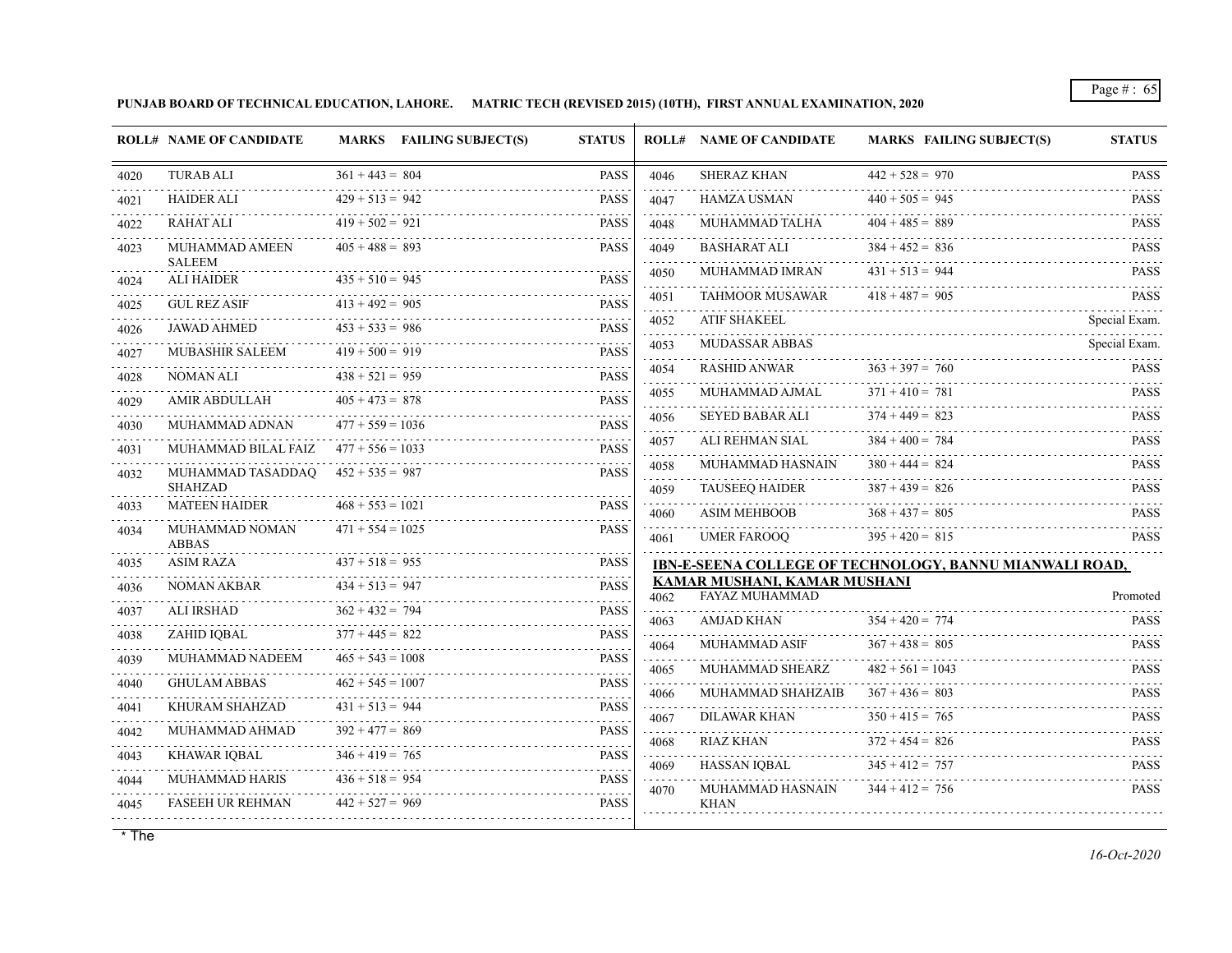**PUNJAB BOARD OF TECHNICAL EDUCATION, LAHORE. MATRIC TECH (REVISED 2015) (10TH), FIRST ANNUAL EXAMINATION, 2020**

| <b>TURAB ALI</b><br>$361 + 443 = 804$<br><b>PASS</b><br><b>SHERAZ KHAN</b><br>$442 + 528 = 970$<br>4046<br>$440 + 505 = 945$<br><b>HAIDER ALI</b><br>$429 + 513 = 942$<br><b>PASS</b><br><b>HAMZA USMAN</b><br>4047<br>$419 + 502 = 921$<br>$404 + 485 = 889$<br><b>RAHAT ALI</b><br><b>PASS</b><br>MUHAMMAD TALHA<br>4048<br>$405 + 488 = 893$<br>$384 + 452 = 836$<br><b>PASS</b><br><b>BASHARAT ALI</b><br>MUHAMMAD AMEEN<br>4049<br><b>SALEEM</b><br>$431 + 513 = 944$<br>MUHAMMAD IMRAN<br>4050<br>$435 + 510 = 945$<br><b>ALI HAIDER</b><br><b>PASS</b><br>22222)<br><b>TAHMOOR MUSAWAR</b><br>$418 + 487 = 905$<br>4051<br>$413 + 492 = 905$<br><b>PASS</b><br><b>GUL REZ ASIF</b><br><b>ATIF SHAKEEL</b><br>4052<br>$453 + 533 = 986$<br><b>JAWAD AHMED</b><br><b>PASS</b><br>.<br><b>MUDASSAR ABBAS</b><br>4053<br>$419 + 500 = 919$<br><b>MUBASHIR SALEEM</b><br><b>PASS</b><br>$363 + 397 = 760$<br>RASHID ANWAR<br>4054<br>$438 + 521 = 959$<br><b>PASS</b><br>NOMAN ALI<br>.<br>$371 + 410 = 781$<br>MUHAMMAD AJMAL<br>4055<br>$405 + 473 = 878$<br><b>AMIR ABDULLAH</b><br><b>PASS</b><br>.<br>.<br>$374 + 449 = 823$<br><b>SEYED BABAR ALI</b><br>4056<br><b>PASS</b><br>$477 + 559 = 1036$<br>MUHAMMAD ADNAN<br>$384 + 400 = 784$<br>ALI REHMAN SIAL<br>4057<br>MUHAMMAD BILAL FAIZ<br>$477 + 556 = 1033$<br><b>PASS</b><br>$\alpha$ is a set of<br>$380 + 444 = 824$<br>MUHAMMAD HASNAIN<br>4058<br>$452 + 535 = 987$<br><b>PASS</b><br>MUHAMMAD TASADDAQ<br><b>SHAHZAD</b><br>$387 + 439 = 826$<br><b>TAUSEEO HAIDER</b><br>4059<br>.<br>$468 + 553 = 1021$<br><b>MATEEN HAIDER</b><br><b>PASS</b><br>4033<br><b>ASIM MEHBOOB</b><br>$368 + 437 = 805$<br>4060<br>.<br>$471 + 554 = 1025$<br><b>PASS</b><br>MUHAMMAD NOMAN<br>4034<br>$395 + 420 = 815$<br>UMER FAROOQ<br>4061<br><b>ABBAS</b><br>$437 + 518 = 955$<br><b>ASIM RAZA</b><br><b>PASS</b><br>IBN-E-SEENA COLLEGE OF TECHNOLOGY, BANNU MIANWALI ROAD,<br>KAMAR MUSHANI, KAMAR MUSHANI<br>$434 + 513 = 947$<br><b>PASS</b><br>NOMAN AKBAR<br><b>FAYAZ MUHAMMAD</b><br>4062<br>$362 + 432 = 794$<br><b>PASS</b><br><b>ALI IRSHAD</b><br>$354 + 420 = 774$<br><b>AMJAD KHAN</b><br>4063<br>$377 + 445 = 822$<br>ZAHID IQBAL<br><b>PASS</b><br>.<br>$367 + 438 = 805$<br>MUHAMMAD ASIF<br>4064<br>$465 + 543 = 1008$<br><b>PASS</b><br>MUHAMMAD NADEEM<br>.<br>$482 + 561 = 1043$<br>MUHAMMAD SHEARZ<br>4065<br>.<br>$462 + 545 = 1007$<br><b>GHULAM ABBAS</b><br><b>PASS</b><br>and a state<br>$367 + 436 = 803$<br>MUHAMMAD SHAHZAIB<br>4066<br>.<br>$431 + 513 = 944$<br><b>PASS</b><br>KHURAM SHAHZAD<br>2.2.2.2.2.4<br><b>DILAWAR KHAN</b><br>$350 + 415 = 765$<br>4067<br><u> 1980 - John Barn Barn, mars ann an t-</u><br>MUHAMMAD AHMAD<br>$392 + 477 = 869$<br><b>PASS</b><br>$372 + 454 = 826$<br>RIAZ KHAN<br>4068<br>$346 + 419 = 765$<br>KHAWAR IQBAL<br><b>PASS</b><br>1.1.1.1.1<br>$345 + 412 = 757$<br>HASSAN IOBAL<br>4069<br>$436 + 518 = 954$<br><b>PASS</b><br><b>MUHAMMAD HARIS</b><br>.<br>MUHAMMAD HASNAIN<br>$344 + 412 = 756$<br>4070<br>$442 + 527 = 969$<br><b>PASS</b><br><b>FASEEH UR REHMAN</b><br><b>KHAN</b> |      | <b>ROLL# NAME OF CANDIDATE</b> | MARKS FAILING SUBJECT(S) | <b>STATUS</b> | <b>ROLL# NAME OF CANDIDATE</b> | <b>MARKS FAILING SUBJECT(S)</b> | <b>STATUS</b>            |
|------------------------------------------------------------------------------------------------------------------------------------------------------------------------------------------------------------------------------------------------------------------------------------------------------------------------------------------------------------------------------------------------------------------------------------------------------------------------------------------------------------------------------------------------------------------------------------------------------------------------------------------------------------------------------------------------------------------------------------------------------------------------------------------------------------------------------------------------------------------------------------------------------------------------------------------------------------------------------------------------------------------------------------------------------------------------------------------------------------------------------------------------------------------------------------------------------------------------------------------------------------------------------------------------------------------------------------------------------------------------------------------------------------------------------------------------------------------------------------------------------------------------------------------------------------------------------------------------------------------------------------------------------------------------------------------------------------------------------------------------------------------------------------------------------------------------------------------------------------------------------------------------------------------------------------------------------------------------------------------------------------------------------------------------------------------------------------------------------------------------------------------------------------------------------------------------------------------------------------------------------------------------------------------------------------------------------------------------------------------------------------------------------------------------------------------------------------------------------------------------------------------------------------------------------------------------------------------------------------------------------------------------------------------------------------------------------------------------------------------------------------------------------------------------------------------------------------------------------------------------------------------------------------------------------------------------------------------------------------------------------------------------------------------------------------------------------------------------------------------------|------|--------------------------------|--------------------------|---------------|--------------------------------|---------------------------------|--------------------------|
|                                                                                                                                                                                                                                                                                                                                                                                                                                                                                                                                                                                                                                                                                                                                                                                                                                                                                                                                                                                                                                                                                                                                                                                                                                                                                                                                                                                                                                                                                                                                                                                                                                                                                                                                                                                                                                                                                                                                                                                                                                                                                                                                                                                                                                                                                                                                                                                                                                                                                                                                                                                                                                                                                                                                                                                                                                                                                                                                                                                                                                                                                                                        | 4020 |                                |                          |               |                                |                                 | <b>PASS</b>              |
|                                                                                                                                                                                                                                                                                                                                                                                                                                                                                                                                                                                                                                                                                                                                                                                                                                                                                                                                                                                                                                                                                                                                                                                                                                                                                                                                                                                                                                                                                                                                                                                                                                                                                                                                                                                                                                                                                                                                                                                                                                                                                                                                                                                                                                                                                                                                                                                                                                                                                                                                                                                                                                                                                                                                                                                                                                                                                                                                                                                                                                                                                                                        | 4021 |                                |                          |               |                                |                                 | .<br><b>PASS</b>         |
|                                                                                                                                                                                                                                                                                                                                                                                                                                                                                                                                                                                                                                                                                                                                                                                                                                                                                                                                                                                                                                                                                                                                                                                                                                                                                                                                                                                                                                                                                                                                                                                                                                                                                                                                                                                                                                                                                                                                                                                                                                                                                                                                                                                                                                                                                                                                                                                                                                                                                                                                                                                                                                                                                                                                                                                                                                                                                                                                                                                                                                                                                                                        | 4022 |                                |                          |               |                                |                                 | .<br><b>PASS</b>         |
|                                                                                                                                                                                                                                                                                                                                                                                                                                                                                                                                                                                                                                                                                                                                                                                                                                                                                                                                                                                                                                                                                                                                                                                                                                                                                                                                                                                                                                                                                                                                                                                                                                                                                                                                                                                                                                                                                                                                                                                                                                                                                                                                                                                                                                                                                                                                                                                                                                                                                                                                                                                                                                                                                                                                                                                                                                                                                                                                                                                                                                                                                                                        | 4023 |                                |                          |               |                                |                                 | <b>PASS</b>              |
|                                                                                                                                                                                                                                                                                                                                                                                                                                                                                                                                                                                                                                                                                                                                                                                                                                                                                                                                                                                                                                                                                                                                                                                                                                                                                                                                                                                                                                                                                                                                                                                                                                                                                                                                                                                                                                                                                                                                                                                                                                                                                                                                                                                                                                                                                                                                                                                                                                                                                                                                                                                                                                                                                                                                                                                                                                                                                                                                                                                                                                                                                                                        | 4024 |                                |                          |               |                                |                                 | <b>PASS</b>              |
|                                                                                                                                                                                                                                                                                                                                                                                                                                                                                                                                                                                                                                                                                                                                                                                                                                                                                                                                                                                                                                                                                                                                                                                                                                                                                                                                                                                                                                                                                                                                                                                                                                                                                                                                                                                                                                                                                                                                                                                                                                                                                                                                                                                                                                                                                                                                                                                                                                                                                                                                                                                                                                                                                                                                                                                                                                                                                                                                                                                                                                                                                                                        | 4025 |                                |                          |               |                                |                                 | <b>PASS</b>              |
|                                                                                                                                                                                                                                                                                                                                                                                                                                                                                                                                                                                                                                                                                                                                                                                                                                                                                                                                                                                                                                                                                                                                                                                                                                                                                                                                                                                                                                                                                                                                                                                                                                                                                                                                                                                                                                                                                                                                                                                                                                                                                                                                                                                                                                                                                                                                                                                                                                                                                                                                                                                                                                                                                                                                                                                                                                                                                                                                                                                                                                                                                                                        | 4026 |                                |                          |               |                                |                                 | Special Exam.            |
|                                                                                                                                                                                                                                                                                                                                                                                                                                                                                                                                                                                                                                                                                                                                                                                                                                                                                                                                                                                                                                                                                                                                                                                                                                                                                                                                                                                                                                                                                                                                                                                                                                                                                                                                                                                                                                                                                                                                                                                                                                                                                                                                                                                                                                                                                                                                                                                                                                                                                                                                                                                                                                                                                                                                                                                                                                                                                                                                                                                                                                                                                                                        | 4027 |                                |                          |               |                                |                                 | Special Exam.            |
|                                                                                                                                                                                                                                                                                                                                                                                                                                                                                                                                                                                                                                                                                                                                                                                                                                                                                                                                                                                                                                                                                                                                                                                                                                                                                                                                                                                                                                                                                                                                                                                                                                                                                                                                                                                                                                                                                                                                                                                                                                                                                                                                                                                                                                                                                                                                                                                                                                                                                                                                                                                                                                                                                                                                                                                                                                                                                                                                                                                                                                                                                                                        | 4028 |                                |                          |               |                                |                                 | <b>PASS</b>              |
|                                                                                                                                                                                                                                                                                                                                                                                                                                                                                                                                                                                                                                                                                                                                                                                                                                                                                                                                                                                                                                                                                                                                                                                                                                                                                                                                                                                                                                                                                                                                                                                                                                                                                                                                                                                                                                                                                                                                                                                                                                                                                                                                                                                                                                                                                                                                                                                                                                                                                                                                                                                                                                                                                                                                                                                                                                                                                                                                                                                                                                                                                                                        | 4029 |                                |                          |               |                                |                                 | <b>PASS</b>              |
|                                                                                                                                                                                                                                                                                                                                                                                                                                                                                                                                                                                                                                                                                                                                                                                                                                                                                                                                                                                                                                                                                                                                                                                                                                                                                                                                                                                                                                                                                                                                                                                                                                                                                                                                                                                                                                                                                                                                                                                                                                                                                                                                                                                                                                                                                                                                                                                                                                                                                                                                                                                                                                                                                                                                                                                                                                                                                                                                                                                                                                                                                                                        | 4030 |                                |                          |               |                                |                                 | <b>PASS</b>              |
|                                                                                                                                                                                                                                                                                                                                                                                                                                                                                                                                                                                                                                                                                                                                                                                                                                                                                                                                                                                                                                                                                                                                                                                                                                                                                                                                                                                                                                                                                                                                                                                                                                                                                                                                                                                                                                                                                                                                                                                                                                                                                                                                                                                                                                                                                                                                                                                                                                                                                                                                                                                                                                                                                                                                                                                                                                                                                                                                                                                                                                                                                                                        | 4031 |                                |                          |               |                                |                                 | <b>PASS</b>              |
|                                                                                                                                                                                                                                                                                                                                                                                                                                                                                                                                                                                                                                                                                                                                                                                                                                                                                                                                                                                                                                                                                                                                                                                                                                                                                                                                                                                                                                                                                                                                                                                                                                                                                                                                                                                                                                                                                                                                                                                                                                                                                                                                                                                                                                                                                                                                                                                                                                                                                                                                                                                                                                                                                                                                                                                                                                                                                                                                                                                                                                                                                                                        | 4032 |                                |                          |               |                                |                                 | <b>PASS</b>              |
|                                                                                                                                                                                                                                                                                                                                                                                                                                                                                                                                                                                                                                                                                                                                                                                                                                                                                                                                                                                                                                                                                                                                                                                                                                                                                                                                                                                                                                                                                                                                                                                                                                                                                                                                                                                                                                                                                                                                                                                                                                                                                                                                                                                                                                                                                                                                                                                                                                                                                                                                                                                                                                                                                                                                                                                                                                                                                                                                                                                                                                                                                                                        |      |                                |                          |               |                                |                                 | <b>PASS</b>              |
|                                                                                                                                                                                                                                                                                                                                                                                                                                                                                                                                                                                                                                                                                                                                                                                                                                                                                                                                                                                                                                                                                                                                                                                                                                                                                                                                                                                                                                                                                                                                                                                                                                                                                                                                                                                                                                                                                                                                                                                                                                                                                                                                                                                                                                                                                                                                                                                                                                                                                                                                                                                                                                                                                                                                                                                                                                                                                                                                                                                                                                                                                                                        |      |                                |                          |               |                                |                                 | <b>PASS</b>              |
|                                                                                                                                                                                                                                                                                                                                                                                                                                                                                                                                                                                                                                                                                                                                                                                                                                                                                                                                                                                                                                                                                                                                                                                                                                                                                                                                                                                                                                                                                                                                                                                                                                                                                                                                                                                                                                                                                                                                                                                                                                                                                                                                                                                                                                                                                                                                                                                                                                                                                                                                                                                                                                                                                                                                                                                                                                                                                                                                                                                                                                                                                                                        |      |                                |                          |               |                                |                                 | <b>PASS</b>              |
|                                                                                                                                                                                                                                                                                                                                                                                                                                                                                                                                                                                                                                                                                                                                                                                                                                                                                                                                                                                                                                                                                                                                                                                                                                                                                                                                                                                                                                                                                                                                                                                                                                                                                                                                                                                                                                                                                                                                                                                                                                                                                                                                                                                                                                                                                                                                                                                                                                                                                                                                                                                                                                                                                                                                                                                                                                                                                                                                                                                                                                                                                                                        | 4035 |                                |                          |               |                                |                                 |                          |
|                                                                                                                                                                                                                                                                                                                                                                                                                                                                                                                                                                                                                                                                                                                                                                                                                                                                                                                                                                                                                                                                                                                                                                                                                                                                                                                                                                                                                                                                                                                                                                                                                                                                                                                                                                                                                                                                                                                                                                                                                                                                                                                                                                                                                                                                                                                                                                                                                                                                                                                                                                                                                                                                                                                                                                                                                                                                                                                                                                                                                                                                                                                        | 4036 |                                |                          |               |                                |                                 | Promoted                 |
|                                                                                                                                                                                                                                                                                                                                                                                                                                                                                                                                                                                                                                                                                                                                                                                                                                                                                                                                                                                                                                                                                                                                                                                                                                                                                                                                                                                                                                                                                                                                                                                                                                                                                                                                                                                                                                                                                                                                                                                                                                                                                                                                                                                                                                                                                                                                                                                                                                                                                                                                                                                                                                                                                                                                                                                                                                                                                                                                                                                                                                                                                                                        | 4037 |                                |                          |               |                                |                                 | <b>PASS</b>              |
|                                                                                                                                                                                                                                                                                                                                                                                                                                                                                                                                                                                                                                                                                                                                                                                                                                                                                                                                                                                                                                                                                                                                                                                                                                                                                                                                                                                                                                                                                                                                                                                                                                                                                                                                                                                                                                                                                                                                                                                                                                                                                                                                                                                                                                                                                                                                                                                                                                                                                                                                                                                                                                                                                                                                                                                                                                                                                                                                                                                                                                                                                                                        | 4038 |                                |                          |               |                                |                                 | <b>PASS</b>              |
|                                                                                                                                                                                                                                                                                                                                                                                                                                                                                                                                                                                                                                                                                                                                                                                                                                                                                                                                                                                                                                                                                                                                                                                                                                                                                                                                                                                                                                                                                                                                                                                                                                                                                                                                                                                                                                                                                                                                                                                                                                                                                                                                                                                                                                                                                                                                                                                                                                                                                                                                                                                                                                                                                                                                                                                                                                                                                                                                                                                                                                                                                                                        | 4039 |                                |                          |               |                                |                                 | 1.1.1.1.1<br><b>PASS</b> |
|                                                                                                                                                                                                                                                                                                                                                                                                                                                                                                                                                                                                                                                                                                                                                                                                                                                                                                                                                                                                                                                                                                                                                                                                                                                                                                                                                                                                                                                                                                                                                                                                                                                                                                                                                                                                                                                                                                                                                                                                                                                                                                                                                                                                                                                                                                                                                                                                                                                                                                                                                                                                                                                                                                                                                                                                                                                                                                                                                                                                                                                                                                                        | 4040 |                                |                          |               |                                |                                 | <b>PASS</b>              |
|                                                                                                                                                                                                                                                                                                                                                                                                                                                                                                                                                                                                                                                                                                                                                                                                                                                                                                                                                                                                                                                                                                                                                                                                                                                                                                                                                                                                                                                                                                                                                                                                                                                                                                                                                                                                                                                                                                                                                                                                                                                                                                                                                                                                                                                                                                                                                                                                                                                                                                                                                                                                                                                                                                                                                                                                                                                                                                                                                                                                                                                                                                                        | 4041 |                                |                          |               |                                |                                 | <b>PASS</b>              |
|                                                                                                                                                                                                                                                                                                                                                                                                                                                                                                                                                                                                                                                                                                                                                                                                                                                                                                                                                                                                                                                                                                                                                                                                                                                                                                                                                                                                                                                                                                                                                                                                                                                                                                                                                                                                                                                                                                                                                                                                                                                                                                                                                                                                                                                                                                                                                                                                                                                                                                                                                                                                                                                                                                                                                                                                                                                                                                                                                                                                                                                                                                                        | 4042 |                                |                          |               |                                |                                 | <b>PASS</b>              |
|                                                                                                                                                                                                                                                                                                                                                                                                                                                                                                                                                                                                                                                                                                                                                                                                                                                                                                                                                                                                                                                                                                                                                                                                                                                                                                                                                                                                                                                                                                                                                                                                                                                                                                                                                                                                                                                                                                                                                                                                                                                                                                                                                                                                                                                                                                                                                                                                                                                                                                                                                                                                                                                                                                                                                                                                                                                                                                                                                                                                                                                                                                                        | 4043 |                                |                          |               |                                |                                 | .<br><b>PASS</b>         |
|                                                                                                                                                                                                                                                                                                                                                                                                                                                                                                                                                                                                                                                                                                                                                                                                                                                                                                                                                                                                                                                                                                                                                                                                                                                                                                                                                                                                                                                                                                                                                                                                                                                                                                                                                                                                                                                                                                                                                                                                                                                                                                                                                                                                                                                                                                                                                                                                                                                                                                                                                                                                                                                                                                                                                                                                                                                                                                                                                                                                                                                                                                                        | 4044 |                                |                          |               |                                |                                 | <b>PASS</b>              |
|                                                                                                                                                                                                                                                                                                                                                                                                                                                                                                                                                                                                                                                                                                                                                                                                                                                                                                                                                                                                                                                                                                                                                                                                                                                                                                                                                                                                                                                                                                                                                                                                                                                                                                                                                                                                                                                                                                                                                                                                                                                                                                                                                                                                                                                                                                                                                                                                                                                                                                                                                                                                                                                                                                                                                                                                                                                                                                                                                                                                                                                                                                                        | 4045 |                                |                          |               |                                |                                 |                          |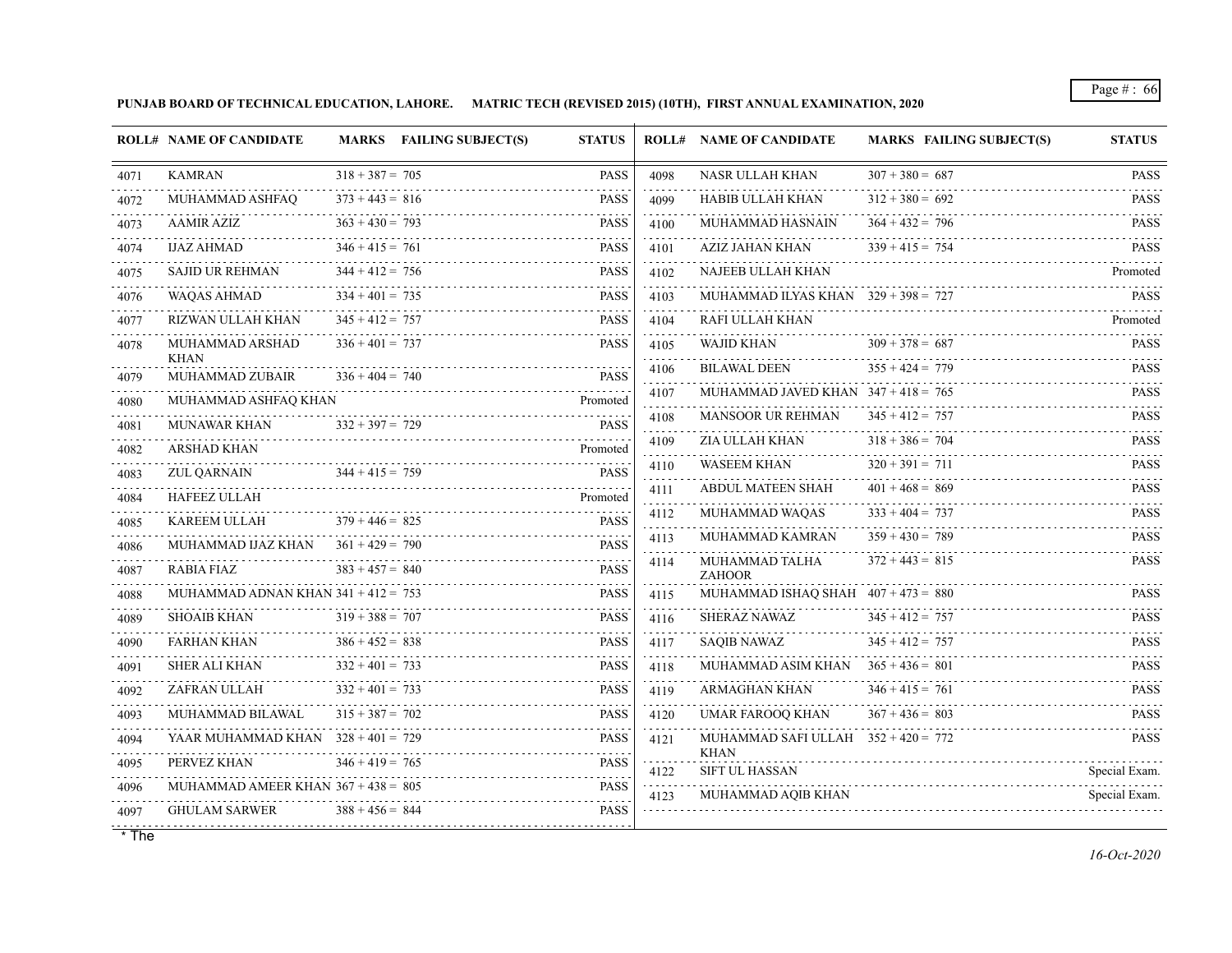**PUNJAB BOARD OF TECHNICAL EDUCATION, LAHORE. MATRIC TECH (REVISED 2015) (10TH), FIRST ANNUAL EXAMINATION, 2020**

|      | <b>ROLL# NAME OF CANDIDATE</b>        |                   | <b>MARKS</b> FAILING SUBJECT(S) | <b>STATUS</b> |                     | <b>ROLL# NAME OF CANDIDATE</b>                | <b>MARKS FAILING SUBJECT(S)</b> | <b>STATUS</b>                                     |
|------|---------------------------------------|-------------------|---------------------------------|---------------|---------------------|-----------------------------------------------|---------------------------------|---------------------------------------------------|
| 4071 | <b>KAMRAN</b>                         | $318 + 387 = 705$ |                                 | <b>PASS</b>   | 4098                | NASR ULLAH KHAN                               | $307 + 380 = 687$               | <b>PASS</b>                                       |
| 4072 | MUHAMMAD ASHFAQ                       | $373 + 443 = 816$ |                                 | <b>PASS</b>   | 4099                | HABIB ULLAH KHAN                              | $312 + 380 = 692$               | <b>PASS</b>                                       |
| 4073 | <b>AAMIR AZIZ</b>                     | $363 + 430 = 793$ |                                 | <b>PASS</b>   | 4100                | MUHAMMAD HASNAIN                              | $364 + 432 = 796$               | <b>PASS</b>                                       |
| 4074 | IJAZ AHMAD                            | $346 + 415 = 761$ |                                 | <b>PASS</b>   | 4101                | AZIZ JAHAN KHAN                               | $339 + 415 = 754$               | <b>PASS</b>                                       |
| 4075 | <b>SAJID UR REHMAN</b>                | $344 + 412 = 756$ |                                 | <b>PASS</b>   | 4102                | NAJEEB ULLAH KHAN                             |                                 | Promoted                                          |
| 4076 | <b>WAOAS AHMAD</b>                    | $334 + 401 = 735$ |                                 | <b>PASS</b>   | 4103                | MUHAMMAD ILYAS KHAN $329 + 398 = 727$         |                                 | <b>PASS</b>                                       |
| 4077 | RIZWAN ULLAH KHAN                     | $345 + 412 = 757$ |                                 | <b>PASS</b>   | 4104<br>.           | RAFI ULLAH KHAN                               |                                 | Promoted                                          |
| 4078 | MUHAMMAD ARSHAD                       | $336 + 401 = 737$ |                                 | <b>PASS</b>   | 4105<br>.           | <b>WAJID KHAN</b>                             | $309 + 378 = 687$               | <b>PASS</b>                                       |
| 4079 | <b>KHAN</b><br><b>MUHAMMAD ZUBAIR</b> | $336 + 404 = 740$ |                                 | <b>PASS</b>   | 4106                | <b>BILAWAL DEEN</b>                           | $355 + 424 = 779$               | <b>PASS</b>                                       |
| 4080 | MUHAMMAD ASHFAQ KHAN                  |                   |                                 | Promoted      | 4107                | MUHAMMAD JAVED KHAN $347 + 418 = 765$         |                                 | <b>PASS</b><br>.                                  |
| 4081 | <b>MUNAWAR KHAN</b>                   | $332 + 397 = 729$ |                                 | <b>PASS</b>   | 4108                | <b>MANSOOR UR REHMAN</b>                      | $345 + 412 = 757$               | <b>PASS</b>                                       |
| 4082 | <b>ARSHAD KHAN</b>                    |                   |                                 | Promoted      | 4109                | ZIA ULLAH KHAN                                | $318 + 386 = 704$               | <b>PASS</b>                                       |
| 4083 | ZUL QARNAIN                           | $344 + 415 = 759$ |                                 | <b>PASS</b>   | 4110                | <b>WASEEM KHAN</b>                            | $320 + 391 = 711$               | <b>PASS</b><br>.                                  |
| 4084 | <b>HAFEEZ ULLAH</b>                   |                   |                                 | Promoted      | 4111<br>.           | ABDUL MATEEN SHAH                             | $401 + 468 = 869$               | <b>PASS</b>                                       |
| 4085 | <b>KAREEM ULLAH</b>                   | $379 + 446 = 825$ |                                 | <b>PASS</b>   | 4112                | MUHAMMAD WAQAS                                | $333 + 404 = 737$               | <b>PASS</b>                                       |
| 4086 | MUHAMMAD IJAZ KHAN                    | $361 + 429 = 790$ |                                 | <b>PASS</b>   | 4113                | MUHAMMAD KAMRAN                               | $359 + 430 = 789$               | <b>PASS</b><br>$\sim$ $\sim$ $\sim$ $\sim$ $\sim$ |
| 4087 | <b>RABIA FIAZ</b>                     | $383 + 457 = 840$ |                                 | <b>PASS</b>   | 4114                | MUHAMMAD TALHA<br><b>ZAHOOR</b>               | $372 + 443 = 815$               | <b>PASS</b>                                       |
| 4088 | MUHAMMAD ADNAN KHAN $341 + 412 = 753$ |                   |                                 | <b>PASS</b>   | 4115                | MUHAMMAD ISHAQ SHAH $407 + 473 = 880$         |                                 | <b>PASS</b>                                       |
| 4089 | <b>SHOAIB KHAN</b>                    | $319 + 388 = 707$ |                                 | <b>PASS</b>   | 4116                | <b>SHERAZ NAWAZ</b>                           | $345 + 412 = 757$               | .<br><b>PASS</b>                                  |
| 4090 | FARHAN KHAN                           | $386 + 452 = 838$ |                                 | <b>PASS</b>   | 4117                | SAQIB NAWAZ                                   | $345 + 412 = 757$               | <b>PASS</b>                                       |
| 4091 | SHER ALI KHAN                         | $332 + 401 = 733$ |                                 | <b>PASS</b>   | 4118                | MUHAMMAD ASIM KHAN                            | $365 + 436 = 801$               | <b>PASS</b>                                       |
| 4092 | ZAFRAN ULLAH                          | $332 + 401 = 733$ |                                 | <b>PASS</b>   | 4119                | ARMAGHAN KHAN                                 | $346 + 415 = 761$               | <b>PASS</b>                                       |
| 4093 | MUHAMMAD BILAWAL                      | $315 + 387 = 702$ |                                 | <b>PASS</b>   | 4120<br>a a a a a a | <b>UMAR FAROOO KHAN</b>                       | $367 + 436 = 803$               | <b>PASS</b>                                       |
| 4094 | YAAR MUHAMMAD KHAN $328 + 401 = 729$  |                   |                                 | <b>PASS</b>   | 4121                | MUHAMMAD SAFI ULLAH $352 + 420 = 772$<br>KHAN |                                 | <b>PASS</b>                                       |
| 4095 | PERVEZ KHAN                           | $346 + 419 = 765$ |                                 | <b>PASS</b>   | 4122                | <b>SIFT UL HASSAN</b>                         |                                 | Special Exam.                                     |
| 4096 | MUHAMMAD AMEER KHAN $367 + 438 = 805$ |                   |                                 | <b>PASS</b>   | .<br>4123           | MUHAMMAD AQIB KHAN                            |                                 | .<br>Special Exam.                                |
| 4097 | <b>GHULAM SARWER</b>                  | $388 + 456 = 844$ |                                 | <b>PASS</b>   |                     |                                               |                                 |                                                   |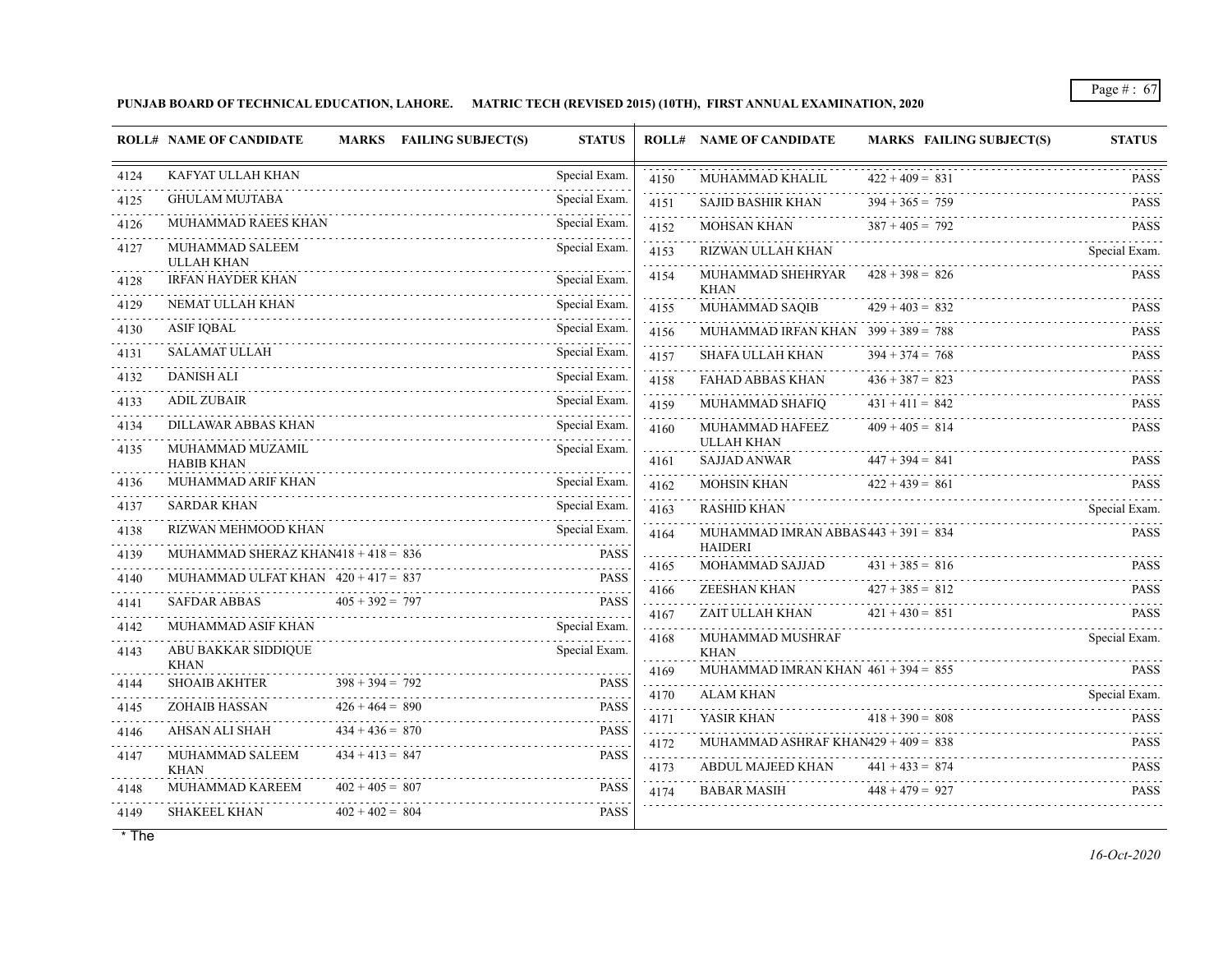**PUNJAB BOARD OF TECHNICAL EDUCATION, LAHORE. MATRIC TECH (REVISED 2015) (10TH), FIRST ANNUAL EXAMINATION, 2020**

|      | <b>ROLL# NAME OF CANDIDATE</b>        |                   | MARKS FAILING SUBJECT(S) | <b>STATUS</b> |                  | <b>ROLL# NAME OF CANDIDATE</b>           | <b>MARKS FAILING SUBJECT(S)</b> | <b>STATUS</b>    |
|------|---------------------------------------|-------------------|--------------------------|---------------|------------------|------------------------------------------|---------------------------------|------------------|
| 4124 | KAFYAT ULLAH KHAN                     |                   |                          | Special Exam. | 4150             | MUHAMMAD KHALIL                          | $422 + 409 = 831$               | <b>PASS</b>      |
| 4125 | <b>GHULAM MUJTABA</b>                 |                   |                          | Special Exam. | 4151             | <b>SAJID BASHIR KHAN</b>                 | $394 + 365 = 759$               | <b>PASS</b>      |
| 4126 | MUHAMMAD RAEES KHAN                   |                   |                          | Special Exam. | 4152             | <b>MOHSAN KHAN</b>                       | $387 + 405 = 792$               | <b>PASS</b>      |
| 4127 | MUHAMMAD SALEEM<br><b>ULLAH KHAN</b>  |                   |                          | Special Exam. | 4153             | RIZWAN ULLAH KHAN                        |                                 | Special Exam.    |
| 4128 | <b>IRFAN HAYDER KHAN</b>              |                   |                          | Special Exam. | 4154             | MUHAMMAD SHEHRYAR<br><b>KHAN</b>         | $428 + 398 = 826$               | PASS             |
| 4129 | NEMAT ULLAH KHAN                      |                   |                          | Special Exam. | 4155             | MUHAMMAD SAQIB                           | $429 + 403 = 832$               | <b>PASS</b>      |
| 4130 | <b>ASIF IQBAL</b>                     |                   |                          | Special Exam. | 4156             | MUHAMMAD IRFAN KHAN $399 + 389 = 788$    |                                 | .<br><b>PASS</b> |
| 4131 | <b>SALAMAT ULLAH</b>                  |                   |                          | Special Exam. | 4157             | <b>SHAFA ULLAH KHAN</b>                  | $394 + 374 = 768$               | <b>PASS</b>      |
| 4132 | <b>DANISH ALI</b>                     |                   |                          | Special Exam. | 4158             | <b>FAHAD ABBAS KHAN</b>                  | $436 + 387 = 823$               | <b>PASS</b>      |
| 4133 | <b>ADIL ZUBAIR</b>                    |                   |                          | Special Exam. | .<br>4159        | MUHAMMAD SHAFIQ                          | $431 + 411 = 842$               | <b>PASS</b>      |
| 4134 | DILLAWAR ABBAS KHAN                   |                   |                          | Special Exam. | 4160             | MUHAMMAD HAFEEZ                          | $409 + 405 = 814$               | <b>PASS</b>      |
| 4135 | MUHAMMAD MUZAMIL<br><b>HABIB KHAN</b> |                   |                          | Special Exam. | 4161             | <b>ULLAH KHAN</b><br><b>SAJJAD ANWAR</b> | $447 + 394 = 841$               | <b>PASS</b>      |
| 4136 | MUHAMMAD ARIF KHAN                    |                   |                          | Special Exam. | 4162             | MOHSIN KHAN                              | $422 + 439 = 861$               | <b>PASS</b>      |
| 4137 | <b>SARDAR KHAN</b>                    |                   |                          | Special Exam. | 4163             | <b>RASHID KHAN</b>                       |                                 | Special Exam.    |
| 4138 | RIZWAN MEHMOOD KHAN                   |                   |                          | Special Exam. | 4164             | MUHAMMAD IMRAN ABBAS443 + 391 = $834$    |                                 | <b>PASS</b>      |
| 4139 | MUHAMMAD SHERAZ KHAN418 + 418 = $836$ |                   |                          | <b>PASS</b>   | .<br>4165        | <b>HAIDERI</b><br>MOHAMMAD SAJJAD        | $431 + 385 = 816$               | PASS             |
| 4140 | MUHAMMAD ULFAT KHAN $420 + 417 = 837$ |                   |                          | <b>PASS</b>   | 4166             | ZEESHAN KHAN                             | $427 + 385 = 812$               | <b>PASS</b>      |
| 4141 | <b>SAFDAR ABBAS</b>                   | $405 + 392 = 797$ |                          | <b>PASS</b>   | .<br>4167        | ZAIT ULLAH KHAN                          | $421 + 430 = 851$               | <b>PASS</b>      |
| 4142 | MUHAMMAD ASIF KHAN                    |                   |                          | Special Exam. | .<br>4168        | MUHAMMAD MUSHRAF                         |                                 | Special Exam.    |
| 4143 | ABU BAKKAR SIDDIQUE<br><b>KHAN</b>    |                   |                          | Special Exam. |                  | <b>KHAN</b>                              |                                 |                  |
| 4144 | <b>SHOAIB AKHTER</b>                  | $398 + 394 = 792$ |                          | <b>PASS</b>   | 4169<br><u>.</u> | MUHAMMAD IMRAN KHAN $461 + 394 = 855$    |                                 | <b>PASS</b>      |
| 4145 | <b>ZOHAIB HASSAN</b>                  | $426 + 464 = 890$ |                          | <b>PASS</b>   | 4170<br>.        | <b>ALAM KHAN</b>                         |                                 | Special Exam.    |
| 4146 | AHSAN ALI SHAH                        | $434 + 436 = 870$ |                          | <b>PASS</b>   | 4171<br>.        | YASIR KHAN                               | $418 + 390 = 808$               | <b>PASS</b>      |
| 4147 | MUHAMMAD SALEEM                       | $434 + 413 = 847$ |                          | <b>PASS</b>   | 4172<br>da da da | MUHAMMAD ASHRAF KHAN429 + $409 = 838$    |                                 | <b>PASS</b>      |
|      | <b>KHAN</b>                           |                   |                          |               | 4173             | ABDUL MAJEED KHAN                        | $441 + 433 = 874$               | <b>PASS</b><br>. |
| 4148 | MUHAMMAD KAREEM                       | $402 + 405 = 807$ |                          | <b>PASS</b>   | 4174             | <b>BABAR MASIH</b>                       | $448 + 479 = 927$               | <b>PASS</b>      |
| 4149 | <b>SHAKEEL KHAN</b>                   | $402 + 402 = 804$ |                          | <b>PASS</b>   |                  |                                          |                                 |                  |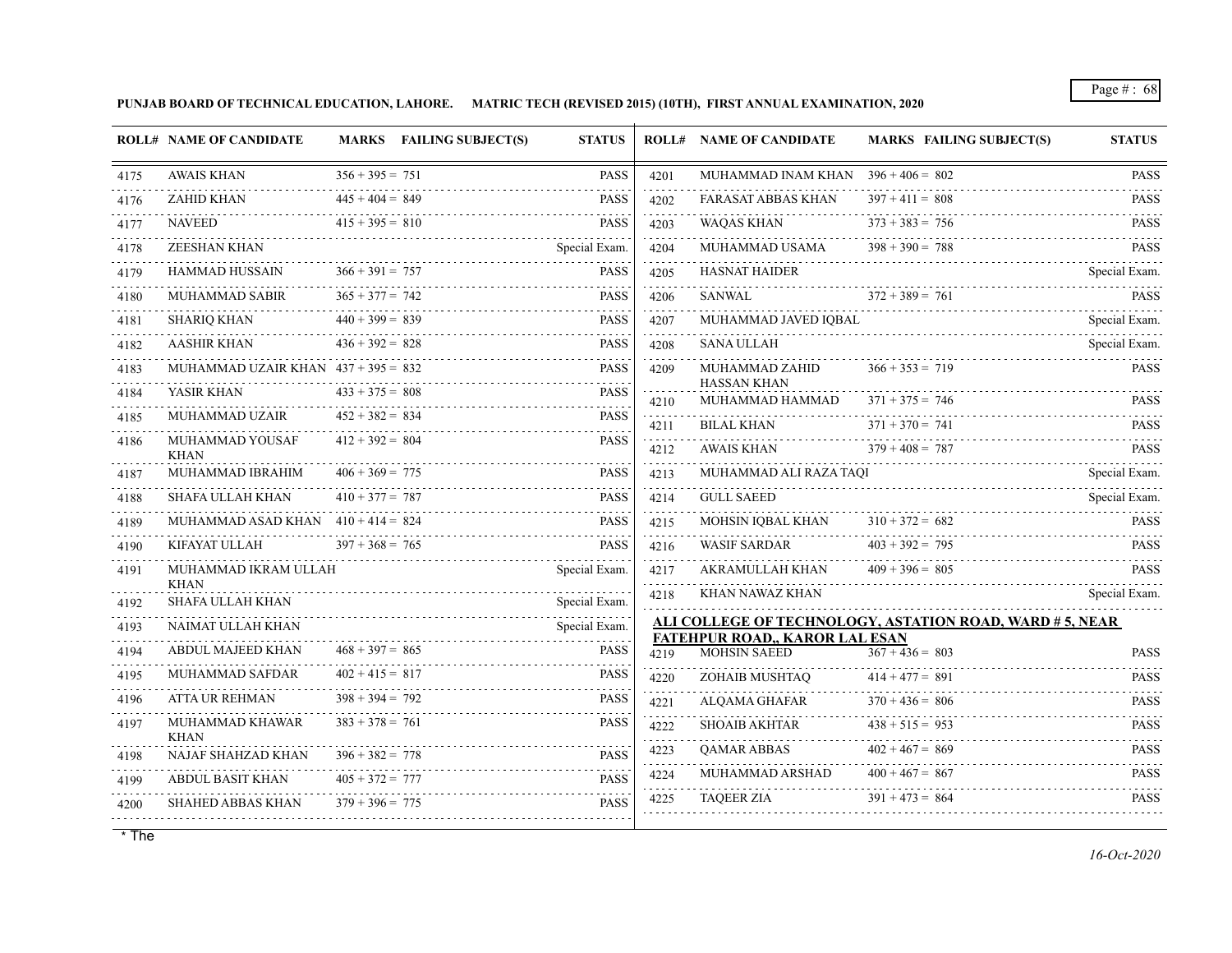**PUNJAB BOARD OF TECHNICAL EDUCATION, LAHORE. MATRIC TECH (REVISED 2015) (10TH), FIRST ANNUAL EXAMINATION, 2020**

|      | <b>ROLL# NAME OF CANDIDATE</b>          |                   | MARKS FAILING SUBJECT(S) | <b>STATUS</b>    |           | <b>ROLL# NAME OF CANDIDATE</b>                               | <b>MARKS FAILING SUBJECT(S)</b>                         | <b>STATUS</b>            |
|------|-----------------------------------------|-------------------|--------------------------|------------------|-----------|--------------------------------------------------------------|---------------------------------------------------------|--------------------------|
| 4175 | <b>AWAIS KHAN</b>                       | $356 + 395 = 751$ |                          | <b>PASS</b>      | 4201      | MUHAMMAD INAM KHAN $396 + 406 = 802$                         |                                                         | <b>PASS</b>              |
| 4176 | ZAHID KHAN                              | $445 + 404 = 849$ |                          | <b>PASS</b>      | 4202      | <b>FARASAT ABBAS KHAN</b>                                    | $397 + 411 = 808$                                       | <b>PASS</b>              |
| 4177 | <b>NAVEED</b>                           | $415 + 395 = 810$ |                          | <b>PASS</b>      | 4203      | <b>WAQAS KHAN</b>                                            | $373 + 383 = 756$                                       | <b>PASS</b>              |
| 4178 | ZEESHAN KHAN                            |                   |                          | Special Exam.    | 4204      | MUHAMMAD USAMA                                               | $398 + 390 = 788$                                       | <b>PASS</b>              |
| 4179 | HAMMAD HUSSAIN                          | $366 + 391 = 757$ |                          | <b>PASS</b>      | 4205      | <b>HASNAT HAIDER</b>                                         |                                                         | Special Exam.            |
| 4180 | <b>MUHAMMAD SABIR</b>                   | $365 + 377 = 742$ |                          | <b>PASS</b>      | 4206      | SANWAL $372 + 389 = 761$                                     |                                                         | <b>PASS</b>              |
| 4181 | <b>SHARIQ KHAN</b>                      | $440 + 399 = 839$ |                          | <b>PASS</b>      | 4207<br>. | MUHAMMAD JAVED IQBAL                                         |                                                         | Special Exam.            |
| 4182 | $436 + 392 = 828$<br><b>AASHIR KHAN</b> |                   |                          | <b>PASS</b>      | 4208<br>. |                                                              | SANA ULLAH Special Exam.                                | Special Exam.            |
| 4183 | MUHAMMAD UZAIR KHAN $437 + 395 = 832$   |                   |                          | <b>PASS</b>      | 4209      | MUHAMMAD ZAHID<br><b>HASSAN KHAN</b>                         | $366 + 353 = 719$                                       | <b>PASS</b>              |
| 4184 | YASIR KHAN                              | $433 + 375 = 808$ |                          | <b>PASS</b><br>. | 4210      | MUHAMMAD HAMMAD $371 + 375 = 746$                            |                                                         | <b>PASS</b>              |
| 4185 | MUHAMMAD UZAIR                          | $452 + 382 = 834$ |                          | <b>PASS</b>      | 4211      | <b>BILAL KHAN</b>                                            | $371 + 370 = 741$                                       | <b>PASS</b>              |
| 4186 | MUHAMMAD YOUSAF<br>KHAN                 | $412 + 392 = 804$ |                          | <b>PASS</b>      | 4212      | <b>AWAIS KHAN</b>                                            | $379 + 408 = 787$                                       | <b>PASS</b>              |
| 4187 | MUHAMMAD IBRAHIM                        | $406 + 369 = 775$ |                          | <b>PASS</b>      | .<br>4213 | MUHAMMAD ALI RAZA TAQI                                       |                                                         | Special Exam.            |
| 4188 | SHAFA ULLAH KHAN                        | $410 + 377 = 787$ |                          | <b>PASS</b>      | 4214      | <b>GULL SAEED</b>                                            |                                                         | Special Exam.            |
| 4189 | MUHAMMAD ASAD KHAN $410 + 414 = 824$    |                   |                          | <b>PASS</b>      | 4215      | MOHSIN IQBAL KHAN                                            | $310 + 372 = 682$                                       | <b>PASS</b>              |
| 4190 | KIFAYAT ULLAH $397 + 368 = 765$         |                   |                          | <b>PASS</b>      | 4216      | WASIF SARDAR                                                 | $403 + 392 = 795$                                       | <b>PASS</b>              |
| 4191 | MUHAMMAD IKRAM ULLAH                    |                   |                          | Special Exam.    | 4217      | AKRAMULLAH KHAN                                              | $409 + 396 = 805$                                       | <b>PASS</b>              |
| 4192 | <b>KHAN</b><br><b>SHAFA ULLAH KHAN</b>  |                   |                          |                  | 4218      |                                                              | KHAN NAWAZ KHAN                                         | Special Exam.            |
| 4193 | NAIMAT ULLAH KHAN                       |                   | Special Exam.            | Special Exam.    |           |                                                              | ALI COLLEGE OF TECHNOLOGY, ASTATION ROAD, WARD #5, NEAR |                          |
| 4194 | ABDUL MAJEED KHAN                       | $468 + 397 = 865$ |                          | <b>PASS</b>      | 4219      | <b>FATEHPUR ROAD,, KAROR LAL ESAN</b><br><b>MOHSIN SAEED</b> | $367 + 436 = 803$                                       | <b>PASS</b>              |
| 4195 | MUHAMMAD SAFDAR                         | $402 + 415 = 817$ |                          | <b>PASS</b>      | 4220      | ZOHAIB MUSHTAQ                                               | $414 + 477 = 891$                                       | <b>PASS</b>              |
| 4196 | ATTA UR REHMAN                          | $398 + 394 = 792$ |                          | <b>PASS</b>      | .<br>4221 | ALOAMA GHAFAR                                                | $370 + 436 = 806$                                       | <b>PASS</b>              |
| 4197 | MUHAMMAD KHAWAR<br><b>KHAN</b>          | $383 + 378 = 761$ |                          | <b>PASS</b>      | 4222<br>. | SHOAIB AKHTAR                                                | $438 + 515 = 953$                                       | <b>PASS</b><br>1.1.1.1.1 |
| 4198 | NAJAF SHAHZAD KHAN                      | $396 + 382 = 778$ | $396 + 382 = 778$ PASS   | <b>PASS</b>      | 4223      | QAMAR ABBAS                                                  | $402 + 467 = 869$                                       | <b>PASS</b>              |
| 4199 | ABDUL BASIT KHAN                        | $405 + 372 = 777$ |                          | <b>PASS</b>      | 4224      | MUHAMMAD ARSHAD                                              | $400 + 467 = 867$                                       | <b>PASS</b>              |
| 4200 | <b>SHAHED ABBAS KHAN</b>                |                   |                          | <b>PASS</b>      | 4225      | <b>TAQEER ZIA</b>                                            | $391 + 473 = 864$                                       | <b>PASS</b>              |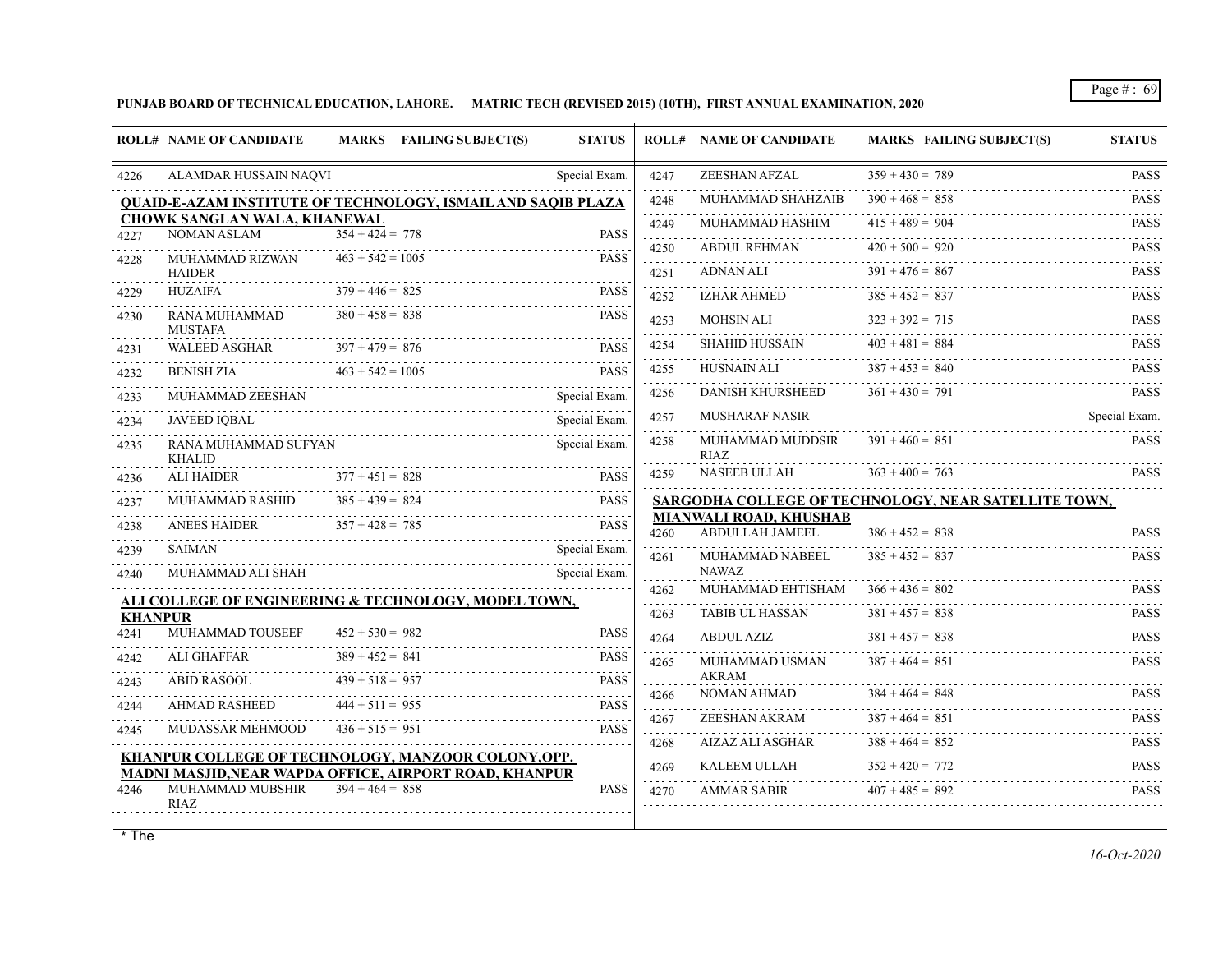**PUNJAB BOARD OF TECHNICAL EDUCATION, LAHORE. MATRIC TECH (REVISED 2015) (10TH), FIRST ANNUAL EXAMINATION, 2020**

|                | <b>ROLL# NAME OF CANDIDATE</b>                     | <b>MARKS</b> FAILING SUBJECT(S)                                     | <b>STATUS</b> |                      | <b>ROLL# NAME OF CANDIDATE</b>            | <b>MARKS FAILING SUBJECT(S)</b>                      | <b>STATUS</b> |
|----------------|----------------------------------------------------|---------------------------------------------------------------------|---------------|----------------------|-------------------------------------------|------------------------------------------------------|---------------|
| 4226           | ALAMDAR HUSSAIN NAQVI                              |                                                                     | Special Exam. | 4247                 | ZEESHAN AFZAL                             | $359 + 430 = 789$                                    | <b>PASS</b>   |
|                |                                                    | <b>QUAID-E-AZAM INSTITUTE OF TECHNOLOGY, ISMAIL AND SAQIB PLAZA</b> |               | 4248                 | MUHAMMAD SHAHZAIB                         | $390 + 468 = 858$                                    | <b>PASS</b>   |
|                | <b>CHOWK SANGLAN WALA, KHANEWAL</b><br>NOMAN ASLAM | $354 + 424 = 778$                                                   | <b>PASS</b>   | 4249                 | MUHAMMAD HASHIM                           | $415 + 489 = 904$                                    | <b>PASS</b>   |
| 4227           |                                                    |                                                                     |               | 4250                 | <b>ABDUL REHMAN</b>                       | $420 + 500 = 920$                                    | <b>PASS</b>   |
| 4228           | MUHAMMAD RIZWAN<br><b>HAIDER</b>                   | $463 + 542 = 1005$                                                  | <b>PASS</b>   | .<br>4251            | ADNAN ALI                                 | $391 + 476 = 867$                                    | <b>PASS</b>   |
| 4229           | <b>HUZAIFA</b>                                     | $379 + 446 = 825$                                                   | <b>PASS</b>   | 4252                 | <b>IZHAR AHMED</b>                        | $385 + 452 = 837$                                    | <b>PASS</b>   |
| 4230           | RANA MUHAMMAD<br><b>MUSTAFA</b>                    | $380 + 458 = 838$                                                   | <b>PASS</b>   | 4253                 | MOHSIN ALI                                | $323 + 392 = 715$                                    | <b>PASS</b>   |
| 4231           | <b>WALEED ASGHAR</b>                               | $397 + 479 = 876$                                                   | <b>PASS</b>   | 4254                 | <b>SHAHID HUSSAIN</b>                     | $403 + 481 = 884$                                    | <b>PASS</b>   |
| 4232           | <b>BENISH ZIA</b>                                  | $463 + 542 = 1005$                                                  | <b>PASS</b>   | 4255<br>.            | <b>HUSNAIN ALI</b>                        | $387 + 453 = 840$                                    | <b>PASS</b>   |
| 4233           | MUHAMMAD ZEESHAN                                   |                                                                     | Special Exam. | 4256<br>$-2 - 2 - 2$ | <b>DANISH KHURSHEED</b>                   | $361 + 430 = 791$                                    | <b>PASS</b>   |
| .<br>4234      | <b>JAVEED IQBAL</b>                                |                                                                     | Special Exam. | 4257                 | <b>MUSHARAF NASIR</b>                     |                                                      | Special Exam. |
| 4235           | RANA MUHAMMAD SUFYAN<br><b>KHALID</b>              |                                                                     | Special Exam. | 4258                 | MUHAMMAD MUDDSIR<br>RIAZ                  | $391 + 460 = 851$                                    | <b>PASS</b>   |
| 4236           | <b>ALI HAIDER</b>                                  | $377 + 451 = 828$                                                   | <b>PASS</b>   | 4259                 | NASEEB ULLAH                              | $363 + 400 = 763$                                    | <b>PASS</b>   |
| 4237           | <b>MUHAMMAD RASHID</b>                             | $385 + 439 = 824$                                                   | <b>PASS</b>   |                      |                                           | SARGODHA COLLEGE OF TECHNOLOGY, NEAR SATELLITE TOWN, |               |
| 4238           | <b>ANEES HAIDER</b>                                | $357 + 428 = 785$                                                   | <b>PASS</b>   | 4260                 | MIANWALI ROAD, KHUSHAB<br>ABDULLAH JAMEEL | $386 + 452 = 838$                                    | <b>PASS</b>   |
| 4239           | <b>SAIMAN</b>                                      |                                                                     | Special Exam. | 4261                 | MUHAMMAD NABEEL                           | $385 + 452 = 837$                                    | <b>PASS</b>   |
| 4240           | MUHAMMAD ALI SHAH                                  |                                                                     | Special Exam. | and a series         | <b>NAWAZ</b>                              |                                                      |               |
|                |                                                    | ALI COLLEGE OF ENGINEERING & TECHNOLOGY, MODEL TOWN,                |               | 4262                 | MUHAMMAD EHTISHAM                         | $366 + 436 = 802$                                    | <b>PASS</b>   |
| <b>KHANPUR</b> |                                                    |                                                                     |               | 4263                 | <b>TABIB UL HASSAN</b>                    | $381 + 457 = 838$                                    | <b>PASS</b>   |
| 4241           | MUHAMMAD TOUSEEF                                   | $452 + 530 = 982$                                                   | <b>PASS</b>   | 4264                 | <b>ABDUL AZIZ</b>                         | $381 + 457 = 838$                                    | <b>PASS</b>   |
| 4242<br>.      | ALI GHAFFAR                                        | $389 + 452 = 841$                                                   | <b>PASS</b>   | 4265                 | MUHAMMAD USMAN                            | $387 + 464 = 851$                                    | <b>PASS</b>   |
| 4243           | ABID RASOOL                                        | $439 + 518 = 957$                                                   | <b>PASS</b>   | 4266                 | <b>AKRAM</b><br>NOMAN AHMAD               | $384 + 464 = 848$                                    | <b>PASS</b>   |
| 4244           | <b>AHMAD RASHEED</b>                               | $444 + 511 = 955$                                                   | <b>PASS</b>   |                      | ZEESHAN AKRAM                             | $387 + 464 = 851$                                    | <b>PASS</b>   |
| 4245           | MUDASSAR MEHMOOD                                   | $436 + 515 = 951$                                                   | <b>PASS</b>   | 4267                 |                                           |                                                      |               |
|                |                                                    | KHANPUR COLLEGE OF TECHNOLOGY, MANZOOR COLONY, OPP.                 |               | 4268<br>.            | AIZAZ ALI ASGHAR                          | $388 + 464 = 852$                                    | <b>PASS</b>   |
|                |                                                    | <b>MADNI MASJID, NEAR WAPDA OFFICE, AIRPORT ROAD, KHANPUR</b>       |               | 4269<br>.            | KALEEM ULLAH                              | $352 + 420 = 772$                                    | <b>PASS</b>   |
| 4246           | MUHAMMAD MUBSHIR<br>RIAZ                           | $394 + 464 = 858$                                                   | <b>PASS</b>   | 4270                 | <b>AMMAR SABIR</b>                        | $407 + 485 = 892$                                    | <b>PASS</b>   |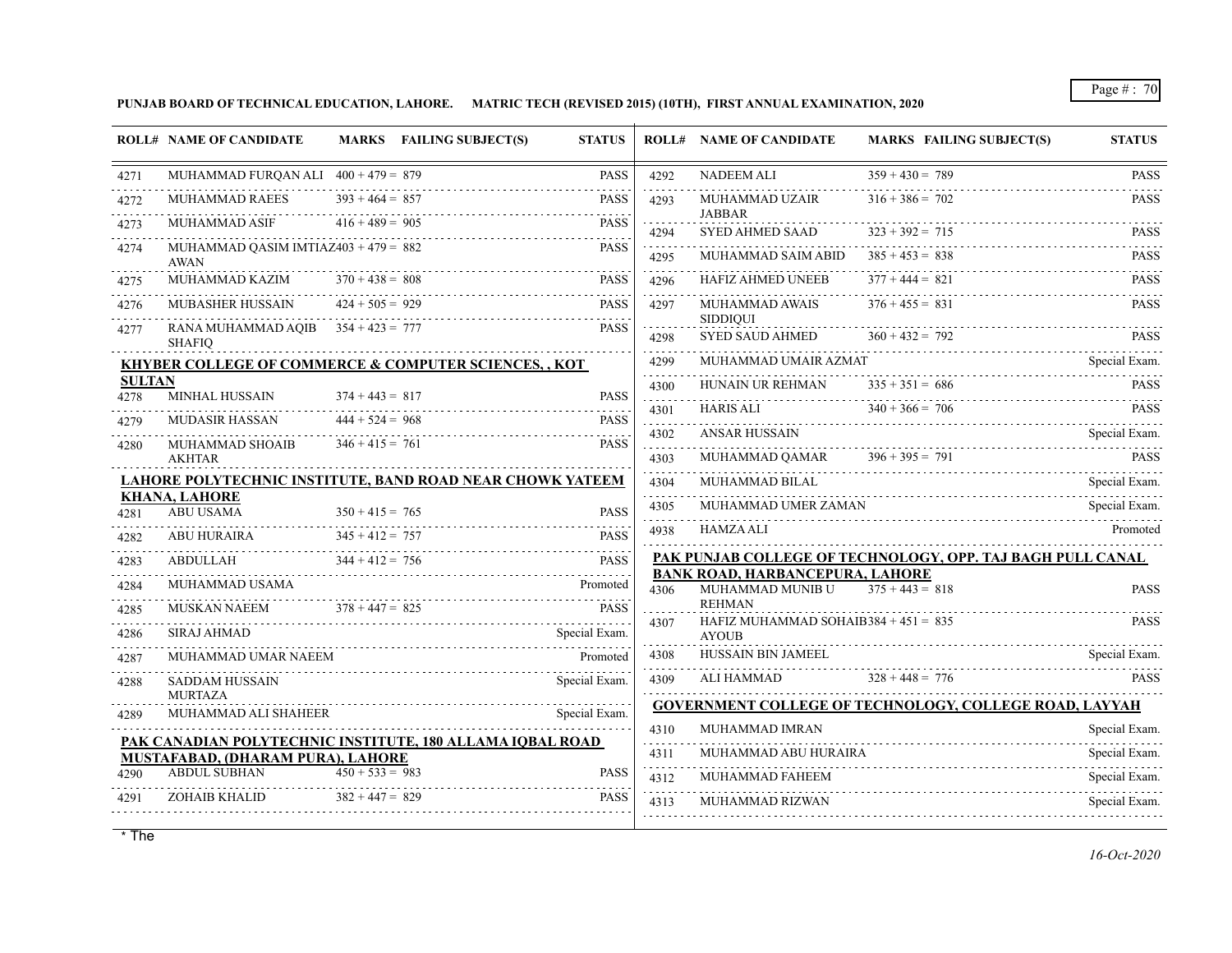**PUNJAB BOARD OF TECHNICAL EDUCATION, LAHORE. MATRIC TECH (REVISED 2015) (10TH), FIRST ANNUAL EXAMINATION, 2020**

|                       | <b>ROLL# NAME OF CANDIDATE</b>                                                                        |                   | MARKS FAILING SUBJECT(S) | <b>STATUS</b>            |                        | <b>ROLL# NAME OF CANDIDATE</b>                             | <b>MARKS FAILING SUBJECT(S)</b>                            | <b>STATUS</b> |
|-----------------------|-------------------------------------------------------------------------------------------------------|-------------------|--------------------------|--------------------------|------------------------|------------------------------------------------------------|------------------------------------------------------------|---------------|
| 4271                  | MUHAMMAD FURQAN ALI $400 + 479 = 879$                                                                 |                   |                          | <b>PASS</b><br>a a a a a | 4292                   | <b>NADEEM ALI</b>                                          | $359 + 430 = 789$                                          | <b>PASS</b>   |
| 4272                  | <b>MUHAMMAD RAEES</b>                                                                                 | $393 + 464 = 857$ |                          | <b>PASS</b>              | 4293                   | MUHAMMAD UZAIR                                             | $316 + 386 = 702$                                          | <b>PASS</b>   |
| 4273                  | <b>MUHAMMAD ASIF</b>                                                                                  | $416 + 489 = 905$ |                          | <b>PASS</b>              | .<br>4294              | JABBAR<br><b>SYED AHMED SAAD</b>                           | $323 + 392 = 715$                                          | <b>PASS</b>   |
| 4274                  | MUHAMMAD QASIM IMTIAZ $403 + 479 = 882$<br><b>AWAN</b>                                                |                   |                          | <b>PASS</b>              | 4295                   | MUHAMMAD SAIM ABID                                         | $385 + 453 = 838$                                          | <b>PASS</b>   |
| 4275                  | MUHAMMAD KAZIM                                                                                        | $370 + 438 = 808$ |                          | <b>PASS</b>              | 4296                   | <b>HAFIZ AHMED UNEEB</b>                                   | $377 + 444 = 821$                                          | <b>PASS</b>   |
| 4276                  | <b>MUBASHER HUSSAIN</b>                                                                               | $424 + 505 = 929$ |                          | <b>PASS</b>              | 4297                   | MUHAMMAD AWAIS                                             | $376 + 455 = 831$                                          | <b>PASS</b>   |
| .<br>4277             | RANA MUHAMMAD AQIB $354 + 423 = 777$<br><b>SHAFIQ</b>                                                 |                   |                          | <b>PASS</b>              | 4298                   | <b>SIDDIQUI</b><br><b>SYED SAUD AHMED</b>                  | $360 + 432 = 792$                                          | <b>PASS</b>   |
|                       | KHYBER COLLEGE OF COMMERCE & COMPUTER SCIENCES, , KOT                                                 |                   |                          |                          | 4299                   | MUHAMMAD UMAIR AZMAT                                       |                                                            | Special Exam. |
| <b>SULTAN</b><br>4278 | MINHAL HUSSAIN                                                                                        | $374 + 443 = 817$ |                          | <b>PASS</b>              | .<br>4300              | HUNAIN UR REHMAN                                           | $335 + 351 = 686$                                          | <b>PASS</b>   |
|                       | MUDASIR HASSAN                                                                                        | $444 + 524 = 968$ |                          | <b>PASS</b>              | .<br>4301              | <b>HARIS ALI</b>                                           | $340 + 366 = 706$<br>HARIS ALI $340 + 366 = 706$ PASS      |               |
| 4279<br>4280          | MUHAMMAD SHOAIB                                                                                       | $346 + 415 = 761$ |                          | 1.1.1.1<br><b>PASS</b>   | .<br>4302              | ANSAR HUSSAIN                                              |                                                            | Special Exam. |
|                       | <b>AKHTAR</b>                                                                                         |                   |                          |                          | الداعات عالمات<br>4303 |                                                            | MUHAMMAD QAMAR $396 + 395 = 791$ PASS                      |               |
|                       | <b>LAHORE POLYTECHNIC INSTITUTE, BAND ROAD NEAR CHOWK YATEEM</b>                                      |                   |                          |                          | .<br>4304              |                                                            | MUHAMMAD BILAL                                             | Special Exam. |
| 4281                  | <b>KHANA, LAHORE</b><br><b>ABU USAMA</b>                                                              | $350 + 415 = 765$ |                          | <b>PASS</b>              | والمتمامين<br>4305     | MUHAMMAD UMER ZAMAN                                        | VUMER ZAMAN<br>Special Exam.                               |               |
| 4282                  | ABU HURAIRA $345 + 412 = 757$                                                                         |                   |                          | <b>PASS</b>              | .<br>4938              | <b>HAMZA ALI</b>                                           |                                                            | Promoted      |
| 4283                  | ABDULLAH                                                                                              | $344 + 412 = 756$ |                          | <b>PASS</b>              |                        |                                                            | PAK PUNJAB COLLEGE OF TECHNOLOGY, OPP. TAJ BAGH PULL CANAL |               |
| 4284                  | MUHAMMAD USAMA                                                                                        |                   |                          | Promoted                 | 4306                   | <b>BANK ROAD, HARBANCEPURA, LAHORE</b><br>MUHAMMAD MUNIB U | $375 + 443 = 818$                                          | <b>PASS</b>   |
| 4285                  | MUSKAN NAEEM $378 + 447 = 825$                                                                        |                   |                          | PASS                     |                        | <b>REHMAN</b>                                              |                                                            |               |
| 4286                  | SIRAJ AHMAD                                                                                           |                   |                          | Special Exam.            | 4307                   | HAFIZ MUHAMMAD SOHAIB384 + $451 = 835$<br><b>AYOUB</b>     |                                                            | <b>PASS</b>   |
| 4287                  | MUHAMMAD UMAR NAEEM                                                                                   |                   |                          | Promoted                 | 4308                   | HUSSAIN BIN JAMEEL                                         |                                                            | Special Exam. |
| 4288                  | SADDAM HUSSAIN                                                                                        |                   |                          | Special Exam.            | 4309                   | ALI HAMMAD                                                 | $328 + 448 = 776$                                          | <b>PASS</b>   |
|                       | <b>MURTAZA</b>                                                                                        |                   |                          |                          |                        |                                                            | GOVERNMENT COLLEGE OF TECHNOLOGY, COLLEGE ROAD, LAYYAH     |               |
| 4289                  | MUHAMMAD ALI SHAHEER                                                                                  |                   | Special Exam.            |                          | 4310                   | MUHAMMAD IMRAN                                             |                                                            | Special Exam. |
|                       | PAK CANADIAN POLYTECHNIC INSTITUTE, 180 ALLAMA IQBAL ROAD<br><b>MUSTAFABAD, (DHARAM PURA), LAHORE</b> |                   |                          |                          | .<br>4311              | MUHAMMAD ABU HURAIRA                                       |                                                            | Special Exam. |
| 4290                  | <b>ABDUL SUBHAN</b>                                                                                   | $450 + 533 = 983$ |                          | <b>PASS</b>              | .<br>4312              | MUHAMMAD FAHEEM                                            |                                                            | Special Exam. |
| 4291                  | ZOHAIB KHALID                                                                                         | $382 + 447 = 829$ |                          | PASS                     | 4313                   | MUHAMMAD RIZWAN                                            |                                                            | Special Exam. |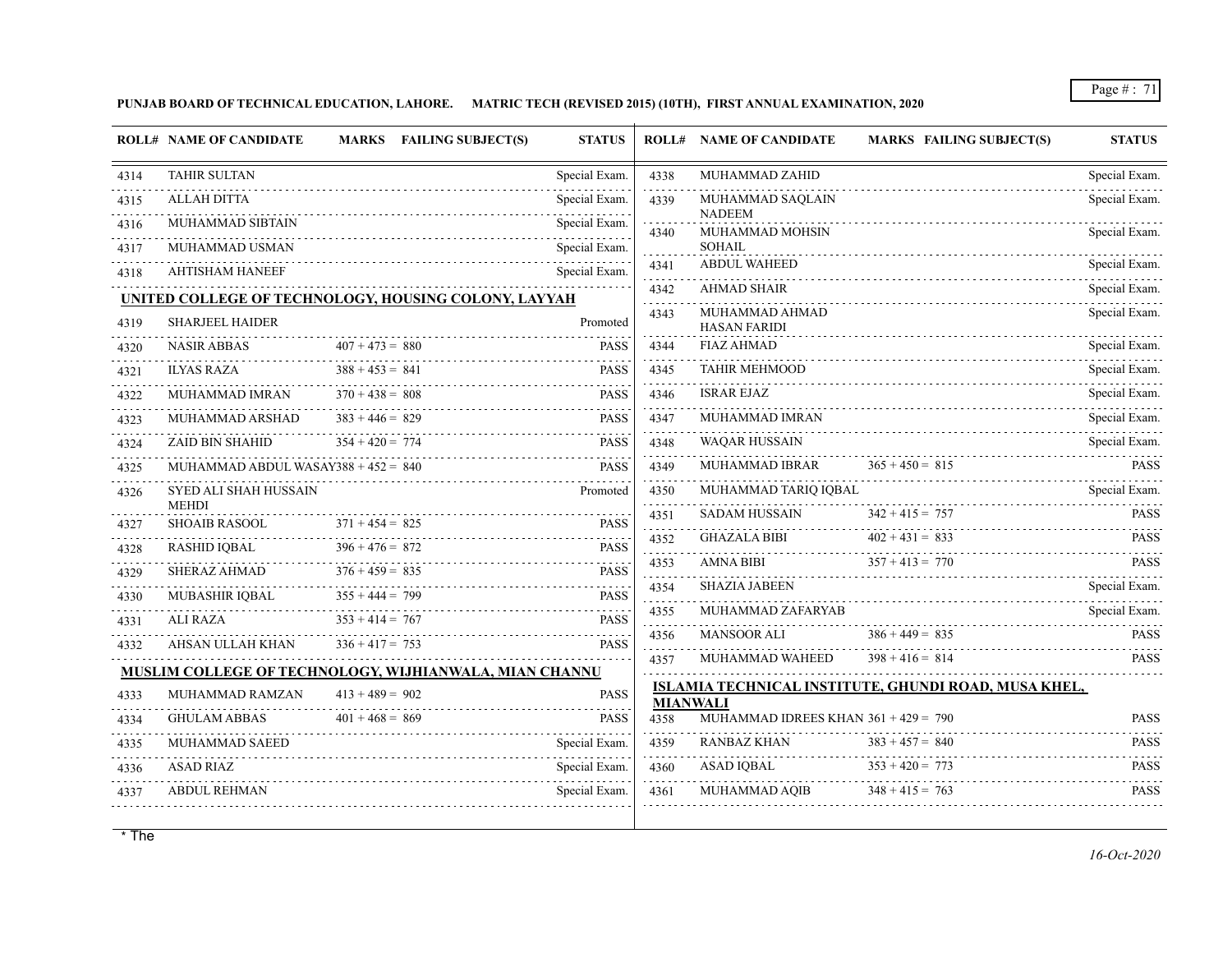**PUNJAB BOARD OF TECHNICAL EDUCATION, LAHORE. MATRIC TECH (REVISED 2015) (10TH), FIRST ANNUAL EXAMINATION, 2020**

|      | <b>ROLL# NAME OF CANDIDATE</b>               | MARKS FAILING SUBJECT(S)                               | <b>STATUS</b>                  |                         | <b>ROLL# NAME OF CANDIDATE</b>         | <b>MARKS FAILING SUBJECT(S)</b>                      | <b>STATUS</b>      |
|------|----------------------------------------------|--------------------------------------------------------|--------------------------------|-------------------------|----------------------------------------|------------------------------------------------------|--------------------|
| 4314 | <b>TAHIR SULTAN</b>                          |                                                        | Special Exam.                  | 4338                    | MUHAMMAD ZAHID                         |                                                      | Special Exam.      |
| 4315 | <b>ALLAH DITTA</b>                           |                                                        | Special Exam.                  | 4339                    | MUHAMMAD SAQLAIN<br><b>NADEEM</b>      |                                                      | Special Exam.      |
| 4316 | MUHAMMAD SIBTAIN                             |                                                        | Special Exam.                  | 4340                    | MUHAMMAD MOHSIN                        |                                                      | Special Exam.      |
| 4317 | MUHAMMAD USMAN                               |                                                        | Special Exam.                  |                         | <b>SOHAIL</b>                          |                                                      |                    |
| 4318 | <b>AHTISHAM HANEEF</b>                       |                                                        | Special Exam.                  | 4341                    | <b>ABDUL WAHEED</b>                    |                                                      | Special Exam.<br>. |
|      |                                              | UNITED COLLEGE OF TECHNOLOGY, HOUSING COLONY, LAYYAH   |                                | 4342<br>.               | <b>AHMAD SHAIR</b>                     |                                                      | Special Exam.      |
| 4319 | <b>SHARJEEL HAIDER</b>                       |                                                        | Promoted                       | 4343                    | MUHAMMAD AHMAD<br><b>HASAN FARIDI</b>  |                                                      | Special Exam.      |
| 4320 | <b>NASIR ABBAS</b>                           | $407 + 473 = 880$                                      | <b>PASS</b>                    | 4344                    | <b>FIAZ AHMAD</b>                      |                                                      | Special Exam.<br>. |
| 4321 | <b>ILYAS RAZA</b>                            | $388 + 453 = 841$                                      | <b>PASS</b>                    | 4345                    | <b>TAHIR MEHMOOD</b>                   |                                                      | Special Exam.      |
| 4322 | MUHAMMAD IMRAN                               | $370 + 438 = 808$                                      | <b>PASS</b>                    | 4346                    | <b>ISRAR EJAZ</b>                      |                                                      | Special Exam.<br>. |
| 4323 | MUHAMMAD ARSHAD                              | $383 + 446 = 829$                                      | <b>PASS</b>                    | 4347<br>.               | MUHAMMAD IMRAN                         |                                                      | Special Exam.      |
| 4324 | <b>ZAID BIN SHAHID</b>                       | $354 + 420 = 774$                                      | <b>PASS</b>                    | 4348                    | <b>WAQAR HUSSAIN</b>                   |                                                      | Special Exam.      |
| 4325 | MUHAMMAD ABDUL WASAY388 + $452 = 840$        |                                                        | <b>PASS</b>                    | 4349<br>.               | MUHAMMAD IBRAR                         | $365 + 450 = 815$                                    | <b>PASS</b>        |
| 4326 | <b>SYED ALI SHAH HUSSAIN</b><br><b>MEHDI</b> |                                                        | Promoted                       | 4350<br>.               | MUHAMMAD TARIQ IQBAL                   |                                                      | Special Exam.      |
| 4327 | <b>SHOAIB RASOOL</b>                         | $371 + 454 = 825$                                      | <b>PASS</b>                    | 4351<br>.               | <b>SADAM HUSSAIN</b>                   | $342 + 415 = 757$                                    | <b>PASS</b>        |
| 4328 | RASHID IQBAL                                 | $396 + 476 = 872$                                      | <b>PASS</b>                    | 4352<br>.               | <b>GHAZALA BIBI</b>                    | $402 + 431 = 833$                                    | <b>PASS</b>        |
| 4329 | <b>SHERAZ AHMAD</b>                          | $376 + 459 = 835$                                      | <b>PASS</b>                    | 4353<br>.               | AMNA BIBI                              | $357 + 413 = 770$                                    | <b>PASS</b>        |
| 4330 | MUBASHIR IQBAL                               | $355 + 444 = 799$                                      | <b>PASS</b>                    | 4354<br>.               | <b>SHAZIA JABEEN</b>                   |                                                      | Special Exam.      |
| 4331 | ALI RAZA                                     | $353 + 414 = 767$                                      | <b>PASS</b>                    | 4355                    | MUHAMMAD ZAFARYAB                      |                                                      | Special Exam.      |
| 4332 | AHSAN ULLAH KHAN                             | $336 + 417 = 753$                                      | <b>PASS</b>                    | 4356                    | <b>MANSOOR ALI</b>                     | $386 + 449 = 835$                                    | <b>PASS</b>        |
|      |                                              | MUSLIM COLLEGE OF TECHNOLOGY, WIJHIANWALA, MIAN CHANNU |                                | 4357                    | MUHAMMAD WAHEED                        | $398 + 416 = 814$                                    | <b>PASS</b>        |
| 4333 | MUHAMMAD RAMZAN                              | $413 + 489 = 902$                                      | <b>PASS</b>                    |                         |                                        | ISLAMIA TECHNICAL INSTITUTE, GHUNDI ROAD, MUSA KHEL, |                    |
| 4334 | <b>GHULAM ABBAS</b>                          | $401 + 468 = 869$                                      | <b>PASS</b>                    | <b>MIANWALI</b><br>4358 | MUHAMMAD IDREES KHAN $361 + 429 = 790$ |                                                      | <b>PASS</b>        |
|      | MUHAMMAD SAEED                               |                                                        |                                | 4359                    | <b>RANBAZ KHAN</b>                     | $383 + 457 = 840$                                    | <b>PASS</b>        |
| 4335 | <b>ASAD RIAZ</b>                             |                                                        | Special Exam.<br>Special Exam. | 4360                    | ASAD IOBAL                             | $353 + 420 = 773$                                    | <b>PASS</b>        |
| 4336 |                                              |                                                        |                                |                         |                                        |                                                      |                    |
| 4337 | <b>ABDUL REHMAN</b>                          |                                                        | Special Exam.                  | 4361                    | <b>MUHAMMAD AQIB</b>                   | $348 + 415 = 763$                                    | <b>PASS</b>        |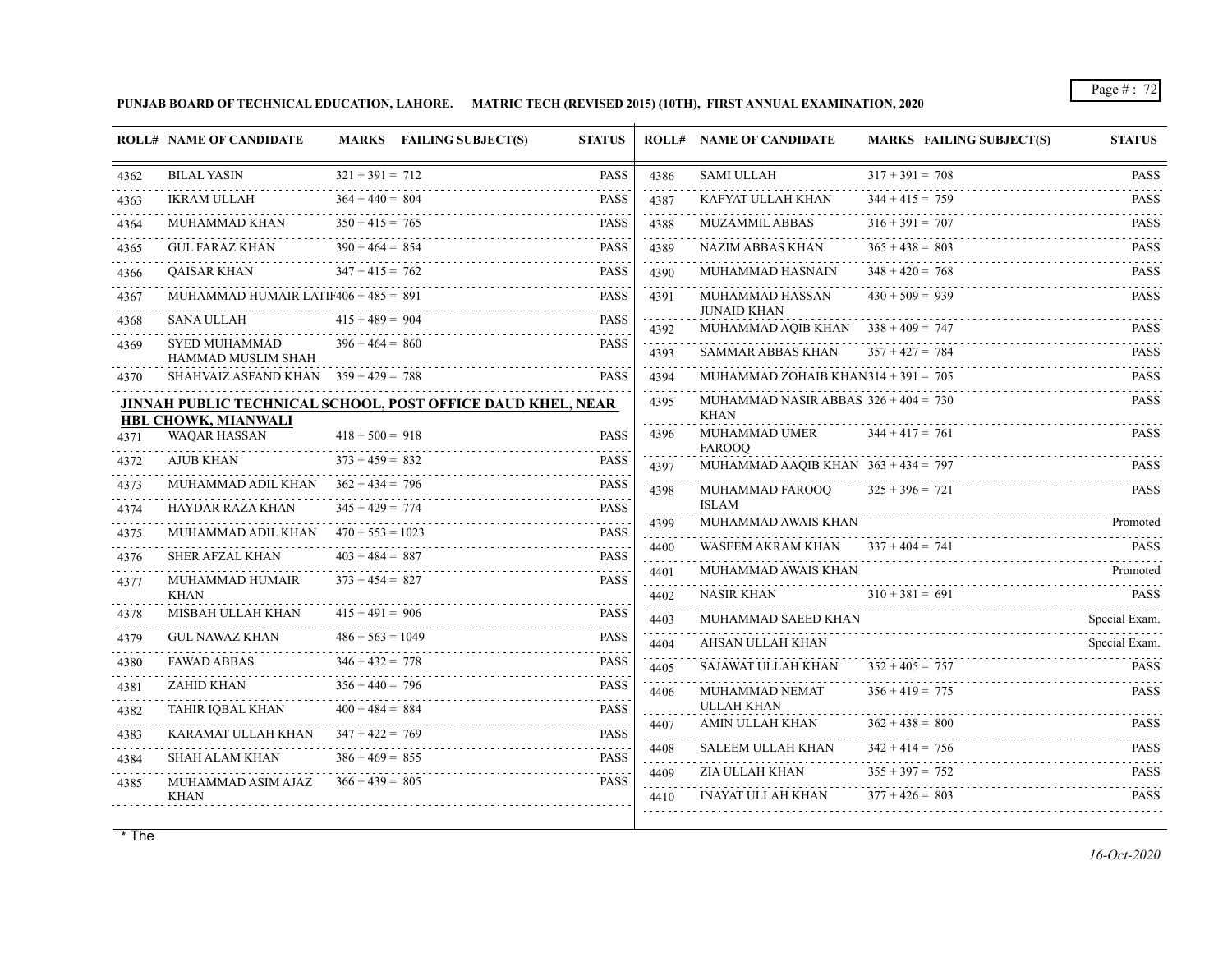**PUNJAB BOARD OF TECHNICAL EDUCATION, LAHORE. MATRIC TECH (REVISED 2015) (10TH), FIRST ANNUAL EXAMINATION, 2020**

|      | <b>ROLL# NAME OF CANDIDATE</b>                                                            |                    | MARKS FAILING SUBJECT(S) | <b>STATUS</b> |                        | <b>ROLL# NAME OF CANDIDATE</b>                        | <b>MARKS FAILING SUBJECT(S)</b> | <b>STATUS</b>            |
|------|-------------------------------------------------------------------------------------------|--------------------|--------------------------|---------------|------------------------|-------------------------------------------------------|---------------------------------|--------------------------|
| 4362 | <b>BILAL YASIN</b>                                                                        | $321 + 391 = 712$  |                          | <b>PASS</b>   | 4386                   | <b>SAMI ULLAH</b>                                     | $317 + 391 = 708$               | <b>PASS</b>              |
| 4363 | <b>IKRAM ULLAH</b>                                                                        | $364 + 440 = 804$  |                          | <b>PASS</b>   | 4387                   | KAFYAT ULLAH KHAN                                     | $344 + 415 = 759$               | <b>PASS</b>              |
| 4364 | MUHAMMAD KHAN                                                                             | $350 + 415 = 765$  |                          | <b>PASS</b>   | 4388                   | <b>MUZAMMIL ABBAS</b>                                 | $316 + 391 = 707$               | <b>PASS</b>              |
| 4365 | <b>GUL FARAZ KHAN</b>                                                                     | $390 + 464 = 854$  |                          | <b>PASS</b>   | .<br>4389              | <b>NAZIM ABBAS KHAN</b>                               | $365 + 438 = 803$               | <b>PASS</b>              |
| 4366 | QAISAR KHAN                                                                               | $347 + 415 = 762$  |                          | <b>PASS</b>   | and a strategy<br>4390 | MUHAMMAD HASNAIN                                      | $348 + 420 = 768$               | <b>PASS</b>              |
| 4367 | MUHAMMAD HUMAIR LATIF406 + $485 = 891$                                                    |                    |                          | <b>PASS</b>   | 4391                   | MUHAMMAD HASSAN                                       | $430 + 509 = 939$               | .<br><b>PASS</b>         |
| 4368 | SANA ULLAH                                                                                | $415 + 489 = 904$  |                          | <b>PASS</b>   | 4392                   | <b>JUNAID KHAN</b><br>MUHAMMAD AQIB KHAN              | $338 + 409 = 747$               | <b>PASS</b>              |
| 4369 | <b>SYED MUHAMMAD</b>                                                                      | $396 + 464 = 860$  |                          | <b>PASS</b>   | 4393                   | <b>SAMMAR ABBAS KHAN</b>                              | $357 + 427 = 784$               | 1.1.1.1.1<br><b>PASS</b> |
| 4370 | HAMMAD MUSLIM SHAH<br>SHAHVAIZ ASFAND KHAN $359 + 429 = 788$                              |                    |                          | <b>PASS</b>   | 4394                   | MUHAMMAD ZOHAIB KHAN3 $14 + 391 = 705$                |                                 | <b>PASS</b>              |
|      | <b>JINNAH PUBLIC TECHNICAL SCHOOL, POST OFFICE DAUD KHEL, NEAR</b><br>HBL CHOWK, MIANWALI |                    |                          |               | 4395                   | MUHAMMAD NASIR ABBAS $326 + 404 = 730$<br><b>KHAN</b> |                                 | <b>PASS</b>              |
| 4371 | <b>WAOAR HASSAN</b>                                                                       | $418 + 500 = 918$  |                          | <b>PASS</b>   | 4396                   | <b>MUHAMMAD UMER</b><br><b>FAROOO</b>                 | $344 + 417 = 761$               | <b>PASS</b>              |
| 4372 | AJUB KHAN                                                                                 | $373 + 459 = 832$  |                          | <b>PASS</b>   | 4397                   | MUHAMMAD AAQIB KHAN $363 + 434 = 797$                 |                                 | <b>PASS</b>              |
| 4373 | MUHAMMAD ADIL KHAN                                                                        | $362 + 434 = 796$  |                          | <b>PASS</b>   | 4398                   | MUHAMMAD FAROOO                                       | $325 + 396 = 721$               | <b>PASS</b>              |
| 4374 | HAYDAR RAZA KHAN                                                                          | $345 + 429 = 774$  |                          | <b>PASS</b>   |                        | <b>ISLAM</b>                                          |                                 |                          |
| 4375 | MUHAMMAD ADIL KHAN $470 + 553 = 1023$                                                     |                    |                          | <b>PASS</b>   | 4399<br>$- - - - -$    | MUHAMMAD AWAIS KHAN                                   |                                 | Promoted                 |
| 4376 | <b>SHER AFZAL KHAN</b>                                                                    | $403 + 484 = 887$  |                          | <b>PASS</b>   | 4400                   | WASEEM AKRAM KHAN                                     | $337 + 404 = 741$               | <b>PASS</b>              |
| 4377 | MUHAMMAD HUMAIR                                                                           | $373 + 454 = 827$  |                          | <b>PASS</b>   | 4401                   | MUHAMMAD AWAIS KHAN                                   |                                 | Promoted                 |
| 4378 | <b>KHAN</b><br>MISBAH ULLAH KHAN                                                          | $415 + 491 = 906$  |                          | <b>PASS</b>   | 4402                   | <b>NASIR KHAN</b>                                     | $310 + 381 = 691$               | <b>PASS</b>              |
| 4379 | GUL NAWAZ KHAN                                                                            | $486 + 563 = 1049$ |                          | <b>PASS</b>   | 4403                   | MUHAMMAD SAEED KHAN                                   |                                 | Special Exam.            |
| 4380 | <b>FAWAD ABBAS</b>                                                                        | $346 + 432 = 778$  |                          | <b>PASS</b>   | 4404                   | AHSAN ULLAH KHAN                                      |                                 | Special Exam.            |
|      | ZAHID KHAN                                                                                | $356 + 440 = 796$  |                          | <b>PASS</b>   | 4405<br>.              | <b>SAJAWAT ULLAH KHAN</b>                             | $352 + 405 = 757$               | <b>PASS</b>              |
| 4381 | TAHIR IOBAL KHAN                                                                          | $400 + 484 = 884$  |                          | <b>PASS</b>   | 4406                   | MUHAMMAD NEMAT<br><b>ULLAH KHAN</b>                   | $356 + 419 = 775$               | <b>PASS</b>              |
| 4382 |                                                                                           |                    |                          |               | 4407                   | AMIN ULLAH KHAN                                       | $362 + 438 = 800$               | <b>PASS</b>              |
| 4383 | KARAMAT ULLAH KHAN                                                                        | $347 + 422 = 769$  |                          | <b>PASS</b>   | .<br>4408              | <b>SALEEM ULLAH KHAN</b>                              | $342 + 414 = 756$               | <b>PASS</b>              |
| 4384 | <b>SHAH ALAM KHAN</b>                                                                     | $386 + 469 = 855$  |                          | <b>PASS</b>   | 4409                   | ZIA ULLAH KHAN                                        | $355 + 397 = 752$               | <b>PASS</b>              |
| 4385 | MUHAMMAD ASIM AJAZ<br><b>KHAN</b>                                                         | $366 + 439 = 805$  |                          | <b>PASS</b>   | 4410                   | INAYAT ULLAH KHAN                                     | $377 + 426 = 803$               | <b>PASS</b>              |
|      |                                                                                           |                    |                          |               |                        |                                                       |                                 |                          |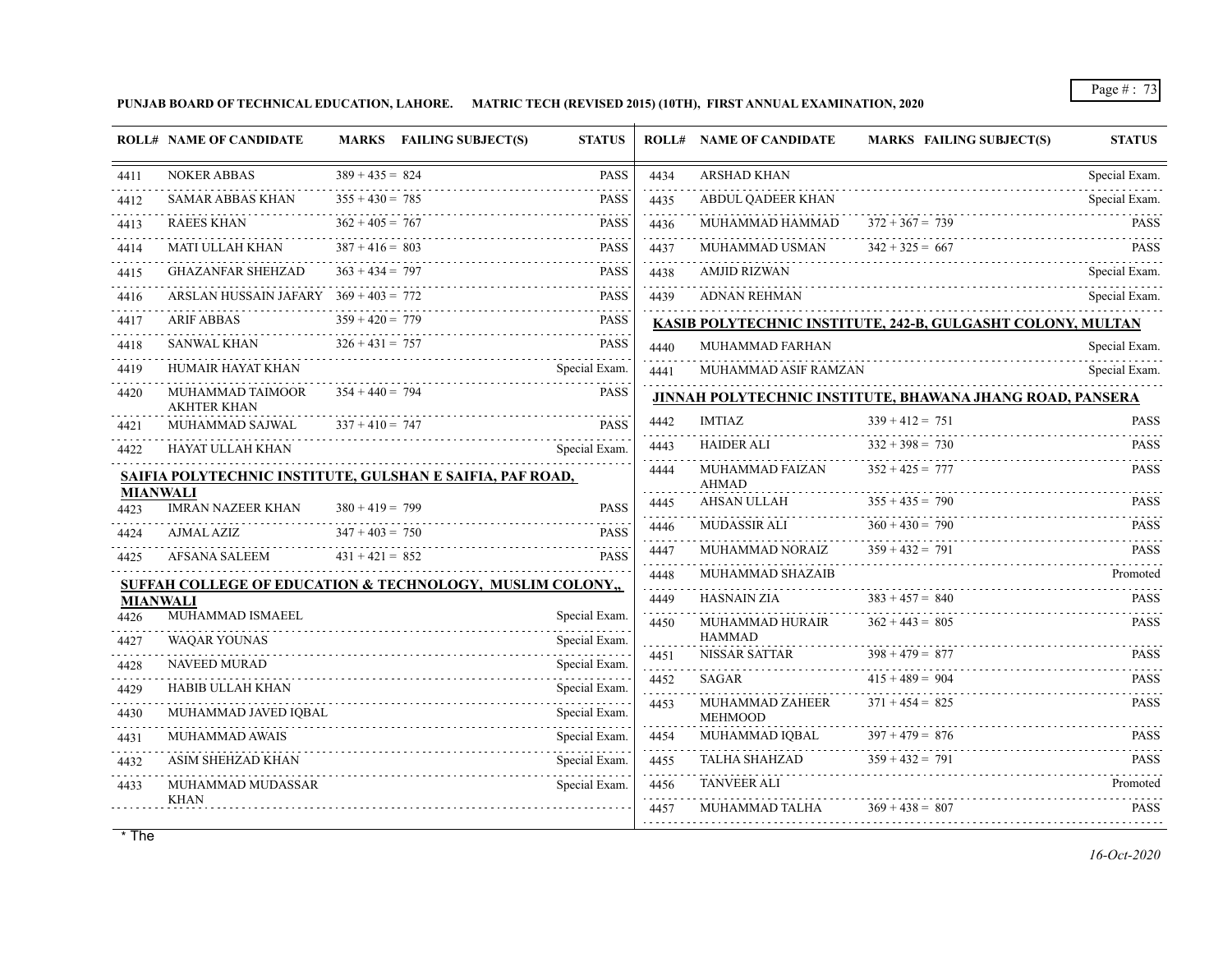**PUNJAB BOARD OF TECHNICAL EDUCATION, LAHORE. MATRIC TECH (REVISED 2015) (10TH), FIRST ANNUAL EXAMINATION, 2020**

|                         | <b>ROLL# NAME OF CANDIDATE</b>                            |                   | MARKS FAILING SUBJECT(S) | <b>STATUS</b>                                |                | <b>ROLL# NAME OF CANDIDATE</b>  | <b>MARKS FAILING SUBJECT(S)</b>                             | <b>STATUS</b>      |
|-------------------------|-----------------------------------------------------------|-------------------|--------------------------|----------------------------------------------|----------------|---------------------------------|-------------------------------------------------------------|--------------------|
| 4411                    | <b>NOKER ABBAS</b>                                        | $389 + 435 = 824$ |                          | <b>PASS</b>                                  | 4434           | <b>ARSHAD KHAN</b>              |                                                             | Special Exam.      |
| 4412                    | SAMAR ABBAS KHAN                                          | $355 + 430 = 785$ |                          | <b>PASS</b>                                  | .<br>4435      | ABDUL QADEER KHAN               |                                                             | Special Exam.      |
| 4413                    | <b>RAEES KHAN</b>                                         | $362 + 405 = 767$ |                          | <b>PASS</b>                                  | .<br>4436      | MUHAMMAD HAMMAD                 | $372 + 367 = 739$                                           | <b>PASS</b>        |
| 4414                    | MATI ULLAH KHAN<br>.                                      | $387 + 416 = 803$ |                          | $\omega$ is a set of $\omega$<br><b>PASS</b> | .<br>4437<br>. | MUHAMMAD USMAN                  | $342 + 325 = 667$                                           | <b>PASS</b>        |
| 4415                    | <b>GHAZANFAR SHEHZAD</b>                                  | $363 + 434 = 797$ |                          | <b>PASS</b><br>.                             | 4438           | <b>AMJID RIZWAN</b>             |                                                             | Special Exam.      |
| 4416                    | ARSLAN HUSSAIN JAFARY $369 + 403 = 772$                   |                   |                          | <b>PASS</b>                                  | 4439           | <b>ADNAN REHMAN</b>             |                                                             | Special Exam.      |
| 4417                    | <b>ARIF ABBAS</b>                                         | $359 + 420 = 779$ |                          | <b>PASS</b>                                  |                |                                 | KASIB POLYTECHNIC INSTITUTE, 242-B, GULGASHT COLONY, MULTAN |                    |
| 4418                    | <b>SANWAL KHAN</b>                                        | $326 + 431 = 757$ |                          | <b>PASS</b>                                  | 4440           | MUHAMMAD FARHAN                 |                                                             | Special Exam.      |
| 4419                    | HUMAIR HAYAT KHAN                                         |                   |                          | Special Exam.                                | 4441           | MUHAMMAD ASIF RAMZAN            |                                                             | .<br>Special Exam. |
| 4420                    | MUHAMMAD TAIMOOR<br><b>AKHTER KHAN</b>                    | $354 + 440 = 794$ |                          | <b>PASS</b>                                  |                |                                 | JINNAH POLYTECHNIC INSTITUTE, BHAWANA JHANG ROAD, PANSERA   |                    |
| 4421                    | MUHAMMAD SAJWAL                                           | $337 + 410 = 747$ |                          | <b>PASS</b>                                  | 4442           | <b>IMTIAZ</b>                   | $339 + 412 = 751$                                           | <b>PASS</b>        |
| 4422                    | HAYAT ULLAH KHAN                                          |                   |                          | Special Exam.                                | .<br>4443      | <b>HAIDER ALI</b>               | $332 + 398 = 730$                                           | <b>PASS</b>        |
|                         | SAIFIA POLYTECHNIC INSTITUTE, GULSHAN E SAIFIA, PAF ROAD, |                   |                          |                                              | 4444           | MUHAMMAD FAIZAN<br><b>AHMAD</b> | $352 + 425 = 777$                                           | .<br><b>PASS</b>   |
| <b>MIANWALI</b><br>4423 | <b>IMRAN NAZEER KHAN</b>                                  | $380 + 419 = 799$ |                          | <b>PASS</b>                                  | 4445           | AHSAN ULLAH                     | $355 + 435 = 790$                                           | <b>PASS</b>        |
| 4424                    | AJMAL AZIZ                                                | $347 + 403 = 750$ |                          | <b>PASS</b>                                  | .<br>4446      | <b>MUDASSIR ALI</b>             | $360 + 430 = 790$                                           | <b>PASS</b>        |
| 4425                    | AFSANA SALEEM                                             | $431 + 421 = 852$ |                          | <b>PASS</b>                                  | 4447           | MUHAMMAD NORAIZ                 | $359 + 432 = 791$                                           | <b>PASS</b>        |
|                         | SUFFAH COLLEGE OF EDUCATION & TECHNOLOGY, MUSLIM COLONY,  |                   |                          |                                              | .<br>4448<br>. | MUHAMMAD SHAZAIB                |                                                             | Promoted           |
| <b>MIANWALI</b>         |                                                           |                   |                          |                                              | 4449           | <b>HASNAIN ZIA</b>              | $383 + 457 = 840$                                           | <b>PASS</b>        |
| 4426                    | MUHAMMAD ISMAEEL                                          |                   |                          | Special Exam.                                | 4450           | MUHAMMAD HURAIR                 | $362 + 443 = 805$                                           | <b>PASS</b>        |
| 4427                    | <b>WAOAR YOUNAS</b>                                       |                   |                          | Special Exam.                                | 4451           | <b>HAMMAD</b><br>NISSAR SATTAR  | $398 + 479 = 877$                                           | <b>PASS</b>        |
| 4428                    | NAVEED MURAD                                              |                   |                          | Special Exam.                                | .<br>4452      | SAGAR                           | $415 + 489 = 904$                                           | <b>PASS</b>        |
| 4429                    | HABIB ULLAH KHAN                                          |                   |                          | Special Exam.                                | .<br>4453      | MUHAMMAD ZAHEER                 | $371 + 454 = 825$                                           | <b>PASS</b>        |
| 4430                    | MUHAMMAD JAVED IOBAL                                      |                   |                          | Special Exam.                                |                | <b>MEHMOOD</b>                  |                                                             |                    |
| 4431                    | <b>MUHAMMAD AWAIS</b>                                     |                   |                          | Special Exam.                                | 4454<br>.      | MUHAMMAD IQBAL                  | $397 + 479 = 876$                                           | PASS               |
| 4432                    | <b>ASIM SHEHZAD KHAN</b>                                  |                   |                          | Special Exam.                                | 4455<br>.      | <b>TALHA SHAHZAD</b>            | $359 + 432 = 791$                                           | <b>PASS</b>        |
| 4433                    | MUHAMMAD MUDASSAR<br><b>KHAN</b>                          |                   |                          | Special Exam.                                | 4456<br>.      | <b>TANVEER ALI</b>              |                                                             | Promoted           |
|                         |                                                           |                   |                          |                                              | 4457           | MUHAMMAD TALHA                  | $369 + 438 = 807$                                           | <b>PASS</b>        |
|                         |                                                           |                   |                          |                                              |                |                                 |                                                             |                    |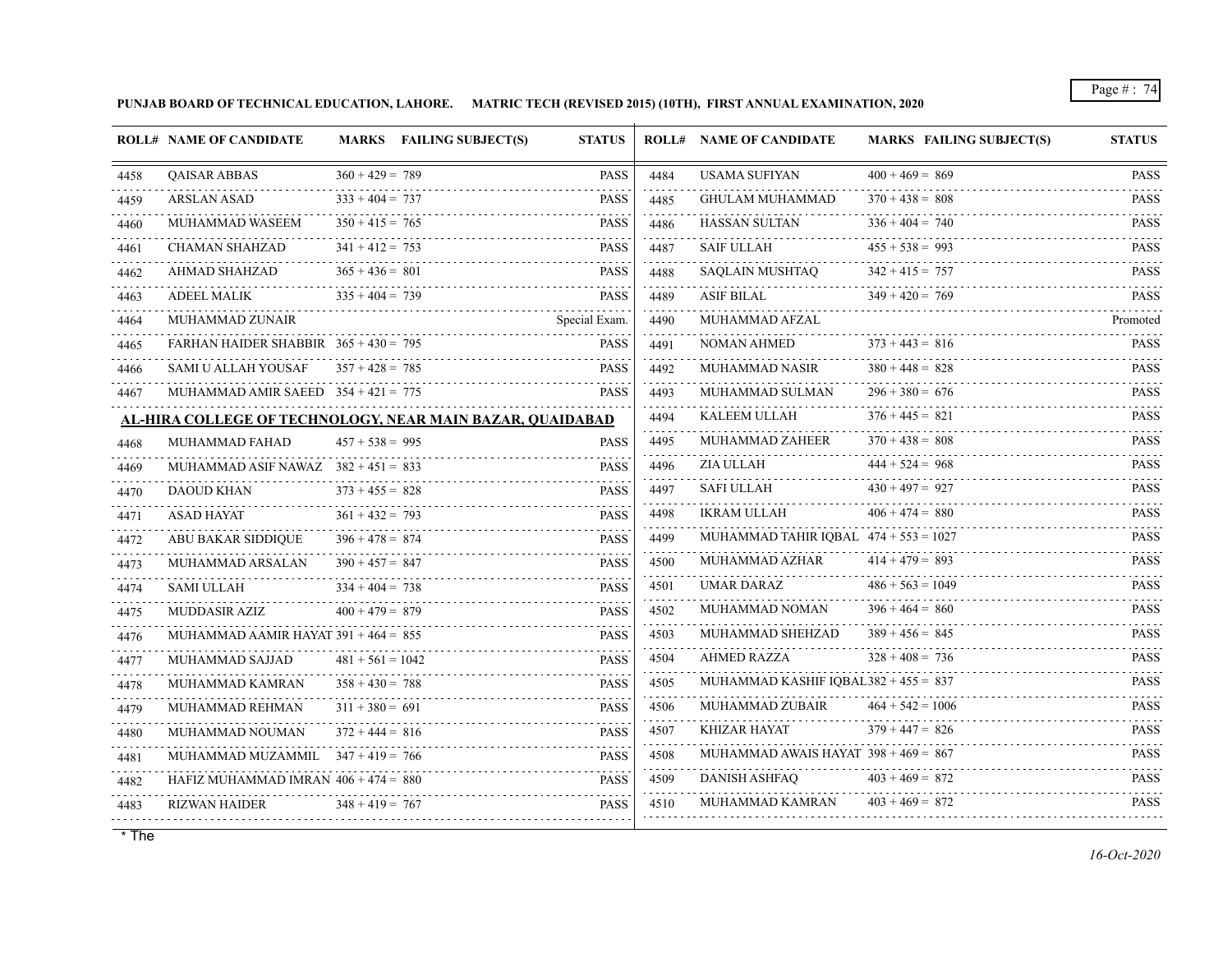**PUNJAB BOARD OF TECHNICAL EDUCATION, LAHORE. MATRIC TECH (REVISED 2015) (10TH), FIRST ANNUAL EXAMINATION, 2020**

|      | <b>ROLL# NAME OF CANDIDATE</b>                            |                    | MARKS FAILING SUBJECT(S) | <b>STATUS</b> |           | <b>ROLL# NAME OF CANDIDATE</b>          | <b>MARKS FAILING SUBJECT(S)</b> | <b>STATUS</b>                |
|------|-----------------------------------------------------------|--------------------|--------------------------|---------------|-----------|-----------------------------------------|---------------------------------|------------------------------|
| 4458 | <b>QAISAR ABBAS</b>                                       | $360 + 429 = 789$  |                          | <b>PASS</b>   | 4484      | <b>USAMA SUFIYAN</b>                    | $400 + 469 = 869$               | <b>PASS</b>                  |
| 4459 | ARSLAN ASAD                                               | $333 + 404 = 737$  |                          | <b>PASS</b>   | 4485      | <b>GHULAM MUHAMMAD</b>                  | $370 + 438 = 808$               | $- - - - - -$<br><b>PASS</b> |
| 4460 | MUHAMMAD WASEEM                                           | $350 + 415 = 765$  |                          | <b>PASS</b>   | 4486      | <b>HASSAN SULTAN</b>                    | $336 + 404 = 740$               | <b>PASS</b>                  |
| 4461 | <b>CHAMAN SHAHZAD</b>                                     | $341 + 412 = 753$  |                          | <b>PASS</b>   | 4487      | <b>SAIF ULLAH</b>                       | $455 + 538 = 993$               | <b>PASS</b>                  |
| 4462 | AHMAD SHAHZAD                                             | $365 + 436 = 801$  |                          | <b>PASS</b>   | 4488      | SAOLAIN MUSHTAO                         | $342 + 415 = 757$               | <b>PASS</b>                  |
| 4463 | <b>ADEEL MALIK</b>                                        | $335 + 404 = 739$  |                          | <b>PASS</b>   | 4489      | ASIF BILAL                              | $349 + 420 = 769$               | <b>PASS</b>                  |
| 4464 | MUHAMMAD ZUNAIR                                           |                    |                          | Special Exam. | 4490      | MUHAMMAD AFZAL                          |                                 | Promoted                     |
| 4465 | FARHAN HAIDER SHABBIR $365 + 430 = 795$                   |                    |                          | <b>PASS</b>   | 4491      | <b>NOMAN AHMED</b>                      | $373 + 443 = 816$               | <b>PASS</b>                  |
| 4466 | SAMI U ALLAH YOUSAF                                       | $357 + 428 = 785$  |                          | <b>PASS</b>   | 4492      | MUHAMMAD NASIR                          | $380 + 448 = 828$               | <b>PASS</b>                  |
| 4467 | MUHAMMAD AMIR SAEED $354 + 421 = 775$                     |                    |                          | <b>PASS</b>   | 4493      | MUHAMMAD SULMAN                         | $296 + 380 = 676$               | <b>PASS</b>                  |
|      | AL-HIRA COLLEGE OF TECHNOLOGY, NEAR MAIN BAZAR, QUAIDABAD |                    |                          |               | 4494      | KALEEM ULLAH                            | $376 + 445 = 821$               | $- - - - - -$<br><b>PASS</b> |
| 4468 | MUHAMMAD FAHAD                                            | $457 + 538 = 995$  |                          | <b>PASS</b>   | 4495      | MUHAMMAD ZAHEER                         | $370 + 438 = 808$               | <b>PASS</b>                  |
| 4469 | MUHAMMAD ASIF NAWAZ $382 + 451 = 833$                     |                    |                          | <b>PASS</b>   | 4496      | ZIA ULLAH                               | $444 + 524 = 968$               | <b>PASS</b>                  |
| 4470 | <b>DAOUD KHAN</b>                                         | $373 + 455 = 828$  |                          | <b>PASS</b>   | 4497      | <b>SAFI ULLAH</b>                       | $430 + 497 = 927$               | <b>PASS</b>                  |
| 4471 | <b>ASAD HAYAT</b>                                         | $361 + 432 = 793$  |                          | <b>PASS</b>   | 4498      | <b>IKRAM ULLAH</b>                      | $406 + 474 = 880$               | <b>PASS</b>                  |
| 4472 | <b>ABU BAKAR SIDDIQUE</b>                                 | $396 + 478 = 874$  |                          | <b>PASS</b>   | 4499      | MUHAMMAD TAHIR IOBAL $474 + 553 = 1027$ |                                 | <b>PASS</b>                  |
| 4473 | MUHAMMAD ARSALAN                                          | $390 + 457 = 847$  |                          | <b>PASS</b>   | 4500      | MUHAMMAD AZHAR                          | $414 + 479 = 893$               | <b>PASS</b>                  |
| 4474 | <b>SAMI ULLAH</b>                                         | $334 + 404 = 738$  |                          | <b>PASS</b>   | 4501      | UMAR DARAZ                              | $486 + 563 = 1049$              | <b>PASS</b>                  |
| 4475 | <b>MUDDASIR AZIZ</b>                                      | $400 + 479 = 879$  |                          | <b>PASS</b>   | 4502      | MUHAMMAD NOMAN                          | $396 + 464 = 860$<br>.          | <b>PASS</b>                  |
| 4476 | MUHAMMAD AAMIR HAYAT $391 + 464 = 855$                    |                    |                          | <b>PASS</b>   | 4503      | MUHAMMAD SHEHZAD                        | $389 + 456 = 845$               | <b>PASS</b>                  |
| 4477 | MUHAMMAD SAJJAD                                           | $481 + 561 = 1042$ |                          | <b>PASS</b>   | 4504      | <b>AHMED RAZZA</b>                      | $328 + 408 = 736$               | <b>PASS</b>                  |
| 4478 | MUHAMMAD KAMRAN                                           | $358 + 430 = 788$  |                          | <b>PASS</b>   | 4505      | MUHAMMAD KASHIF IQBAL382 + $455 = 837$  |                                 | <b>PASS</b>                  |
| 4479 | MUHAMMAD REHMAN                                           | $311 + 380 = 691$  |                          | <b>PASS</b>   | 4506      | MUHAMMAD ZUBAIR                         | $464 + 542 = 1006$              | <b>PASS</b>                  |
| 4480 | MUHAMMAD NOUMAN                                           | $372 + 444 = 816$  |                          | <b>PASS</b>   | .<br>4507 | <b>KHIZAR HAYAT</b>                     | $379 + 447 = 826$               | <b>PASS</b>                  |
| 4481 | MUHAMMAD MUZAMMIL $347 + 419 = 766$                       |                    |                          | <b>PASS</b>   | 4508<br>. | MUHAMMAD AWAIS HAYAT $398 + 469 = 867$  |                                 | <b>PASS</b>                  |
| 4482 | HAFIZ MUHAMMAD IMRAN $406 + 474 = 880$                    |                    |                          | <b>PASS</b>   | 4509      | <b>DANISH ASHFAQ</b>                    | $403 + 469 = 872$               | <b>PASS</b>                  |
| 4483 | .<br><b>RIZWAN HAIDER</b>                                 | $348 + 419 = 767$  |                          | <b>PASS</b>   | 4510      | MUHAMMAD KAMRAN                         | $403 + 469 = 872$               | <b>PASS</b>                  |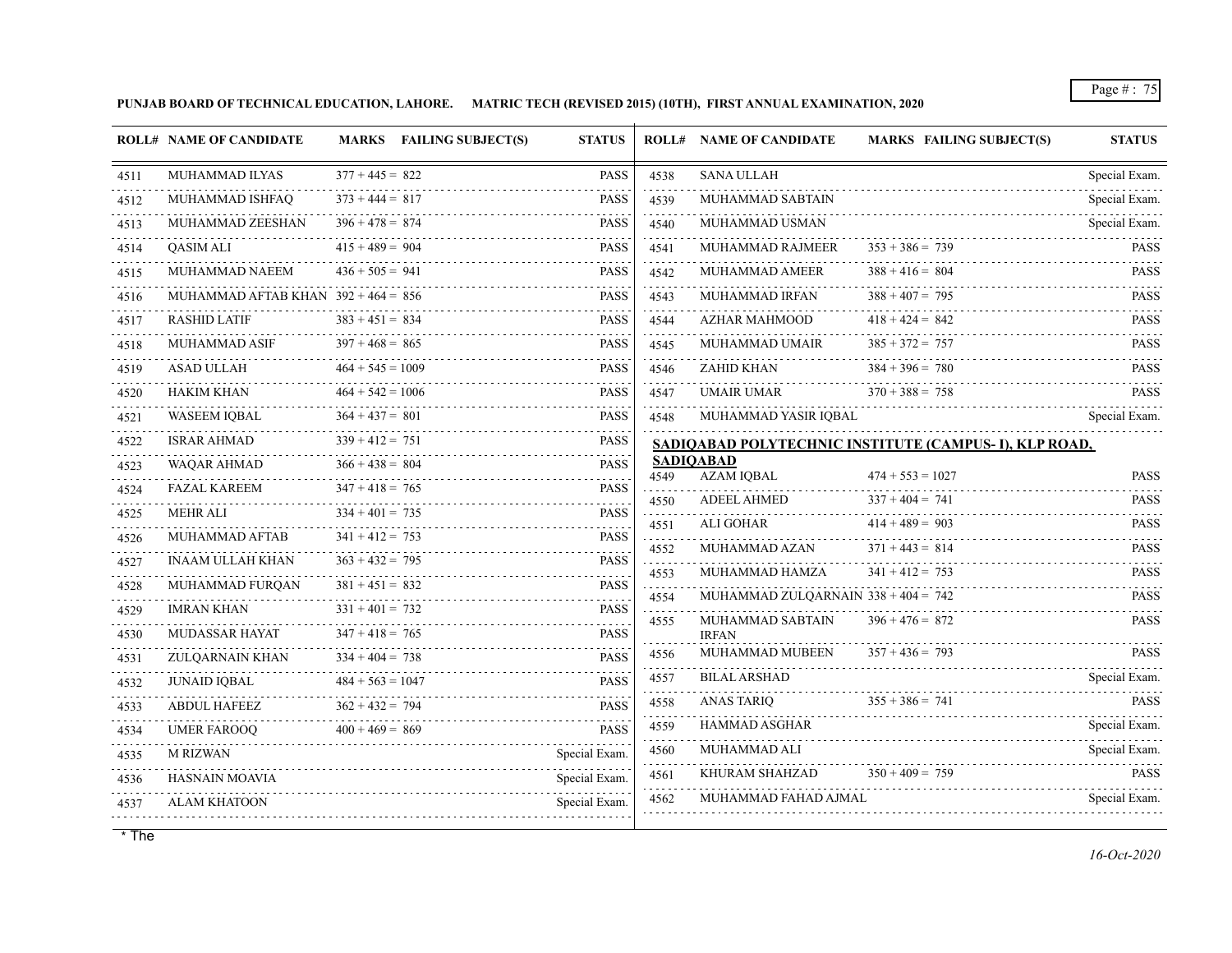**PUNJAB BOARD OF TECHNICAL EDUCATION, LAHORE. MATRIC TECH (REVISED 2015) (10TH), FIRST ANNUAL EXAMINATION, 2020**

|           | <b>ROLL# NAME OF CANDIDATE</b>        |                    | MARKS FAILING SUBJECT(S) | <b>STATUS</b>    |                                                                                                                                                              | <b>ROLL# NAME OF CANDIDATE</b>        | <b>MARKS FAILING SUBJECT(S)</b>                       | <b>STATUS</b>                   |
|-----------|---------------------------------------|--------------------|--------------------------|------------------|--------------------------------------------------------------------------------------------------------------------------------------------------------------|---------------------------------------|-------------------------------------------------------|---------------------------------|
| 4511      | MUHAMMAD ILYAS                        | $377 + 445 = 822$  |                          | <b>PASS</b>      | 4538                                                                                                                                                         | <b>SANA ULLAH</b>                     |                                                       | Special Exam.                   |
| 4512      | MUHAMMAD ISHFAQ                       | $373 + 444 = 817$  |                          | <b>PASS</b>      | $\sim 100$ km s $^{-1}$<br>4539                                                                                                                              | MUHAMMAD SABTAIN                      |                                                       | .<br>Special Exam.              |
| 4513      | MUHAMMAD ZEESHAN                      | $396 + 478 = 874$  |                          | <b>PASS</b>      | 4540                                                                                                                                                         | MUHAMMAD USMAN                        |                                                       | Special Exam.                   |
| 4514      | <b>OASIM ALI</b>                      | $415 + 489 = 904$  |                          | <b>PASS</b>      | 4541<br>$- - - - -$                                                                                                                                          | MUHAMMAD RAJMEER                      | $353 + 386 = 739$                                     | <b>PASS</b>                     |
| .<br>4515 | MUHAMMAD NAEEM                        | $436 + 505 = 941$  |                          | <b>PASS</b>      | 4542<br>.                                                                                                                                                    | MUHAMMAD AMEER                        | $388 + 416 = 804$                                     | <b>PASS</b>                     |
| 4516      | MUHAMMAD AFTAB KHAN $392 + 464 = 856$ |                    |                          | <b>PASS</b>      | 4543                                                                                                                                                         | MUHAMMAD IRFAN                        | $388 + 407 = 795$                                     | <b>PASS</b>                     |
| 4517      | <b>RASHID LATIF</b>                   | $383 + 451 = 834$  |                          | <b>PASS</b>      | 4544                                                                                                                                                         | AZHAR MAHMOOD                         | $418 + 424 = 842$                                     | <b>PASS</b>                     |
| 4518      | MUHAMMAD ASIF                         | $397 + 468 = 865$  |                          | <b>PASS</b>      | 4545                                                                                                                                                         | MUHAMMAD UMAIR                        | $385 + 372 = 757$                                     | <b>PASS</b><br>dia a a a a      |
| 4519      | <b>ASAD ULLAH</b>                     | $464 + 545 = 1009$ |                          | <b>PASS</b>      | 4546                                                                                                                                                         | ZAHID KHAN                            | $384 + 396 = 780$                                     | <b>PASS</b>                     |
| 4520      | <b>HAKIM KHAN</b>                     | $464 + 542 = 1006$ |                          | <b>PASS</b>      | 4547                                                                                                                                                         | <b>UMAIR UMAR</b>                     | $370 + 388 = 758$                                     | <b>PASS</b>                     |
| 4521      | <b>WASEEM IQBAL</b>                   | $364 + 437 = 801$  |                          | <b>PASS</b>      | 4548                                                                                                                                                         | MUHAMMAD YASIR IQBAL                  |                                                       | Special Exam.                   |
| 4522      | ISRAR AHMAD                           | $339 + 412 = 751$  |                          | <b>PASS</b>      |                                                                                                                                                              |                                       | SADIQABAD POLYTECHNIC INSTITUTE (CAMPUS-I), KLP ROAD, |                                 |
| 4523      | <b>WAQAR AHMAD</b>                    | $366 + 438 = 804$  |                          | <b>PASS</b>      | 4549                                                                                                                                                         | <b>SADIOABAD</b><br>AZAM IQBAL        | $474 + 553 = 1027$                                    | <b>PASS</b>                     |
| 4524      | <b>FAZAL KAREEM</b>                   | $347 + 418 = 765$  |                          | <b>PASS</b>      | .<br>4550                                                                                                                                                    | <b>ADEEL AHMED</b>                    | $337 + 404 = 741$                                     | <b>PASS</b>                     |
| 4525      | <b>MEHR ALI</b>                       | $334 + 401 = 735$  |                          | <b>PASS</b><br>. | 4551                                                                                                                                                         | <b>ALI GOHAR</b>                      | $414 + 489 = 903$                                     | <b>PASS</b>                     |
| 4526      | <b>MUHAMMAD AFTAB</b>                 | $341 + 412 = 753$  |                          | <b>PASS</b>      | .<br>4552                                                                                                                                                    | MUHAMMAD AZAN                         | $371 + 443 = 814$                                     | <b>PASS</b>                     |
| 4527      | <b>INAAM ULLAH KHAN</b>               | $363 + 432 = 795$  |                          | <b>PASS</b>      | $\frac{1}{2} \left( \frac{1}{2} \right) \left( \frac{1}{2} \right) \left( \frac{1}{2} \right) \left( \frac{1}{2} \right) \left( \frac{1}{2} \right)$<br>4553 | MUHAMMAD HAMZA                        | $341 + 412 = 753$                                     | <b>PASS</b>                     |
| 4528      | MUHAMMAD FURQAN                       | $381 + 451 = 832$  |                          | <b>PASS</b>      | dia a dia a<br>4554                                                                                                                                          | MUHAMMAD ZULOARNAIN $338 + 404 = 742$ |                                                       | <b>PASS</b>                     |
| 4529      | <b>IMRAN KHAN</b>                     | $331 + 401 = 732$  |                          | <b>PASS</b>      | 4555                                                                                                                                                         | MUHAMMAD SABTAIN                      | $396 + 476 = 872$                                     | <b>PASS</b>                     |
| 4530      | MUDASSAR HAYAT                        | $347 + 418 = 765$  |                          | <b>PASS</b>      |                                                                                                                                                              | <b>IRFAN</b>                          |                                                       |                                 |
| 4531      | ZULQARNAIN KHAN                       | $334 + 404 = 738$  |                          | <b>PASS</b>      | 4556                                                                                                                                                         | MUHAMMAD MUBEEN<br>.                  | $357 + 436 = 793$                                     | <b>PASS</b>                     |
| 4532      | <b>JUNAID IQBAL</b>                   | $484 + 563 = 1047$ |                          | <b>PASS</b>      | 4557                                                                                                                                                         | <b>BILAL ARSHAD</b>                   |                                                       | Special Exam.<br>. <del>.</del> |
| 4533      | <b>ABDUL HAFEEZ</b>                   | $362 + 432 = 794$  |                          | <b>PASS</b>      | 4558                                                                                                                                                         | ANAS TARIQ                            | $355 + 386 = 741$                                     | <b>PASS</b>                     |
| 4534      | <b>UMER FAROOO</b>                    | $400 + 469 = 869$  |                          | <b>PASS</b>      | 4559<br>.                                                                                                                                                    | HAMMAD ASGHAR                         |                                                       | Special Exam.                   |
| 4535      | <b>M RIZWAN</b>                       |                    |                          | Special Exam.    | 4560<br>.                                                                                                                                                    | MUHAMMAD ALI                          |                                                       | Special Exam.                   |
| 4536      | HASNAIN MOAVIA                        |                    |                          | Special Exam.    | 4561                                                                                                                                                         | KHURAM SHAHZAD                        | $350 + 409 = 759$                                     | <b>PASS</b><br>.                |
| 4537      | <b>ALAM KHATOON</b>                   |                    |                          | Special Exam.    | 4562                                                                                                                                                         | MUHAMMAD FAHAD AJMAL                  |                                                       | Special Exam.                   |
|           |                                       |                    |                          |                  |                                                                                                                                                              |                                       |                                                       |                                 |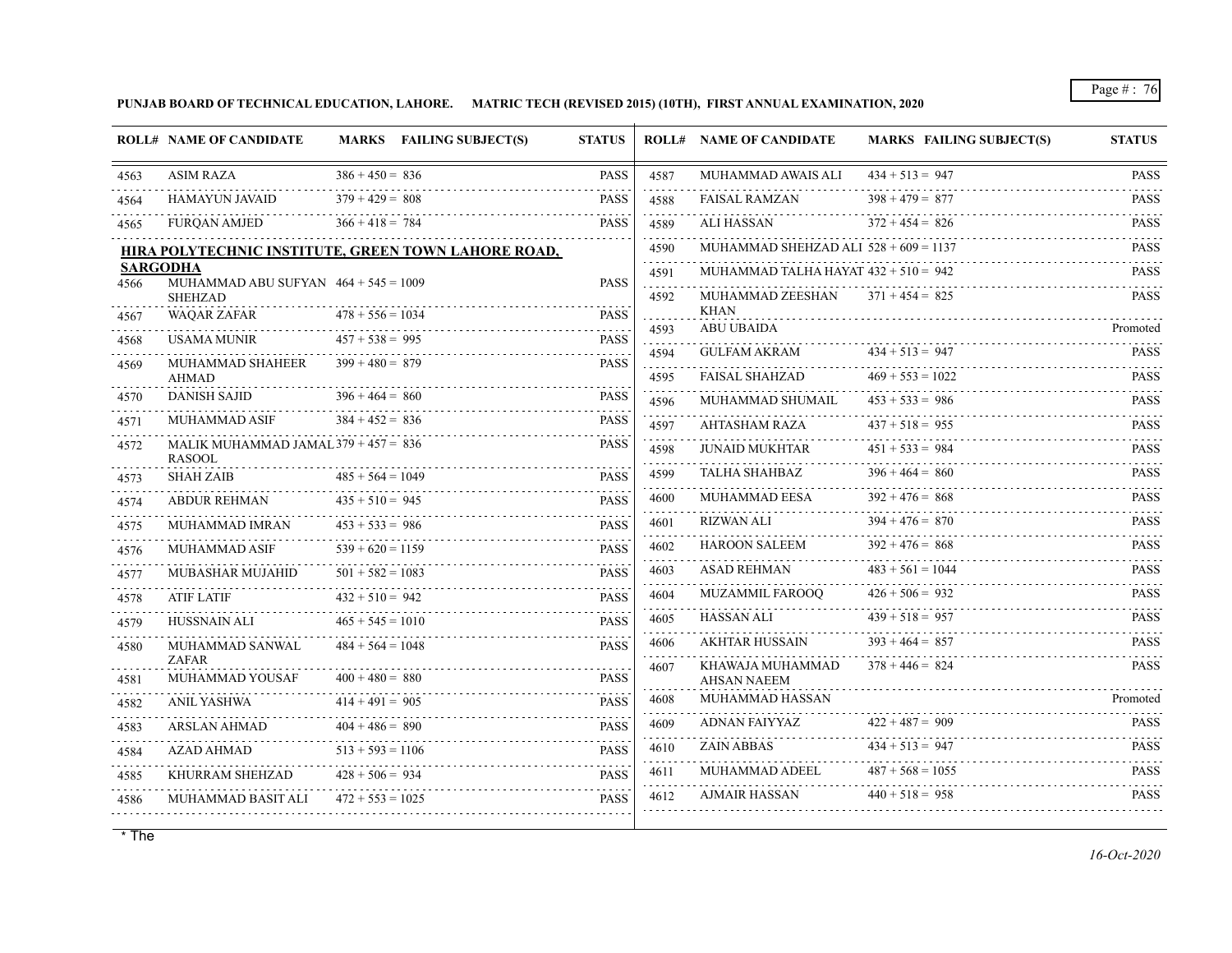**PUNJAB BOARD OF TECHNICAL EDUCATION, LAHORE. MATRIC TECH (REVISED 2015) (10TH), FIRST ANNUAL EXAMINATION, 2020**

|                   | <b>ROLL# NAME OF CANDIDATE</b>                            |                    | MARKS FAILING SUBJECT(S)                            | <b>STATUS</b>             |                | <b>ROLL# NAME OF CANDIDATE</b>          | MARKS FAILING SUBJECT(S) | <b>STATUS</b> |
|-------------------|-----------------------------------------------------------|--------------------|-----------------------------------------------------|---------------------------|----------------|-----------------------------------------|--------------------------|---------------|
| 4563              | <b>ASIM RAZA</b>                                          | $386 + 450 = 836$  |                                                     | <b>PASS</b>               | 4587           | MUHAMMAD AWAIS ALI                      | $434 + 513 = 947$        | <b>PASS</b>   |
| 4564              | <b>HAMAYUN JAVAID</b>                                     | $379 + 429 = 808$  |                                                     | <b>PASS</b>               | 4588           | <b>FAISAL RAMZAN</b>                    | $398 + 479 = 877$        | <b>PASS</b>   |
| 4565              | <b>FURQAN AMJED</b>                                       | $366 + 418 = 784$  |                                                     | <b>PASS</b>               | .<br>4589      | ALI HASSAN                              | $372 + 454 = 826$        | <b>PASS</b>   |
|                   |                                                           |                    | HIRA POLYTECHNIC INSTITUTE, GREEN TOWN LAHORE ROAD, |                           | 4590           | MUHAMMAD SHEHZAD ALI $528 + 609 = 1137$ |                          | <b>PASS</b>   |
| 4566              | <b>SARGODHA</b><br>MUHAMMAD ABU SUFYAN $464 + 545 = 1009$ |                    |                                                     | <b>PASS</b>               | .<br>4591      | MUHAMMAD TALHA HAYAT $432 + 510 = 942$  |                          | <b>PASS</b>   |
|                   | <b>SHEHZAD</b>                                            |                    |                                                     |                           | 4592           | MUHAMMAD ZEESHAN                        | $371 + 454 = 825$        | <b>PASS</b>   |
| 4567              | WAQAR ZAFAR                                               | $478 + 556 = 1034$ |                                                     | <b>PASS</b><br>a a a a an | .<br>4593      | <b>KHAN</b><br><b>ABU UBAIDA</b>        |                          | Promoted      |
| 4568              | <b>USAMA MUNIR</b>                                        | $457 + 538 = 995$  |                                                     | <b>PASS</b>               | 4594           | <b>GULFAM AKRAM</b>                     | $434 + 513 = 947$        | <b>PASS</b>   |
| 4569              | MUHAMMAD SHAHEER<br><b>AHMAD</b>                          | $399 + 480 = 879$  |                                                     | <b>PASS</b>               | .<br>4595      | <b>FAISAL SHAHZAD</b>                   | $469 + 553 = 1022$       | <b>PASS</b>   |
| 4570              | <b>DANISH SAJID</b>                                       | $396 + 464 = 860$  |                                                     | <b>PASS</b>               | 4596           | MUHAMMAD SHUMAIL                        | $453 + 533 = 986$        | <b>PASS</b>   |
| 4571              | MUHAMMAD ASIF                                             | $384 + 452 = 836$  |                                                     | <b>PASS</b>               | .<br>4597      | AHTASHAM RAZA                           | $437 + 518 = 955$        | <b>PASS</b>   |
| 4572              | MALIK MUHAMMAD JAMAL $379 + 457 = 836$<br><b>RASOOL</b>   |                    |                                                     | <b>PASS</b>               | .<br>4598<br>. | <b>JUNAID MUKHTAR</b>                   | $451 + 533 = 984$        | <b>PASS</b>   |
| 4573              | <b>SHAH ZAIB</b>                                          | $485 + 564 = 1049$ |                                                     | <b>PASS</b>               | 4599<br>.      | <b>TALHA SHAHBAZ</b>                    | $396 + 464 = 860$        | <b>PASS</b>   |
| 4574              | <b>ABDUR REHMAN</b>                                       | $435 + 510 = 945$  |                                                     | <b>PASS</b>               | 4600           | MUHAMMAD EESA                           | $392 + 476 = 868$        | <b>PASS</b>   |
| 4575              | MUHAMMAD IMRAN                                            | $453 + 533 = 986$  |                                                     | <b>PASS</b>               | 4601           | <b>RIZWAN ALI</b>                       | $394 + 476 = 870$        | <b>PASS</b>   |
| 4576              | MUHAMMAD ASIF                                             | $539 + 620 = 1159$ |                                                     | <b>PASS</b>               | 4602<br>.      | <b>HAROON SALEEM</b>                    | $392 + 476 = 868$        | <b>PASS</b>   |
| 4577              | <b>MUBASHAR MUJAHID</b>                                   | $501 + 582 = 1083$ |                                                     | <b>PASS</b>               | 4603<br>.      | ASAD REHMAN                             | $483 + 561 = 1044$       | <b>PASS</b>   |
| 4578              | <b>ATIF LATIF</b>                                         | $432 + 510 = 942$  |                                                     | <b>PASS</b>               | 4604<br>.      | <b>MUZAMMIL FAROOO</b>                  | $426 + 506 = 932$        | <b>PASS</b>   |
| 4579              | HUSSNAIN ALI                                              | $465 + 545 = 1010$ |                                                     | <b>PASS</b>               | 4605           | <b>HASSAN ALI</b>                       | $439 + 518 = 957$        | <b>PASS</b>   |
| 4580              | MUHAMMAD SANWAL<br><b>ZAFAR</b>                           | $484 + 564 = 1048$ |                                                     | <b>PASS</b>               | 4606<br>.      | <b>AKHTAR HUSSAIN</b>                   | $393 + 464 = 857$        | <b>PASS</b>   |
| 4581              | MUHAMMAD YOUSAF                                           | $400 + 480 = 880$  |                                                     | <b>PASS</b>               | 4607           | KHAWAJA MUHAMMAD<br><b>AHSAN NAEEM</b>  | $378 + 446 = 824$        | <b>PASS</b>   |
| 4582              | ANIL YASHWA                                               | $414 + 491 = 905$  |                                                     | <b>PASS</b>               | 4608           | MUHAMMAD HASSAN                         |                          | Promoted      |
| 4583              | <b>ARSLAN AHMAD</b>                                       | $404 + 486 = 890$  |                                                     | <b>PASS</b>               | 4609           | ADNAN FAIYYAZ                           | $422 + 487 = 909$        | <b>PASS</b>   |
| 4584              | <b>AZAD AHMAD</b>                                         | $513 + 593 = 1106$ |                                                     | <b>PASS</b>               | 4610<br>.      | <b>ZAIN ABBAS</b>                       | $434 + 513 = 947$        | <b>PASS</b>   |
| المتمامين<br>4585 | KHURRAM SHEHZAD                                           | $428 + 506 = 934$  |                                                     | <b>PASS</b>               | 4611           | MUHAMMAD ADEEL                          | $487 + 568 = 1055$       | <b>PASS</b>   |
| 4586              | MUHAMMAD BASIT ALI                                        | $472 + 553 = 1025$ |                                                     | <b>PASS</b>               | 4612           | AJMAIR HASSAN                           | $440 + 518 = 958$        | <b>PASS</b>   |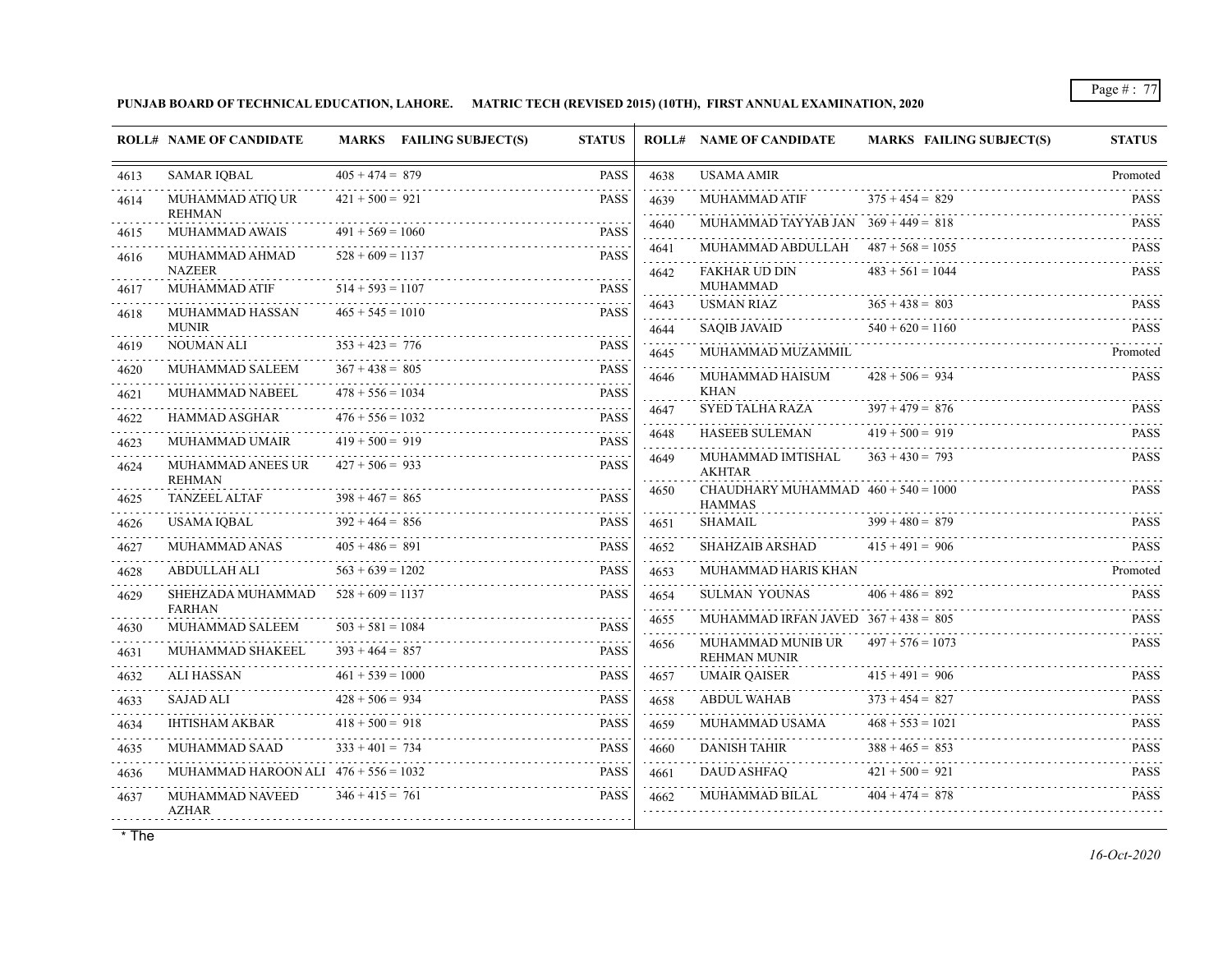**PUNJAB BOARD OF TECHNICAL EDUCATION, LAHORE. MATRIC TECH (REVISED 2015) (10TH), FIRST ANNUAL EXAMINATION, 2020**

|      | <b>ROLL# NAME OF CANDIDATE</b>         |                    | MARKS FAILING SUBJECT(S) | <b>STATUS</b> |                                                                                                                                                                                      | <b>ROLL# NAME OF CANDIDATE</b>                         | <b>MARKS FAILING SUBJECT(S)</b> | <b>STATUS</b>              |
|------|----------------------------------------|--------------------|--------------------------|---------------|--------------------------------------------------------------------------------------------------------------------------------------------------------------------------------------|--------------------------------------------------------|---------------------------------|----------------------------|
| 4613 | <b>SAMAR IQBAL</b>                     | $405 + 474 = 879$  |                          | <b>PASS</b>   | 4638                                                                                                                                                                                 | <b>USAMA AMIR</b>                                      |                                 | Promoted                   |
| 4614 | MUHAMMAD ATIQ UR<br><b>REHMAN</b>      | $421 + 500 = 921$  |                          | <b>PASS</b>   | 4639                                                                                                                                                                                 | MUHAMMAD ATIF                                          | $375 + 454 = 829$               | <b>PASS</b><br>dia a a a a |
| 4615 | MUHAMMAD AWAIS                         | $491 + 569 = 1060$ |                          | <b>PASS</b>   | 4640                                                                                                                                                                                 | MUHAMMAD TAYYAB JAN $369 + 449 = 818$                  |                                 | <b>PASS</b>                |
| 4616 | MUHAMMAD AHMAD                         | $528 + 609 = 1137$ |                          | <b>PASS</b>   | 4641                                                                                                                                                                                 | MUHAMMAD ABDULLAH $487 + 568 = 1055$                   |                                 | <b>PASS</b>                |
|      | <b>NAZEER</b>                          |                    |                          |               | 4642                                                                                                                                                                                 | <b>FAKHAR UD DIN</b><br><b>MUHAMMAD</b>                | $483 + 561 = 1044$              | <b>PASS</b>                |
| 4617 | MUHAMMAD ATIF                          | $514 + 593 = 1107$ |                          | <b>PASS</b>   | 4643                                                                                                                                                                                 | <b>USMAN RIAZ</b>                                      | $365 + 438 = 803$               | <b>PASS</b>                |
| 4618 | MUHAMMAD HASSAN<br><b>MUNIR</b>        | $465 + 545 = 1010$ |                          | <b>PASS</b>   | .<br>4644                                                                                                                                                                            | <b>SAQIB JAVAID</b>                                    | $540 + 620 = 1160$              | <b>PASS</b>                |
| 4619 | <b>NOUMAN ALI</b>                      | $353 + 423 = 776$  |                          | <b>PASS</b>   | 4645                                                                                                                                                                                 | MUHAMMAD MUZAMMIL                                      |                                 | Promoted                   |
| 4620 | MUHAMMAD SALEEM                        | $367 + 438 = 805$  |                          | <b>PASS</b>   | 4646                                                                                                                                                                                 | MUHAMMAD HAISUM                                        | $428 + 506 = 934$               | <b>PASS</b>                |
| 4621 | MUHAMMAD NABEEL                        | $478 + 556 = 1034$ |                          | <b>PASS</b>   |                                                                                                                                                                                      | KHAN<br>SYED TALHA RAZA                                | $397 + 479 = 876$               | <b>PASS</b>                |
| 4622 | HAMMAD ASGHAR                          | $476 + 556 = 1032$ |                          | <b>PASS</b>   | 4647                                                                                                                                                                                 | HASEEB SULEMAN                                         | $419 + 500 = 919$               | <b>PASS</b>                |
| 4623 | MUHAMMAD UMAIR                         | $419 + 500 = 919$  |                          | <b>PASS</b>   | 4648                                                                                                                                                                                 | MUHAMMAD IMTISHAL                                      | $363 + 430 = 793$               | <b>PASS</b>                |
| 4624 | MUHAMMAD ANEES UR<br><b>REHMAN</b>     | $427 + 506 = 933$  |                          | <b>PASS</b>   | 4649                                                                                                                                                                                 | <b>AKHTAR</b>                                          |                                 |                            |
| 4625 | <b>TANZEEL ALTAF</b>                   | $398 + 467 = 865$  |                          | <b>PASS</b>   | 4650                                                                                                                                                                                 | CHAUDHARY MUHAMMAD $460 + 540 = 1000$<br><b>HAMMAS</b> |                                 | <b>PASS</b>                |
| 4626 | <b>USAMA IOBAL</b>                     | $392 + 464 = 856$  |                          | <b>PASS</b>   | 4651                                                                                                                                                                                 | <b>SHAMAIL</b>                                         | $399 + 480 = 879$               | <b>PASS</b>                |
| 4627 | MUHAMMAD ANAS                          | $405 + 486 = 891$  |                          | <b>PASS</b>   | 4652                                                                                                                                                                                 | SHAHZAIB ARSHAD                                        | $415 + 491 = 906$               | <b>PASS</b>                |
| 4628 | ABDULLAH ALI                           | $563 + 639 = 1202$ |                          | <b>PASS</b>   | 4653                                                                                                                                                                                 | MUHAMMAD HARIS KHAN                                    |                                 | Promoted                   |
| 4629 | SHEHZADA MUHAMMAD<br><b>FARHAN</b>     | $528 + 609 = 1137$ |                          | <b>PASS</b>   | 4654<br>.                                                                                                                                                                            | <b>SULMAN YOUNAS</b>                                   | $406 + 486 = 892$               | <b>PASS</b>                |
| 4630 | MUHAMMAD SALEEM                        | $503 + 581 = 1084$ |                          | <b>PASS</b>   | 4655<br>$\mathcal{L}^{\mathcal{L}}\left( \mathcal{L}^{\mathcal{L}}\left( \mathcal{L}^{\mathcal{L}}\right) \right) =\mathcal{L}^{\mathcal{L}}\left( \mathcal{L}^{\mathcal{L}}\right)$ | MUHAMMAD IRFAN JAVED $367 + 438 = 805$                 |                                 | <b>PASS</b>                |
| 4631 | MUHAMMAD SHAKEEL                       | $393 + 464 = 857$  |                          | <b>PASS</b>   | 4656                                                                                                                                                                                 | MUHAMMAD MUNIB UR<br><b>REHMAN MUNIR</b>               | $497 + 576 = 1073$              | <b>PASS</b>                |
| 4632 | ALI HASSAN                             | $461 + 539 = 1000$ |                          | <b>PASS</b>   | 4657                                                                                                                                                                                 | <b>UMAIR QAISER</b>                                    | $415 + 491 = 906$               | <b>PASS</b>                |
| 4633 | <b>SAJAD ALI</b>                       | $428 + 506 = 934$  |                          | <b>PASS</b>   | 4658                                                                                                                                                                                 | <b>ABDUL WAHAB</b>                                     | $373 + 454 = 827$               | <b>PASS</b>                |
| 4634 | <b>IHTISHAM AKBAR</b>                  | $418 + 500 = 918$  |                          | <b>PASS</b>   | 4659                                                                                                                                                                                 | MUHAMMAD USAMA                                         | $468 + 553 = 1021$              | <b>PASS</b><br>.           |
| 4635 | <b>MUHAMMAD SAAD</b>                   | $333 + 401 = 734$  |                          | <b>PASS</b>   | 4660                                                                                                                                                                                 | <b>DANISH TAHIR</b>                                    | $388 + 465 = 853$               | <b>PASS</b>                |
| 4636 | MUHAMMAD HAROON ALI $476 + 556 = 1032$ |                    |                          | <b>PASS</b>   | 4661                                                                                                                                                                                 | <b>DAUD ASHFAO</b>                                     | $421 + 500 = 921$               | <b>PASS</b>                |
| 4637 | MUHAMMAD NAVEED<br><b>AZHAR</b>        | $346 + 415 = 761$  |                          | <b>PASS</b>   | 4662                                                                                                                                                                                 | MUHAMMAD BILAL                                         | $404 + 474 = 878$               | <b>PASS</b>                |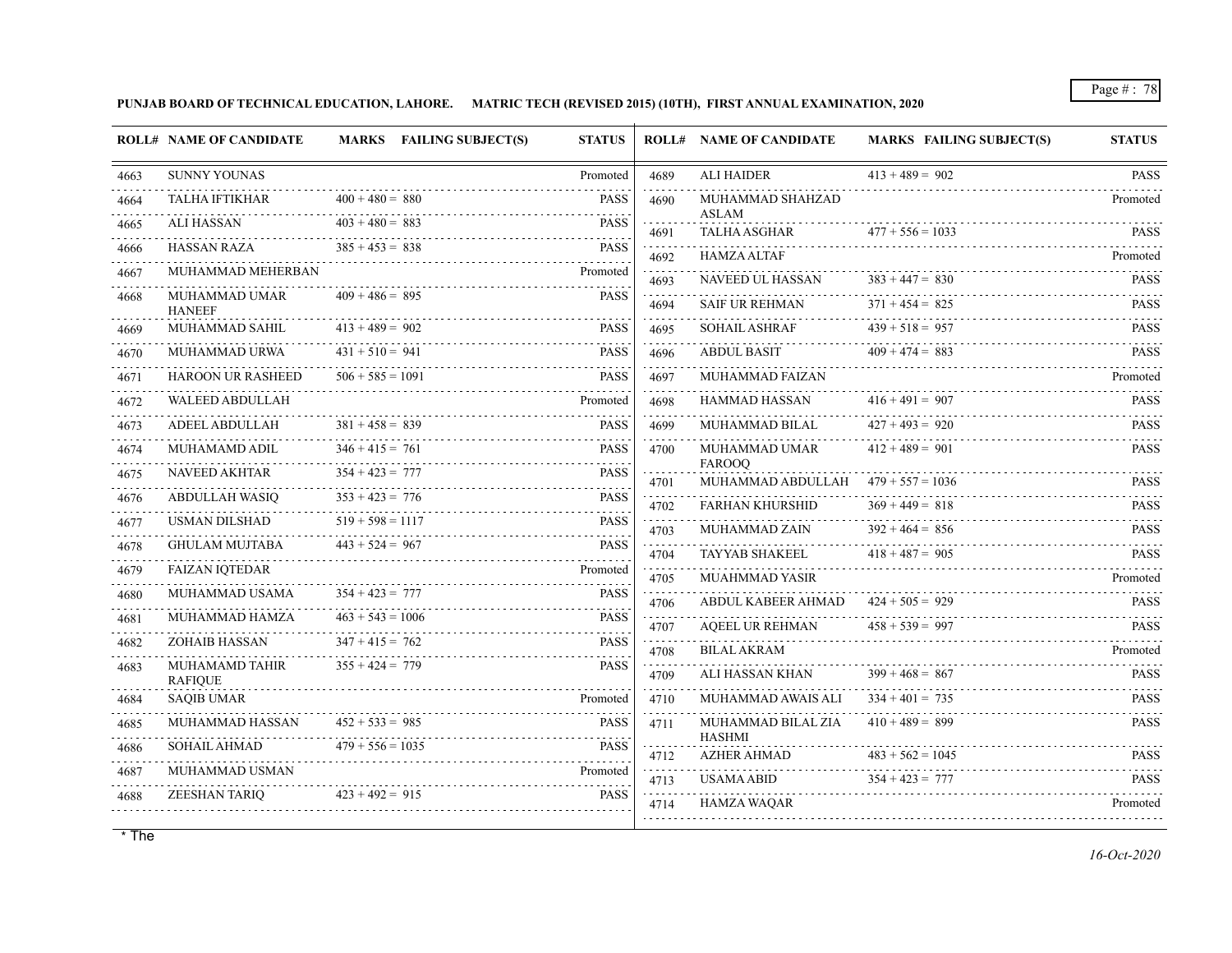**PUNJAB BOARD OF TECHNICAL EDUCATION, LAHORE. MATRIC TECH (REVISED 2015) (10TH), FIRST ANNUAL EXAMINATION, 2020**

|      | <b>ROLL# NAME OF CANDIDATE</b>   | MARKS FAILING SUBJECT(S) | <b>STATUS</b> |           | <b>ROLL# NAME OF CANDIDATE</b>      | <b>MARKS FAILING SUBJECT(S)</b> | <b>STATUS</b>              |
|------|----------------------------------|--------------------------|---------------|-----------|-------------------------------------|---------------------------------|----------------------------|
| 4663 | <b>SUNNY YOUNAS</b>              |                          | Promoted      | 4689      | <b>ALI HAIDER</b>                   | $413 + 489 = 902$               | <b>PASS</b>                |
| 4664 | <b>TALHA IFTIKHAR</b>            | $400 + 480 = 880$        | PASS          | 4690      | MUHAMMAD SHAHZAD                    |                                 | Promoted                   |
| 4665 | <b>ALI HASSAN</b>                | $403 + 480 = 883$        | <b>PASS</b>   | 4691      | <b>ASLAM</b><br><b>TALHA ASGHAR</b> | $477 + 556 = 1033$              | <b>PASS</b>                |
| 4666 | HASSAN RAZA                      | $385 + 453 = 838$        | <b>PASS</b>   | 4692      | <b>HAMZA ALTAF</b>                  |                                 | Promoted                   |
| 4667 | MUHAMMAD MEHERBAN                |                          | Promoted      | 4693      | NAVEED UL HASSAN                    | $383 + 447 = 830$               | dia a a a a<br><b>PASS</b> |
| 4668 | MUHAMMAD UMAR<br><b>HANEEF</b>   | $409 + 486 = 895$        | <b>PASS</b>   | 4694      | <b>SAIF UR REHMAN</b>               | $371 + 454 = 825$               | <b>PASS</b>                |
| 4669 | MUHAMMAD SAHIL                   | $413 + 489 = 902$        | <b>PASS</b>   | 4695      | <b>SOHAIL ASHRAF</b>                | $439 + 518 = 957$               | <b>PASS</b>                |
| 4670 | <b>MUHAMMAD URWA</b>             | $431 + 510 = 941$        | <b>PASS</b>   | 4696      | <b>ABDUL BASIT</b>                  | $409 + 474 = 883$               | <b>PASS</b>                |
| 4671 | <b>HAROON UR RASHEED</b>         | $506 + 585 = 1091$       | <b>PASS</b>   | 4697<br>. | <b>MUHAMMAD FAIZAN</b>              |                                 | Promoted                   |
| 4672 | <b>WALEED ABDULLAH</b>           |                          | Promoted      | 4698      | <b>HAMMAD HASSAN</b>                | $416 + 491 = 907$               | <b>PASS</b>                |
| 4673 | ADEEL ABDULLAH                   | $381 + 458 = 839$        | <b>PASS</b>   | 4699      | MUHAMMAD BILAL                      | $427 + 493 = 920$               | <b>PASS</b>                |
| 4674 | MUHAMAMD ADIL                    | $346 + 415 = 761$        | <b>PASS</b>   | 4700      | MUHAMMAD UMAR<br><b>FAROOQ</b>      | $412 + 489 = 901$               | <b>PASS</b>                |
| 4675 | <b>NAVEED AKHTAR</b>             | $354 + 423 = 777$        | <b>PASS</b>   | 4701      | MUHAMMAD ABDULLAH                   | $479 + 557 = 1036$              | <b>PASS</b>                |
| 4676 | ABDULLAH WASIQ                   | $353 + 423 = 776$        | <b>PASS</b>   | 4702      | <b>FARHAN KHURSHID</b>              | $369 + 449 = 818$               | <b>PASS</b>                |
| 4677 | <b>USMAN DILSHAD</b>             | $519 + 598 = 1117$       | <b>PASS</b>   | 4703      | MUHAMMAD ZAIN                       | $392 + 464 = 856$               | <b>PASS</b>                |
| 4678 | <b>GHULAM MUJTABA</b>            | $443 + 524 = 967$        | <b>PASS</b>   | 4704      | <b>TAYYAB SHAKEEL</b>               | $418 + 487 = 905$               | <b>PASS</b>                |
| 4679 | <b>FAIZAN IOTEDAR</b>            |                          | Promoted      | 4705      | <b>MUAHMMAD YASIR</b>               |                                 | Promoted                   |
| 4680 | MUHAMMAD USAMA                   | $354 + 423 = 777$        | <b>PASS</b>   | .<br>4706 | ABDUL KABEER AHMAD                  | $424 + 505 = 929$               | <b>PASS</b>                |
| 4681 | MUHAMMAD HAMZA                   | $463 + 543 = 1006$       | <b>PASS</b>   | .<br>4707 | <b>AQEEL UR REHMAN</b>              | $458 + 539 = 997$               | <b>PASS</b>                |
| 4682 | ZOHAIB HASSAN                    | $347 + 415 = 762$        | <b>PASS</b>   | .<br>4708 | <b>BILAL AKRAM</b>                  |                                 | Promoted                   |
| 4683 | MUHAMAMD TAHIR<br><b>RAFIQUE</b> | $355 + 424 = 779$        | <b>PASS</b>   | 4709      | ALI HASSAN KHAN                     | $399 + 468 = 867$               | <b>PASS</b>                |
| 4684 | <b>SAQIB UMAR</b>                |                          | Promoted      | 4710      | MUHAMMAD AWAIS ALI                  | $334 + 401 = 735$               | <b>PASS</b>                |
| 4685 | MUHAMMAD HASSAN                  | $452 + 533 = 985$        | <b>PASS</b>   | 4711      | MUHAMMAD BILAL ZIA                  | $410 + 489 = 899$               | <b>PASS</b>                |
| 4686 | <b>SOHAIL AHMAD</b>              | $479 + 556 = 1035$       | <b>PASS</b>   | 4712      | <b>HASHMI</b><br><b>AZHER AHMAD</b> | $483 + 562 = 1045$              | <b>PASS</b>                |
| 4687 | MUHAMMAD USMAN                   |                          | Promoted      | 4713      | <b>USAMA ABID</b>                   | $354 + 423 = 777$               | PASS                       |
| 4688 | ZEESHAN TARIO                    | $423 + 492 = 915$        | <b>PASS</b>   | 4714      | <b>HAMZA WAOAR</b>                  |                                 | diama diam<br>Promoted     |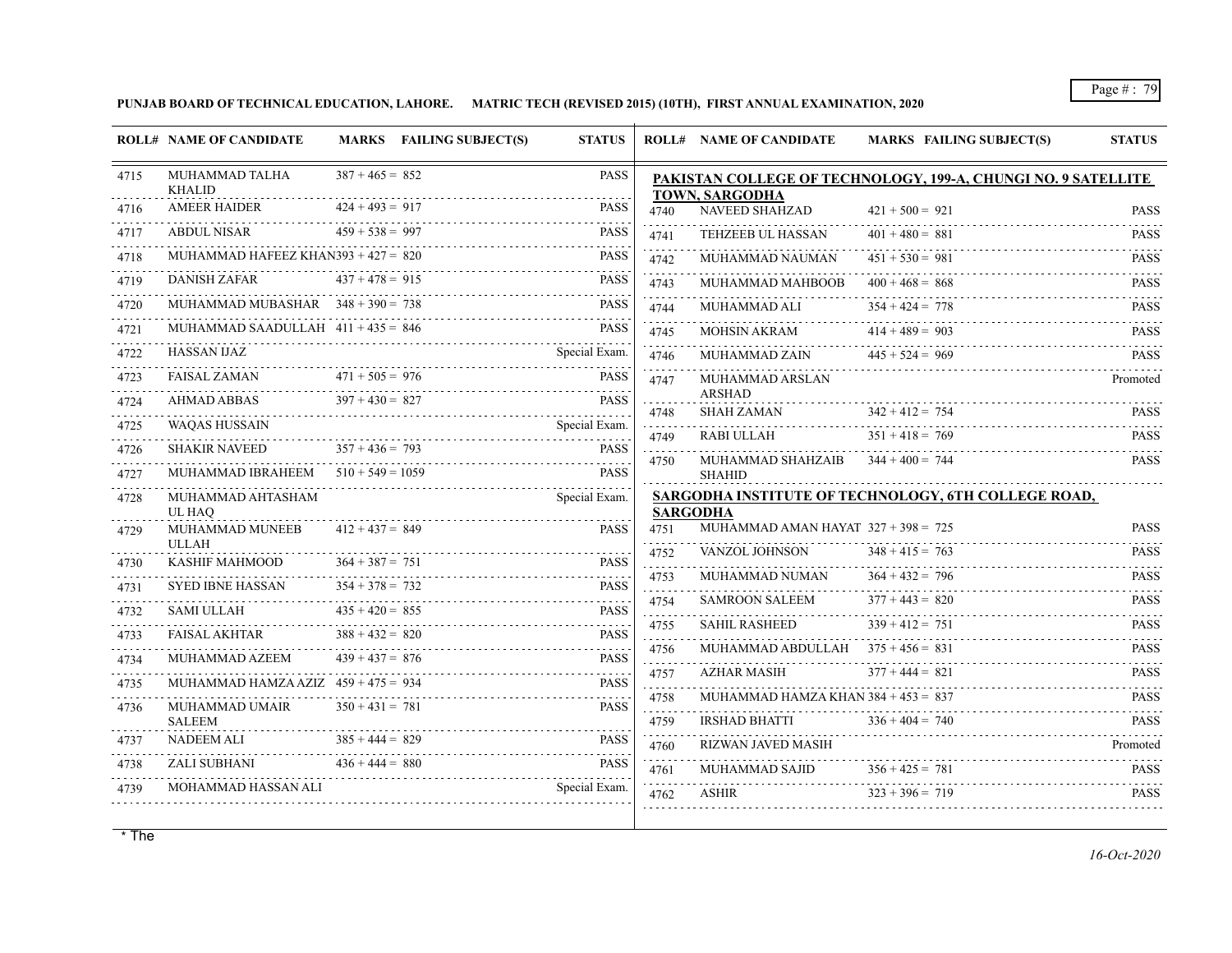**PUNJAB BOARD OF TECHNICAL EDUCATION, LAHORE. MATRIC TECH (REVISED 2015) (10TH), FIRST ANNUAL EXAMINATION, 2020**

|           | <b>ROLL# NAME OF CANDIDATE</b>         |                                        | <b>MARKS</b> FAILING SUBJECT(S) | <b>STATUS</b>              |                     | <b>ROLL# NAME OF CANDIDATE</b>                           | <b>MARKS FAILING SUBJECT(S)</b>                               | <b>STATUS</b>    |
|-----------|----------------------------------------|----------------------------------------|---------------------------------|----------------------------|---------------------|----------------------------------------------------------|---------------------------------------------------------------|------------------|
| 4715      | <b>MUHAMMAD TALHA</b><br><b>KHALID</b> | $387 + 465 = 852$                      |                                 | <b>PASS</b>                |                     | TOWN, SARGODHA                                           | PAKISTAN COLLEGE OF TECHNOLOGY, 199-A, CHUNGI NO. 9 SATELLITE |                  |
| 4716      | <b>AMEER HAIDER</b>                    | $424 + 493 = 917$                      |                                 | <b>PASS</b>                | 4740                | NAVEED SHAHZAD                                           | $421 + 500 = 921$                                             | <b>PASS</b>      |
| 4717      | <b>ABDUL NISAR</b>                     | $459 + 538 = 997$                      |                                 | <b>PASS</b>                | 4741                | TEHZEEB UL HASSAN                                        | $401 + 480 = 881$                                             | <b>PASS</b>      |
| 4718      | MUHAMMAD HAFEEZ KHAN393 + $427 = 820$  |                                        |                                 | <b>PASS</b>                | 4742                | MUHAMMAD NAUMAN                                          | $451 + 530 = 981$                                             | <b>PASS</b>      |
| 4719      | <b>DANISH ZAFAR</b>                    | $437 + 478 = 915$                      |                                 | <b>PASS</b>                | 4743                | MUHAMMAD MAHBOOB                                         | $400 + 468 = 868$                                             | <b>PASS</b>      |
| 4720      | MUHAMMAD MUBASHAR $348 + 390 = 738$    |                                        |                                 | <b>PASS</b>                | 4744                | MUHAMMAD ALI                                             | $354 + 424 = 778$                                             | <b>PASS</b>      |
| 4721      | MUHAMMAD SAADULLAH $411 + 435 = 846$   |                                        |                                 | <b>PASS</b>                | .<br>4745           | <b>MOHSIN AKRAM</b>                                      | $414 + 489 = 903$                                             | <b>PASS</b>      |
| 4722      | <b>HASSAN IJAZ</b>                     |                                        |                                 | Special Exam.              | .<br>4746           | MUHAMMAD ZAIN                                            | $445 + 524 = 969$                                             | <b>PASS</b>      |
| 4723<br>. | FAISAL ZAMAN 4                         | $471 + 505 = 976$                      |                                 | <b>PASS</b>                | 4747                | MUHAMMAD ARSLAN                                          |                                                               | Promoted         |
| 4724      | AHMAD ABBAS                            | $397 + 430 = 827$                      | AD ABBAS 397 + 430 = 827 PASS   | <b>PASS</b>                | 4748                | <b>ARSHAD</b><br>.<br>SHAH ZAMAN                         | $342 + 412 = 754$                                             | <b>PASS</b>      |
| 4725      | <b>WAOAS HUSSAIN</b>                   |                                        |                                 | Special Exam.              | 4749                | RABI ULLAH                                               | $351 + 418 = 769$                                             | <b>PASS</b>      |
| 4726      | <b>SHAKIR NAVEED</b>                   | $357 + 436 = 793$                      |                                 | <b>PASS</b>                | .<br>4750           | MUHAMMAD SHAHZAIB                                        | $344 + 400 = 744$                                             | <b>PASS</b>      |
| 4727      | MUHAMMAD IBRAHEEM $510 + 549 = 1059$   |                                        |                                 | <b>PASS</b>                |                     | <b>SHAHID</b>                                            |                                                               |                  |
| 4728      | MUHAMMAD AHTASHAM<br>UL HAO            |                                        |                                 | Special Exam.              |                     |                                                          | SARGODHA INSTITUTE OF TECHNOLOGY, 6TH COLLEGE ROAD,           |                  |
| 4729      | MUHAMMAD MUNEEB                        | $412 + 437 = 849$                      |                                 | <b>PASS</b>                | 4751                | <b>SARGODHA</b><br>MUHAMMAD AMAN HAYAT $327 + 398 = 725$ |                                                               | <b>PASS</b>      |
|           | <b>ULLAH</b>                           |                                        |                                 | .                          | 4752                | VANZOL JOHNSON                                           | $348 + 415 = 763$                                             | .<br><b>PASS</b> |
| 4730      | KASHIF MAHMOOD                         | $364 + 387 = 751$                      |                                 | <b>PASS</b>                | .<br>4753           | MUHAMMAD NUMAN                                           | $364 + 432 = 796$                                             | .<br><b>PASS</b> |
| 4731      | SYED IBNE HASSAN                       | $354 + 378 = 732$<br>$435 + 420 = 855$ |                                 | <b>PASS</b><br><b>PASS</b> | a a a a a a<br>4754 | SAMROON SALEEM                                           | $377 + 443 = 820$                                             | <b>PASS</b>      |
| 4732      | <b>SAMI ULLAH</b>                      | $388 + 432 = 820$                      |                                 | <b>PASS</b>                | 4755                | <b>SAHIL RASHEED</b>                                     | $339 + 412 = 751$                                             | <b>PASS</b>      |
| 4733      | FAISAL AKHTAR<br>MUHAMMAD AZEEM        | $439 + 437 = 876$                      |                                 | <b>PASS</b>                | s sa sa sa<br>4756  | MUHAMMAD ABDULLAH $375 + 456 = 831$                      |                                                               | <b>PASS</b>      |
| 4734      | MUHAMMAD HAMZA AZIZ $459 + 475 = 934$  |                                        |                                 | <b>PASS</b>                | .<br>4757           | <b>AZHAR MASIH</b>                                       | $377 + 444 = 821$                                             | <b>PASS</b>      |
| 4735      | MUHAMMAD UMAIR                         | $350 + 431 = 781$                      |                                 | <b>PASS</b>                | .<br>4758           | MUHAMMAD HAMZA KHAN $384 + 453 = 837$                    |                                                               | <b>PASS</b>      |
| 4736      | <b>SALEEM</b>                          |                                        |                                 |                            | .<br>4759           | <b>IRSHAD BHATTI</b>                                     | $336 + 404 = 740$                                             | <b>PASS</b>      |
| 4737      | NADEEM ALI                             | $385 + 444 = 829$                      |                                 | <b>PASS</b>                | 4760                | RIZWAN JAVED MASIH                                       |                                                               | Promoted         |
| 4738      | ZALI SUBHANI                           | $436 + 444 = 880$                      | SUBHANI $436 + 444 = 880$ PASS  | <b>PASS</b>                | .<br>4761           | MUHAMMAD SAJID                                           | $356 + 425 = 781$                                             | <b>PASS</b>      |
| 4739      |                                        |                                        |                                 | Special Exam.              | 4762                | ASHIR                                                    | $323 + 396 = 719$                                             | <b>PASS</b>      |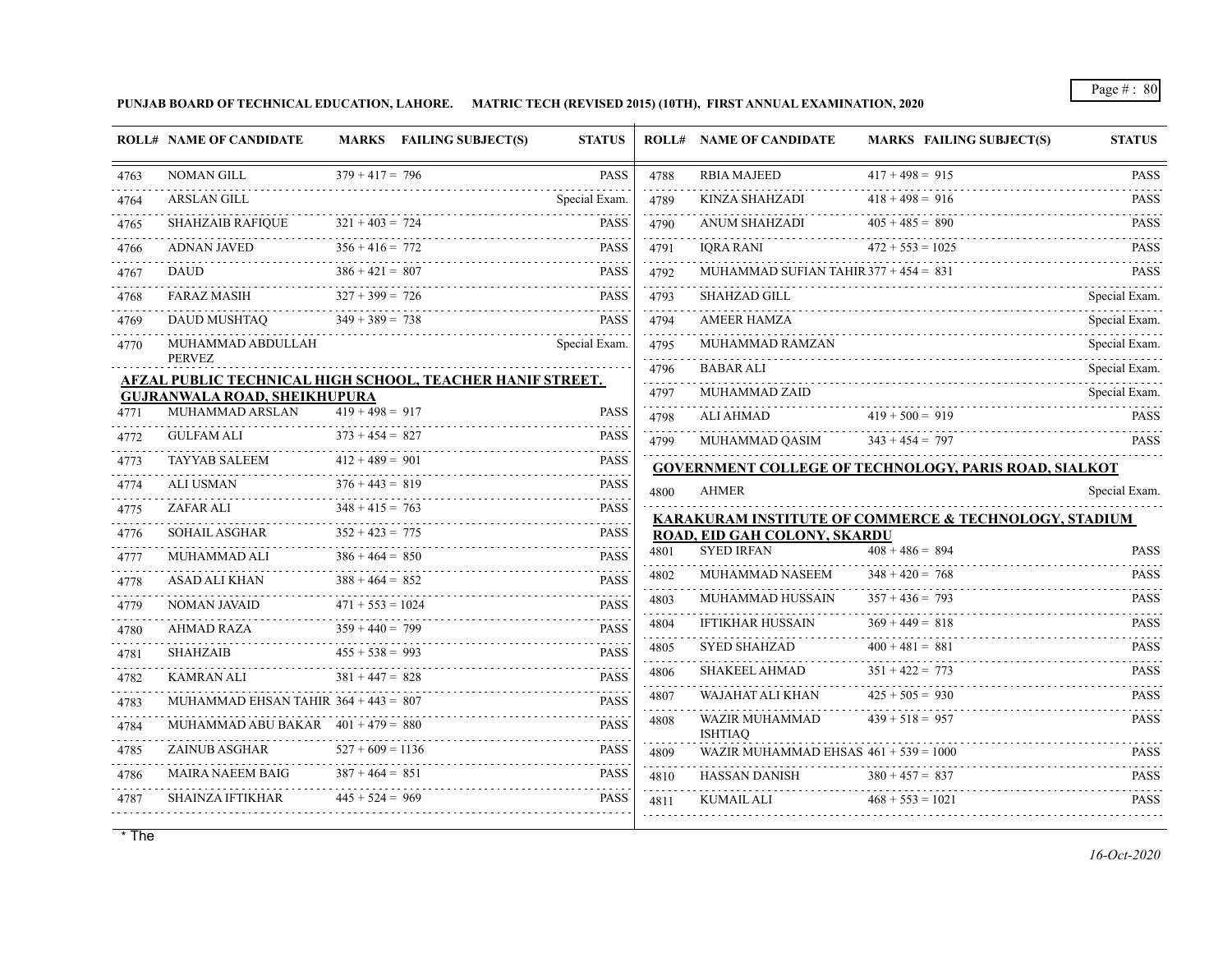**PUNJAB BOARD OF TECHNICAL EDUCATION, LAHORE. MATRIC TECH (REVISED 2015) (10TH), FIRST ANNUAL EXAMINATION, 2020**

|           | <b>ROLL# NAME OF CANDIDATE</b>                                                                          |                        | MARKS FAILING SUBJECT(S) | <b>STATUS</b>                      |           | <b>ROLL# NAME OF CANDIDATE</b>          | <b>MARKS FAILING SUBJECT(S)</b>                       | <b>STATUS</b>              |
|-----------|---------------------------------------------------------------------------------------------------------|------------------------|--------------------------|------------------------------------|-----------|-----------------------------------------|-------------------------------------------------------|----------------------------|
| 4763      | <b>NOMAN GILL</b>                                                                                       | $379 + 417 = 796$      |                          | <b>PASS</b>                        | 4788      | <b>RBIA MAJEED</b>                      | $417 + 498 = 915$                                     | <b>PASS</b>                |
| 4764      | <b>ARSLAN GILL</b>                                                                                      |                        |                          | Special Exam.                      | 4789      | <b>KINZA SHAHZADI</b>                   | .<br>$418 + 498 = 916$                                | $- - - - -$<br><b>PASS</b> |
| 4765      | <b>SHAHZAIB RAFIOUE</b>                                                                                 | $321 + 403 = 724$      |                          | <b>PASS</b>                        | 4790      | <b>ANUM SHAHZADI</b>                    | $405 + 485 = 890$                                     | <b>PASS</b>                |
| 4766      | <b>ADNAN JAVED</b>                                                                                      | $356 + 416 = 772$      |                          | <b>PASS</b>                        | 4791      | <b>IORA RANI</b>                        | $472 + 553 = 1025$                                    | <b>PASS</b>                |
| 4767      | <b>DAUD</b>                                                                                             | $386 + 421 = 807$      |                          | <b>PASS</b>                        | .<br>4792 | MUHAMMAD SUFIAN TAHIR $377 + 454 = 831$ |                                                       | <b>PASS</b>                |
| 4768      | <b>FARAZ MASIH</b>                                                                                      | $327 + 399 = 726$      |                          | <b>PASS</b>                        | .<br>4793 | SHAHZAD GILL                            |                                                       | Special Exam.              |
| 4769      | <b>DAUD MUSHTAO</b>                                                                                     | $349 + 389 = 738$      |                          | <b>PASS</b>                        | .<br>4794 | AMEER HAMZA                             |                                                       | Special Exam.              |
| 4770      | MUHAMMAD ABDULLAH                                                                                       |                        |                          | Special Exam.                      | 4795      | MUHAMMAD RAMZAN                         |                                                       | .<br>Special Exam.         |
|           | <b>PERVEZ</b>                                                                                           |                        |                          |                                    | .<br>4796 | <b>BABAR ALI</b>                        |                                                       | Special Exam.              |
|           | <b>AFZAL PUBLIC TECHNICAL HIGH SCHOOL, TEACHER HANIF STREET.</b><br><b>GUJRANWALA ROAD, SHEIKHUPURA</b> |                        |                          |                                    | 4797      | MUHAMMAD ZAID                           |                                                       | Special Exam.              |
| 4771      | MUHAMMAD ARSLAN                                                                                         | $419 + 498 = 917$      |                          | <b>PASS</b>                        | 4798      | <b>ALI AHMAD</b>                        | $419 + 500 = 919$                                     | <b>PASS</b>                |
| 4772      | <b>GULFAM ALI</b>                                                                                       | $373 + 454 = 827$      |                          | <b>PASS</b><br>.                   | 4799      | MUHAMMAD QASIM                          | $343 + 454 = 797$                                     | <b>PASS</b>                |
| 4773      | TAYYAB SALEEM                                                                                           | $412 + 489 = 901$      |                          | <b>PASS</b><br>$\sim 1.1$ , $\sim$ |           |                                         | GOVERNMENT COLLEGE OF TECHNOLOGY, PARIS ROAD, SIALKOT | .                          |
| 4774      | <b>ALI USMAN</b>                                                                                        | $376 + 443 = 819$<br>. |                          | <b>PASS</b>                        | 4800      | <b>AHMER</b>                            |                                                       | Special Exam.              |
| 4775      | ZAFAR ALI                                                                                               | $348 + 415 = 763$      |                          | <b>PASS</b><br>$-1 - 1 - 1$        |           |                                         | KARAKURAM INSTITUTE OF COMMERCE & TECHNOLOGY, STADIUM |                            |
| 4776      | SOHAIL ASGHAR                                                                                           | $352 + 423 = 775$      |                          | PASS<br>.                          |           | ROAD, EID GAH COLONY, SKARDU            |                                                       |                            |
| 4777      | <b>MUHAMMAD ALI</b>                                                                                     | $386 + 464 = 850$      |                          | <b>PASS</b>                        | 4801      | <b>SYED IRFAN</b>                       | $408 + 486 = 894$                                     | <b>PASS</b><br><u>.</u>    |
| 4778      | <b>ASAD ALI KHAN</b>                                                                                    | $388 + 464 = 852$      |                          | <b>PASS</b>                        | 4802      | MUHAMMAD NASEEM                         | $348 + 420 = 768$                                     | <b>PASS</b>                |
| 4779      | NOMAN JAVAID                                                                                            | $471 + 553 = 1024$     |                          | <b>PASS</b>                        | 4803      | MUHAMMAD HUSSAIN                        | $357 + 436 = 793$                                     | <b>PASS</b>                |
| .<br>4780 | AHMAD RAZA                                                                                              | $359 + 440 = 799$      |                          | <b>PASS</b>                        | 4804      | <b>IFTIKHAR HUSSAIN</b>                 | $369 + 449 = 818$                                     | <b>PASS</b>                |
| 4781      | <b>SHAHZAIB</b>                                                                                         | $455 + 538 = 993$      |                          | .<br><b>PASS</b>                   | 4805<br>. | <b>SYED SHAHZAD</b>                     | $400 + 481 = 881$                                     | <b>PASS</b>                |
| 4782      | KAMRAN ALI                                                                                              | $381 + 447 = 828$      |                          | <b>PASS</b>                        | 4806<br>. | <b>SHAKEEL AHMAD</b>                    | $351 + 422 = 773$                                     | <b>PASS</b>                |
| 4783      | MUHAMMAD EHSAN TAHIR $364 + 443 = 807$                                                                  |                        |                          | <b>PASS</b>                        | 4807<br>. | WAJAHAT ALI KHAN                        | $425 + 505 = 930$                                     | <b>PASS</b><br>.           |
| 4784      | MUHAMMAD ABU BAKAR $401 + 479 = 880$                                                                    |                        |                          | <b>PASS</b>                        | 4808      | WAZIR MUHAMMAD<br><b>ISHTIAO</b>        | $439 + 518 = 957$                                     | <b>PASS</b>                |
| 4785      | <b>ZAINUB ASGHAR</b>                                                                                    | $527 + 609 = 1136$     |                          | <b>PASS</b>                        | 4809      | WAZIR MUHAMMAD EHSAS $461 + 539 = 1000$ |                                                       | <b>PASS</b>                |
| 4786      | <b>MAIRA NAEEM BAIG</b>                                                                                 | $387 + 464 = 851$      |                          | <b>PASS</b>                        | 4810      | HASSAN DANISH                           | $380 + 457 = 837$                                     | <b>PASS</b>                |
| 4787      | SHAINZA IFTIKHAR                                                                                        | $445 + 524 = 969$      |                          | <b>PASS</b>                        | 4811      | KUMAIL ALI                              | $468 + 553 = 1021$                                    | .<br><b>PASS</b>           |
|           |                                                                                                         |                        |                          |                                    |           |                                         |                                                       |                            |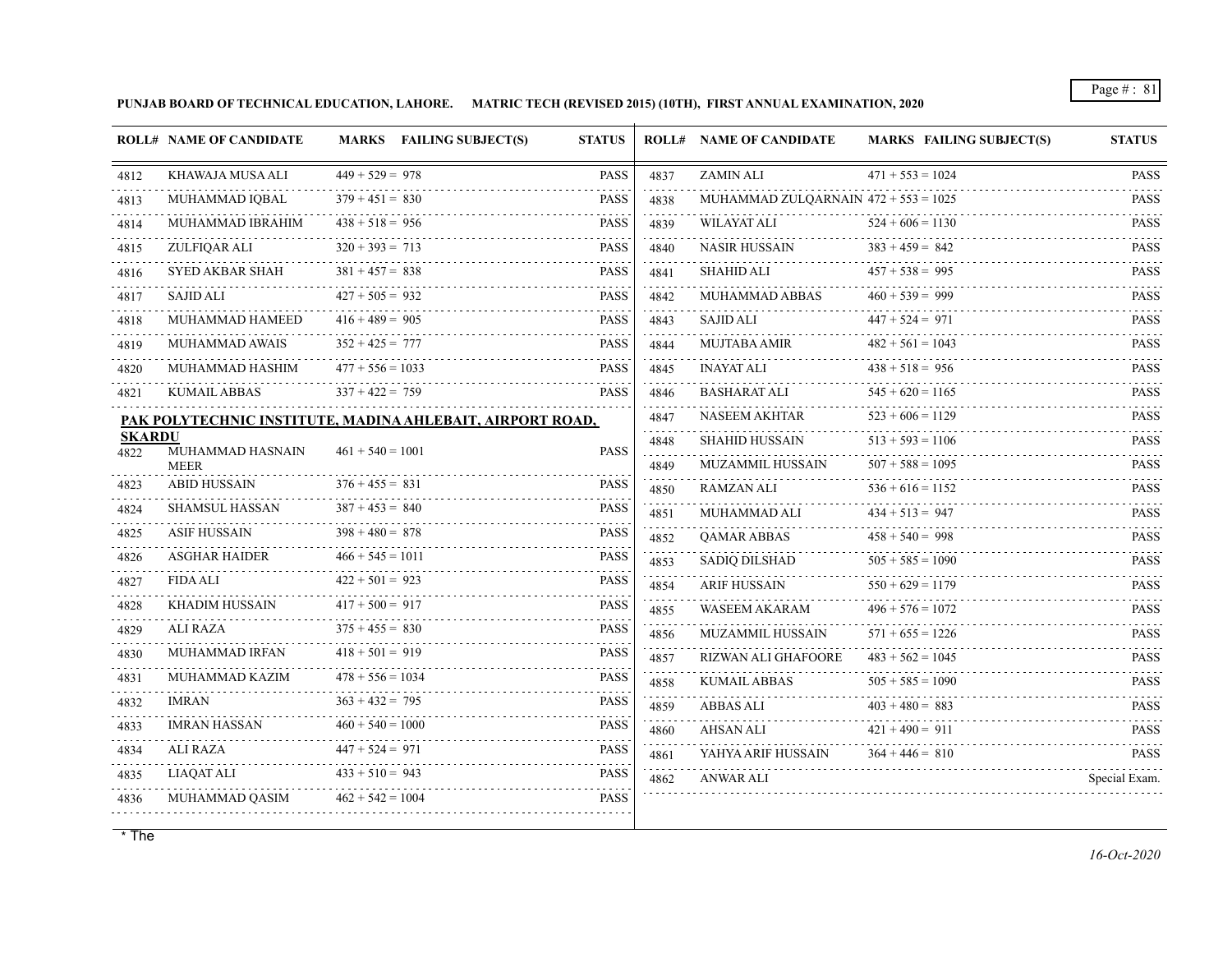**PUNJAB BOARD OF TECHNICAL EDUCATION, LAHORE. MATRIC TECH (REVISED 2015) (10TH), FIRST ANNUAL EXAMINATION, 2020**

|                       | <b>ROLL# NAME OF CANDIDATE</b>                            |                    | <b>MARKS</b> FAILING SUBJECT(S) | <b>STATUS</b> |           | <b>ROLL# NAME OF CANDIDATE</b>         | <b>MARKS FAILING SUBJECT(S)</b> | <b>STATUS</b>                                        |
|-----------------------|-----------------------------------------------------------|--------------------|---------------------------------|---------------|-----------|----------------------------------------|---------------------------------|------------------------------------------------------|
| 4812                  | KHAWAJA MUSA ALI                                          | $449 + 529 = 978$  |                                 | <b>PASS</b>   | 4837      | <b>ZAMIN ALI</b>                       | $471 + 553 = 1024$              | <b>PASS</b>                                          |
| 4813                  | MUHAMMAD IOBAL                                            | $379 + 451 = 830$  |                                 | <b>PASS</b>   | 4838      | MUHAMMAD ZULOARNAIN $472 + 553 = 1025$ |                                 | <b>PASS</b>                                          |
| .<br>4814             | MUHAMMAD IBRAHIM                                          | $438 + 518 = 956$  |                                 | <b>PASS</b>   | 4839      | <b>WILAYAT ALI</b>                     | $524 + 606 = 1130$              | .<br><b>PASS</b>                                     |
| 4815                  | ZULFIQAR ALI                                              | $320 + 393 = 713$  |                                 | <b>PASS</b>   | 4840      | <b>NASIR HUSSAIN</b>                   | $383 + 459 = 842$               | <b>PASS</b>                                          |
| 4816                  | <b>SYED AKBAR SHAH</b>                                    | $381 + 457 = 838$  |                                 | <b>PASS</b>   | 4841      | SHAHID ALI                             | $457 + 538 = 995$               | $\sim$<br><b>PASS</b>                                |
| 4817                  | <b>SAJID ALI</b>                                          | $427 + 505 = 932$  |                                 | <b>PASS</b>   | 4842      | MUHAMMAD ABBAS                         | $460 + 539 = 999$               | .<br><b>PASS</b>                                     |
| 4818                  | MUHAMMAD HAMEED                                           | $416 + 489 = 905$  |                                 | <b>PASS</b>   | 4843      | <b>SAJID ALI</b>                       | $447 + 524 = 971$               | <b>PASS</b>                                          |
| 4819                  | <b>MUHAMMAD AWAIS</b>                                     | $352 + 425 = 777$  |                                 | <b>PASS</b>   | 4844      | MUJTABA AMIR                           | $482 + 561 = 1043$              | <b>PASS</b>                                          |
| 4820                  | MUHAMMAD HASHIM                                           | $477 + 556 = 1033$ |                                 | <b>PASS</b>   | 4845      | <b>INAYAT ALI</b>                      | $438 + 518 = 956$               | <b>PASS</b>                                          |
| 4821                  | <b>KUMAIL ABBAS</b>                                       | $337 + 422 = 759$  |                                 | <b>PASS</b>   | 4846      | BASHARAT ALI                           | $545 + 620 = 1165$              | <b>PASS</b>                                          |
|                       | PAK POLYTECHNIC INSTITUTE, MADINA AHLEBAIT, AIRPORT ROAD, |                    |                                 |               | 4847      | NASEEM AKHTAR                          | $523 + 606 = 1129$              | <b>PASS</b><br>$\mathbb{Z}$ is a single $\mathbb{Z}$ |
| <b>SKARDU</b><br>4822 | MUHAMMAD HASNAIN                                          | $461 + 540 = 1001$ |                                 | <b>PASS</b>   | .<br>4848 | <b>SHAHID HUSSAIN</b>                  | $513 + 593 = 1106$              | <b>PASS</b>                                          |
|                       | <b>MEER</b>                                               |                    |                                 |               | 4849      | <b>MUZAMMIL HUSSAIN</b>                | $507 + 588 = 1095$              | <b>PASS</b>                                          |
| 4823                  | <b>ABID HUSSAIN</b>                                       | $376 + 455 = 831$  |                                 | <b>PASS</b>   | 4850      | <b>RAMZAN ALI</b>                      | $536 + 616 = 1152$              | <b>PASS</b>                                          |
| 4824                  | <b>SHAMSUL HASSAN</b>                                     | $387 + 453 = 840$  |                                 | <b>PASS</b>   | 4851      | MUHAMMAD ALI                           | $434 + 513 = 947$               | <b>PASS</b><br>.                                     |
| 4825                  | <b>ASIF HUSSAIN</b>                                       | $398 + 480 = 878$  |                                 | <b>PASS</b>   | 4852      | <b>OAMAR ABBAS</b>                     | $458 + 540 = 998$               | <b>PASS</b>                                          |
| 4826                  | <b>ASGHAR HAIDER</b>                                      | $466 + 545 = 1011$ |                                 | <b>PASS</b>   | 4853      | SADIO DILSHAD                          | $505 + 585 = 1090$              | .<br><b>PASS</b><br>.                                |
| 4827                  | <b>FIDA ALI</b>                                           | $422 + 501 = 923$  |                                 | <b>PASS</b>   | 4854      | ARIF HUSSAIN                           | $550 + 629 = 1179$              | <b>PASS</b>                                          |
| 4828                  | <b>KHADIM HUSSAIN</b>                                     | $417 + 500 = 917$  |                                 | <b>PASS</b>   | 4855      | WASEEM AKARAM                          | $496 + 576 = 1072$              | <b>PASS</b>                                          |
| 4829                  | <b>ALI RAZA</b>                                           | $375 + 455 = 830$  |                                 | <b>PASS</b>   | .<br>4856 | <b>MUZAMMIL HUSSAIN</b>                | $571 + 655 = 1226$              | <b>PASS</b>                                          |
| 4830                  | MUHAMMAD IRFAN                                            | $418 + 501 = 919$  |                                 | <b>PASS</b>   | 4857      | RIZWAN ALI GHAFOORE                    | $483 + 562 = 1045$              | <b>PASS</b>                                          |
| 4831                  | MUHAMMAD KAZIM                                            | $478 + 556 = 1034$ |                                 | <b>PASS</b>   | 4858      | KUMAIL ABBAS                           | $505 + 585 = 1090$              | <b>PASS</b>                                          |
| 4832                  | <b>IMRAN</b>                                              | $363 + 432 = 795$  |                                 | <b>PASS</b>   | 4859      | <b>ABBAS ALI</b>                       | $403 + 480 = 883$               | .<br><b>PASS</b>                                     |
| 4833                  | <b>IMRAN HASSAN</b><br>.                                  | $460 + 540 = 1000$ |                                 | <b>PASS</b>   | 4860      | AHSAN ALI                              | $421 + 490 = 911$               | <b>PASS</b>                                          |
| 4834<br>.             | ALI RAZA                                                  | $447 + 524 = 971$  |                                 | <b>PASS</b>   | 4861      | YAHYA ARIF HUSSAIN                     | $364 + 446 = 810$               | <b>PASS</b>                                          |
| 4835                  | LIAQAT ALI                                                | $433 + 510 = 943$  |                                 | <b>PASS</b>   | 4862      | <b>ANWAR ALI</b>                       |                                 | Special Exam.                                        |
| 4836                  | MUHAMMAD QASIM                                            | $462 + 542 = 1004$ |                                 | <b>PASS</b>   |           |                                        |                                 |                                                      |